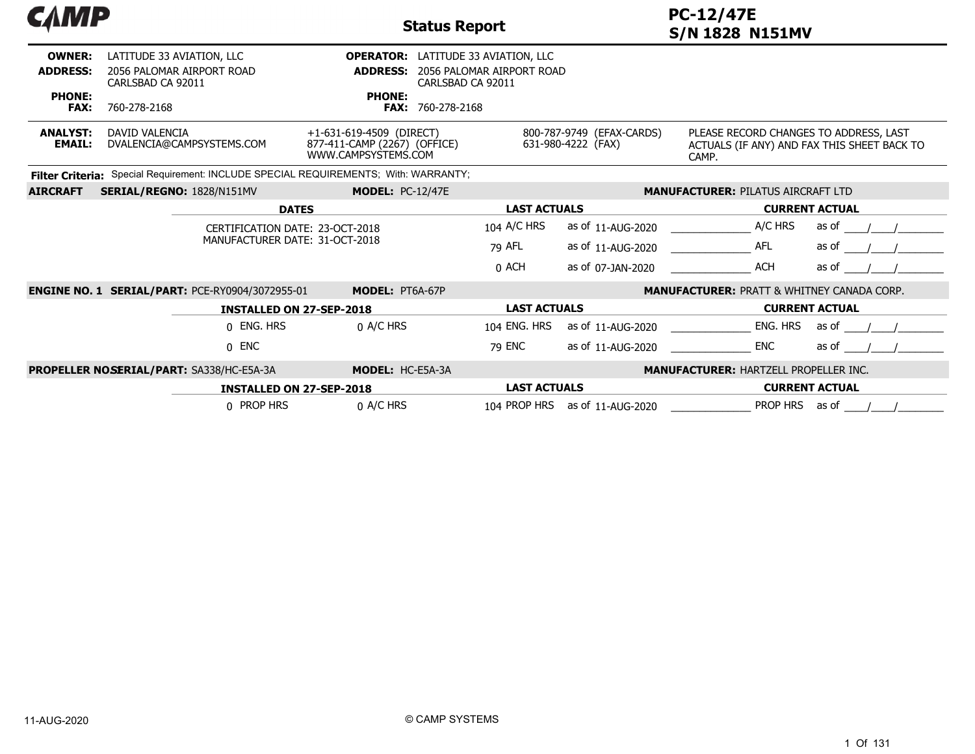| САМР                             |                                                                             |                                                                                 | <b>Status Report</b>                                                                         |                                                 | <b>PC-12/47E</b><br><b>S/N 1828 N151MV</b>                                                     |                       |
|----------------------------------|-----------------------------------------------------------------------------|---------------------------------------------------------------------------------|----------------------------------------------------------------------------------------------|-------------------------------------------------|------------------------------------------------------------------------------------------------|-----------------------|
| <b>OWNER:</b><br><b>ADDRESS:</b> | LATITUDE 33 AVIATION, LLC<br>2056 PALOMAR AIRPORT ROAD<br>CARLSBAD CA 92011 | <b>ADDRESS:</b>                                                                 | <b>OPERATOR:</b> LATITUDE 33 AVIATION, LLC<br>2056 PALOMAR AIRPORT ROAD<br>CARLSBAD CA 92011 |                                                 |                                                                                                |                       |
| <b>PHONE:</b><br><b>FAX:</b>     | 760-278-2168                                                                | <b>PHONE:</b>                                                                   | <b>FAX: 760-278-2168</b>                                                                     |                                                 |                                                                                                |                       |
| <b>ANALYST:</b><br><b>EMAIL:</b> | DAVID VALENCIA<br>DVALENCIA@CAMPSYSTEMS.COM                                 | +1-631-619-4509 (DIRECT)<br>877-411-CAMP (2267) (OFFICE)<br>WWW.CAMPSYSTEMS.COM |                                                                                              | 800-787-9749 (EFAX-CARDS)<br>631-980-4222 (FAX) | PLEASE RECORD CHANGES TO ADDRESS, LAST<br>ACTUALS (IF ANY) AND FAX THIS SHEET BACK TO<br>CAMP. |                       |
| <b>Filter Criteria:</b>          | Special Requirement: INCLUDE SPECIAL REQUIREMENTS: With: WARRANTY:          |                                                                                 |                                                                                              |                                                 |                                                                                                |                       |
| <b>AIRCRAFT</b>                  | SERIAL/REGNO: 1828/N151MV                                                   | <b>MODEL: PC-12/47E</b>                                                         |                                                                                              |                                                 | <b>MANUFACTURER: PILATUS AIRCRAFT LTD</b>                                                      |                       |
|                                  |                                                                             | <b>DATES</b>                                                                    | <b>LAST ACTUALS</b>                                                                          |                                                 | <b>CURRENT ACTUAL</b>                                                                          |                       |
|                                  |                                                                             | CERTIFICATION DATE: 23-OCT-2018                                                 | 104 A/C HRS                                                                                  | as of 11-AUG-2020                               | A/C HRS                                                                                        | as of                 |
|                                  |                                                                             | MANUFACTURER DATE: 31-OCT-2018                                                  | 79 AFL                                                                                       | as of 11-AUG-2020                               | <b>AFL</b>                                                                                     | as of                 |
|                                  |                                                                             |                                                                                 | 0 ACH                                                                                        | as of 07-JAN-2020                               | <b>ACH</b>                                                                                     | as of                 |
|                                  | <b>ENGINE NO. 1 SERIAL/PART: PCE-RY0904/3072955-01</b>                      | MODEL: PT6A-67P                                                                 |                                                                                              |                                                 | <b>MANUFACTURER: PRATT &amp; WHITNEY CANADA CORP.</b>                                          |                       |
|                                  |                                                                             | <b>INSTALLED ON 27-SEP-2018</b>                                                 | <b>LAST ACTUALS</b>                                                                          |                                                 |                                                                                                | <b>CURRENT ACTUAL</b> |
|                                  | 0 ENG. HRS                                                                  | 0 A/C HRS                                                                       | 104 ENG. HRS                                                                                 | as of 11-AUG-2020                               | ENG. HRS                                                                                       | as of                 |
|                                  | $0$ ENC                                                                     |                                                                                 | 79 ENC                                                                                       | as of 11-AUG-2020                               | <b>ENC</b>                                                                                     | as of                 |
|                                  | <b>PROPELLER NOSERIAL/PART: SA338/HC-E5A-3A</b>                             | MODEL: HC-E5A-3A                                                                |                                                                                              |                                                 | <b>MANUFACTURER: HARTZELL PROPELLER INC.</b>                                                   |                       |
|                                  |                                                                             | <b>INSTALLED ON 27-SEP-2018</b>                                                 |                                                                                              | <b>LAST ACTUALS</b><br><b>CURRENT ACTUAL</b>    |                                                                                                |                       |
|                                  | 0 PROP HRS                                                                  | 0 A/C HRS                                                                       |                                                                                              | 104 PROP HRS as of 11-AUG-2020                  | <b>PROP HRS</b>                                                                                | as of                 |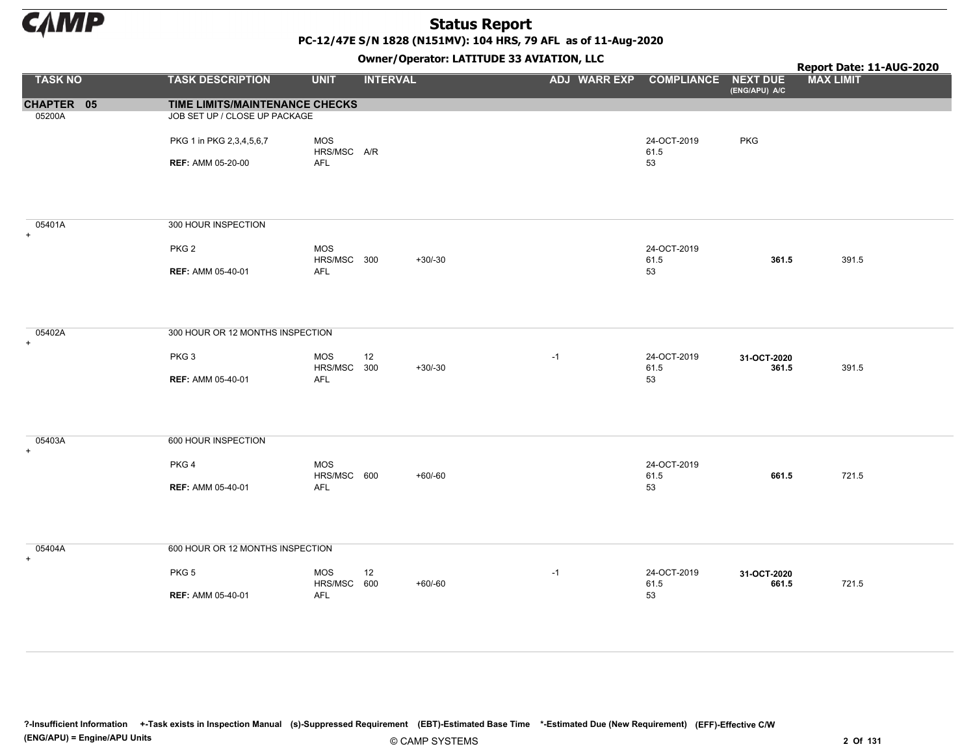

PC-12/47E S/N 1828 (N151MV): 104 HRS, 79 AFL as of 11-Aug-2020

Owner/Operator: LATITUDE 33 AVIATION, LLC

|                     |                                  |                           | - - - -         | . .                              |                     |                      | Report Date: 11-AUG-2020 |
|---------------------|----------------------------------|---------------------------|-----------------|----------------------------------|---------------------|----------------------|--------------------------|
| <b>TASK NO</b>      | <b>TASK DESCRIPTION</b>          | <b>UNIT</b>               | <b>INTERVAL</b> | ADJ WARR EXP COMPLIANCE NEXT DUE |                     | (ENG/APU) A/C        | <b>MAX LIMIT</b>         |
| CHAPTER 05          | TIME LIMITS/MAINTENANCE CHECKS   |                           |                 |                                  |                     |                      |                          |
| 05200A              | JOB SET UP / CLOSE UP PACKAGE    |                           |                 |                                  |                     |                      |                          |
|                     | PKG 1 in PKG 2,3,4,5,6,7         | MOS<br>HRS/MSC A/R        |                 |                                  | 24-OCT-2019<br>61.5 | <b>PKG</b>           |                          |
|                     | <b>REF: AMM 05-20-00</b>         | <b>AFL</b>                |                 |                                  | 53                  |                      |                          |
| 05401A<br>$+$       | 300 HOUR INSPECTION              |                           |                 |                                  |                     |                      |                          |
|                     | PKG <sub>2</sub>                 | MOS<br>HRS/MSC 300        | $+30/-30$       |                                  | 24-OCT-2019<br>61.5 | 361.5                | 391.5                    |
|                     | <b>REF: AMM 05-40-01</b>         | AFL                       |                 |                                  | 53                  |                      |                          |
| 05402A<br>$+$       | 300 HOUR OR 12 MONTHS INSPECTION |                           |                 |                                  |                     |                      |                          |
|                     | PKG <sub>3</sub>                 | <b>MOS</b><br>HRS/MSC 300 | 12<br>$+30/-30$ | $-1$                             | 24-OCT-2019<br>61.5 | 31-OCT-2020<br>361.5 | 391.5                    |
|                     | <b>REF: AMM 05-40-01</b>         | AFL                       |                 |                                  | 53                  |                      |                          |
| 05403A<br>$+$       | 600 HOUR INSPECTION              |                           |                 |                                  |                     |                      |                          |
|                     | PKG <sub>4</sub>                 | <b>MOS</b><br>HRS/MSC 600 | $+60/-60$       |                                  | 24-OCT-2019<br>61.5 | 661.5                | 721.5                    |
|                     | <b>REF: AMM 05-40-01</b>         | AFL                       |                 |                                  | 53                  |                      |                          |
| 05404A<br>$\ddot{}$ | 600 HOUR OR 12 MONTHS INSPECTION |                           |                 |                                  |                     |                      |                          |
|                     | PKG <sub>5</sub>                 | <b>MOS</b><br>HRS/MSC 600 | 12<br>$+60/-60$ | $-1$                             | 24-OCT-2019<br>61.5 | 31-OCT-2020<br>661.5 | 721.5                    |
|                     | <b>REF: AMM 05-40-01</b>         | <b>AFL</b>                |                 |                                  | 53                  |                      |                          |

?-Insufficient Information +-Task exists in Inspection Manual (s)-Suppressed Requirement (EBT)-Estimated Base Time \*-Estimated Due (New Requirement) (EFF)-Effective C/W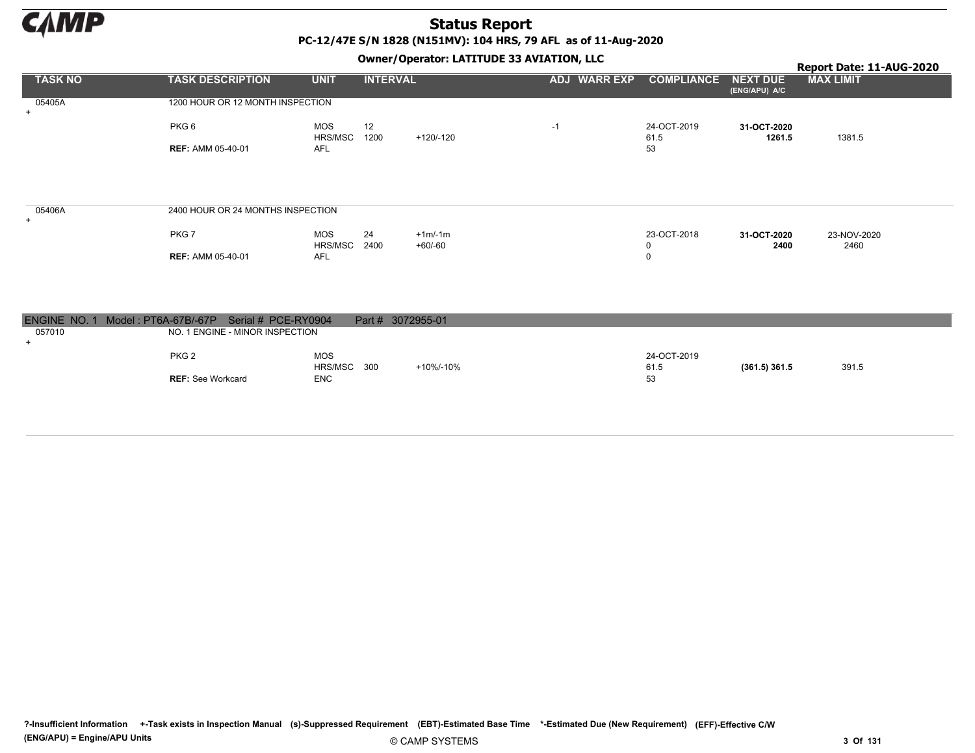

|                |                                   |                |                 | .<br>__<br>$ -$       |                     |                     |                           | Report Date: 11-AUG-2020 |
|----------------|-----------------------------------|----------------|-----------------|-----------------------|---------------------|---------------------|---------------------------|--------------------------|
| <b>TASK NO</b> | <b>TASK DESCRIPTION</b>           | <b>UNIT</b>    | <b>INTERVAL</b> |                       | <b>ADJ WARR EXP</b> | <b>COMPLIANCE</b>   | NEXT DUE<br>(ENG/APU) A/C | <b>MAX LIMIT</b>         |
| 05405A<br>$+$  | 1200 HOUR OR 12 MONTH INSPECTION  |                |                 |                       |                     |                     |                           |                          |
|                | PKG 6                             | MOS<br>HRS/MSC | 12<br>1200      | +120/-120             | $-1$                | 24-OCT-2019<br>61.5 | 31-OCT-2020<br>1261.5     | 1381.5                   |
|                | <b>REF: AMM 05-40-01</b>          | AFL            |                 |                       |                     | 53                  |                           |                          |
|                |                                   |                |                 |                       |                     |                     |                           |                          |
| 05406A         | 2400 HOUR OR 24 MONTHS INSPECTION |                |                 |                       |                     |                     |                           |                          |
| $+$            |                                   |                |                 |                       |                     |                     |                           |                          |
|                | PKG7                              | MOS<br>HRS/MSC | 24<br>2400      | $+1m/1m$<br>$+60/-60$ |                     | 23-OCT-2018<br>0    | 31-OCT-2020<br>2400       | 23-NOV-2020<br>2460      |
|                | <b>REF: AMM 05-40-01</b>          | AFL            |                 |                       |                     | 0                   |                           |                          |
|                |                                   |                |                 |                       |                     |                     |                           |                          |
|                |                                   |                |                 |                       |                     |                     |                           |                          |
|                |                                   |                |                 |                       |                     |                     |                           |                          |

| ENGINE NO. | 1 Model: PT6A-67B/-67P Serial # PCE-RY0904 |             | Part # 3072955-01 |      |             |                 |       |
|------------|--------------------------------------------|-------------|-------------------|------|-------------|-----------------|-------|
| 057010     | NO. 1 ENGINE - MINOR INSPECTION            |             |                   |      |             |                 |       |
|            |                                            |             |                   |      |             |                 |       |
|            | PKG <sub>2</sub>                           | <b>MOS</b>  |                   |      | 24-OCT-2019 |                 |       |
|            |                                            | HRS/MSC 300 | +10%/-10%         | 61.5 |             | $(361.5)$ 361.5 | 391.5 |
|            | <b>REF:</b> See Workcard                   | ENC         |                   | 53   |             |                 |       |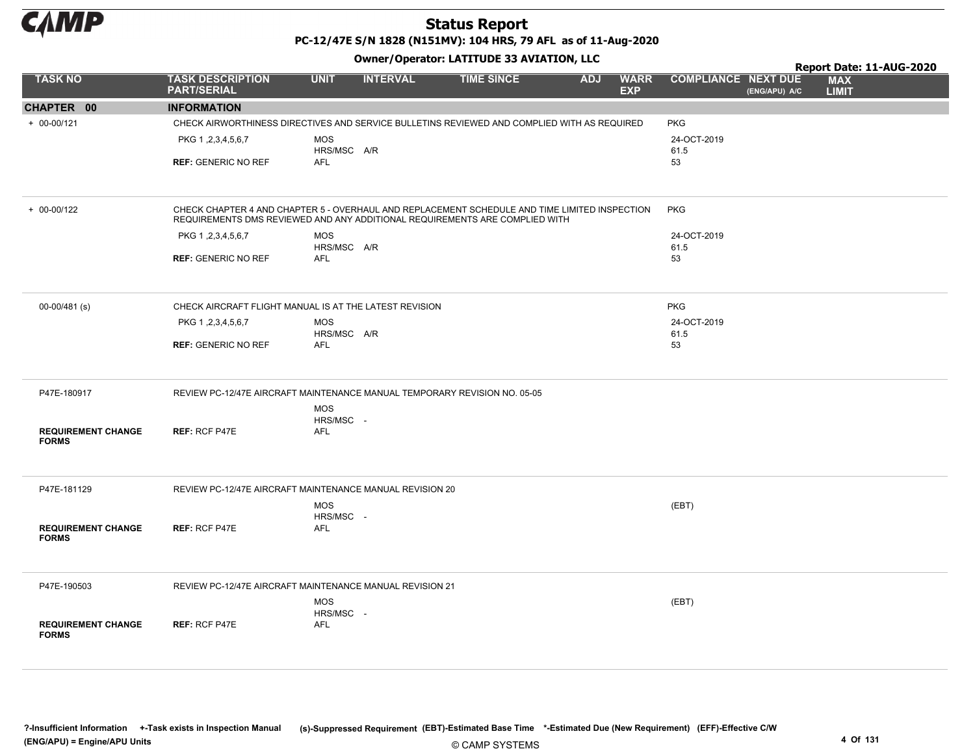

PC-12/47E S/N 1828 (N151MV): 104 HRS, 79 AFL as of 11-Aug-2020

|                                           |                                                                                                                                                                              |                                       | .               |                   |            |                           |                            |               | Report Date: 11-AUG-2020   |  |
|-------------------------------------------|------------------------------------------------------------------------------------------------------------------------------------------------------------------------------|---------------------------------------|-----------------|-------------------|------------|---------------------------|----------------------------|---------------|----------------------------|--|
| <b>TASK NO</b>                            | <b>TASK DESCRIPTION</b><br><b>PART/SERIAL</b>                                                                                                                                | <b>UNIT</b>                           | <b>INTERVAL</b> | <b>TIME SINCE</b> | <b>ADJ</b> | <b>WARR</b><br><b>EXP</b> | <b>COMPLIANCE NEXT DUE</b> | (ENG/APU) A/C | <b>MAX</b><br><b>LIMIT</b> |  |
| CHAPTER 00                                | <b>INFORMATION</b>                                                                                                                                                           |                                       |                 |                   |            |                           |                            |               |                            |  |
| $+ 00 - 00/121$                           | CHECK AIRWORTHINESS DIRECTIVES AND SERVICE BULLETINS REVIEWED AND COMPLIED WITH AS REQUIRED                                                                                  |                                       |                 |                   |            |                           | <b>PKG</b>                 |               |                            |  |
|                                           | PKG 1, 2, 3, 4, 5, 6, 7<br><b>REF: GENERIC NO REF</b>                                                                                                                        | <b>MOS</b><br>HRS/MSC A/R<br>AFL      |                 |                   |            |                           | 24-OCT-2019<br>61.5<br>53  |               |                            |  |
| $+ 00 - 00/122$                           | CHECK CHAPTER 4 AND CHAPTER 5 - OVERHAUL AND REPLACEMENT SCHEDULE AND TIME LIMITED INSPECTION<br>REQUIREMENTS DMS REVIEWED AND ANY ADDITIONAL REQUIREMENTS ARE COMPLIED WITH |                                       |                 |                   |            |                           | <b>PKG</b>                 |               |                            |  |
|                                           | PKG 1, 2, 3, 4, 5, 6, 7                                                                                                                                                      | <b>MOS</b>                            |                 |                   |            |                           | 24-OCT-2019                |               |                            |  |
|                                           |                                                                                                                                                                              | HRS/MSC A/R                           |                 |                   |            |                           | 61.5                       |               |                            |  |
|                                           | <b>REF: GENERIC NO REF</b>                                                                                                                                                   | <b>AFL</b>                            |                 |                   |            |                           | 53                         |               |                            |  |
| 00-00/481 (s)                             | CHECK AIRCRAFT FLIGHT MANUAL IS AT THE LATEST REVISION                                                                                                                       |                                       |                 |                   |            |                           | <b>PKG</b>                 |               |                            |  |
|                                           | PKG 1, 2, 3, 4, 5, 6, 7                                                                                                                                                      | <b>MOS</b>                            |                 |                   |            |                           | 24-OCT-2019                |               |                            |  |
|                                           | <b>REF: GENERIC NO REF</b>                                                                                                                                                   | HRS/MSC A/R<br><b>AFL</b>             |                 |                   |            |                           | 61.5<br>53                 |               |                            |  |
| P47E-180917                               | REVIEW PC-12/47E AIRCRAFT MAINTENANCE MANUAL TEMPORARY REVISION NO. 05-05                                                                                                    |                                       |                 |                   |            |                           |                            |               |                            |  |
| <b>REQUIREMENT CHANGE</b><br><b>FORMS</b> | <b>REF: RCF P47E</b>                                                                                                                                                         | <b>MOS</b><br>HRS/MSC -<br><b>AFL</b> |                 |                   |            |                           |                            |               |                            |  |
| P47E-181129                               | REVIEW PC-12/47E AIRCRAFT MAINTENANCE MANUAL REVISION 20                                                                                                                     |                                       |                 |                   |            |                           |                            |               |                            |  |
| <b>REQUIREMENT CHANGE</b><br><b>FORMS</b> | <b>REF: RCF P47E</b>                                                                                                                                                         | <b>MOS</b><br>HRS/MSC -<br>AFL        |                 |                   |            |                           | (EBT)                      |               |                            |  |
| P47E-190503                               | REVIEW PC-12/47E AIRCRAFT MAINTENANCE MANUAL REVISION 21                                                                                                                     |                                       |                 |                   |            |                           |                            |               |                            |  |
| <b>REQUIREMENT CHANGE</b><br><b>FORMS</b> | <b>REF: RCF P47E</b>                                                                                                                                                         | <b>MOS</b><br>HRS/MSC -<br><b>AFL</b> |                 |                   |            |                           | (EBT)                      |               |                            |  |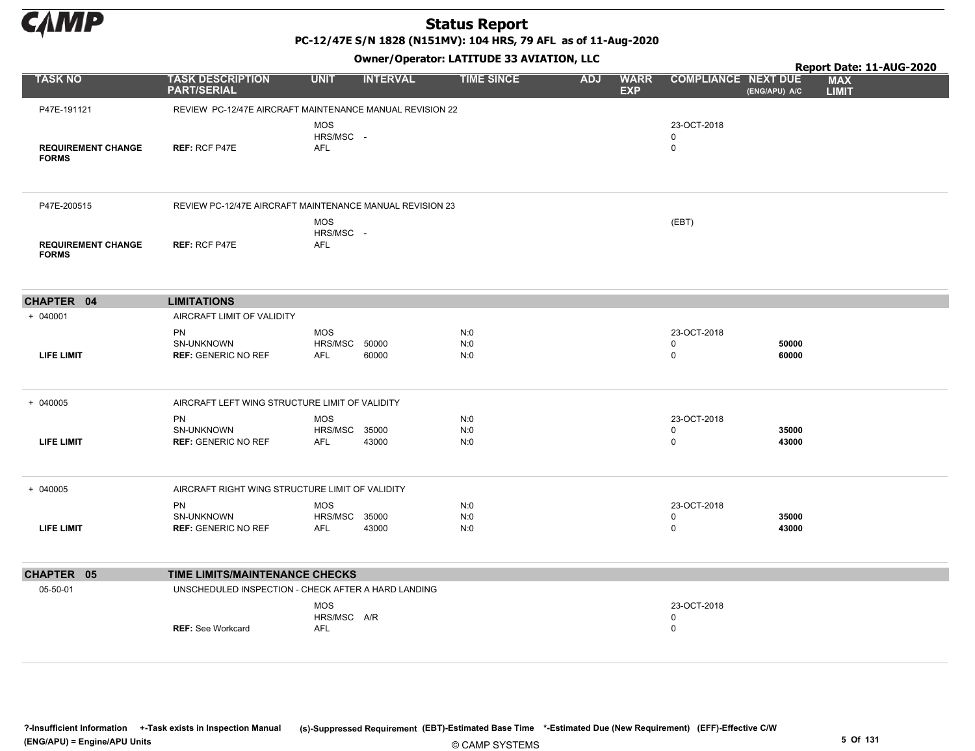

PC-12/47E S/N 1828 (N151MV): 104 HRS, 79 AFL as of 11-Aug-2020

|                                           |                                                          |                                           |                 | Owner/Operator: LATITUDE 33 AVIATION, LLC |                                         |                                 |                | Report Date: 11-AUG-2020   |
|-------------------------------------------|----------------------------------------------------------|-------------------------------------------|-----------------|-------------------------------------------|-----------------------------------------|---------------------------------|----------------|----------------------------|
| <b>TASK NO</b>                            | <b>TASK DESCRIPTION</b><br><b>PART/SERIAL</b>            | <b>UNIT</b>                               | <b>INTERVAL</b> | <b>TIME SINCE</b>                         | <b>ADJ</b><br><b>WARR</b><br><b>EXP</b> | <b>COMPLIANCE NEXT DUE</b>      | (ENG/APU) A/C  | <b>MAX</b><br><b>LIMIT</b> |
| P47E-191121                               | REVIEW PC-12/47E AIRCRAFT MAINTENANCE MANUAL REVISION 22 |                                           |                 |                                           |                                         |                                 |                |                            |
| <b>REQUIREMENT CHANGE</b><br><b>FORMS</b> | <b>REF: RCF P47E</b>                                     | <b>MOS</b><br>HRS/MSC -<br><b>AFL</b>     |                 |                                           |                                         | 23-OCT-2018<br>0<br>0           |                |                            |
| P47E-200515                               | REVIEW PC-12/47E AIRCRAFT MAINTENANCE MANUAL REVISION 23 |                                           |                 |                                           |                                         |                                 |                |                            |
| <b>REQUIREMENT CHANGE</b><br><b>FORMS</b> | REF: RCF P47E                                            | <b>MOS</b><br>HRS/MSC -<br><b>AFL</b>     |                 |                                           |                                         | (EBT)                           |                |                            |
| CHAPTER 04                                | <b>LIMITATIONS</b>                                       |                                           |                 |                                           |                                         |                                 |                |                            |
| $+ 040001$                                | AIRCRAFT LIMIT OF VALIDITY                               |                                           |                 |                                           |                                         |                                 |                |                            |
| <b>LIFE LIMIT</b>                         | <b>PN</b><br>SN-UNKNOWN<br><b>REF: GENERIC NO REF</b>    | <b>MOS</b><br>HRS/MSC<br><b>AFL</b>       | 50000<br>60000  | N:0<br>N:0<br>N:0                         |                                         | 23-OCT-2018<br>0<br>$\mathbf 0$ | 50000<br>60000 |                            |
| $+ 040005$                                | AIRCRAFT LEFT WING STRUCTURE LIMIT OF VALIDITY           |                                           |                 |                                           |                                         |                                 |                |                            |
| <b>LIFE LIMIT</b>                         | <b>PN</b><br>SN-UNKNOWN<br><b>REF: GENERIC NO REF</b>    | <b>MOS</b><br>HRS/MSC 35000<br><b>AFL</b> | 43000           | N:0<br>N:0<br>N:0                         |                                         | 23-OCT-2018<br>0<br>$\pmb{0}$   | 35000<br>43000 |                            |
| $+ 040005$                                | AIRCRAFT RIGHT WING STRUCTURE LIMIT OF VALIDITY          |                                           |                 |                                           |                                         |                                 |                |                            |
| <b>LIFE LIMIT</b>                         | PN<br>SN-UNKNOWN<br><b>REF: GENERIC NO REF</b>           | MOS<br>HRS/MSC 35000<br><b>AFL</b>        | 43000           | N:0<br>N:0<br>N:0                         |                                         | 23-OCT-2018<br>0<br>0           | 35000<br>43000 |                            |
| CHAPTER 05                                | TIME LIMITS/MAINTENANCE CHECKS                           |                                           |                 |                                           |                                         |                                 |                |                            |
| 05-50-01                                  | UNSCHEDULED INSPECTION - CHECK AFTER A HARD LANDING      |                                           |                 |                                           |                                         |                                 |                |                            |
|                                           | <b>REF: See Workcard</b>                                 | <b>MOS</b><br>HRS/MSC A/R<br>AFL          |                 |                                           |                                         | 23-OCT-2018<br>0<br>$\pmb{0}$   |                |                            |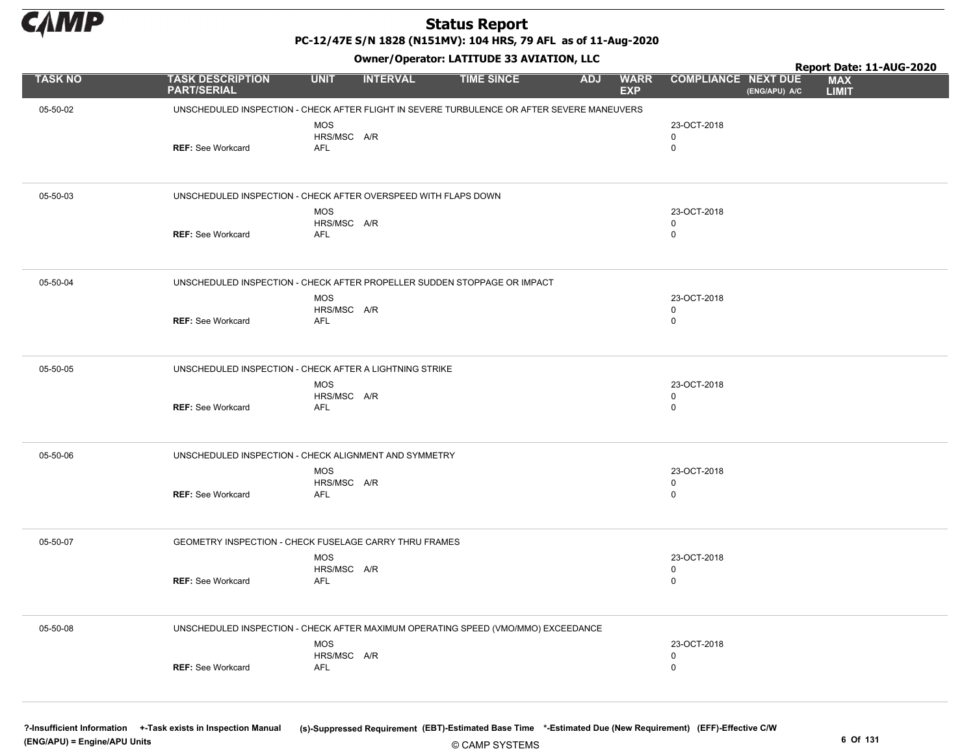

PC-12/47E S/N 1828 (N151MV): 104 HRS, 79 AFL as of 11-Aug-2020

Owner/Operator: LATITUDE 33 AVIATION, LLC

|                |                                                                                            |                                         |                 | Owner / Operator. LATITUDE 33 AVIATION, LLC |            |                           |                                 |               | Report Date: 11-AUG-2020   |
|----------------|--------------------------------------------------------------------------------------------|-----------------------------------------|-----------------|---------------------------------------------|------------|---------------------------|---------------------------------|---------------|----------------------------|
| <b>TASK NO</b> | <b>TASK DESCRIPTION</b><br><b>PART/SERIAL</b>                                              | <b>UNIT</b>                             | <b>INTERVAL</b> | <b>TIME SINCE</b>                           | <b>ADJ</b> | <b>WARR</b><br><b>EXP</b> | <b>COMPLIANCE NEXT DUE</b>      | (ENG/APU) A/C | <b>MAX</b><br><b>LIMIT</b> |
| 05-50-02       | UNSCHEDULED INSPECTION - CHECK AFTER FLIGHT IN SEVERE TURBULENCE OR AFTER SEVERE MANEUVERS |                                         |                 |                                             |            |                           |                                 |               |                            |
|                | <b>REF: See Workcard</b>                                                                   | <b>MOS</b><br>HRS/MSC A/R<br><b>AFL</b> |                 |                                             |            |                           | 23-OCT-2018<br>0<br>$\mathbf 0$ |               |                            |
| 05-50-03       | UNSCHEDULED INSPECTION - CHECK AFTER OVERSPEED WITH FLAPS DOWN                             |                                         |                 |                                             |            |                           |                                 |               |                            |
|                | <b>REF: See Workcard</b>                                                                   | <b>MOS</b><br>HRS/MSC A/R<br><b>AFL</b> |                 |                                             |            |                           | 23-OCT-2018<br>0<br>$\mathbf 0$ |               |                            |
| 05-50-04       | UNSCHEDULED INSPECTION - CHECK AFTER PROPELLER SUDDEN STOPPAGE OR IMPACT                   |                                         |                 |                                             |            |                           |                                 |               |                            |
|                | <b>REF: See Workcard</b>                                                                   | <b>MOS</b><br>HRS/MSC A/R<br><b>AFL</b> |                 |                                             |            |                           | 23-OCT-2018<br>0<br>$\mathbf 0$ |               |                            |
| 05-50-05       | UNSCHEDULED INSPECTION - CHECK AFTER A LIGHTNING STRIKE                                    |                                         |                 |                                             |            |                           |                                 |               |                            |
|                | <b>REF: See Workcard</b>                                                                   | <b>MOS</b><br>HRS/MSC A/R<br><b>AFL</b> |                 |                                             |            |                           | 23-OCT-2018<br>0<br>$\mathbf 0$ |               |                            |
| 05-50-06       | UNSCHEDULED INSPECTION - CHECK ALIGNMENT AND SYMMETRY                                      |                                         |                 |                                             |            |                           |                                 |               |                            |
|                | <b>REF: See Workcard</b>                                                                   | <b>MOS</b><br>HRS/MSC A/R<br>AFL        |                 |                                             |            |                           | 23-OCT-2018<br>0<br>$\mathbf 0$ |               |                            |
| 05-50-07       | GEOMETRY INSPECTION - CHECK FUSELAGE CARRY THRU FRAMES                                     |                                         |                 |                                             |            |                           |                                 |               |                            |
|                | <b>REF: See Workcard</b>                                                                   | <b>MOS</b><br>HRS/MSC A/R<br><b>AFL</b> |                 |                                             |            |                           | 23-OCT-2018<br>0<br>$\mathbf 0$ |               |                            |
| 05-50-08       | UNSCHEDULED INSPECTION - CHECK AFTER MAXIMUM OPERATING SPEED (VMO/MMO) EXCEEDANCE          |                                         |                 |                                             |            |                           |                                 |               |                            |
|                |                                                                                            | <b>MOS</b><br>HRS/MSC A/R               |                 |                                             |            |                           | 23-OCT-2018<br>0                |               |                            |
|                | <b>REF: See Workcard</b>                                                                   | AFL                                     |                 |                                             |            |                           | $\mathbf 0$                     |               |                            |
|                |                                                                                            |                                         |                 |                                             |            |                           |                                 |               |                            |

?-Insufficient Information +-Task exists in Inspection Manual (s)-Suppressed Requirement (EBT)-Estimated Base Time \*-Estimated Due (New Requirement) (EFF)-Effective C/W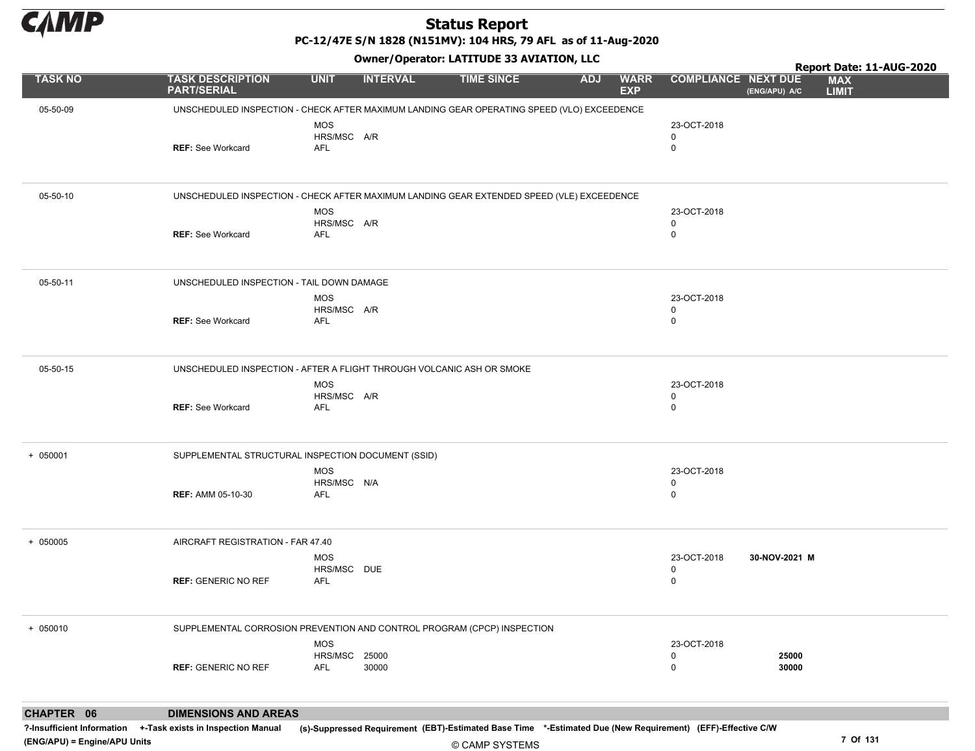

PC-12/47E S/N 1828 (N151MV): 104 HRS, 79 AFL as of 11-Aug-2020

Owner/Operator: LATITUDE 33 AVIATION, LLC

|                |                                                                                            |                             | - <i>-</i> - -  |                   |                                         |                            | Report Date: 11-AUG-2020                    |
|----------------|--------------------------------------------------------------------------------------------|-----------------------------|-----------------|-------------------|-----------------------------------------|----------------------------|---------------------------------------------|
| <b>TASK NO</b> | <b>TASK DESCRIPTION</b><br><b>PART/SERIAL</b>                                              | <b>UNIT</b>                 | <b>INTERVAL</b> | <b>TIME SINCE</b> | <b>ADJ</b><br><b>WARR</b><br><b>EXP</b> | <b>COMPLIANCE NEXT DUE</b> | <b>MAX</b><br><b>LIMIT</b><br>(ENG/APU) A/C |
| 05-50-09       | UNSCHEDULED INSPECTION - CHECK AFTER MAXIMUM LANDING GEAR OPERATING SPEED (VLO) EXCEEDENCE |                             |                 |                   |                                         |                            |                                             |
|                |                                                                                            | <b>MOS</b><br>HRS/MSC A/R   |                 |                   |                                         | 23-OCT-2018<br>0           |                                             |
|                | <b>REF: See Workcard</b>                                                                   | AFL                         |                 |                   |                                         | $\mathbf 0$                |                                             |
|                |                                                                                            |                             |                 |                   |                                         |                            |                                             |
| 05-50-10       | UNSCHEDULED INSPECTION - CHECK AFTER MAXIMUM LANDING GEAR EXTENDED SPEED (VLE) EXCEEDENCE  |                             |                 |                   |                                         |                            |                                             |
|                |                                                                                            | MOS<br>HRS/MSC A/R          |                 |                   |                                         | 23-OCT-2018<br>0           |                                             |
|                | <b>REF: See Workcard</b>                                                                   | <b>AFL</b>                  |                 |                   |                                         | $\mathbf 0$                |                                             |
|                |                                                                                            |                             |                 |                   |                                         |                            |                                             |
| 05-50-11       | UNSCHEDULED INSPECTION - TAIL DOWN DAMAGE                                                  |                             |                 |                   |                                         |                            |                                             |
|                |                                                                                            | <b>MOS</b><br>HRS/MSC A/R   |                 |                   |                                         | 23-OCT-2018<br>0           |                                             |
|                | <b>REF: See Workcard</b>                                                                   | <b>AFL</b>                  |                 |                   |                                         | $\mathbf 0$                |                                             |
|                |                                                                                            |                             |                 |                   |                                         |                            |                                             |
| 05-50-15       | UNSCHEDULED INSPECTION - AFTER A FLIGHT THROUGH VOLCANIC ASH OR SMOKE                      |                             |                 |                   |                                         |                            |                                             |
|                |                                                                                            | <b>MOS</b><br>HRS/MSC A/R   |                 |                   |                                         | 23-OCT-2018<br>0           |                                             |
|                | <b>REF: See Workcard</b>                                                                   | <b>AFL</b>                  |                 |                   |                                         | $\mathbf 0$                |                                             |
|                |                                                                                            |                             |                 |                   |                                         |                            |                                             |
| $+ 050001$     | SUPPLEMENTAL STRUCTURAL INSPECTION DOCUMENT (SSID)                                         |                             |                 |                   |                                         |                            |                                             |
|                |                                                                                            | MOS<br>HRS/MSC N/A          |                 |                   |                                         | 23-OCT-2018<br>0           |                                             |
|                | <b>REF: AMM 05-10-30</b>                                                                   | <b>AFL</b>                  |                 |                   |                                         | $\mathbf 0$                |                                             |
|                |                                                                                            |                             |                 |                   |                                         |                            |                                             |
| + 050005       | AIRCRAFT REGISTRATION - FAR 47.40                                                          |                             |                 |                   |                                         |                            |                                             |
|                |                                                                                            | <b>MOS</b>                  |                 |                   |                                         | 23-OCT-2018                | 30-NOV-2021 M                               |
|                | <b>REF: GENERIC NO REF</b>                                                                 | HRS/MSC DUE<br>AFL          |                 |                   |                                         | 0<br>$\mathbf 0$           |                                             |
|                |                                                                                            |                             |                 |                   |                                         |                            |                                             |
| $+ 050010$     | SUPPLEMENTAL CORROSION PREVENTION AND CONTROL PROGRAM (CPCP) INSPECTION                    |                             |                 |                   |                                         |                            |                                             |
|                |                                                                                            | MOS                         |                 |                   |                                         | 23-OCT-2018                |                                             |
|                | <b>REF: GENERIC NO REF</b>                                                                 | HRS/MSC 25000<br><b>AFL</b> | 30000           |                   |                                         | 0<br>$\mathbf 0$           | 25000<br>30000                              |
|                |                                                                                            |                             |                 |                   |                                         |                            |                                             |
| CHAPTER 06     | <b>DIMENSIONS AND AREAS</b>                                                                |                             |                 |                   |                                         |                            |                                             |

© CAMP SYSTEMS ?-Insufficient Information +-Task exists in Inspection Manual (s)-Suppressed Requirement (EBT)-Estimated Base Time \*-Estimated Due (New Requirement) (EFF)-Effective C/W (ENG/APU) = Engine/APU Units 7 Of 131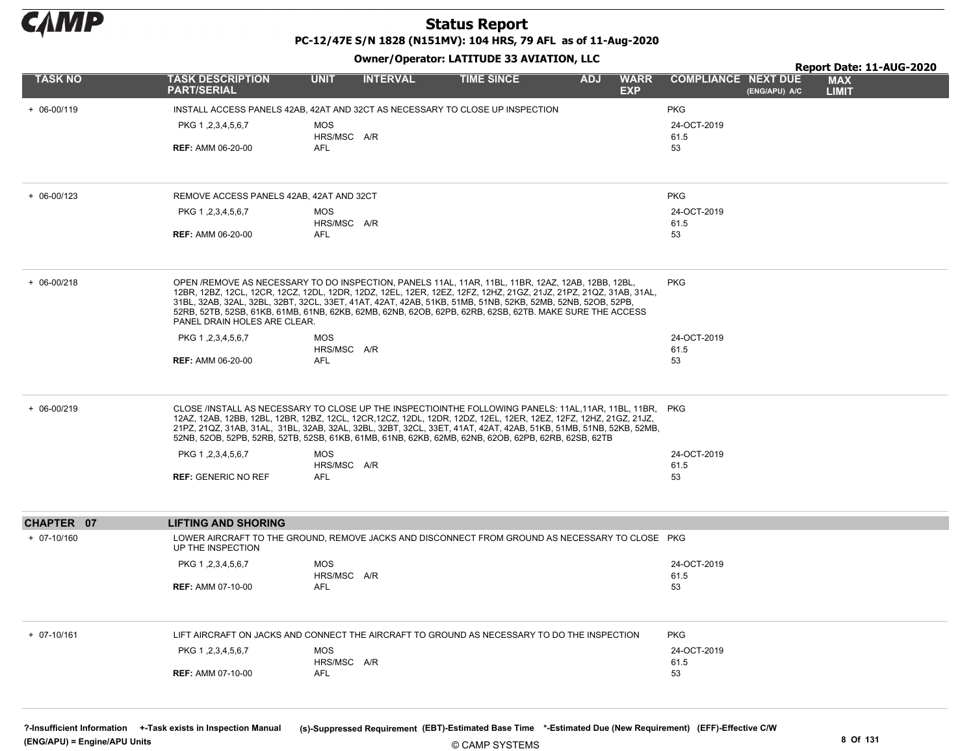

PC-12/47E S/N 1828 (N151MV): 104 HRS, 79 AFL as of 11-Aug-2020

| <b>Owner/Operator: LATITUDE 33 AVIATION, LLC</b> |                                               |                           |                 |                                                                                                                                                                                                                                                                                                                                                                                                                                                           |            |                           |                            |               |                            | Report Date: 11-AUG-2020 |
|--------------------------------------------------|-----------------------------------------------|---------------------------|-----------------|-----------------------------------------------------------------------------------------------------------------------------------------------------------------------------------------------------------------------------------------------------------------------------------------------------------------------------------------------------------------------------------------------------------------------------------------------------------|------------|---------------------------|----------------------------|---------------|----------------------------|--------------------------|
| <b>TASK NO</b>                                   | <b>TASK DESCRIPTION</b><br><b>PART/SERIAL</b> | <b>UNIT</b>               | <b>INTERVAL</b> | <b>TIME SINCE</b>                                                                                                                                                                                                                                                                                                                                                                                                                                         | <b>ADJ</b> | <b>WARR</b><br><b>EXP</b> | <b>COMPLIANCE NEXT DUE</b> | (ENG/APU) A/C | <b>MAX</b><br><b>LIMIT</b> |                          |
| $+ 06 - 00/119$                                  |                                               |                           |                 | INSTALL ACCESS PANELS 42AB, 42AT AND 32CT AS NECESSARY TO CLOSE UP INSPECTION                                                                                                                                                                                                                                                                                                                                                                             |            |                           | <b>PKG</b>                 |               |                            |                          |
|                                                  | PKG 1, 2, 3, 4, 5, 6, 7                       | <b>MOS</b>                |                 |                                                                                                                                                                                                                                                                                                                                                                                                                                                           |            |                           | 24-OCT-2019                |               |                            |                          |
|                                                  | <b>REF: AMM 06-20-00</b>                      | HRS/MSC A/R<br>AFL        |                 |                                                                                                                                                                                                                                                                                                                                                                                                                                                           |            |                           | 61.5<br>53                 |               |                            |                          |
| $+ 06 - 00/123$                                  | REMOVE ACCESS PANELS 42AB, 42AT AND 32CT      |                           |                 |                                                                                                                                                                                                                                                                                                                                                                                                                                                           |            |                           | <b>PKG</b>                 |               |                            |                          |
|                                                  | PKG 1, 2, 3, 4, 5, 6, 7                       | <b>MOS</b>                |                 |                                                                                                                                                                                                                                                                                                                                                                                                                                                           |            |                           | 24-OCT-2019                |               |                            |                          |
|                                                  | <b>REF: AMM 06-20-00</b>                      | HRS/MSC A/R<br>AFL        |                 |                                                                                                                                                                                                                                                                                                                                                                                                                                                           |            |                           | 61.5<br>53                 |               |                            |                          |
| $+ 06 - 00/218$                                  | PANEL DRAIN HOLES ARE CLEAR.                  |                           |                 | OPEN /REMOVE AS NECESSARY TO DO INSPECTION, PANELS 11AL, 11AR, 11BL, 11BR, 12AZ, 12AB, 12BB, 12BL,<br>12BR, 12BZ, 12CL, 12CR, 12CZ, 12DL, 12DR, 12DZ, 12EL, 12ER, 12EZ, 12FZ, 12HZ, 21GZ, 21JZ, 21PZ, 21QZ, 31AB, 31AL,<br>31BL, 32AB, 32AL, 32BL, 32BT, 32CL, 33ET, 41AT, 42AT, 42AB, 51KB, 51MB, 51NB, 52KB, 52MB, 52NB, 52OB, 52PB,<br>52RB, 52TB, 52SB, 61KB, 61MB, 61NB, 62KB, 62MB, 62NB, 62OB, 62PB, 62RB, 62SB, 62TB. MAKE SURE THE ACCESS        |            |                           | <b>PKG</b>                 |               |                            |                          |
|                                                  | PKG 1, 2, 3, 4, 5, 6, 7                       | <b>MOS</b>                |                 |                                                                                                                                                                                                                                                                                                                                                                                                                                                           |            |                           | 24-OCT-2019                |               |                            |                          |
|                                                  | <b>REF: AMM 06-20-00</b>                      | HRS/MSC A/R<br>AFL        |                 |                                                                                                                                                                                                                                                                                                                                                                                                                                                           |            |                           | 61.5<br>53                 |               |                            |                          |
| $+ 06 - 00/219$                                  |                                               |                           |                 | CLOSE /INSTALL AS NECESSARY TO CLOSE UP THE INSPECTIOINTHE FOLLOWING PANELS: 11AL.11AR. 11BL. 11BR. PKG<br>12AZ, 12AB, 12BB, 12BL, 12BR, 12BZ, 12CL, 12CR, 12CZ, 12DL, 12DR, 12DZ, 12EL, 12ER, 12EZ, 12FZ, 12HZ, 21GZ, 21JZ,<br>21PZ, 21QZ, 31AB, 31AL, 31BL, 32AB, 32AL, 32BL, 32BT, 32CL, 33ET, 41AT, 42AT, 42AB, 51KB, 51MB, 51NB, 52KB, 52MB,<br>52NB, 52OB, 52PB, 52RB, 52TB, 52SB, 61KB, 61MB, 61NB, 62KB, 62MB, 62NB, 62OB, 62PB, 62RB, 62SB, 62TB |            |                           |                            |               |                            |                          |
|                                                  | PKG 1, 2, 3, 4, 5, 6, 7                       | <b>MOS</b>                |                 |                                                                                                                                                                                                                                                                                                                                                                                                                                                           |            |                           | 24-OCT-2019                |               |                            |                          |
|                                                  | <b>REF: GENERIC NO REF</b>                    | HRS/MSC A/R<br>AFL        |                 |                                                                                                                                                                                                                                                                                                                                                                                                                                                           |            |                           | 61.5<br>53                 |               |                            |                          |
| CHAPTER 07                                       | <b>LIFTING AND SHORING</b>                    |                           |                 |                                                                                                                                                                                                                                                                                                                                                                                                                                                           |            |                           |                            |               |                            |                          |
| $+ 07-10/160$                                    | UP THE INSPECTION                             |                           |                 | LOWER AIRCRAFT TO THE GROUND, REMOVE JACKS AND DISCONNECT FROM GROUND AS NECESSARY TO CLOSE PKG                                                                                                                                                                                                                                                                                                                                                           |            |                           |                            |               |                            |                          |
|                                                  | PKG 1, 2, 3, 4, 5, 6, 7                       | <b>MOS</b>                |                 |                                                                                                                                                                                                                                                                                                                                                                                                                                                           |            |                           | 24-OCT-2019                |               |                            |                          |
|                                                  | <b>REF: AMM 07-10-00</b>                      | HRS/MSC A/R<br><b>AFL</b> |                 |                                                                                                                                                                                                                                                                                                                                                                                                                                                           |            |                           | 61.5<br>53                 |               |                            |                          |
| $+ 07 - 10/161$                                  |                                               |                           |                 | LIFT AIRCRAFT ON JACKS AND CONNECT THE AIRCRAFT TO GROUND AS NECESSARY TO DO THE INSPECTION                                                                                                                                                                                                                                                                                                                                                               |            |                           | <b>PKG</b>                 |               |                            |                          |
|                                                  | PKG 1, 2, 3, 4, 5, 6, 7                       | <b>MOS</b>                |                 |                                                                                                                                                                                                                                                                                                                                                                                                                                                           |            |                           | 24-OCT-2019                |               |                            |                          |
|                                                  | <b>REF: AMM 07-10-00</b>                      | HRS/MSC A/R<br><b>AFL</b> |                 |                                                                                                                                                                                                                                                                                                                                                                                                                                                           |            |                           | 61.5<br>53                 |               |                            |                          |
|                                                  |                                               |                           |                 |                                                                                                                                                                                                                                                                                                                                                                                                                                                           |            |                           |                            |               |                            |                          |

?-Insufficient Information +-Task exists in Inspection Manual (s)-Suppressed Requirement (EBT)-Estimated Base Time \*-Estimated Due (New Requirement) (EFF)-Effective C/W (ENG/APU) = Engine/APU Units 8 Of 131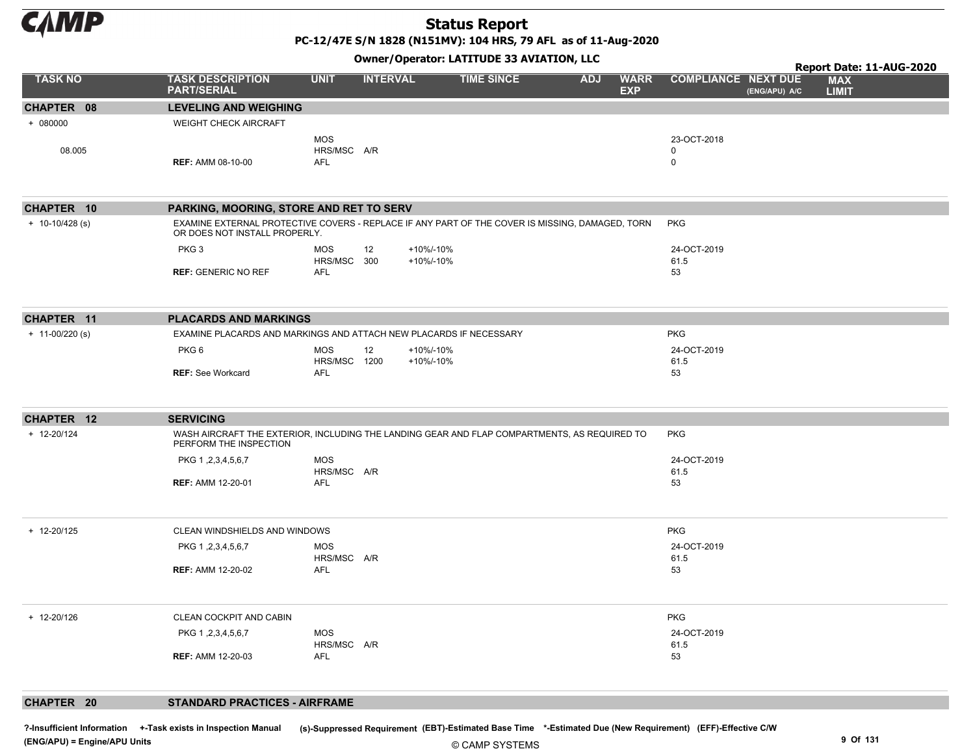

PC-12/47E S/N 1828 (N151MV): 104 HRS, 79 AFL as of 11-Aug-2020

Owner/Operator: LATITUDE 33 AVIATION, LLC

|                     |                                                                                                                                  |                           |                 | <u>shildi / speratori Exist sue du Atakissiv/ EEG</u> |            |                           |                            |               | Report Date: 11-AUG-2020   |  |
|---------------------|----------------------------------------------------------------------------------------------------------------------------------|---------------------------|-----------------|-------------------------------------------------------|------------|---------------------------|----------------------------|---------------|----------------------------|--|
| <b>TASK NO</b>      | <b>TASK DESCRIPTION</b><br><b>PART/SERIAL</b>                                                                                    | <b>UNIT</b>               | <b>INTERVAL</b> | <b>TIME SINCE</b>                                     | <b>ADJ</b> | <b>WARR</b><br><b>EXP</b> | <b>COMPLIANCE NEXT DUE</b> | (ENG/APU) A/C | <b>MAX</b><br><b>LIMIT</b> |  |
| CHAPTER 08          | <b>LEVELING AND WEIGHING</b>                                                                                                     |                           |                 |                                                       |            |                           |                            |               |                            |  |
| $+ 080000$          | <b>WEIGHT CHECK AIRCRAFT</b>                                                                                                     |                           |                 |                                                       |            |                           |                            |               |                            |  |
|                     |                                                                                                                                  | <b>MOS</b>                |                 |                                                       |            |                           | 23-OCT-2018                |               |                            |  |
| 08.005              |                                                                                                                                  | HRS/MSC A/R               |                 |                                                       |            |                           | $\mathbf 0$                |               |                            |  |
|                     | <b>REF: AMM 08-10-00</b>                                                                                                         | AFL                       |                 |                                                       |            |                           | $\mathbf 0$                |               |                            |  |
|                     |                                                                                                                                  |                           |                 |                                                       |            |                           |                            |               |                            |  |
| CHAPTER 10          | PARKING, MOORING, STORE AND RET TO SERV                                                                                          |                           |                 |                                                       |            |                           |                            |               |                            |  |
| $+ 10-10/428$ (s)   | EXAMINE EXTERNAL PROTECTIVE COVERS - REPLACE IF ANY PART OF THE COVER IS MISSING, DAMAGED, TORN<br>OR DOES NOT INSTALL PROPERLY. |                           |                 |                                                       |            |                           | <b>PKG</b>                 |               |                            |  |
|                     | PKG <sub>3</sub>                                                                                                                 | <b>MOS</b><br>HRS/MSC 300 | 12              | +10%/-10%<br>+10%/-10%                                |            |                           | 24-OCT-2019<br>61.5        |               |                            |  |
|                     | <b>REF: GENERIC NO REF</b>                                                                                                       | <b>AFL</b>                |                 |                                                       |            |                           | 53                         |               |                            |  |
|                     |                                                                                                                                  |                           |                 |                                                       |            |                           |                            |               |                            |  |
| CHAPTER 11          | <b>PLACARDS AND MARKINGS</b>                                                                                                     |                           |                 |                                                       |            |                           |                            |               |                            |  |
| $+ 11 - 00/220$ (s) | EXAMINE PLACARDS AND MARKINGS AND ATTACH NEW PLACARDS IF NECESSARY                                                               |                           |                 |                                                       |            |                           | <b>PKG</b>                 |               |                            |  |
|                     | PKG <sub>6</sub>                                                                                                                 | MOS                       |                 |                                                       |            |                           | 24-OCT-2019                |               |                            |  |
|                     |                                                                                                                                  | HRS/MSC 1200              | 12              | +10%/-10%<br>+10%/-10%                                |            |                           | 61.5                       |               |                            |  |
|                     | <b>REF: See Workcard</b>                                                                                                         | AFL                       |                 |                                                       |            |                           | 53                         |               |                            |  |
|                     |                                                                                                                                  |                           |                 |                                                       |            |                           |                            |               |                            |  |
| CHAPTER 12          | <b>SERVICING</b>                                                                                                                 |                           |                 |                                                       |            |                           |                            |               |                            |  |
| + 12-20/124         | WASH AIRCRAFT THE EXTERIOR, INCLUDING THE LANDING GEAR AND FLAP COMPARTMENTS, AS REQUIRED TO<br>PERFORM THE INSPECTION           |                           |                 |                                                       |            |                           | <b>PKG</b>                 |               |                            |  |
|                     | PKG 1, 2, 3, 4, 5, 6, 7                                                                                                          | <b>MOS</b>                |                 |                                                       |            |                           | 24-OCT-2019                |               |                            |  |
|                     |                                                                                                                                  | HRS/MSC A/R               |                 |                                                       |            |                           | 61.5                       |               |                            |  |
|                     | <b>REF: AMM 12-20-01</b>                                                                                                         | AFL                       |                 |                                                       |            |                           | 53                         |               |                            |  |
| + 12-20/125         | CLEAN WINDSHIELDS AND WINDOWS                                                                                                    |                           |                 |                                                       |            |                           | <b>PKG</b>                 |               |                            |  |
|                     | PKG 1, 2, 3, 4, 5, 6, 7                                                                                                          | MOS                       |                 |                                                       |            |                           | 24-OCT-2019                |               |                            |  |
|                     | <b>REF: AMM 12-20-02</b>                                                                                                         | HRS/MSC A/R<br>AFL        |                 |                                                       |            |                           | 61.5<br>53                 |               |                            |  |
|                     |                                                                                                                                  |                           |                 |                                                       |            |                           |                            |               |                            |  |
| + 12-20/126         | CLEAN COCKPIT AND CABIN                                                                                                          |                           |                 |                                                       |            |                           | PKG                        |               |                            |  |
|                     | PKG 1, 2, 3, 4, 5, 6, 7                                                                                                          | <b>MOS</b>                |                 |                                                       |            |                           | 24-OCT-2019                |               |                            |  |
|                     |                                                                                                                                  | HRS/MSC A/R               |                 |                                                       |            |                           | 61.5                       |               |                            |  |
|                     | <b>REF: AMM 12-20-03</b>                                                                                                         | AFL                       |                 |                                                       |            |                           | 53                         |               |                            |  |
|                     |                                                                                                                                  |                           |                 |                                                       |            |                           |                            |               |                            |  |
| CHAPTER 20          | <b>STANDARD PRACTICES - AIRFRAME</b>                                                                                             |                           |                 |                                                       |            |                           |                            |               |                            |  |

© CAMP SYSTEMS ?-Insufficient Information +-Task exists in Inspection Manual (s)-Suppressed Requirement (EBT)-Estimated Base Time \*-Estimated Due (New Requirement) (EFF)-Effective C/W (ENG/APU) = Engine/APU Units 9 Of 131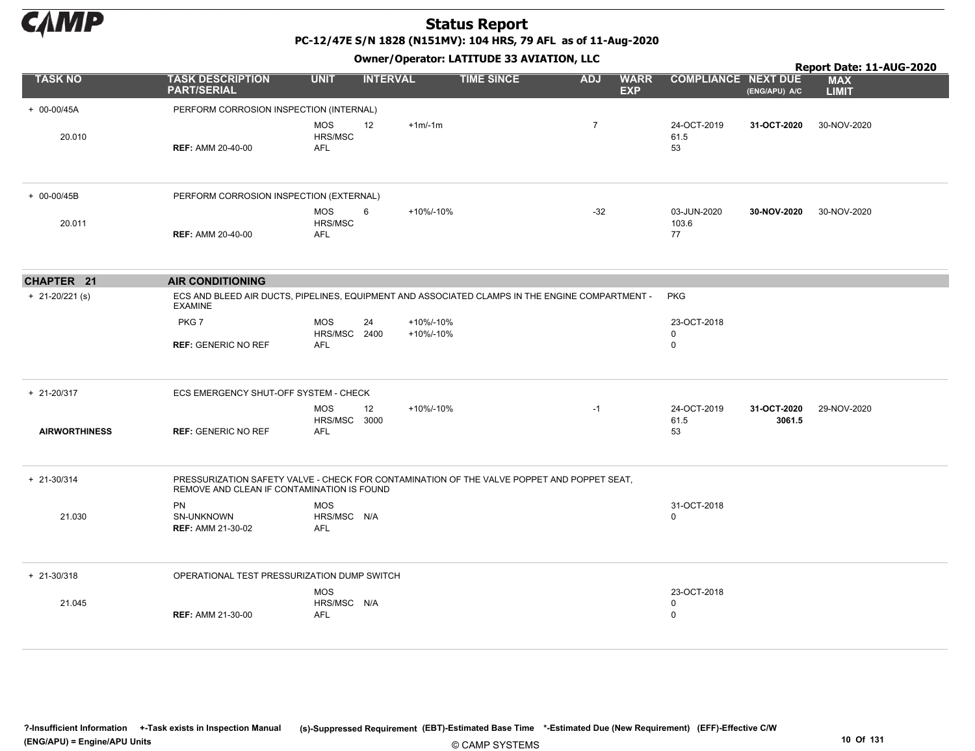

PC-12/47E S/N 1828 (N151MV): 104 HRS, 79 AFL as of 11-Aug-2020

|                      |                                                                                                                                          |                                         |                              |                   |                |                           |                                 |                       | Report Date: 11-AUG-2020   |
|----------------------|------------------------------------------------------------------------------------------------------------------------------------------|-----------------------------------------|------------------------------|-------------------|----------------|---------------------------|---------------------------------|-----------------------|----------------------------|
| <b>TASK NO</b>       | <b>TASK DESCRIPTION</b><br><b>PART/SERIAL</b>                                                                                            | <b>UNIT</b>                             | <b>INTERVAL</b>              | <b>TIME SINCE</b> | <b>ADJ</b>     | <b>WARR</b><br><b>EXP</b> | <b>COMPLIANCE NEXT DUE</b>      | (ENG/APU) A/C         | <b>MAX</b><br><b>LIMIT</b> |
| + 00-00/45A          | PERFORM CORROSION INSPECTION (INTERNAL)                                                                                                  |                                         |                              |                   |                |                           |                                 |                       |                            |
| 20.010               | <b>REF: AMM 20-40-00</b>                                                                                                                 | <b>MOS</b><br>HRS/MSC<br>AFL            | 12<br>$+1m/-1m$              |                   | $\overline{7}$ |                           | 24-OCT-2019<br>61.5<br>53       | 31-OCT-2020           | 30-NOV-2020                |
| + 00-00/45B          | PERFORM CORROSION INSPECTION (EXTERNAL)                                                                                                  |                                         |                              |                   |                |                           |                                 |                       |                            |
| 20.011               | <b>REF: AMM 20-40-00</b>                                                                                                                 | <b>MOS</b><br>HRS/MSC<br>AFL            | 6<br>+10%/-10%               |                   | $-32$          |                           | 03-JUN-2020<br>103.6<br>77      | 30-NOV-2020           | 30-NOV-2020                |
| CHAPTER 21           | <b>AIR CONDITIONING</b>                                                                                                                  |                                         |                              |                   |                |                           |                                 |                       |                            |
| $+ 21 - 20/221$ (s)  | ECS AND BLEED AIR DUCTS, PIPELINES, EQUIPMENT AND ASSOCIATED CLAMPS IN THE ENGINE COMPARTMENT -<br><b>EXAMINE</b>                        |                                         |                              |                   |                |                           | <b>PKG</b>                      |                       |                            |
|                      | PKG7                                                                                                                                     | <b>MOS</b><br>HRS/MSC 2400              | 24<br>+10%/-10%<br>+10%/-10% |                   |                |                           | 23-OCT-2018<br>$\mathbf 0$      |                       |                            |
|                      | <b>REF: GENERIC NO REF</b>                                                                                                               | <b>AFL</b>                              |                              |                   |                |                           | $\mathbf 0$                     |                       |                            |
| $+ 21 - 20/317$      | ECS EMERGENCY SHUT-OFF SYSTEM - CHECK                                                                                                    |                                         |                              |                   |                |                           |                                 |                       |                            |
| <b>AIRWORTHINESS</b> | <b>REF: GENERIC NO REF</b>                                                                                                               | <b>MOS</b><br>HRS/MSC 3000<br>AFL       | 12<br>+10%/-10%              |                   | $-1$           |                           | 24-OCT-2019<br>61.5<br>53       | 31-OCT-2020<br>3061.5 | 29-NOV-2020                |
| $+ 21 - 30/314$      | PRESSURIZATION SAFETY VALVE - CHECK FOR CONTAMINATION OF THE VALVE POPPET AND POPPET SEAT.<br>REMOVE AND CLEAN IF CONTAMINATION IS FOUND |                                         |                              |                   |                |                           |                                 |                       |                            |
| 21.030               | <b>PN</b><br>SN-UNKNOWN<br><b>REF: AMM 21-30-02</b>                                                                                      | <b>MOS</b><br>HRS/MSC N/A<br><b>AFL</b> |                              |                   |                |                           | 31-OCT-2018<br>$\Omega$         |                       |                            |
| $+ 21 - 30/318$      | OPERATIONAL TEST PRESSURIZATION DUMP SWITCH                                                                                              |                                         |                              |                   |                |                           |                                 |                       |                            |
| 21.045               | <b>REF: AMM 21-30-00</b>                                                                                                                 | <b>MOS</b><br>HRS/MSC N/A<br><b>AFL</b> |                              |                   |                |                           | 23-OCT-2018<br>0<br>$\mathbf 0$ |                       |                            |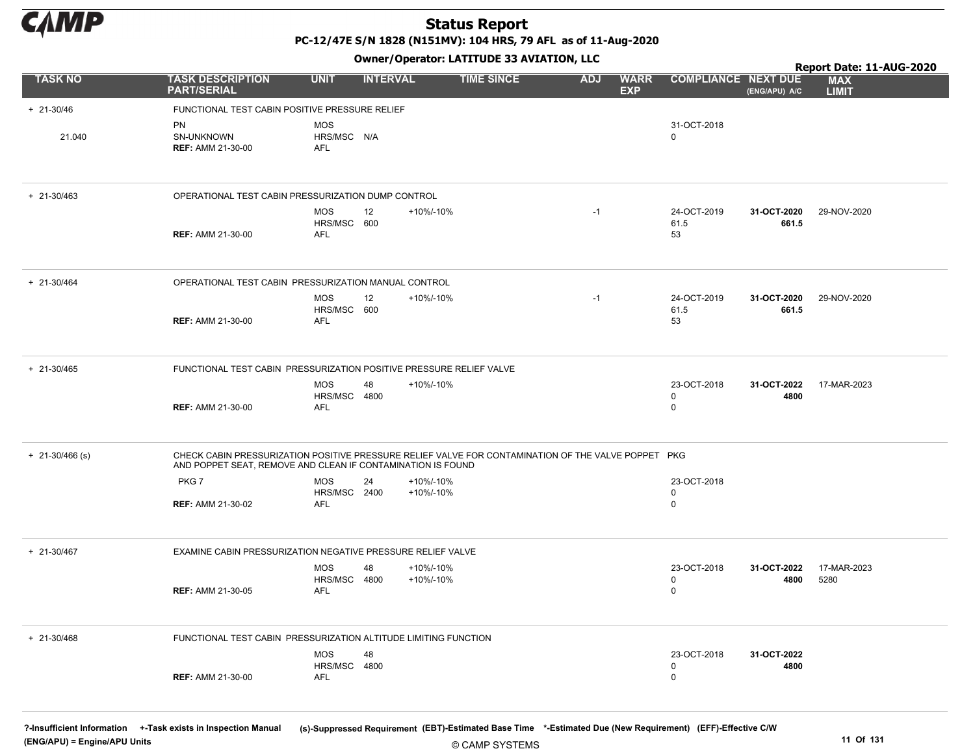

PC-12/47E S/N 1828 (N151MV): 104 HRS, 79 AFL as of 11-Aug-2020

Owner/Operator: LATITUDE 33 AVIATION, LLC

|                   | Owner/Operator: LATITUDE 33 AVIATION, LLC<br>Report Date: 11-AUG-2020 |                                  |                 |                                                                                                     |                                         |                            |                      |                            |
|-------------------|-----------------------------------------------------------------------|----------------------------------|-----------------|-----------------------------------------------------------------------------------------------------|-----------------------------------------|----------------------------|----------------------|----------------------------|
| <b>TASK NO</b>    | <b>TASK DESCRIPTION</b><br><b>PART/SERIAL</b>                         | <b>UNIT</b>                      | <b>INTERVAL</b> | <b>TIME SINCE</b>                                                                                   | <b>ADJ</b><br><b>WARR</b><br><b>EXP</b> | <b>COMPLIANCE NEXT DUE</b> | (ENG/APU) A/C        | <b>MAX</b><br><b>LIMIT</b> |
| $+ 21 - 30/46$    | FUNCTIONAL TEST CABIN POSITIVE PRESSURE RELIEF                        |                                  |                 |                                                                                                     |                                         |                            |                      |                            |
| 21.040            | <b>PN</b><br>SN-UNKNOWN<br><b>REF: AMM 21-30-00</b>                   | <b>MOS</b><br>HRS/MSC N/A<br>AFL |                 |                                                                                                     |                                         | 31-OCT-2018<br>$\mathbf 0$ |                      |                            |
| $+ 21 - 30/463$   | OPERATIONAL TEST CABIN PRESSURIZATION DUMP CONTROL                    |                                  |                 |                                                                                                     |                                         |                            |                      |                            |
|                   | <b>REF: AMM 21-30-00</b>                                              | <b>MOS</b><br>HRS/MSC 600<br>AFL | 12              | +10%/-10%                                                                                           | $-1$                                    | 24-OCT-2019<br>61.5<br>53  | 31-OCT-2020<br>661.5 | 29-NOV-2020                |
| $+ 21 - 30/464$   | OPERATIONAL TEST CABIN PRESSURIZATION MANUAL CONTROL                  |                                  |                 |                                                                                                     |                                         |                            |                      |                            |
|                   | <b>REF: AMM 21-30-00</b>                                              | <b>MOS</b><br>HRS/MSC 600<br>AFL | 12              | +10%/-10%                                                                                           | $-1$                                    | 24-OCT-2019<br>61.5<br>53  | 31-OCT-2020<br>661.5 | 29-NOV-2020                |
| + 21-30/465       | FUNCTIONAL TEST CABIN PRESSURIZATION POSITIVE PRESSURE RELIEF VALVE   |                                  |                 |                                                                                                     |                                         |                            |                      |                            |
|                   | <b>REF: AMM 21-30-00</b>                                              | <b>MOS</b><br>HRS/MSC<br>AFL     | 48<br>4800      | +10%/-10%                                                                                           |                                         | 23-OCT-2018<br>0<br>0      | 31-OCT-2022<br>4800  | 17-MAR-2023                |
| $+$ 21-30/466 (s) | AND POPPET SEAT, REMOVE AND CLEAN IF CONTAMINATION IS FOUND           |                                  |                 | CHECK CABIN PRESSURIZATION POSITIVE PRESSURE RELIEF VALVE FOR CONTAMINATION OF THE VALVE POPPET PKG |                                         |                            |                      |                            |
|                   | PKG7                                                                  | <b>MOS</b><br>HRS/MSC 2400       | 24              | +10%/-10%<br>+10%/-10%                                                                              |                                         | 23-OCT-2018<br>0           |                      |                            |
|                   | <b>REF: AMM 21-30-02</b>                                              | AFL                              |                 |                                                                                                     |                                         | 0                          |                      |                            |
| + 21-30/467       | EXAMINE CABIN PRESSURIZATION NEGATIVE PRESSURE RELIEF VALVE           |                                  |                 |                                                                                                     |                                         |                            |                      |                            |
|                   | <b>REF: AMM 21-30-05</b>                                              | MOS<br>HRS/MSC<br>AFL            | 48<br>4800      | +10%/-10%<br>+10%/-10%                                                                              |                                         | 23-OCT-2018<br>0<br>0      | 31-OCT-2022<br>4800  | 17-MAR-2023<br>5280        |
| $+ 21 - 30/468$   | FUNCTIONAL TEST CABIN PRESSURIZATION ALTITUDE LIMITING FUNCTION       |                                  |                 |                                                                                                     |                                         |                            |                      |                            |
|                   | <b>REF: AMM 21-30-00</b>                                              | MOS<br>HRS/MSC 4800<br>AFL       | 48              |                                                                                                     |                                         | 23-OCT-2018<br>0<br>0      | 31-OCT-2022<br>4800  |                            |

?-Insufficient Information +-Task exists in Inspection Manual (s)-Suppressed Requirement (EBT)-Estimated Base Time \*-Estimated Due (New Requirement) (EFF)-Effective C/W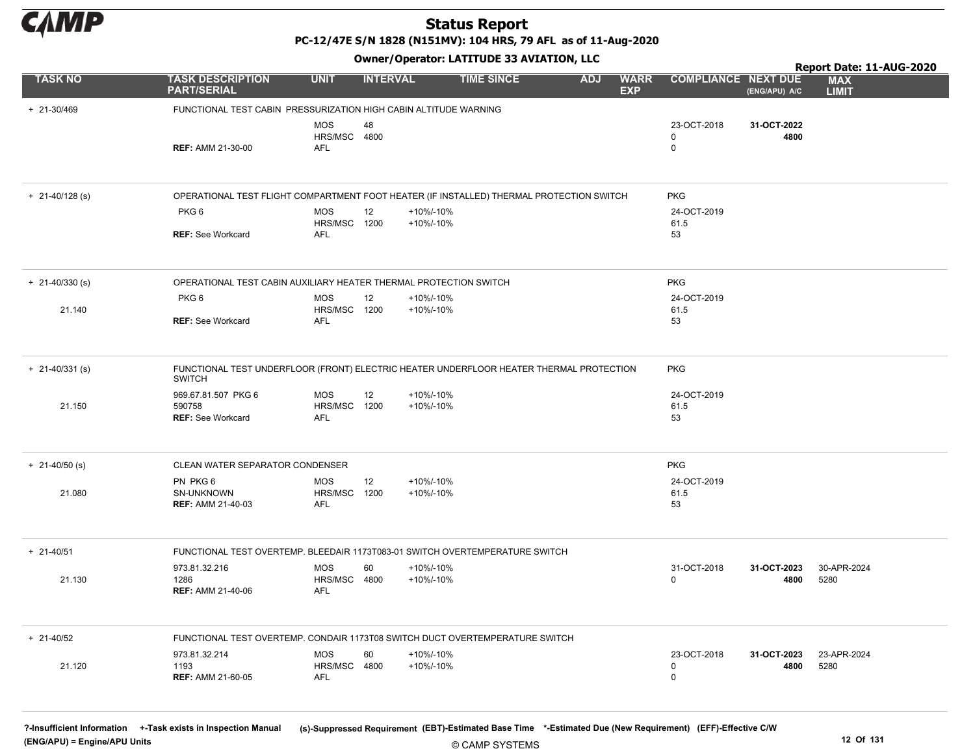

Owner/Operator: LATITUDE 33 AVIATION, LLC

|                     |        | Owner/Operator: LATITUDE 33 AVIATION, LLC                                                                |                                          |                 |                        |                   |            |                           |                                 |                     | Report Date: 11-AUG-2020   |  |  |
|---------------------|--------|----------------------------------------------------------------------------------------------------------|------------------------------------------|-----------------|------------------------|-------------------|------------|---------------------------|---------------------------------|---------------------|----------------------------|--|--|
| <b>TASK NO</b>      |        | <b>TASK DESCRIPTION</b><br><b>PART/SERIAL</b>                                                            | <b>UNIT</b>                              | <b>INTERVAL</b> |                        | <b>TIME SINCE</b> | <b>ADJ</b> | <b>WARR</b><br><b>EXP</b> | <b>COMPLIANCE NEXT DUE</b>      | (ENG/APU) A/C       | <b>MAX</b><br><b>LIMIT</b> |  |  |
| + 21-30/469         |        | FUNCTIONAL TEST CABIN PRESSURIZATION HIGH CABIN ALTITUDE WARNING                                         |                                          |                 |                        |                   |            |                           |                                 |                     |                            |  |  |
|                     |        | <b>REF: AMM 21-30-00</b>                                                                                 | <b>MOS</b><br>HRS/MSC 4800<br><b>AFL</b> | 48              |                        |                   |            |                           | 23-OCT-2018<br>0<br>$\mathsf 0$ | 31-OCT-2022<br>4800 |                            |  |  |
| $+ 21 - 40/128$ (s) |        | OPERATIONAL TEST FLIGHT COMPARTMENT FOOT HEATER (IF INSTALLED) THERMAL PROTECTION SWITCH                 |                                          |                 |                        |                   |            |                           | <b>PKG</b>                      |                     |                            |  |  |
|                     |        | PKG <sub>6</sub>                                                                                         | <b>MOS</b><br>HRS/MSC 1200               | 12              | +10%/-10%<br>+10%/-10% |                   |            |                           | 24-OCT-2019<br>61.5             |                     |                            |  |  |
|                     |        | <b>REF: See Workcard</b>                                                                                 | <b>AFL</b>                               |                 |                        |                   |            |                           | 53                              |                     |                            |  |  |
| $+ 21 - 40/330$ (s) |        | OPERATIONAL TEST CABIN AUXILIARY HEATER THERMAL PROTECTION SWITCH                                        |                                          |                 |                        |                   |            |                           | <b>PKG</b>                      |                     |                            |  |  |
| 21.140              |        | PKG <sub>6</sub>                                                                                         | <b>MOS</b><br>HRS/MSC 1200               | 12              | +10%/-10%<br>+10%/-10% |                   |            |                           | 24-OCT-2019<br>61.5             |                     |                            |  |  |
|                     |        | <b>REF: See Workcard</b>                                                                                 | <b>AFL</b>                               |                 |                        |                   |            |                           | 53                              |                     |                            |  |  |
| $+$ 21-40/331 (s)   |        | FUNCTIONAL TEST UNDERFLOOR (FRONT) ELECTRIC HEATER UNDERFLOOR HEATER THERMAL PROTECTION<br><b>SWITCH</b> |                                          |                 |                        |                   |            |                           | <b>PKG</b>                      |                     |                            |  |  |
| 21.150              | 590758 | 969.67.81.507 PKG 6<br><b>REF: See Workcard</b>                                                          | <b>MOS</b><br><b>HRS/MSC 1200</b><br>AFL | 12              | +10%/-10%<br>+10%/-10% |                   |            |                           | 24-OCT-2019<br>61.5<br>53       |                     |                            |  |  |
| $+ 21 - 40/50$ (s)  |        | CLEAN WATER SEPARATOR CONDENSER                                                                          |                                          |                 |                        |                   |            |                           | <b>PKG</b>                      |                     |                            |  |  |
| 21.080              |        | PN PKG 6<br>SN-UNKNOWN<br><b>REF: AMM 21-40-03</b>                                                       | MOS<br>HRS/MSC<br>AFL                    | 12<br>1200      | +10%/-10%<br>+10%/-10% |                   |            |                           | 24-OCT-2019<br>61.5<br>53       |                     |                            |  |  |
| $+ 21 - 40/51$      |        | FUNCTIONAL TEST OVERTEMP. BLEEDAIR 1173T083-01 SWITCH OVERTEMPERATURE SWITCH                             |                                          |                 |                        |                   |            |                           |                                 |                     |                            |  |  |
| 21.130              | 1286   | 973.81.32.216<br><b>REF: AMM 21-40-06</b>                                                                | <b>MOS</b><br>HRS/MSC<br>AFL             | 60<br>4800      | +10%/-10%<br>+10%/-10% |                   |            |                           | 31-OCT-2018<br>$\Omega$         | 31-OCT-2023<br>4800 | 30-APR-2024<br>5280        |  |  |
| $+ 21 - 40/52$      |        | FUNCTIONAL TEST OVERTEMP. CONDAIR 1173T08 SWITCH DUCT OVERTEMPERATURE SWITCH                             |                                          |                 |                        |                   |            |                           |                                 |                     |                            |  |  |
| 21.120              | 1193   | 973.81.32.214<br><b>REF: AMM 21-60-05</b>                                                                | MOS<br>HRS/MSC 4800<br><b>AFL</b>        | 60              | +10%/-10%<br>+10%/-10% |                   |            |                           | 23-OCT-2018<br>0<br>0           | 31-OCT-2023<br>4800 | 23-APR-2024<br>5280        |  |  |

?-Insufficient Information +-Task exists in Inspection Manual (s)-Suppressed Requirement (EBT)-Estimated Base Time \*-Estimated Due (New Requirement) (EFF)-Effective C/W (ENG/APU) = Engine/APU Units 12 Of 131 and the control of the control of the control of the control of the control of the control of the control of the control of the control of the control of the control of the control o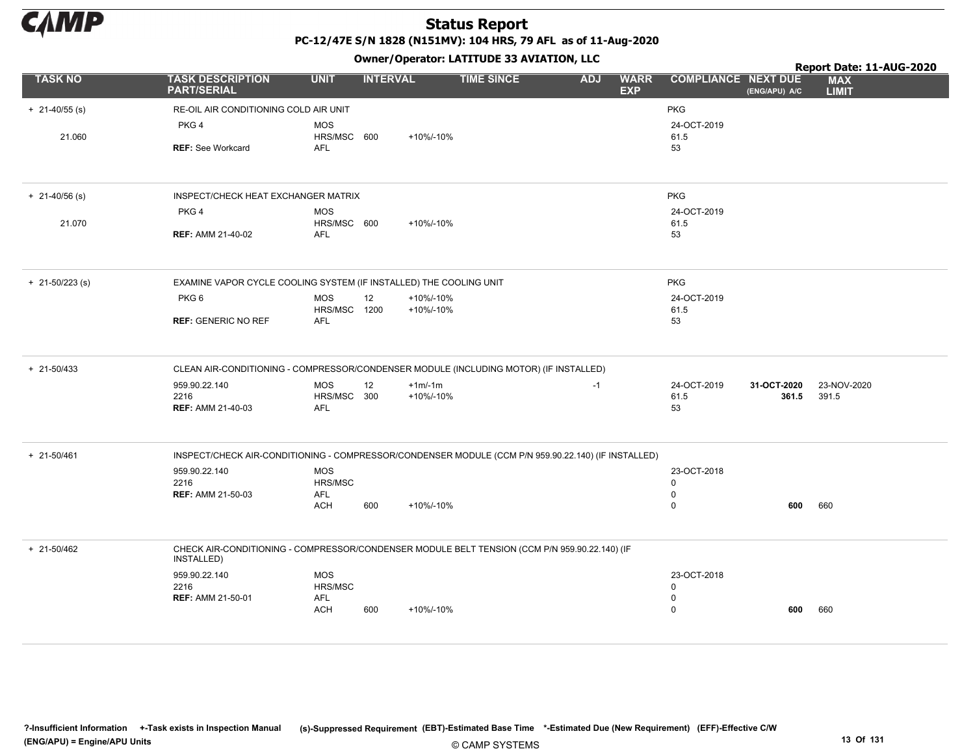

|                    |                                                                                                             |                            |                 |                        |                   |            |                           |                                 |               | Report Date: 11-AUG-2020   |  |  |
|--------------------|-------------------------------------------------------------------------------------------------------------|----------------------------|-----------------|------------------------|-------------------|------------|---------------------------|---------------------------------|---------------|----------------------------|--|--|
| <b>TASK NO</b>     | <b>TASK DESCRIPTION</b><br><b>PART/SERIAL</b>                                                               | <b>UNIT</b>                | <b>INTERVAL</b> |                        | <b>TIME SINCE</b> | <b>ADJ</b> | <b>WARR</b><br><b>EXP</b> | <b>COMPLIANCE NEXT DUE</b>      | (ENG/APU) A/C | <b>MAX</b><br><b>LIMIT</b> |  |  |
| $+ 21 - 40/55$ (s) | RE-OIL AIR CONDITIONING COLD AIR UNIT                                                                       |                            |                 |                        |                   |            |                           | <b>PKG</b>                      |               |                            |  |  |
|                    | PKG 4                                                                                                       | <b>MOS</b>                 |                 |                        |                   |            |                           | 24-OCT-2019                     |               |                            |  |  |
| 21.060             |                                                                                                             | HRS/MSC 600                |                 | +10%/-10%              |                   |            |                           | 61.5                            |               |                            |  |  |
|                    | <b>REF: See Workcard</b>                                                                                    | <b>AFL</b>                 |                 |                        |                   |            |                           | 53                              |               |                            |  |  |
| $+$ 21-40/56 (s)   | INSPECT/CHECK HEAT EXCHANGER MATRIX                                                                         |                            |                 |                        |                   |            |                           | <b>PKG</b>                      |               |                            |  |  |
|                    | PKG 4                                                                                                       | <b>MOS</b>                 |                 |                        |                   |            |                           | 24-OCT-2019                     |               |                            |  |  |
| 21.070             |                                                                                                             | HRS/MSC 600                |                 | +10%/-10%              |                   |            |                           | 61.5                            |               |                            |  |  |
|                    | <b>REF: AMM 21-40-02</b>                                                                                    | <b>AFL</b>                 |                 |                        |                   |            |                           | 53                              |               |                            |  |  |
| $+$ 21-50/223 (s)  | EXAMINE VAPOR CYCLE COOLING SYSTEM (IF INSTALLED) THE COOLING UNIT                                          |                            |                 |                        |                   |            |                           | <b>PKG</b>                      |               |                            |  |  |
|                    | PKG6                                                                                                        | <b>MOS</b><br>HRS/MSC 1200 | 12              | +10%/-10%<br>+10%/-10% |                   |            |                           | 24-OCT-2019<br>61.5             |               |                            |  |  |
|                    | <b>REF: GENERIC NO REF</b>                                                                                  | AFL                        |                 |                        |                   |            |                           | 53                              |               |                            |  |  |
| $+ 21 - 50/433$    | CLEAN AIR-CONDITIONING - COMPRESSOR/CONDENSER MODULE (INCLUDING MOTOR) (IF INSTALLED)                       |                            |                 |                        |                   |            |                           |                                 |               |                            |  |  |
|                    | 959.90.22.140                                                                                               | <b>MOS</b>                 | 12              | $+1m/1m$               |                   | $-1$       |                           | 24-OCT-2019                     | 31-OCT-2020   | 23-NOV-2020                |  |  |
|                    | 2216                                                                                                        | HRS/MSC 300                |                 | +10%/-10%              |                   |            |                           | 61.5                            | 361.5         | 391.5                      |  |  |
|                    | <b>REF: AMM 21-40-03</b>                                                                                    | <b>AFL</b>                 |                 |                        |                   |            |                           | 53                              |               |                            |  |  |
| + 21-50/461        | INSPECT/CHECK AIR-CONDITIONING - COMPRESSOR/CONDENSER MODULE (CCM P/N 959.90.22.140) (IF INSTALLED)         |                            |                 |                        |                   |            |                           |                                 |               |                            |  |  |
|                    | 959.90.22.140                                                                                               | <b>MOS</b>                 |                 |                        |                   |            |                           | 23-OCT-2018                     |               |                            |  |  |
|                    | 2216                                                                                                        | HRS/MSC                    |                 |                        |                   |            |                           | $\mathbf 0$                     |               |                            |  |  |
|                    | <b>REF: AMM 21-50-03</b>                                                                                    | <b>AFL</b><br><b>ACH</b>   | 600             | +10%/-10%              |                   |            |                           | $\mathbf 0$<br>$\mathbf 0$      | 600           | 660                        |  |  |
|                    |                                                                                                             |                            |                 |                        |                   |            |                           |                                 |               |                            |  |  |
| + 21-50/462        | CHECK AIR-CONDITIONING - COMPRESSOR/CONDENSER MODULE BELT TENSION (CCM P/N 959.90.22.140) (IF<br>INSTALLED) |                            |                 |                        |                   |            |                           |                                 |               |                            |  |  |
|                    | 959.90.22.140                                                                                               | <b>MOS</b>                 |                 |                        |                   |            |                           | 23-OCT-2018                     |               |                            |  |  |
|                    | 2216                                                                                                        | HRS/MSC                    |                 |                        |                   |            |                           | $\mathbf 0$                     |               |                            |  |  |
|                    | <b>REF: AMM 21-50-01</b>                                                                                    | <b>AFL</b><br><b>ACH</b>   | 600             | +10%/-10%              |                   |            |                           | $\boldsymbol{0}$<br>$\mathbf 0$ | 600           | 660                        |  |  |
|                    |                                                                                                             |                            |                 |                        |                   |            |                           |                                 |               |                            |  |  |
|                    |                                                                                                             |                            |                 |                        |                   |            |                           |                                 |               |                            |  |  |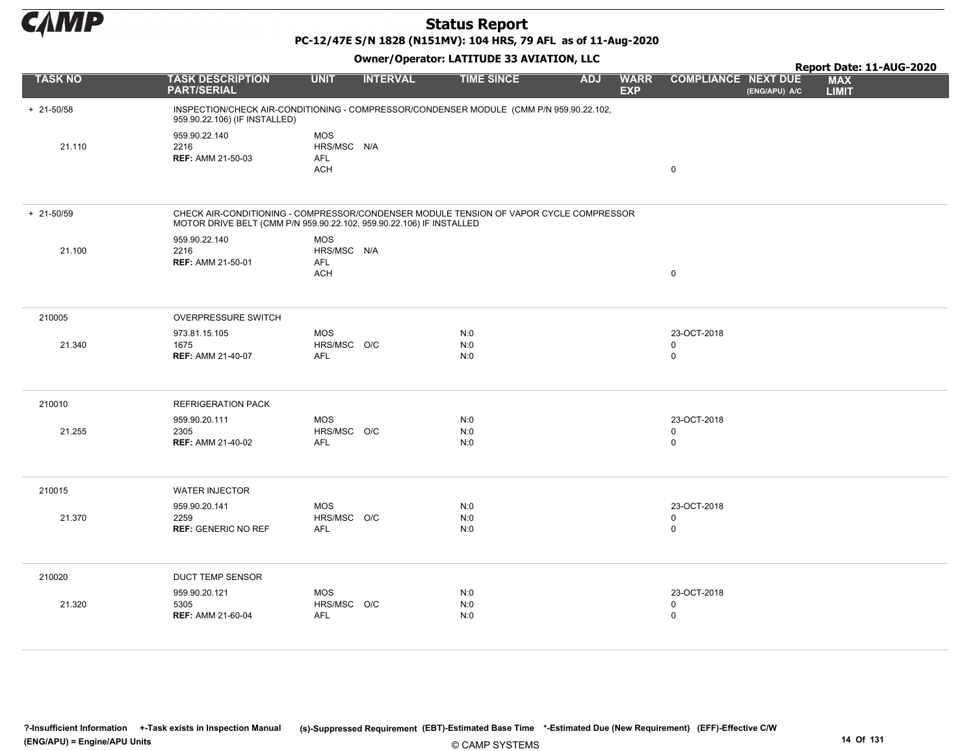

PC-12/47E S/N 1828 (N151MV): 104 HRS, 79 AFL as of 11-Aug-2020

| <b>TASK NO</b> | <b>TASK DESCRIPTION</b>                                                                                                                                        | <b>UNIT</b>                                           | <b>INTERVAL</b> | <b>TIME SINCE</b> | <b>ADJ</b> | <b>WARR</b> | <b>COMPLIANCE NEXT DUE</b>                |               |                            |  |
|----------------|----------------------------------------------------------------------------------------------------------------------------------------------------------------|-------------------------------------------------------|-----------------|-------------------|------------|-------------|-------------------------------------------|---------------|----------------------------|--|
|                | <b>PART/SERIAL</b>                                                                                                                                             |                                                       |                 |                   |            | <b>EXP</b>  |                                           | (ENG/APU) A/C | <b>MAX</b><br><b>LIMIT</b> |  |
| $+ 21 - 50/58$ | INSPECTION/CHECK AIR-CONDITIONING - COMPRESSOR/CONDENSER MODULE (CMM P/N 959.90.22.102,<br>959.90.22.106) (IF INSTALLED)                                       |                                                       |                 |                   |            |             |                                           |               |                            |  |
| 21.110         | 959.90.22.140<br>2216<br><b>REF: AMM 21-50-03</b>                                                                                                              | <b>MOS</b><br>HRS/MSC N/A<br><b>AFL</b><br><b>ACH</b> |                 |                   |            |             | $\mathsf 0$                               |               |                            |  |
| $+ 21 - 50/59$ | CHECK AIR-CONDITIONING - COMPRESSOR/CONDENSER MODULE TENSION OF VAPOR CYCLE COMPRESSOR<br>MOTOR DRIVE BELT (CMM P/N 959.90.22.102, 959.90.22.106) IF INSTALLED |                                                       |                 |                   |            |             |                                           |               |                            |  |
| 21.100         | 959.90.22.140<br>2216<br><b>REF: AMM 21-50-01</b>                                                                                                              | <b>MOS</b><br>HRS/MSC N/A<br><b>AFL</b><br><b>ACH</b> |                 |                   |            |             | $\mathsf 0$                               |               |                            |  |
| 210005         | <b>OVERPRESSURE SWITCH</b>                                                                                                                                     |                                                       |                 |                   |            |             |                                           |               |                            |  |
| 21.340         | 973.81.15.105<br>1675<br><b>REF: AMM 21-40-07</b>                                                                                                              | <b>MOS</b><br>HRS/MSC O/C<br>AFL                      |                 | N:0<br>N:0<br>N:0 |            |             | 23-OCT-2018<br>$\mathbf 0$<br>$\mathsf 0$ |               |                            |  |
| 210010         | <b>REFRIGERATION PACK</b>                                                                                                                                      |                                                       |                 |                   |            |             |                                           |               |                            |  |
| 21.255         | 959.90.20.111<br>2305<br><b>REF: AMM 21-40-02</b>                                                                                                              | <b>MOS</b><br>HRS/MSC O/C<br><b>AFL</b>               |                 | N:0<br>N:0<br>N:0 |            |             | 23-OCT-2018<br>$\mathbf 0$<br>$\mathbf 0$ |               |                            |  |
| 210015         | <b>WATER INJECTOR</b>                                                                                                                                          |                                                       |                 |                   |            |             |                                           |               |                            |  |
| 21.370         | 959.90.20.141<br>2259<br><b>REF: GENERIC NO REF</b>                                                                                                            | <b>MOS</b><br>HRS/MSC O/C<br>AFL                      |                 | N:0<br>N:0<br>N:0 |            |             | 23-OCT-2018<br>0<br>$\mathbf 0$           |               |                            |  |
| 210020         | DUCT TEMP SENSOR                                                                                                                                               |                                                       |                 |                   |            |             |                                           |               |                            |  |
| 21.320         | 959.90.20.121<br>5305<br><b>REF: AMM 21-60-04</b>                                                                                                              | <b>MOS</b><br>HRS/MSC O/C<br>AFL                      |                 | N:0<br>N:0<br>N:0 |            |             | 23-OCT-2018<br>0<br>$\mathsf 0$           |               |                            |  |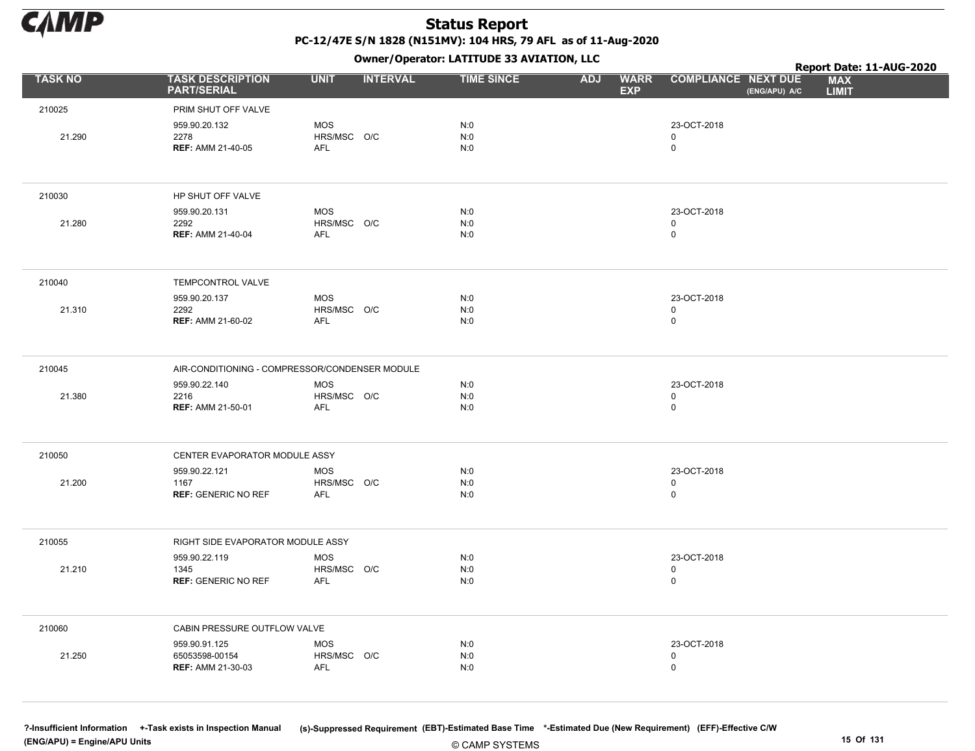

Owner/Operator: LATITUDE 33 AVIATION, LLC

|                |                                                             | Owner / Operator. LATTTODE 33 AVIATION, LLC    | Report Date: 11-AUG-2020 |                                         |                                             |                            |
|----------------|-------------------------------------------------------------|------------------------------------------------|--------------------------|-----------------------------------------|---------------------------------------------|----------------------------|
| <b>TASK NO</b> | <b>TASK DESCRIPTION</b><br><b>PART/SERIAL</b>               | <b>UNIT</b><br><b>INTERVAL</b>                 | <b>TIME SINCE</b>        | <b>WARR</b><br><b>ADJ</b><br><b>EXP</b> | <b>COMPLIANCE NEXT DUE</b><br>(ENG/APU) A/C | <b>MAX</b><br><b>LIMIT</b> |
| 210025         | PRIM SHUT OFF VALVE                                         |                                                |                          |                                         |                                             |                            |
| 21.290         | 959.90.20.132<br>2278<br><b>REF: AMM 21-40-05</b>           | <b>MOS</b><br>HRS/MSC O/C<br><b>AFL</b>        | N:0<br>N:0<br>N:0        |                                         | 23-OCT-2018<br>$\mathsf{O}$<br>$\mathsf{O}$ |                            |
| 210030         | HP SHUT OFF VALVE                                           |                                                |                          |                                         |                                             |                            |
| 21.280         | 959.90.20.131<br>2292<br><b>REF: AMM 21-40-04</b>           | <b>MOS</b><br>HRS/MSC O/C<br>AFL               | N:0<br>N:0<br>N:0        |                                         | 23-OCT-2018<br>0<br>$\mathsf{O}$            |                            |
| 210040         | TEMPCONTROL VALVE                                           |                                                |                          |                                         |                                             |                            |
| 21.310         | 959.90.20.137<br>2292<br><b>REF: AMM 21-60-02</b>           | <b>MOS</b><br>HRS/MSC O/C<br><b>AFL</b>        | N:0<br>N:0<br>N:0        |                                         | 23-OCT-2018<br>$\mathsf{O}$<br>0            |                            |
| 210045         |                                                             | AIR-CONDITIONING - COMPRESSOR/CONDENSER MODULE |                          |                                         |                                             |                            |
| 21.380         | 959.90.22.140<br>2216<br><b>REF: AMM 21-50-01</b>           | <b>MOS</b><br>HRS/MSC O/C<br><b>AFL</b>        | N:0<br>N:0<br>N:0        |                                         | 23-OCT-2018<br>0<br>$\mathsf{O}$            |                            |
| 210050         | CENTER EVAPORATOR MODULE ASSY                               |                                                |                          |                                         |                                             |                            |
| 21.200         | 959.90.22.121<br>1167<br><b>REF: GENERIC NO REF</b>         | <b>MOS</b><br>HRS/MSC O/C<br><b>AFL</b>        | N:0<br>N:0<br>N:0        |                                         | 23-OCT-2018<br>0<br>0                       |                            |
| 210055         | RIGHT SIDE EVAPORATOR MODULE ASSY                           |                                                |                          |                                         |                                             |                            |
| 21.210         | 959.90.22.119<br>1345<br><b>REF: GENERIC NO REF</b>         | <b>MOS</b><br>HRS/MSC O/C<br><b>AFL</b>        | N:0<br>N:0<br>N:0        |                                         | 23-OCT-2018<br>0<br>0                       |                            |
| 210060         | CABIN PRESSURE OUTFLOW VALVE                                |                                                |                          |                                         |                                             |                            |
| 21.250         | 959.90.91.125<br>65053598-00154<br><b>REF: AMM 21-30-03</b> | <b>MOS</b><br>HRS/MSC O/C<br>AFL               | N:0<br>N:0<br>N:0        |                                         | 23-OCT-2018<br>0<br>$\mathsf 0$             |                            |

© CAMP SYSTEMS ?-Insufficient Information +-Task exists in Inspection Manual (s)-Suppressed Requirement (EBT)-Estimated Base Time \*-Estimated Due (New Requirement) (EFF)-Effective C/W (ENG/APU) = Engine/APU Units 15 Of 131 and the control of the control of the control of the control of the control of the control of the control of the control of the control of the control of the control of the control o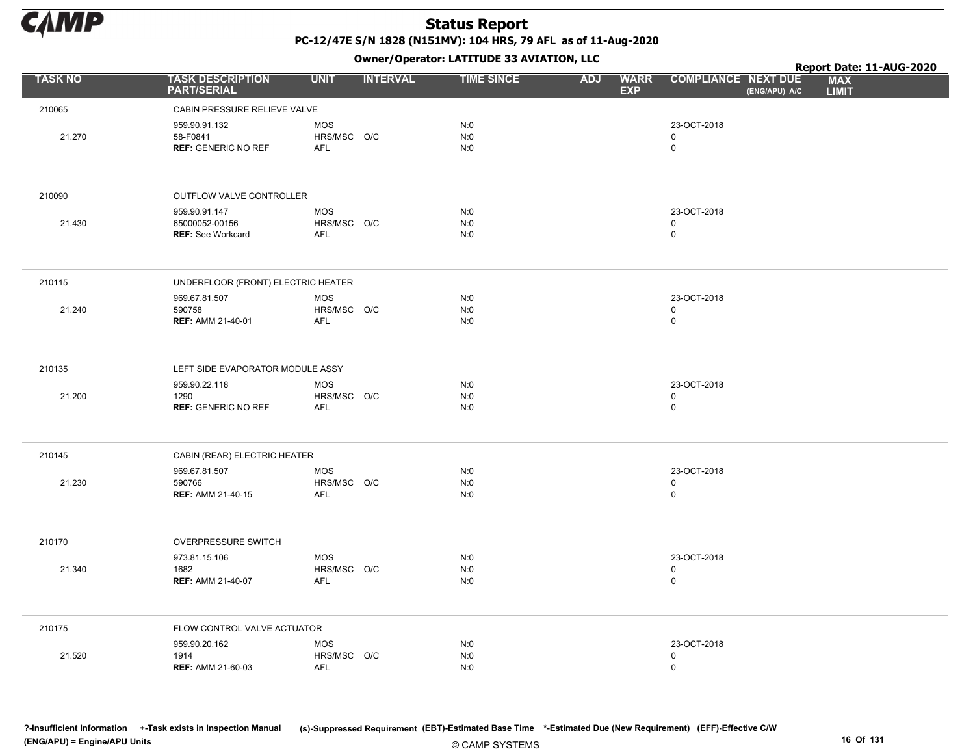

|                |                                                             |                                         | - - -           |                   |                                         |                                             | Report Date: 11-AUG-2020   |
|----------------|-------------------------------------------------------------|-----------------------------------------|-----------------|-------------------|-----------------------------------------|---------------------------------------------|----------------------------|
| <b>TASK NO</b> | <b>TASK DESCRIPTION</b><br><b>PART/SERIAL</b>               | <b>UNIT</b>                             | <b>INTERVAL</b> | <b>TIME SINCE</b> | <b>WARR</b><br><b>ADJ</b><br><b>EXP</b> | <b>COMPLIANCE NEXT DUE</b><br>(ENG/APU) A/C | <b>MAX</b><br><b>LIMIT</b> |
| 210065         | CABIN PRESSURE RELIEVE VALVE                                |                                         |                 |                   |                                         |                                             |                            |
| 21.270         | 959.90.91.132<br>58-F0841<br><b>REF: GENERIC NO REF</b>     | <b>MOS</b><br>HRS/MSC O/C<br>AFL        |                 | N:0<br>N:0<br>N:0 |                                         | 23-OCT-2018<br>$\mathbf 0$<br>$\pmb{0}$     |                            |
| 210090         | OUTFLOW VALVE CONTROLLER                                    |                                         |                 |                   |                                         |                                             |                            |
| 21.430         | 959.90.91.147<br>65000052-00156<br><b>REF: See Workcard</b> | <b>MOS</b><br>HRS/MSC O/C<br>AFL        |                 | N:0<br>N:0<br>N:0 |                                         | 23-OCT-2018<br>$\mathsf 0$<br>$\pmb{0}$     |                            |
| 210115         | UNDERFLOOR (FRONT) ELECTRIC HEATER                          |                                         |                 |                   |                                         |                                             |                            |
| 21.240         | 969.67.81.507<br>590758<br><b>REF: AMM 21-40-01</b>         | MOS<br>HRS/MSC O/C<br>AFL               |                 | N:0<br>N:0<br>N:0 |                                         | 23-OCT-2018<br>$\mathbf 0$<br>$\mathbf 0$   |                            |
| 210135         | LEFT SIDE EVAPORATOR MODULE ASSY                            |                                         |                 |                   |                                         |                                             |                            |
| 21.200         | 959.90.22.118<br>1290<br><b>REF: GENERIC NO REF</b>         | <b>MOS</b><br>HRS/MSC O/C<br><b>AFL</b> |                 | N:0<br>N:0<br>N:0 |                                         | 23-OCT-2018<br>$\mathbf 0$<br>$\mathbf 0$   |                            |
| 210145         | CABIN (REAR) ELECTRIC HEATER                                |                                         |                 |                   |                                         |                                             |                            |
| 21.230         | 969.67.81.507<br>590766<br><b>REF: AMM 21-40-15</b>         | <b>MOS</b><br>HRS/MSC O/C<br><b>AFL</b> |                 | N:0<br>N:0<br>N:0 |                                         | 23-OCT-2018<br>$\mathbf 0$<br>$\mathbf 0$   |                            |
| 210170         | OVERPRESSURE SWITCH                                         |                                         |                 |                   |                                         |                                             |                            |
| 21.340         | 973.81.15.106<br>1682<br><b>REF: AMM 21-40-07</b>           | <b>MOS</b><br>HRS/MSC O/C<br><b>AFL</b> |                 | N:0<br>N:0<br>N:0 |                                         | 23-OCT-2018<br>$\mathbf 0$<br>$\mathbf 0$   |                            |
| 210175         | FLOW CONTROL VALVE ACTUATOR                                 |                                         |                 |                   |                                         |                                             |                            |
| 21.520         | 959.90.20.162<br>1914<br><b>REF: AMM 21-60-03</b>           | <b>MOS</b><br>HRS/MSC O/C<br>AFL        |                 | N:0<br>N:0<br>N:0 |                                         | 23-OCT-2018<br>$\mathbf 0$<br>$\mathsf 0$   |                            |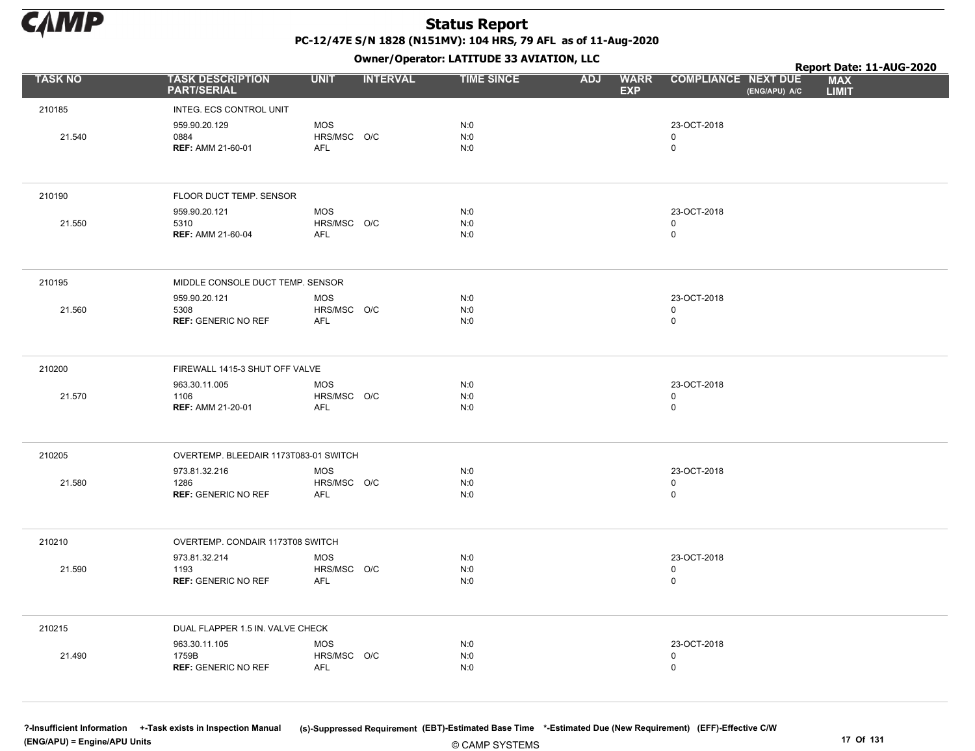

|                |                                                      | Owner / Operator. LATTTODE 33 AVIATION, LLC | Report Date: 11-AUG-2020             |                                         |                                            |               |                            |  |
|----------------|------------------------------------------------------|---------------------------------------------|--------------------------------------|-----------------------------------------|--------------------------------------------|---------------|----------------------------|--|
| <b>TASK NO</b> | <b>TASK DESCRIPTION</b><br><b>PART/SERIAL</b>        | <b>UNIT</b>                                 | <b>INTERVAL</b><br><b>TIME SINCE</b> | <b>ADJ</b><br><b>WARR</b><br><b>EXP</b> | <b>COMPLIANCE NEXT DUE</b>                 | (ENG/APU) A/C | <b>MAX</b><br><b>LIMIT</b> |  |
| 210185         | INTEG. ECS CONTROL UNIT                              |                                             |                                      |                                         |                                            |               |                            |  |
| 21.540         | 959.90.20.129<br>0884<br><b>REF: AMM 21-60-01</b>    | <b>MOS</b><br>HRS/MSC O/C<br><b>AFL</b>     | N:0<br>N:0<br>N:0                    |                                         | 23-OCT-2018<br>$\mathsf{O}$<br>$\mathsf 0$ |               |                            |  |
| 210190         | FLOOR DUCT TEMP. SENSOR                              |                                             |                                      |                                         |                                            |               |                            |  |
| 21.550         | 959.90.20.121<br>5310<br><b>REF: AMM 21-60-04</b>    | <b>MOS</b><br>HRS/MSC O/C<br><b>AFL</b>     | N:0<br>N:0<br>N:0                    |                                         | 23-OCT-2018<br>$\mathsf 0$<br>$\mathsf 0$  |               |                            |  |
| 210195         | MIDDLE CONSOLE DUCT TEMP. SENSOR                     |                                             |                                      |                                         |                                            |               |                            |  |
| 21.560         | 959.90.20.121<br>5308<br><b>REF: GENERIC NO REF</b>  | <b>MOS</b><br>HRS/MSC O/C<br><b>AFL</b>     | N:0<br>N:0<br>N:0                    |                                         | 23-OCT-2018<br>$\mathsf 0$<br>$\mathbf 0$  |               |                            |  |
| 210200         | FIREWALL 1415-3 SHUT OFF VALVE                       |                                             |                                      |                                         |                                            |               |                            |  |
| 21.570         | 963.30.11.005<br>1106<br><b>REF: AMM 21-20-01</b>    | <b>MOS</b><br>HRS/MSC O/C<br><b>AFL</b>     | N:0<br>N:0<br>N:0                    |                                         | 23-OCT-2018<br>$\mathbf 0$<br>$\mathbf 0$  |               |                            |  |
| 210205         | OVERTEMP. BLEEDAIR 1173T083-01 SWITCH                |                                             |                                      |                                         |                                            |               |                            |  |
| 21.580         | 973.81.32.216<br>1286<br><b>REF: GENERIC NO REF</b>  | <b>MOS</b><br>HRS/MSC O/C<br><b>AFL</b>     | N:0<br>N:0<br>N:0                    |                                         | 23-OCT-2018<br>$\mathbf 0$<br>$\mathsf 0$  |               |                            |  |
| 210210         | OVERTEMP. CONDAIR 1173T08 SWITCH                     |                                             |                                      |                                         |                                            |               |                            |  |
| 21.590         | 973.81.32.214<br>1193<br><b>REF: GENERIC NO REF</b>  | <b>MOS</b><br>HRS/MSC O/C<br>AFL            | N:0<br>N:0<br>N:0                    |                                         | 23-OCT-2018<br>0<br>$\mathsf 0$            |               |                            |  |
| 210215         | DUAL FLAPPER 1.5 IN. VALVE CHECK                     |                                             |                                      |                                         |                                            |               |                            |  |
| 21.490         | 963.30.11.105<br>1759B<br><b>REF: GENERIC NO REF</b> | <b>MOS</b><br>HRS/MSC O/C<br><b>AFL</b>     | N:0<br>N:0<br>N:0                    |                                         | 23-OCT-2018<br>0<br>$\mathbf 0$            |               |                            |  |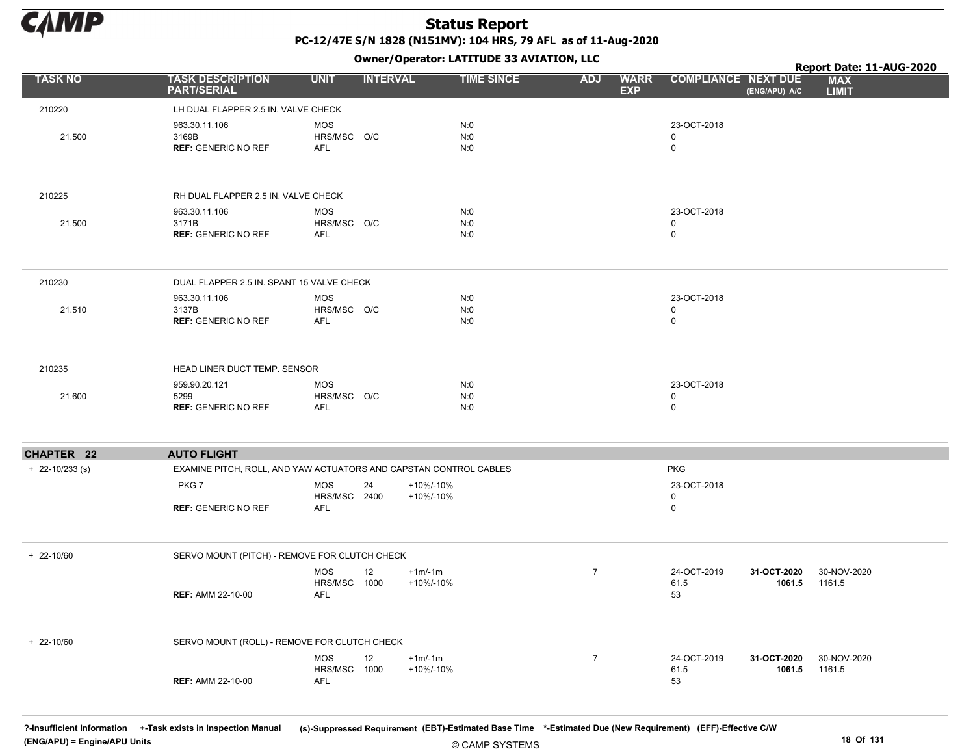

Owner/Operator: LATITUDE 33 AVIATION, LLC

|                   |                                                                   | Owner, Operator. EATITODE 33 AVIATION, LLC | Report Date: 11-AUG-2020            |                   |                |                           |                            |                       |                            |
|-------------------|-------------------------------------------------------------------|--------------------------------------------|-------------------------------------|-------------------|----------------|---------------------------|----------------------------|-----------------------|----------------------------|
| <b>TASK NO</b>    | <b>TASK DESCRIPTION</b><br><b>PART/SERIAL</b>                     | <b>UNIT</b>                                | <b>INTERVAL</b>                     | <b>TIME SINCE</b> | <b>ADJ</b>     | <b>WARR</b><br><b>EXP</b> | <b>COMPLIANCE NEXT DUE</b> | (ENG/APU) A/C         | <b>MAX</b><br><b>LIMIT</b> |
| 210220            | LH DUAL FLAPPER 2.5 IN. VALVE CHECK                               |                                            |                                     |                   |                |                           |                            |                       |                            |
| 21.500            | 963.30.11.106<br>3169B<br><b>REF: GENERIC NO REF</b>              | <b>MOS</b><br>HRS/MSC O/C<br><b>AFL</b>    |                                     | N:0<br>N:0<br>N:0 |                |                           | 23-OCT-2018<br>0<br>0      |                       |                            |
| 210225            | RH DUAL FLAPPER 2.5 IN. VALVE CHECK                               |                                            |                                     |                   |                |                           |                            |                       |                            |
| 21.500            | 963.30.11.106<br>3171B<br><b>REF: GENERIC NO REF</b>              | <b>MOS</b><br>HRS/MSC O/C<br><b>AFL</b>    |                                     | N:0<br>N:0<br>N:0 |                |                           | 23-OCT-2018<br>0<br>0      |                       |                            |
| 210230            | DUAL FLAPPER 2.5 IN. SPANT 15 VALVE CHECK                         |                                            |                                     |                   |                |                           |                            |                       |                            |
| 21.510            | 963.30.11.106<br>3137B<br><b>REF: GENERIC NO REF</b>              | MOS<br>HRS/MSC O/C<br>AFL                  |                                     | N:0<br>N:0<br>N:0 |                |                           | 23-OCT-2018<br>0<br>0      |                       |                            |
| 210235            | HEAD LINER DUCT TEMP. SENSOR                                      |                                            |                                     |                   |                |                           |                            |                       |                            |
| 21.600            | 959.90.20.121<br>5299<br><b>REF: GENERIC NO REF</b>               | MOS<br>HRS/MSC O/C<br>AFL                  |                                     | N:0<br>N:0<br>N:0 |                |                           | 23-OCT-2018<br>0<br>0      |                       |                            |
| <b>CHAPTER 22</b> | <b>AUTO FLIGHT</b>                                                |                                            |                                     |                   |                |                           |                            |                       |                            |
| $+$ 22-10/233 (s) | EXAMINE PITCH, ROLL, AND YAW ACTUATORS AND CAPSTAN CONTROL CABLES |                                            |                                     |                   |                |                           | <b>PKG</b>                 |                       |                            |
|                   | PKG7<br><b>REF: GENERIC NO REF</b>                                | <b>MOS</b><br>HRS/MSC 2400<br><b>AFL</b>   | +10%/-10%<br>24<br>+10%/-10%        |                   |                |                           | 23-OCT-2018<br>0<br>0      |                       |                            |
| $+ 22 - 10/60$    | SERVO MOUNT (PITCH) - REMOVE FOR CLUTCH CHECK                     |                                            |                                     |                   |                |                           |                            |                       |                            |
|                   | <b>REF: AMM 22-10-00</b>                                          | <b>MOS</b><br>HRS/MSC<br>AFL               | 12<br>$+1m/1m$<br>1000<br>+10%/-10% |                   | $\overline{7}$ |                           | 24-OCT-2019<br>61.5<br>53  | 31-OCT-2020<br>1061.5 | 30-NOV-2020<br>1161.5      |
| $+ 22 - 10/60$    | SERVO MOUNT (ROLL) - REMOVE FOR CLUTCH CHECK                      |                                            |                                     |                   |                |                           |                            |                       |                            |
|                   | <b>REF: AMM 22-10-00</b>                                          | MOS<br>HRS/MSC 1000<br>AFL                 | 12<br>$+1m/1m$<br>+10%/-10%         |                   | $\overline{7}$ |                           | 24-OCT-2019<br>61.5<br>53  | 31-OCT-2020<br>1061.5 | 30-NOV-2020<br>1161.5      |

© CAMP SYSTEMS ?-Insufficient Information +-Task exists in Inspection Manual (s)-Suppressed Requirement (EBT)-Estimated Base Time \*-Estimated Due (New Requirement) (EFF)-Effective C/W (ENG/APU) = Engine/APU Units 18 Of 131 and the control of the control of the control of the control of the control of the control of the control of the control of the control of the control of the control of the control o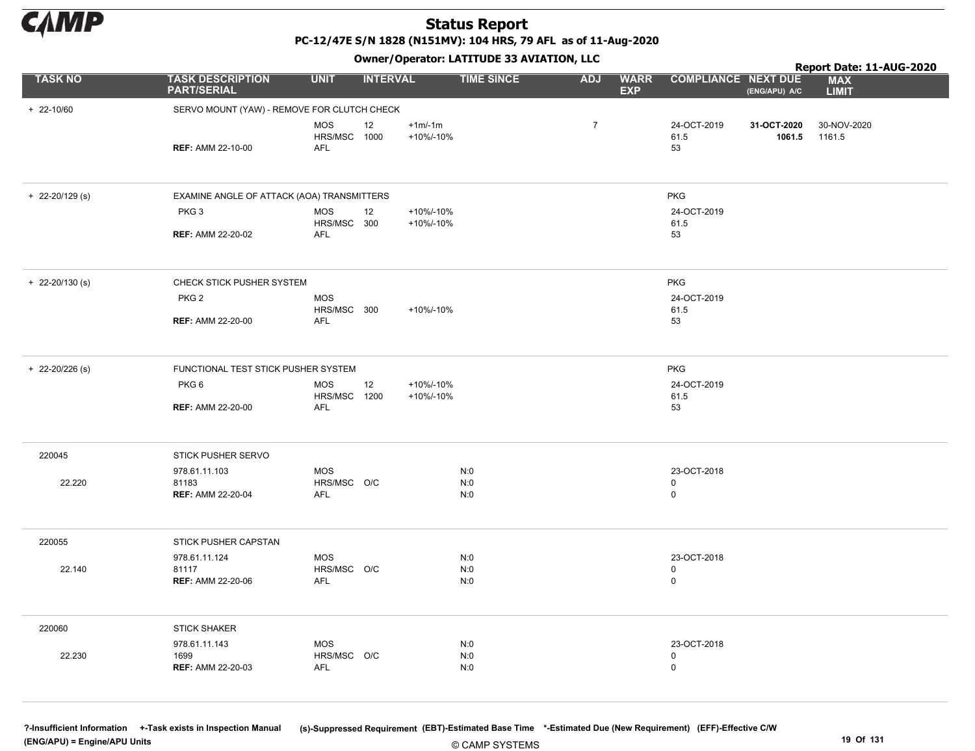

PC-12/47E S/N 1828 (N151MV): 104 HRS, 79 AFL as of 11-Aug-2020

Owner/Operator: LATITUDE 33 AVIATION, LLC

|                                                    |                                                                                  |                                                                  | Owner/Operator. EATITODE 33 AVIATION, LLC                                                                                                                                                            |                   |                   |  |                                           |                       |                                                        |  |  |
|----------------------------------------------------|----------------------------------------------------------------------------------|------------------------------------------------------------------|------------------------------------------------------------------------------------------------------------------------------------------------------------------------------------------------------|-------------------|-------------------|--|-------------------------------------------|-----------------------|--------------------------------------------------------|--|--|
| <b>PART/SERIAL</b>                                 |                                                                                  |                                                                  |                                                                                                                                                                                                      |                   | <b>ADJ</b>        |  |                                           | (ENG/APU) A/C         | <b>MAX</b><br><b>LIMIT</b>                             |  |  |
|                                                    |                                                                                  |                                                                  |                                                                                                                                                                                                      |                   |                   |  |                                           |                       |                                                        |  |  |
| <b>REF: AMM 22-10-00</b>                           | <b>MOS</b><br><b>AFL</b>                                                         | 12                                                               | $+1m/1m$<br>+10%/-10%                                                                                                                                                                                |                   | $\overline{7}$    |  | 24-OCT-2019<br>61.5<br>53                 | 31-OCT-2020<br>1061.5 | 30-NOV-2020<br>1161.5                                  |  |  |
|                                                    |                                                                                  |                                                                  |                                                                                                                                                                                                      |                   |                   |  | <b>PKG</b>                                |                       |                                                        |  |  |
| PKG <sub>3</sub><br><b>REF: AMM 22-20-02</b>       | <b>MOS</b><br><b>AFL</b>                                                         | 12                                                               | +10%/-10%<br>+10%/-10%                                                                                                                                                                               |                   |                   |  | 24-OCT-2019<br>61.5<br>53                 |                       |                                                        |  |  |
|                                                    |                                                                                  |                                                                  |                                                                                                                                                                                                      |                   |                   |  |                                           |                       |                                                        |  |  |
| PKG <sub>2</sub>                                   | <b>MOS</b>                                                                       |                                                                  | +10%/-10%                                                                                                                                                                                            |                   |                   |  | 24-OCT-2019<br>61.5                       |                       |                                                        |  |  |
| <b>REF: AMM 22-20-00</b>                           | <b>AFL</b>                                                                       |                                                                  |                                                                                                                                                                                                      |                   |                   |  | 53                                        |                       |                                                        |  |  |
|                                                    |                                                                                  |                                                                  |                                                                                                                                                                                                      |                   |                   |  | <b>PKG</b>                                |                       |                                                        |  |  |
| PKG <sub>6</sub>                                   | <b>MOS</b>                                                                       | 12                                                               | +10%/-10%<br>+10%/-10%                                                                                                                                                                               |                   |                   |  | 24-OCT-2019<br>61.5                       |                       |                                                        |  |  |
|                                                    |                                                                                  |                                                                  |                                                                                                                                                                                                      |                   |                   |  |                                           |                       |                                                        |  |  |
| STICK PUSHER SERVO                                 |                                                                                  |                                                                  |                                                                                                                                                                                                      |                   |                   |  |                                           |                       |                                                        |  |  |
| 978.61.11.103<br>81183<br><b>REF: AMM 22-20-04</b> | <b>MOS</b><br>AFL                                                                |                                                                  |                                                                                                                                                                                                      | N:0<br>N:0<br>N:0 |                   |  | 23-OCT-2018<br>$\mathsf 0$<br>$\mathbf 0$ |                       |                                                        |  |  |
| STICK PUSHER CAPSTAN                               |                                                                                  |                                                                  |                                                                                                                                                                                                      |                   |                   |  |                                           |                       |                                                        |  |  |
| 978.61.11.124<br>81117<br><b>REF: AMM 22-20-06</b> | <b>MOS</b><br><b>AFL</b>                                                         |                                                                  |                                                                                                                                                                                                      | N:0<br>N:0<br>N:0 |                   |  | 23-OCT-2018<br>$\mathbf 0$<br>$\mathbf 0$ |                       |                                                        |  |  |
| <b>STICK SHAKER</b>                                |                                                                                  |                                                                  |                                                                                                                                                                                                      |                   |                   |  |                                           |                       |                                                        |  |  |
| 978.61.11.143<br>1699<br><b>REF: AMM 22-20-03</b>  | <b>MOS</b><br><b>AFL</b>                                                         |                                                                  |                                                                                                                                                                                                      | N:0<br>N:0<br>N:0 |                   |  | 23-OCT-2018<br>$\mathbf 0$<br>$\mathsf 0$ |                       |                                                        |  |  |
|                                                    | <b>TASK DESCRIPTION</b><br>CHECK STICK PUSHER SYSTEM<br><b>REF: AMM 22-20-00</b> | <b>UNIT</b><br>FUNCTIONAL TEST STICK PUSHER SYSTEM<br><b>AFL</b> | SERVO MOUNT (YAW) - REMOVE FOR CLUTCH CHECK<br>HRS/MSC 1000<br>EXAMINE ANGLE OF ATTACK (AOA) TRANSMITTERS<br>HRS/MSC 300<br>HRS/MSC 300<br>HRS/MSC 1200<br>HRS/MSC O/C<br>HRS/MSC O/C<br>HRS/MSC O/C | <b>INTERVAL</b>   | <b>TIME SINCE</b> |  | <b>WARR</b><br><b>EXP</b>                 | <b>PKG</b><br>53      | Report Date: 11-AUG-2020<br><b>COMPLIANCE NEXT DUE</b> |  |  |

© CAMP SYSTEMS ?-Insufficient Information +-Task exists in Inspection Manual (s)-Suppressed Requirement (EBT)-Estimated Base Time \*-Estimated Due (New Requirement) (EFF)-Effective C/W (ENG/APU) = Engine/APU Units 19 Of 131 and the control of the control of the control of the control of the control of the control of the control of the control of the control of the control of the control of the control o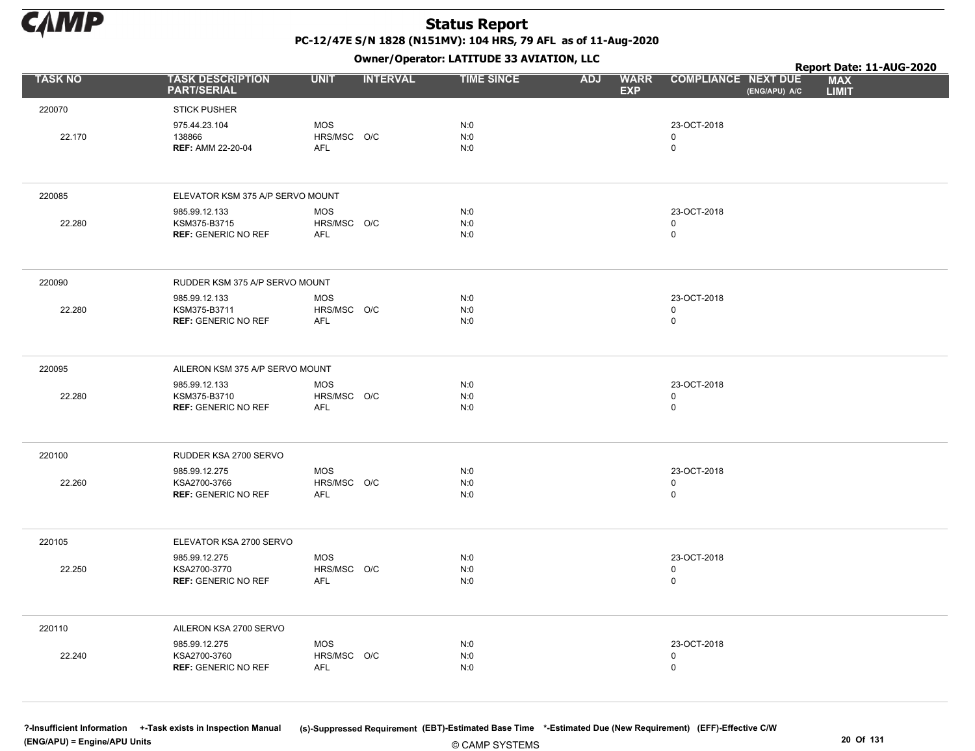

Owner/Operator: LATITUDE 33 AVIATION, LLC

|                |                                               |                           | - - -           |                   |                                         |                                             | Report Date: 11-AUG-2020   |
|----------------|-----------------------------------------------|---------------------------|-----------------|-------------------|-----------------------------------------|---------------------------------------------|----------------------------|
| <b>TASK NO</b> | <b>TASK DESCRIPTION</b><br><b>PART/SERIAL</b> | <b>UNIT</b>               | <b>INTERVAL</b> | <b>TIME SINCE</b> | <b>WARR</b><br><b>ADJ</b><br><b>EXP</b> | <b>COMPLIANCE NEXT DUE</b><br>(ENG/APU) A/C | <b>MAX</b><br><b>LIMIT</b> |
| 220070         | <b>STICK PUSHER</b>                           |                           |                 |                   |                                         |                                             |                            |
|                | 975.44.23.104                                 | <b>MOS</b>                |                 | N:0               |                                         | 23-OCT-2018                                 |                            |
| 22.170         | 138866<br><b>REF: AMM 22-20-04</b>            | HRS/MSC O/C<br><b>AFL</b> |                 | N:0<br>N:0        |                                         | 0<br>0                                      |                            |
|                |                                               |                           |                 |                   |                                         |                                             |                            |
| 220085         | ELEVATOR KSM 375 A/P SERVO MOUNT              |                           |                 |                   |                                         |                                             |                            |
|                | 985.99.12.133                                 | <b>MOS</b>                |                 | N:0               |                                         | 23-OCT-2018                                 |                            |
| 22.280         | KSM375-B3715<br><b>REF: GENERIC NO REF</b>    | HRS/MSC O/C<br><b>AFL</b> |                 | N:0<br>N:0        |                                         | $\mathbf 0$<br>0                            |                            |
|                |                                               |                           |                 |                   |                                         |                                             |                            |
| 220090         | RUDDER KSM 375 A/P SERVO MOUNT                |                           |                 |                   |                                         |                                             |                            |
|                | 985.99.12.133                                 | <b>MOS</b>                |                 | N:0               |                                         | 23-OCT-2018                                 |                            |
| 22.280         | KSM375-B3711<br><b>REF: GENERIC NO REF</b>    | HRS/MSC O/C<br><b>AFL</b> |                 | N:0<br>N:0        |                                         | $\mathbf 0$<br>$\mathbf 0$                  |                            |
|                |                                               |                           |                 |                   |                                         |                                             |                            |
| 220095         | AILERON KSM 375 A/P SERVO MOUNT               |                           |                 |                   |                                         |                                             |                            |
| 22.280         | 985.99.12.133<br>KSM375-B3710                 | <b>MOS</b><br>HRS/MSC O/C |                 | N:0<br>N:0        |                                         | 23-OCT-2018<br>0                            |                            |
|                | <b>REF: GENERIC NO REF</b>                    | <b>AFL</b>                |                 | N:0               |                                         | $\mathsf 0$                                 |                            |
|                |                                               |                           |                 |                   |                                         |                                             |                            |
| 220100         | RUDDER KSA 2700 SERVO                         |                           |                 |                   |                                         |                                             |                            |
| 22.260         | 985.99.12.275<br>KSA2700-3766                 | <b>MOS</b>                |                 | N:0<br>N:0        |                                         | 23-OCT-2018<br>0                            |                            |
|                | <b>REF: GENERIC NO REF</b>                    | HRS/MSC O/C<br>AFL        |                 | N:0               |                                         | $\mathbf 0$                                 |                            |
|                |                                               |                           |                 |                   |                                         |                                             |                            |
| 220105         | ELEVATOR KSA 2700 SERVO                       |                           |                 |                   |                                         |                                             |                            |
| 22.250         | 985.99.12.275<br>KSA2700-3770                 | <b>MOS</b><br>HRS/MSC O/C |                 | N:0<br>N:0        |                                         | 23-OCT-2018<br>$\mathbf 0$                  |                            |
|                | <b>REF: GENERIC NO REF</b>                    | AFL                       |                 | N:0               |                                         | 0                                           |                            |
|                |                                               |                           |                 |                   |                                         |                                             |                            |
| 220110         | AILERON KSA 2700 SERVO                        |                           |                 |                   |                                         |                                             |                            |
|                | 985.99.12.275                                 | <b>MOS</b>                |                 | N:0               |                                         | 23-OCT-2018                                 |                            |
| 22.240         | KSA2700-3760<br><b>REF: GENERIC NO REF</b>    | HRS/MSC O/C<br><b>AFL</b> |                 | N:0<br>N:0        |                                         | 0<br>0                                      |                            |
|                |                                               |                           |                 |                   |                                         |                                             |                            |
|                |                                               |                           |                 |                   |                                         |                                             |                            |

© CAMP SYSTEMS ?-Insufficient Information +-Task exists in Inspection Manual (s)-Suppressed Requirement (EBT)-Estimated Base Time \*-Estimated Due (New Requirement) (EFF)-Effective C/W (ENG/APU) = Engine/APU Units 20 Of 131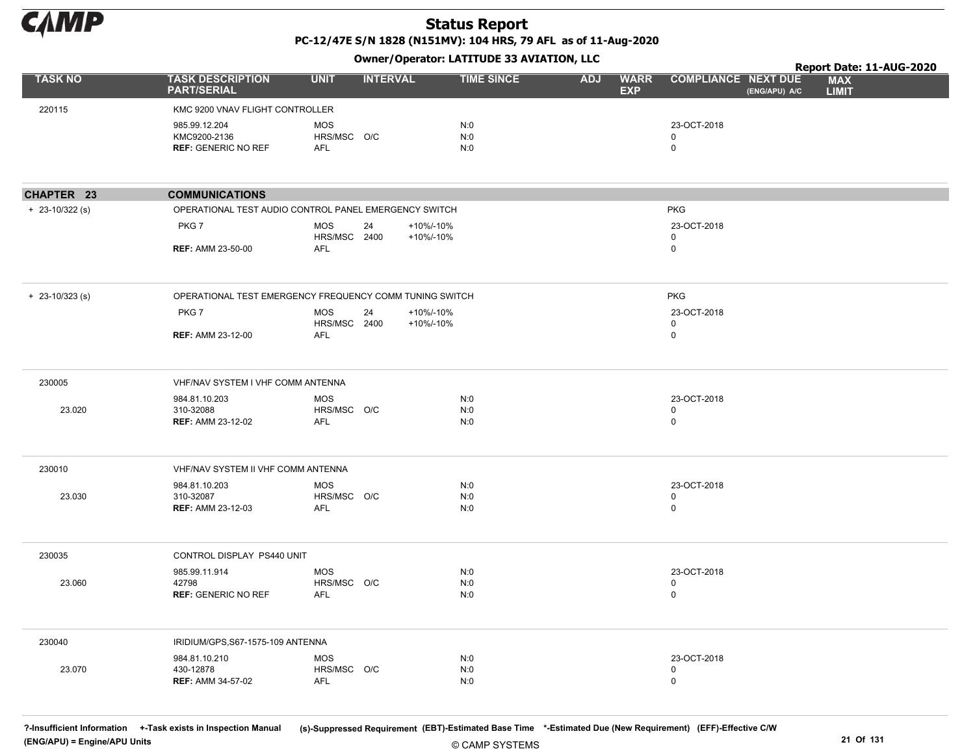

Owner/Operator: LATITUDE 33 AVIATION, LLC

|                     |                                                             |                                         | - - -           |                        |                   |            |                           |                                             | Report Date: 11-AUG-2020   |
|---------------------|-------------------------------------------------------------|-----------------------------------------|-----------------|------------------------|-------------------|------------|---------------------------|---------------------------------------------|----------------------------|
| <b>TASK NO</b>      | <b>TASK DESCRIPTION</b><br><b>PART/SERIAL</b>               | <b>UNIT</b>                             | <b>INTERVAL</b> |                        | <b>TIME SINCE</b> | <b>ADJ</b> | <b>WARR</b><br><b>EXP</b> | <b>COMPLIANCE NEXT DUE</b><br>(ENG/APU) A/C | <b>MAX</b><br><b>LIMIT</b> |
| 220115              | KMC 9200 VNAV FLIGHT CONTROLLER                             |                                         |                 |                        |                   |            |                           |                                             |                            |
|                     | 985.99.12.204<br>KMC9200-2136<br><b>REF: GENERIC NO REF</b> | <b>MOS</b><br>HRS/MSC O/C<br>AFL        |                 |                        | N:0<br>N:0<br>N:0 |            |                           | 23-OCT-2018<br>0<br>$\mathsf{O}$            |                            |
| CHAPTER 23          | <b>COMMUNICATIONS</b>                                       |                                         |                 |                        |                   |            |                           |                                             |                            |
| $+ 23 - 10/322$ (s) | OPERATIONAL TEST AUDIO CONTROL PANEL EMERGENCY SWITCH       |                                         |                 |                        |                   |            |                           | <b>PKG</b>                                  |                            |
|                     | PKG7                                                        | <b>MOS</b><br><b>HRS/MSC 2400</b>       | 24              | +10%/-10%<br>+10%/-10% |                   |            |                           | 23-OCT-2018<br>0                            |                            |
|                     | <b>REF: AMM 23-50-00</b>                                    | <b>AFL</b>                              |                 |                        |                   |            |                           | $\mathsf{O}$                                |                            |
| $+$ 23-10/323 (s)   | OPERATIONAL TEST EMERGENCY FREQUENCY COMM TUNING SWITCH     |                                         |                 |                        |                   |            |                           | <b>PKG</b>                                  |                            |
|                     | PKG7                                                        | <b>MOS</b><br>HRS/MSC 2400              | 24              | +10%/-10%<br>+10%/-10% |                   |            |                           | 23-OCT-2018<br>0                            |                            |
|                     | <b>REF: AMM 23-12-00</b>                                    | AFL                                     |                 |                        |                   |            |                           | 0                                           |                            |
| 230005              | VHF/NAV SYSTEM I VHF COMM ANTENNA                           |                                         |                 |                        |                   |            |                           |                                             |                            |
| 23.020              | 984.81.10.203<br>310-32088<br><b>REF: AMM 23-12-02</b>      | <b>MOS</b><br>HRS/MSC O/C<br><b>AFL</b> |                 |                        | N:0<br>N:0<br>N:0 |            |                           | 23-OCT-2018<br>0<br>$\mathsf{O}$            |                            |
| 230010              | VHF/NAV SYSTEM II VHF COMM ANTENNA                          |                                         |                 |                        |                   |            |                           |                                             |                            |
| 23.030              | 984.81.10.203<br>310-32087<br><b>REF: AMM 23-12-03</b>      | <b>MOS</b><br>HRS/MSC O/C<br><b>AFL</b> |                 |                        | N:0<br>N:0<br>N:0 |            |                           | 23-OCT-2018<br>0<br>0                       |                            |
| 230035              | CONTROL DISPLAY PS440 UNIT                                  |                                         |                 |                        |                   |            |                           |                                             |                            |
| 23.060              | 985.99.11.914<br>42798<br><b>REF: GENERIC NO REF</b>        | <b>MOS</b><br>HRS/MSC O/C<br>AFL        |                 |                        | N:0<br>N:0<br>N:0 |            |                           | 23-OCT-2018<br>$\pmb{0}$<br>0               |                            |
| 230040              | IRIDIUM/GPS, S67-1575-109 ANTENNA                           |                                         |                 |                        |                   |            |                           |                                             |                            |
| 23.070              | 984.81.10.210<br>430-12878<br><b>REF: AMM 34-57-02</b>      | <b>MOS</b><br>HRS/MSC O/C<br><b>AFL</b> |                 |                        | N:0<br>N:0<br>N:0 |            |                           | 23-OCT-2018<br>0<br>$\mathsf 0$             |                            |

© CAMP SYSTEMS ?-Insufficient Information +-Task exists in Inspection Manual (s)-Suppressed Requirement (EBT)-Estimated Base Time \*-Estimated Due (New Requirement) (EFF)-Effective C/W (ENG/APU) = Engine/APU Units 21 Of 131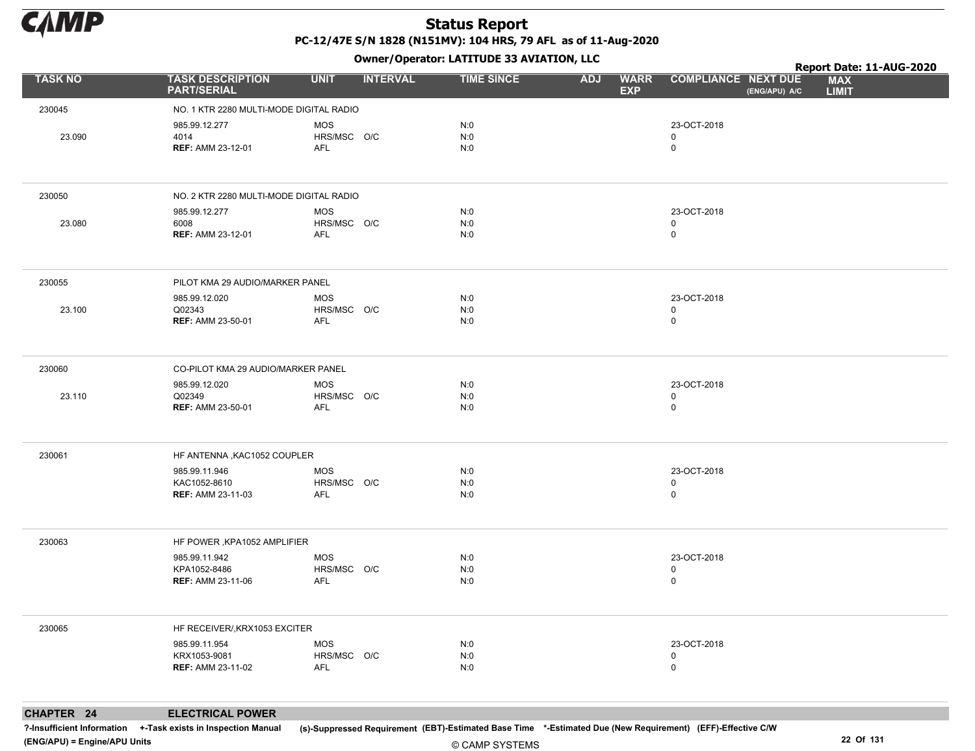

Owner/Operator: LATITUDE 33 AVIATION, LLC

|                |                                                           | Owner/Operator. EATITODE 33 AVIATION, LLC |                     | Report Date: 11-AUG-2020                |                                             |                            |  |
|----------------|-----------------------------------------------------------|-------------------------------------------|---------------------|-----------------------------------------|---------------------------------------------|----------------------------|--|
| <b>TASK NO</b> | <b>TASK DESCRIPTION</b><br><b>PART/SERIAL</b>             | <b>UNIT</b><br><b>INTERVAL</b>            | <b>TIME SINCE</b>   | <b>ADJ</b><br><b>WARR</b><br><b>EXP</b> | <b>COMPLIANCE NEXT DUE</b><br>(ENG/APU) A/C | <b>MAX</b><br><b>LIMIT</b> |  |
| 230045         | NO. 1 KTR 2280 MULTI-MODE DIGITAL RADIO                   |                                           |                     |                                         |                                             |                            |  |
| 23.090         | 985.99.12.277<br>4014<br><b>REF: AMM 23-12-01</b>         | <b>MOS</b><br>HRS/MSC O/C<br>AFL          | N:0<br>N:0<br>N:0   |                                         | 23-OCT-2018<br>0<br>0                       |                            |  |
| 230050         | NO. 2 KTR 2280 MULTI-MODE DIGITAL RADIO                   |                                           |                     |                                         |                                             |                            |  |
| 23.080         | 985.99.12.277<br>6008<br><b>REF: AMM 23-12-01</b>         | <b>MOS</b><br>HRS/MSC O/C<br>AFL          | N:0<br>N:0<br>N:0   |                                         | 23-OCT-2018<br>0<br>0                       |                            |  |
| 230055         | PILOT KMA 29 AUDIO/MARKER PANEL                           |                                           |                     |                                         |                                             |                            |  |
| 23.100         | 985.99.12.020<br>Q02343<br><b>REF: AMM 23-50-01</b>       | <b>MOS</b><br>HRS/MSC O/C<br>AFL          | N:0<br>N:0<br>N:0   |                                         | 23-OCT-2018<br>0<br>0                       |                            |  |
| 230060         | CO-PILOT KMA 29 AUDIO/MARKER PANEL                        |                                           |                     |                                         |                                             |                            |  |
| 23.110         | 985.99.12.020<br>Q02349<br><b>REF: AMM 23-50-01</b>       | <b>MOS</b><br>HRS/MSC O/C<br><b>AFL</b>   | N:0<br>N:0<br>N:0   |                                         | 23-OCT-2018<br>0<br>0                       |                            |  |
| 230061         | HF ANTENNA, KAC1052 COUPLER                               |                                           |                     |                                         |                                             |                            |  |
|                | 985.99.11.946<br>KAC1052-8610<br><b>REF: AMM 23-11-03</b> | <b>MOS</b><br>HRS/MSC O/C<br>AFL          | N:0<br>N:0<br>N:0   |                                         | 23-OCT-2018<br>0<br>0                       |                            |  |
| 230063         | HF POWER, KPA1052 AMPLIFIER                               |                                           |                     |                                         |                                             |                            |  |
|                | 985.99.11.942<br>KPA1052-8486<br><b>REF: AMM 23-11-06</b> | <b>MOS</b><br>HRS/MSC O/C<br>AFL          | N:0<br>N:0<br>N:0   |                                         | 23-OCT-2018<br>0<br>0                       |                            |  |
| 230065         | HF RECEIVER/, KRX1053 EXCITER                             |                                           |                     |                                         |                                             |                            |  |
|                | 985.99.11.954<br>KRX1053-9081<br><b>REF: AMM 23-11-02</b> | <b>MOS</b><br>HRS/MSC O/C<br>AFL          | N:0<br>$N:0$<br>N:0 |                                         | 23-OCT-2018<br>0<br>0                       |                            |  |
|                |                                                           |                                           |                     |                                         |                                             |                            |  |

CHAPTER 24 ELECTRICAL POWER

?-Insufficient Information +-Task exists in Inspection Manual (s)-Suppressed Requirement (EBT)-Estimated Base Time \*-Estimated Due (New Requirement) (EFF)-Effective C/W (ENG/APU) = Engine/APU Units 22 Of 131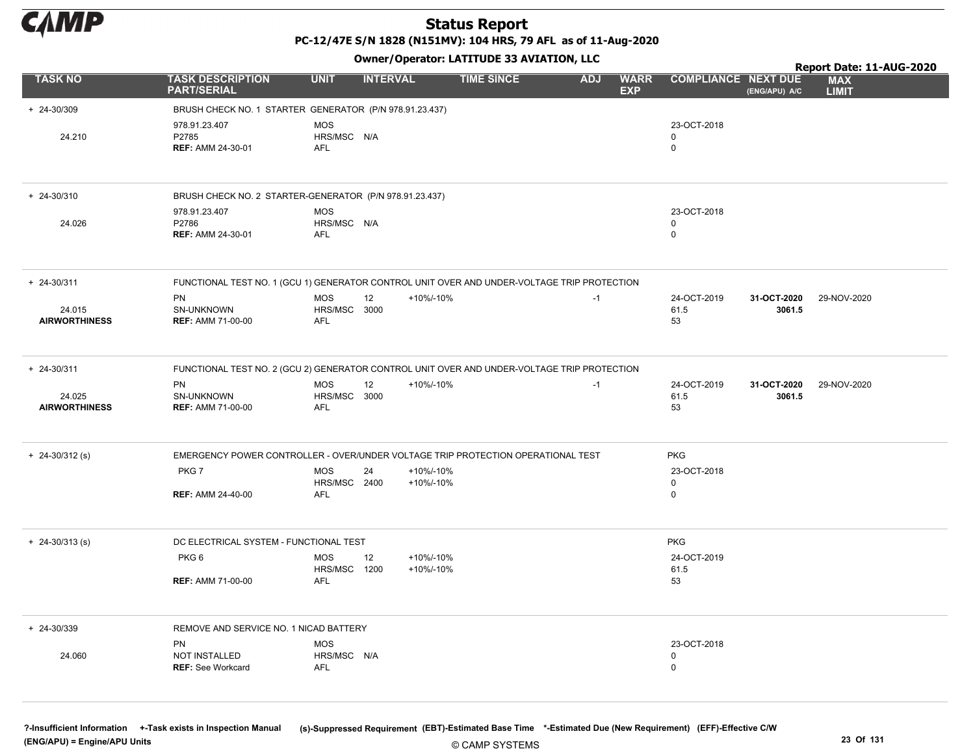

PC-12/47E S/N 1828 (N151MV): 104 HRS, 79 AFL as of 11-Aug-2020

Owner/Operator: LATITUDE 33 AVIATION, LLC

|                                |                                                                                             |                                   | Report Date: 11-AUG-2020 |                        |            |                           |                                        |                       |                            |
|--------------------------------|---------------------------------------------------------------------------------------------|-----------------------------------|--------------------------|------------------------|------------|---------------------------|----------------------------------------|-----------------------|----------------------------|
| <b>TASK NO</b>                 | <b>TASK DESCRIPTION</b><br><b>PART/SERIAL</b>                                               | <b>UNIT</b>                       | <b>INTERVAL</b>          | <b>TIME SINCE</b>      | <b>ADJ</b> | <b>WARR</b><br><b>EXP</b> | <b>COMPLIANCE NEXT DUE</b>             | (ENG/APU) A/C         | <b>MAX</b><br><b>LIMIT</b> |
| + 24-30/309                    | BRUSH CHECK NO. 1 STARTER GENERATOR (P/N 978.91.23.437)                                     |                                   |                          |                        |            |                           |                                        |                       |                            |
| 24.210                         | 978.91.23.407<br>P2785<br><b>REF: AMM 24-30-01</b>                                          | <b>MOS</b><br>HRS/MSC N/A<br>AFL  |                          |                        |            |                           | 23-OCT-2018<br>$\Omega$<br>0           |                       |                            |
| $+ 24 - 30/310$                | BRUSH CHECK NO. 2 STARTER-GENERATOR (P/N 978.91.23.437)                                     |                                   |                          |                        |            |                           |                                        |                       |                            |
| 24.026                         | 978.91.23.407<br>P2786<br><b>REF: AMM 24-30-01</b>                                          | <b>MOS</b><br>HRS/MSC N/A<br>AFL  |                          |                        |            |                           | 23-OCT-2018<br>$\Omega$<br>$\mathbf 0$ |                       |                            |
| $+ 24 - 30/311$                | FUNCTIONAL TEST NO. 1 (GCU 1) GENERATOR CONTROL UNIT OVER AND UNDER-VOLTAGE TRIP PROTECTION |                                   |                          |                        |            |                           |                                        |                       |                            |
| 24.015<br><b>AIRWORTHINESS</b> | PN<br>SN-UNKNOWN<br><b>REF: AMM 71-00-00</b>                                                | <b>MOS</b><br>HRS/MSC 3000<br>AFL | 12                       | +10%/-10%              | $-1$       |                           | 24-OCT-2019<br>61.5<br>53              | 31-OCT-2020<br>3061.5 | 29-NOV-2020                |
| $+ 24 - 30/311$                | FUNCTIONAL TEST NO. 2 (GCU 2) GENERATOR CONTROL UNIT OVER AND UNDER-VOLTAGE TRIP PROTECTION |                                   |                          |                        |            |                           |                                        |                       |                            |
| 24.025<br><b>AIRWORTHINESS</b> | PN<br>SN-UNKNOWN<br><b>REF: AMM 71-00-00</b>                                                | <b>MOS</b><br>HRS/MSC 3000<br>AFL | 12                       | +10%/-10%              | $-1$       |                           | 24-OCT-2019<br>61.5<br>53              | 31-OCT-2020<br>3061.5 | 29-NOV-2020                |
| $+ 24 - 30/312$ (s)            | EMERGENCY POWER CONTROLLER - OVER/UNDER VOLTAGE TRIP PROTECTION OPERATIONAL TEST            |                                   |                          |                        |            |                           | <b>PKG</b>                             |                       |                            |
|                                | PKG7<br><b>REF: AMM 24-40-00</b>                                                            | <b>MOS</b><br>HRS/MSC 2400<br>AFL | 24                       | +10%/-10%<br>+10%/-10% |            |                           | 23-OCT-2018<br>0<br>0                  |                       |                            |
| $+$ 24-30/313 (s)              | DC ELECTRICAL SYSTEM - FUNCTIONAL TEST                                                      |                                   |                          |                        |            |                           | <b>PKG</b>                             |                       |                            |
|                                | PKG6<br><b>REF: AMM 71-00-00</b>                                                            | MOS<br>HRS/MSC 1200<br>AFL        | 12                       | +10%/-10%<br>+10%/-10% |            |                           | 24-OCT-2019<br>61.5<br>53              |                       |                            |
| $+ 24 - 30/339$                | REMOVE AND SERVICE NO. 1 NICAD BATTERY                                                      |                                   |                          |                        |            |                           |                                        |                       |                            |
| 24.060                         | PN<br>NOT INSTALLED<br><b>REF: See Workcard</b>                                             | MOS<br>HRS/MSC N/A<br><b>AFL</b>  |                          |                        |            |                           | 23-OCT-2018<br>0<br>0                  |                       |                            |
|                                |                                                                                             |                                   |                          |                        |            |                           |                                        |                       |                            |

© CAMP SYSTEMS ?-Insufficient Information +-Task exists in Inspection Manual (s)-Suppressed Requirement (EBT)-Estimated Base Time \*-Estimated Due (New Requirement) (EFF)-Effective C/W (ENG/APU) = Engine/APU Units 23 Of 131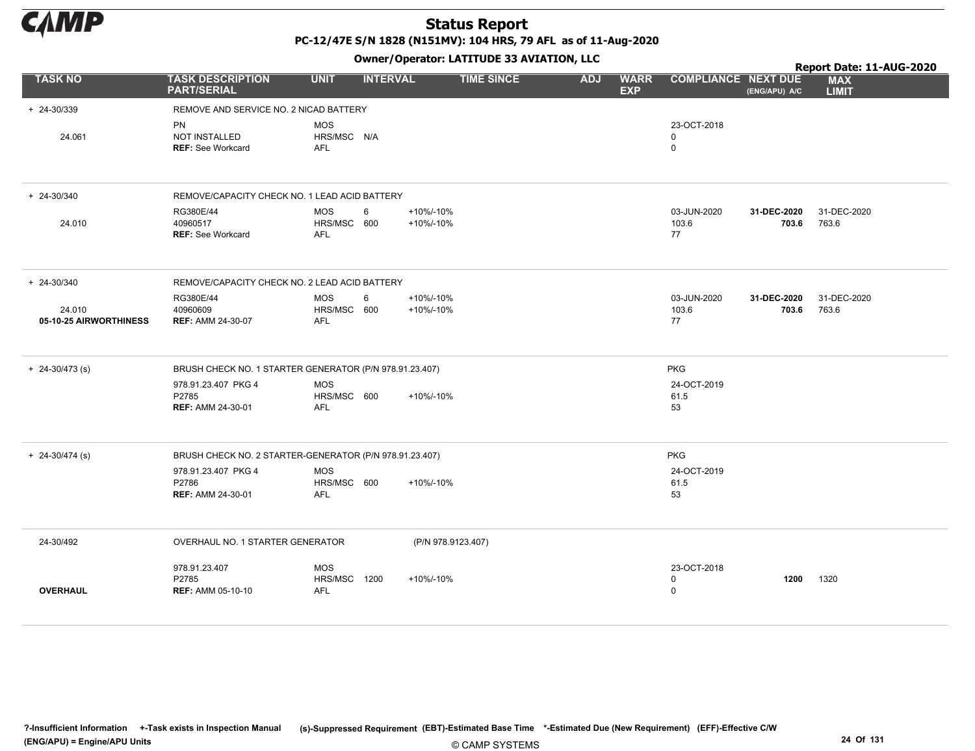

PC-12/47E S/N 1828 (N151MV): 104 HRS, 79 AFL as of 11-Aug-2020

|                                  |                                                          |                                         |                 |                        | Owner, Operator. EATITODE 33 AVIATION, LEC |            |                           |                                           |                      | Report Date: 11-AUG-2020   |
|----------------------------------|----------------------------------------------------------|-----------------------------------------|-----------------|------------------------|--------------------------------------------|------------|---------------------------|-------------------------------------------|----------------------|----------------------------|
| <b>TASK NO</b>                   | <b>TASK DESCRIPTION</b><br><b>PART/SERIAL</b>            | <b>UNIT</b>                             | <b>INTERVAL</b> |                        | <b>TIME SINCE</b>                          | <b>ADJ</b> | <b>WARR</b><br><b>EXP</b> | <b>COMPLIANCE NEXT DUE</b>                | (ENG/APU) A/C        | <b>MAX</b><br><b>LIMIT</b> |
| + 24-30/339                      | REMOVE AND SERVICE NO. 2 NICAD BATTERY                   |                                         |                 |                        |                                            |            |                           |                                           |                      |                            |
| 24.061                           | <b>PN</b><br>NOT INSTALLED<br><b>REF: See Workcard</b>   | <b>MOS</b><br>HRS/MSC N/A<br>AFL        |                 |                        |                                            |            |                           | 23-OCT-2018<br>0<br>$\mathbf 0$           |                      |                            |
| + 24-30/340                      | REMOVE/CAPACITY CHECK NO. 1 LEAD ACID BATTERY            |                                         |                 |                        |                                            |            |                           |                                           |                      |                            |
| 24.010                           | RG380E/44<br>40960517<br><b>REF: See Workcard</b>        | <b>MOS</b><br>HRS/MSC 600<br><b>AFL</b> | 6               | +10%/-10%<br>+10%/-10% |                                            |            |                           | 03-JUN-2020<br>103.6<br>77                | 31-DEC-2020<br>703.6 | 31-DEC-2020<br>763.6       |
| $+ 24 - 30/340$                  | REMOVE/CAPACITY CHECK NO. 2 LEAD ACID BATTERY            |                                         |                 |                        |                                            |            |                           |                                           |                      |                            |
| 24.010<br>05-10-25 AIRWORTHINESS | RG380E/44<br>40960609<br><b>REF: AMM 24-30-07</b>        | <b>MOS</b><br>HRS/MSC 600<br><b>AFL</b> | 6               | +10%/-10%<br>+10%/-10% |                                            |            |                           | 03-JUN-2020<br>103.6<br>77                | 31-DEC-2020<br>703.6 | 31-DEC-2020<br>763.6       |
| $+ 24 - 30/473$ (s)              | BRUSH CHECK NO. 1 STARTER GENERATOR (P/N 978.91.23.407)  |                                         |                 |                        |                                            |            |                           | <b>PKG</b>                                |                      |                            |
|                                  | 978.91.23.407 PKG 4<br>P2785<br><b>REF: AMM 24-30-01</b> | <b>MOS</b><br>HRS/MSC 600<br>AFL        |                 | +10%/-10%              |                                            |            |                           | 24-OCT-2019<br>61.5<br>53                 |                      |                            |
| $+ 24 - 30/474$ (s)              | BRUSH CHECK NO. 2 STARTER-GENERATOR (P/N 978.91.23.407)  |                                         |                 |                        |                                            |            |                           | <b>PKG</b>                                |                      |                            |
|                                  | 978.91.23.407 PKG 4<br>P2786<br><b>REF: AMM 24-30-01</b> | <b>MOS</b><br>HRS/MSC 600<br>AFL        |                 | +10%/-10%              |                                            |            |                           | 24-OCT-2019<br>61.5<br>53                 |                      |                            |
| 24-30/492                        | OVERHAUL NO. 1 STARTER GENERATOR                         |                                         |                 | (P/N 978.9123.407)     |                                            |            |                           |                                           |                      |                            |
| <b>OVERHAUL</b>                  | 978.91.23.407<br>P2785<br><b>REF: AMM 05-10-10</b>       | <b>MOS</b><br>HRS/MSC 1200<br>AFL       |                 | +10%/-10%              |                                            |            |                           | 23-OCT-2018<br>$\mathbf 0$<br>$\mathbf 0$ | 1200                 | 1320                       |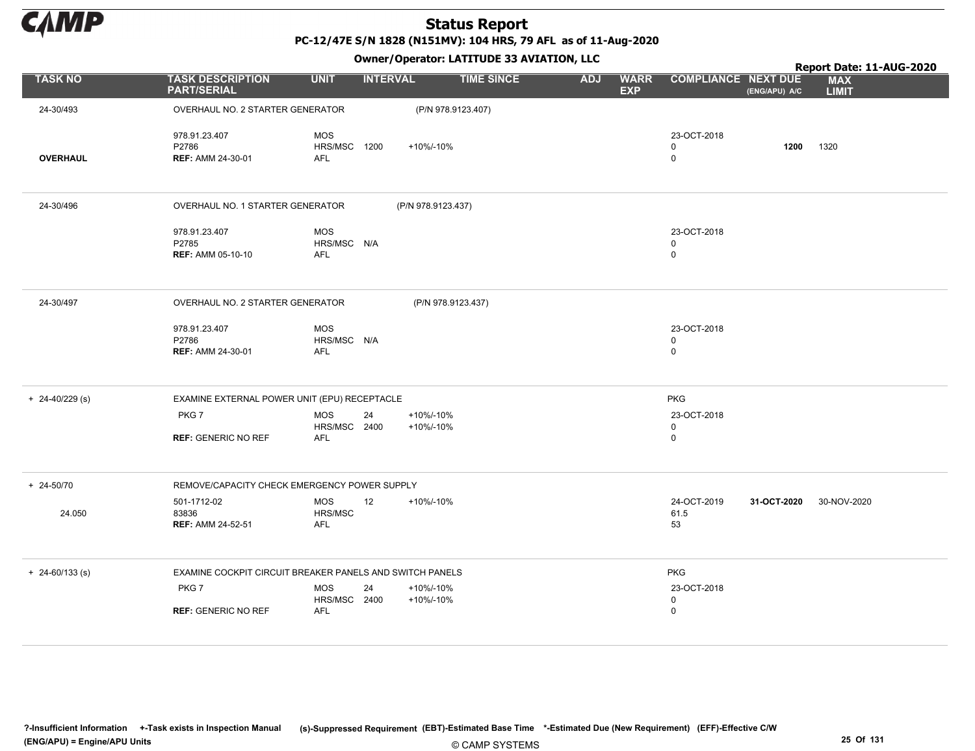

PC-12/47E S/N 1828 (N151MV): 104 HRS, 79 AFL as of 11-Aug-2020

|                     |                                                          |                                          | .                            |                    |            |                           |                            |               | Report Date: 11-AUG-2020   |
|---------------------|----------------------------------------------------------|------------------------------------------|------------------------------|--------------------|------------|---------------------------|----------------------------|---------------|----------------------------|
| <b>TASK NO</b>      | <b>TASK DESCRIPTION</b><br><b>PART/SERIAL</b>            | <b>UNIT</b>                              | <b>INTERVAL</b>              | <b>TIME SINCE</b>  | <b>ADJ</b> | <b>WARR</b><br><b>EXP</b> | <b>COMPLIANCE NEXT DUE</b> | (ENG/APU) A/C | <b>MAX</b><br><b>LIMIT</b> |
| 24-30/493           | OVERHAUL NO. 2 STARTER GENERATOR                         |                                          |                              | (P/N 978.9123.407) |            |                           |                            |               |                            |
| <b>OVERHAUL</b>     | 978.91.23.407<br>P2786<br><b>REF: AMM 24-30-01</b>       | MOS<br>HRS/MSC 1200<br><b>AFL</b>        | +10%/-10%                    |                    |            |                           | 23-OCT-2018<br>0<br>0      | 1200          | 1320                       |
| 24-30/496           | OVERHAUL NO. 1 STARTER GENERATOR                         |                                          | (P/N 978.9123.437)           |                    |            |                           |                            |               |                            |
|                     | 978.91.23.407<br>P2785<br><b>REF: AMM 05-10-10</b>       | MOS<br>HRS/MSC N/A<br><b>AFL</b>         |                              |                    |            |                           | 23-OCT-2018<br>0<br>0      |               |                            |
| 24-30/497           | OVERHAUL NO. 2 STARTER GENERATOR                         |                                          |                              | (P/N 978.9123.437) |            |                           |                            |               |                            |
|                     | 978.91.23.407<br>P2786<br><b>REF: AMM 24-30-01</b>       | MOS<br>HRS/MSC N/A<br><b>AFL</b>         |                              |                    |            |                           | 23-OCT-2018<br>0<br>0      |               |                            |
| $+ 24 - 40/229$ (s) | EXAMINE EXTERNAL POWER UNIT (EPU) RECEPTACLE             |                                          |                              |                    |            |                           | PKG                        |               |                            |
|                     | PKG7<br><b>REF: GENERIC NO REF</b>                       | <b>MOS</b><br>HRS/MSC 2400<br>AFL        | 24<br>+10%/-10%<br>+10%/-10% |                    |            |                           | 23-OCT-2018<br>0<br>0      |               |                            |
| $+ 24 - 50/70$      | REMOVE/CAPACITY CHECK EMERGENCY POWER SUPPLY             |                                          |                              |                    |            |                           |                            |               |                            |
| 24.050              | 501-1712-02<br>83836<br><b>REF: AMM 24-52-51</b>         | MOS<br>HRS/MSC<br><b>AFL</b>             | 12<br>+10%/-10%              |                    |            |                           | 24-OCT-2019<br>61.5<br>53  | 31-OCT-2020   | 30-NOV-2020                |
| $+ 24 - 60/133$ (s) | EXAMINE COCKPIT CIRCUIT BREAKER PANELS AND SWITCH PANELS |                                          |                              |                    |            |                           | <b>PKG</b>                 |               |                            |
|                     | PKG7<br><b>REF: GENERIC NO REF</b>                       | <b>MOS</b><br>HRS/MSC 2400<br><b>AFL</b> | 24<br>+10%/-10%<br>+10%/-10% |                    |            |                           | 23-OCT-2018<br>0<br>0      |               |                            |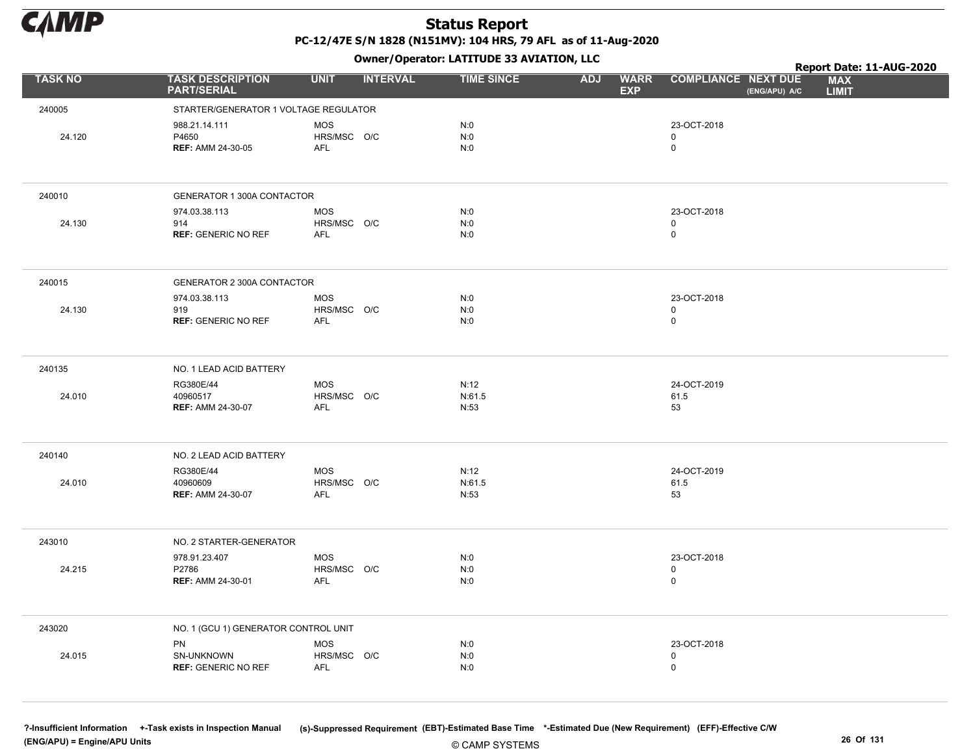

Owner/Operator: LATITUDE 33 AVIATION, LLC

|                |                                                    | - - - -                                 |                        |                                         |                                             | Report Date: 11-AUG-2020   |
|----------------|----------------------------------------------------|-----------------------------------------|------------------------|-----------------------------------------|---------------------------------------------|----------------------------|
| <b>TASK NO</b> | <b>TASK DESCRIPTION</b><br><b>PART/SERIAL</b>      | <b>UNIT</b><br><b>INTERVAL</b>          | <b>TIME SINCE</b>      | <b>WARR</b><br><b>ADJ</b><br><b>EXP</b> | <b>COMPLIANCE NEXT DUE</b><br>(ENG/APU) A/C | <b>MAX</b><br><b>LIMIT</b> |
| 240005         | STARTER/GENERATOR 1 VOLTAGE REGULATOR              |                                         |                        |                                         |                                             |                            |
| 24.120         | 988.21.14.111<br>P4650<br><b>REF: AMM 24-30-05</b> | <b>MOS</b><br>HRS/MSC O/C<br><b>AFL</b> | N:0<br>N:0<br>N:0      |                                         | 23-OCT-2018<br>$\mathbf 0$<br>$\mathsf 0$   |                            |
| 240010         | GENERATOR 1 300A CONTACTOR                         |                                         |                        |                                         |                                             |                            |
| 24.130         | 974.03.38.113<br>914<br><b>REF: GENERIC NO REF</b> | <b>MOS</b><br>HRS/MSC O/C<br><b>AFL</b> | N:0<br>N:0<br>N:0      |                                         | 23-OCT-2018<br>$\mathbf 0$<br>$\mathsf 0$   |                            |
| 240015         | GENERATOR 2 300A CONTACTOR                         |                                         |                        |                                         |                                             |                            |
| 24.130         | 974.03.38.113<br>919<br><b>REF: GENERIC NO REF</b> | <b>MOS</b><br>HRS/MSC O/C<br><b>AFL</b> | N:0<br>N:0<br>N:0      |                                         | 23-OCT-2018<br>0<br>$\mathsf 0$             |                            |
| 240135         | NO. 1 LEAD ACID BATTERY                            |                                         |                        |                                         |                                             |                            |
| 24.010         | RG380E/44<br>40960517<br><b>REF: AMM 24-30-07</b>  | <b>MOS</b><br>HRS/MSC O/C<br><b>AFL</b> | N:12<br>N:61.5<br>N:53 |                                         | 24-OCT-2019<br>61.5<br>53                   |                            |
| 240140         | NO. 2 LEAD ACID BATTERY                            |                                         |                        |                                         |                                             |                            |
| 24.010         | RG380E/44<br>40960609<br><b>REF: AMM 24-30-07</b>  | <b>MOS</b><br>HRS/MSC O/C<br><b>AFL</b> | N:12<br>N:61.5<br>N:53 |                                         | 24-OCT-2019<br>61.5<br>53                   |                            |
| 243010         | NO. 2 STARTER-GENERATOR                            |                                         |                        |                                         |                                             |                            |
| 24.215         | 978.91.23.407<br>P2786<br><b>REF: AMM 24-30-01</b> | <b>MOS</b><br>HRS/MSC O/C<br><b>AFL</b> | N:0<br>N:0<br>N:0      |                                         | 23-OCT-2018<br>0<br>$\mathsf 0$             |                            |
| 243020         | NO. 1 (GCU 1) GENERATOR CONTROL UNIT               |                                         |                        |                                         |                                             |                            |
| 24.015         | PN<br>SN-UNKNOWN<br><b>REF: GENERIC NO REF</b>     | <b>MOS</b><br>HRS/MSC O/C<br><b>AFL</b> | N:0<br>N:0<br>N:0      |                                         | 23-OCT-2018<br>0<br>$\pmb{0}$               |                            |

© CAMP SYSTEMS ?-Insufficient Information +-Task exists in Inspection Manual (s)-Suppressed Requirement (EBT)-Estimated Base Time \*-Estimated Due (New Requirement) (EFF)-Effective C/W (ENG/APU) = Engine/APU Units 26 Of 131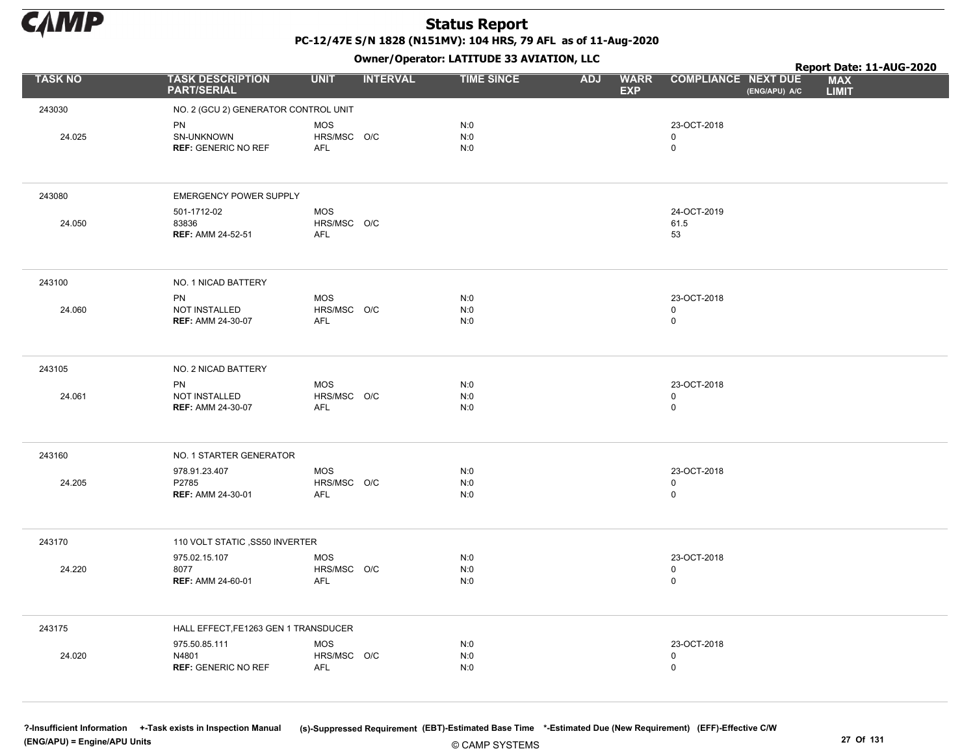

Owner/Operator: LATITUDE 33 AVIATION, LLC

|                |                                                      |                                         |                 | Owner/Operator. EATITODE 33 AVIATION, LLC |                                         |                                           |               | Report Date: 11-AUG-2020   |
|----------------|------------------------------------------------------|-----------------------------------------|-----------------|-------------------------------------------|-----------------------------------------|-------------------------------------------|---------------|----------------------------|
| <b>TASK NO</b> | <b>TASK DESCRIPTION</b><br><b>PART/SERIAL</b>        | <b>UNIT</b>                             | <b>INTERVAL</b> | <b>TIME SINCE</b>                         | <b>ADJ</b><br><b>WARR</b><br><b>EXP</b> | <b>COMPLIANCE NEXT DUE</b>                | (ENG/APU) A/C | <b>MAX</b><br><b>LIMIT</b> |
| 243030         | NO. 2 (GCU 2) GENERATOR CONTROL UNIT                 |                                         |                 |                                           |                                         |                                           |               |                            |
| 24.025         | PN<br>SN-UNKNOWN<br><b>REF: GENERIC NO REF</b>       | <b>MOS</b><br>HRS/MSC O/C<br>AFL        |                 | N:0<br>N:0<br>N:0                         |                                         | 23-OCT-2018<br>$\mathbf 0$<br>$\mathbf 0$ |               |                            |
| 243080         | <b>EMERGENCY POWER SUPPLY</b>                        |                                         |                 |                                           |                                         |                                           |               |                            |
| 24.050         | 501-1712-02<br>83836<br><b>REF: AMM 24-52-51</b>     | <b>MOS</b><br>HRS/MSC O/C<br><b>AFL</b> |                 |                                           |                                         | 24-OCT-2019<br>61.5<br>53                 |               |                            |
| 243100         | NO. 1 NICAD BATTERY                                  |                                         |                 |                                           |                                         |                                           |               |                            |
| 24.060         | PN<br>NOT INSTALLED<br><b>REF: AMM 24-30-07</b>      | <b>MOS</b><br>HRS/MSC O/C<br><b>AFL</b> |                 | N:0<br>N:0<br>N:0                         |                                         | 23-OCT-2018<br>$\mathsf 0$<br>$\mathbf 0$ |               |                            |
| 243105         | NO. 2 NICAD BATTERY                                  |                                         |                 |                                           |                                         |                                           |               |                            |
| 24.061         | PN<br>NOT INSTALLED<br><b>REF: AMM 24-30-07</b>      | <b>MOS</b><br>HRS/MSC O/C<br><b>AFL</b> |                 | N:0<br>N:0<br>N:0                         |                                         | 23-OCT-2018<br>$\mathsf 0$<br>$\mathbf 0$ |               |                            |
| 243160         | NO. 1 STARTER GENERATOR                              |                                         |                 |                                           |                                         |                                           |               |                            |
| 24.205         | 978.91.23.407<br>P2785<br><b>REF: AMM 24-30-01</b>   | <b>MOS</b><br>HRS/MSC O/C<br><b>AFL</b> |                 | N:0<br>N:0<br>N:0                         |                                         | 23-OCT-2018<br>$\mathsf 0$<br>$\mathsf 0$ |               |                            |
| 243170         | 110 VOLT STATIC , SS50 INVERTER                      |                                         |                 |                                           |                                         |                                           |               |                            |
| 24.220         | 975.02.15.107<br>8077<br><b>REF: AMM 24-60-01</b>    | MOS<br>HRS/MSC O/C<br><b>AFL</b>        |                 | N:0<br>N:0<br>N:0                         |                                         | 23-OCT-2018<br>$\mathbf 0$<br>$\mathsf 0$ |               |                            |
| 243175         | HALL EFFECT, FE1263 GEN 1 TRANSDUCER                 |                                         |                 |                                           |                                         |                                           |               |                            |
| 24.020         | 975.50.85.111<br>N4801<br><b>REF: GENERIC NO REF</b> | <b>MOS</b><br>HRS/MSC O/C<br><b>AFL</b> |                 | N:0<br>N:0<br>N:0                         |                                         | 23-OCT-2018<br>$\mathsf 0$<br>$\mathbf 0$ |               |                            |

© CAMP SYSTEMS ?-Insufficient Information +-Task exists in Inspection Manual (s)-Suppressed Requirement (EBT)-Estimated Base Time \*-Estimated Due (New Requirement) (EFF)-Effective C/W (ENG/APU) = Engine/APU Units 27 Of 131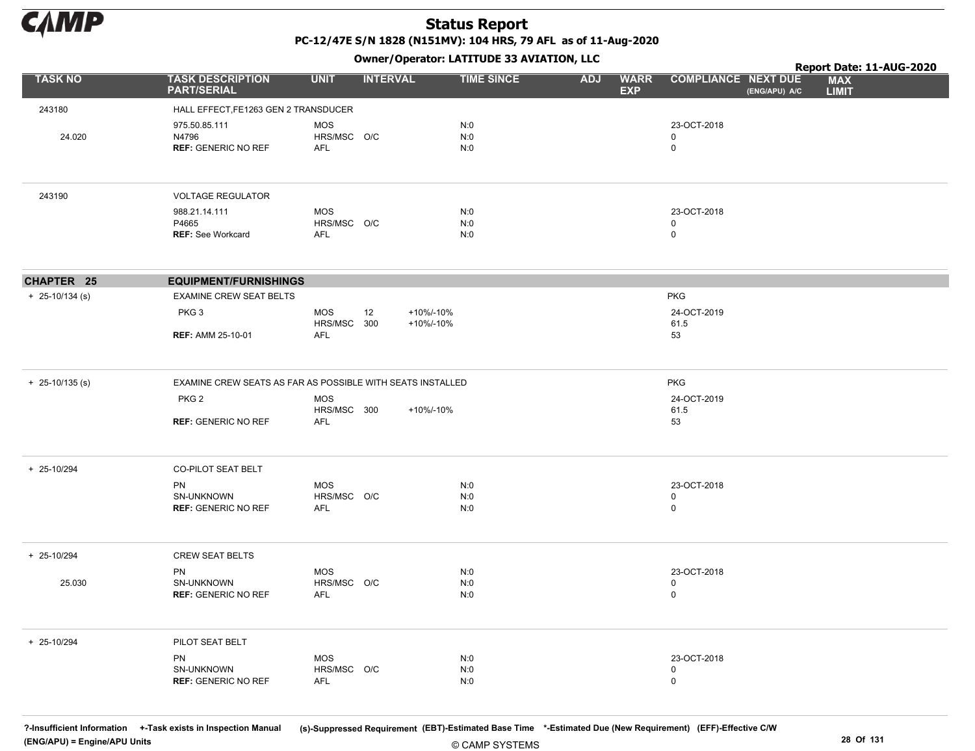

Owner/Operator: LATITUDE 33 AVIATION, LLC

|                   |                                                            |                                  | - - -           |                        |                   |            |                           |                                           |               | Report Date: 11-AUG-2020   |  |
|-------------------|------------------------------------------------------------|----------------------------------|-----------------|------------------------|-------------------|------------|---------------------------|-------------------------------------------|---------------|----------------------------|--|
| <b>TASK NO</b>    | <b>TASK DESCRIPTION</b><br><b>PART/SERIAL</b>              | <b>UNIT</b>                      | <b>INTERVAL</b> |                        | <b>TIME SINCE</b> | <b>ADJ</b> | <b>WARR</b><br><b>EXP</b> | <b>COMPLIANCE NEXT DUE</b>                | (ENG/APU) A/C | <b>MAX</b><br><b>LIMIT</b> |  |
| 243180            | HALL EFFECT, FE1263 GEN 2 TRANSDUCER                       |                                  |                 |                        |                   |            |                           |                                           |               |                            |  |
| 24.020            | 975.50.85.111<br>N4796<br><b>REF: GENERIC NO REF</b>       | <b>MOS</b><br>HRS/MSC O/C<br>AFL |                 |                        | N:0<br>N:0<br>N:0 |            |                           | 23-OCT-2018<br>0<br>$\mathsf 0$           |               |                            |  |
| 243190            | <b>VOLTAGE REGULATOR</b>                                   |                                  |                 |                        |                   |            |                           |                                           |               |                            |  |
|                   | 988.21.14.111<br>P4665<br><b>REF: See Workcard</b>         | <b>MOS</b><br>HRS/MSC O/C<br>AFL |                 |                        | N:0<br>N:0<br>N:0 |            |                           | 23-OCT-2018<br>$\mathbf 0$<br>$\mathsf 0$ |               |                            |  |
| CHAPTER 25        | <b>EQUIPMENT/FURNISHINGS</b>                               |                                  |                 |                        |                   |            |                           |                                           |               |                            |  |
| $+$ 25-10/134 (s) | <b>EXAMINE CREW SEAT BELTS</b>                             |                                  |                 |                        |                   |            |                           | <b>PKG</b>                                |               |                            |  |
|                   | PKG <sub>3</sub>                                           | <b>MOS</b><br>HRS/MSC 300        | 12              | +10%/-10%<br>+10%/-10% |                   |            |                           | 24-OCT-2019<br>61.5                       |               |                            |  |
|                   | <b>REF: AMM 25-10-01</b>                                   | <b>AFL</b>                       |                 |                        |                   |            |                           | 53                                        |               |                            |  |
| $+$ 25-10/135 (s) | EXAMINE CREW SEATS AS FAR AS POSSIBLE WITH SEATS INSTALLED |                                  |                 |                        |                   |            |                           | <b>PKG</b>                                |               |                            |  |
|                   | PKG <sub>2</sub>                                           | <b>MOS</b>                       |                 |                        |                   |            |                           | 24-OCT-2019                               |               |                            |  |
|                   | <b>REF: GENERIC NO REF</b>                                 | HRS/MSC 300<br><b>AFL</b>        |                 | +10%/-10%              |                   |            |                           | 61.5<br>53                                |               |                            |  |
| + 25-10/294       | <b>CO-PILOT SEAT BELT</b>                                  |                                  |                 |                        |                   |            |                           |                                           |               |                            |  |
|                   | PN                                                         | <b>MOS</b><br>HRS/MSC O/C        |                 |                        | N:0               |            |                           | 23-OCT-2018<br>0                          |               |                            |  |
|                   | SN-UNKNOWN<br><b>REF: GENERIC NO REF</b>                   | <b>AFL</b>                       |                 |                        | N:0<br>N:0        |            |                           | $\mathsf{O}$                              |               |                            |  |
| + 25-10/294       | <b>CREW SEAT BELTS</b>                                     |                                  |                 |                        |                   |            |                           |                                           |               |                            |  |
| 25.030            | PN<br>SN-UNKNOWN                                           | <b>MOS</b><br>HRS/MSC O/C        |                 |                        | N:0<br>N:0        |            |                           | 23-OCT-2018<br>0                          |               |                            |  |
|                   | <b>REF: GENERIC NO REF</b>                                 | <b>AFL</b>                       |                 |                        | N:0               |            |                           | $\mathsf{O}$                              |               |                            |  |
| + 25-10/294       | PILOT SEAT BELT                                            |                                  |                 |                        |                   |            |                           |                                           |               |                            |  |
|                   | <b>PN</b><br>SN-UNKNOWN                                    | <b>MOS</b><br>HRS/MSC O/C        |                 |                        | N:0<br>N:0        |            |                           | 23-OCT-2018<br>0                          |               |                            |  |
|                   | <b>REF: GENERIC NO REF</b>                                 | <b>AFL</b>                       |                 |                        | N:0               |            |                           | $\mathsf{O}$                              |               |                            |  |

© CAMP SYSTEMS ?-Insufficient Information +-Task exists in Inspection Manual (s)-Suppressed Requirement (EBT)-Estimated Base Time \*-Estimated Due (New Requirement) (EFF)-Effective C/W (ENG/APU) = Engine/APU Units 28 Of 131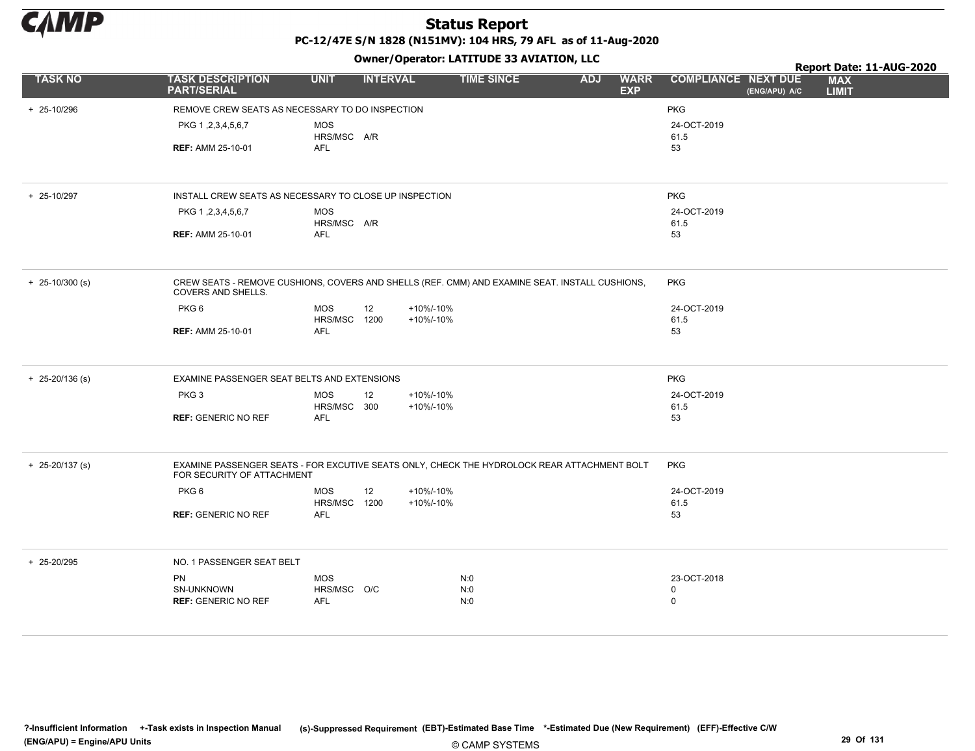

PC-12/47E S/N 1828 (N151MV): 104 HRS, 79 AFL as of 11-Aug-2020

|                     |                                                                                                                             |                            |                 |           | Owner / Operator: EATITODE 33 AVIATION, LLC |            |                           |                            |               | Report Date: 11-AUG-2020   |
|---------------------|-----------------------------------------------------------------------------------------------------------------------------|----------------------------|-----------------|-----------|---------------------------------------------|------------|---------------------------|----------------------------|---------------|----------------------------|
| <b>TASK NO</b>      | <b>TASK DESCRIPTION</b><br><b>PART/SERIAL</b>                                                                               | <b>UNIT</b>                | <b>INTERVAL</b> |           | <b>TIME SINCE</b>                           | <b>ADJ</b> | <b>WARR</b><br><b>EXP</b> | <b>COMPLIANCE NEXT DUE</b> | (ENG/APU) A/C | <b>MAX</b><br><b>LIMIT</b> |
| + 25-10/296         | REMOVE CREW SEATS AS NECESSARY TO DO INSPECTION                                                                             |                            |                 |           |                                             |            |                           | <b>PKG</b>                 |               |                            |
|                     | PKG 1, 2, 3, 4, 5, 6, 7                                                                                                     | <b>MOS</b><br>HRS/MSC A/R  |                 |           |                                             |            |                           | 24-OCT-2019<br>61.5        |               |                            |
|                     | <b>REF: AMM 25-10-01</b>                                                                                                    | <b>AFL</b>                 |                 |           |                                             |            |                           | 53                         |               |                            |
| + 25-10/297         | INSTALL CREW SEATS AS NECESSARY TO CLOSE UP INSPECTION                                                                      |                            |                 |           |                                             |            |                           | PKG                        |               |                            |
|                     | PKG 1, 2, 3, 4, 5, 6, 7                                                                                                     | <b>MOS</b><br>HRS/MSC A/R  |                 |           |                                             |            |                           | 24-OCT-2019<br>61.5        |               |                            |
|                     | <b>REF: AMM 25-10-01</b>                                                                                                    | <b>AFL</b>                 |                 |           |                                             |            |                           | 53                         |               |                            |
| $+ 25 - 10/300$ (s) | CREW SEATS - REMOVE CUSHIONS, COVERS AND SHELLS (REF. CMM) AND EXAMINE SEAT. INSTALL CUSHIONS,<br><b>COVERS AND SHELLS.</b> |                            |                 |           |                                             |            |                           | <b>PKG</b>                 |               |                            |
|                     | PKG <sub>6</sub>                                                                                                            | MOS                        | 12              | +10%/-10% |                                             |            |                           | 24-OCT-2019                |               |                            |
|                     | <b>REF: AMM 25-10-01</b>                                                                                                    | HRS/MSC 1200<br><b>AFL</b> |                 | +10%/-10% |                                             |            |                           | 61.5<br>53                 |               |                            |
|                     |                                                                                                                             |                            |                 |           |                                             |            |                           |                            |               |                            |
| $+ 25 - 20/136$ (s) | EXAMINE PASSENGER SEAT BELTS AND EXTENSIONS                                                                                 |                            |                 |           |                                             |            |                           | <b>PKG</b>                 |               |                            |
|                     | PKG <sub>3</sub>                                                                                                            | <b>MOS</b>                 | 12              | +10%/-10% |                                             |            |                           | 24-OCT-2019                |               |                            |
|                     | <b>REF: GENERIC NO REF</b>                                                                                                  | HRS/MSC 300<br><b>AFL</b>  |                 | +10%/-10% |                                             |            |                           | 61.5<br>53                 |               |                            |
|                     |                                                                                                                             |                            |                 |           |                                             |            |                           |                            |               |                            |
| $+ 25 - 20/137$ (s) | EXAMINE PASSENGER SEATS - FOR EXCUTIVE SEATS ONLY, CHECK THE HYDROLOCK REAR ATTACHMENT BOLT<br>FOR SECURITY OF ATTACHMENT   |                            |                 |           |                                             |            |                           | <b>PKG</b>                 |               |                            |
|                     | PKG <sub>6</sub>                                                                                                            | <b>MOS</b>                 | 12              | +10%/-10% |                                             |            |                           | 24-OCT-2019                |               |                            |
|                     | <b>REF: GENERIC NO REF</b>                                                                                                  | HRS/MSC 1200<br><b>AFL</b> |                 | +10%/-10% |                                             |            |                           | 61.5<br>53                 |               |                            |
|                     |                                                                                                                             |                            |                 |           |                                             |            |                           |                            |               |                            |
| + 25-20/295         | NO. 1 PASSENGER SEAT BELT                                                                                                   |                            |                 |           |                                             |            |                           |                            |               |                            |
|                     | <b>PN</b>                                                                                                                   | <b>MOS</b>                 |                 |           | N:0                                         |            |                           | 23-OCT-2018                |               |                            |
|                     | SN-UNKNOWN<br><b>REF: GENERIC NO REF</b>                                                                                    | HRS/MSC O/C<br><b>AFL</b>  |                 |           | N:0<br>N:0                                  |            |                           | 0<br>$\mathbf 0$           |               |                            |
|                     |                                                                                                                             |                            |                 |           |                                             |            |                           |                            |               |                            |
|                     |                                                                                                                             |                            |                 |           |                                             |            |                           |                            |               |                            |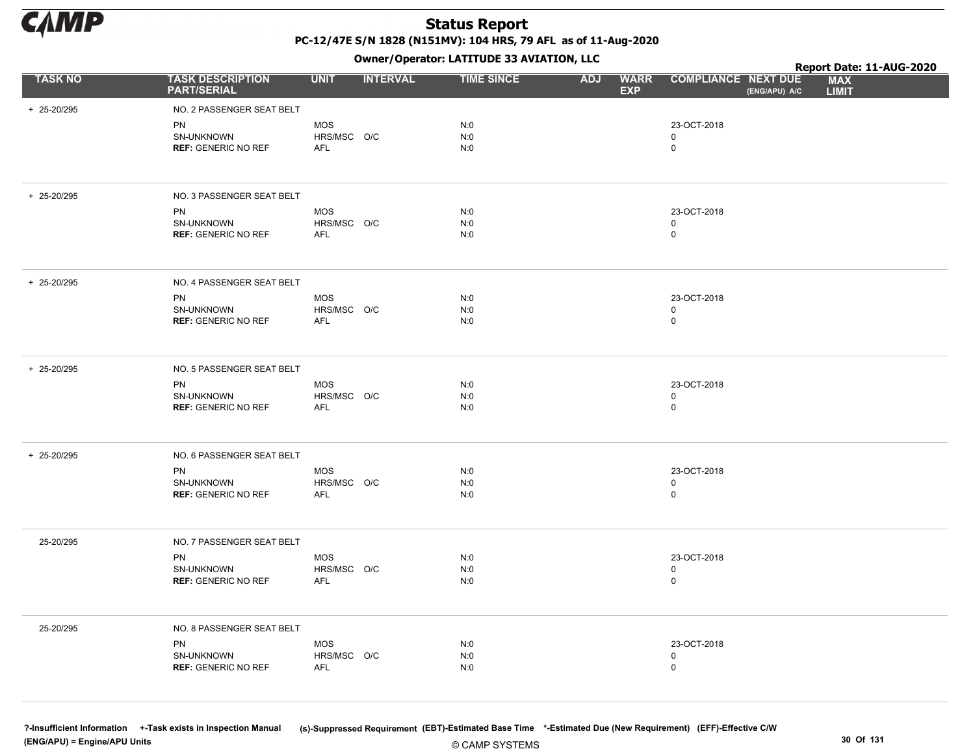

Owner/Operator: LATITUDE 33 AVIATION, LLC

|                |                                                       |                                         |                 | Owner/Operator: LATITUDE 33 AVIATION, LLC |            |                           |                                  |               | Report Date: 11-AUG-2020   |  |
|----------------|-------------------------------------------------------|-----------------------------------------|-----------------|-------------------------------------------|------------|---------------------------|----------------------------------|---------------|----------------------------|--|
| <b>TASK NO</b> | <b>TASK DESCRIPTION</b><br><b>PART/SERIAL</b>         | <b>UNIT</b>                             | <b>INTERVAL</b> | <b>TIME SINCE</b>                         | <b>ADJ</b> | <b>WARR</b><br><b>EXP</b> | <b>COMPLIANCE NEXT DUE</b>       | (ENG/APU) A/C | <b>MAX</b><br><b>LIMIT</b> |  |
| + 25-20/295    | NO. 2 PASSENGER SEAT BELT                             |                                         |                 |                                           |            |                           |                                  |               |                            |  |
|                | <b>PN</b><br>SN-UNKNOWN<br><b>REF: GENERIC NO REF</b> | <b>MOS</b><br>HRS/MSC O/C<br><b>AFL</b> |                 | N:0<br>N:0<br>N:0                         |            |                           | 23-OCT-2018<br>0<br>0            |               |                            |  |
| + 25-20/295    | NO. 3 PASSENGER SEAT BELT                             |                                         |                 |                                           |            |                           |                                  |               |                            |  |
|                | PN<br>SN-UNKNOWN<br><b>REF: GENERIC NO REF</b>        | <b>MOS</b><br>HRS/MSC O/C<br><b>AFL</b> |                 | N:0<br>N:0<br>N:0                         |            |                           | 23-OCT-2018<br>0<br>$\mathsf 0$  |               |                            |  |
| + 25-20/295    | NO. 4 PASSENGER SEAT BELT                             |                                         |                 |                                           |            |                           |                                  |               |                            |  |
|                | PN<br>SN-UNKNOWN<br><b>REF: GENERIC NO REF</b>        | <b>MOS</b><br>HRS/MSC O/C<br><b>AFL</b> |                 | N:0<br>N:0<br>N:0                         |            |                           | 23-OCT-2018<br>0<br>0            |               |                            |  |
| + 25-20/295    | NO. 5 PASSENGER SEAT BELT                             |                                         |                 |                                           |            |                           |                                  |               |                            |  |
|                | PN<br>SN-UNKNOWN<br><b>REF: GENERIC NO REF</b>        | <b>MOS</b><br>HRS/MSC O/C<br><b>AFL</b> |                 | N:0<br>N:0<br>N:0                         |            |                           | 23-OCT-2018<br>0<br>0            |               |                            |  |
| + 25-20/295    | NO. 6 PASSENGER SEAT BELT                             |                                         |                 |                                           |            |                           |                                  |               |                            |  |
|                | PN<br>SN-UNKNOWN<br><b>REF: GENERIC NO REF</b>        | <b>MOS</b><br>HRS/MSC O/C<br><b>AFL</b> |                 | N:0<br>N:0<br>N:0                         |            |                           | 23-OCT-2018<br>0<br>$\mathsf{O}$ |               |                            |  |
| 25-20/295      | NO. 7 PASSENGER SEAT BELT                             |                                         |                 |                                           |            |                           |                                  |               |                            |  |
|                | PN<br>SN-UNKNOWN<br><b>REF: GENERIC NO REF</b>        | <b>MOS</b><br>HRS/MSC O/C<br>AFL        |                 | N:0<br>N:0<br>N:0                         |            |                           | 23-OCT-2018<br>0<br>0            |               |                            |  |
| 25-20/295      | NO. 8 PASSENGER SEAT BELT                             |                                         |                 |                                           |            |                           |                                  |               |                            |  |
|                | PN<br>SN-UNKNOWN<br><b>REF: GENERIC NO REF</b>        | <b>MOS</b><br>HRS/MSC O/C<br>AFL        |                 | N:0<br>N:0<br>N:0                         |            |                           | 23-OCT-2018<br>0<br>0            |               |                            |  |
|                |                                                       |                                         |                 |                                           |            |                           |                                  |               |                            |  |

© CAMP SYSTEMS ?-Insufficient Information +-Task exists in Inspection Manual (s)-Suppressed Requirement (EBT)-Estimated Base Time \*-Estimated Due (New Requirement) (EFF)-Effective C/W (ENG/APU) = Engine/APU Units 30 Of 131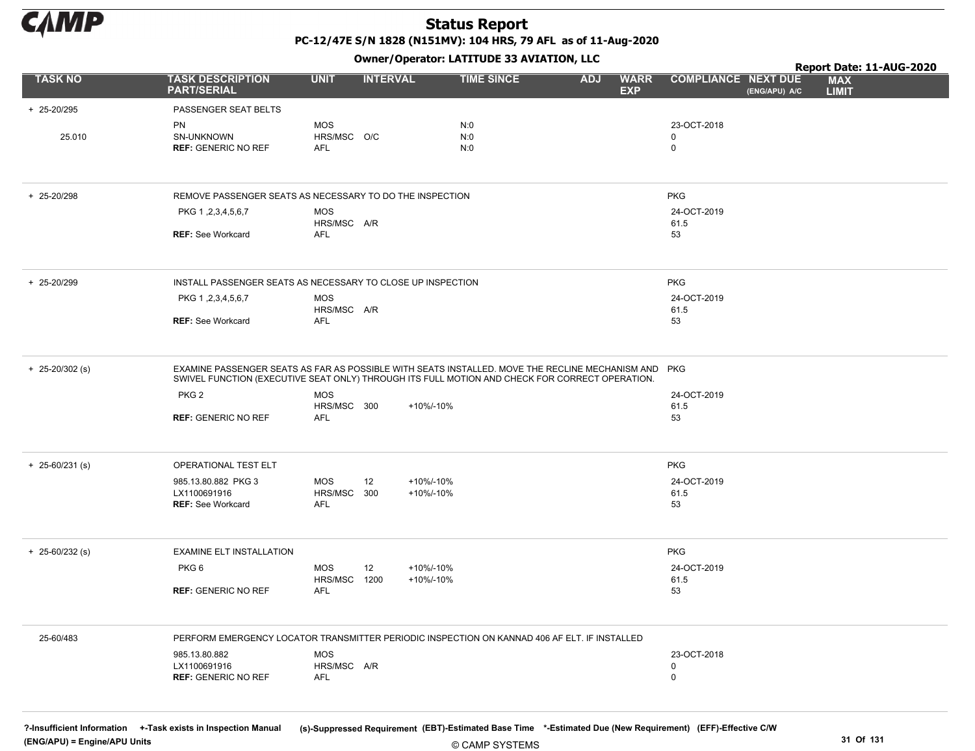

# Owner/Operator: LATITUDE 33 AVIATION, LLC

|                     |                                                                                                                                                                                                       |                           | - - -           |                   |                                         |                                             | Report Date: 11-AUG-2020   |
|---------------------|-------------------------------------------------------------------------------------------------------------------------------------------------------------------------------------------------------|---------------------------|-----------------|-------------------|-----------------------------------------|---------------------------------------------|----------------------------|
| <b>TASK NO</b>      | <b>TASK DESCRIPTION</b><br><b>PART/SERIAL</b>                                                                                                                                                         | <b>UNIT</b>               | <b>INTERVAL</b> | <b>TIME SINCE</b> | <b>ADJ</b><br><b>WARR</b><br><b>EXP</b> | <b>COMPLIANCE NEXT DUE</b><br>(ENG/APU) A/C | <b>MAX</b><br><b>LIMIT</b> |
| + 25-20/295         | PASSENGER SEAT BELTS                                                                                                                                                                                  |                           |                 |                   |                                         |                                             |                            |
|                     | PN                                                                                                                                                                                                    | <b>MOS</b>                |                 | N:0               |                                         | 23-OCT-2018                                 |                            |
| 25.010              | SN-UNKNOWN                                                                                                                                                                                            | HRS/MSC O/C               |                 | N:0               |                                         | 0                                           |                            |
|                     | <b>REF: GENERIC NO REF</b>                                                                                                                                                                            | AFL                       |                 | N:0               |                                         | $\mathbf 0$                                 |                            |
| + 25-20/298         | REMOVE PASSENGER SEATS AS NECESSARY TO DO THE INSPECTION                                                                                                                                              |                           |                 |                   |                                         | <b>PKG</b>                                  |                            |
|                     | PKG 1, 2, 3, 4, 5, 6, 7                                                                                                                                                                               | <b>MOS</b><br>HRS/MSC A/R |                 |                   |                                         | 24-OCT-2019<br>61.5                         |                            |
|                     | <b>REF: See Workcard</b>                                                                                                                                                                              | AFL                       |                 |                   |                                         | 53                                          |                            |
| + 25-20/299         | INSTALL PASSENGER SEATS AS NECESSARY TO CLOSE UP INSPECTION                                                                                                                                           |                           |                 |                   |                                         | <b>PKG</b>                                  |                            |
|                     | PKG 1, 2, 3, 4, 5, 6, 7                                                                                                                                                                               | <b>MOS</b>                |                 |                   |                                         | 24-OCT-2019                                 |                            |
|                     |                                                                                                                                                                                                       | HRS/MSC A/R<br>AFL        |                 |                   |                                         | 61.5<br>53                                  |                            |
|                     | <b>REF: See Workcard</b>                                                                                                                                                                              |                           |                 |                   |                                         |                                             |                            |
| $+$ 25-20/302 (s)   | EXAMINE PASSENGER SEATS AS FAR AS POSSIBLE WITH SEATS INSTALLED. MOVE THE RECLINE MECHANISM AND PKG<br>SWIVEL FUNCTION (EXECUTIVE SEAT ONLY) THROUGH ITS FULL MOTION AND CHECK FOR CORRECT OPERATION. |                           |                 |                   |                                         |                                             |                            |
|                     | PKG <sub>2</sub>                                                                                                                                                                                      | <b>MOS</b>                |                 |                   |                                         | 24-OCT-2019                                 |                            |
|                     | <b>REF: GENERIC NO REF</b>                                                                                                                                                                            | HRS/MSC 300<br>AFL        | +10%/-10%       |                   |                                         | 61.5<br>53                                  |                            |
|                     |                                                                                                                                                                                                       |                           |                 |                   |                                         |                                             |                            |
| $+ 25 - 60/231$ (s) | OPERATIONAL TEST ELT                                                                                                                                                                                  |                           |                 |                   |                                         | <b>PKG</b>                                  |                            |
|                     | 985.13.80.882 PKG 3                                                                                                                                                                                   | MOS                       | 12<br>+10%/-10% |                   |                                         | 24-OCT-2019                                 |                            |
|                     | LX1100691916<br><b>REF:</b> See Workcard                                                                                                                                                              | HRS/MSC 300<br><b>AFL</b> | +10%/-10%       |                   |                                         | 61.5<br>53                                  |                            |
|                     |                                                                                                                                                                                                       |                           |                 |                   |                                         |                                             |                            |
| $+ 25 - 60/232$ (s) | <b>EXAMINE ELT INSTALLATION</b>                                                                                                                                                                       |                           |                 |                   |                                         | <b>PKG</b>                                  |                            |
|                     | PKG <sub>6</sub>                                                                                                                                                                                      | <b>MOS</b>                | 12<br>+10%/-10% |                   |                                         | 24-OCT-2019                                 |                            |
|                     | <b>REF: GENERIC NO REF</b>                                                                                                                                                                            | HRS/MSC 1200<br>AFL       | +10%/-10%       |                   |                                         | 61.5<br>53                                  |                            |
|                     |                                                                                                                                                                                                       |                           |                 |                   |                                         |                                             |                            |
| 25-60/483           | PERFORM EMERGENCY LOCATOR TRANSMITTER PERIODIC INSPECTION ON KANNAD 406 AF ELT. IF INSTALLED                                                                                                          |                           |                 |                   |                                         |                                             |                            |
|                     | 985.13.80.882                                                                                                                                                                                         | <b>MOS</b>                |                 |                   |                                         | 23-OCT-2018                                 |                            |
|                     | LX1100691916<br><b>REF: GENERIC NO REF</b>                                                                                                                                                            | HRS/MSC A/R<br><b>AFL</b> |                 |                   |                                         | $\mathbf 0$<br>$\mathbf 0$                  |                            |
|                     |                                                                                                                                                                                                       |                           |                 |                   |                                         |                                             |                            |
|                     |                                                                                                                                                                                                       |                           |                 |                   |                                         |                                             |                            |

?-Insufficient Information +-Task exists in Inspection Manual (s)-Suppressed Requirement (EBT)-Estimated Base Time \*-Estimated Due (New Requirement) (EFF)-Effective C/W

(ENG/APU) = Engine/APU Units 31 Of 131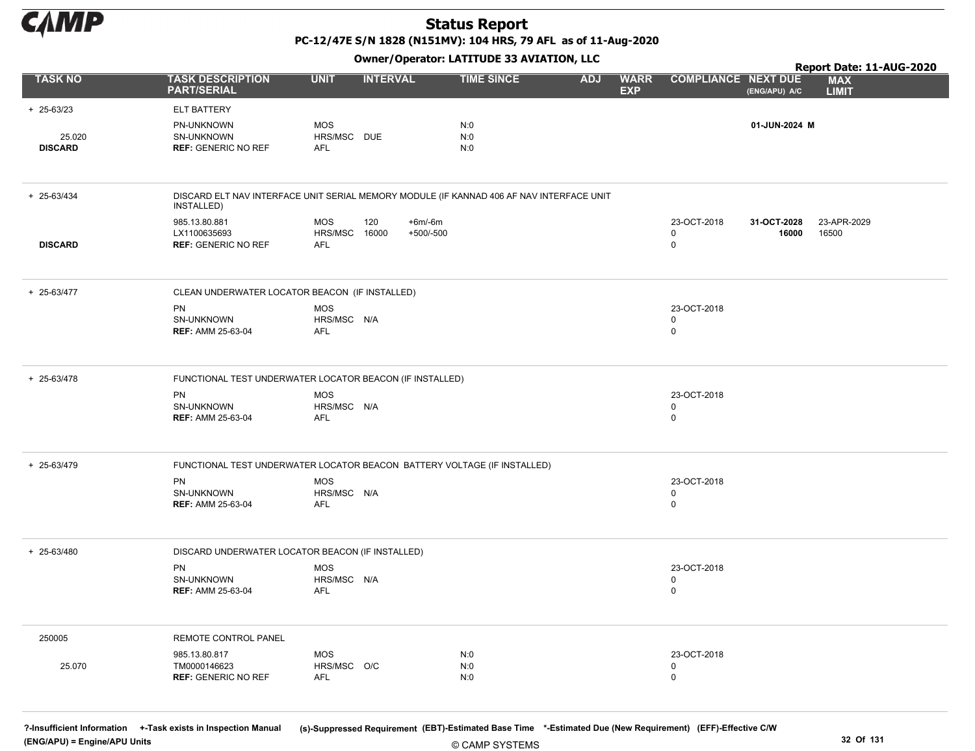

PC-12/47E S/N 1828 (N151MV): 104 HRS, 79 AFL as of 11-Aug-2020

Owner/Operator: LATITUDE 33 AVIATION, LLC

|                          | Owner / Operator: EATITODE 33 AVIATION, LLC<br>Report Date: 11-AUG-2020                                |                                           |                                |                   |            |                           |                                 |                      |                            |
|--------------------------|--------------------------------------------------------------------------------------------------------|-------------------------------------------|--------------------------------|-------------------|------------|---------------------------|---------------------------------|----------------------|----------------------------|
| <b>TASK NO</b>           | <b>TASK DESCRIPTION</b><br><b>PART/SERIAL</b>                                                          | <b>UNIT</b>                               | <b>INTERVAL</b>                | <b>TIME SINCE</b> | <b>ADJ</b> | <b>WARR</b><br><b>EXP</b> | <b>COMPLIANCE NEXT DUE</b>      | (ENG/APU) A/C        | <b>MAX</b><br><b>LIMIT</b> |
| $+ 25 - 63/23$           | ELT BATTERY                                                                                            |                                           |                                |                   |            |                           |                                 |                      |                            |
| 25.020<br><b>DISCARD</b> | PN-UNKNOWN<br>SN-UNKNOWN<br><b>REF: GENERIC NO REF</b>                                                 | <b>MOS</b><br>HRS/MSC DUE<br><b>AFL</b>   |                                | N:0<br>N:0<br>N:0 |            |                           |                                 | 01-JUN-2024 M        |                            |
| + 25-63/434              | DISCARD ELT NAV INTERFACE UNIT SERIAL MEMORY MODULE (IF KANNAD 406 AF NAV INTERFACE UNIT<br>INSTALLED) |                                           |                                |                   |            |                           |                                 |                      |                            |
| <b>DISCARD</b>           | 985.13.80.881<br>LX1100635693<br><b>REF: GENERIC NO REF</b>                                            | <b>MOS</b><br>HRS/MSC 16000<br><b>AFL</b> | 120<br>$+6m/6m$<br>$+500/-500$ |                   |            |                           | 23-OCT-2018<br>0<br>0           | 31-OCT-2028<br>16000 | 23-APR-2029<br>16500       |
| + 25-63/477              | CLEAN UNDERWATER LOCATOR BEACON (IF INSTALLED)                                                         |                                           |                                |                   |            |                           |                                 |                      |                            |
|                          | <b>PN</b><br>SN-UNKNOWN<br><b>REF: AMM 25-63-04</b>                                                    | <b>MOS</b><br>HRS/MSC N/A<br>AFL          |                                |                   |            |                           | 23-OCT-2018<br>0<br>0           |                      |                            |
| + 25-63/478              | FUNCTIONAL TEST UNDERWATER LOCATOR BEACON (IF INSTALLED)                                               |                                           |                                |                   |            |                           |                                 |                      |                            |
|                          | PN<br>SN-UNKNOWN<br><b>REF: AMM 25-63-04</b>                                                           | <b>MOS</b><br>HRS/MSC N/A<br>AFL          |                                |                   |            |                           | 23-OCT-2018<br>$\mathbf 0$<br>0 |                      |                            |
| + 25-63/479              | FUNCTIONAL TEST UNDERWATER LOCATOR BEACON BATTERY VOLTAGE (IF INSTALLED)                               |                                           |                                |                   |            |                           |                                 |                      |                            |
|                          | PN<br>SN-UNKNOWN<br><b>REF: AMM 25-63-04</b>                                                           | <b>MOS</b><br>HRS/MSC N/A<br><b>AFL</b>   |                                |                   |            |                           | 23-OCT-2018<br>0<br>0           |                      |                            |
| + 25-63/480              | DISCARD UNDERWATER LOCATOR BEACON (IF INSTALLED)<br>PN<br>SN-UNKNOWN<br><b>REF: AMM 25-63-04</b>       | <b>MOS</b><br>HRS/MSC N/A<br>AFL          |                                |                   |            |                           | 23-OCT-2018<br>0<br>0           |                      |                            |
| 250005                   | REMOTE CONTROL PANEL                                                                                   |                                           |                                |                   |            |                           |                                 |                      |                            |
| 25.070                   | 985.13.80.817<br>TM0000146623<br><b>REF: GENERIC NO REF</b>                                            | <b>MOS</b><br>HRS/MSC O/C<br><b>AFL</b>   |                                | N:0<br>N:0<br>N:0 |            |                           | 23-OCT-2018<br>0<br>$\mathbf 0$ |                      |                            |

© CAMP SYSTEMS ?-Insufficient Information +-Task exists in Inspection Manual (s)-Suppressed Requirement (EBT)-Estimated Base Time \*-Estimated Due (New Requirement) (EFF)-Effective C/W (ENG/APU) = Engine/APU Units 32 Of 131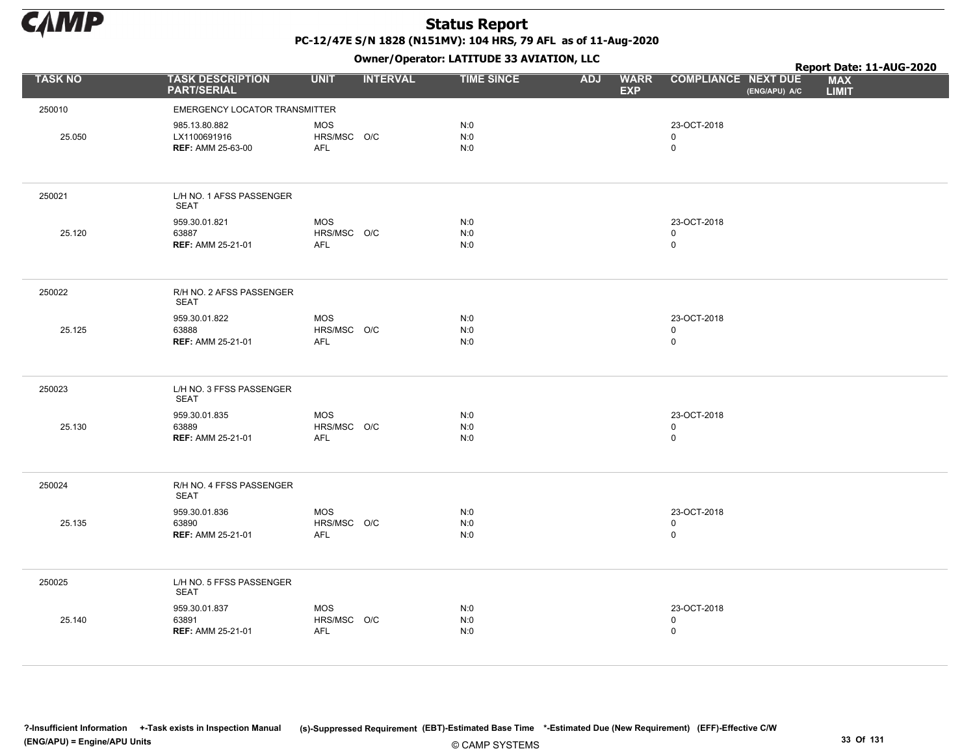

|                |                                                           |                                         | - - - -         |                   |            |                           |                                             | Report Date: 11-AUG-2020   |  |
|----------------|-----------------------------------------------------------|-----------------------------------------|-----------------|-------------------|------------|---------------------------|---------------------------------------------|----------------------------|--|
| <b>TASK NO</b> | <b>TASK DESCRIPTION</b><br><b>PART/SERIAL</b>             | <b>UNIT</b>                             | <b>INTERVAL</b> | <b>TIME SINCE</b> | <b>ADJ</b> | <b>WARR</b><br><b>EXP</b> | <b>COMPLIANCE NEXT DUE</b><br>(ENG/APU) A/C | <b>MAX</b><br><b>LIMIT</b> |  |
| 250010         | <b>EMERGENCY LOCATOR TRANSMITTER</b>                      |                                         |                 |                   |            |                           |                                             |                            |  |
| 25.050         | 985.13.80.882<br>LX1100691916<br><b>REF: AMM 25-63-00</b> | <b>MOS</b><br>HRS/MSC O/C<br>AFL        |                 | N:0<br>N:0<br>N:0 |            |                           | 23-OCT-2018<br>$\mathbf 0$<br>$\mathsf 0$   |                            |  |
| 250021         | L/H NO. 1 AFSS PASSENGER<br>SEAT                          |                                         |                 |                   |            |                           |                                             |                            |  |
| 25.120         | 959.30.01.821<br>63887<br><b>REF: AMM 25-21-01</b>        | <b>MOS</b><br>HRS/MSC O/C<br>AFL        |                 | N:0<br>N:0<br>N:0 |            |                           | 23-OCT-2018<br>$\mathbf 0$<br>$\mathsf 0$   |                            |  |
| 250022         | R/H NO. 2 AFSS PASSENGER<br>SEAT                          |                                         |                 |                   |            |                           |                                             |                            |  |
| 25.125         | 959.30.01.822<br>63888<br><b>REF: AMM 25-21-01</b>        | <b>MOS</b><br>HRS/MSC O/C<br><b>AFL</b> |                 | N:0<br>N:0<br>N:0 |            |                           | 23-OCT-2018<br>$\mathsf 0$<br>$\mathsf 0$   |                            |  |
| 250023         | L/H NO. 3 FFSS PASSENGER<br><b>SEAT</b>                   |                                         |                 |                   |            |                           |                                             |                            |  |
| 25.130         | 959.30.01.835<br>63889<br><b>REF: AMM 25-21-01</b>        | <b>MOS</b><br>HRS/MSC O/C<br><b>AFL</b> |                 | N:0<br>N:0<br>N:0 |            |                           | 23-OCT-2018<br>$\mathbf 0$<br>$\mathsf 0$   |                            |  |
| 250024         | R/H NO. 4 FFSS PASSENGER<br><b>SEAT</b>                   |                                         |                 |                   |            |                           |                                             |                            |  |
| 25.135         | 959.30.01.836<br>63890<br><b>REF: AMM 25-21-01</b>        | <b>MOS</b><br>HRS/MSC O/C<br>AFL        |                 | N:0<br>N:0<br>N:0 |            |                           | 23-OCT-2018<br>$\mathbf 0$<br>$\pmb{0}$     |                            |  |
| 250025         | L/H NO. 5 FFSS PASSENGER<br><b>SEAT</b>                   |                                         |                 |                   |            |                           |                                             |                            |  |
| 25.140         | 959.30.01.837<br>63891<br><b>REF: AMM 25-21-01</b>        | <b>MOS</b><br>HRS/MSC O/C<br><b>AFL</b> |                 | N:0<br>N:0<br>N:0 |            |                           | 23-OCT-2018<br>$\mathsf 0$<br>$\mathsf 0$   |                            |  |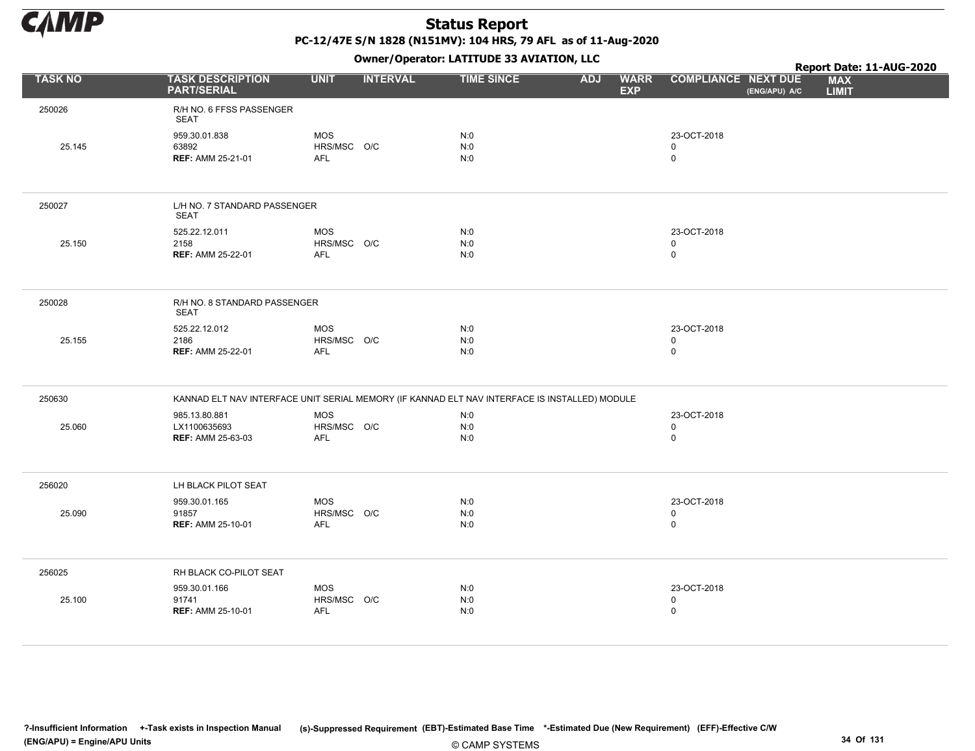

|                |                                                                                               |                                         | - - -           |                   |            |                           |                                            |               | Report Date: 11-AUG-2020   |  |
|----------------|-----------------------------------------------------------------------------------------------|-----------------------------------------|-----------------|-------------------|------------|---------------------------|--------------------------------------------|---------------|----------------------------|--|
| <b>TASK NO</b> | <b>TASK DESCRIPTION</b><br><b>PART/SERIAL</b>                                                 | <b>UNIT</b>                             | <b>INTERVAL</b> | <b>TIME SINCE</b> | <b>ADJ</b> | <b>WARR</b><br><b>EXP</b> | <b>COMPLIANCE NEXT DUE</b>                 | (ENG/APU) A/C | <b>MAX</b><br><b>LIMIT</b> |  |
| 250026         | R/H NO. 6 FFSS PASSENGER<br>SEAT                                                              |                                         |                 |                   |            |                           |                                            |               |                            |  |
| 25.145         | 959.30.01.838<br>63892<br><b>REF: AMM 25-21-01</b>                                            | <b>MOS</b><br>HRS/MSC O/C<br><b>AFL</b> |                 | N:0<br>N:0<br>N:0 |            |                           | 23-OCT-2018<br>$\mathbf 0$<br>$\mathsf{O}$ |               |                            |  |
| 250027         | L/H NO. 7 STANDARD PASSENGER<br><b>SEAT</b>                                                   |                                         |                 |                   |            |                           |                                            |               |                            |  |
| 25.150         | 525.22.12.011<br>2158<br><b>REF: AMM 25-22-01</b>                                             | <b>MOS</b><br>HRS/MSC O/C<br><b>AFL</b> |                 | N:0<br>N:0<br>N:0 |            |                           | 23-OCT-2018<br>0<br>0                      |               |                            |  |
| 250028         | R/H NO. 8 STANDARD PASSENGER<br><b>SEAT</b>                                                   |                                         |                 |                   |            |                           |                                            |               |                            |  |
| 25.155         | 525.22.12.012<br>2186<br><b>REF: AMM 25-22-01</b>                                             | <b>MOS</b><br>HRS/MSC O/C<br><b>AFL</b> |                 | N:0<br>N:0<br>N:0 |            |                           | 23-OCT-2018<br>$\mathbf 0$<br>$\mathbf 0$  |               |                            |  |
| 250630         | KANNAD ELT NAV INTERFACE UNIT SERIAL MEMORY (IF KANNAD ELT NAV INTERFACE IS INSTALLED) MODULE |                                         |                 |                   |            |                           |                                            |               |                            |  |
| 25.060         | 985.13.80.881<br>LX1100635693<br><b>REF: AMM 25-63-03</b>                                     | <b>MOS</b><br>HRS/MSC O/C<br><b>AFL</b> |                 | N:0<br>N:0<br>N:0 |            |                           | 23-OCT-2018<br>0<br>$\mathsf{O}$           |               |                            |  |
| 256020         | LH BLACK PILOT SEAT                                                                           |                                         |                 |                   |            |                           |                                            |               |                            |  |
| 25.090         | 959.30.01.165<br>91857<br><b>REF: AMM 25-10-01</b>                                            | <b>MOS</b><br>HRS/MSC O/C<br><b>AFL</b> |                 | N:0<br>N:0<br>N:0 |            |                           | 23-OCT-2018<br>0<br>0                      |               |                            |  |
| 256025         | RH BLACK CO-PILOT SEAT                                                                        |                                         |                 |                   |            |                           |                                            |               |                            |  |
| 25.100         | 959.30.01.166<br>91741<br><b>REF: AMM 25-10-01</b>                                            | <b>MOS</b><br>HRS/MSC O/C<br>AFL        |                 | N:0<br>N:0<br>N:0 |            |                           | 23-OCT-2018<br>0<br>$\mathsf 0$            |               |                            |  |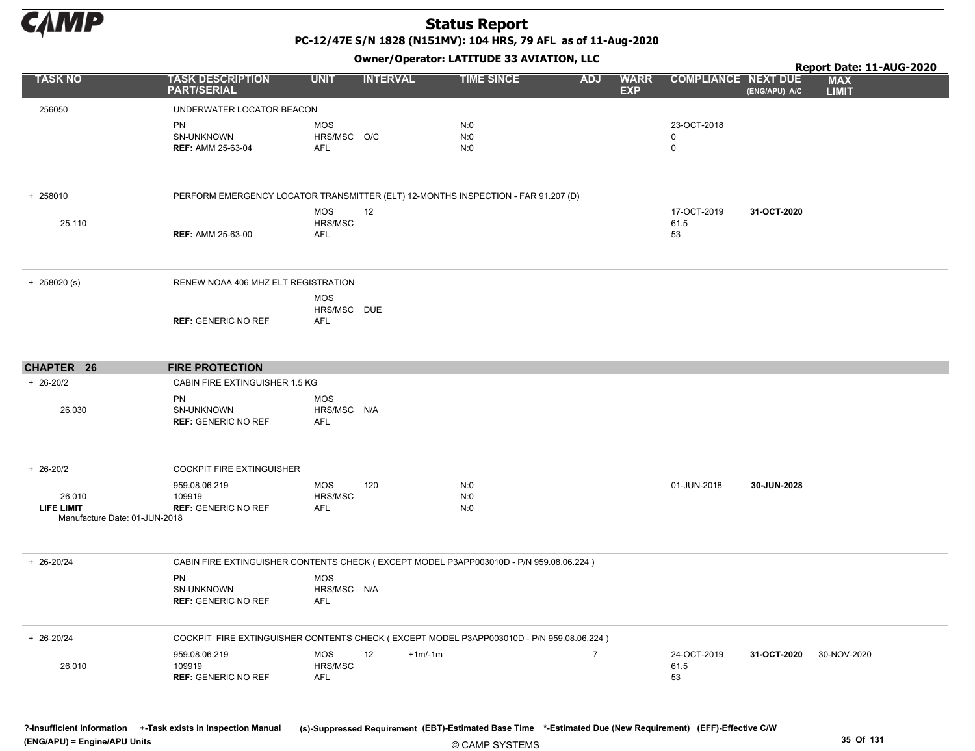

PC-12/47E S/N 1828 (N151MV): 104 HRS, 79 AFL as of 11-Aug-2020

Owner/Operator: LATITUDE 33 AVIATION, LLC

|                                             |                                                                                          |                                  | - - - -         |                   |                |                           |                            |               | Report Date: 11-AUG-2020   |  |
|---------------------------------------------|------------------------------------------------------------------------------------------|----------------------------------|-----------------|-------------------|----------------|---------------------------|----------------------------|---------------|----------------------------|--|
| <b>TASK NO</b>                              | <b>TASK DESCRIPTION</b><br><b>PART/SERIAL</b>                                            | <b>UNIT</b>                      | <b>INTERVAL</b> | <b>TIME SINCE</b> | <b>ADJ</b>     | <b>WARR</b><br><b>EXP</b> | <b>COMPLIANCE NEXT DUE</b> | (ENG/APU) A/C | <b>MAX</b><br><b>LIMIT</b> |  |
| 256050                                      | UNDERWATER LOCATOR BEACON                                                                |                                  |                 |                   |                |                           |                            |               |                            |  |
|                                             | PN                                                                                       | MOS                              |                 | N:0               |                |                           | 23-OCT-2018                |               |                            |  |
|                                             | SN-UNKNOWN                                                                               | HRS/MSC O/C                      |                 | N:0               |                |                           | 0                          |               |                            |  |
|                                             | <b>REF: AMM 25-63-04</b>                                                                 | AFL                              |                 | N:0               |                |                           | 0                          |               |                            |  |
| + 258010                                    | PERFORM EMERGENCY LOCATOR TRANSMITTER (ELT) 12-MONTHS INSPECTION - FAR 91.207 (D)        |                                  |                 |                   |                |                           |                            |               |                            |  |
|                                             |                                                                                          | MOS                              | 12              |                   |                |                           | 17-OCT-2019                | 31-OCT-2020   |                            |  |
| 25.110                                      | <b>REF: AMM 25-63-00</b>                                                                 | HRS/MSC<br>AFL                   |                 |                   |                |                           | 61.5<br>53                 |               |                            |  |
|                                             |                                                                                          |                                  |                 |                   |                |                           |                            |               |                            |  |
| $+ 258020(s)$                               | RENEW NOAA 406 MHZ ELT REGISTRATION                                                      |                                  |                 |                   |                |                           |                            |               |                            |  |
|                                             |                                                                                          | MOS                              |                 |                   |                |                           |                            |               |                            |  |
|                                             | <b>REF: GENERIC NO REF</b>                                                               | HRS/MSC DUE<br>AFL               |                 |                   |                |                           |                            |               |                            |  |
|                                             |                                                                                          |                                  |                 |                   |                |                           |                            |               |                            |  |
| <b>CHAPTER 26</b>                           | <b>FIRE PROTECTION</b>                                                                   |                                  |                 |                   |                |                           |                            |               |                            |  |
| $+ 26 - 20/2$                               | CABIN FIRE EXTINGUISHER 1.5 KG                                                           |                                  |                 |                   |                |                           |                            |               |                            |  |
| 26.030                                      | <b>PN</b><br>SN-UNKNOWN<br><b>REF: GENERIC NO REF</b>                                    | <b>MOS</b><br>HRS/MSC N/A<br>AFL |                 |                   |                |                           |                            |               |                            |  |
| $+ 26 - 20/2$                               | COCKPIT FIRE EXTINGUISHER                                                                |                                  |                 |                   |                |                           |                            |               |                            |  |
|                                             | 959.08.06.219                                                                            | MOS                              | 120             | N:0               |                |                           | 01-JUN-2018                | 30-JUN-2028   |                            |  |
| 26.010                                      | 109919                                                                                   | HRS/MSC                          |                 | N:0               |                |                           |                            |               |                            |  |
| LIFE LIMIT<br>Manufacture Date: 01-JUN-2018 | <b>REF: GENERIC NO REF</b>                                                               | AFL                              |                 | N:0               |                |                           |                            |               |                            |  |
| + 26-20/24                                  | CABIN FIRE EXTINGUISHER CONTENTS CHECK (EXCEPT MODEL P3APP003010D - P/N 959.08.06.224)   |                                  |                 |                   |                |                           |                            |               |                            |  |
|                                             | PN                                                                                       | MOS                              |                 |                   |                |                           |                            |               |                            |  |
|                                             | SN-UNKNOWN<br><b>REF: GENERIC NO REF</b>                                                 | HRS/MSC N/A<br>AFL               |                 |                   |                |                           |                            |               |                            |  |
| $+ 26 - 20/24$                              | COCKPIT FIRE EXTINGUISHER CONTENTS CHECK (EXCEPT MODEL P3APP003010D - P/N 959.08.06.224) |                                  |                 |                   |                |                           |                            |               |                            |  |
|                                             | 959.08.06.219                                                                            | <b>MOS</b>                       | 12<br>$+1m/1m$  |                   | $\overline{7}$ |                           | 24-OCT-2019                | 31-OCT-2020   | 30-NOV-2020                |  |
| 26.010                                      | 109919<br><b>REF: GENERIC NO REF</b>                                                     | HRS/MSC<br>AFL                   |                 |                   |                |                           | 61.5<br>53                 |               |                            |  |
|                                             |                                                                                          |                                  |                 |                   |                |                           |                            |               |                            |  |

?-Insufficient Information +-Task exists in Inspection Manual (s)-Suppressed Requirement (EBT)-Estimated Base Time \*-Estimated Due (New Requirement) (EFF)-Effective C/W

(ENG/APU) = Engine/APU Units 35 Of 131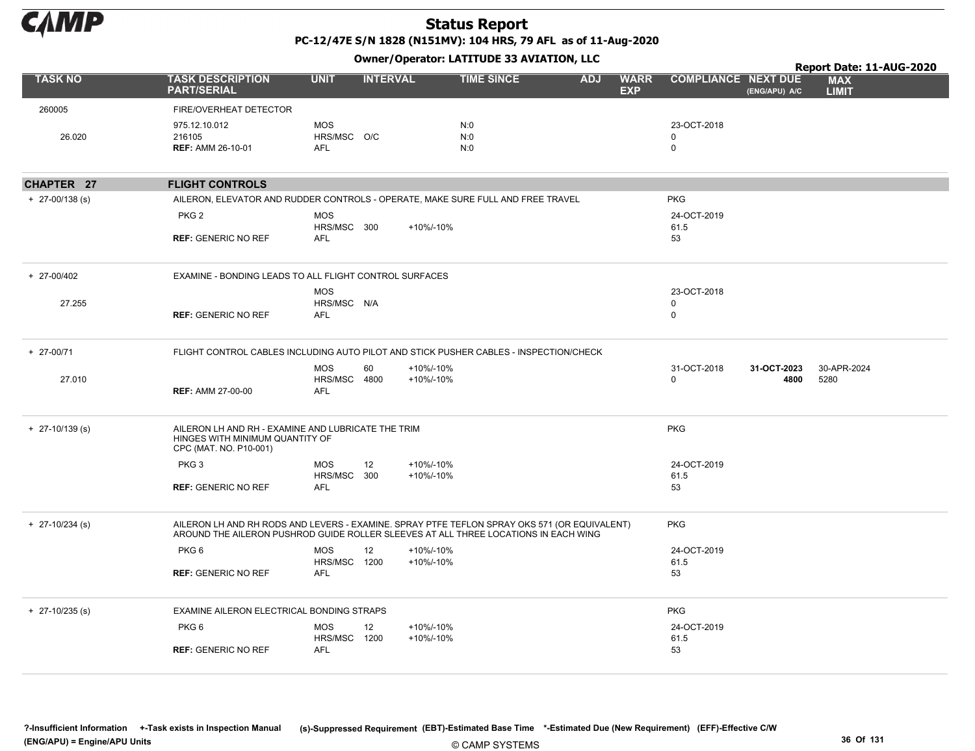

PC-12/47E S/N 1828 (N151MV): 104 HRS, 79 AFL as of 11-Aug-2020 Owner/Operator: LATITUDE 33 AVIATION, LLC

|                   |                                                                                                                                                                                                   |                                         |                              |                   |                          |                                         |                                             | Report Date: 11-AUG-2020   |
|-------------------|---------------------------------------------------------------------------------------------------------------------------------------------------------------------------------------------------|-----------------------------------------|------------------------------|-------------------|--------------------------|-----------------------------------------|---------------------------------------------|----------------------------|
| <b>TASK NO</b>    | <b>TASK DESCRIPTION</b><br><b>PART/SERIAL</b>                                                                                                                                                     | <b>UNIT</b>                             | <b>INTERVAL</b>              | <b>TIME SINCE</b> | <b>ADJ</b><br><b>EXP</b> | <b>WARR</b>                             | <b>COMPLIANCE NEXT DUE</b><br>(ENG/APU) A/C | <b>MAX</b><br><b>LIMIT</b> |
| 260005            | FIRE/OVERHEAT DETECTOR                                                                                                                                                                            |                                         |                              |                   |                          |                                         |                                             |                            |
| 26.020            | 975.12.10.012<br>216105<br><b>REF: AMM 26-10-01</b>                                                                                                                                               | <b>MOS</b><br>HRS/MSC O/C<br><b>AFL</b> |                              | N:0<br>N:0<br>N:0 |                          | 23-OCT-2018<br>$\Omega$<br>$\mathsf{O}$ |                                             |                            |
| CHAPTER 27        | <b>FLIGHT CONTROLS</b>                                                                                                                                                                            |                                         |                              |                   |                          |                                         |                                             |                            |
| $+$ 27-00/138 (s) | AILERON, ELEVATOR AND RUDDER CONTROLS - OPERATE, MAKE SURE FULL AND FREE TRAVEL                                                                                                                   |                                         |                              |                   |                          | <b>PKG</b>                              |                                             |                            |
|                   | PKG <sub>2</sub><br><b>REF: GENERIC NO REF</b>                                                                                                                                                    | <b>MOS</b><br>HRS/MSC 300<br><b>AFL</b> | +10%/-10%                    |                   |                          | 24-OCT-2019<br>61.5<br>53               |                                             |                            |
| + 27-00/402       | EXAMINE - BONDING LEADS TO ALL FLIGHT CONTROL SURFACES                                                                                                                                            |                                         |                              |                   |                          |                                         |                                             |                            |
| 27.255            | <b>REF: GENERIC NO REF</b>                                                                                                                                                                        | <b>MOS</b><br>HRS/MSC N/A<br><b>AFL</b> |                              |                   |                          | 23-OCT-2018<br>0<br>$\mathbf 0$         |                                             |                            |
| + 27-00/71        | FLIGHT CONTROL CABLES INCLUDING AUTO PILOT AND STICK PUSHER CABLES - INSPECTION/CHECK                                                                                                             |                                         |                              |                   |                          |                                         |                                             |                            |
| 27.010            | <b>REF: AMM 27-00-00</b>                                                                                                                                                                          | <b>MOS</b><br>HRS/MSC 4800<br>AFL       | 60<br>+10%/-10%<br>+10%/-10% |                   |                          | 31-OCT-2018<br>$\mathbf{0}$             | 31-OCT-2023<br>4800                         | 30-APR-2024<br>5280        |
| $+$ 27-10/139 (s) | AILERON LH AND RH - EXAMINE AND LUBRICATE THE TRIM<br>HINGES WITH MINIMUM QUANTITY OF<br>CPC (MAT. NO. P10-001)                                                                                   |                                         |                              |                   |                          | <b>PKG</b>                              |                                             |                            |
|                   | PKG <sub>3</sub>                                                                                                                                                                                  | MOS                                     | 12<br>+10%/-10%              |                   |                          | 24-OCT-2019                             |                                             |                            |
|                   | <b>REF: GENERIC NO REF</b>                                                                                                                                                                        | HRS/MSC 300<br><b>AFL</b>               | +10%/-10%                    |                   |                          | 61.5<br>53                              |                                             |                            |
| $+$ 27-10/234 (s) | AILERON LH AND RH RODS AND LEVERS - EXAMINE. SPRAY PTFE TEFLON SPRAY OKS 571 (OR EQUIVALENT)<br><b>PKG</b><br>AROUND THE AILERON PUSHROD GUIDE ROLLER SLEEVES AT ALL THREE LOCATIONS IN EACH WING |                                         |                              |                   |                          |                                         |                                             |                            |
|                   | PKG <sub>6</sub>                                                                                                                                                                                  | <b>MOS</b>                              | 12<br>+10%/-10%              |                   |                          | 24-OCT-2019                             |                                             |                            |
|                   | <b>REF: GENERIC NO REF</b>                                                                                                                                                                        | HRS/MSC 1200<br><b>AFL</b>              | +10%/-10%                    |                   |                          | 61.5<br>53                              |                                             |                            |
| $+$ 27-10/235 (s) | EXAMINE AILERON ELECTRICAL BONDING STRAPS                                                                                                                                                         |                                         |                              |                   |                          | <b>PKG</b>                              |                                             |                            |
|                   | PKG <sub>6</sub>                                                                                                                                                                                  | <b>MOS</b><br>HRS/MSC 1200              | 12<br>+10%/-10%<br>+10%/-10% |                   |                          | 24-OCT-2019<br>61.5                     |                                             |                            |
|                   | <b>REF: GENERIC NO REF</b>                                                                                                                                                                        | AFL                                     |                              |                   |                          | 53                                      |                                             |                            |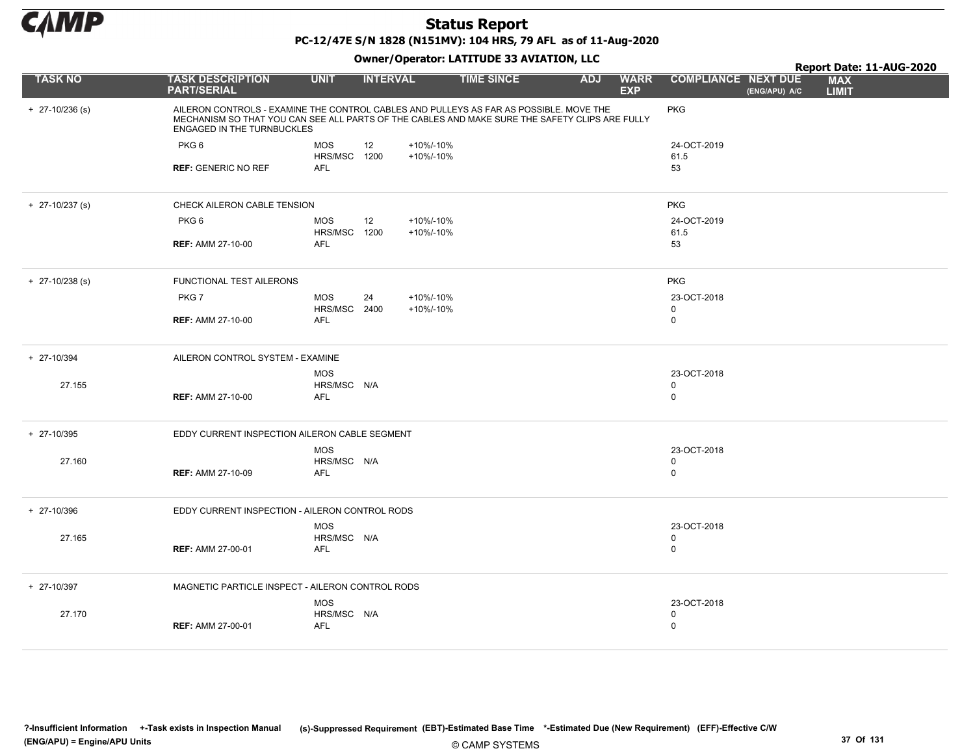

PC-12/47E S/N 1828 (N151MV): 104 HRS, 79 AFL as of 11-Aug-2020

|                   |                                                                                                                                                                                                                        |                            | .               |                        |                   |            |                           |                            |               | Report Date: 11-AUG-2020   |
|-------------------|------------------------------------------------------------------------------------------------------------------------------------------------------------------------------------------------------------------------|----------------------------|-----------------|------------------------|-------------------|------------|---------------------------|----------------------------|---------------|----------------------------|
| <b>TASK NO</b>    | <b>TASK DESCRIPTION</b><br><b>PART/SERIAL</b>                                                                                                                                                                          | <b>UNIT</b>                | <b>INTERVAL</b> |                        | <b>TIME SINCE</b> | <b>ADJ</b> | <b>WARR</b><br><b>EXP</b> | <b>COMPLIANCE NEXT DUE</b> | (ENG/APU) A/C | <b>MAX</b><br><b>LIMIT</b> |
| $+$ 27-10/236 (s) | AILERON CONTROLS - EXAMINE THE CONTROL CABLES AND PULLEYS AS FAR AS POSSIBLE. MOVE THE<br>MECHANISM SO THAT YOU CAN SEE ALL PARTS OF THE CABLES AND MAKE SURE THE SAFETY CLIPS ARE FULLY<br>ENGAGED IN THE TURNBUCKLES |                            |                 |                        |                   |            |                           | <b>PKG</b>                 |               |                            |
|                   | PKG <sub>6</sub>                                                                                                                                                                                                       | <b>MOS</b>                 | 12              | +10%/-10%              |                   |            |                           | 24-OCT-2019                |               |                            |
|                   | <b>REF: GENERIC NO REF</b>                                                                                                                                                                                             | HRS/MSC 1200<br><b>AFL</b> |                 | +10%/-10%              |                   |            |                           | 61.5<br>53                 |               |                            |
|                   |                                                                                                                                                                                                                        |                            |                 |                        |                   |            |                           |                            |               |                            |
| $+$ 27-10/237 (s) | CHECK AILERON CABLE TENSION                                                                                                                                                                                            |                            |                 |                        |                   |            |                           | <b>PKG</b>                 |               |                            |
|                   | PKG <sub>6</sub>                                                                                                                                                                                                       | <b>MOS</b><br>HRS/MSC 1200 | 12              | +10%/-10%<br>+10%/-10% |                   |            |                           | 24-OCT-2019<br>61.5        |               |                            |
|                   | <b>REF: AMM 27-10-00</b>                                                                                                                                                                                               | <b>AFL</b>                 |                 |                        |                   |            |                           | 53                         |               |                            |
| $+$ 27-10/238 (s) | FUNCTIONAL TEST AILERONS                                                                                                                                                                                               |                            |                 |                        |                   |            |                           | <b>PKG</b>                 |               |                            |
|                   | PKG7                                                                                                                                                                                                                   | <b>MOS</b><br>HRS/MSC 2400 | 24              | +10%/-10%<br>+10%/-10% |                   |            |                           | 23-OCT-2018<br>$\mathbf 0$ |               |                            |
|                   | <b>REF: AMM 27-10-00</b>                                                                                                                                                                                               | AFL                        |                 |                        |                   |            |                           | $\mathbf 0$                |               |                            |
| + 27-10/394       | AILERON CONTROL SYSTEM - EXAMINE                                                                                                                                                                                       |                            |                 |                        |                   |            |                           |                            |               |                            |
|                   |                                                                                                                                                                                                                        | <b>MOS</b>                 |                 |                        |                   |            |                           | 23-OCT-2018                |               |                            |
| 27.155            | <b>REF: AMM 27-10-00</b>                                                                                                                                                                                               | HRS/MSC N/A<br><b>AFL</b>  |                 |                        |                   |            |                           | $\Omega$<br>$\Omega$       |               |                            |
| + 27-10/395       | EDDY CURRENT INSPECTION AILERON CABLE SEGMENT                                                                                                                                                                          |                            |                 |                        |                   |            |                           |                            |               |                            |
|                   |                                                                                                                                                                                                                        | <b>MOS</b>                 |                 |                        |                   |            |                           | 23-OCT-2018                |               |                            |
| 27.160            | <b>REF: AMM 27-10-09</b>                                                                                                                                                                                               | HRS/MSC N/A<br><b>AFL</b>  |                 |                        |                   |            |                           | $\Omega$<br>$\mathbf 0$    |               |                            |
| $+ 27 - 10/396$   | EDDY CURRENT INSPECTION - AILERON CONTROL RODS                                                                                                                                                                         |                            |                 |                        |                   |            |                           |                            |               |                            |
|                   |                                                                                                                                                                                                                        | <b>MOS</b>                 |                 |                        |                   |            |                           | 23-OCT-2018                |               |                            |
| 27.165            | <b>REF: AMM 27-00-01</b>                                                                                                                                                                                               | HRS/MSC N/A<br><b>AFL</b>  |                 |                        |                   |            |                           | 0<br>$\mathbf 0$           |               |                            |
|                   |                                                                                                                                                                                                                        |                            |                 |                        |                   |            |                           |                            |               |                            |
| $+ 27 - 10/397$   | MAGNETIC PARTICLE INSPECT - AILERON CONTROL RODS                                                                                                                                                                       |                            |                 |                        |                   |            |                           |                            |               |                            |
| 27.170            |                                                                                                                                                                                                                        | <b>MOS</b><br>HRS/MSC N/A  |                 |                        |                   |            |                           | 23-OCT-2018<br>0           |               |                            |
|                   | <b>REF: AMM 27-00-01</b>                                                                                                                                                                                               | <b>AFL</b>                 |                 |                        |                   |            |                           | $\mathbf 0$                |               |                            |
|                   |                                                                                                                                                                                                                        |                            |                 |                        |                   |            |                           |                            |               |                            |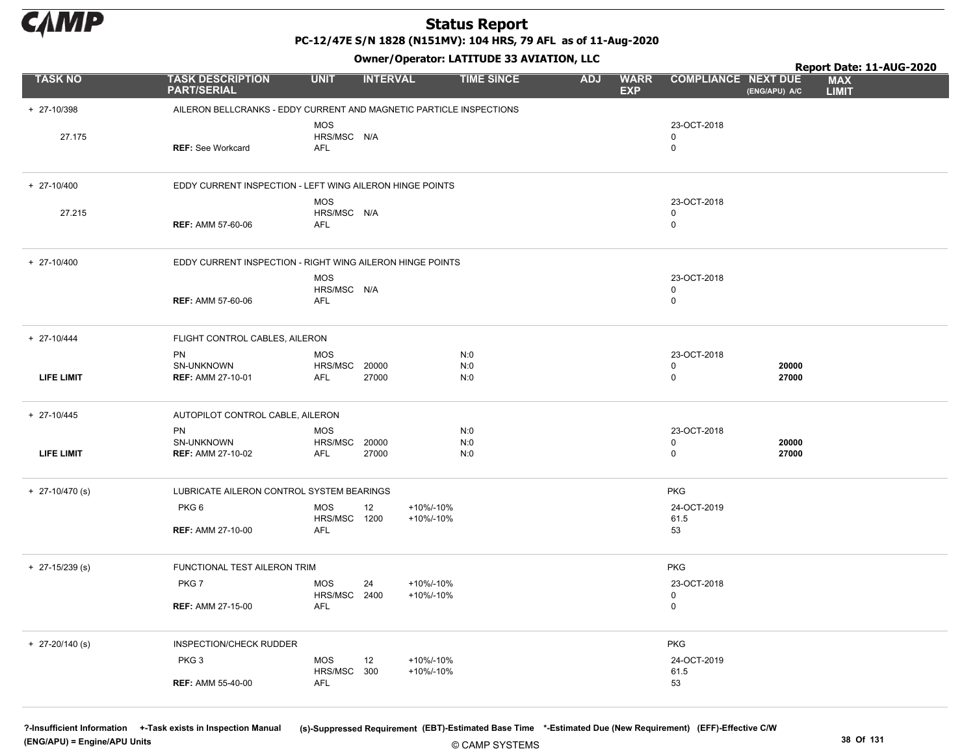

PC-12/47E S/N 1828 (N151MV): 104 HRS, 79 AFL as of 11-Aug-2020

Owner/Operator: LATITUDE 33 AVIATION, LLC

|                   |                                                                     | Owner/Operator. EATITODE 33 AVIATION, LLC<br>Report Date: 11-AUG-2020 |                        |                   |            |                           |                                 |                |                            |  |
|-------------------|---------------------------------------------------------------------|-----------------------------------------------------------------------|------------------------|-------------------|------------|---------------------------|---------------------------------|----------------|----------------------------|--|
| <b>TASK NO</b>    | <b>TASK DESCRIPTION</b><br><b>PART/SERIAL</b>                       | <b>UNIT</b>                                                           | <b>INTERVAL</b>        | <b>TIME SINCE</b> | <b>ADJ</b> | <b>WARR</b><br><b>EXP</b> | <b>COMPLIANCE NEXT DUE</b>      | (ENG/APU) A/C  | <b>MAX</b><br><b>LIMIT</b> |  |
| + 27-10/398       | AILERON BELLCRANKS - EDDY CURRENT AND MAGNETIC PARTICLE INSPECTIONS |                                                                       |                        |                   |            |                           |                                 |                |                            |  |
| 27.175            | <b>REF: See Workcard</b>                                            | <b>MOS</b><br>HRS/MSC N/A<br>AFL                                      |                        |                   |            |                           | 23-OCT-2018<br>0<br>$\mathbf 0$ |                |                            |  |
| $+ 27-10/400$     | EDDY CURRENT INSPECTION - LEFT WING AILERON HINGE POINTS            |                                                                       |                        |                   |            |                           |                                 |                |                            |  |
| 27.215            | <b>REF: AMM 57-60-06</b>                                            | <b>MOS</b><br>HRS/MSC N/A<br><b>AFL</b>                               |                        |                   |            |                           | 23-OCT-2018<br>0<br>$\mathbf 0$ |                |                            |  |
| $+ 27-10/400$     | EDDY CURRENT INSPECTION - RIGHT WING AILERON HINGE POINTS           | <b>MOS</b>                                                            |                        |                   |            |                           | 23-OCT-2018                     |                |                            |  |
|                   | <b>REF: AMM 57-60-06</b>                                            | HRS/MSC N/A<br>AFL                                                    |                        |                   |            |                           | 0<br>$\mathbf 0$                |                |                            |  |
| $+ 27 - 10/444$   | FLIGHT CONTROL CABLES, AILERON                                      |                                                                       |                        |                   |            |                           |                                 |                |                            |  |
| <b>LIFE LIMIT</b> | <b>PN</b><br>SN-UNKNOWN<br><b>REF: AMM 27-10-01</b>                 | <b>MOS</b><br>HRS/MSC<br>20000<br>27000<br>AFL                        |                        | N:0<br>N:0<br>N:0 |            |                           | 23-OCT-2018<br>0<br>$\mathbf 0$ | 20000<br>27000 |                            |  |
| $+ 27-10/445$     | AUTOPILOT CONTROL CABLE, AILERON                                    |                                                                       |                        |                   |            |                           |                                 |                |                            |  |
|                   | <b>PN</b>                                                           | MOS                                                                   |                        | N:0               |            |                           | 23-OCT-2018                     |                |                            |  |
| <b>LIFE LIMIT</b> | SN-UNKNOWN<br><b>REF: AMM 27-10-02</b>                              | HRS/MSC<br>20000<br>AFL<br>27000                                      |                        | N:0<br>N:0        |            |                           | 0<br>$\mathbf 0$                | 20000<br>27000 |                            |  |
| $+$ 27-10/470 (s) | LUBRICATE AILERON CONTROL SYSTEM BEARINGS                           |                                                                       |                        |                   |            |                           | <b>PKG</b>                      |                |                            |  |
|                   | PKG6                                                                | <b>MOS</b><br>12<br>HRS/MSC 1200                                      | +10%/-10%<br>+10%/-10% |                   |            |                           | 24-OCT-2019<br>61.5             |                |                            |  |
|                   | <b>REF: AMM 27-10-00</b>                                            | AFL                                                                   |                        |                   |            |                           | 53                              |                |                            |  |
| $+$ 27-15/239 (s) | FUNCTIONAL TEST AILERON TRIM                                        |                                                                       |                        |                   |            |                           | <b>PKG</b>                      |                |                            |  |
|                   | PKG7                                                                | MOS<br>24<br>HRS/MSC 2400                                             | +10%/-10%<br>+10%/-10% |                   |            |                           | 23-OCT-2018<br>0                |                |                            |  |
|                   | <b>REF: AMM 27-15-00</b>                                            | AFL                                                                   |                        |                   |            |                           | $\mathbf 0$                     |                |                            |  |
| $+$ 27-20/140 (s) | INSPECTION/CHECK RUDDER                                             |                                                                       |                        |                   |            |                           | PKG                             |                |                            |  |
|                   | PKG <sub>3</sub>                                                    | <b>MOS</b><br>12<br>HRS/MSC 300                                       | +10%/-10%<br>+10%/-10% |                   |            |                           | 24-OCT-2019<br>61.5             |                |                            |  |
|                   | <b>REF: AMM 55-40-00</b>                                            | AFL                                                                   |                        |                   |            |                           | 53                              |                |                            |  |

© CAMP SYSTEMS ?-Insufficient Information +-Task exists in Inspection Manual (s)-Suppressed Requirement (EBT)-Estimated Base Time \*-Estimated Due (New Requirement) (EFF)-Effective C/W (ENG/APU) = Engine/APU Units 38 Of 131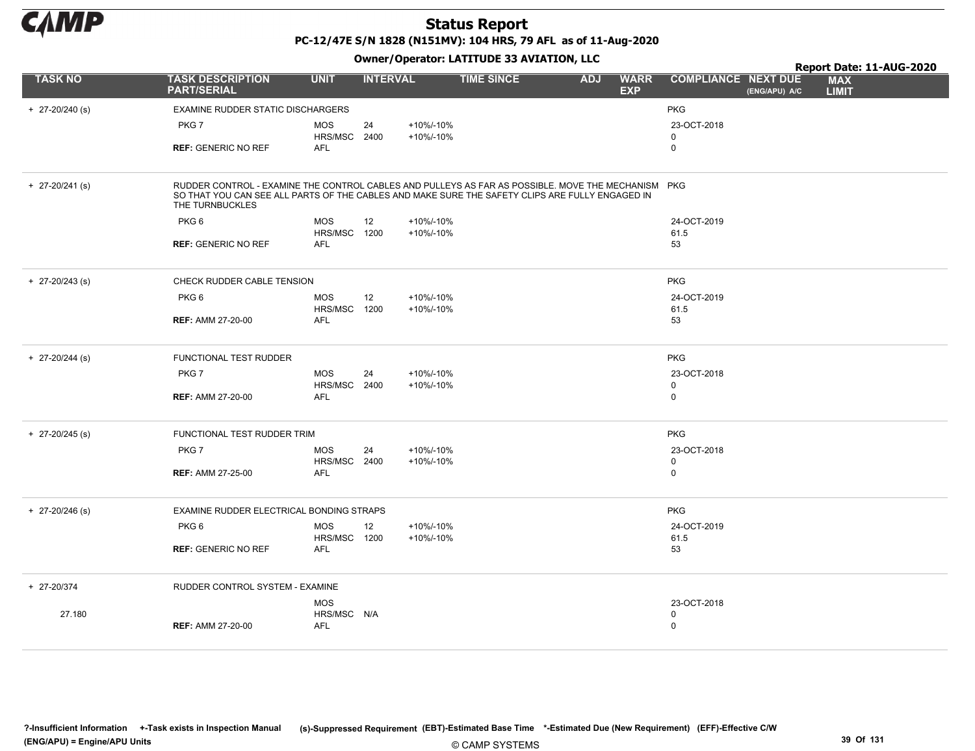

PC-12/47E S/N 1828 (N151MV): 104 HRS, 79 AFL as of 11-Aug-2020

|                   |                                                                                                                                                                                                                          |                            |                 |           | Owner, Operator. EATITODE 33 AVIATION, LEC |            |                           |                            | Report Date: 11-AUG-2020 |                            |  |  |
|-------------------|--------------------------------------------------------------------------------------------------------------------------------------------------------------------------------------------------------------------------|----------------------------|-----------------|-----------|--------------------------------------------|------------|---------------------------|----------------------------|--------------------------|----------------------------|--|--|
| <b>TASK NO</b>    | <b>TASK DESCRIPTION</b><br><b>PART/SERIAL</b>                                                                                                                                                                            | <b>UNIT</b>                | <b>INTERVAL</b> |           | <b>TIME SINCE</b>                          | <b>ADJ</b> | <b>WARR</b><br><b>EXP</b> | <b>COMPLIANCE NEXT DUE</b> | (ENG/APU) A/C            | <b>MAX</b><br><b>LIMIT</b> |  |  |
| $+$ 27-20/240 (s) | EXAMINE RUDDER STATIC DISCHARGERS                                                                                                                                                                                        |                            |                 |           |                                            |            |                           | <b>PKG</b>                 |                          |                            |  |  |
|                   | PKG7                                                                                                                                                                                                                     | <b>MOS</b>                 | 24              | +10%/-10% |                                            |            |                           | 23-OCT-2018                |                          |                            |  |  |
|                   | <b>REF: GENERIC NO REF</b>                                                                                                                                                                                               | HRS/MSC 2400<br>AFL        |                 | +10%/-10% |                                            |            |                           | 0<br>0                     |                          |                            |  |  |
|                   |                                                                                                                                                                                                                          |                            |                 |           |                                            |            |                           |                            |                          |                            |  |  |
| $+$ 27-20/241 (s) | RUDDER CONTROL - EXAMINE THE CONTROL CABLES AND PULLEYS AS FAR AS POSSIBLE. MOVE THE MECHANISM PKG<br>SO THAT YOU CAN SEE ALL PARTS OF THE CABLES AND MAKE SURE THE SAFETY CLIPS ARE FULLY ENGAGED IN<br>THE TURNBUCKLES |                            |                 |           |                                            |            |                           |                            |                          |                            |  |  |
|                   | PKG <sub>6</sub>                                                                                                                                                                                                         | <b>MOS</b>                 | 12              | +10%/-10% |                                            |            |                           | 24-OCT-2019                |                          |                            |  |  |
|                   |                                                                                                                                                                                                                          | HRS/MSC 1200               |                 | +10%/-10% |                                            |            |                           | 61.5                       |                          |                            |  |  |
|                   | <b>REF: GENERIC NO REF</b>                                                                                                                                                                                               | <b>AFL</b>                 |                 |           |                                            |            |                           | 53                         |                          |                            |  |  |
| $+$ 27-20/243 (s) | CHECK RUDDER CABLE TENSION                                                                                                                                                                                               |                            |                 |           |                                            |            |                           | <b>PKG</b>                 |                          |                            |  |  |
|                   | PKG <sub>6</sub>                                                                                                                                                                                                         | <b>MOS</b>                 | 12              | +10%/-10% |                                            |            |                           | 24-OCT-2019                |                          |                            |  |  |
|                   | <b>REF: AMM 27-20-00</b>                                                                                                                                                                                                 | HRS/MSC 1200<br><b>AFL</b> |                 | +10%/-10% |                                            |            |                           | 61.5<br>53                 |                          |                            |  |  |
|                   |                                                                                                                                                                                                                          |                            |                 |           |                                            |            |                           |                            |                          |                            |  |  |
| $+$ 27-20/244 (s) | <b>FUNCTIONAL TEST RUDDER</b>                                                                                                                                                                                            |                            |                 |           |                                            |            |                           | <b>PKG</b>                 |                          |                            |  |  |
|                   | PKG7                                                                                                                                                                                                                     | <b>MOS</b>                 | 24              | +10%/-10% |                                            |            |                           | 23-OCT-2018                |                          |                            |  |  |
|                   | <b>REF: AMM 27-20-00</b>                                                                                                                                                                                                 | HRS/MSC 2400<br><b>AFL</b> |                 | +10%/-10% |                                            |            |                           | 0<br>0                     |                          |                            |  |  |
|                   |                                                                                                                                                                                                                          |                            |                 |           |                                            |            |                           |                            |                          |                            |  |  |
| $+$ 27-20/245 (s) | FUNCTIONAL TEST RUDDER TRIM                                                                                                                                                                                              |                            |                 |           |                                            |            |                           | <b>PKG</b>                 |                          |                            |  |  |
|                   | PKG7                                                                                                                                                                                                                     | <b>MOS</b>                 | 24              | +10%/-10% |                                            |            |                           | 23-OCT-2018                |                          |                            |  |  |
|                   | <b>REF: AMM 27-25-00</b>                                                                                                                                                                                                 | HRS/MSC 2400<br>AFL        |                 | +10%/-10% |                                            |            |                           | 0<br>0                     |                          |                            |  |  |
|                   |                                                                                                                                                                                                                          |                            |                 |           |                                            |            |                           |                            |                          |                            |  |  |
| $+$ 27-20/246 (s) | EXAMINE RUDDER ELECTRICAL BONDING STRAPS                                                                                                                                                                                 |                            |                 |           |                                            |            |                           | <b>PKG</b>                 |                          |                            |  |  |
|                   | PKG <sub>6</sub>                                                                                                                                                                                                         | <b>MOS</b>                 | 12              | +10%/-10% |                                            |            |                           | 24-OCT-2019                |                          |                            |  |  |
|                   | <b>REF: GENERIC NO REF</b>                                                                                                                                                                                               | HRS/MSC 1200<br><b>AFL</b> |                 | +10%/-10% |                                            |            |                           | 61.5<br>53                 |                          |                            |  |  |
|                   |                                                                                                                                                                                                                          |                            |                 |           |                                            |            |                           |                            |                          |                            |  |  |
| + 27-20/374       | RUDDER CONTROL SYSTEM - EXAMINE                                                                                                                                                                                          |                            |                 |           |                                            |            |                           |                            |                          |                            |  |  |
|                   |                                                                                                                                                                                                                          | <b>MOS</b>                 |                 |           |                                            |            |                           | 23-OCT-2018                |                          |                            |  |  |
| 27.180            | <b>REF: AMM 27-20-00</b>                                                                                                                                                                                                 | HRS/MSC N/A<br><b>AFL</b>  |                 |           |                                            |            |                           | 0<br>0                     |                          |                            |  |  |
|                   |                                                                                                                                                                                                                          |                            |                 |           |                                            |            |                           |                            |                          |                            |  |  |
|                   |                                                                                                                                                                                                                          |                            |                 |           |                                            |            |                           |                            |                          |                            |  |  |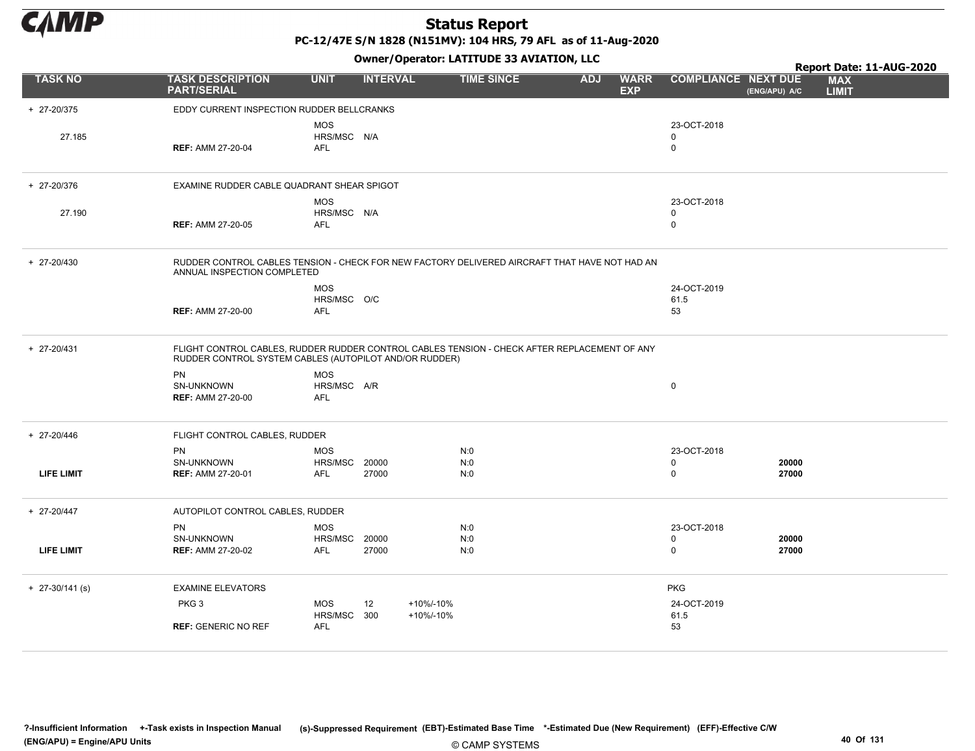

PC-12/47E S/N 1828 (N151MV): 104 HRS, 79 AFL as of 11-Aug-2020

TASK NO TASK DESCRIPTION UNIT INTERVAL TIME SINCE ADJ WARR EXP ADJ WARR COMPLIANCE NEXT DUE MAX LIMIT Report Date: 11-AUG-2020<br>E MAX PART/SERIAL Owner/Operator: LATITUDE 33 AVIATION, LLC (ENG/APU) A/C

| + 27-20/375       | EDDY CURRENT INSPECTION RUDDER BELLCRANKS              |                                                  |                |                        |                                                                                               |                                           |                |
|-------------------|--------------------------------------------------------|--------------------------------------------------|----------------|------------------------|-----------------------------------------------------------------------------------------------|-------------------------------------------|----------------|
| 27.185            | <b>REF: AMM 27-20-04</b>                               | <b>MOS</b><br>HRS/MSC N/A<br><b>AFL</b>          |                |                        |                                                                                               | 23-OCT-2018<br>$\mathbf 0$<br>$\mathbf 0$ |                |
| + 27-20/376       | EXAMINE RUDDER CABLE QUADRANT SHEAR SPIGOT             |                                                  |                |                        |                                                                                               |                                           |                |
| 27.190            | <b>REF: AMM 27-20-05</b>                               | <b>MOS</b><br>HRS/MSC N/A<br><b>AFL</b>          |                |                        |                                                                                               | 23-OCT-2018<br>0<br>$\mathbf 0$           |                |
| + 27-20/430       | ANNUAL INSPECTION COMPLETED                            |                                                  |                |                        | RUDDER CONTROL CABLES TENSION - CHECK FOR NEW FACTORY DELIVERED AIRCRAFT THAT HAVE NOT HAD AN |                                           |                |
|                   | <b>REF: AMM 27-20-00</b>                               | <b>MOS</b><br>HRS/MSC O/C<br>AFL                 |                |                        |                                                                                               | 24-OCT-2019<br>61.5<br>53                 |                |
| + 27-20/431       | RUDDER CONTROL SYSTEM CABLES (AUTOPILOT AND/OR RUDDER) |                                                  |                |                        | FLIGHT CONTROL CABLES, RUDDER RUDDER CONTROL CABLES TENSION - CHECK AFTER REPLACEMENT OF ANY  |                                           |                |
|                   | PN<br>SN-UNKNOWN<br><b>REF: AMM 27-20-00</b>           | <b>MOS</b><br>HRS/MSC A/R<br>AFL                 |                |                        |                                                                                               | $\mathbf 0$                               |                |
| + 27-20/446       | FLIGHT CONTROL CABLES, RUDDER                          |                                                  |                |                        |                                                                                               |                                           |                |
| <b>LIFE LIMIT</b> | PN<br>SN-UNKNOWN<br><b>REF: AMM 27-20-01</b>           | <b>MOS</b><br>HRS/MSC<br><b>AFL</b>              | 20000<br>27000 |                        | N:0<br>N:0<br>N:0                                                                             | 23-OCT-2018<br>$\mathbf 0$<br>$\mathbf 0$ | 20000<br>27000 |
| $+ 27 - 20/447$   | AUTOPILOT CONTROL CABLES, RUDDER                       |                                                  |                |                        |                                                                                               |                                           |                |
| <b>LIFE LIMIT</b> | <b>PN</b><br>SN-UNKNOWN<br><b>REF: AMM 27-20-02</b>    | <b>MOS</b><br><b>HRS/MSC 20000</b><br><b>AFL</b> | 27000          |                        | N:0<br>N:0<br>N:0                                                                             | 23-OCT-2018<br>$\mathbf 0$<br>$\mathbf 0$ | 20000<br>27000 |
| $+$ 27-30/141 (s) | <b>EXAMINE ELEVATORS</b>                               |                                                  |                |                        |                                                                                               | <b>PKG</b>                                |                |
|                   | PKG <sub>3</sub>                                       | <b>MOS</b><br>HRS/MSC 300                        | 12             | +10%/-10%<br>+10%/-10% |                                                                                               | 24-OCT-2019<br>61.5                       |                |
|                   | <b>REF: GENERIC NO REF</b>                             | <b>AFL</b>                                       |                |                        |                                                                                               | 53                                        |                |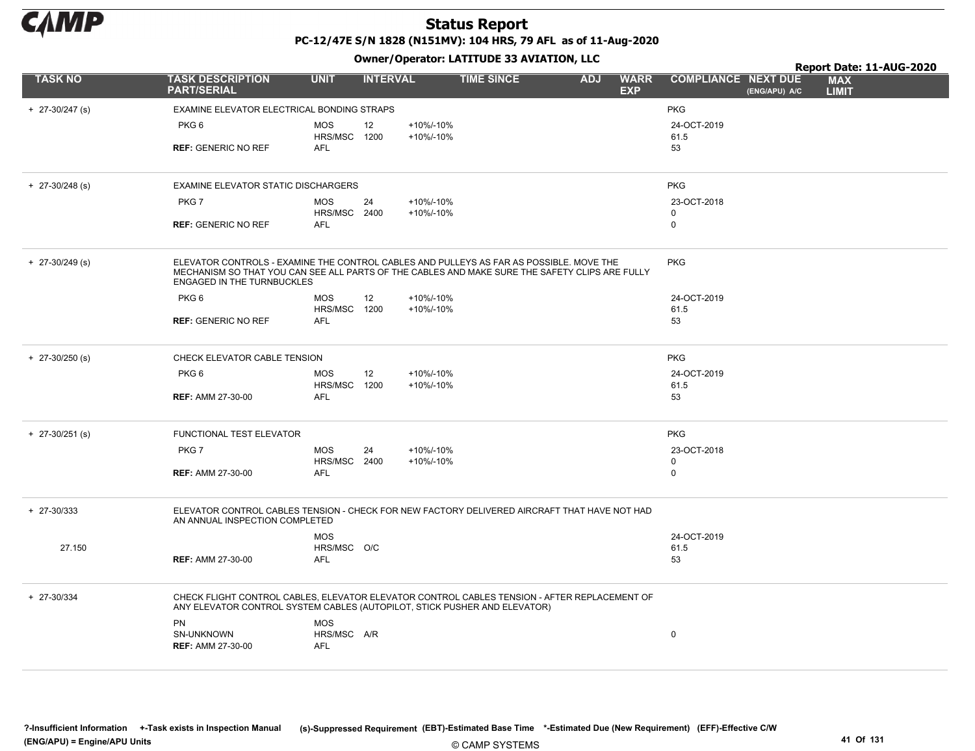

|                   |                                                                                                                                                                                                                                |                            | .               |                        |                   |            |                           |                            |               | Report Date: 11-AUG-2020   |  |
|-------------------|--------------------------------------------------------------------------------------------------------------------------------------------------------------------------------------------------------------------------------|----------------------------|-----------------|------------------------|-------------------|------------|---------------------------|----------------------------|---------------|----------------------------|--|
| <b>TASK NO</b>    | <b>TASK DESCRIPTION</b><br><b>PART/SERIAL</b>                                                                                                                                                                                  | <b>UNIT</b>                | <b>INTERVAL</b> |                        | <b>TIME SINCE</b> | <b>ADJ</b> | <b>WARR</b><br><b>EXP</b> | <b>COMPLIANCE NEXT DUE</b> | (ENG/APU) A/C | <b>MAX</b><br><b>LIMIT</b> |  |
| $+$ 27-30/247 (s) | EXAMINE ELEVATOR ELECTRICAL BONDING STRAPS                                                                                                                                                                                     |                            |                 |                        |                   |            |                           | <b>PKG</b>                 |               |                            |  |
|                   | PKG <sub>6</sub>                                                                                                                                                                                                               | <b>MOS</b><br>HRS/MSC 1200 | 12              | +10%/-10%<br>+10%/-10% |                   |            |                           | 24-OCT-2019<br>61.5        |               |                            |  |
|                   | <b>REF: GENERIC NO REF</b>                                                                                                                                                                                                     | AFL                        |                 |                        |                   |            |                           | 53                         |               |                            |  |
| $+$ 27-30/248 (s) | <b>EXAMINE ELEVATOR STATIC DISCHARGERS</b>                                                                                                                                                                                     |                            |                 |                        |                   |            |                           | <b>PKG</b>                 |               |                            |  |
|                   | PKG7                                                                                                                                                                                                                           | <b>MOS</b><br>HRS/MSC 2400 | 24              | +10%/-10%<br>+10%/-10% |                   |            |                           | 23-OCT-2018<br>0           |               |                            |  |
|                   | <b>REF: GENERIC NO REF</b>                                                                                                                                                                                                     | AFL                        |                 |                        |                   |            |                           | $\mathbf 0$                |               |                            |  |
| $+$ 27-30/249 (s) | ELEVATOR CONTROLS - EXAMINE THE CONTROL CABLES AND PULLEYS AS FAR AS POSSIBLE. MOVE THE<br>MECHANISM SO THAT YOU CAN SEE ALL PARTS OF THE CABLES AND MAKE SURE THE SAFETY CLIPS ARE FULLY<br><b>ENGAGED IN THE TURNBUCKLES</b> |                            |                 |                        |                   |            |                           | <b>PKG</b>                 |               |                            |  |
|                   | PKG <sub>6</sub>                                                                                                                                                                                                               | <b>MOS</b>                 | 12              | +10%/-10%              |                   |            |                           | 24-OCT-2019                |               |                            |  |
|                   | <b>REF: GENERIC NO REF</b>                                                                                                                                                                                                     | HRS/MSC 1200<br><b>AFL</b> |                 | +10%/-10%              |                   |            |                           | 61.5<br>53                 |               |                            |  |
|                   |                                                                                                                                                                                                                                |                            |                 |                        |                   |            |                           |                            |               |                            |  |
| $+$ 27-30/250 (s) | CHECK ELEVATOR CABLE TENSION                                                                                                                                                                                                   |                            |                 |                        |                   |            |                           | <b>PKG</b>                 |               |                            |  |
|                   | PKG <sub>6</sub>                                                                                                                                                                                                               | <b>MOS</b><br>HRS/MSC 1200 | 12              | +10%/-10%<br>+10%/-10% |                   |            |                           | 24-OCT-2019<br>61.5        |               |                            |  |
|                   | <b>REF: AMM 27-30-00</b>                                                                                                                                                                                                       | <b>AFL</b>                 |                 |                        |                   |            |                           | 53                         |               |                            |  |
| $+$ 27-30/251 (s) | FUNCTIONAL TEST ELEVATOR                                                                                                                                                                                                       |                            |                 |                        |                   |            |                           | <b>PKG</b>                 |               |                            |  |
|                   | PKG7                                                                                                                                                                                                                           | <b>MOS</b><br>HRS/MSC 2400 | 24              | +10%/-10%<br>+10%/-10% |                   |            |                           | 23-OCT-2018<br>$\mathbf 0$ |               |                            |  |
|                   | <b>REF: AMM 27-30-00</b>                                                                                                                                                                                                       | <b>AFL</b>                 |                 |                        |                   |            |                           | $\mathbf 0$                |               |                            |  |
| $+ 27 - 30/333$   | ELEVATOR CONTROL CABLES TENSION - CHECK FOR NEW FACTORY DELIVERED AIRCRAFT THAT HAVE NOT HAD<br>AN ANNUAL INSPECTION COMPLETED                                                                                                 |                            |                 |                        |                   |            |                           |                            |               |                            |  |
|                   |                                                                                                                                                                                                                                | <b>MOS</b>                 |                 |                        |                   |            |                           | 24-OCT-2019                |               |                            |  |
| 27.150            | <b>REF: AMM 27-30-00</b>                                                                                                                                                                                                       | HRS/MSC O/C<br><b>AFL</b>  |                 |                        |                   |            |                           | 61.5<br>53                 |               |                            |  |
|                   |                                                                                                                                                                                                                                |                            |                 |                        |                   |            |                           |                            |               |                            |  |
| + 27-30/334       | CHECK FLIGHT CONTROL CABLES, ELEVATOR ELEVATOR CONTROL CABLES TENSION - AFTER REPLACEMENT OF<br>ANY ELEVATOR CONTROL SYSTEM CABLES (AUTOPILOT, STICK PUSHER AND ELEVATOR)                                                      |                            |                 |                        |                   |            |                           |                            |               |                            |  |
|                   | PN                                                                                                                                                                                                                             | <b>MOS</b>                 |                 |                        |                   |            |                           |                            |               |                            |  |
|                   | SN-UNKNOWN                                                                                                                                                                                                                     | HRS/MSC A/R                |                 |                        |                   |            |                           | 0                          |               |                            |  |
|                   | <b>REF: AMM 27-30-00</b>                                                                                                                                                                                                       | <b>AFL</b>                 |                 |                        |                   |            |                           |                            |               |                            |  |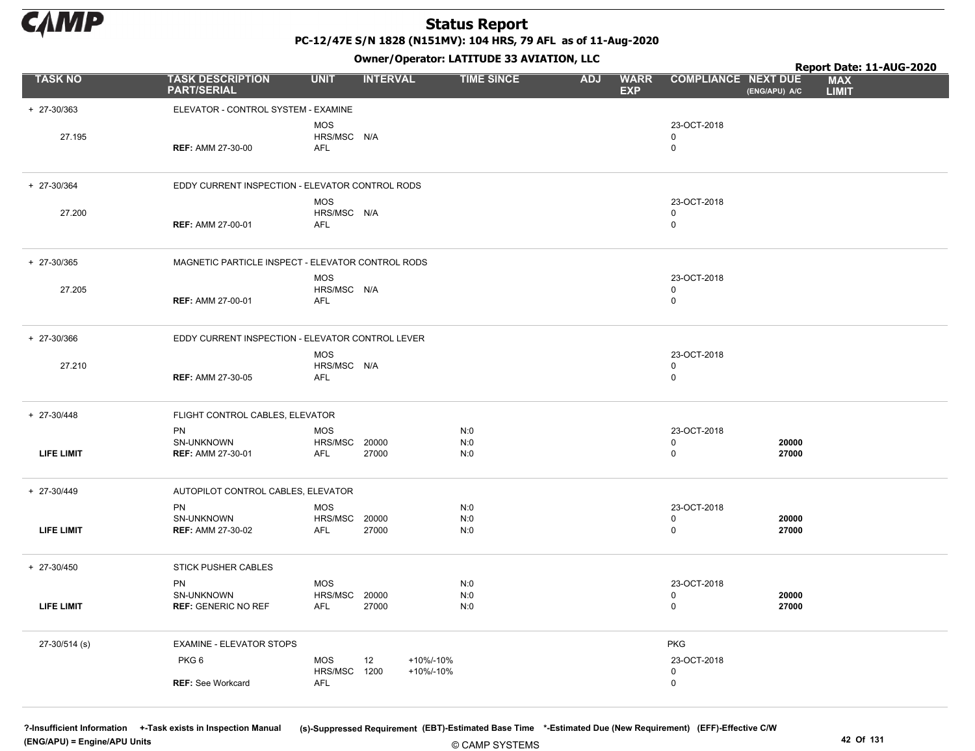

PC-12/47E S/N 1828 (N151MV): 104 HRS, 79 AFL as of 11-Aug-2020

Owner/Operator: LATITUDE 33 AVIATION, LLC

|                   |                                                       |                                           |                 |                        | Owner/Operator. EATITODE 33 AVIATION, LLC |            |                           |                                           |                | Report Date: 11-AUG-2020   |
|-------------------|-------------------------------------------------------|-------------------------------------------|-----------------|------------------------|-------------------------------------------|------------|---------------------------|-------------------------------------------|----------------|----------------------------|
| <b>TASK NO</b>    | <b>TASK DESCRIPTION</b><br><b>PART/SERIAL</b>         | <b>UNIT</b>                               | <b>INTERVAL</b> |                        | <b>TIME SINCE</b>                         | <b>ADJ</b> | <b>WARR</b><br><b>EXP</b> | <b>COMPLIANCE NEXT DUE</b>                | (ENG/APU) A/C  | <b>MAX</b><br><b>LIMIT</b> |
| + 27-30/363       | ELEVATOR - CONTROL SYSTEM - EXAMINE                   |                                           |                 |                        |                                           |            |                           |                                           |                |                            |
| 27.195            | <b>REF: AMM 27-30-00</b>                              | <b>MOS</b><br>HRS/MSC N/A<br>AFL          |                 |                        |                                           |            |                           | 23-OCT-2018<br>$\Omega$<br>$\mathbf 0$    |                |                            |
| + 27-30/364       | EDDY CURRENT INSPECTION - ELEVATOR CONTROL RODS       |                                           |                 |                        |                                           |            |                           |                                           |                |                            |
| 27.200            | <b>REF: AMM 27-00-01</b>                              | <b>MOS</b><br>HRS/MSC N/A<br>AFL          |                 |                        |                                           |            |                           | 23-OCT-2018<br>0<br>$\mathbf 0$           |                |                            |
| + 27-30/365       | MAGNETIC PARTICLE INSPECT - ELEVATOR CONTROL RODS     |                                           |                 |                        |                                           |            |                           |                                           |                |                            |
| 27.205            | <b>REF: AMM 27-00-01</b>                              | <b>MOS</b><br>HRS/MSC N/A<br><b>AFL</b>   |                 |                        |                                           |            |                           | 23-OCT-2018<br>$\mathbf 0$<br>$\mathbf 0$ |                |                            |
| + 27-30/366       | EDDY CURRENT INSPECTION - ELEVATOR CONTROL LEVER      |                                           |                 |                        |                                           |            |                           |                                           |                |                            |
| 27.210            | <b>REF: AMM 27-30-05</b>                              | <b>MOS</b><br>HRS/MSC N/A<br>AFL          |                 |                        |                                           |            |                           | 23-OCT-2018<br>$\mathbf 0$<br>$\mathbf 0$ |                |                            |
| + 27-30/448       | FLIGHT CONTROL CABLES, ELEVATOR                       |                                           |                 |                        |                                           |            |                           |                                           |                |                            |
| <b>LIFE LIMIT</b> | PN<br>SN-UNKNOWN<br><b>REF: AMM 27-30-01</b>          | <b>MOS</b><br><b>HRS/MSC 20000</b><br>AFL | 27000           |                        | N:0<br>N:0<br>N:0                         |            |                           | 23-OCT-2018<br>0<br>0                     | 20000<br>27000 |                            |
| + 27-30/449       | AUTOPILOT CONTROL CABLES, ELEVATOR                    |                                           |                 |                        |                                           |            |                           |                                           |                |                            |
| <b>LIFE LIMIT</b> | <b>PN</b><br>SN-UNKNOWN<br><b>REF: AMM 27-30-02</b>   | MOS<br>HRS/MSC<br><b>AFL</b>              | 20000<br>27000  |                        | N:0<br>N:0<br>N:0                         |            |                           | 23-OCT-2018<br>$\mathbf 0$<br>$\mathbf 0$ | 20000<br>27000 |                            |
| + 27-30/450       | STICK PUSHER CABLES                                   |                                           |                 |                        |                                           |            |                           |                                           |                |                            |
| <b>LIFE LIMIT</b> | <b>PN</b><br>SN-UNKNOWN<br><b>REF: GENERIC NO REF</b> | <b>MOS</b><br>HRS/MSC<br>AFL              | 20000<br>27000  |                        | N:0<br>N:0<br>N:0                         |            |                           | 23-OCT-2018<br>0<br>$\mathbf 0$           | 20000<br>27000 |                            |
| 27-30/514 (s)     | EXAMINE - ELEVATOR STOPS                              |                                           |                 |                        |                                           |            |                           | <b>PKG</b>                                |                |                            |
|                   | PKG <sub>6</sub>                                      | <b>MOS</b><br>HRS/MSC 1200                | 12              | +10%/-10%<br>+10%/-10% |                                           |            |                           | 23-OCT-2018<br>$\mathbf 0$                |                |                            |
|                   | <b>REF: See Workcard</b>                              | AFL                                       |                 |                        |                                           |            |                           | $\mathbf 0$                               |                |                            |

© CAMP SYSTEMS ?-Insufficient Information +-Task exists in Inspection Manual (s)-Suppressed Requirement (EBT)-Estimated Base Time \*-Estimated Due (New Requirement) (EFF)-Effective C/W (ENG/APU) = Engine/APU Units 42 Of 131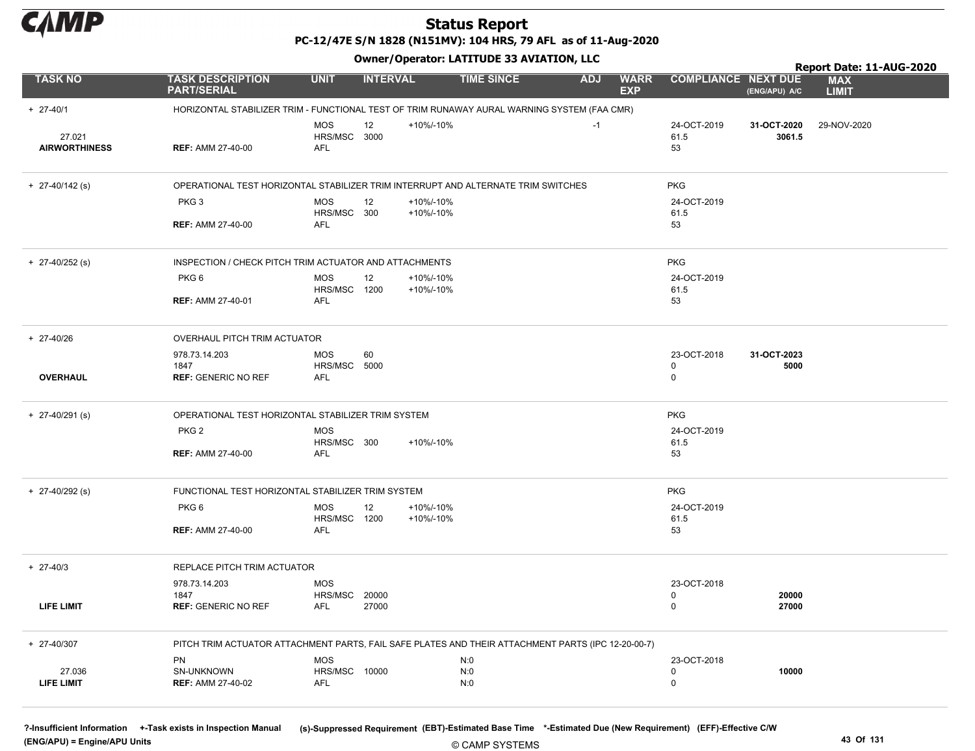

PC-12/47E S/N 1828 (N151MV): 104 HRS, 79 AFL as of 11-Aug-2020

| <b>Owner/Operator: LATITUDE 33 AVIATION, LLC</b><br>Report Date: 11-AUG-2020 |                                                                                                    |                                                  |                 |                        |                   |            |                           |                                 |                       |                            |  |
|------------------------------------------------------------------------------|----------------------------------------------------------------------------------------------------|--------------------------------------------------|-----------------|------------------------|-------------------|------------|---------------------------|---------------------------------|-----------------------|----------------------------|--|
| <b>TASK NO</b>                                                               | <b>TASK DESCRIPTION</b><br><b>PART/SERIAL</b>                                                      | <b>UNIT</b>                                      | <b>INTERVAL</b> |                        | <b>TIME SINCE</b> | <b>ADJ</b> | <b>WARR</b><br><b>EXP</b> | <b>COMPLIANCE NEXT DUE</b>      | (ENG/APU) A/C         | <b>MAX</b><br><b>LIMIT</b> |  |
| $+ 27 - 40/1$                                                                | HORIZONTAL STABILIZER TRIM - FUNCTIONAL TEST OF TRIM RUNAWAY AURAL WARNING SYSTEM (FAA CMR)        |                                                  |                 |                        |                   |            |                           |                                 |                       |                            |  |
| 27.021<br><b>AIRWORTHINESS</b>                                               | <b>REF: AMM 27-40-00</b>                                                                           | <b>MOS</b><br>HRS/MSC 3000<br><b>AFL</b>         | 12              | +10%/-10%              |                   | $-1$       |                           | 24-OCT-2019<br>61.5<br>53       | 31-OCT-2020<br>3061.5 | 29-NOV-2020                |  |
| $+$ 27-40/142 (s)                                                            | OPERATIONAL TEST HORIZONTAL STABILIZER TRIM INTERRUPT AND ALTERNATE TRIM SWITCHES                  |                                                  |                 |                        |                   |            |                           | <b>PKG</b>                      |                       |                            |  |
|                                                                              | PKG <sub>3</sub><br><b>REF: AMM 27-40-00</b>                                                       | <b>MOS</b><br>HRS/MSC 300<br>AFL                 | 12              | +10%/-10%<br>+10%/-10% |                   |            |                           | 24-OCT-2019<br>61.5<br>53       |                       |                            |  |
|                                                                              |                                                                                                    |                                                  |                 |                        |                   |            |                           |                                 |                       |                            |  |
| $+$ 27-40/252 (s)                                                            | INSPECTION / CHECK PITCH TRIM ACTUATOR AND ATTACHMENTS                                             |                                                  |                 |                        |                   |            |                           | <b>PKG</b>                      |                       |                            |  |
|                                                                              | PKG <sub>6</sub><br><b>REF: AMM 27-40-01</b>                                                       | <b>MOS</b><br>HRS/MSC 1200<br>AFL                | 12              | +10%/-10%<br>+10%/-10% |                   |            |                           | 24-OCT-2019<br>61.5<br>53       |                       |                            |  |
|                                                                              |                                                                                                    |                                                  |                 |                        |                   |            |                           |                                 |                       |                            |  |
| + 27-40/26                                                                   | OVERHAUL PITCH TRIM ACTUATOR                                                                       |                                                  |                 |                        |                   |            |                           |                                 |                       |                            |  |
| <b>OVERHAUL</b>                                                              | 978.73.14.203<br>1847<br><b>REF: GENERIC NO REF</b>                                                | MOS<br>HRS/MSC 5000<br>AFL                       | 60              |                        |                   |            |                           | 23-OCT-2018<br>0<br>$\mathbf 0$ | 31-OCT-2023<br>5000   |                            |  |
| $+$ 27-40/291 (s)                                                            | OPERATIONAL TEST HORIZONTAL STABILIZER TRIM SYSTEM                                                 |                                                  |                 |                        |                   |            |                           | <b>PKG</b>                      |                       |                            |  |
|                                                                              | PKG <sub>2</sub><br><b>REF: AMM 27-40-00</b>                                                       | <b>MOS</b><br>HRS/MSC 300<br><b>AFL</b>          |                 | +10%/-10%              |                   |            |                           | 24-OCT-2019<br>61.5<br>53       |                       |                            |  |
| $+$ 27-40/292 (s)                                                            | FUNCTIONAL TEST HORIZONTAL STABILIZER TRIM SYSTEM                                                  |                                                  |                 |                        |                   |            |                           | <b>PKG</b>                      |                       |                            |  |
|                                                                              | PKG <sub>6</sub>                                                                                   | <b>MOS</b>                                       | 12              | +10%/-10%              |                   |            |                           | 24-OCT-2019                     |                       |                            |  |
|                                                                              | <b>REF: AMM 27-40-00</b>                                                                           | HRS/MSC 1200<br>AFL                              |                 | +10%/-10%              |                   |            |                           | 61.5<br>53                      |                       |                            |  |
| $+ 27-40/3$                                                                  | REPLACE PITCH TRIM ACTUATOR                                                                        |                                                  |                 |                        |                   |            |                           |                                 |                       |                            |  |
|                                                                              | 978.73.14.203<br>1847                                                                              | <b>MOS</b><br><b>HRS/MSC 20000</b>               |                 |                        |                   |            |                           | 23-OCT-2018<br>0                | 20000                 |                            |  |
| LIFE LIMIT                                                                   | <b>REF: GENERIC NO REF</b>                                                                         | AFL                                              | 27000           |                        |                   |            |                           | 0                               | 27000                 |                            |  |
| + 27-40/307                                                                  | PITCH TRIM ACTUATOR ATTACHMENT PARTS, FAIL SAFE PLATES AND THEIR ATTACHMENT PARTS (IPC 12-20-00-7) |                                                  |                 |                        |                   |            |                           |                                 |                       |                            |  |
| 27.036<br>LIFE LIMIT                                                         | PN<br>SN-UNKNOWN<br><b>REF: AMM 27-40-02</b>                                                       | <b>MOS</b><br><b>HRS/MSC 10000</b><br><b>AFL</b> |                 |                        | N:0<br>N:0<br>N:0 |            |                           | 23-OCT-2018<br>0<br>$\mathbf 0$ | 10000                 |                            |  |

?-Insufficient Information +-Task exists in Inspection Manual (s)-Suppressed Requirement (EBT)-Estimated Base Time \*-Estimated Due (New Requirement) (EFF)-Effective C/W (ENG/APU) = Engine/APU Units 43 Of 131

© CAMP SYSTEMS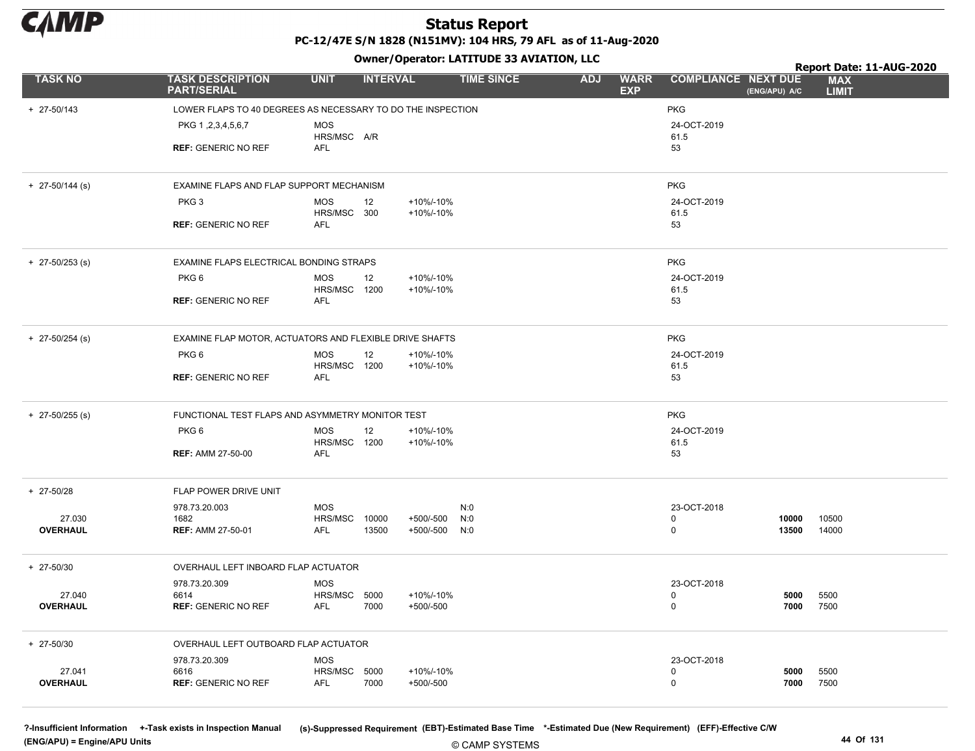

Owner/Operator: LATITUDE 33 AVIATION, LLC

|                           | OWNER/OPERATOR: LATTIODE 33 AVIATION, LLC<br>Report Date: 11-AUG-2020 |                            |                 |                            |                   |            |                           |                            |                |                            |  |  |
|---------------------------|-----------------------------------------------------------------------|----------------------------|-----------------|----------------------------|-------------------|------------|---------------------------|----------------------------|----------------|----------------------------|--|--|
| <b>TASK NO</b>            | <b>TASK DESCRIPTION</b><br><b>PART/SERIAL</b>                         | <b>UNIT</b>                | <b>INTERVAL</b> |                            | <b>TIME SINCE</b> | <b>ADJ</b> | <b>WARR</b><br><b>EXP</b> | <b>COMPLIANCE NEXT DUE</b> | (ENG/APU) A/C  | <b>MAX</b><br><b>LIMIT</b> |  |  |
| $+ 27 - 50/143$           | LOWER FLAPS TO 40 DEGREES AS NECESSARY TO DO THE INSPECTION           |                            |                 |                            |                   |            |                           | <b>PKG</b>                 |                |                            |  |  |
|                           | PKG 1, 2, 3, 4, 5, 6, 7                                               | <b>MOS</b><br>HRS/MSC A/R  |                 |                            |                   |            |                           | 24-OCT-2019<br>61.5        |                |                            |  |  |
|                           | <b>REF: GENERIC NO REF</b>                                            | AFL                        |                 |                            |                   |            |                           | 53                         |                |                            |  |  |
| $+$ 27-50/144 (s)         | EXAMINE FLAPS AND FLAP SUPPORT MECHANISM                              |                            |                 |                            |                   |            |                           | <b>PKG</b>                 |                |                            |  |  |
|                           | PKG <sub>3</sub>                                                      | MOS<br>HRS/MSC 300         | 12              | +10%/-10%<br>+10%/-10%     |                   |            |                           | 24-OCT-2019<br>61.5        |                |                            |  |  |
|                           | <b>REF: GENERIC NO REF</b>                                            | AFL                        |                 |                            |                   |            |                           | 53                         |                |                            |  |  |
| $+$ 27-50/253 (s)         | EXAMINE FLAPS ELECTRICAL BONDING STRAPS                               |                            |                 |                            |                   |            |                           | <b>PKG</b>                 |                |                            |  |  |
|                           | PKG <sub>6</sub>                                                      | <b>MOS</b>                 | 12              | +10%/-10%                  |                   |            |                           | 24-OCT-2019                |                |                            |  |  |
|                           | <b>REF: GENERIC NO REF</b>                                            | HRS/MSC 1200<br>AFL        |                 | +10%/-10%                  |                   |            |                           | 61.5<br>53                 |                |                            |  |  |
| $+$ 27-50/254 (s)         | EXAMINE FLAP MOTOR, ACTUATORS AND FLEXIBLE DRIVE SHAFTS               |                            |                 |                            |                   |            |                           | <b>PKG</b>                 |                |                            |  |  |
|                           | PKG 6                                                                 | MOS<br>HRS/MSC 1200        | 12              | +10%/-10%<br>+10%/-10%     |                   |            |                           | 24-OCT-2019<br>61.5        |                |                            |  |  |
|                           | <b>REF: GENERIC NO REF</b>                                            | AFL                        |                 |                            |                   |            |                           | 53                         |                |                            |  |  |
| $+$ 27-50/255 (s)         | FUNCTIONAL TEST FLAPS AND ASYMMETRY MONITOR TEST                      |                            |                 |                            |                   |            |                           | <b>PKG</b>                 |                |                            |  |  |
|                           | PKG 6                                                                 | <b>MOS</b><br>HRS/MSC 1200 | 12              | +10%/-10%<br>+10%/-10%     |                   |            |                           | 24-OCT-2019<br>61.5        |                |                            |  |  |
|                           | <b>REF: AMM 27-50-00</b>                                              | <b>AFL</b>                 |                 |                            |                   |            |                           | 53                         |                |                            |  |  |
| + 27-50/28                | FLAP POWER DRIVE UNIT                                                 |                            |                 |                            |                   |            |                           |                            |                |                            |  |  |
|                           | 978.73.20.003                                                         | <b>MOS</b>                 |                 |                            | N:0               |            |                           | 23-OCT-2018                |                |                            |  |  |
| 27.030<br>OVERHAUL        | 1682<br><b>REF: AMM 27-50-01</b>                                      | HRS/MSC<br>AFL             | 10000<br>13500  | +500/-500<br>+500/-500 N:0 | N:0               |            |                           | 0<br>0                     | 10000<br>13500 | 10500<br>14000             |  |  |
| $+ 27 - 50/30$            | OVERHAUL LEFT INBOARD FLAP ACTUATOR                                   |                            |                 |                            |                   |            |                           |                            |                |                            |  |  |
| 27.040                    | 978.73.20.309<br>6614                                                 | <b>MOS</b><br>HRS/MSC 5000 |                 | +10%/-10%                  |                   |            |                           | 23-OCT-2018<br>0           | 5000           | 5500                       |  |  |
| OVERHAUL                  | <b>REF: GENERIC NO REF</b>                                            | AFL                        | 7000            | +500/-500                  |                   |            |                           | $\mathbf 0$                | 7000           | 7500                       |  |  |
| $+ 27 - 50/30$            | OVERHAUL LEFT OUTBOARD FLAP ACTUATOR                                  |                            |                 |                            |                   |            |                           |                            |                |                            |  |  |
|                           | 978.73.20.309                                                         | <b>MOS</b><br>HRS/MSC      |                 |                            |                   |            |                           | 23-OCT-2018<br>0           |                |                            |  |  |
| 27.041<br><b>OVERHAUL</b> | 6616<br><b>REF: GENERIC NO REF</b>                                    | AFL                        | 5000<br>7000    | +10%/-10%<br>+500/-500     |                   |            |                           | $\mathbf 0$                | 5000<br>7000   | 5500<br>7500               |  |  |

© CAMP SYSTEMS ?-Insufficient Information +-Task exists in Inspection Manual (s)-Suppressed Requirement (EBT)-Estimated Base Time \*-Estimated Due (New Requirement) (EFF)-Effective C/W (ENG/APU) = Engine/APU Units 44 Of 131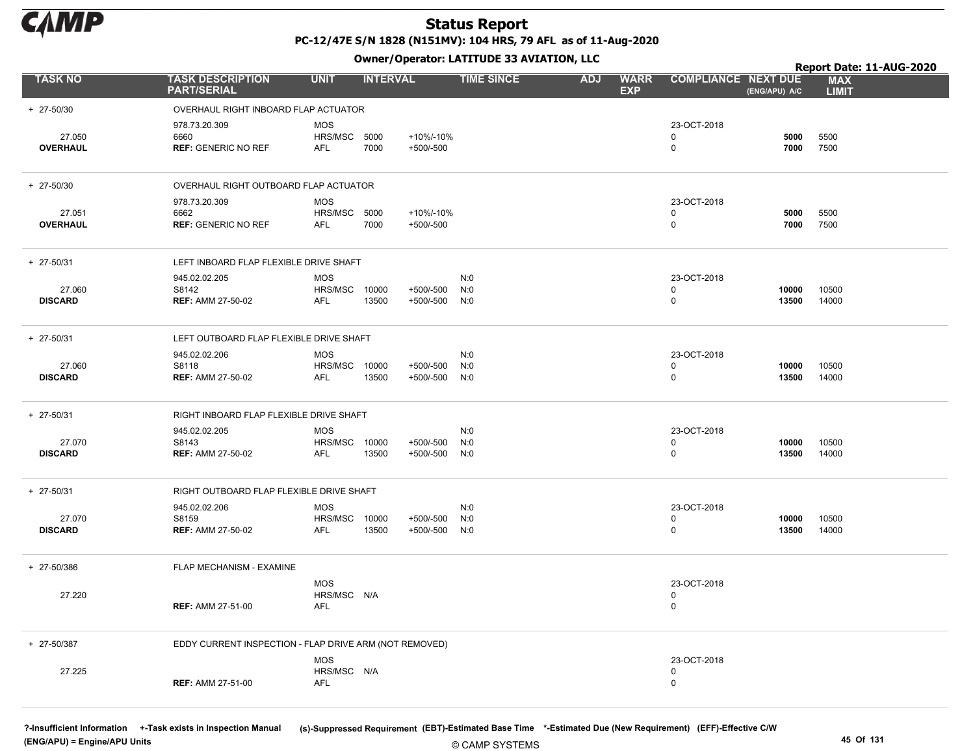

# Status Report

PC-12/47E S/N 1828 (N151MV): 104 HRS, 79 AFL as of 11-Aug-2020 Owner/Operator: LATITUDE 33 AVIATION, LLC

|                           |                                                        |                                                  |                 |                            | Owner, Operator: EATITODE 33 AVIATION, LEC | Report Date: 11-AUG-2020 |                           |                                           |                |                            |
|---------------------------|--------------------------------------------------------|--------------------------------------------------|-----------------|----------------------------|--------------------------------------------|--------------------------|---------------------------|-------------------------------------------|----------------|----------------------------|
| <b>TASK NO</b>            | <b>TASK DESCRIPTION</b><br><b>PART/SERIAL</b>          | <b>UNIT</b>                                      | <b>INTERVAL</b> |                            | <b>TIME SINCE</b>                          | <b>ADJ</b>               | <b>WARR</b><br><b>EXP</b> | <b>COMPLIANCE NEXT DUE</b>                | (ENG/APU) A/C  | <b>MAX</b><br><b>LIMIT</b> |
| + 27-50/30                | OVERHAUL RIGHT INBOARD FLAP ACTUATOR                   |                                                  |                 |                            |                                            |                          |                           |                                           |                |                            |
| 27.050<br><b>OVERHAUL</b> | 978.73.20.309<br>6660<br><b>REF: GENERIC NO REF</b>    | <b>MOS</b><br>HRS/MSC 5000<br><b>AFL</b>         | 7000            | +10%/-10%<br>$+500/-500$   |                                            |                          |                           | 23-OCT-2018<br>$\mathbf 0$<br>$\mathbf 0$ | 5000<br>7000   | 5500<br>7500               |
| + 27-50/30                | OVERHAUL RIGHT OUTBOARD FLAP ACTUATOR                  |                                                  |                 |                            |                                            |                          |                           |                                           |                |                            |
| 27.051<br><b>OVERHAUL</b> | 978.73.20.309<br>6662<br><b>REF: GENERIC NO REF</b>    | <b>MOS</b><br>HRS/MSC 5000<br><b>AFL</b>         | 7000            | +10%/-10%<br>$+500/-500$   |                                            |                          |                           | 23-OCT-2018<br>0<br>0                     | 5000<br>7000   | 5500<br>7500               |
| + 27-50/31                | LEFT INBOARD FLAP FLEXIBLE DRIVE SHAFT                 |                                                  |                 |                            |                                            |                          |                           |                                           |                |                            |
| 27.060<br><b>DISCARD</b>  | 945.02.02.205<br>S8142<br><b>REF: AMM 27-50-02</b>     | <b>MOS</b><br>HRS/MSC<br><b>AFL</b>              | 10000<br>13500  | $+500/-500$<br>$+500/-500$ | N:0<br>N:0<br>N:0                          |                          |                           | 23-OCT-2018<br>0<br>0                     | 10000<br>13500 | 10500<br>14000             |
| + 27-50/31                | LEFT OUTBOARD FLAP FLEXIBLE DRIVE SHAFT                |                                                  |                 |                            |                                            |                          |                           |                                           |                |                            |
| 27.060<br><b>DISCARD</b>  | 945.02.02.206<br>S8118<br><b>REF: AMM 27-50-02</b>     | <b>MOS</b><br>HRS/MSC<br><b>AFL</b>              | 10000<br>13500  | $+500/-500$<br>$+500/-500$ | N:0<br>N:0<br>N:0                          |                          |                           | 23-OCT-2018<br>0<br>0                     | 10000<br>13500 | 10500<br>14000             |
| + 27-50/31                | RIGHT INBOARD FLAP FLEXIBLE DRIVE SHAFT                |                                                  |                 |                            |                                            |                          |                           |                                           |                |                            |
| 27.070<br><b>DISCARD</b>  | 945.02.02.205<br>S8143<br><b>REF: AMM 27-50-02</b>     | <b>MOS</b><br><b>HRS/MSC 10000</b><br><b>AFL</b> | 13500           | $+500/-500$<br>$+500/-500$ | N:0<br>N:0<br>N:0                          |                          |                           | 23-OCT-2018<br>0<br>0                     | 10000<br>13500 | 10500<br>14000             |
| + 27-50/31                | RIGHT OUTBOARD FLAP FLEXIBLE DRIVE SHAFT               |                                                  |                 |                            |                                            |                          |                           |                                           |                |                            |
| 27.070<br><b>DISCARD</b>  | 945.02.02.206<br>S8159<br><b>REF: AMM 27-50-02</b>     | <b>MOS</b><br><b>HRS/MSC 10000</b><br>AFL        | 13500           | $+500/-500$<br>$+500/-500$ | N:0<br>N:0<br>N:0                          |                          |                           | 23-OCT-2018<br>0<br>0                     | 10000<br>13500 | 10500<br>14000             |
| + 27-50/386               | FLAP MECHANISM - EXAMINE                               |                                                  |                 |                            |                                            |                          |                           |                                           |                |                            |
| 27.220                    | <b>REF: AMM 27-51-00</b>                               | <b>MOS</b><br>HRS/MSC N/A<br><b>AFL</b>          |                 |                            |                                            |                          |                           | 23-OCT-2018<br>0<br>$\mathbf 0$           |                |                            |
| + 27-50/387               | EDDY CURRENT INSPECTION - FLAP DRIVE ARM (NOT REMOVED) |                                                  |                 |                            |                                            |                          |                           |                                           |                |                            |
| 27.225                    | <b>REF: AMM 27-51-00</b>                               | <b>MOS</b><br>HRS/MSC N/A<br><b>AFL</b>          |                 |                            |                                            |                          |                           | 23-OCT-2018<br>0<br>$\mathbf 0$           |                |                            |

(ENG/APU) = Engine/APU Units 45 Of 131

?-Insufficient Information +-Task exists in Inspection Manual (s)-Suppressed Requirement (EBT)-Estimated Base Time \*-Estimated Due (New Requirement) (EFF)-Effective C/W

© CAMP SYSTEMS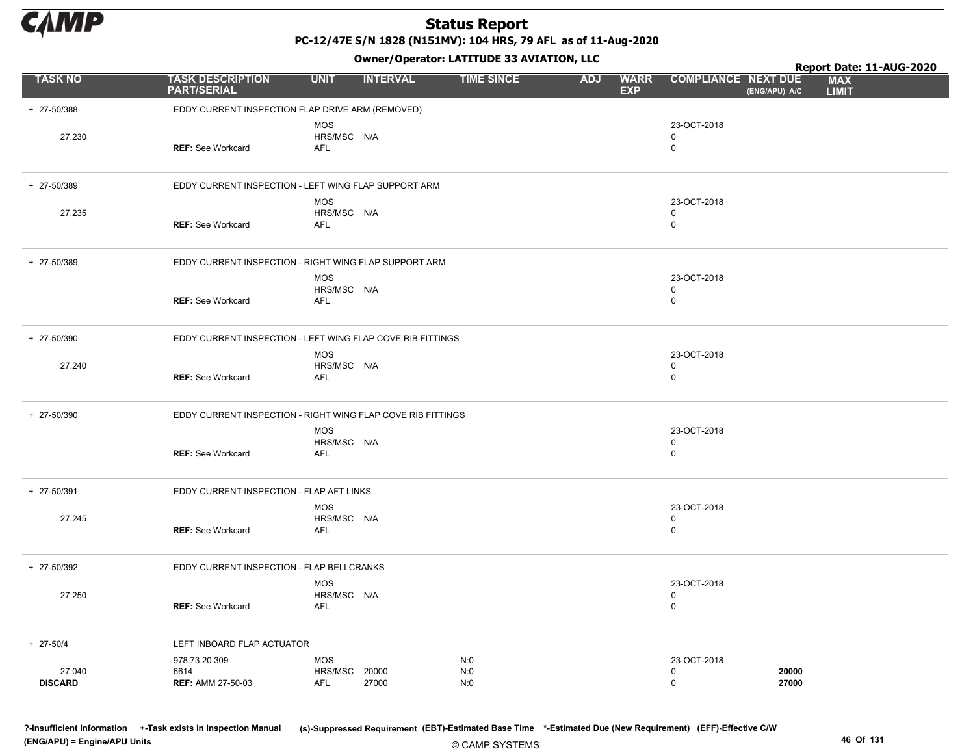

PC-12/47E S/N 1828 (N151MV): 104 HRS, 79 AFL as of 11-Aug-2020

Owner/Operator: LATITUDE 33 AVIATION, LLC

|                          |                                                             |                                         |                 | Owner / Operator: EATITODE 33 AVIATION, LLC |            |                           |                                           |                | Report Date: 11-AUG-2020   |
|--------------------------|-------------------------------------------------------------|-----------------------------------------|-----------------|---------------------------------------------|------------|---------------------------|-------------------------------------------|----------------|----------------------------|
| <b>TASK NO</b>           | <b>TASK DESCRIPTION</b><br><b>PART/SERIAL</b>               | <b>UNIT</b>                             | <b>INTERVAL</b> | <b>TIME SINCE</b>                           | <b>ADJ</b> | <b>WARR</b><br><b>EXP</b> | <b>COMPLIANCE NEXT DUE</b>                | (ENG/APU) A/C  | <b>MAX</b><br><b>LIMIT</b> |
| + 27-50/388              | EDDY CURRENT INSPECTION FLAP DRIVE ARM (REMOVED)            |                                         |                 |                                             |            |                           |                                           |                |                            |
| 27.230                   | <b>REF: See Workcard</b>                                    | <b>MOS</b><br>HRS/MSC N/A<br><b>AFL</b> |                 |                                             |            |                           | 23-OCT-2018<br>$\mathbf 0$<br>$\mathbf 0$ |                |                            |
| + 27-50/389              | EDDY CURRENT INSPECTION - LEFT WING FLAP SUPPORT ARM        |                                         |                 |                                             |            |                           |                                           |                |                            |
| 27.235                   | <b>REF: See Workcard</b>                                    | <b>MOS</b><br>HRS/MSC N/A<br><b>AFL</b> |                 |                                             |            |                           | 23-OCT-2018<br>0<br>$\mathbf 0$           |                |                            |
| + 27-50/389              | EDDY CURRENT INSPECTION - RIGHT WING FLAP SUPPORT ARM       |                                         |                 |                                             |            |                           |                                           |                |                            |
|                          | <b>REF: See Workcard</b>                                    | <b>MOS</b><br>HRS/MSC N/A<br><b>AFL</b> |                 |                                             |            |                           | 23-OCT-2018<br>0<br>$\mathbf 0$           |                |                            |
| + 27-50/390              | EDDY CURRENT INSPECTION - LEFT WING FLAP COVE RIB FITTINGS  |                                         |                 |                                             |            |                           |                                           |                |                            |
| 27.240                   | <b>REF: See Workcard</b>                                    | <b>MOS</b><br>HRS/MSC N/A<br>AFL        |                 |                                             |            |                           | 23-OCT-2018<br>0<br>$\mathbf 0$           |                |                            |
| + 27-50/390              | EDDY CURRENT INSPECTION - RIGHT WING FLAP COVE RIB FITTINGS |                                         |                 |                                             |            |                           |                                           |                |                            |
|                          | <b>REF: See Workcard</b>                                    | <b>MOS</b><br>HRS/MSC N/A<br><b>AFL</b> |                 |                                             |            |                           | 23-OCT-2018<br>$\mathbf 0$<br>$\mathbf 0$ |                |                            |
| + 27-50/391              | EDDY CURRENT INSPECTION - FLAP AFT LINKS                    |                                         |                 |                                             |            |                           |                                           |                |                            |
| 27.245                   | <b>REF: See Workcard</b>                                    | <b>MOS</b><br>HRS/MSC N/A<br><b>AFL</b> |                 |                                             |            |                           | 23-OCT-2018<br>$\mathbf 0$<br>$\mathbf 0$ |                |                            |
| + 27-50/392              | EDDY CURRENT INSPECTION - FLAP BELLCRANKS                   |                                         |                 |                                             |            |                           |                                           |                |                            |
| 27.250                   | <b>REF:</b> See Workcard                                    | <b>MOS</b><br>HRS/MSC N/A<br>AFL        |                 |                                             |            |                           | 23-OCT-2018<br>$\mathbf 0$<br>$\mathbf 0$ |                |                            |
| $+ 27 - 50/4$            | LEFT INBOARD FLAP ACTUATOR                                  |                                         |                 |                                             |            |                           |                                           |                |                            |
| 27.040<br><b>DISCARD</b> | 978.73.20.309<br>6614<br><b>REF: AMM 27-50-03</b>           | <b>MOS</b><br>HRS/MSC<br>AFL            | 20000<br>27000  | N:0<br>N:0<br>N:0                           |            |                           | 23-OCT-2018<br>0<br>0                     | 20000<br>27000 |                            |

© CAMP SYSTEMS ?-Insufficient Information +-Task exists in Inspection Manual (s)-Suppressed Requirement (EBT)-Estimated Base Time \*-Estimated Due (New Requirement) (EFF)-Effective C/W (ENG/APU) = Engine/APU Units 46 Of 131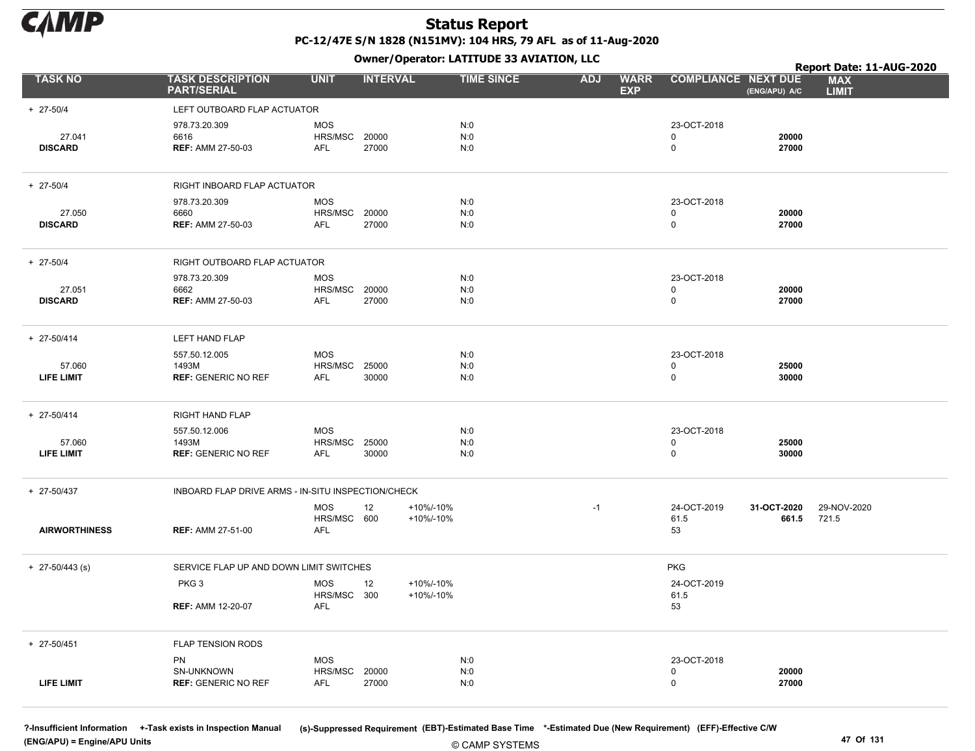

Owner/Operator: LATITUDE 33 AVIATION, LLC

|                             |                                                      |                                     |                 |                        | OWNER/OPERATOR: LATTIODE 33 AVIATION, LLC |            |                           |                               |                      | Report Date: 11-AUG-2020   |
|-----------------------------|------------------------------------------------------|-------------------------------------|-----------------|------------------------|-------------------------------------------|------------|---------------------------|-------------------------------|----------------------|----------------------------|
| <b>TASK NO</b>              | <b>TASK DESCRIPTION</b><br><b>PART/SERIAL</b>        | <b>UNIT</b>                         | <b>INTERVAL</b> |                        | <b>TIME SINCE</b>                         | <b>ADJ</b> | <b>WARR</b><br><b>EXP</b> | <b>COMPLIANCE NEXT DUE</b>    | (ENG/APU) A/C        | <b>MAX</b><br><b>LIMIT</b> |
| $+ 27 - 50/4$               | LEFT OUTBOARD FLAP ACTUATOR                          |                                     |                 |                        |                                           |            |                           |                               |                      |                            |
| 27.041<br><b>DISCARD</b>    | 978.73.20.309<br>6616<br><b>REF: AMM 27-50-03</b>    | <b>MOS</b><br>HRS/MSC<br>AFL        | 20000<br>27000  |                        | N:0<br>N:0<br>N:0                         |            |                           | 23-OCT-2018<br>0<br>$\pmb{0}$ | 20000<br>27000       |                            |
| $+ 27 - 50/4$               | RIGHT INBOARD FLAP ACTUATOR                          |                                     |                 |                        |                                           |            |                           |                               |                      |                            |
| 27.050<br><b>DISCARD</b>    | 978.73.20.309<br>6660<br><b>REF: AMM 27-50-03</b>    | MOS<br>HRS/MSC<br>AFL               | 20000<br>27000  |                        | N:0<br>N:0<br>N:0                         |            |                           | 23-OCT-2018<br>0<br>0         | 20000<br>27000       |                            |
| $+ 27 - 50/4$               | RIGHT OUTBOARD FLAP ACTUATOR                         |                                     |                 |                        |                                           |            |                           |                               |                      |                            |
| 27.051<br><b>DISCARD</b>    | 978.73.20.309<br>6662<br><b>REF: AMM 27-50-03</b>    | <b>MOS</b><br>HRS/MSC<br>AFL        | 20000<br>27000  |                        | N:0<br>N:0<br>N:0                         |            |                           | 23-OCT-2018<br>0<br>$\pmb{0}$ | 20000<br>27000       |                            |
| + 27-50/414                 | LEFT HAND FLAP                                       |                                     |                 |                        |                                           |            |                           |                               |                      |                            |
| 57.060<br><b>LIFE LIMIT</b> | 557.50.12.005<br>1493M<br><b>REF: GENERIC NO REF</b> | <b>MOS</b><br>HRS/MSC<br>AFL        | 25000<br>30000  |                        | N:0<br>N:0<br>N:0                         |            |                           | 23-OCT-2018<br>0<br>0         | 25000<br>30000       |                            |
| + 27-50/414                 | RIGHT HAND FLAP                                      |                                     |                 |                        |                                           |            |                           |                               |                      |                            |
| 57.060<br><b>LIFE LIMIT</b> | 557.50.12.006<br>1493M<br><b>REF: GENERIC NO REF</b> | <b>MOS</b><br>HRS/MSC<br>AFL        | 25000<br>30000  |                        | N:0<br>N:0<br>N:0                         |            |                           | 23-OCT-2018<br>0<br>$\pmb{0}$ | 25000<br>30000       |                            |
| + 27-50/437                 | INBOARD FLAP DRIVE ARMS - IN-SITU INSPECTION/CHECK   |                                     |                 |                        |                                           |            |                           |                               |                      |                            |
| <b>AIRWORTHINESS</b>        | <b>REF: AMM 27-51-00</b>                             | <b>MOS</b><br>HRS/MSC 600<br>AFL    | 12              | +10%/-10%<br>+10%/-10% |                                           | $-1$       |                           | 24-OCT-2019<br>61.5<br>53     | 31-OCT-2020<br>661.5 | 29-NOV-2020<br>721.5       |
| $+$ 27-50/443 (s)           | SERVICE FLAP UP AND DOWN LIMIT SWITCHES              |                                     |                 |                        |                                           |            |                           | <b>PKG</b>                    |                      |                            |
|                             | PKG <sub>3</sub>                                     | <b>MOS</b><br>HRS/MSC 300           | 12              | +10%/-10%<br>+10%/-10% |                                           |            |                           | 24-OCT-2019<br>61.5           |                      |                            |
|                             | <b>REF: AMM 12-20-07</b>                             | AFL                                 |                 |                        |                                           |            |                           | 53                            |                      |                            |
| + 27-50/451                 | <b>FLAP TENSION RODS</b>                             |                                     |                 |                        |                                           |            |                           |                               |                      |                            |
| <b>LIFE LIMIT</b>           | PN<br>SN-UNKNOWN<br><b>REF: GENERIC NO REF</b>       | <b>MOS</b><br>HRS/MSC<br><b>AFL</b> | 20000<br>27000  |                        | N:0<br>N:0<br>N:0                         |            |                           | 23-OCT-2018<br>0<br>0         | 20000<br>27000       |                            |

(ENG/APU) = Engine/APU Units 47 Of 131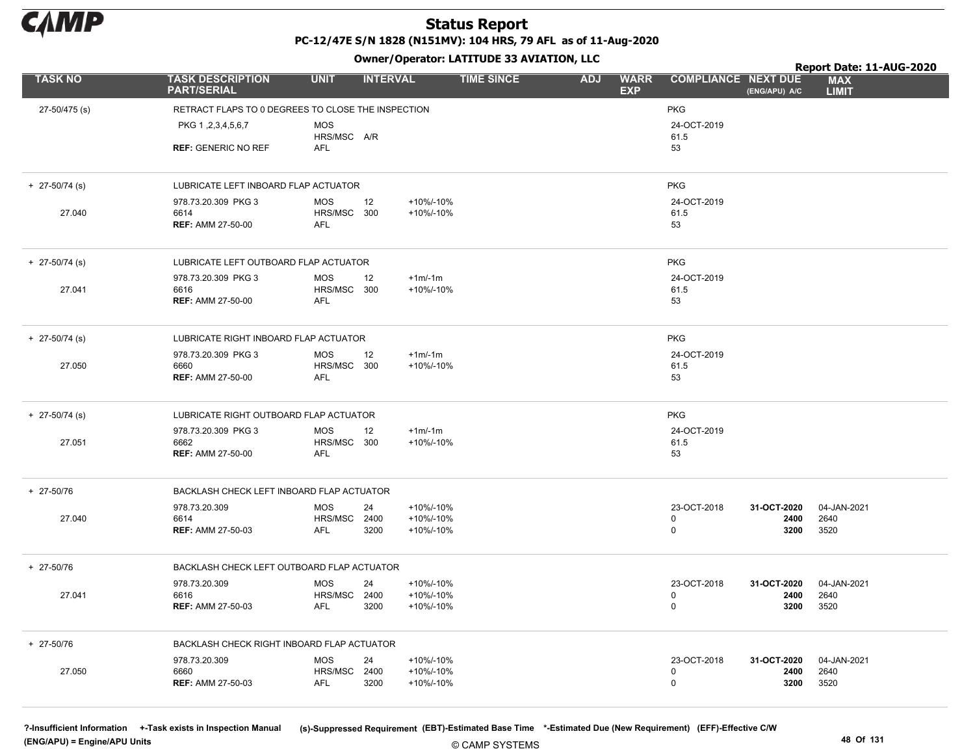

Owner/Operator: LATITUDE 33 AVIATION, LLC

|                  |                                                    | -                              |                   |                                         |                            |               | Report Date: 11-AUG-2020   |  |
|------------------|----------------------------------------------------|--------------------------------|-------------------|-----------------------------------------|----------------------------|---------------|----------------------------|--|
| <b>TASK NO</b>   | <b>TASK DESCRIPTION</b><br><b>PART/SERIAL</b>      | <b>UNIT</b><br><b>INTERVAL</b> | <b>TIME SINCE</b> | <b>ADJ</b><br><b>WARR</b><br><b>EXP</b> | <b>COMPLIANCE NEXT DUE</b> | (ENG/APU) A/C | <b>MAX</b><br><b>LIMIT</b> |  |
| 27-50/475 (s)    | RETRACT FLAPS TO 0 DEGREES TO CLOSE THE INSPECTION |                                |                   |                                         | <b>PKG</b>                 |               |                            |  |
|                  | PKG 1, 2, 3, 4, 5, 6, 7                            | <b>MOS</b><br>HRS/MSC A/R      |                   |                                         | 24-OCT-2019<br>61.5        |               |                            |  |
|                  | <b>REF: GENERIC NO REF</b>                         | <b>AFL</b>                     |                   |                                         | 53                         |               |                            |  |
| $+$ 27-50/74 (s) | LUBRICATE LEFT INBOARD FLAP ACTUATOR               |                                |                   |                                         | <b>PKG</b>                 |               |                            |  |
|                  | 978.73.20.309 PKG 3                                | <b>MOS</b><br>12               | +10%/-10%         |                                         | 24-OCT-2019                |               |                            |  |
| 27.040           | 6614<br><b>REF: AMM 27-50-00</b>                   | HRS/MSC 300<br><b>AFL</b>      | +10%/-10%         |                                         | 61.5<br>53                 |               |                            |  |
|                  |                                                    |                                |                   |                                         |                            |               |                            |  |
| $+$ 27-50/74 (s) | LUBRICATE LEFT OUTBOARD FLAP ACTUATOR              |                                |                   |                                         | <b>PKG</b>                 |               |                            |  |
|                  | 978.73.20.309 PKG 3                                | <b>MOS</b><br>12               | $+1m/1m$          |                                         | 24-OCT-2019                |               |                            |  |
| 27.041           | 6616                                               | HRS/MSC 300                    | +10%/-10%         |                                         | 61.5                       |               |                            |  |
|                  | <b>REF: AMM 27-50-00</b>                           | AFL                            |                   |                                         | 53                         |               |                            |  |
| $+$ 27-50/74 (s) | LUBRICATE RIGHT INBOARD FLAP ACTUATOR              |                                |                   |                                         | <b>PKG</b>                 |               |                            |  |
|                  | 978.73.20.309 PKG 3                                | MOS<br>12                      | $+1m/1m$          |                                         | 24-OCT-2019                |               |                            |  |
| 27.050           | 6660                                               | HRS/MSC 300                    | +10%/-10%         |                                         | 61.5                       |               |                            |  |
|                  | <b>REF: AMM 27-50-00</b>                           | <b>AFL</b>                     |                   |                                         | 53                         |               |                            |  |
| $+$ 27-50/74 (s) | LUBRICATE RIGHT OUTBOARD FLAP ACTUATOR             |                                |                   |                                         | <b>PKG</b>                 |               |                            |  |
|                  | 978.73.20.309 PKG 3                                | <b>MOS</b><br>12               | $+1m/-1m$         |                                         | 24-OCT-2019                |               |                            |  |
| 27.051           | 6662                                               | HRS/MSC 300                    | +10%/-10%         |                                         | 61.5                       |               |                            |  |
|                  | <b>REF: AMM 27-50-00</b>                           | AFL                            |                   |                                         | 53                         |               |                            |  |
| + 27-50/76       | BACKLASH CHECK LEFT INBOARD FLAP ACTUATOR          |                                |                   |                                         |                            |               |                            |  |
|                  | 978.73.20.309                                      | <b>MOS</b><br>24               | +10%/-10%         |                                         | 23-OCT-2018                | 31-OCT-2020   | 04-JAN-2021                |  |
| 27.040           | 6614                                               | HRS/MSC 2400                   | +10%/-10%         |                                         | 0                          | 2400          | 2640                       |  |
|                  | <b>REF: AMM 27-50-03</b>                           | <b>AFL</b><br>3200             | +10%/-10%         |                                         | $\mathbf 0$                | 3200          | 3520                       |  |
| + 27-50/76       | BACKLASH CHECK LEFT OUTBOARD FLAP ACTUATOR         |                                |                   |                                         |                            |               |                            |  |
|                  | 978.73.20.309                                      | <b>MOS</b><br>24               | +10%/-10%         |                                         | 23-OCT-2018                | 31-OCT-2020   | 04-JAN-2021                |  |
| 27.041           | 6616                                               | HRS/MSC 2400                   | +10%/-10%         |                                         | 0                          | 2400          | 2640                       |  |
|                  | <b>REF: AMM 27-50-03</b>                           | <b>AFL</b><br>3200             | +10%/-10%         |                                         | 0                          | 3200          | 3520                       |  |
| + 27-50/76       | BACKLASH CHECK RIGHT INBOARD FLAP ACTUATOR         |                                |                   |                                         |                            |               |                            |  |
|                  | 978.73.20.309                                      | <b>MOS</b><br>24               | +10%/-10%         |                                         | 23-OCT-2018                | 31-OCT-2020   | 04-JAN-2021                |  |
| 27.050           | 6660                                               | HRS/MSC 2400                   | +10%/-10%         |                                         | 0                          | 2400          | 2640                       |  |
|                  | <b>REF: AMM 27-50-03</b>                           | <b>AFL</b><br>3200             | +10%/-10%         |                                         | $\mathbf 0$                | 3200          | 3520                       |  |

(ENG/APU) = Engine/APU Units 48 Of 131

?-Insufficient Information +-Task exists in Inspection Manual (s)-Suppressed Requirement (EBT)-Estimated Base Time \*-Estimated Due (New Requirement) (EFF)-Effective C/W

© CAMP SYSTEMS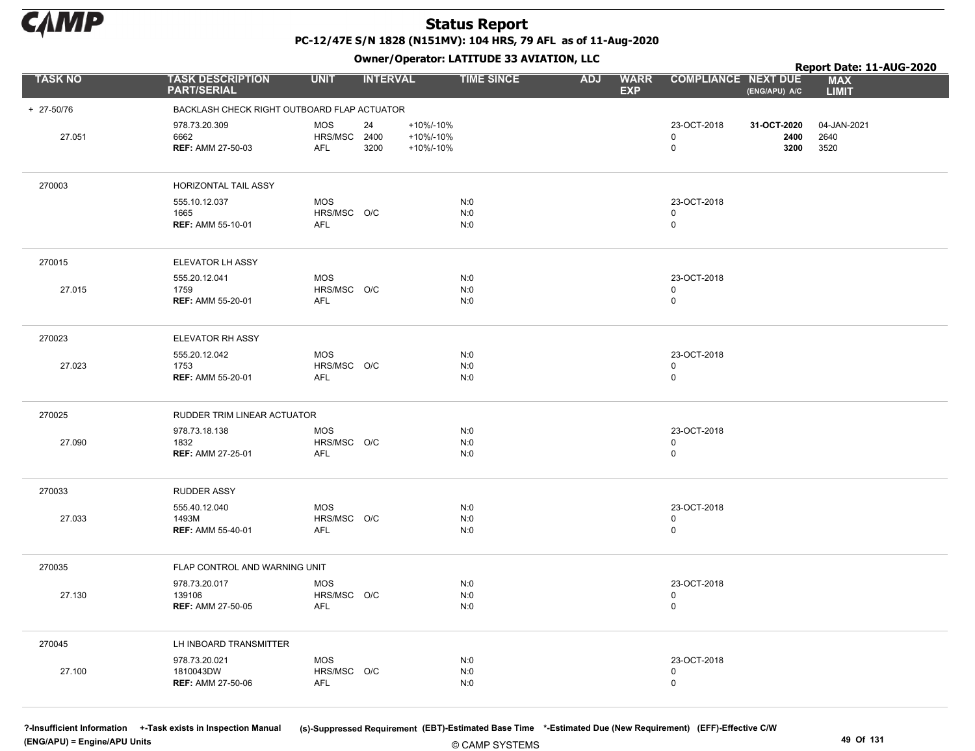

Owner/Operator: LATITUDE 33 AVIATION, LLC

|                | Owner/Operator. EATITODE 33 AVIATION, LLC              |                                          |                 |                                     |                   |            |                           |                            |                             | Report Date: 11-AUG-2020    |
|----------------|--------------------------------------------------------|------------------------------------------|-----------------|-------------------------------------|-------------------|------------|---------------------------|----------------------------|-----------------------------|-----------------------------|
| <b>TASK NO</b> | <b>TASK DESCRIPTION</b><br><b>PART/SERIAL</b>          | <b>UNIT</b>                              | <b>INTERVAL</b> |                                     | <b>TIME SINCE</b> | <b>ADJ</b> | <b>WARR</b><br><b>EXP</b> | <b>COMPLIANCE NEXT DUE</b> | (ENG/APU) A/C               | <b>MAX</b><br><b>LIMIT</b>  |
| + 27-50/76     | BACKLASH CHECK RIGHT OUTBOARD FLAP ACTUATOR            |                                          |                 |                                     |                   |            |                           |                            |                             |                             |
| 27.051         | 978.73.20.309<br>6662<br><b>REF: AMM 27-50-03</b>      | <b>MOS</b><br>HRS/MSC 2400<br><b>AFL</b> | 24<br>3200      | +10%/-10%<br>+10%/-10%<br>+10%/-10% |                   |            |                           | 23-OCT-2018<br>0<br>0      | 31-OCT-2020<br>2400<br>3200 | 04-JAN-2021<br>2640<br>3520 |
| 270003         | HORIZONTAL TAIL ASSY                                   |                                          |                 |                                     |                   |            |                           |                            |                             |                             |
|                | 555.10.12.037<br>1665<br><b>REF: AMM 55-10-01</b>      | <b>MOS</b><br>HRS/MSC O/C<br><b>AFL</b>  |                 |                                     | N:0<br>N:0<br>N:0 |            |                           | 23-OCT-2018<br>0<br>0      |                             |                             |
| 270015         | ELEVATOR LH ASSY                                       |                                          |                 |                                     |                   |            |                           |                            |                             |                             |
| 27.015         | 555.20.12.041<br>1759<br><b>REF: AMM 55-20-01</b>      | <b>MOS</b><br>HRS/MSC O/C<br><b>AFL</b>  |                 |                                     | N:0<br>N:0<br>N:0 |            |                           | 23-OCT-2018<br>0<br>0      |                             |                             |
| 270023         | ELEVATOR RH ASSY                                       |                                          |                 |                                     |                   |            |                           |                            |                             |                             |
| 27.023         | 555.20.12.042<br>1753<br><b>REF: AMM 55-20-01</b>      | <b>MOS</b><br>HRS/MSC O/C<br><b>AFL</b>  |                 |                                     | N:0<br>N:0<br>N:0 |            |                           | 23-OCT-2018<br>0<br>0      |                             |                             |
| 270025         | RUDDER TRIM LINEAR ACTUATOR                            |                                          |                 |                                     |                   |            |                           |                            |                             |                             |
| 27.090         | 978.73.18.138<br>1832<br><b>REF: AMM 27-25-01</b>      | <b>MOS</b><br>HRS/MSC O/C<br><b>AFL</b>  |                 |                                     | N:0<br>N:0<br>N:0 |            |                           | 23-OCT-2018<br>0<br>0      |                             |                             |
| 270033         | <b>RUDDER ASSY</b>                                     |                                          |                 |                                     |                   |            |                           |                            |                             |                             |
| 27.033         | 555.40.12.040<br>1493M<br><b>REF: AMM 55-40-01</b>     | <b>MOS</b><br>HRS/MSC O/C<br>AFL         |                 |                                     | N:0<br>N:0<br>N:0 |            |                           | 23-OCT-2018<br>0<br>0      |                             |                             |
| 270035         | FLAP CONTROL AND WARNING UNIT                          |                                          |                 |                                     |                   |            |                           |                            |                             |                             |
| 27.130         | 978.73.20.017<br>139106<br><b>REF: AMM 27-50-05</b>    | <b>MOS</b><br>HRS/MSC O/C<br>AFL         |                 |                                     | N:0<br>N:0<br>N:0 |            |                           | 23-OCT-2018<br>0<br>0      |                             |                             |
| 270045         | LH INBOARD TRANSMITTER                                 |                                          |                 |                                     |                   |            |                           |                            |                             |                             |
| 27.100         | 978.73.20.021<br>1810043DW<br><b>REF: AMM 27-50-06</b> | <b>MOS</b><br>HRS/MSC O/C<br><b>AFL</b>  |                 |                                     | N:0<br>N:0<br>N:0 |            |                           | 23-OCT-2018<br>0<br>0      |                             |                             |

(ENG/APU) = Engine/APU Units 49 Of 131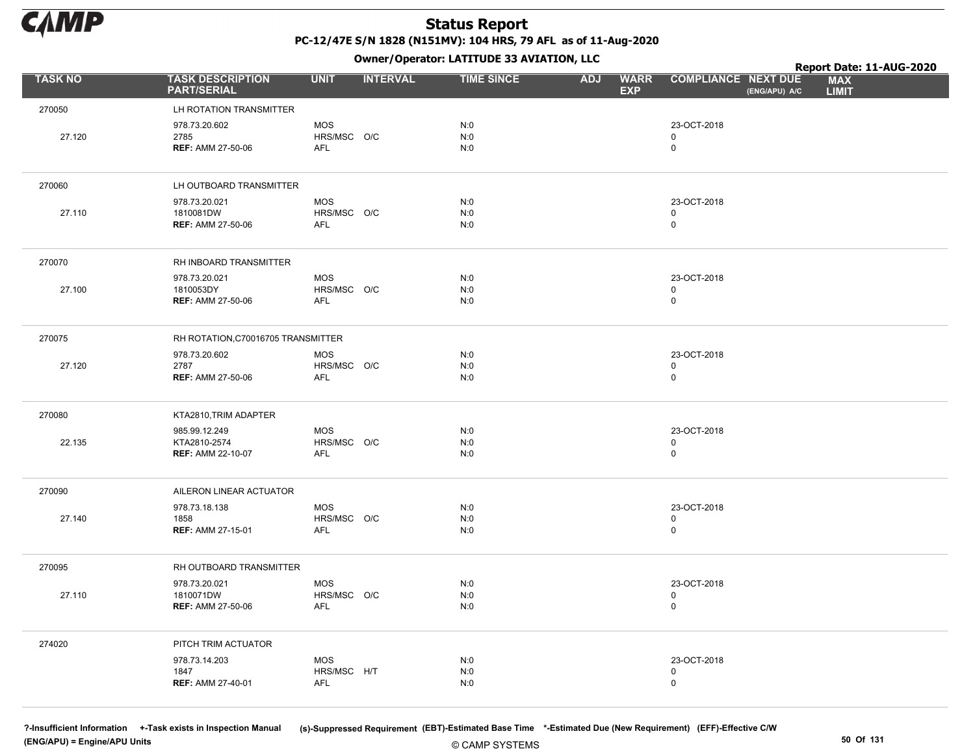

Owner/Operator: LATITUDE 33 AVIATION, LLC

|                |                                               |                           | - - -           |                   |                                         |                                             | Report Date: 11-AUG-2020   |
|----------------|-----------------------------------------------|---------------------------|-----------------|-------------------|-----------------------------------------|---------------------------------------------|----------------------------|
| <b>TASK NO</b> | <b>TASK DESCRIPTION</b><br><b>PART/SERIAL</b> | <b>UNIT</b>               | <b>INTERVAL</b> | <b>TIME SINCE</b> | <b>WARR</b><br><b>ADJ</b><br><b>EXP</b> | <b>COMPLIANCE NEXT DUE</b><br>(ENG/APU) A/C | <b>MAX</b><br><b>LIMIT</b> |
| 270050         | LH ROTATION TRANSMITTER                       |                           |                 |                   |                                         |                                             |                            |
|                | 978.73.20.602                                 | <b>MOS</b>                |                 | N:0               |                                         | 23-OCT-2018                                 |                            |
| 27.120         | 2785                                          | HRS/MSC O/C               |                 | N:0               |                                         | $\mathbf 0$<br>$\mathsf{O}$                 |                            |
|                | <b>REF: AMM 27-50-06</b>                      | AFL                       |                 | N:0               |                                         |                                             |                            |
| 270060         | LH OUTBOARD TRANSMITTER                       |                           |                 |                   |                                         |                                             |                            |
|                | 978.73.20.021                                 | <b>MOS</b>                |                 | N:0               |                                         | 23-OCT-2018                                 |                            |
| 27.110         | 1810081DW<br><b>REF: AMM 27-50-06</b>         | HRS/MSC O/C<br><b>AFL</b> |                 | N:0<br>N:0        |                                         | 0<br>0                                      |                            |
|                |                                               |                           |                 |                   |                                         |                                             |                            |
| 270070         | RH INBOARD TRANSMITTER                        |                           |                 |                   |                                         |                                             |                            |
|                | 978.73.20.021                                 | <b>MOS</b>                |                 | N:0               |                                         | 23-OCT-2018                                 |                            |
| 27.100         | 1810053DY<br><b>REF: AMM 27-50-06</b>         | HRS/MSC O/C<br><b>AFL</b> |                 | N:0<br>N:0        |                                         | 0<br>$\mathsf{O}$                           |                            |
|                |                                               |                           |                 |                   |                                         |                                             |                            |
| 270075         | RH ROTATION, C70016705 TRANSMITTER            |                           |                 |                   |                                         |                                             |                            |
| 27.120         | 978.73.20.602<br>2787                         | <b>MOS</b><br>HRS/MSC O/C |                 | N:0<br>N:0        |                                         | 23-OCT-2018<br>0                            |                            |
|                | <b>REF: AMM 27-50-06</b>                      | <b>AFL</b>                |                 | N:0               |                                         | $\mathbf 0$                                 |                            |
|                |                                               |                           |                 |                   |                                         |                                             |                            |
| 270080         | KTA2810, TRIM ADAPTER                         |                           |                 |                   |                                         |                                             |                            |
| 22.135         | 985.99.12.249<br>KTA2810-2574                 | <b>MOS</b><br>HRS/MSC O/C |                 | N:0<br>N:0        |                                         | 23-OCT-2018<br>0                            |                            |
|                | <b>REF: AMM 22-10-07</b>                      | AFL                       |                 | N:0               |                                         | $\mathsf{O}$                                |                            |
|                |                                               |                           |                 |                   |                                         |                                             |                            |
| 270090         | AILERON LINEAR ACTUATOR                       |                           |                 |                   |                                         |                                             |                            |
| 27.140         | 978.73.18.138<br>1858                         | <b>MOS</b><br>HRS/MSC O/C |                 | N:0<br>N:0        |                                         | 23-OCT-2018<br>0                            |                            |
|                | <b>REF: AMM 27-15-01</b>                      | <b>AFL</b>                |                 | N:0               |                                         | $\mathsf{O}$                                |                            |
|                |                                               |                           |                 |                   |                                         |                                             |                            |
| 270095         | RH OUTBOARD TRANSMITTER                       |                           |                 |                   |                                         |                                             |                            |
| 27.110         | 978.73.20.021<br>1810071DW                    | <b>MOS</b><br>HRS/MSC O/C |                 | N:0<br>N:0        |                                         | 23-OCT-2018<br>0                            |                            |
|                | <b>REF: AMM 27-50-06</b>                      | AFL                       |                 | N:0               |                                         | $\mathsf 0$                                 |                            |
|                |                                               |                           |                 |                   |                                         |                                             |                            |
| 274020         | PITCH TRIM ACTUATOR                           |                           |                 |                   |                                         |                                             |                            |
|                | 978.73.14.203<br>1847                         | <b>MOS</b><br>HRS/MSC H/T |                 | N:0<br>N:0        |                                         | 23-OCT-2018<br>0                            |                            |
|                | <b>REF: AMM 27-40-01</b>                      | <b>AFL</b>                |                 | N:0               |                                         | 0                                           |                            |
|                |                                               |                           |                 |                   |                                         |                                             |                            |

(ENG/APU) = Engine/APU Units 50 Of 131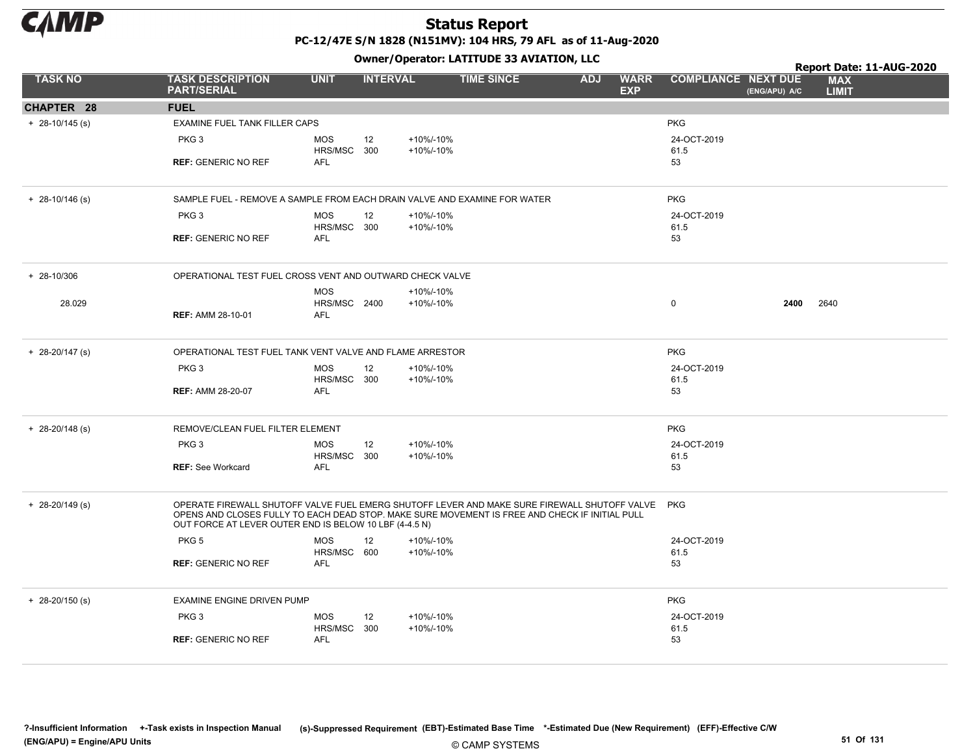

PC-12/47E S/N 1828 (N151MV): 104 HRS, 79 AFL as of 11-Aug-2020

|                     |                                                                                                                                                                                                                                                          |                            |                 |                        | Owner/Operator. EATITODE 33 AVIATION, LLC |            |                           |                            |               | Report Date: 11-AUG-2020   |  |
|---------------------|----------------------------------------------------------------------------------------------------------------------------------------------------------------------------------------------------------------------------------------------------------|----------------------------|-----------------|------------------------|-------------------------------------------|------------|---------------------------|----------------------------|---------------|----------------------------|--|
| <b>TASK NO</b>      | <b>TASK DESCRIPTION</b><br><b>PART/SERIAL</b>                                                                                                                                                                                                            | <b>UNIT</b>                | <b>INTERVAL</b> |                        | <b>TIME SINCE</b>                         | <b>ADJ</b> | <b>WARR</b><br><b>EXP</b> | <b>COMPLIANCE NEXT DUE</b> | (ENG/APU) A/C | <b>MAX</b><br><b>LIMIT</b> |  |
| CHAPTER 28          | <b>FUEL</b>                                                                                                                                                                                                                                              |                            |                 |                        |                                           |            |                           |                            |               |                            |  |
| $+$ 28-10/145 (s)   | EXAMINE FUEL TANK FILLER CAPS                                                                                                                                                                                                                            |                            |                 |                        |                                           |            |                           | <b>PKG</b>                 |               |                            |  |
|                     | PKG <sub>3</sub>                                                                                                                                                                                                                                         | <b>MOS</b>                 | 12              | +10%/-10%              |                                           |            |                           | 24-OCT-2019                |               |                            |  |
|                     | <b>REF: GENERIC NO REF</b>                                                                                                                                                                                                                               | HRS/MSC 300<br><b>AFL</b>  |                 | +10%/-10%              |                                           |            |                           | 61.5<br>53                 |               |                            |  |
|                     |                                                                                                                                                                                                                                                          |                            |                 |                        |                                           |            |                           |                            |               |                            |  |
| $+ 28 - 10/146$ (s) | SAMPLE FUEL - REMOVE A SAMPLE FROM EACH DRAIN VALVE AND EXAMINE FOR WATER                                                                                                                                                                                |                            |                 |                        | <b>PKG</b>                                |            |                           |                            |               |                            |  |
|                     | PKG <sub>3</sub>                                                                                                                                                                                                                                         | <b>MOS</b><br>HRS/MSC 300  | 12              | +10%/-10%<br>+10%/-10% |                                           |            |                           | 24-OCT-2019                |               |                            |  |
|                     | <b>REF: GENERIC NO REF</b>                                                                                                                                                                                                                               | <b>AFL</b>                 |                 |                        |                                           |            |                           | 61.5<br>53                 |               |                            |  |
|                     |                                                                                                                                                                                                                                                          |                            |                 |                        |                                           |            |                           |                            |               |                            |  |
| $+ 28 - 10/306$     | OPERATIONAL TEST FUEL CROSS VENT AND OUTWARD CHECK VALVE                                                                                                                                                                                                 |                            |                 |                        |                                           |            |                           |                            |               |                            |  |
| 28.029              |                                                                                                                                                                                                                                                          | <b>MOS</b><br>HRS/MSC 2400 |                 | +10%/-10%<br>+10%/-10% |                                           |            |                           | $\mathbf 0$                | 2400          | 2640                       |  |
|                     | <b>REF: AMM 28-10-01</b>                                                                                                                                                                                                                                 | <b>AFL</b>                 |                 |                        |                                           |            |                           |                            |               |                            |  |
|                     |                                                                                                                                                                                                                                                          |                            |                 |                        |                                           |            |                           |                            |               |                            |  |
| $+ 28 - 20/147$ (s) | OPERATIONAL TEST FUEL TANK VENT VALVE AND FLAME ARRESTOR                                                                                                                                                                                                 |                            |                 |                        |                                           |            |                           | <b>PKG</b>                 |               |                            |  |
|                     | PKG <sub>3</sub>                                                                                                                                                                                                                                         | <b>MOS</b><br>HRS/MSC 300  | 12              | +10%/-10%<br>+10%/-10% |                                           |            |                           | 24-OCT-2019<br>61.5        |               |                            |  |
|                     | <b>REF: AMM 28-20-07</b>                                                                                                                                                                                                                                 | <b>AFL</b>                 |                 |                        |                                           |            |                           | 53                         |               |                            |  |
|                     |                                                                                                                                                                                                                                                          |                            |                 |                        |                                           |            |                           |                            |               |                            |  |
| $+ 28 - 20/148$ (s) | REMOVE/CLEAN FUEL FILTER ELEMENT                                                                                                                                                                                                                         |                            |                 |                        |                                           |            |                           | <b>PKG</b>                 |               |                            |  |
|                     | PKG <sub>3</sub>                                                                                                                                                                                                                                         | <b>MOS</b>                 | 12              | +10%/-10%              |                                           |            |                           | 24-OCT-2019                |               |                            |  |
|                     | <b>REF: See Workcard</b>                                                                                                                                                                                                                                 | HRS/MSC 300<br><b>AFL</b>  |                 | +10%/-10%              |                                           |            |                           | 61.5<br>53                 |               |                            |  |
|                     |                                                                                                                                                                                                                                                          |                            |                 |                        |                                           |            |                           |                            |               |                            |  |
| $+$ 28-20/149 (s)   | OPERATE FIREWALL SHUTOFF VALVE FUEL EMERG SHUTOFF LEVER AND MAKE SURE FIREWALL SHUTOFF VALVE<br>OPENS AND CLOSES FULLY TO EACH DEAD STOP. MAKE SURE MOVEMENT IS FREE AND CHECK IF INITIAL PULL<br>OUT FORCE AT LEVER OUTER END IS BELOW 10 LBF (4-4.5 N) |                            |                 |                        |                                           |            |                           | <b>PKG</b>                 |               |                            |  |
|                     | PKG <sub>5</sub>                                                                                                                                                                                                                                         | <b>MOS</b>                 | 12              | +10%/-10%              |                                           |            |                           | 24-OCT-2019                |               |                            |  |
|                     | <b>REF: GENERIC NO REF</b>                                                                                                                                                                                                                               | HRS/MSC 600<br><b>AFL</b>  |                 | +10%/-10%              |                                           |            |                           | 61.5<br>53                 |               |                            |  |
|                     |                                                                                                                                                                                                                                                          |                            |                 |                        |                                           |            |                           |                            |               |                            |  |
| $+$ 28-20/150 (s)   | EXAMINE ENGINE DRIVEN PUMP                                                                                                                                                                                                                               |                            |                 |                        |                                           |            |                           | <b>PKG</b>                 |               |                            |  |
|                     | PKG <sub>3</sub>                                                                                                                                                                                                                                         | <b>MOS</b>                 | 12              | +10%/-10%              |                                           |            |                           | 24-OCT-2019                |               |                            |  |
|                     | <b>REF: GENERIC NO REF</b>                                                                                                                                                                                                                               | HRS/MSC 300<br>AFL         |                 | +10%/-10%              |                                           |            |                           | 61.5<br>53                 |               |                            |  |
|                     |                                                                                                                                                                                                                                                          |                            |                 |                        |                                           |            |                           |                            |               |                            |  |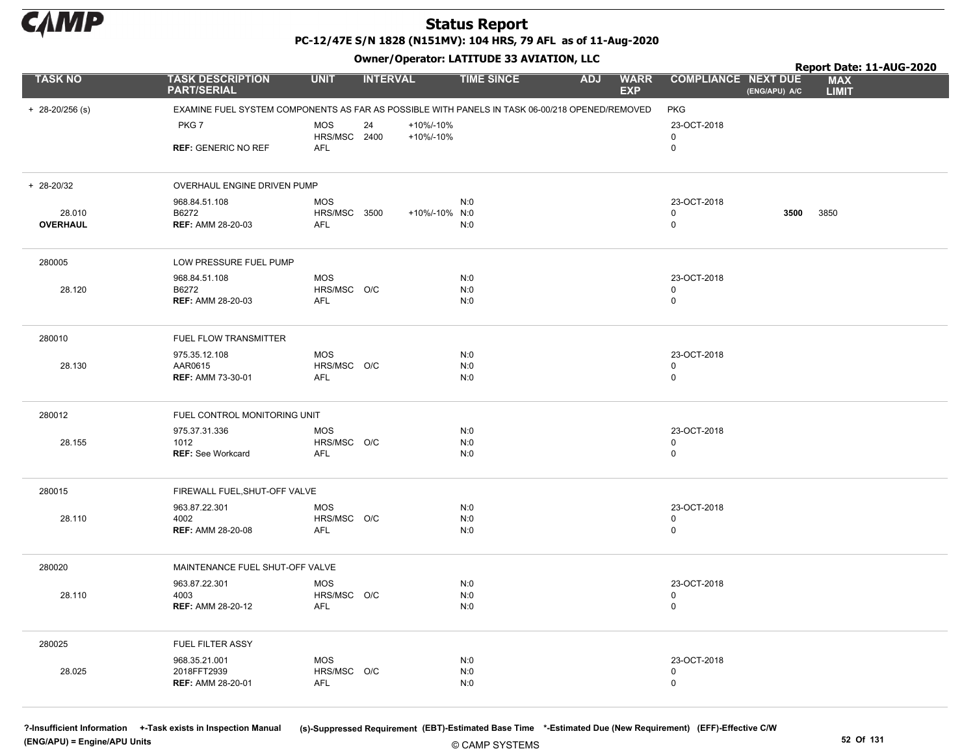

PC-12/47E S/N 1828 (N151MV): 104 HRS, 79 AFL as of 11-Aug-2020

+ 28-20/256 (s) EXAMINE FUEL SYSTEM COMPONENTS AS FAR AS POSSIBLE WITH PANELS IN TASK 06-00/218 OPENED/REMOVED PKG PKG<sub>7</sub> REF: GENERIC NO REF 0 MOS HRS/MSC 2400 AFL 24 23-OCT-2018 0 +10%/-10% +10%/-10%  $+ 28 - 20/32$ **OVERHAUL** OVERHAUL ENGINE DRIVEN PUMP 28.010 968.84.51.108 B6272 REF: AMM 28-20-03 MOS HRS/MSC 3500 AFL N:0 N:0 +10%/-10% 3850 N:0 23-OCT-2018 0 0 3500 280005 LOW PRESSURE FUEL PUMP 28.120 968.84.51.108 B6272 REF: AMM 28-20-03 0 MOS HRS/MSC O/C AFL N:0 N:0 N:0 23-OCT-2018 0 280010 FUEL FLOW TRANSMITTER 28.130 975.35.12.108 AAR0615 REF: AMM 73-30-01 0 MOS HRS/MSC O/C AFL N:0 N:0 N:0 23-OCT-2018 0 280012 FUEL CONTROL MONITORING UNIT 28.155 975.37.31.336 1012 **REF: See Workcard** MOS HRS/MSC O/C AFL N:0 N:0 N:0 23-OCT-2018 0 See Workcard 0 280015 FIREWALL FUEL,SHUT-OFF VALVE 28.110 963.87.22.301 4002 REF: AMM 28-20-08 0 MOS HRS/MSC O/C AFL N:0 N:0 N:0 23-OCT-2018 0 280020 MAINTENANCE FUEL SHUT-OFF VALVE 28.110 963.87.22.301 4003 REF: AMM 28-20-12 0 MOS HRS/MSC O/C AFL N:0 N:0 N:0 23-OCT-2018 0 280025 FUEL FILTER ASSY 28.025 968.35.21.001 2018FFT2939 REF: AMM 28-20-01 0 MOS HRS/MSC O/C AFL N:0 N:0 N:0 23-OCT-2018 0 TASK NO TASK DESCRIPTION UNIT INTERVAL TIME SINCE WARR COMPLIANCE **EXP** ADJ WARR COMPLIANCE NEXT DUE MAX LIMIT Report Date: 11-AUG-2020 PART/SERIAL Owner/Operator: LATITUDE 33 AVIATION, LLC (ENG/APU) A/C

(ENG/APU) = Engine/APU Units 52 Of 131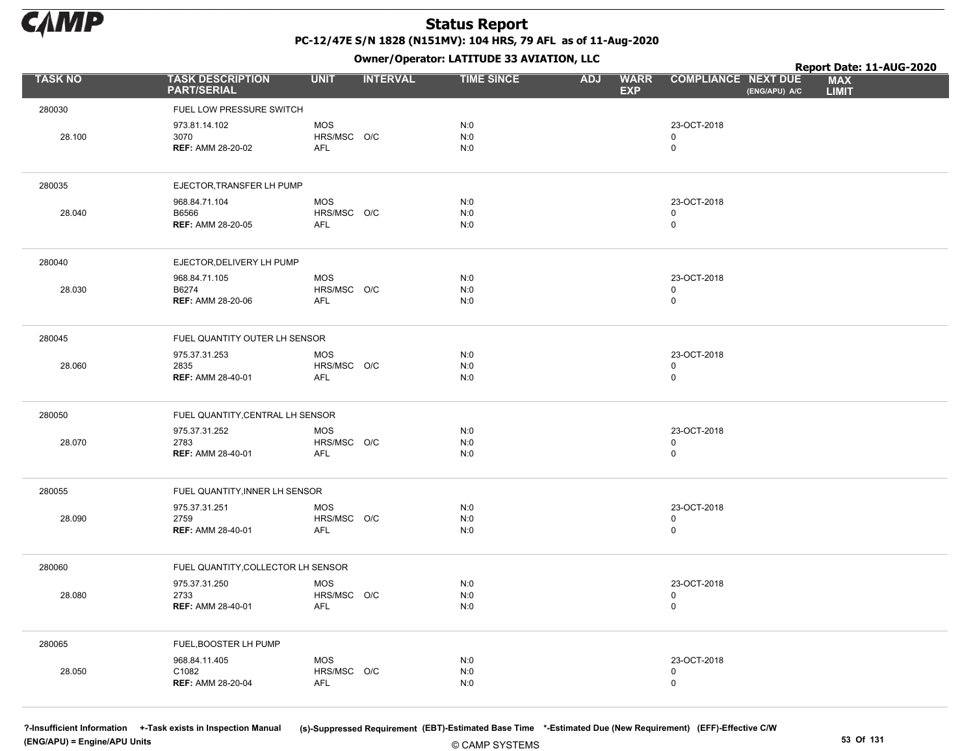

Owner/Operator: LATITUDE 33 AVIATION, LLC

|                |                                                    | .                                |                   |                                         |                                             | Report Date: 11-AUG-2020   |
|----------------|----------------------------------------------------|----------------------------------|-------------------|-----------------------------------------|---------------------------------------------|----------------------------|
| <b>TASK NO</b> | <b>TASK DESCRIPTION</b><br><b>PART/SERIAL</b>      | <b>INTERVAL</b><br><b>UNIT</b>   | <b>TIME SINCE</b> | <b>WARR</b><br><b>ADJ</b><br><b>EXP</b> | <b>COMPLIANCE NEXT DUE</b><br>(ENG/APU) A/C | <b>MAX</b><br><b>LIMIT</b> |
| 280030         | FUEL LOW PRESSURE SWITCH                           |                                  |                   |                                         |                                             |                            |
| 28.100         | 973.81.14.102<br>3070<br><b>REF: AMM 28-20-02</b>  | <b>MOS</b><br>HRS/MSC O/C<br>AFL | N:0<br>N:0<br>N:0 |                                         | 23-OCT-2018<br>0<br>$\mathbf 0$             |                            |
| 280035         | EJECTOR, TRANSFER LH PUMP                          |                                  |                   |                                         |                                             |                            |
| 28.040         | 968.84.71.104<br>B6566<br><b>REF: AMM 28-20-05</b> | <b>MOS</b><br>HRS/MSC O/C<br>AFL | N:0<br>N:0<br>N:0 |                                         | 23-OCT-2018<br>0<br>$\mathbf 0$             |                            |
| 280040         | EJECTOR, DELIVERY LH PUMP                          |                                  |                   |                                         |                                             |                            |
| 28.030         | 968.84.71.105<br>B6274<br><b>REF: AMM 28-20-06</b> | <b>MOS</b><br>HRS/MSC O/C<br>AFL | N:0<br>N:0<br>N:0 |                                         | 23-OCT-2018<br>0<br>$\mathsf{O}$            |                            |
| 280045         | FUEL QUANTITY OUTER LH SENSOR                      |                                  |                   |                                         |                                             |                            |
| 28.060         | 975.37.31.253<br>2835<br><b>REF: AMM 28-40-01</b>  | <b>MOS</b><br>HRS/MSC O/C<br>AFL | N:0<br>N:0<br>N:0 |                                         | 23-OCT-2018<br>0<br>$\mathsf{O}$            |                            |
| 280050         | FUEL QUANTITY, CENTRAL LH SENSOR                   |                                  |                   |                                         |                                             |                            |
| 28.070         | 975.37.31.252<br>2783<br><b>REF: AMM 28-40-01</b>  | <b>MOS</b><br>HRS/MSC O/C<br>AFL | N:0<br>N:0<br>N:0 |                                         | 23-OCT-2018<br>0<br>$\mathsf{O}$            |                            |
| 280055         | FUEL QUANTITY, INNER LH SENSOR                     |                                  |                   |                                         |                                             |                            |
| 28.090         | 975.37.31.251<br>2759<br><b>REF: AMM 28-40-01</b>  | <b>MOS</b><br>HRS/MSC O/C<br>AFL | N:0<br>N:0<br>N:0 |                                         | 23-OCT-2018<br>$\mathsf{O}$<br>$\pmb{0}$    |                            |
| 280060         | FUEL QUANTITY, COLLECTOR LH SENSOR                 |                                  |                   |                                         |                                             |                            |
| 28.080         | 975.37.31.250<br>2733<br><b>REF: AMM 28-40-01</b>  | <b>MOS</b><br>HRS/MSC O/C<br>AFL | N:0<br>N:0<br>N:0 |                                         | 23-OCT-2018<br>0<br>$\mathsf 0$             |                            |
| 280065         | FUEL, BOOSTER LH PUMP                              |                                  |                   |                                         |                                             |                            |
| 28.050         | 968.84.11.405<br>C1082<br><b>REF: AMM 28-20-04</b> | MOS<br>HRS/MSC O/C<br><b>AFL</b> | N:0<br>N:0<br>N:0 |                                         | 23-OCT-2018<br>0<br>$\mathsf{O}$            |                            |

(ENG/APU) = Engine/APU Units 53 Of 131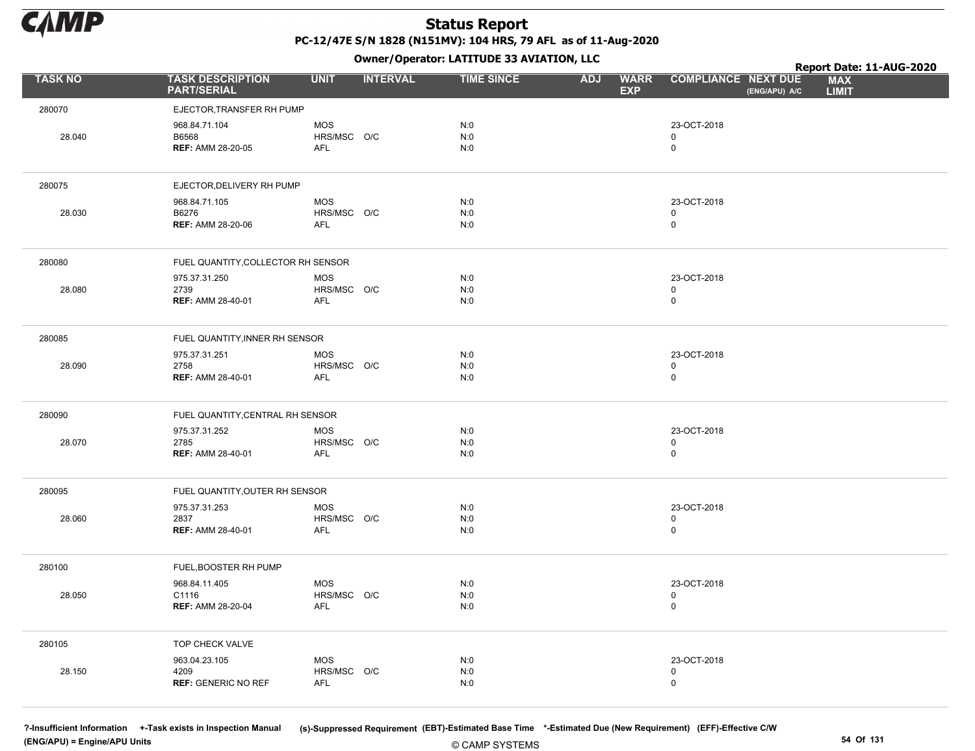

Owner/Operator: LATITUDE 33 AVIATION, LLC

|                |                                                     |                                         |                 | Owner/Operator. EATITODE 33 AVIATION, LLC |                                         |                                           |               | Report Date: 11-AUG-2020   |
|----------------|-----------------------------------------------------|-----------------------------------------|-----------------|-------------------------------------------|-----------------------------------------|-------------------------------------------|---------------|----------------------------|
| <b>TASK NO</b> | <b>TASK DESCRIPTION</b><br><b>PART/SERIAL</b>       | <b>UNIT</b>                             | <b>INTERVAL</b> | <b>TIME SINCE</b>                         | <b>WARR</b><br><b>ADJ</b><br><b>EXP</b> | <b>COMPLIANCE NEXT DUE</b>                | (ENG/APU) A/C | <b>MAX</b><br><b>LIMIT</b> |
| 280070         | EJECTOR, TRANSFER RH PUMP                           |                                         |                 |                                           |                                         |                                           |               |                            |
| 28.040         | 968.84.71.104<br>B6568<br><b>REF: AMM 28-20-05</b>  | <b>MOS</b><br>HRS/MSC O/C<br><b>AFL</b> |                 | N:0<br>N:0<br>N:0                         |                                         | 23-OCT-2018<br>$\mathbf 0$<br>$\mathsf 0$ |               |                            |
| 280075         | EJECTOR, DELIVERY RH PUMP                           |                                         |                 |                                           |                                         |                                           |               |                            |
| 28.030         | 968.84.71.105<br>B6276<br><b>REF: AMM 28-20-06</b>  | <b>MOS</b><br>HRS/MSC O/C<br><b>AFL</b> |                 | N:0<br>N:0<br>N:0                         |                                         | 23-OCT-2018<br>$\mathbf 0$<br>$\mathsf 0$ |               |                            |
| 280080         | FUEL QUANTITY, COLLECTOR RH SENSOR                  |                                         |                 |                                           |                                         |                                           |               |                            |
| 28.080         | 975.37.31.250<br>2739<br><b>REF: AMM 28-40-01</b>   | <b>MOS</b><br>HRS/MSC O/C<br>AFL        |                 | N:0<br>N:0<br>N:0                         |                                         | 23-OCT-2018<br>$\mathbf 0$<br>$\pmb{0}$   |               |                            |
| 280085         | FUEL QUANTITY, INNER RH SENSOR                      |                                         |                 |                                           |                                         |                                           |               |                            |
| 28.090         | 975.37.31.251<br>2758<br><b>REF: AMM 28-40-01</b>   | <b>MOS</b><br>HRS/MSC O/C<br>AFL        |                 | N:0<br>N:0<br>N:0                         |                                         | 23-OCT-2018<br>$\mathsf 0$<br>$\mathbf 0$ |               |                            |
| 280090         | FUEL QUANTITY, CENTRAL RH SENSOR                    |                                         |                 |                                           |                                         |                                           |               |                            |
| 28.070         | 975.37.31.252<br>2785<br><b>REF: AMM 28-40-01</b>   | <b>MOS</b><br>HRS/MSC O/C<br><b>AFL</b> |                 | N:0<br>N:0<br>N:0                         |                                         | 23-OCT-2018<br>$\mathsf 0$<br>$\mathbf 0$ |               |                            |
| 280095         | FUEL QUANTITY, OUTER RH SENSOR                      |                                         |                 |                                           |                                         |                                           |               |                            |
| 28.060         | 975.37.31.253<br>2837<br><b>REF: AMM 28-40-01</b>   | <b>MOS</b><br>HRS/MSC O/C<br><b>AFL</b> |                 | N:0<br>N:0<br>N:0                         |                                         | 23-OCT-2018<br>$\mathsf 0$<br>$\mathbf 0$ |               |                            |
| 280100         | FUEL, BOOSTER RH PUMP                               |                                         |                 |                                           |                                         |                                           |               |                            |
| 28.050         | 968.84.11.405<br>C1116<br><b>REF: AMM 28-20-04</b>  | <b>MOS</b><br>HRS/MSC O/C<br><b>AFL</b> |                 | N:0<br>N:0<br>N:0                         |                                         | 23-OCT-2018<br>$\pmb{0}$<br>$\mathsf 0$   |               |                            |
| 280105         | TOP CHECK VALVE                                     |                                         |                 |                                           |                                         |                                           |               |                            |
| 28.150         | 963.04.23.105<br>4209<br><b>REF: GENERIC NO REF</b> | <b>MOS</b><br>HRS/MSC O/C<br><b>AFL</b> |                 | N:0<br>N:0<br>N:0                         |                                         | 23-OCT-2018<br>$\mathsf 0$<br>$\mathbf 0$ |               |                            |

(ENG/APU) = Engine/APU Units 54 Of 131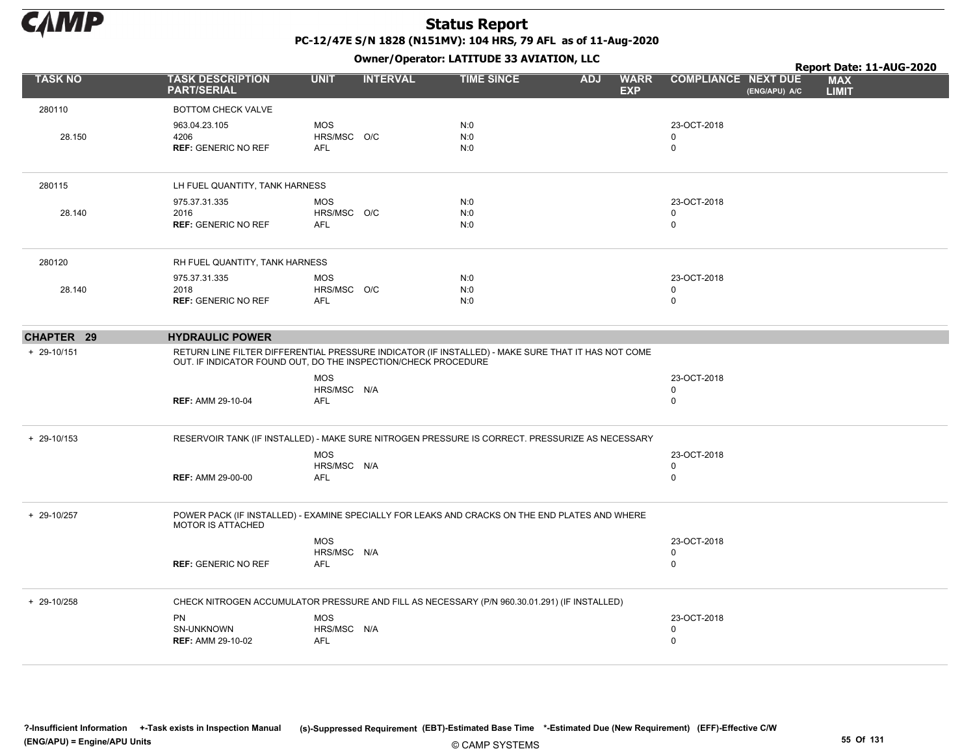

|                 |                                                                                                                                                                      |                                         | $\mathbf{r}$    |                   |            |                           |                                             | Report Date: 11-AUG-2020   |
|-----------------|----------------------------------------------------------------------------------------------------------------------------------------------------------------------|-----------------------------------------|-----------------|-------------------|------------|---------------------------|---------------------------------------------|----------------------------|
| TASK NO         | <b>TASK DESCRIPTION</b><br><b>PART/SERIAL</b>                                                                                                                        | <b>UNIT</b>                             | <b>INTERVAL</b> | <b>TIME SINCE</b> | <b>ADJ</b> | <b>WARR</b><br><b>EXP</b> | <b>COMPLIANCE NEXT DUE</b><br>(ENG/APU) A/C | <b>MAX</b><br><b>LIMIT</b> |
| 280110          | <b>BOTTOM CHECK VALVE</b>                                                                                                                                            |                                         |                 |                   |            |                           |                                             |                            |
| 28.150          | 963.04.23.105<br>4206<br><b>REF: GENERIC NO REF</b>                                                                                                                  | <b>MOS</b><br>HRS/MSC O/C<br><b>AFL</b> |                 | N:0<br>N:0<br>N:0 |            |                           | 23-OCT-2018<br>$\Omega$<br>0                |                            |
| 280115          | LH FUEL QUANTITY, TANK HARNESS                                                                                                                                       |                                         |                 |                   |            |                           |                                             |                            |
| 28.140          | 975.37.31.335<br>2016<br><b>REF: GENERIC NO REF</b>                                                                                                                  | <b>MOS</b><br>HRS/MSC O/C<br><b>AFL</b> |                 | N:0<br>N:0<br>N:0 |            |                           | 23-OCT-2018<br>$\mathbf 0$<br>0             |                            |
| 280120          | RH FUEL QUANTITY, TANK HARNESS                                                                                                                                       |                                         |                 |                   |            |                           |                                             |                            |
| 28.140          | 975.37.31.335<br>2018<br><b>REF: GENERIC NO REF</b>                                                                                                                  | <b>MOS</b><br>HRS/MSC O/C<br><b>AFL</b> |                 | N:0<br>N:0<br>N:0 |            |                           | 23-OCT-2018<br>0<br>$\mathbf 0$             |                            |
| CHAPTER 29      | <b>HYDRAULIC POWER</b>                                                                                                                                               |                                         |                 |                   |            |                           |                                             |                            |
| + 29-10/151     | RETURN LINE FILTER DIFFERENTIAL PRESSURE INDICATOR (IF INSTALLED) - MAKE SURE THAT IT HAS NOT COME<br>OUT. IF INDICATOR FOUND OUT, DO THE INSPECTION/CHECK PROCEDURE |                                         |                 |                   |            |                           |                                             |                            |
|                 | <b>REF: AMM 29-10-04</b>                                                                                                                                             | <b>MOS</b><br>HRS/MSC N/A<br><b>AFL</b> |                 |                   |            |                           | 23-OCT-2018<br>0<br>$\mathbf 0$             |                            |
| $+ 29 - 10/153$ | RESERVOIR TANK (IF INSTALLED) - MAKE SURE NITROGEN PRESSURE IS CORRECT. PRESSURIZE AS NECESSARY                                                                      |                                         |                 |                   |            |                           |                                             |                            |
|                 | <b>REF: AMM 29-00-00</b>                                                                                                                                             | <b>MOS</b><br>HRS/MSC N/A<br><b>AFL</b> |                 |                   |            |                           | 23-OCT-2018<br>0<br>0                       |                            |
| + 29-10/257     | POWER PACK (IF INSTALLED) - EXAMINE SPECIALLY FOR LEAKS AND CRACKS ON THE END PLATES AND WHERE<br><b>MOTOR IS ATTACHED</b>                                           |                                         |                 |                   |            |                           |                                             |                            |
|                 | <b>REF: GENERIC NO REF</b>                                                                                                                                           | <b>MOS</b><br>HRS/MSC N/A<br><b>AFL</b> |                 |                   |            |                           | 23-OCT-2018<br>0<br>$\mathbf 0$             |                            |
| + 29-10/258     | CHECK NITROGEN ACCUMULATOR PRESSURE AND FILL AS NECESSARY (P/N 960.30.01.291) (IF INSTALLED)                                                                         |                                         |                 |                   |            |                           |                                             |                            |
|                 | <b>PN</b><br>SN-UNKNOWN<br><b>REF: AMM 29-10-02</b>                                                                                                                  | <b>MOS</b><br>HRS/MSC N/A<br>AFL        |                 |                   |            |                           | 23-OCT-2018<br>0<br>$\mathbf 0$             |                            |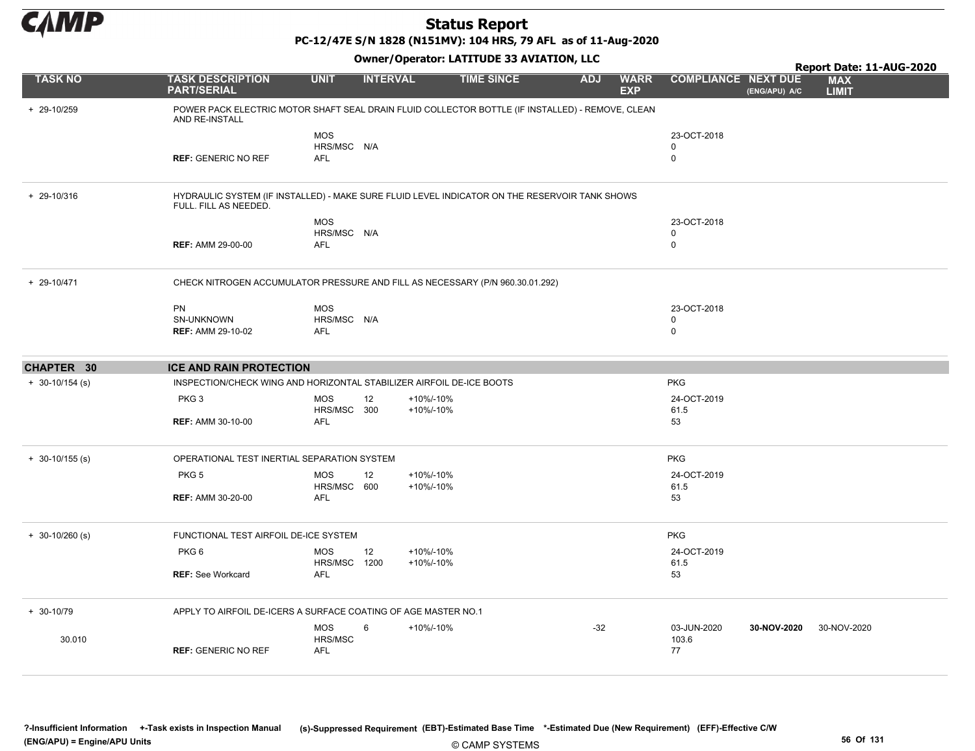

PC-12/47E S/N 1828 (N151MV): 104 HRS, 79 AFL as of 11-Aug-2020

| <b>Owner/Operator: LATITUDE 33 AVIATION, LLC</b><br>Report Date: 11-AUG-2020 |                                                                      |                                         |                 |                                                                                                  |            |                           |                                           |               |                            |  |  |
|------------------------------------------------------------------------------|----------------------------------------------------------------------|-----------------------------------------|-----------------|--------------------------------------------------------------------------------------------------|------------|---------------------------|-------------------------------------------|---------------|----------------------------|--|--|
| <b>TASK NO</b>                                                               | <b>TASK DESCRIPTION</b><br><b>PART/SERIAL</b>                        | <b>UNIT</b>                             | <b>INTERVAL</b> | <b>TIME SINCE</b>                                                                                | <b>ADJ</b> | <b>WARR</b><br><b>EXP</b> | <b>COMPLIANCE NEXT DUE</b>                | (ENG/APU) A/C | <b>MAX</b><br><b>LIMIT</b> |  |  |
| + 29-10/259                                                                  | AND RE-INSTALL                                                       |                                         |                 | POWER PACK ELECTRIC MOTOR SHAFT SEAL DRAIN FLUID COLLECTOR BOTTLE (IF INSTALLED) - REMOVE, CLEAN |            |                           |                                           |               |                            |  |  |
|                                                                              | <b>REF: GENERIC NO REF</b>                                           | <b>MOS</b><br>HRS/MSC N/A<br><b>AFL</b> |                 |                                                                                                  |            |                           | 23-OCT-2018<br>0<br>$\mathbf 0$           |               |                            |  |  |
| + 29-10/316                                                                  | FULL. FILL AS NEEDED.                                                |                                         |                 | HYDRAULIC SYSTEM (IF INSTALLED) - MAKE SURE FLUID LEVEL INDICATOR ON THE RESERVOIR TANK SHOWS    |            |                           |                                           |               |                            |  |  |
|                                                                              | <b>REF: AMM 29-00-00</b>                                             | <b>MOS</b><br>HRS/MSC N/A<br><b>AFL</b> |                 |                                                                                                  |            |                           | 23-OCT-2018<br>0<br>$\mathbf 0$           |               |                            |  |  |
| $+ 29 - 10/471$                                                              |                                                                      |                                         |                 | CHECK NITROGEN ACCUMULATOR PRESSURE AND FILL AS NECESSARY (P/N 960.30.01.292)                    |            |                           |                                           |               |                            |  |  |
|                                                                              | <b>PN</b><br>SN-UNKNOWN<br><b>REF: AMM 29-10-02</b>                  | <b>MOS</b><br>HRS/MSC N/A<br><b>AFL</b> |                 |                                                                                                  |            |                           | 23-OCT-2018<br>$\mathbf 0$<br>$\mathbf 0$ |               |                            |  |  |
| CHAPTER 30                                                                   | <b>ICE AND RAIN PROTECTION</b>                                       |                                         |                 |                                                                                                  |            |                           |                                           |               |                            |  |  |
| $+ 30 - 10/154$ (s)                                                          | INSPECTION/CHECK WING AND HORIZONTAL STABILIZER AIRFOIL DE-ICE BOOTS |                                         |                 |                                                                                                  |            |                           | <b>PKG</b>                                |               |                            |  |  |
|                                                                              | PKG <sub>3</sub><br><b>REF: AMM 30-10-00</b>                         | <b>MOS</b><br>HRS/MSC 300<br><b>AFL</b> | 12              | +10%/-10%<br>+10%/-10%                                                                           |            |                           | 24-OCT-2019<br>61.5<br>53                 |               |                            |  |  |
|                                                                              |                                                                      |                                         |                 |                                                                                                  |            |                           |                                           |               |                            |  |  |
| $+ 30 - 10/155$ (s)                                                          | OPERATIONAL TEST INERTIAL SEPARATION SYSTEM                          |                                         |                 |                                                                                                  |            |                           | <b>PKG</b>                                |               |                            |  |  |
|                                                                              | PKG <sub>5</sub>                                                     | <b>MOS</b><br>HRS/MSC 600               | 12              | +10%/-10%<br>+10%/-10%                                                                           |            |                           | 24-OCT-2019<br>61.5                       |               |                            |  |  |
|                                                                              | <b>REF: AMM 30-20-00</b>                                             | <b>AFL</b>                              |                 |                                                                                                  |            |                           | 53                                        |               |                            |  |  |
| $+ 30 - 10/260$ (s)                                                          | FUNCTIONAL TEST AIRFOIL DE-ICE SYSTEM                                |                                         |                 |                                                                                                  |            |                           | <b>PKG</b>                                |               |                            |  |  |
|                                                                              | PKG <sub>6</sub>                                                     | <b>MOS</b><br>HRS/MSC 1200              | 12              | +10%/-10%<br>+10%/-10%                                                                           |            |                           | 24-OCT-2019<br>61.5                       |               |                            |  |  |
|                                                                              | <b>REF: See Workcard</b>                                             | <b>AFL</b>                              |                 |                                                                                                  |            |                           | 53                                        |               |                            |  |  |
| $+ 30 - 10/79$                                                               | APPLY TO AIRFOIL DE-ICERS A SURFACE COATING OF AGE MASTER NO.1       |                                         |                 |                                                                                                  |            |                           |                                           |               |                            |  |  |
| 30.010                                                                       | <b>REF: GENERIC NO REF</b>                                           | <b>MOS</b><br>HRS/MSC<br><b>AFL</b>     | 6               | +10%/-10%                                                                                        | $-32$      |                           | 03-JUN-2020<br>103.6<br>77                | 30-NOV-2020   | 30-NOV-2020                |  |  |
|                                                                              |                                                                      |                                         |                 |                                                                                                  |            |                           |                                           |               |                            |  |  |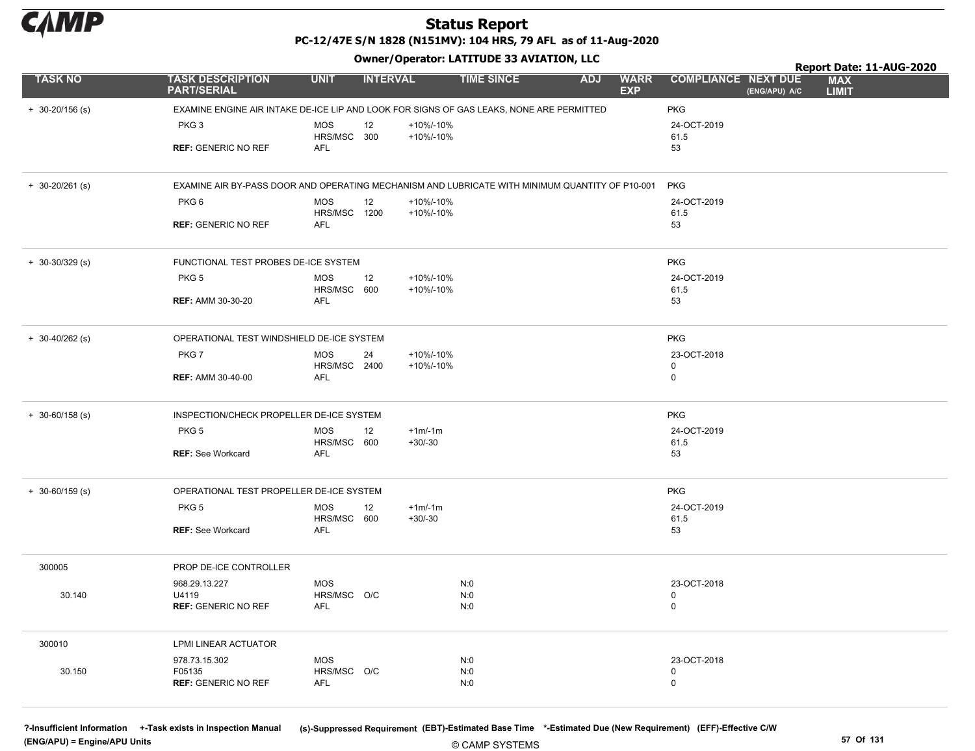

PC-12/47E S/N 1828 (N151MV): 104 HRS, 79 AFL as of 11-Aug-2020

Owner/Operator: LATITUDE 33 AVIATION, LLC

|                     |                                                                                                 |                           | .               |                       |                   |                                         |                                             | Report Date: 11-AUG-2020   |
|---------------------|-------------------------------------------------------------------------------------------------|---------------------------|-----------------|-----------------------|-------------------|-----------------------------------------|---------------------------------------------|----------------------------|
| <b>TASK NO</b>      | <b>TASK DESCRIPTION</b><br><b>PART/SERIAL</b>                                                   | <b>UNIT</b>               | <b>INTERVAL</b> |                       | <b>TIME SINCE</b> | <b>WARR</b><br><b>ADJ</b><br><b>EXP</b> | <b>COMPLIANCE NEXT DUE</b><br>(ENG/APU) A/C | <b>MAX</b><br><b>LIMIT</b> |
| $+ 30 - 20/156$ (s) | EXAMINE ENGINE AIR INTAKE DE-ICE LIP AND LOOK FOR SIGNS OF GAS LEAKS, NONE ARE PERMITTED        |                           |                 |                       |                   |                                         | <b>PKG</b>                                  |                            |
|                     | PKG <sub>3</sub>                                                                                | <b>MOS</b>                | 12              | +10%/-10%             |                   |                                         | 24-OCT-2019                                 |                            |
|                     |                                                                                                 | HRS/MSC 300               |                 | +10%/-10%             |                   |                                         | 61.5                                        |                            |
|                     | <b>REF: GENERIC NO REF</b>                                                                      | <b>AFL</b>                |                 |                       |                   |                                         | 53                                          |                            |
| $+ 30 - 20/261$ (s) | EXAMINE AIR BY-PASS DOOR AND OPERATING MECHANISM AND LUBRICATE WITH MINIMUM QUANTITY OF P10-001 |                           |                 |                       |                   |                                         | <b>PKG</b>                                  |                            |
|                     | PKG6                                                                                            | <b>MOS</b>                | 12              | +10%/-10%             |                   |                                         | 24-OCT-2019                                 |                            |
|                     |                                                                                                 | HRS/MSC 1200              |                 | +10%/-10%             |                   |                                         | 61.5                                        |                            |
|                     | <b>REF: GENERIC NO REF</b>                                                                      | <b>AFL</b>                |                 |                       |                   |                                         | 53                                          |                            |
| $+ 30 - 30/329$ (s) | FUNCTIONAL TEST PROBES DE-ICE SYSTEM                                                            |                           |                 |                       |                   |                                         | <b>PKG</b>                                  |                            |
|                     | PKG <sub>5</sub>                                                                                | <b>MOS</b>                | 12              | +10%/-10%             |                   |                                         | 24-OCT-2019                                 |                            |
|                     |                                                                                                 | HRS/MSC 600               |                 | +10%/-10%             |                   |                                         | 61.5                                        |                            |
|                     | <b>REF: AMM 30-30-20</b>                                                                        | <b>AFL</b>                |                 |                       |                   |                                         | 53                                          |                            |
| $+ 30 - 40/262$ (s) | OPERATIONAL TEST WINDSHIELD DE-ICE SYSTEM                                                       |                           |                 |                       |                   |                                         | <b>PKG</b>                                  |                            |
|                     | PKG7                                                                                            | <b>MOS</b>                | 24              | +10%/-10%             |                   |                                         | 23-OCT-2018                                 |                            |
|                     |                                                                                                 | HRS/MSC 2400              |                 | +10%/-10%             |                   |                                         | $\mathbf 0$                                 |                            |
|                     | <b>REF: AMM 30-40-00</b>                                                                        | <b>AFL</b>                |                 |                       |                   |                                         | $\mathsf 0$                                 |                            |
| $+ 30 - 60/158$ (s) | INSPECTION/CHECK PROPELLER DE-ICE SYSTEM                                                        |                           |                 |                       |                   |                                         | <b>PKG</b>                                  |                            |
|                     | PKG <sub>5</sub>                                                                                | <b>MOS</b>                | 12              | $+1m/1m$              |                   |                                         | 24-OCT-2019                                 |                            |
|                     |                                                                                                 | HRS/MSC 600               |                 | $+30/-30$             |                   |                                         | 61.5                                        |                            |
|                     | <b>REF: See Workcard</b>                                                                        | <b>AFL</b>                |                 |                       |                   |                                         | 53                                          |                            |
| $+ 30 - 60/159$ (s) | OPERATIONAL TEST PROPELLER DE-ICE SYSTEM                                                        |                           |                 |                       |                   |                                         | <b>PKG</b>                                  |                            |
|                     | PKG <sub>5</sub>                                                                                | <b>MOS</b><br>HRS/MSC 600 | 12              | $+1m/1m$<br>$+30/-30$ |                   |                                         | 24-OCT-2019<br>61.5                         |                            |
|                     | <b>REF: See Workcard</b>                                                                        | AFL                       |                 |                       |                   |                                         | 53                                          |                            |
| 300005              | PROP DE-ICE CONTROLLER                                                                          |                           |                 |                       |                   |                                         |                                             |                            |
|                     | 968.29.13.227                                                                                   | <b>MOS</b>                |                 |                       | N:0               |                                         | 23-OCT-2018                                 |                            |
| 30.140              | U4119                                                                                           | HRS/MSC O/C               |                 |                       | N:0               |                                         | $\mathbf 0$                                 |                            |
|                     | <b>REF: GENERIC NO REF</b>                                                                      | AFL                       |                 |                       | N:0               |                                         | $\mathbf 0$                                 |                            |
| 300010              | LPMI LINEAR ACTUATOR                                                                            |                           |                 |                       |                   |                                         |                                             |                            |
|                     | 978.73.15.302                                                                                   | <b>MOS</b>                |                 |                       | N:0               |                                         | 23-OCT-2018                                 |                            |
| 30.150              | F05135                                                                                          | HRS/MSC O/C               |                 |                       | N:0               |                                         | $\mathbf 0$                                 |                            |
|                     | <b>REF: GENERIC NO REF</b>                                                                      | AFL                       |                 |                       | N:0               |                                         | $\mathbf 0$                                 |                            |

(ENG/APU) = Engine/APU Units 57 Of 131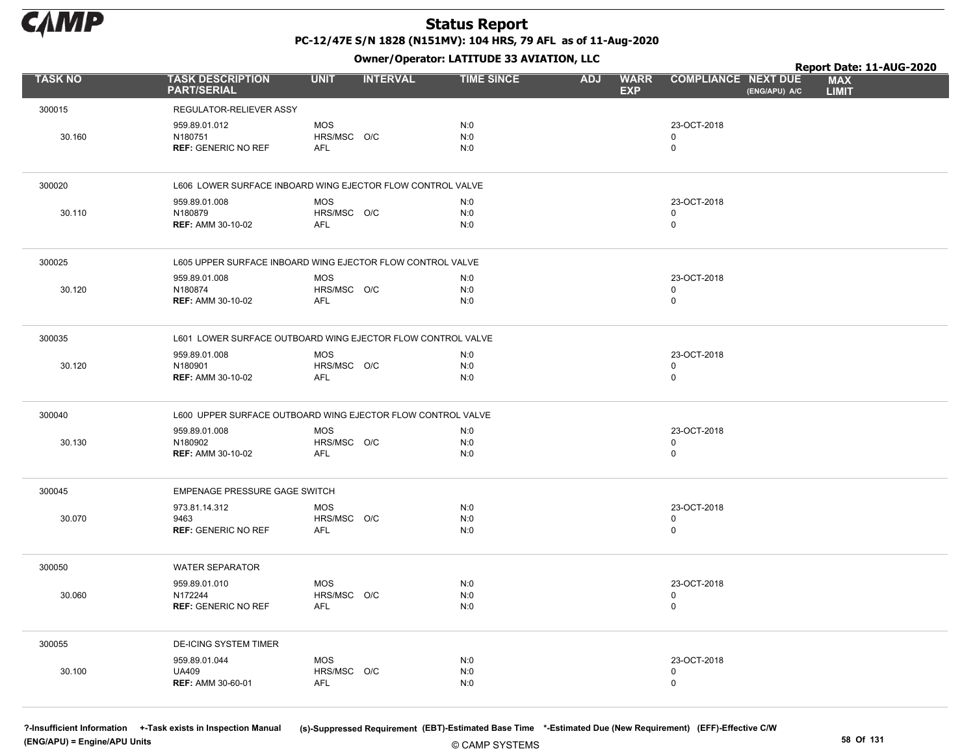

Owner/Operator: LATITUDE 33 AVIATION, LLC

|                |                                                             |                                         | Owner/Operator: LATITUDE 33 AVIATION, LLC |                                         |                                             | Report Date: 11-AUG-2020   |
|----------------|-------------------------------------------------------------|-----------------------------------------|-------------------------------------------|-----------------------------------------|---------------------------------------------|----------------------------|
| <b>TASK NO</b> | <b>TASK DESCRIPTION</b><br><b>PART/SERIAL</b>               | <b>UNIT</b><br><b>INTERVAL</b>          | <b>TIME SINCE</b>                         | <b>ADJ</b><br><b>WARR</b><br><b>EXP</b> | <b>COMPLIANCE NEXT DUE</b><br>(ENG/APU) A/C | <b>MAX</b><br><b>LIMIT</b> |
| 300015         | REGULATOR-RELIEVER ASSY                                     |                                         |                                           |                                         |                                             |                            |
| 30.160         | 959.89.01.012<br>N180751<br><b>REF: GENERIC NO REF</b>      | <b>MOS</b><br>HRS/MSC O/C<br><b>AFL</b> | N:0<br>N:0<br>N:0                         |                                         | 23-OCT-2018<br>0<br>$\mathbf 0$             |                            |
| 300020         | L606 LOWER SURFACE INBOARD WING EJECTOR FLOW CONTROL VALVE  |                                         |                                           |                                         |                                             |                            |
| 30.110         | 959.89.01.008<br>N180879<br><b>REF: AMM 30-10-02</b>        | <b>MOS</b><br>HRS/MSC O/C<br><b>AFL</b> | N:0<br>N:0<br>N:0                         |                                         | 23-OCT-2018<br>0<br>$\mathbf 0$             |                            |
| 300025         | L605 UPPER SURFACE INBOARD WING EJECTOR FLOW CONTROL VALVE  |                                         |                                           |                                         |                                             |                            |
| 30.120         | 959.89.01.008<br>N180874<br><b>REF: AMM 30-10-02</b>        | <b>MOS</b><br>HRS/MSC O/C<br><b>AFL</b> | N:0<br>N:0<br>N:0                         |                                         | 23-OCT-2018<br>0<br>0                       |                            |
| 300035         | L601 LOWER SURFACE OUTBOARD WING EJECTOR FLOW CONTROL VALVE |                                         |                                           |                                         |                                             |                            |
| 30.120         | 959.89.01.008<br>N180901<br><b>REF: AMM 30-10-02</b>        | <b>MOS</b><br>HRS/MSC O/C<br><b>AFL</b> | N:0<br>N:0<br>N:0                         |                                         | 23-OCT-2018<br>0<br>$\mathbf 0$             |                            |
| 300040         | L600 UPPER SURFACE OUTBOARD WING EJECTOR FLOW CONTROL VALVE |                                         |                                           |                                         |                                             |                            |
| 30.130         | 959.89.01.008<br>N180902<br><b>REF: AMM 30-10-02</b>        | <b>MOS</b><br>HRS/MSC O/C<br><b>AFL</b> | N:0<br>N:0<br>N:0                         |                                         | 23-OCT-2018<br>0<br>0                       |                            |
| 300045         | EMPENAGE PRESSURE GAGE SWITCH                               |                                         |                                           |                                         |                                             |                            |
| 30.070         | 973.81.14.312<br>9463<br><b>REF: GENERIC NO REF</b>         | <b>MOS</b><br>HRS/MSC O/C<br><b>AFL</b> | N:0<br>N:0<br>N:0                         |                                         | 23-OCT-2018<br>0<br>$\mathbf 0$             |                            |
| 300050         | <b>WATER SEPARATOR</b>                                      |                                         |                                           |                                         |                                             |                            |
| 30.060         | 959.89.01.010<br>N172244<br><b>REF: GENERIC NO REF</b>      | <b>MOS</b><br>HRS/MSC O/C<br><b>AFL</b> | N:0<br>N:0<br>N:0                         |                                         | 23-OCT-2018<br>0<br>$\mathsf{O}$            |                            |
| 300055         | <b>DE-ICING SYSTEM TIMER</b>                                |                                         |                                           |                                         |                                             |                            |
| 30.100         | 959.89.01.044<br><b>UA409</b><br><b>REF: AMM 30-60-01</b>   | <b>MOS</b><br>HRS/MSC O/C<br><b>AFL</b> | N:0<br>N:0<br>N:0                         |                                         | 23-OCT-2018<br>0<br>$\mathbf 0$             |                            |

(ENG/APU) = Engine/APU Units 58 Of 131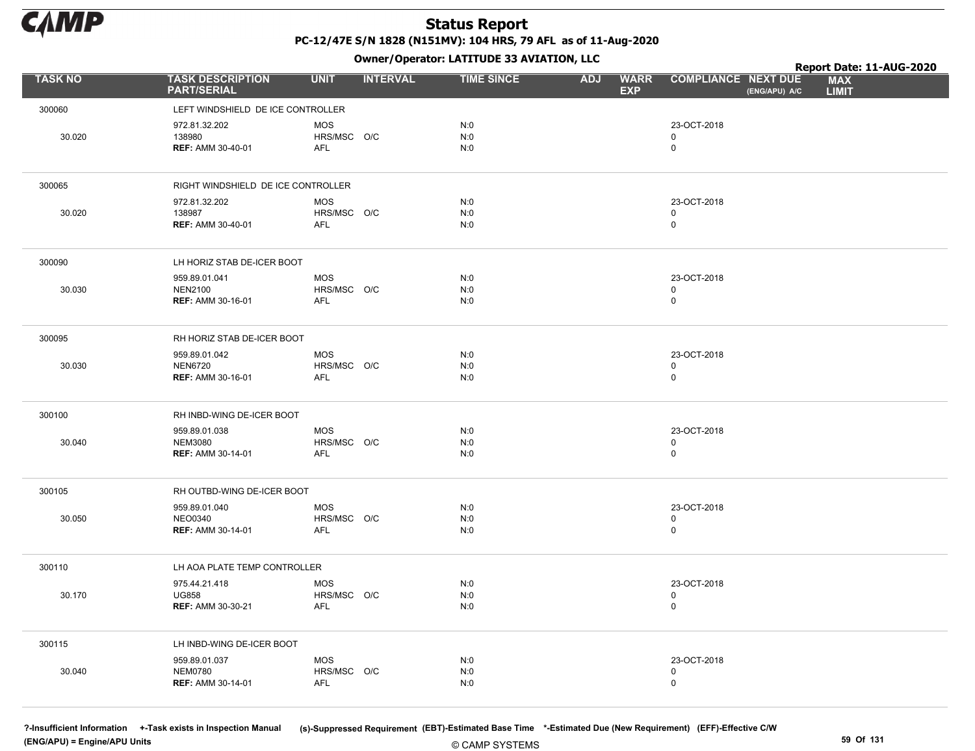

Owner/Operator: LATITUDE 33 AVIATION, LLC

|                |                                                             |                                         |                 | Owner/Operator. EATITODE 33 AVIATION, LLC |            |                           |                                           |               | Report Date: 11-AUG-2020   |  |
|----------------|-------------------------------------------------------------|-----------------------------------------|-----------------|-------------------------------------------|------------|---------------------------|-------------------------------------------|---------------|----------------------------|--|
| <b>TASK NO</b> | <b>TASK DESCRIPTION</b><br><b>PART/SERIAL</b>               | <b>UNIT</b>                             | <b>INTERVAL</b> | <b>TIME SINCE</b>                         | <b>ADJ</b> | <b>WARR</b><br><b>EXP</b> | <b>COMPLIANCE NEXT DUE</b>                | (ENG/APU) A/C | <b>MAX</b><br><b>LIMIT</b> |  |
| 300060         | LEFT WINDSHIELD DE ICE CONTROLLER                           |                                         |                 |                                           |            |                           |                                           |               |                            |  |
| 30.020         | 972.81.32.202<br>138980<br><b>REF: AMM 30-40-01</b>         | <b>MOS</b><br>HRS/MSC O/C<br><b>AFL</b> |                 | N:0<br>N:0<br>N:0                         |            |                           | 23-OCT-2018<br>$\mathbf 0$<br>$\mathsf 0$ |               |                            |  |
| 300065         | RIGHT WINDSHIELD DE ICE CONTROLLER                          |                                         |                 |                                           |            |                           |                                           |               |                            |  |
| 30.020         | 972.81.32.202<br>138987<br><b>REF: AMM 30-40-01</b>         | <b>MOS</b><br>HRS/MSC O/C<br><b>AFL</b> |                 | N:0<br>N:0<br>N:0                         |            |                           | 23-OCT-2018<br>$\mathbf 0$<br>$\mathsf 0$ |               |                            |  |
| 300090         | LH HORIZ STAB DE-ICER BOOT                                  |                                         |                 |                                           |            |                           |                                           |               |                            |  |
| 30.030         | 959.89.01.041<br><b>NEN2100</b><br><b>REF: AMM 30-16-01</b> | <b>MOS</b><br>HRS/MSC O/C<br>AFL        |                 | N:0<br>N:0<br>N:0                         |            |                           | 23-OCT-2018<br>$\mathbf 0$<br>$\pmb{0}$   |               |                            |  |
| 300095         | RH HORIZ STAB DE-ICER BOOT                                  |                                         |                 |                                           |            |                           |                                           |               |                            |  |
| 30.030         | 959.89.01.042<br><b>NEN6720</b><br><b>REF: AMM 30-16-01</b> | <b>MOS</b><br>HRS/MSC O/C<br>AFL        |                 | N:0<br>N:0<br>N:0                         |            |                           | 23-OCT-2018<br>$\mathsf 0$<br>$\mathbf 0$ |               |                            |  |
| 300100         | RH INBD-WING DE-ICER BOOT                                   |                                         |                 |                                           |            |                           |                                           |               |                            |  |
| 30.040         | 959.89.01.038<br><b>NEM3080</b><br><b>REF: AMM 30-14-01</b> | <b>MOS</b><br>HRS/MSC O/C<br><b>AFL</b> |                 | N:0<br>N:0<br>N:0                         |            |                           | 23-OCT-2018<br>$\mathsf 0$<br>$\mathbf 0$ |               |                            |  |
| 300105         | RH OUTBD-WING DE-ICER BOOT                                  |                                         |                 |                                           |            |                           |                                           |               |                            |  |
| 30.050         | 959.89.01.040<br><b>NEO0340</b><br><b>REF: AMM 30-14-01</b> | <b>MOS</b><br>HRS/MSC O/C<br><b>AFL</b> |                 | N:0<br>N:0<br>N:0                         |            |                           | 23-OCT-2018<br>$\mathsf 0$<br>$\mathbf 0$ |               |                            |  |
| 300110         | LH AOA PLATE TEMP CONTROLLER                                |                                         |                 |                                           |            |                           |                                           |               |                            |  |
| 30.170         | 975.44.21.418<br><b>UG858</b><br>REF: AMM 30-30-21          | <b>MOS</b><br>HRS/MSC O/C<br><b>AFL</b> |                 | N:0<br>N:0<br>N:0                         |            |                           | 23-OCT-2018<br>$\pmb{0}$<br>$\mathbf 0$   |               |                            |  |
| 300115         | LH INBD-WING DE-ICER BOOT                                   |                                         |                 |                                           |            |                           |                                           |               |                            |  |
| 30.040         | 959.89.01.037<br><b>NEM0780</b><br><b>REF: AMM 30-14-01</b> | <b>MOS</b><br>HRS/MSC O/C<br><b>AFL</b> |                 | N:0<br>N:0<br>N:0                         |            |                           | 23-OCT-2018<br>$\mathsf 0$<br>$\mathbf 0$ |               |                            |  |

(ENG/APU) = Engine/APU Units 59 Of 131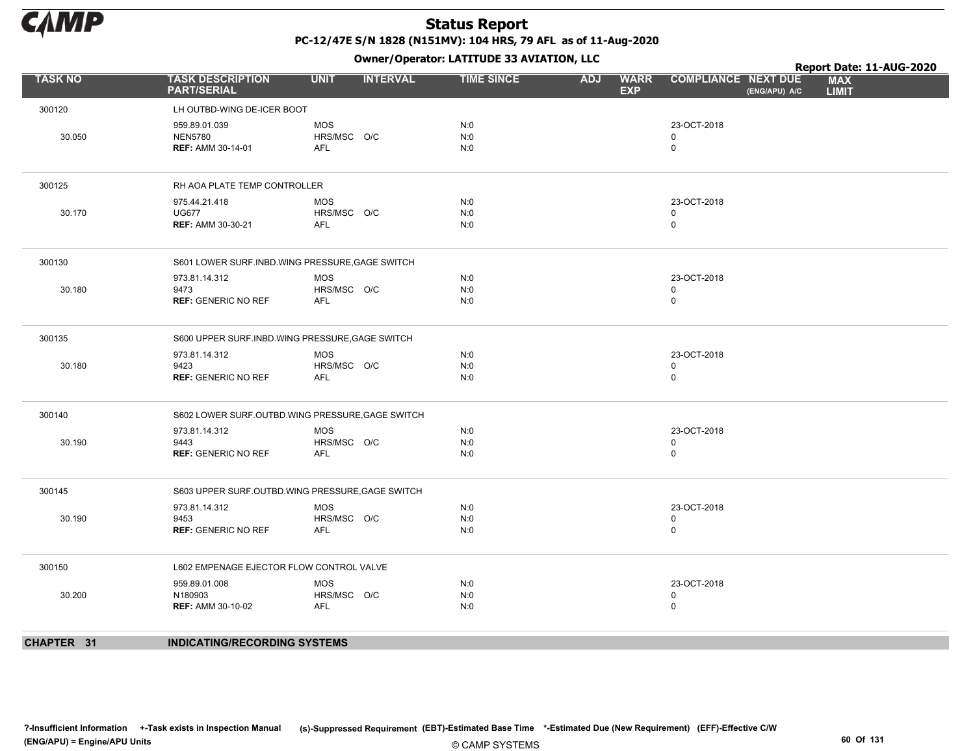

|                |                                                  |             |                 |                   |            |                           |                            |               | Report Date: 11-AUG-2020   |  |
|----------------|--------------------------------------------------|-------------|-----------------|-------------------|------------|---------------------------|----------------------------|---------------|----------------------------|--|
| <b>TASK NO</b> | <b>TASK DESCRIPTION</b><br><b>PART/SERIAL</b>    | <b>UNIT</b> | <b>INTERVAL</b> | <b>TIME SINCE</b> | <b>ADJ</b> | <b>WARR</b><br><b>EXP</b> | <b>COMPLIANCE NEXT DUE</b> | (ENG/APU) A/C | <b>MAX</b><br><b>LIMIT</b> |  |
| 300120         | LH OUTBD-WING DE-ICER BOOT                       |             |                 |                   |            |                           |                            |               |                            |  |
|                | 959.89.01.039                                    | <b>MOS</b>  |                 | N:0               |            |                           | 23-OCT-2018                |               |                            |  |
| 30.050         | <b>NEN5780</b>                                   | HRS/MSC O/C |                 | N:0               |            |                           | $\mathbf 0$                |               |                            |  |
|                | <b>REF: AMM 30-14-01</b>                         | <b>AFL</b>  |                 | N:0               |            |                           | $\mathbf 0$                |               |                            |  |
| 300125         | RH AOA PLATE TEMP CONTROLLER                     |             |                 |                   |            |                           |                            |               |                            |  |
|                | 975.44.21.418                                    | <b>MOS</b>  |                 | N:0               |            |                           | 23-OCT-2018                |               |                            |  |
| 30.170         | <b>UG677</b>                                     | HRS/MSC O/C |                 | N:0               |            |                           | 0                          |               |                            |  |
|                | <b>REF: AMM 30-30-21</b>                         | <b>AFL</b>  |                 | N:0               |            |                           | $\mathbf 0$                |               |                            |  |
| 300130         | S601 LOWER SURF.INBD.WING PRESSURE, GAGE SWITCH  |             |                 |                   |            |                           |                            |               |                            |  |
|                | 973.81.14.312                                    | <b>MOS</b>  |                 | N:0               |            |                           | 23-OCT-2018                |               |                            |  |
| 30.180         | 9473                                             | HRS/MSC O/C |                 | N:0               |            |                           | 0                          |               |                            |  |
|                | <b>REF: GENERIC NO REF</b>                       | <b>AFL</b>  |                 | N:0               |            |                           | $\mathbf 0$                |               |                            |  |
| 300135         | S600 UPPER SURF.INBD.WING PRESSURE, GAGE SWITCH  |             |                 |                   |            |                           |                            |               |                            |  |
|                | 973.81.14.312                                    | <b>MOS</b>  |                 | N:0               |            |                           | 23-OCT-2018                |               |                            |  |
| 30.180         | 9423                                             | HRS/MSC O/C |                 | N:0               |            |                           | $\mathbf 0$                |               |                            |  |
|                | <b>REF: GENERIC NO REF</b>                       | AFL         |                 | N:0               |            |                           | $\mathbf 0$                |               |                            |  |
| 300140         | S602 LOWER SURF.OUTBD.WING PRESSURE, GAGE SWITCH |             |                 |                   |            |                           |                            |               |                            |  |
|                | 973.81.14.312                                    | <b>MOS</b>  |                 | N:0               |            |                           | 23-OCT-2018                |               |                            |  |
| 30.190         | 9443                                             | HRS/MSC O/C |                 | N:0               |            |                           | $\mathbf 0$                |               |                            |  |
|                | <b>REF: GENERIC NO REF</b>                       | AFL         |                 | N:0               |            |                           | $\mathbf 0$                |               |                            |  |
| 300145         | S603 UPPER SURF.OUTBD.WING PRESSURE, GAGE SWITCH |             |                 |                   |            |                           |                            |               |                            |  |
|                | 973.81.14.312                                    | <b>MOS</b>  |                 | N:0               |            |                           | 23-OCT-2018                |               |                            |  |
| 30.190         | 9453                                             | HRS/MSC O/C |                 | N:0               |            |                           | 0                          |               |                            |  |
|                | <b>REF: GENERIC NO REF</b>                       | AFL         |                 | N:0               |            |                           | $\mathbf 0$                |               |                            |  |
| 300150         | L602 EMPENAGE EJECTOR FLOW CONTROL VALVE         |             |                 |                   |            |                           |                            |               |                            |  |
|                | 959.89.01.008                                    | <b>MOS</b>  |                 | N:0               |            |                           | 23-OCT-2018                |               |                            |  |
| 30.200         | N180903                                          | HRS/MSC O/C |                 | N:0               |            |                           | $\mathbf 0$                |               |                            |  |
|                | <b>REF: AMM 30-10-02</b>                         | AFL         |                 | N:0               |            |                           | $\mathbf 0$                |               |                            |  |
| CHAPTER 31     | <b>INDICATING/RECORDING SYSTEMS</b>              |             |                 |                   |            |                           |                            |               |                            |  |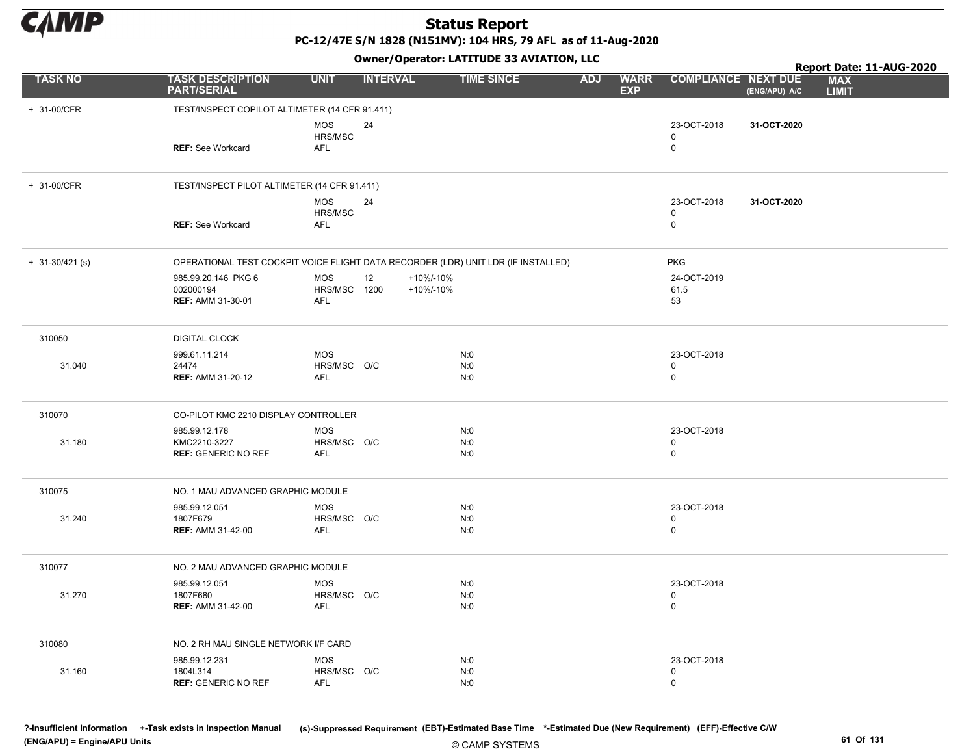

PC-12/47E S/N 1828 (N151MV): 104 HRS, 79 AFL as of 11-Aug-2020

Owner/Operator: LATITUDE 33 AVIATION, LLC

|                     |                                                                                   |                                                 | Report Date: 11-AUG-2020     |                   |            |                           |                                           |               |                            |
|---------------------|-----------------------------------------------------------------------------------|-------------------------------------------------|------------------------------|-------------------|------------|---------------------------|-------------------------------------------|---------------|----------------------------|
| <b>TASK NO</b>      | <b>TASK DESCRIPTION</b><br><b>PART/SERIAL</b>                                     | <b>UNIT</b>                                     | <b>INTERVAL</b>              | <b>TIME SINCE</b> | <b>ADJ</b> | <b>WARR</b><br><b>EXP</b> | <b>COMPLIANCE NEXT DUE</b>                | (ENG/APU) A/C | <b>MAX</b><br><b>LIMIT</b> |
| + 31-00/CFR         | TEST/INSPECT COPILOT ALTIMETER (14 CFR 91.411)                                    |                                                 |                              |                   |            |                           |                                           |               |                            |
|                     | REF: See Workcard                                                                 | <b>MOS</b><br>HRS/MSC<br><b>AFL</b>             | 24                           |                   |            |                           | 23-OCT-2018<br>$\mathbf 0$<br>$\mathbf 0$ | 31-OCT-2020   |                            |
| + 31-00/CFR         | TEST/INSPECT PILOT ALTIMETER (14 CFR 91.411)                                      |                                                 |                              |                   |            |                           |                                           |               |                            |
|                     | <b>REF: See Workcard</b>                                                          | <b>MOS</b><br>HRS/MSC<br>AFL                    | 24                           |                   |            |                           | 23-OCT-2018<br>$\mathbf 0$<br>$\mathsf 0$ | 31-OCT-2020   |                            |
| $+ 31 - 30/421$ (s) | OPERATIONAL TEST COCKPIT VOICE FLIGHT DATA RECORDER (LDR) UNIT LDR (IF INSTALLED) |                                                 |                              |                   |            |                           | <b>PKG</b>                                |               |                            |
|                     | 985.99.20.146 PKG 6<br>002000194<br><b>REF: AMM 31-30-01</b>                      | <b>MOS</b><br><b>HRS/MSC 1200</b><br><b>AFL</b> | +10%/-10%<br>12<br>+10%/-10% |                   |            |                           | 24-OCT-2019<br>61.5<br>53                 |               |                            |
| 310050              | <b>DIGITAL CLOCK</b>                                                              |                                                 |                              |                   |            |                           |                                           |               |                            |
| 31.040              | 999.61.11.214<br>24474<br><b>REF: AMM 31-20-12</b>                                | <b>MOS</b><br>HRS/MSC O/C<br><b>AFL</b>         |                              | N:0<br>N:0<br>N:0 |            |                           | 23-OCT-2018<br>$\mathbf 0$<br>$\mathsf 0$ |               |                            |
| 310070              | CO-PILOT KMC 2210 DISPLAY CONTROLLER                                              |                                                 |                              |                   |            |                           |                                           |               |                            |
| 31.180              | 985.99.12.178<br>KMC2210-3227<br><b>REF: GENERIC NO REF</b>                       | <b>MOS</b><br>HRS/MSC O/C<br><b>AFL</b>         |                              | N:0<br>N:0<br>N:0 |            |                           | 23-OCT-2018<br>$\mathbf 0$<br>$\mathbf 0$ |               |                            |
| 310075              | NO. 1 MAU ADVANCED GRAPHIC MODULE                                                 |                                                 |                              |                   |            |                           |                                           |               |                            |
| 31.240              | 985.99.12.051<br>1807F679<br><b>REF: AMM 31-42-00</b>                             | <b>MOS</b><br>HRS/MSC O/C<br><b>AFL</b>         |                              | N:0<br>N:0<br>N:0 |            |                           | 23-OCT-2018<br>$\mathbf 0$<br>$\mathbf 0$ |               |                            |
| 310077              | NO. 2 MAU ADVANCED GRAPHIC MODULE                                                 |                                                 |                              |                   |            |                           |                                           |               |                            |
| 31.270              | 985.99.12.051<br>1807F680<br><b>REF: AMM 31-42-00</b>                             | <b>MOS</b><br>HRS/MSC O/C<br><b>AFL</b>         |                              | N:0<br>N:0<br>N:0 |            |                           | 23-OCT-2018<br>$\mathbf 0$<br>$\mathsf 0$ |               |                            |
| 310080              | NO. 2 RH MAU SINGLE NETWORK I/F CARD                                              |                                                 |                              |                   |            |                           |                                           |               |                            |
| 31.160              | 985.99.12.231<br>1804L314<br><b>REF: GENERIC NO REF</b>                           | <b>MOS</b><br>HRS/MSC O/C<br><b>AFL</b>         |                              | N:0<br>N:0<br>N:0 |            |                           | 23-OCT-2018<br>$\mathbf 0$<br>$\mathbf 0$ |               |                            |

(ENG/APU) = Engine/APU Units 61 Of 131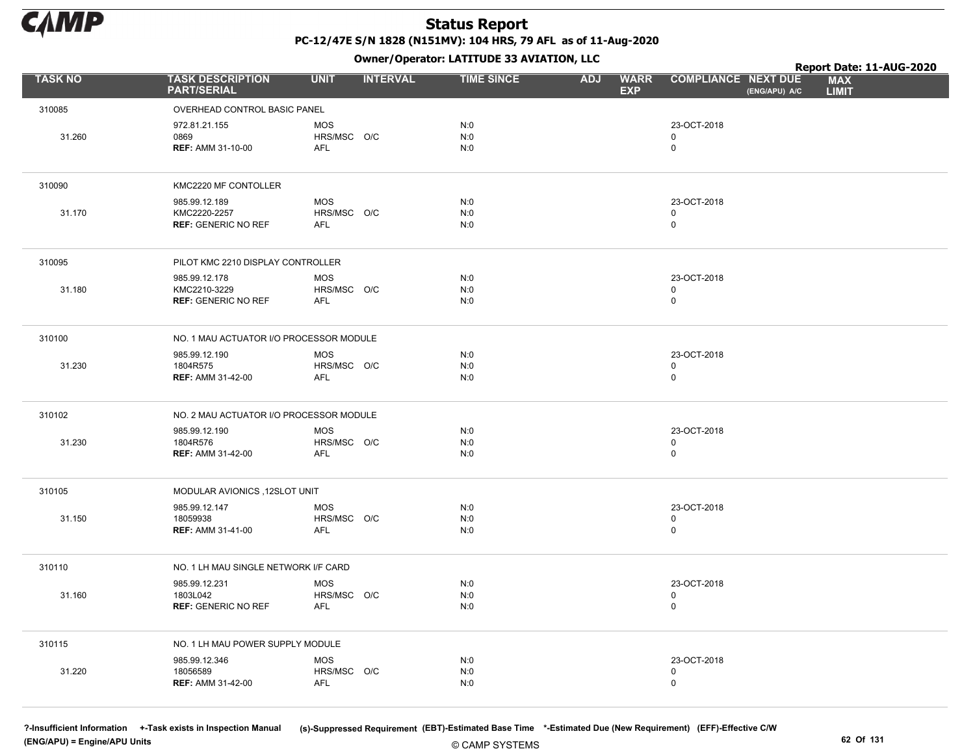

Owner/Operator: LATITUDE 33 AVIATION, LLC

|                |                                                             |                                         |                 | Owner/Operator: LATITUDE 33 AVIATION, LLC |            | Report Date: 11-AUG-2020  |                                           |               |                            |  |
|----------------|-------------------------------------------------------------|-----------------------------------------|-----------------|-------------------------------------------|------------|---------------------------|-------------------------------------------|---------------|----------------------------|--|
| <b>TASK NO</b> | <b>TASK DESCRIPTION</b><br><b>PART/SERIAL</b>               | <b>UNIT</b>                             | <b>INTERVAL</b> | <b>TIME SINCE</b>                         | <b>ADJ</b> | <b>WARR</b><br><b>EXP</b> | <b>COMPLIANCE NEXT DUE</b>                | (ENG/APU) A/C | <b>MAX</b><br><b>LIMIT</b> |  |
| 310085         | OVERHEAD CONTROL BASIC PANEL                                |                                         |                 |                                           |            |                           |                                           |               |                            |  |
| 31.260         | 972.81.21.155<br>0869<br><b>REF: AMM 31-10-00</b>           | <b>MOS</b><br>HRS/MSC O/C<br>AFL        |                 | N:0<br>N:0<br>N:0                         |            |                           | 23-OCT-2018<br>$\mathbf 0$<br>$\mathbf 0$ |               |                            |  |
| 310090         | KMC2220 MF CONTOLLER                                        |                                         |                 |                                           |            |                           |                                           |               |                            |  |
| 31.170         | 985.99.12.189<br>KMC2220-2257<br><b>REF: GENERIC NO REF</b> | <b>MOS</b><br>HRS/MSC O/C<br><b>AFL</b> |                 | N:0<br>N:0<br>N:0                         |            |                           | 23-OCT-2018<br>0<br>$\mathbf 0$           |               |                            |  |
| 310095         | PILOT KMC 2210 DISPLAY CONTROLLER                           |                                         |                 |                                           |            |                           |                                           |               |                            |  |
| 31.180         | 985.99.12.178<br>KMC2210-3229<br><b>REF: GENERIC NO REF</b> | <b>MOS</b><br>HRS/MSC O/C<br><b>AFL</b> |                 | N:0<br>N:0<br>N:0                         |            |                           | 23-OCT-2018<br>$\mathbf 0$<br>$\mathsf 0$ |               |                            |  |
| 310100         | NO. 1 MAU ACTUATOR I/O PROCESSOR MODULE                     |                                         |                 |                                           |            |                           |                                           |               |                            |  |
| 31.230         | 985.99.12.190<br>1804R575<br><b>REF: AMM 31-42-00</b>       | <b>MOS</b><br>HRS/MSC O/C<br><b>AFL</b> |                 | N:0<br>N:0<br>N:0                         |            |                           | 23-OCT-2018<br>$\mathbf 0$<br>$\mathbf 0$ |               |                            |  |
| 310102         | NO. 2 MAU ACTUATOR I/O PROCESSOR MODULE                     |                                         |                 |                                           |            |                           |                                           |               |                            |  |
| 31.230         | 985.99.12.190<br>1804R576<br><b>REF: AMM 31-42-00</b>       | <b>MOS</b><br>HRS/MSC O/C<br><b>AFL</b> |                 | N:0<br>N:0<br>N:0                         |            |                           | 23-OCT-2018<br>0<br>$\mathbf 0$           |               |                            |  |
| 310105         | MODULAR AVIONICS, 12SLOT UNIT                               |                                         |                 |                                           |            |                           |                                           |               |                            |  |
| 31.150         | 985.99.12.147<br>18059938<br><b>REF: AMM 31-41-00</b>       | <b>MOS</b><br>HRS/MSC O/C<br><b>AFL</b> |                 | N:0<br>N:0<br>N:0                         |            |                           | 23-OCT-2018<br>$\mathbf 0$<br>$\mathbf 0$ |               |                            |  |
| 310110         | NO. 1 LH MAU SINGLE NETWORK I/F CARD                        |                                         |                 |                                           |            |                           |                                           |               |                            |  |
| 31.160         | 985.99.12.231<br>1803L042<br><b>REF: GENERIC NO REF</b>     | <b>MOS</b><br>HRS/MSC O/C<br>AFL        |                 | N:0<br>N:0<br>N:0                         |            |                           | 23-OCT-2018<br>0<br>$\mathsf 0$           |               |                            |  |
| 310115         | NO. 1 LH MAU POWER SUPPLY MODULE                            |                                         |                 |                                           |            |                           |                                           |               |                            |  |
| 31.220         | 985.99.12.346<br>18056589<br><b>REF: AMM 31-42-00</b>       | <b>MOS</b><br>HRS/MSC O/C<br><b>AFL</b> |                 | N:0<br>N:0<br>N:0                         |            |                           | 23-OCT-2018<br>0<br>$\mathbf 0$           |               |                            |  |

(ENG/APU) = Engine/APU Units 62 Of 131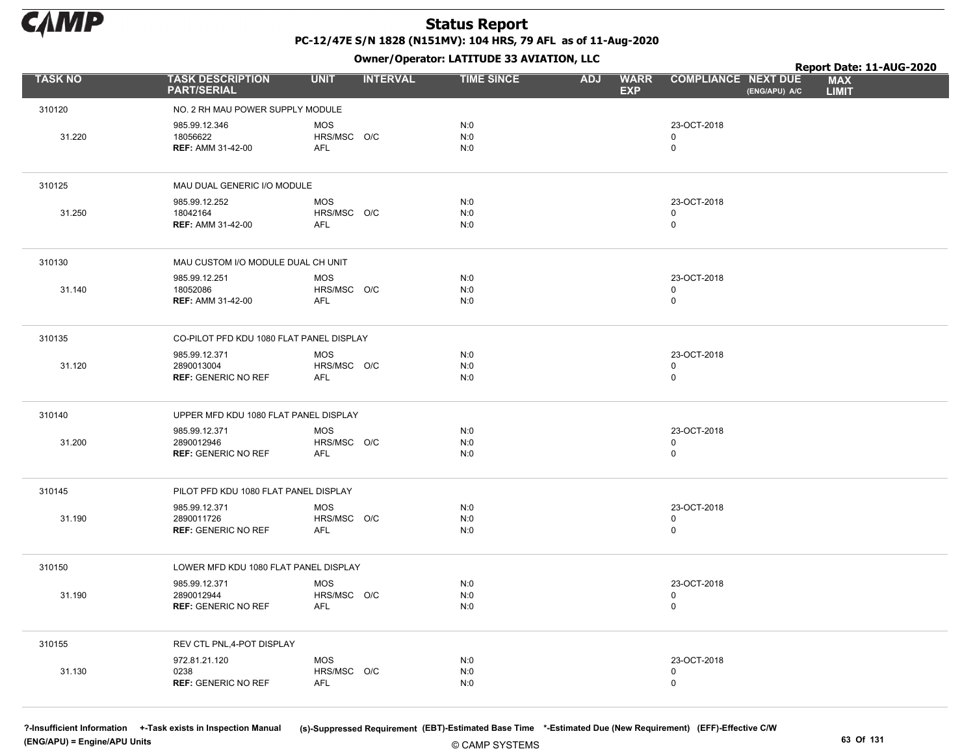

Owner/Operator: LATITUDE 33 AVIATION, LLC

|                |                                                           |                                         | .               |                   |                                         |                                             | Report Date: 11-AUG-2020   |
|----------------|-----------------------------------------------------------|-----------------------------------------|-----------------|-------------------|-----------------------------------------|---------------------------------------------|----------------------------|
| <b>TASK NO</b> | <b>TASK DESCRIPTION</b><br><b>PART/SERIAL</b>             | <b>UNIT</b>                             | <b>INTERVAL</b> | <b>TIME SINCE</b> | <b>WARR</b><br><b>ADJ</b><br><b>EXP</b> | <b>COMPLIANCE NEXT DUE</b><br>(ENG/APU) A/C | <b>MAX</b><br><b>LIMIT</b> |
| 310120         | NO. 2 RH MAU POWER SUPPLY MODULE                          |                                         |                 |                   |                                         |                                             |                            |
| 31.220         | 985.99.12.346<br>18056622<br><b>REF: AMM 31-42-00</b>     | <b>MOS</b><br>HRS/MSC O/C<br>AFL        |                 | N:0<br>N:0<br>N:0 |                                         | 23-OCT-2018<br>0<br>$\mathbf 0$             |                            |
| 310125         | MAU DUAL GENERIC I/O MODULE                               |                                         |                 |                   |                                         |                                             |                            |
| 31.250         | 985.99.12.252<br>18042164<br><b>REF: AMM 31-42-00</b>     | <b>MOS</b><br>HRS/MSC O/C<br><b>AFL</b> |                 | N:0<br>N:0<br>N:0 |                                         | 23-OCT-2018<br>0<br>$\mathbf 0$             |                            |
| 310130         | MAU CUSTOM I/O MODULE DUAL CH UNIT                        |                                         |                 |                   |                                         |                                             |                            |
| 31.140         | 985.99.12.251<br>18052086<br><b>REF: AMM 31-42-00</b>     | <b>MOS</b><br>HRS/MSC O/C<br>AFL        |                 | N:0<br>N:0<br>N:0 |                                         | 23-OCT-2018<br>0<br>$\mathbf 0$             |                            |
| 310135         | CO-PILOT PFD KDU 1080 FLAT PANEL DISPLAY                  |                                         |                 |                   |                                         |                                             |                            |
| 31.120         | 985.99.12.371<br>2890013004<br><b>REF: GENERIC NO REF</b> | <b>MOS</b><br>HRS/MSC O/C<br>AFL        |                 | N:0<br>N:0<br>N:0 |                                         | 23-OCT-2018<br>0<br>$\mathsf 0$             |                            |
| 310140         | UPPER MFD KDU 1080 FLAT PANEL DISPLAY                     |                                         |                 |                   |                                         |                                             |                            |
| 31.200         | 985.99.12.371<br>2890012946<br><b>REF: GENERIC NO REF</b> | <b>MOS</b><br>HRS/MSC O/C<br>AFL        |                 | N:0<br>N:0<br>N:0 |                                         | 23-OCT-2018<br>$\mathbf 0$<br>$\mathsf 0$   |                            |
| 310145         | PILOT PFD KDU 1080 FLAT PANEL DISPLAY                     |                                         |                 |                   |                                         |                                             |                            |
| 31.190         | 985.99.12.371<br>2890011726<br><b>REF: GENERIC NO REF</b> | <b>MOS</b><br>HRS/MSC O/C<br>AFL        |                 | N:0<br>N:0<br>N:0 |                                         | 23-OCT-2018<br>$\mathbf 0$<br>0             |                            |
| 310150         | LOWER MFD KDU 1080 FLAT PANEL DISPLAY                     |                                         |                 |                   |                                         |                                             |                            |
| 31.190         | 985.99.12.371<br>2890012944<br><b>REF: GENERIC NO REF</b> | <b>MOS</b><br>HRS/MSC O/C<br>AFL        |                 | N:0<br>N:0<br>N:0 |                                         | 23-OCT-2018<br>$\mathbf 0$<br>0             |                            |
| 310155         | REV CTL PNL, 4-POT DISPLAY                                |                                         |                 |                   |                                         |                                             |                            |
| 31.130         | 972.81.21.120<br>0238<br><b>REF: GENERIC NO REF</b>       | <b>MOS</b><br>HRS/MSC O/C<br>AFL        |                 | N:0<br>N:0<br>N:0 |                                         | 23-OCT-2018<br>$\mathbf 0$<br>0             |                            |

(ENG/APU) = Engine/APU Units 63 Of 131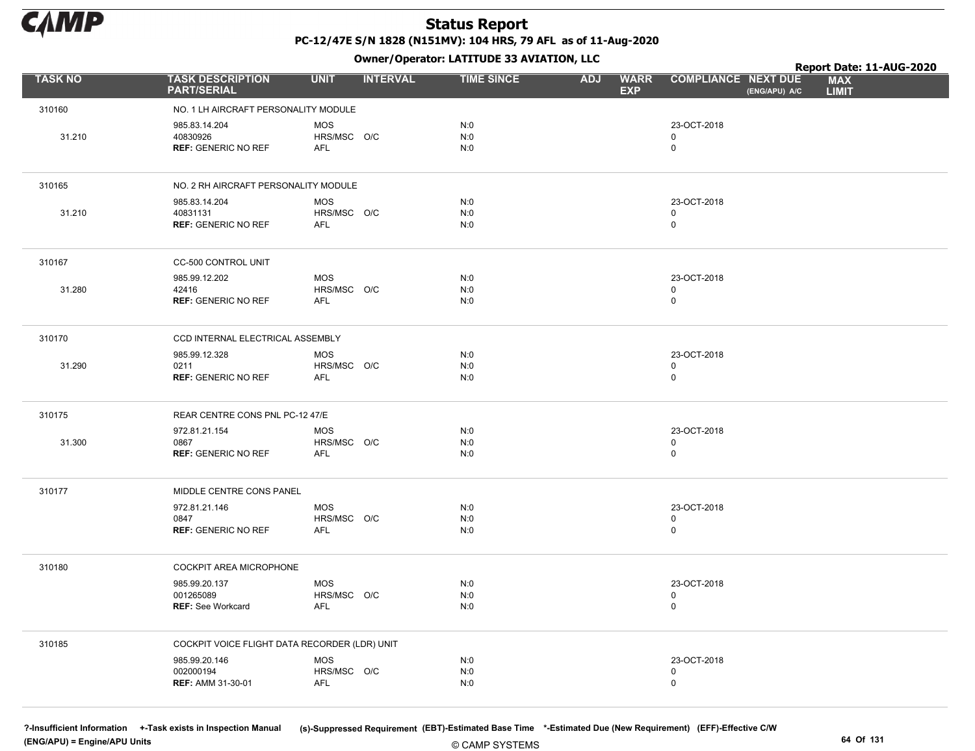

Owner/Operator: LATITUDE 33 AVIATION, LLC

|                |                                                         | .                                |                   |                                         |                                             | Report Date: 11-AUG-2020   |
|----------------|---------------------------------------------------------|----------------------------------|-------------------|-----------------------------------------|---------------------------------------------|----------------------------|
| <b>TASK NO</b> | <b>TASK DESCRIPTION</b><br><b>PART/SERIAL</b>           | <b>UNIT</b><br><b>INTERVAL</b>   | <b>TIME SINCE</b> | <b>WARR</b><br><b>ADJ</b><br><b>EXP</b> | <b>COMPLIANCE NEXT DUE</b><br>(ENG/APU) A/C | <b>MAX</b><br><b>LIMIT</b> |
| 310160         | NO. 1 LH AIRCRAFT PERSONALITY MODULE                    |                                  |                   |                                         |                                             |                            |
| 31.210         | 985.83.14.204<br>40830926<br><b>REF: GENERIC NO REF</b> | <b>MOS</b><br>HRS/MSC O/C<br>AFL | N:0<br>N:0<br>N:0 |                                         | 23-OCT-2018<br>0<br>$\mathbf 0$             |                            |
| 310165         | NO. 2 RH AIRCRAFT PERSONALITY MODULE                    |                                  |                   |                                         |                                             |                            |
| 31.210         | 985.83.14.204<br>40831131<br><b>REF: GENERIC NO REF</b> | <b>MOS</b><br>HRS/MSC O/C<br>AFL | N:0<br>N:0<br>N:0 |                                         | 23-OCT-2018<br>$\mathsf 0$<br>$\mathbf 0$   |                            |
| 310167         | CC-500 CONTROL UNIT                                     |                                  |                   |                                         |                                             |                            |
| 31.280         | 985.99.12.202<br>42416<br><b>REF: GENERIC NO REF</b>    | <b>MOS</b><br>HRS/MSC O/C<br>AFL | N:0<br>N:0<br>N:0 |                                         | 23-OCT-2018<br>$\mathbf 0$<br>$\mathsf 0$   |                            |
| 310170         | CCD INTERNAL ELECTRICAL ASSEMBLY                        |                                  |                   |                                         |                                             |                            |
| 31.290         | 985.99.12.328<br>0211<br><b>REF: GENERIC NO REF</b>     | <b>MOS</b><br>HRS/MSC O/C<br>AFL | N:0<br>N:0<br>N:0 |                                         | 23-OCT-2018<br>$\mathbf 0$<br>$\mathsf 0$   |                            |
| 310175         | REAR CENTRE CONS PNL PC-12 47/E                         |                                  |                   |                                         |                                             |                            |
| 31.300         | 972.81.21.154<br>0867<br><b>REF: GENERIC NO REF</b>     | <b>MOS</b><br>HRS/MSC O/C<br>AFL | N:0<br>N:0<br>N:0 |                                         | 23-OCT-2018<br>$\mathbf 0$<br>$\mathbf 0$   |                            |
| 310177         | MIDDLE CENTRE CONS PANEL                                |                                  |                   |                                         |                                             |                            |
|                | 972.81.21.146<br>0847<br><b>REF: GENERIC NO REF</b>     | <b>MOS</b><br>HRS/MSC O/C<br>AFL | N:0<br>N:0<br>N:0 |                                         | 23-OCT-2018<br>$\mathbf 0$<br>$\mathsf 0$   |                            |
| 310180         | COCKPIT AREA MICROPHONE                                 |                                  |                   |                                         |                                             |                            |
|                | 985.99.20.137<br>001265089<br><b>REF: See Workcard</b>  | <b>MOS</b><br>HRS/MSC O/C<br>AFL | N:0<br>N:0<br>N:0 |                                         | 23-OCT-2018<br>$\mathsf 0$<br>$\mathbf 0$   |                            |
| 310185         | COCKPIT VOICE FLIGHT DATA RECORDER (LDR) UNIT           |                                  |                   |                                         |                                             |                            |
|                | 985.99.20.146<br>002000194<br><b>REF: AMM 31-30-01</b>  | MOS<br>HRS/MSC O/C<br><b>AFL</b> | N:0<br>N:0<br>N:0 |                                         | 23-OCT-2018<br>$\mathbf 0$<br>$\mathsf 0$   |                            |

(ENG/APU) = Engine/APU Units 64 Of 131

?-Insufficient Information +-Task exists in Inspection Manual (s)-Suppressed Requirement (EBT)-Estimated Base Time \*-Estimated Due (New Requirement) (EFF)-Effective C/W

© CAMP SYSTEMS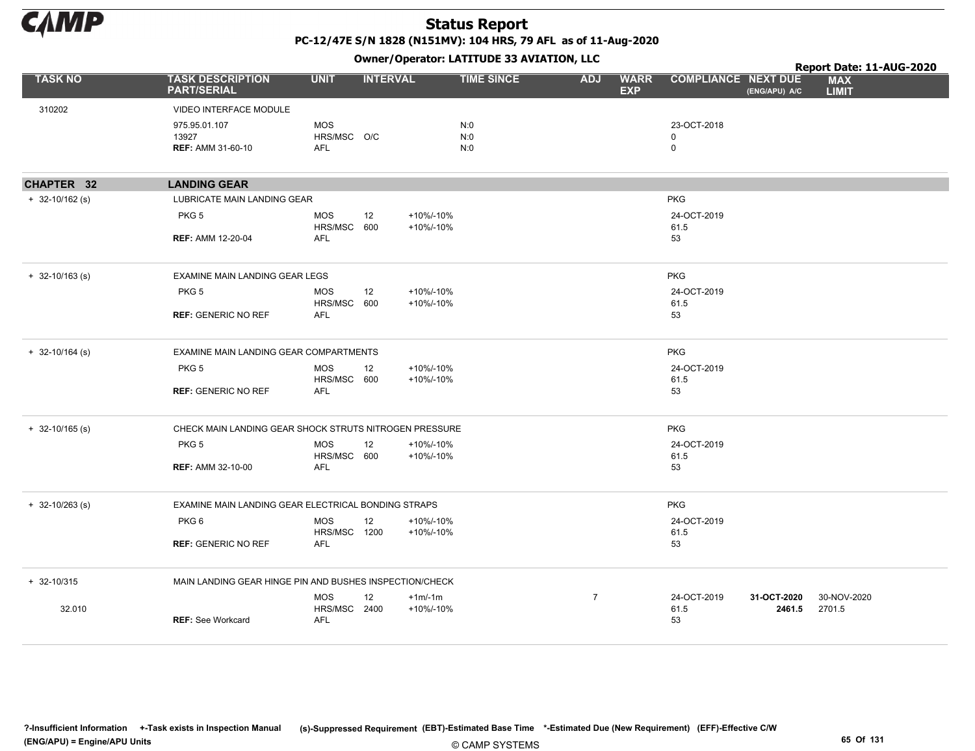

|                     |                                                         |                                  |                        | Owner/Operator: LATITUDE 33 AVIATION, LLC |                | Report Date: 11-AUG-2020  |                            |                       |                            |  |  |
|---------------------|---------------------------------------------------------|----------------------------------|------------------------|-------------------------------------------|----------------|---------------------------|----------------------------|-----------------------|----------------------------|--|--|
| <b>TASK NO</b>      | <b>TASK DESCRIPTION</b><br><b>PART/SERIAL</b>           | <b>UNIT</b>                      | <b>INTERVAL</b>        | <b>TIME SINCE</b>                         | <b>ADJ</b>     | <b>WARR</b><br><b>EXP</b> | <b>COMPLIANCE NEXT DUE</b> | (ENG/APU) A/C         | <b>MAX</b><br><b>LIMIT</b> |  |  |
| 310202              | VIDEO INTERFACE MODULE                                  |                                  |                        |                                           |                |                           |                            |                       |                            |  |  |
|                     | 975.95.01.107                                           | <b>MOS</b>                       |                        | N:0                                       |                |                           | 23-OCT-2018                |                       |                            |  |  |
|                     | 13927<br><b>REF: AMM 31-60-10</b>                       | HRS/MSC O/C<br><b>AFL</b>        |                        | N:0<br>N:0                                |                | 0<br>0                    |                            |                       |                            |  |  |
|                     |                                                         |                                  |                        |                                           |                |                           |                            |                       |                            |  |  |
| CHAPTER 32          | <b>LANDING GEAR</b>                                     |                                  |                        |                                           |                |                           |                            |                       |                            |  |  |
| $+ 32 - 10/162$ (s) | <b>LUBRICATE MAIN LANDING GEAR</b>                      |                                  |                        |                                           |                |                           | <b>PKG</b>                 |                       |                            |  |  |
|                     | PKG <sub>5</sub>                                        | <b>MOS</b><br>12<br>HRS/MSC 600  | +10%/-10%<br>+10%/-10% |                                           |                |                           | 24-OCT-2019<br>61.5        |                       |                            |  |  |
|                     | <b>REF: AMM 12-20-04</b>                                | <b>AFL</b>                       |                        |                                           |                | 53                        |                            |                       |                            |  |  |
| $+ 32 - 10/163$ (s) | EXAMINE MAIN LANDING GEAR LEGS                          |                                  |                        |                                           |                |                           | <b>PKG</b>                 |                       |                            |  |  |
|                     | PKG <sub>5</sub>                                        | <b>MOS</b><br>12<br>HRS/MSC 600  | +10%/-10%<br>+10%/-10% |                                           |                |                           | 24-OCT-2019<br>61.5        |                       |                            |  |  |
|                     | <b>REF: GENERIC NO REF</b>                              | <b>AFL</b>                       |                        |                                           |                | 53                        |                            |                       |                            |  |  |
| $+ 32 - 10/164$ (s) | EXAMINE MAIN LANDING GEAR COMPARTMENTS                  |                                  |                        |                                           |                |                           | <b>PKG</b>                 |                       |                            |  |  |
|                     | PKG <sub>5</sub>                                        | <b>MOS</b><br>12<br>HRS/MSC 600  | +10%/-10%<br>+10%/-10% |                                           |                |                           | 24-OCT-2019<br>61.5        |                       |                            |  |  |
|                     | <b>REF: GENERIC NO REF</b>                              | <b>AFL</b>                       |                        |                                           |                | 53                        |                            |                       |                            |  |  |
| $+ 32 - 10/165$ (s) | CHECK MAIN LANDING GEAR SHOCK STRUTS NITROGEN PRESSURE  |                                  |                        |                                           |                |                           | <b>PKG</b>                 |                       |                            |  |  |
|                     | PKG <sub>5</sub>                                        | <b>MOS</b><br>12<br>HRS/MSC 600  | +10%/-10%<br>+10%/-10% |                                           |                |                           | 24-OCT-2019<br>61.5        |                       |                            |  |  |
|                     | <b>REF: AMM 32-10-00</b>                                | <b>AFL</b>                       |                        |                                           |                | 53                        |                            |                       |                            |  |  |
| $+ 32 - 10/263$ (s) | EXAMINE MAIN LANDING GEAR ELECTRICAL BONDING STRAPS     |                                  |                        |                                           |                |                           | <b>PKG</b>                 |                       |                            |  |  |
|                     | PKG <sub>6</sub>                                        | <b>MOS</b><br>12<br>HRS/MSC 1200 | +10%/-10%<br>+10%/-10% |                                           |                |                           | 24-OCT-2019<br>61.5        |                       |                            |  |  |
|                     | <b>REF: GENERIC NO REF</b>                              | AFL                              |                        |                                           |                | 53                        |                            |                       |                            |  |  |
| $+ 32 - 10/315$     | MAIN LANDING GEAR HINGE PIN AND BUSHES INSPECTION/CHECK |                                  |                        |                                           |                |                           |                            |                       |                            |  |  |
| 32.010              |                                                         | <b>MOS</b><br>12<br>HRS/MSC 2400 | $+1m/1m$<br>+10%/-10%  |                                           | $\overline{7}$ |                           | 24-OCT-2019<br>61.5        | 31-OCT-2020<br>2461.5 | 30-NOV-2020<br>2701.5      |  |  |
|                     | <b>REF: See Workcard</b>                                | <b>AFL</b>                       |                        |                                           |                | 53                        |                            |                       |                            |  |  |
|                     |                                                         |                                  |                        |                                           |                |                           |                            |                       |                            |  |  |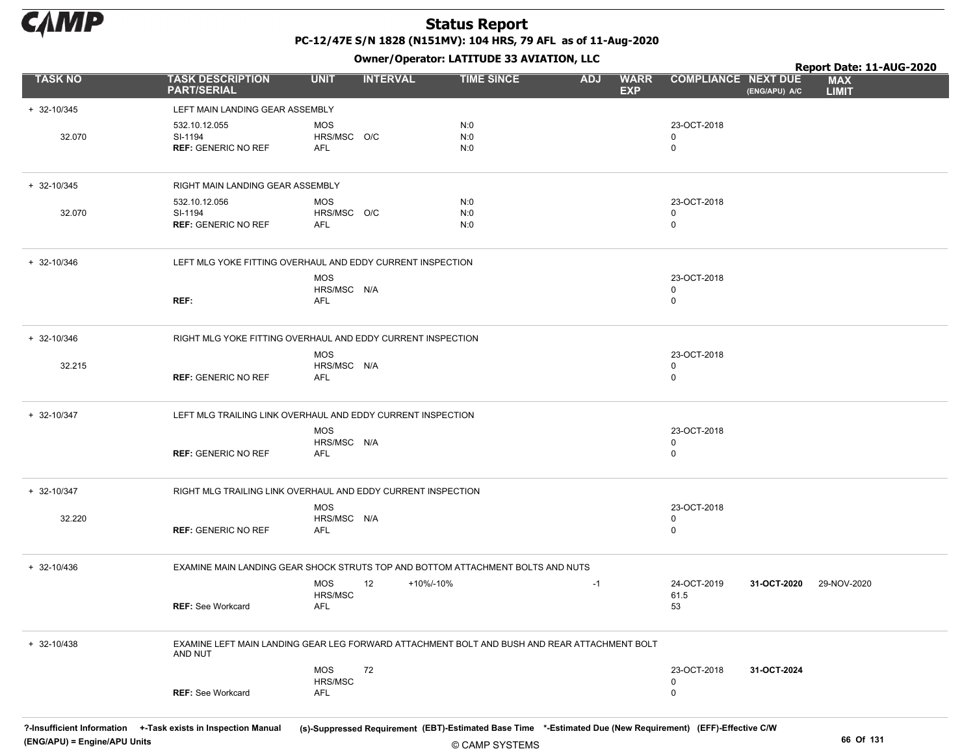

Owner/Operator: LATITUDE 33 AVIATION, LLC

|                 |                                                                                                         |                                  |                 | Owner/Operator: LATITUDE 33 AVIATION, LLC |                          |             | Report Date: 11-AUG-2020                  |               |                            |  |  |
|-----------------|---------------------------------------------------------------------------------------------------------|----------------------------------|-----------------|-------------------------------------------|--------------------------|-------------|-------------------------------------------|---------------|----------------------------|--|--|
| <b>TASK NO</b>  | <b>TASK DESCRIPTION</b><br><b>PART/SERIAL</b>                                                           | <b>UNIT</b>                      | <b>INTERVAL</b> | <b>TIME SINCE</b>                         | <b>ADJ</b><br><b>EXP</b> | <b>WARR</b> | <b>COMPLIANCE NEXT DUE</b>                | (ENG/APU) A/C | <b>MAX</b><br><b>LIMIT</b> |  |  |
| $+ 32 - 10/345$ | LEFT MAIN LANDING GEAR ASSEMBLY                                                                         |                                  |                 |                                           |                          |             |                                           |               |                            |  |  |
| 32.070          | 532.10.12.055<br>SI-1194<br><b>REF: GENERIC NO REF</b>                                                  | <b>MOS</b><br>HRS/MSC O/C<br>AFL |                 | N:0<br>N:0<br>N:0                         |                          |             | 23-OCT-2018<br>0<br>$\mathbf 0$           |               |                            |  |  |
| $+ 32 - 10/345$ | RIGHT MAIN LANDING GEAR ASSEMBLY                                                                        |                                  |                 |                                           |                          |             |                                           |               |                            |  |  |
| 32.070          | 532.10.12.056<br>SI-1194<br><b>REF: GENERIC NO REF</b>                                                  | MOS<br>HRS/MSC O/C<br>AFL        |                 | N:0<br>N:0<br>N:0                         |                          |             | 23-OCT-2018<br>0<br>$\mathbf 0$           |               |                            |  |  |
| $+ 32 - 10/346$ | LEFT MLG YOKE FITTING OVERHAUL AND EDDY CURRENT INSPECTION                                              |                                  |                 |                                           |                          |             |                                           |               |                            |  |  |
|                 | REF:                                                                                                    | <b>MOS</b><br>HRS/MSC N/A<br>AFL |                 |                                           |                          |             | 23-OCT-2018<br>$\mathbf 0$<br>$\mathbf 0$ |               |                            |  |  |
| $+ 32 - 10/346$ | RIGHT MLG YOKE FITTING OVERHAUL AND EDDY CURRENT INSPECTION                                             |                                  |                 |                                           |                          |             |                                           |               |                            |  |  |
| 32.215          | <b>REF: GENERIC NO REF</b>                                                                              | <b>MOS</b><br>HRS/MSC N/A<br>AFL |                 |                                           |                          |             | 23-OCT-2018<br>0<br>$\mathbf 0$           |               |                            |  |  |
| $+ 32 - 10/347$ | LEFT MLG TRAILING LINK OVERHAUL AND EDDY CURRENT INSPECTION                                             |                                  |                 |                                           |                          |             |                                           |               |                            |  |  |
|                 | <b>REF: GENERIC NO REF</b>                                                                              | <b>MOS</b><br>HRS/MSC N/A<br>AFL |                 |                                           |                          |             | 23-OCT-2018<br>0<br>$\mathbf 0$           |               |                            |  |  |
| $+ 32 - 10/347$ | RIGHT MLG TRAILING LINK OVERHAUL AND EDDY CURRENT INSPECTION                                            |                                  |                 |                                           |                          |             |                                           |               |                            |  |  |
| 32.220          | <b>REF: GENERIC NO REF</b>                                                                              | <b>MOS</b><br>HRS/MSC N/A<br>AFL |                 |                                           |                          |             | 23-OCT-2018<br>0<br>$\mathbf 0$           |               |                            |  |  |
| $+ 32 - 10/436$ | EXAMINE MAIN LANDING GEAR SHOCK STRUTS TOP AND BOTTOM ATTACHMENT BOLTS AND NUTS                         |                                  |                 |                                           |                          |             |                                           |               |                            |  |  |
|                 | <b>REF:</b> See Workcard                                                                                | <b>MOS</b><br>HRS/MSC<br>AFL     | 12<br>+10%/-10% |                                           | $-1$                     |             | 24-OCT-2019<br>61.5<br>53                 | 31-OCT-2020   | 29-NOV-2020                |  |  |
| $+ 32 - 10/438$ | EXAMINE LEFT MAIN LANDING GEAR LEG FORWARD ATTACHMENT BOLT AND BUSH AND REAR ATTACHMENT BOLT<br>AND NUT |                                  |                 |                                           |                          |             |                                           |               |                            |  |  |
|                 | <b>REF: See Workcard</b>                                                                                | <b>MOS</b><br>HRS/MSC<br>AFL     | 72              |                                           |                          |             | 23-OCT-2018<br>$\mathbf 0$<br>$\mathsf 0$ | 31-OCT-2024   |                            |  |  |

© CAMP SYSTEMS ?-Insufficient Information +-Task exists in Inspection Manual (s)-Suppressed Requirement (EBT)-Estimated Base Time \*-Estimated Due (New Requirement) (EFF)-Effective C/W (ENG/APU) = Engine/APU Units 66 Of 131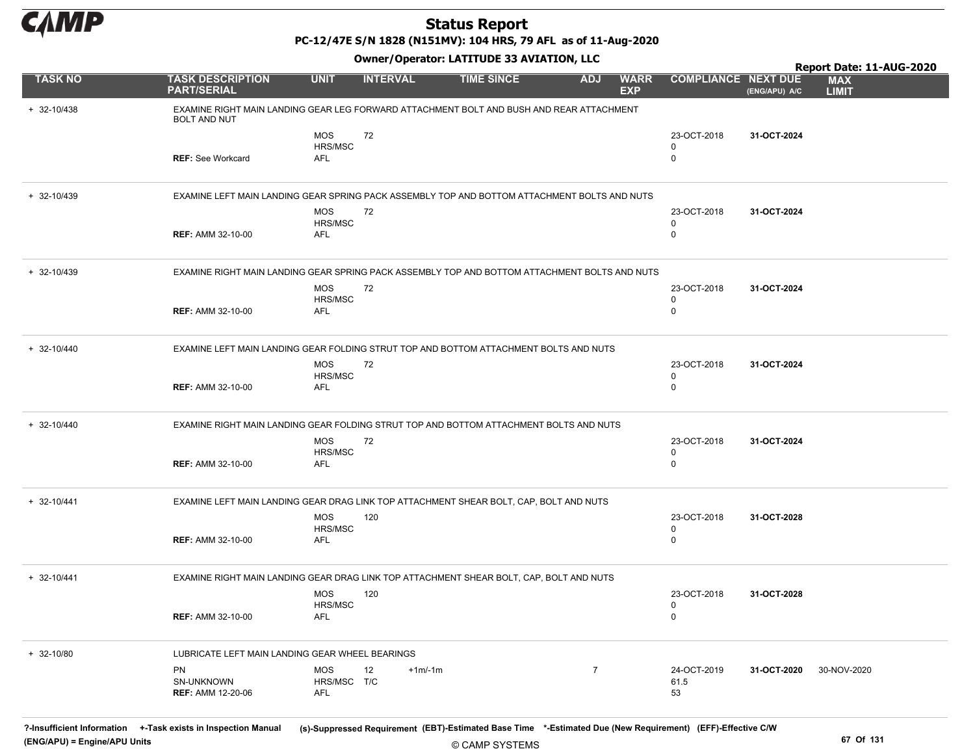

PC-12/47E S/N 1828 (N151MV): 104 HRS, 79 AFL as of 11-Aug-2020

Owner/Operator: LATITUDE 33 AVIATION, LLC

|                 |                                                                                                                 |                       | .               |                   |                |                           |                            |               | Report Date: 11-AUG-2020   |
|-----------------|-----------------------------------------------------------------------------------------------------------------|-----------------------|-----------------|-------------------|----------------|---------------------------|----------------------------|---------------|----------------------------|
| <b>TASK NO</b>  | <b>TASK DESCRIPTION</b><br><b>PART/SERIAL</b>                                                                   | <b>UNIT</b>           | <b>INTERVAL</b> | <b>TIME SINCE</b> | <b>ADJ</b>     | <b>WARR</b><br><b>EXP</b> | <b>COMPLIANCE NEXT DUE</b> | (ENG/APU) A/C | <b>MAX</b><br><b>LIMIT</b> |
| $+ 32 - 10/438$ | EXAMINE RIGHT MAIN LANDING GEAR LEG FORWARD ATTACHMENT BOLT AND BUSH AND REAR ATTACHMENT<br><b>BOLT AND NUT</b> |                       |                 |                   |                |                           |                            |               |                            |
|                 |                                                                                                                 | <b>MOS</b>            | 72              |                   |                |                           | 23-OCT-2018                | 31-OCT-2024   |                            |
|                 | <b>REF: See Workcard</b>                                                                                        | HRS/MSC<br><b>AFL</b> |                 |                   |                |                           | 0<br>$\mathbf 0$           |               |                            |
|                 |                                                                                                                 |                       |                 |                   |                |                           |                            |               |                            |
| $+ 32 - 10/439$ | EXAMINE LEFT MAIN LANDING GEAR SPRING PACK ASSEMBLY TOP AND BOTTOM ATTACHMENT BOLTS AND NUTS                    |                       |                 |                   |                |                           |                            |               |                            |
|                 |                                                                                                                 | MOS                   | 72              |                   |                |                           | 23-OCT-2018                | 31-OCT-2024   |                            |
|                 | <b>REF: AMM 32-10-00</b>                                                                                        | HRS/MSC<br><b>AFL</b> |                 |                   |                |                           | 0<br>$\mathbf 0$           |               |                            |
|                 |                                                                                                                 |                       |                 |                   |                |                           |                            |               |                            |
| + 32-10/439     | EXAMINE RIGHT MAIN LANDING GEAR SPRING PACK ASSEMBLY TOP AND BOTTOM ATTACHMENT BOLTS AND NUTS                   |                       |                 |                   |                |                           |                            |               |                            |
|                 |                                                                                                                 | <b>MOS</b><br>HRS/MSC | 72              |                   |                |                           | 23-OCT-2018<br>0           | 31-OCT-2024   |                            |
|                 | <b>REF: AMM 32-10-00</b>                                                                                        | AFL                   |                 |                   |                |                           | $\mathbf 0$                |               |                            |
|                 |                                                                                                                 |                       |                 |                   |                |                           |                            |               |                            |
| $+ 32 - 10/440$ | EXAMINE LEFT MAIN LANDING GEAR FOLDING STRUT TOP AND BOTTOM ATTACHMENT BOLTS AND NUTS                           |                       |                 |                   |                |                           |                            |               |                            |
|                 |                                                                                                                 | <b>MOS</b><br>HRS/MSC | 72              |                   |                |                           | 23-OCT-2018<br>0           | 31-OCT-2024   |                            |
|                 | <b>REF: AMM 32-10-00</b>                                                                                        | <b>AFL</b>            |                 |                   |                |                           | $\mathbf 0$                |               |                            |
| $+ 32 - 10/440$ | EXAMINE RIGHT MAIN LANDING GEAR FOLDING STRUT TOP AND BOTTOM ATTACHMENT BOLTS AND NUTS                          |                       |                 |                   |                |                           |                            |               |                            |
|                 |                                                                                                                 | <b>MOS</b>            | 72              |                   |                |                           | 23-OCT-2018                | 31-OCT-2024   |                            |
|                 |                                                                                                                 | HRS/MSC               |                 |                   |                |                           | $\mathbf 0$                |               |                            |
|                 | <b>REF: AMM 32-10-00</b>                                                                                        | AFL                   |                 |                   |                |                           | $\Omega$                   |               |                            |
| $+ 32 - 10/441$ | EXAMINE LEFT MAIN LANDING GEAR DRAG LINK TOP ATTACHMENT SHEAR BOLT, CAP, BOLT AND NUTS                          |                       |                 |                   |                |                           |                            |               |                            |
|                 |                                                                                                                 | MOS                   | 120             |                   |                |                           | 23-OCT-2018                | 31-OCT-2028   |                            |
|                 |                                                                                                                 | HRS/MSC               |                 |                   |                |                           | 0                          |               |                            |
|                 | <b>REF: AMM 32-10-00</b>                                                                                        | <b>AFL</b>            |                 |                   |                |                           | $\mathbf 0$                |               |                            |
| $+ 32 - 10/441$ | EXAMINE RIGHT MAIN LANDING GEAR DRAG LINK TOP ATTACHMENT SHEAR BOLT, CAP, BOLT AND NUTS                         |                       |                 |                   |                |                           |                            |               |                            |
|                 |                                                                                                                 | <b>MOS</b>            | 120             |                   |                |                           | 23-OCT-2018                | 31-OCT-2028   |                            |
|                 | <b>REF: AMM 32-10-00</b>                                                                                        | <b>HRS/MSC</b><br>AFL |                 |                   |                |                           | $\mathbf 0$<br>0           |               |                            |
|                 |                                                                                                                 |                       |                 |                   |                |                           |                            |               |                            |
| $+ 32 - 10/80$  | LUBRICATE LEFT MAIN LANDING GEAR WHEEL BEARINGS                                                                 |                       |                 |                   |                |                           |                            |               |                            |
|                 | PN                                                                                                              | MOS                   | $+1m/1m$<br>12  |                   | $\overline{7}$ |                           | 24-OCT-2019                | 31-OCT-2020   | 30-NOV-2020                |
|                 | SN-UNKNOWN<br><b>REF: AMM 12-20-06</b>                                                                          | HRS/MSC T/C<br>AFL    |                 |                   |                |                           | 61.5<br>53                 |               |                            |
|                 |                                                                                                                 |                       |                 |                   |                |                           |                            |               |                            |

© CAMP SYSTEMS ?-Insufficient Information +-Task exists in Inspection Manual (s)-Suppressed Requirement (EBT)-Estimated Base Time \*-Estimated Due (New Requirement) (EFF)-Effective C/W (ENG/APU) = Engine/APU Units 67 Of 131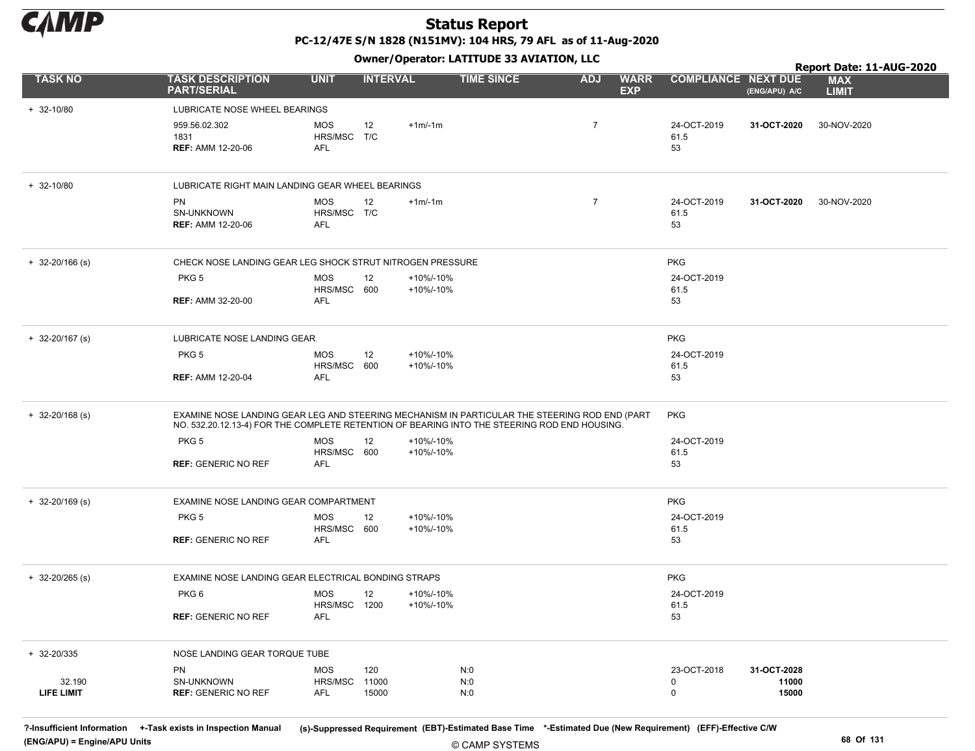

Owner/Operator: LATITUDE 33 AVIATION, LLC

|                     |                                                                                                                                                                                               |                                         |                 |                        | Owner / Operator: EATITODE 33 AVIATION, LLC |                |                           | Report Date: 11-AUG-2020   |                      |                            |  |  |
|---------------------|-----------------------------------------------------------------------------------------------------------------------------------------------------------------------------------------------|-----------------------------------------|-----------------|------------------------|---------------------------------------------|----------------|---------------------------|----------------------------|----------------------|----------------------------|--|--|
| <b>TASK NO</b>      | <b>TASK DESCRIPTION</b><br><b>PART/SERIAL</b>                                                                                                                                                 | <b>UNIT</b>                             | <b>INTERVAL</b> |                        | <b>TIME SINCE</b>                           | <b>ADJ</b>     | <b>WARR</b><br><b>EXP</b> | <b>COMPLIANCE NEXT DUE</b> | (ENG/APU) A/C        | <b>MAX</b><br><b>LIMIT</b> |  |  |
| $+ 32 - 10/80$      | LUBRICATE NOSE WHEEL BEARINGS                                                                                                                                                                 |                                         |                 |                        |                                             |                |                           |                            |                      |                            |  |  |
|                     | 959.56.02.302<br>1831<br><b>REF: AMM 12-20-06</b>                                                                                                                                             | <b>MOS</b><br>HRS/MSC T/C<br><b>AFL</b> | 12              | $+1m/1m$               |                                             | $\overline{7}$ |                           | 24-OCT-2019<br>61.5<br>53  | 31-OCT-2020          | 30-NOV-2020                |  |  |
| $+ 32 - 10/80$      | LUBRICATE RIGHT MAIN LANDING GEAR WHEEL BEARINGS                                                                                                                                              |                                         |                 |                        |                                             |                |                           |                            |                      |                            |  |  |
|                     | PN<br>SN-UNKNOWN<br><b>REF: AMM 12-20-06</b>                                                                                                                                                  | <b>MOS</b><br>HRS/MSC T/C<br><b>AFL</b> | 12              | $+1m/1m$               |                                             | $\overline{7}$ |                           | 24-OCT-2019<br>61.5<br>53  | 31-OCT-2020          | 30-NOV-2020                |  |  |
| $+ 32 - 20/166$ (s) | CHECK NOSE LANDING GEAR LEG SHOCK STRUT NITROGEN PRESSURE                                                                                                                                     |                                         |                 |                        | <b>PKG</b>                                  |                |                           |                            |                      |                            |  |  |
|                     | PKG <sub>5</sub>                                                                                                                                                                              | MOS<br>HRS/MSC 600                      | 12              | +10%/-10%<br>+10%/-10% |                                             |                |                           | 24-OCT-2019<br>61.5        |                      |                            |  |  |
|                     | <b>REF: AMM 32-20-00</b>                                                                                                                                                                      | AFL                                     |                 |                        |                                             |                |                           | 53                         |                      |                            |  |  |
| $+ 32 - 20/167$ (s) | LUBRICATE NOSE LANDING GEAR                                                                                                                                                                   |                                         |                 |                        |                                             |                |                           | <b>PKG</b>                 |                      |                            |  |  |
|                     | PKG <sub>5</sub>                                                                                                                                                                              | <b>MOS</b><br>HRS/MSC 600               | 12              | +10%/-10%<br>+10%/-10% |                                             |                |                           | 24-OCT-2019<br>61.5        |                      |                            |  |  |
|                     | <b>REF: AMM 12-20-04</b>                                                                                                                                                                      | <b>AFL</b>                              |                 |                        |                                             |                |                           | 53                         |                      |                            |  |  |
| $+ 32 - 20/168$ (s) | EXAMINE NOSE LANDING GEAR LEG AND STEERING MECHANISM IN PARTICULAR THE STEERING ROD END (PART<br>NO. 532.20.12.13-4) FOR THE COMPLETE RETENTION OF BEARING INTO THE STEERING ROD END HOUSING. |                                         |                 |                        |                                             |                |                           | <b>PKG</b>                 |                      |                            |  |  |
|                     | PKG <sub>5</sub>                                                                                                                                                                              | <b>MOS</b><br>HRS/MSC 600               | 12              | +10%/-10%<br>+10%/-10% |                                             |                |                           | 24-OCT-2019<br>61.5        |                      |                            |  |  |
|                     | <b>REF: GENERIC NO REF</b>                                                                                                                                                                    | <b>AFL</b>                              |                 |                        |                                             |                |                           | 53                         |                      |                            |  |  |
| $+$ 32-20/169 (s)   | EXAMINE NOSE LANDING GEAR COMPARTMENT                                                                                                                                                         |                                         |                 |                        |                                             |                |                           | <b>PKG</b>                 |                      |                            |  |  |
|                     | PKG <sub>5</sub>                                                                                                                                                                              | MOS<br>HRS/MSC 600                      | 12              | +10%/-10%<br>+10%/-10% |                                             |                |                           | 24-OCT-2019<br>61.5        |                      |                            |  |  |
|                     | <b>REF: GENERIC NO REF</b>                                                                                                                                                                    | AFL                                     |                 |                        |                                             |                |                           | 53                         |                      |                            |  |  |
| $+$ 32-20/265 (s)   | EXAMINE NOSE LANDING GEAR ELECTRICAL BONDING STRAPS                                                                                                                                           |                                         |                 |                        |                                             |                |                           | <b>PKG</b>                 |                      |                            |  |  |
|                     | PKG <sub>6</sub>                                                                                                                                                                              | <b>MOS</b><br>HRS/MSC 1200              | 12              | +10%/-10%<br>+10%/-10% |                                             |                |                           | 24-OCT-2019<br>61.5        |                      |                            |  |  |
|                     | <b>REF: GENERIC NO REF</b>                                                                                                                                                                    | AFL                                     |                 |                        |                                             |                |                           | 53                         |                      |                            |  |  |
| + 32-20/335         | NOSE LANDING GEAR TORQUE TUBE                                                                                                                                                                 |                                         |                 |                        |                                             |                |                           |                            |                      |                            |  |  |
| 32.190              | PN<br>SN-UNKNOWN                                                                                                                                                                              | MOS<br>HRS/MSC                          | 120<br>11000    |                        | N:0<br>N:0                                  |                |                           | 23-OCT-2018<br>0           | 31-OCT-2028<br>11000 |                            |  |  |
| LIFE LIMIT          | <b>REF: GENERIC NO REF</b>                                                                                                                                                                    | AFL                                     | 15000           |                        | N:0                                         |                |                           | 0                          | 15000                |                            |  |  |

© CAMP SYSTEMS ?-Insufficient Information +-Task exists in Inspection Manual (s)-Suppressed Requirement (EBT)-Estimated Base Time \*-Estimated Due (New Requirement) (EFF)-Effective C/W (ENG/APU) = Engine/APU Units 68 Of 131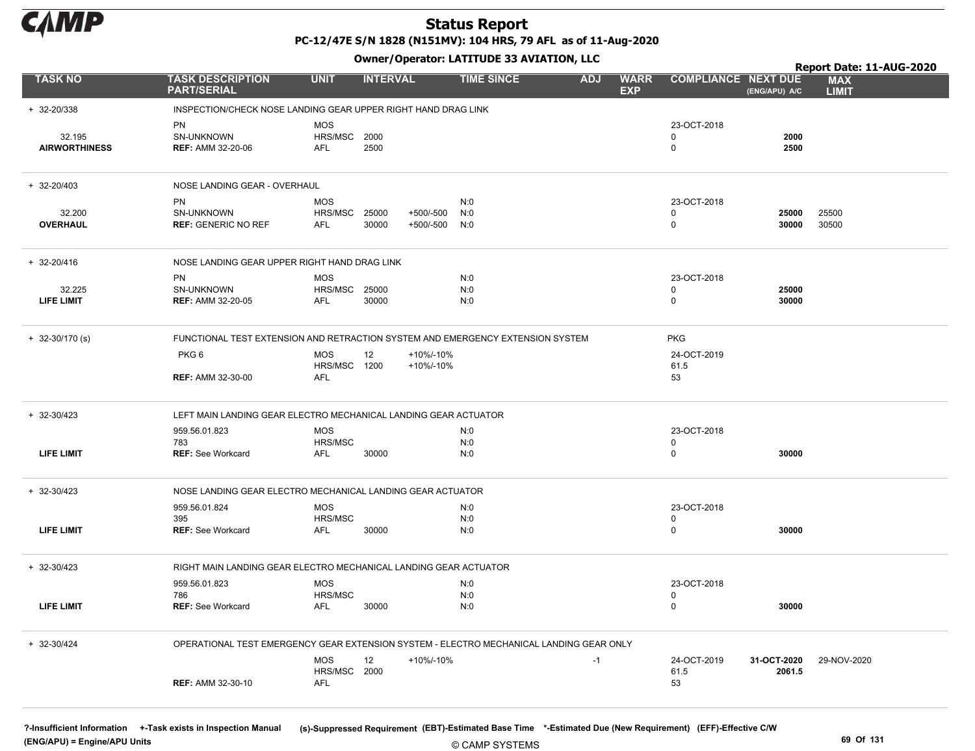

PC-12/47E S/N 1828 (N151MV): 104 HRS, 79 AFL as of 11-Aug-2020

Owner/Operator: LATITUDE 33 AVIATION, LLC

|                                |                                                                                         |                                   |                 |                        | Owner/Operator. EATITODE 33 AVIATION, LLC |            |                           |                                 |                       | Report Date: 11-AUG-2020   |
|--------------------------------|-----------------------------------------------------------------------------------------|-----------------------------------|-----------------|------------------------|-------------------------------------------|------------|---------------------------|---------------------------------|-----------------------|----------------------------|
| <b>TASK NO</b>                 | <b>TASK DESCRIPTION</b><br><b>PART/SERIAL</b>                                           | <b>UNIT</b>                       | <b>INTERVAL</b> |                        | <b>TIME SINCE</b>                         | <b>ADJ</b> | <b>WARR</b><br><b>EXP</b> | <b>COMPLIANCE NEXT DUE</b>      | (ENG/APU) A/C         | <b>MAX</b><br><b>LIMIT</b> |
| + 32-20/338                    | INSPECTION/CHECK NOSE LANDING GEAR UPPER RIGHT HAND DRAG LINK                           |                                   |                 |                        |                                           |            |                           |                                 |                       |                            |
| 32.195<br><b>AIRWORTHINESS</b> | PN<br>SN-UNKNOWN<br><b>REF: AMM 32-20-06</b>                                            | <b>MOS</b><br>HRS/MSC<br>AFL      | 2000<br>2500    |                        |                                           |            |                           | 23-OCT-2018<br>$\Omega$<br>0    | 2000<br>2500          |                            |
| $+ 32 - 20/403$                | NOSE LANDING GEAR - OVERHAUL                                                            |                                   |                 |                        |                                           |            |                           |                                 |                       |                            |
| 32.200<br><b>OVERHAUL</b>      | PN<br>SN-UNKNOWN<br><b>REF: GENERIC NO REF</b>                                          | <b>MOS</b><br>HRS/MSC<br>AFL      | 25000<br>30000  | +500/-500<br>+500/-500 | N:0<br>N:0<br>N:0                         |            |                           | 23-OCT-2018<br>0<br>$\mathbf 0$ | 25000<br>30000        | 25500<br>30500             |
| + 32-20/416                    | NOSE LANDING GEAR UPPER RIGHT HAND DRAG LINK                                            |                                   |                 |                        |                                           |            |                           |                                 |                       |                            |
| 32.225<br>LIFE LIMIT           | PN<br>SN-UNKNOWN<br><b>REF: AMM 32-20-05</b>                                            | <b>MOS</b><br>HRS/MSC<br>AFL      | 25000<br>30000  |                        | N:0<br>N:0<br>N:0                         |            |                           | 23-OCT-2018<br>0<br>$\Omega$    | 25000<br>30000        |                            |
| $+ 32 - 30/170$ (s)            | FUNCTIONAL TEST EXTENSION AND RETRACTION SYSTEM AND EMERGENCY EXTENSION SYSTEM          |                                   |                 |                        |                                           |            |                           | <b>PKG</b>                      |                       |                            |
|                                | PKG <sub>6</sub><br><b>REF: AMM 32-30-00</b>                                            | <b>MOS</b><br>HRS/MSC 1200<br>AFL | 12              | +10%/-10%<br>+10%/-10% |                                           |            |                           | 24-OCT-2019<br>61.5<br>53       |                       |                            |
| $+ 32 - 30/423$                | LEFT MAIN LANDING GEAR ELECTRO MECHANICAL LANDING GEAR ACTUATOR                         |                                   |                 |                        |                                           |            |                           |                                 |                       |                            |
|                                | 959.56.01.823<br>783                                                                    | MOS<br>HRS/MSC                    |                 |                        | N:0<br>N:0                                |            |                           | 23-OCT-2018<br>0                |                       |                            |
| <b>LIFE LIMIT</b>              | <b>REF: See Workcard</b>                                                                | AFL                               | 30000           |                        | N:0                                       |            |                           | 0                               | 30000                 |                            |
| $+ 32 - 30/423$                | NOSE LANDING GEAR ELECTRO MECHANICAL LANDING GEAR ACTUATOR                              |                                   |                 |                        |                                           |            |                           |                                 |                       |                            |
|                                | 959.56.01.824                                                                           | <b>MOS</b>                        |                 |                        | N:0                                       |            |                           | 23-OCT-2018                     |                       |                            |
| LIFE LIMIT                     | 395<br><b>REF: See Workcard</b>                                                         | HRS/MSC<br>AFL                    | 30000           |                        | N:0<br>N:0                                |            |                           | $\Omega$<br>$\mathbf 0$         | 30000                 |                            |
| $+ 32 - 30/423$                | RIGHT MAIN LANDING GEAR ELECTRO MECHANICAL LANDING GEAR ACTUATOR                        |                                   |                 |                        |                                           |            |                           |                                 |                       |                            |
|                                | 959.56.01.823                                                                           | <b>MOS</b>                        |                 |                        | N:0                                       |            |                           | 23-OCT-2018                     |                       |                            |
| LIFE LIMIT                     | 786<br><b>REF:</b> See Workcard                                                         | HRS/MSC<br>AFL                    | 30000           |                        | N:0<br>N:0                                |            |                           | 0<br>$\mathbf 0$                | 30000                 |                            |
| + 32-30/424                    | OPERATIONAL TEST EMERGENCY GEAR EXTENSION SYSTEM - ELECTRO MECHANICAL LANDING GEAR ONLY |                                   |                 |                        |                                           |            |                           |                                 |                       |                            |
|                                | <b>REF: AMM 32-30-10</b>                                                                | <b>MOS</b><br>HRS/MSC 2000<br>AFL | 12              | +10%/-10%              |                                           | $-1$       |                           | 24-OCT-2019<br>61.5<br>53       | 31-OCT-2020<br>2061.5 | 29-NOV-2020                |

(ENG/APU) = Engine/APU Units 69 Of 131

?-Insufficient Information +-Task exists in Inspection Manual (s)-Suppressed Requirement (EBT)-Estimated Base Time \*-Estimated Due (New Requirement) (EFF)-Effective C/W

© CAMP SYSTEMS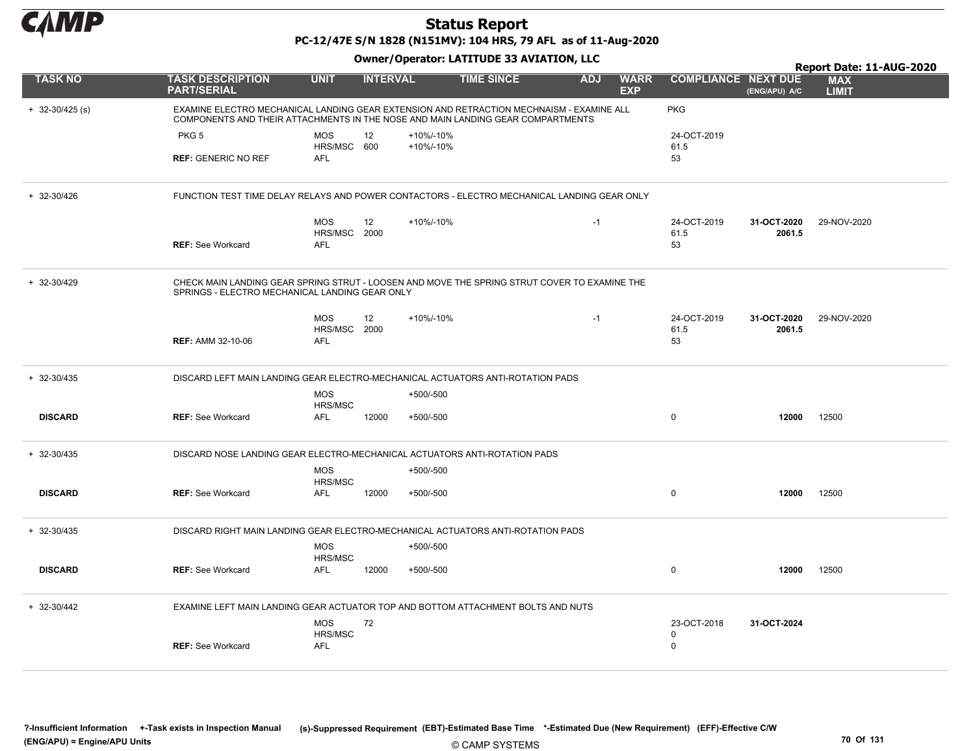

PC-12/47E S/N 1828 (N151MV): 104 HRS, 79 AFL as of 11-Aug-2020

|                     |                                                                                                                                                                             |                                          |                 |             |                   |            |                           |                            |                       | Report Date: 11-AUG-2020   |
|---------------------|-----------------------------------------------------------------------------------------------------------------------------------------------------------------------------|------------------------------------------|-----------------|-------------|-------------------|------------|---------------------------|----------------------------|-----------------------|----------------------------|
| <b>TASK NO</b>      | <b>TASK DESCRIPTION</b><br><b>PART/SERIAL</b>                                                                                                                               | <b>UNIT</b>                              | <b>INTERVAL</b> |             | <b>TIME SINCE</b> | <b>ADJ</b> | <b>WARR</b><br><b>EXP</b> | <b>COMPLIANCE NEXT DUE</b> | (ENG/APU) A/C         | <b>MAX</b><br><b>LIMIT</b> |
| $+ 32 - 30/425$ (s) | EXAMINE ELECTRO MECHANICAL LANDING GEAR EXTENSION AND RETRACTION MECHNAISM - EXAMINE ALL<br>COMPONENTS AND THEIR ATTACHMENTS IN THE NOSE AND MAIN LANDING GEAR COMPARTMENTS |                                          |                 |             |                   |            |                           | <b>PKG</b>                 |                       |                            |
|                     | PKG <sub>5</sub>                                                                                                                                                            | <b>MOS</b>                               | 12              | +10%/-10%   |                   |            |                           | 24-OCT-2019                |                       |                            |
|                     | <b>REF: GENERIC NO REF</b>                                                                                                                                                  | HRS/MSC 600<br><b>AFL</b>                |                 | +10%/-10%   |                   |            |                           | 61.5<br>53                 |                       |                            |
| + 32-30/426         | FUNCTION TEST TIME DELAY RELAYS AND POWER CONTACTORS - ELECTRO MECHANICAL LANDING GEAR ONLY                                                                                 |                                          |                 |             |                   |            |                           |                            |                       |                            |
|                     |                                                                                                                                                                             | <b>MOS</b>                               | 12              | +10%/-10%   |                   | $-1$       |                           | 24-OCT-2019                | 31-OCT-2020           | 29-NOV-2020                |
|                     | <b>REF: See Workcard</b>                                                                                                                                                    | HRS/MSC 2000<br>AFL                      |                 |             |                   |            |                           | 61.5<br>53                 | 2061.5                |                            |
| + 32-30/429         | CHECK MAIN LANDING GEAR SPRING STRUT - LOOSEN AND MOVE THE SPRING STRUT COVER TO EXAMINE THE<br>SPRINGS - ELECTRO MECHANICAL LANDING GEAR ONLY                              |                                          |                 |             |                   |            |                           |                            |                       |                            |
|                     | <b>REF: AMM 32-10-06</b>                                                                                                                                                    | <b>MOS</b><br>HRS/MSC 2000<br><b>AFL</b> | 12              | +10%/-10%   |                   | $-1$       |                           | 24-OCT-2019<br>61.5<br>53  | 31-OCT-2020<br>2061.5 | 29-NOV-2020                |
| + 32-30/435         | DISCARD LEFT MAIN LANDING GEAR ELECTRO-MECHANICAL ACTUATORS ANTI-ROTATION PADS                                                                                              | <b>MOS</b>                               |                 | $+500/-500$ |                   |            |                           |                            |                       |                            |
|                     |                                                                                                                                                                             | HRS/MSC                                  |                 |             |                   |            |                           |                            |                       |                            |
| <b>DISCARD</b>      | <b>REF: See Workcard</b>                                                                                                                                                    | <b>AFL</b>                               | 12000           | +500/-500   |                   |            |                           | $\mathbf 0$                | 12000                 | 12500                      |
| + 32-30/435         | DISCARD NOSE LANDING GEAR ELECTRO-MECHANICAL ACTUATORS ANTI-ROTATION PADS                                                                                                   |                                          |                 |             |                   |            |                           |                            |                       |                            |
|                     |                                                                                                                                                                             | <b>MOS</b><br>HRS/MSC                    |                 | $+500/-500$ |                   |            |                           |                            |                       |                            |
| <b>DISCARD</b>      | <b>REF: See Workcard</b>                                                                                                                                                    | <b>AFL</b>                               | 12000           | +500/-500   |                   |            |                           | $\mathbf 0$                | 12000                 | 12500                      |
| $+ 32 - 30/435$     | DISCARD RIGHT MAIN LANDING GEAR ELECTRO-MECHANICAL ACTUATORS ANTI-ROTATION PADS                                                                                             |                                          |                 |             |                   |            |                           |                            |                       |                            |
|                     |                                                                                                                                                                             | <b>MOS</b><br>HRS/MSC                    |                 | +500/-500   |                   |            |                           |                            |                       |                            |
| <b>DISCARD</b>      | <b>REF: See Workcard</b>                                                                                                                                                    | AFL                                      | 12000           | +500/-500   |                   |            |                           | $\mathbf 0$                | 12000                 | 12500                      |
| $+ 32 - 30/442$     | EXAMINE LEFT MAIN LANDING GEAR ACTUATOR TOP AND BOTTOM ATTACHMENT BOLTS AND NUTS                                                                                            |                                          |                 |             |                   |            |                           |                            |                       |                            |
|                     |                                                                                                                                                                             | <b>MOS</b><br>HRS/MSC                    | 72              |             |                   |            |                           | 23-OCT-2018<br>0           | 31-OCT-2024           |                            |
|                     | <b>REF: See Workcard</b>                                                                                                                                                    | AFL                                      |                 |             |                   |            |                           | $\mathbf 0$                |                       |                            |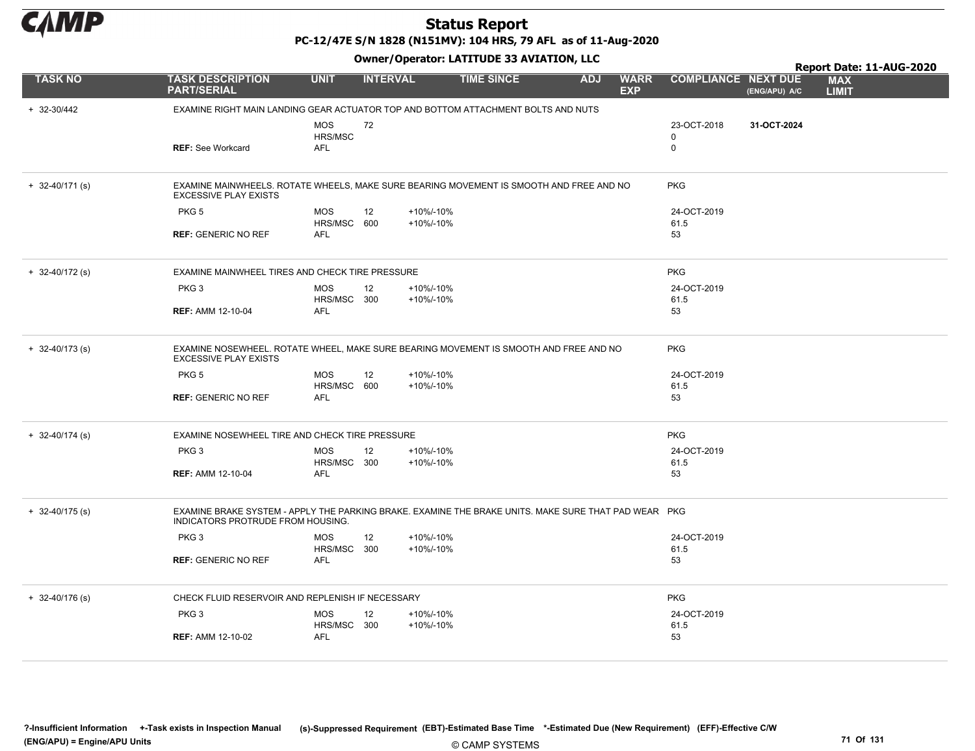

PC-12/47E S/N 1828 (N151MV): 104 HRS, 79 AFL as of 11-Aug-2020

|                     |                                                                                                                                           |             |                 | Owner/Operator. EATITODE 33 AVIATION, LLC |                   |            |                           |                            | Report Date: 11-AUG-2020 |                            |  |  |
|---------------------|-------------------------------------------------------------------------------------------------------------------------------------------|-------------|-----------------|-------------------------------------------|-------------------|------------|---------------------------|----------------------------|--------------------------|----------------------------|--|--|
| <b>TASK NO</b>      | <b>TASK DESCRIPTION</b><br><b>PART/SERIAL</b>                                                                                             | <b>UNIT</b> | <b>INTERVAL</b> |                                           | <b>TIME SINCE</b> | <b>ADJ</b> | <b>WARR</b><br><b>EXP</b> | <b>COMPLIANCE NEXT DUE</b> | (ENG/APU) A/C            | <b>MAX</b><br><b>LIMIT</b> |  |  |
| + 32-30/442         | EXAMINE RIGHT MAIN LANDING GEAR ACTUATOR TOP AND BOTTOM ATTACHMENT BOLTS AND NUTS                                                         |             |                 |                                           |                   |            |                           |                            |                          |                            |  |  |
|                     |                                                                                                                                           | <b>MOS</b>  | 72              |                                           |                   |            |                           | 23-OCT-2018                | 31-OCT-2024              |                            |  |  |
|                     |                                                                                                                                           | HRS/MSC     |                 |                                           |                   |            |                           | 0                          |                          |                            |  |  |
|                     | <b>REF: See Workcard</b>                                                                                                                  | <b>AFL</b>  |                 |                                           |                   |            |                           | $\mathbf 0$                |                          |                            |  |  |
| $+ 32 - 40/171$ (s) | EXAMINE MAINWHEELS. ROTATE WHEELS, MAKE SURE BEARING MOVEMENT IS SMOOTH AND FREE AND NO<br><b>EXCESSIVE PLAY EXISTS</b>                   |             |                 | <b>PKG</b>                                |                   |            |                           |                            |                          |                            |  |  |
|                     | PKG <sub>5</sub>                                                                                                                          | <b>MOS</b>  | 12              | +10%/-10%                                 |                   |            |                           | 24-OCT-2019                |                          |                            |  |  |
|                     |                                                                                                                                           | HRS/MSC 600 |                 | +10%/-10%                                 |                   |            |                           | 61.5                       |                          |                            |  |  |
|                     | <b>REF: GENERIC NO REF</b>                                                                                                                | AFL         |                 |                                           |                   |            |                           | 53                         |                          |                            |  |  |
| $+ 32 - 40/172$ (s) | EXAMINE MAINWHEEL TIRES AND CHECK TIRE PRESSURE                                                                                           |             |                 |                                           |                   |            |                           | <b>PKG</b>                 |                          |                            |  |  |
|                     | PKG <sub>3</sub>                                                                                                                          | <b>MOS</b>  | 12              | +10%/-10%                                 |                   |            |                           | 24-OCT-2019                |                          |                            |  |  |
|                     |                                                                                                                                           | HRS/MSC 300 |                 | +10%/-10%                                 |                   |            |                           | 61.5                       |                          |                            |  |  |
|                     | <b>REF: AMM 12-10-04</b>                                                                                                                  | <b>AFL</b>  |                 |                                           |                   |            |                           | 53                         |                          |                            |  |  |
| $+ 32 - 40/173$ (s) | EXAMINE NOSEWHEEL. ROTATE WHEEL, MAKE SURE BEARING MOVEMENT IS SMOOTH AND FREE AND NO<br><b>EXCESSIVE PLAY EXISTS</b>                     |             |                 |                                           |                   |            |                           | <b>PKG</b>                 |                          |                            |  |  |
|                     | PKG <sub>5</sub>                                                                                                                          | <b>MOS</b>  | 12              | +10%/-10%                                 |                   |            |                           | 24-OCT-2019                |                          |                            |  |  |
|                     |                                                                                                                                           | HRS/MSC 600 |                 | +10%/-10%                                 |                   |            |                           | 61.5                       |                          |                            |  |  |
|                     | <b>REF: GENERIC NO REF</b>                                                                                                                | AFL         |                 |                                           |                   |            |                           | 53                         |                          |                            |  |  |
| $+ 32 - 40/174$ (s) | EXAMINE NOSEWHEEL TIRE AND CHECK TIRE PRESSURE                                                                                            |             |                 |                                           |                   |            |                           | <b>PKG</b>                 |                          |                            |  |  |
|                     | PKG <sub>3</sub>                                                                                                                          | <b>MOS</b>  | 12              | +10%/-10%                                 |                   |            |                           | 24-OCT-2019                |                          |                            |  |  |
|                     |                                                                                                                                           | HRS/MSC 300 |                 | +10%/-10%                                 |                   |            |                           | 61.5                       |                          |                            |  |  |
|                     | <b>REF: AMM 12-10-04</b>                                                                                                                  | <b>AFL</b>  |                 |                                           |                   |            |                           | 53                         |                          |                            |  |  |
| $+ 32 - 40/175$ (s) | EXAMINE BRAKE SYSTEM - APPLY THE PARKING BRAKE. EXAMINE THE BRAKE UNITS. MAKE SURE THAT PAD WEAR PKG<br>INDICATORS PROTRUDE FROM HOUSING. |             |                 |                                           |                   |            |                           |                            |                          |                            |  |  |
|                     | PKG <sub>3</sub>                                                                                                                          | <b>MOS</b>  | 12              | +10%/-10%                                 |                   |            |                           | 24-OCT-2019                |                          |                            |  |  |
|                     |                                                                                                                                           | HRS/MSC 300 |                 | +10%/-10%                                 |                   |            |                           | 61.5                       |                          |                            |  |  |
|                     | <b>REF: GENERIC NO REF</b>                                                                                                                | <b>AFL</b>  |                 |                                           |                   |            |                           | 53                         |                          |                            |  |  |
| $+ 32 - 40/176$ (s) | CHECK FLUID RESERVOIR AND REPLENISH IF NECESSARY                                                                                          |             |                 |                                           |                   |            |                           | <b>PKG</b>                 |                          |                            |  |  |
|                     | PKG <sub>3</sub>                                                                                                                          | <b>MOS</b>  | 12              | +10%/-10%                                 |                   |            |                           | 24-OCT-2019                |                          |                            |  |  |
|                     |                                                                                                                                           | HRS/MSC 300 |                 | +10%/-10%                                 |                   |            |                           | 61.5                       |                          |                            |  |  |
|                     | <b>REF: AMM 12-10-02</b>                                                                                                                  | AFL         |                 |                                           |                   |            |                           | 53                         |                          |                            |  |  |
|                     |                                                                                                                                           |             |                 |                                           |                   |            |                           |                            |                          |                            |  |  |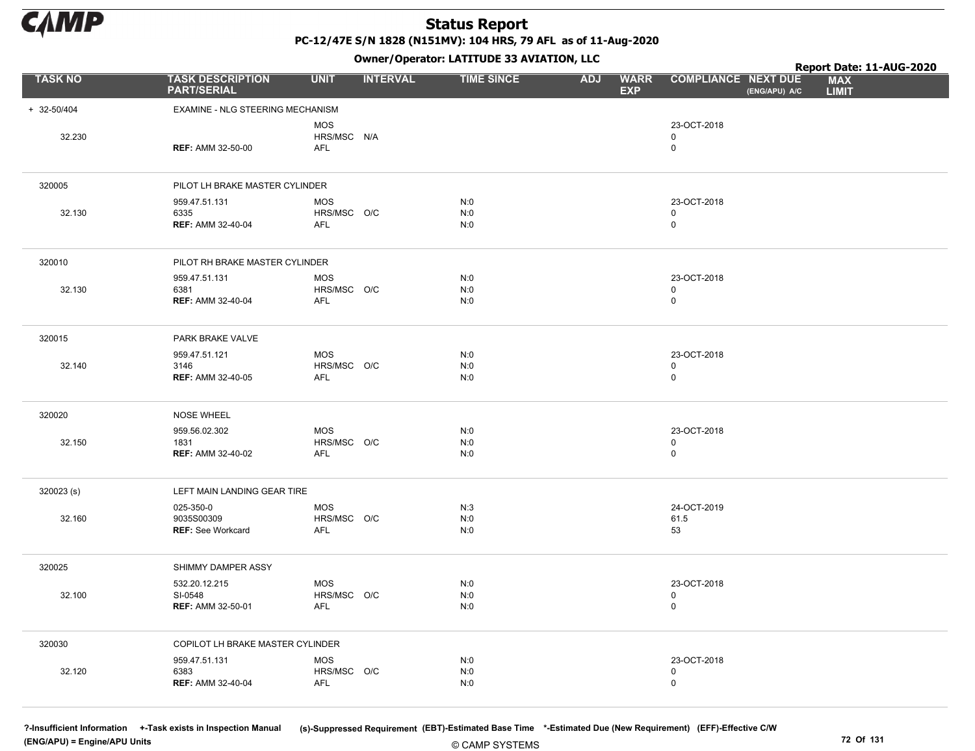

PC-12/47E S/N 1828 (N151MV): 104 HRS, 79 AFL as of 11-Aug-2020

Owner/Operator: LATITUDE 33 AVIATION, LLC

|                 |                                                      |                                         |                 | Owner / Operator. LATTTODE 33 AVIATION, LLC |            | Report Date: 11-AUG-2020  |                                           |               |                            |  |
|-----------------|------------------------------------------------------|-----------------------------------------|-----------------|---------------------------------------------|------------|---------------------------|-------------------------------------------|---------------|----------------------------|--|
| <b>TASK NO</b>  | <b>TASK DESCRIPTION</b><br><b>PART/SERIAL</b>        | <b>UNIT</b>                             | <b>INTERVAL</b> | <b>TIME SINCE</b>                           | <b>ADJ</b> | <b>WARR</b><br><b>EXP</b> | <b>COMPLIANCE NEXT DUE</b>                | (ENG/APU) A/C | <b>MAX</b><br><b>LIMIT</b> |  |
| $+ 32 - 50/404$ | EXAMINE - NLG STEERING MECHANISM                     |                                         |                 |                                             |            |                           |                                           |               |                            |  |
| 32.230          | <b>REF: AMM 32-50-00</b>                             | <b>MOS</b><br>HRS/MSC N/A<br><b>AFL</b> |                 |                                             |            |                           | 23-OCT-2018<br>$\mathbf 0$<br>$\mathbf 0$ |               |                            |  |
| 320005          | PILOT LH BRAKE MASTER CYLINDER                       |                                         |                 |                                             |            |                           |                                           |               |                            |  |
| 32.130          | 959.47.51.131<br>6335<br><b>REF: AMM 32-40-04</b>    | <b>MOS</b><br>HRS/MSC O/C<br><b>AFL</b> |                 | N:0<br>N:0<br>N:0                           |            |                           | 23-OCT-2018<br>$\mathbf 0$<br>$\mathbf 0$ |               |                            |  |
| 320010          | PILOT RH BRAKE MASTER CYLINDER                       |                                         |                 |                                             |            |                           |                                           |               |                            |  |
| 32.130          | 959.47.51.131<br>6381<br><b>REF: AMM 32-40-04</b>    | <b>MOS</b><br>HRS/MSC O/C<br>AFL        |                 | N:0<br>N:0<br>N:0                           |            |                           | 23-OCT-2018<br>$\mathsf 0$<br>$\mathsf 0$ |               |                            |  |
| 320015          | PARK BRAKE VALVE                                     |                                         |                 |                                             |            |                           |                                           |               |                            |  |
| 32.140          | 959.47.51.121<br>3146<br><b>REF: AMM 32-40-05</b>    | <b>MOS</b><br>HRS/MSC O/C<br>AFL        |                 | N:0<br>N:0<br>N:0                           |            |                           | 23-OCT-2018<br>$\mathbf 0$<br>$\mathbf 0$ |               |                            |  |
| 320020          | <b>NOSE WHEEL</b>                                    |                                         |                 |                                             |            |                           |                                           |               |                            |  |
| 32.150          | 959.56.02.302<br>1831<br><b>REF: AMM 32-40-02</b>    | <b>MOS</b><br>HRS/MSC O/C<br>AFL        |                 | N:0<br>N:0<br>N:0                           |            |                           | 23-OCT-2018<br>$\mathbf 0$<br>$\mathsf 0$ |               |                            |  |
| 320023 (s)      | LEFT MAIN LANDING GEAR TIRE                          |                                         |                 |                                             |            |                           |                                           |               |                            |  |
| 32.160          | 025-350-0<br>9035S00309<br><b>REF: See Workcard</b>  | <b>MOS</b><br>HRS/MSC O/C<br><b>AFL</b> |                 | N:3<br>N:0<br>N:0                           |            |                           | 24-OCT-2019<br>61.5<br>53                 |               |                            |  |
| 320025          | SHIMMY DAMPER ASSY                                   |                                         |                 |                                             |            |                           |                                           |               |                            |  |
| 32.100          | 532.20.12.215<br>SI-0548<br><b>REF: AMM 32-50-01</b> | <b>MOS</b><br>HRS/MSC O/C<br><b>AFL</b> |                 | N:0<br>N:0<br>N:0                           |            |                           | 23-OCT-2018<br>$\mathsf 0$<br>$\mathbf 0$ |               |                            |  |
| 320030          | COPILOT LH BRAKE MASTER CYLINDER                     |                                         |                 |                                             |            |                           |                                           |               |                            |  |
| 32.120          | 959.47.51.131<br>6383<br><b>REF: AMM 32-40-04</b>    | <b>MOS</b><br>HRS/MSC O/C<br>AFL        |                 | N:0<br>N:0<br>N:0                           |            |                           | 23-OCT-2018<br>$\mathbf 0$<br>$\mathsf 0$ |               |                            |  |

(ENG/APU) = Engine/APU Units 72 Of 131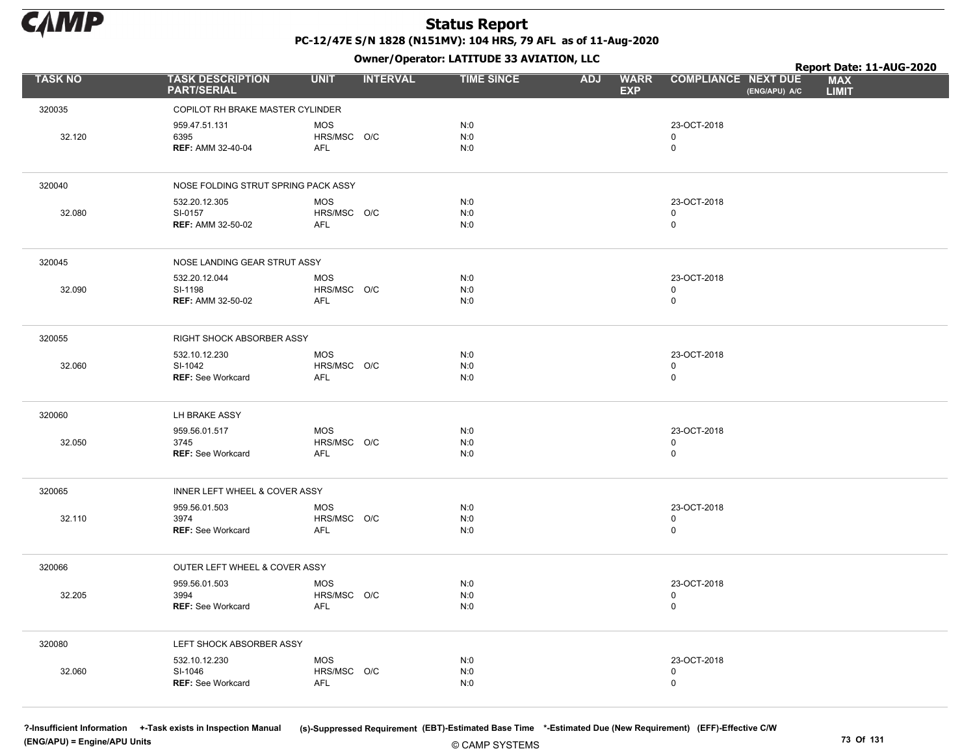

Owner/Operator: LATITUDE 33 AVIATION, LLC

|                |                                                      | .                                       |                   |                                         |                                             | Report Date: 11-AUG-2020   |
|----------------|------------------------------------------------------|-----------------------------------------|-------------------|-----------------------------------------|---------------------------------------------|----------------------------|
| <b>TASK NO</b> | <b>TASK DESCRIPTION</b><br><b>PART/SERIAL</b>        | <b>INTERVAL</b><br><b>UNIT</b>          | <b>TIME SINCE</b> | <b>WARR</b><br><b>ADJ</b><br><b>EXP</b> | <b>COMPLIANCE NEXT DUE</b><br>(ENG/APU) A/C | <b>MAX</b><br><b>LIMIT</b> |
| 320035         | COPILOT RH BRAKE MASTER CYLINDER                     |                                         |                   |                                         |                                             |                            |
| 32.120         | 959.47.51.131<br>6395<br><b>REF: AMM 32-40-04</b>    | <b>MOS</b><br>HRS/MSC O/C<br>AFL        | N:0<br>N:0<br>N:0 |                                         | 23-OCT-2018<br>0<br>$\mathbf 0$             |                            |
| 320040         | NOSE FOLDING STRUT SPRING PACK ASSY                  |                                         |                   |                                         |                                             |                            |
| 32.080         | 532.20.12.305<br>SI-0157<br><b>REF: AMM 32-50-02</b> | <b>MOS</b><br>HRS/MSC O/C<br>AFL        | N:0<br>N:0<br>N:0 |                                         | 23-OCT-2018<br>0<br>$\mathsf 0$             |                            |
| 320045         | NOSE LANDING GEAR STRUT ASSY                         |                                         |                   |                                         |                                             |                            |
| 32.090         | 532.20.12.044<br>SI-1198<br><b>REF: AMM 32-50-02</b> | <b>MOS</b><br>HRS/MSC O/C<br>AFL        | N:0<br>N:0<br>N:0 |                                         | 23-OCT-2018<br>0<br>$\mathbf 0$             |                            |
| 320055         | RIGHT SHOCK ABSORBER ASSY                            |                                         |                   |                                         |                                             |                            |
| 32.060         | 532.10.12.230<br>SI-1042<br><b>REF: See Workcard</b> | <b>MOS</b><br>HRS/MSC O/C<br><b>AFL</b> | N:0<br>N:0<br>N:0 |                                         | 23-OCT-2018<br>0<br>0                       |                            |
| 320060         | LH BRAKE ASSY                                        |                                         |                   |                                         |                                             |                            |
| 32.050         | 959.56.01.517<br>3745<br><b>REF: See Workcard</b>    | <b>MOS</b><br>HRS/MSC O/C<br>AFL        | N:0<br>N:0<br>N:0 |                                         | 23-OCT-2018<br>0<br>$\mathsf 0$             |                            |
| 320065         | INNER LEFT WHEEL & COVER ASSY                        |                                         |                   |                                         |                                             |                            |
| 32.110         | 959.56.01.503<br>3974<br><b>REF: See Workcard</b>    | <b>MOS</b><br>HRS/MSC O/C<br><b>AFL</b> | N:0<br>N:0<br>N:0 |                                         | 23-OCT-2018<br>0<br>$\mathbf 0$             |                            |
| 320066         | OUTER LEFT WHEEL & COVER ASSY                        |                                         |                   |                                         |                                             |                            |
| 32.205         | 959.56.01.503<br>3994<br><b>REF: See Workcard</b>    | <b>MOS</b><br>HRS/MSC O/C<br><b>AFL</b> | N:0<br>N:0<br>N:0 |                                         | 23-OCT-2018<br>0<br>0                       |                            |
| 320080         | LEFT SHOCK ABSORBER ASSY                             |                                         |                   |                                         |                                             |                            |
| 32.060         | 532.10.12.230<br>SI-1046<br><b>REF: See Workcard</b> | MOS<br>HRS/MSC O/C<br><b>AFL</b>        | N:0<br>N:0<br>N:0 |                                         | 23-OCT-2018<br>$\pmb{0}$<br>0               |                            |

(ENG/APU) = Engine/APU Units 73 Of 131

?-Insufficient Information +-Task exists in Inspection Manual (s)-Suppressed Requirement (EBT)-Estimated Base Time \*-Estimated Due (New Requirement) (EFF)-Effective C/W

© CAMP SYSTEMS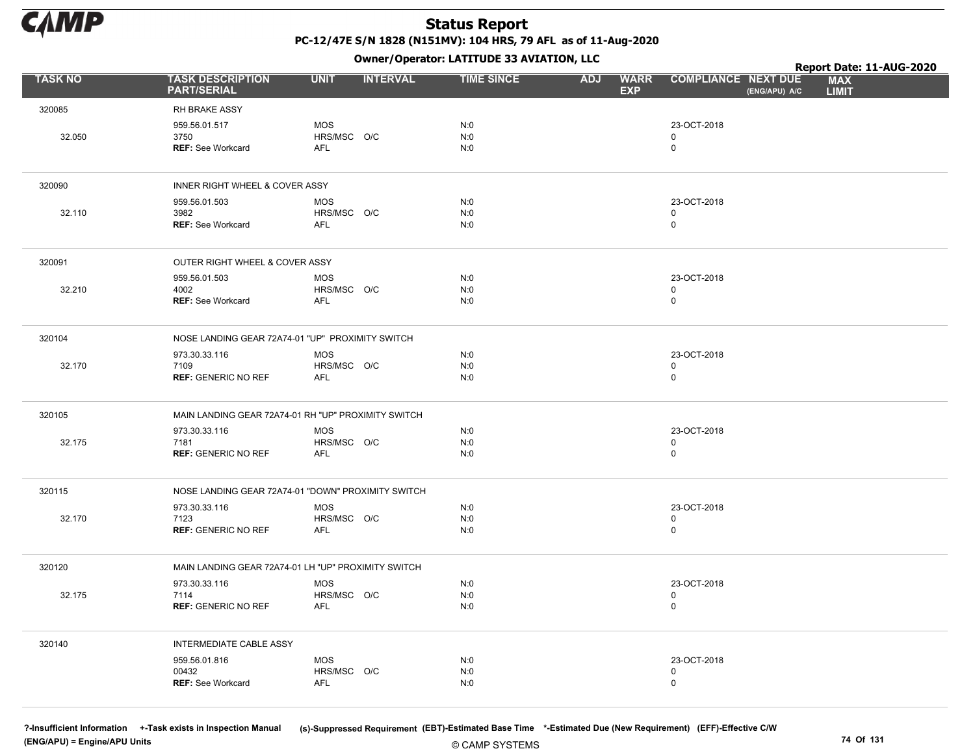

Owner/Operator: LATITUDE 33 AVIATION, LLC

|                |                                               | - 1 - 1                                             |                   |                                         |                                             | Report Date: 11-AUG-2020   |
|----------------|-----------------------------------------------|-----------------------------------------------------|-------------------|-----------------------------------------|---------------------------------------------|----------------------------|
| <b>TASK NO</b> | <b>TASK DESCRIPTION</b><br><b>PART/SERIAL</b> | <b>UNIT</b><br><b>INTERVAL</b>                      | <b>TIME SINCE</b> | <b>WARR</b><br><b>ADJ</b><br><b>EXP</b> | <b>COMPLIANCE NEXT DUE</b><br>(ENG/APU) A/C | <b>MAX</b><br><b>LIMIT</b> |
| 320085         | RH BRAKE ASSY                                 |                                                     |                   |                                         |                                             |                            |
|                | 959.56.01.517                                 | <b>MOS</b>                                          | N:0               |                                         | 23-OCT-2018                                 |                            |
| 32.050         | 3750<br><b>REF: See Workcard</b>              | HRS/MSC O/C<br><b>AFL</b>                           | N:0<br>N:0        |                                         | $\mathbf 0$<br>$\mathsf 0$                  |                            |
|                |                                               |                                                     |                   |                                         |                                             |                            |
| 320090         | INNER RIGHT WHEEL & COVER ASSY                |                                                     |                   |                                         |                                             |                            |
|                | 959.56.01.503                                 | <b>MOS</b>                                          | N:0               |                                         | 23-OCT-2018                                 |                            |
| 32.110         | 3982<br><b>REF: See Workcard</b>              | HRS/MSC O/C<br>AFL                                  | N:0<br>N:0        |                                         | $\mathsf 0$<br>$\mathbf 0$                  |                            |
|                |                                               |                                                     |                   |                                         |                                             |                            |
| 320091         | OUTER RIGHT WHEEL & COVER ASSY                |                                                     |                   |                                         |                                             |                            |
| 32.210         | 959.56.01.503<br>4002                         | <b>MOS</b><br>HRS/MSC O/C                           | N:0<br>N:0        |                                         | 23-OCT-2018<br>$\mathbf 0$                  |                            |
|                | <b>REF: See Workcard</b>                      | <b>AFL</b>                                          | N:0               |                                         | $\mathbf 0$                                 |                            |
|                |                                               |                                                     |                   |                                         |                                             |                            |
| 320104         |                                               | NOSE LANDING GEAR 72A74-01 "UP" PROXIMITY SWITCH    |                   |                                         |                                             |                            |
| 32.170         | 973.30.33.116<br>7109                         | <b>MOS</b><br>HRS/MSC O/C                           | N:0<br>N:0        |                                         | 23-OCT-2018<br>$\mathbf 0$                  |                            |
|                | <b>REF: GENERIC NO REF</b>                    | AFL                                                 | N:0               |                                         | $\mathsf 0$                                 |                            |
|                |                                               |                                                     |                   |                                         |                                             |                            |
| 320105         |                                               | MAIN LANDING GEAR 72A74-01 RH "UP" PROXIMITY SWITCH |                   |                                         |                                             |                            |
| 32.175         | 973.30.33.116<br>7181                         | <b>MOS</b><br>HRS/MSC O/C                           | N:0<br>N:0        |                                         | 23-OCT-2018<br>0                            |                            |
|                | <b>REF: GENERIC NO REF</b>                    | <b>AFL</b>                                          | N:0               |                                         | $\mathbf 0$                                 |                            |
|                |                                               |                                                     |                   |                                         |                                             |                            |
| 320115         |                                               | NOSE LANDING GEAR 72A74-01 "DOWN" PROXIMITY SWITCH  |                   |                                         |                                             |                            |
| 32.170         | 973.30.33.116<br>7123                         | <b>MOS</b><br>HRS/MSC O/C                           | N:0<br>N:0        |                                         | 23-OCT-2018<br>0                            |                            |
|                | <b>REF: GENERIC NO REF</b>                    | <b>AFL</b>                                          | N:0               |                                         | $\mathbf 0$                                 |                            |
|                |                                               |                                                     |                   |                                         |                                             |                            |
| 320120         |                                               | MAIN LANDING GEAR 72A74-01 LH "UP" PROXIMITY SWITCH |                   |                                         |                                             |                            |
| 32.175         | 973.30.33.116<br>7114                         | <b>MOS</b><br>HRS/MSC O/C                           | N:0<br>N:0        |                                         | 23-OCT-2018<br>$\mathbf 0$                  |                            |
|                | <b>REF: GENERIC NO REF</b>                    | <b>AFL</b>                                          | N:0               |                                         | $\mathbf 0$                                 |                            |
|                |                                               |                                                     |                   |                                         |                                             |                            |
| 320140         | <b>INTERMEDIATE CABLE ASSY</b>                |                                                     |                   |                                         |                                             |                            |
|                | 959.56.01.816<br>00432                        | <b>MOS</b><br>HRS/MSC O/C                           | N:0<br>N:0        |                                         | 23-OCT-2018<br>0                            |                            |
|                | REF: See Workcard                             | AFL                                                 | N:0               |                                         | $\mathsf 0$                                 |                            |
|                |                                               |                                                     |                   |                                         |                                             |                            |

(ENG/APU) = Engine/APU Units 74 Of 131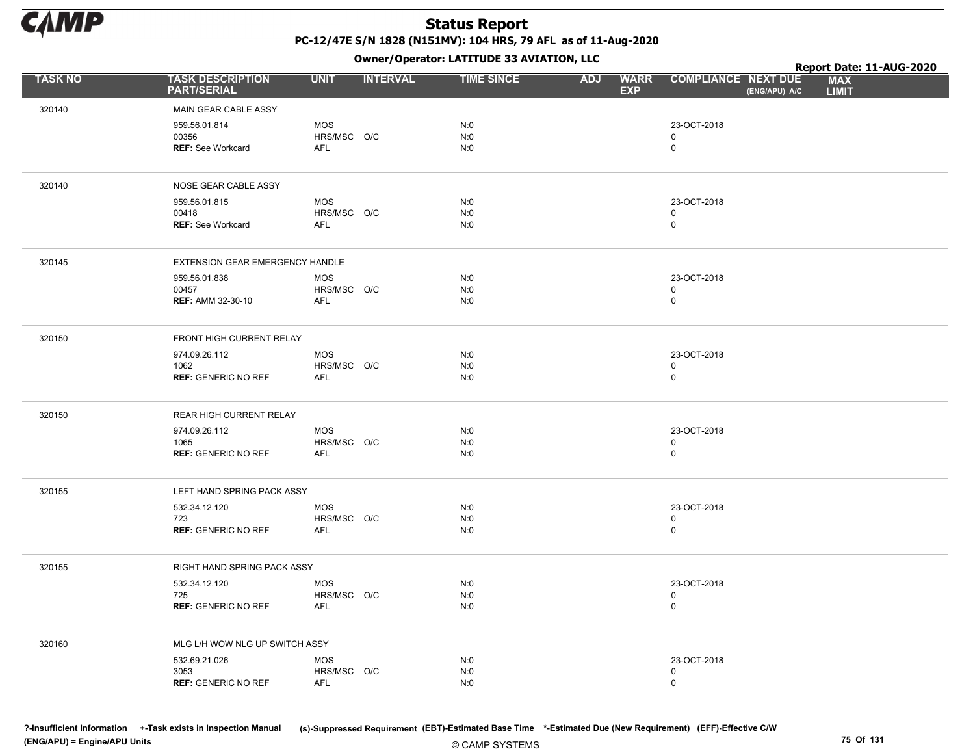

Owner/Operator: LATITUDE 33 AVIATION, LLC

|                |                                               |                    | - - -           |                   |                                         |                                             | Report Date: 11-AUG-2020   |
|----------------|-----------------------------------------------|--------------------|-----------------|-------------------|-----------------------------------------|---------------------------------------------|----------------------------|
| <b>TASK NO</b> | <b>TASK DESCRIPTION</b><br><b>PART/SERIAL</b> | <b>UNIT</b>        | <b>INTERVAL</b> | <b>TIME SINCE</b> | <b>WARR</b><br><b>ADJ</b><br><b>EXP</b> | <b>COMPLIANCE NEXT DUE</b><br>(ENG/APU) A/C | <b>MAX</b><br><b>LIMIT</b> |
| 320140         | MAIN GEAR CABLE ASSY                          |                    |                 |                   |                                         |                                             |                            |
|                | 959.56.01.814                                 | <b>MOS</b>         |                 | N:0               |                                         | 23-OCT-2018                                 |                            |
|                | 00356                                         | HRS/MSC O/C        |                 | N:0               |                                         | $\mathbf 0$                                 |                            |
|                | <b>REF: See Workcard</b>                      | AFL                |                 | N:0               |                                         | 0                                           |                            |
|                |                                               |                    |                 |                   |                                         |                                             |                            |
| 320140         | NOSE GEAR CABLE ASSY                          |                    |                 |                   |                                         |                                             |                            |
|                | 959.56.01.815                                 | <b>MOS</b>         |                 | N:0               |                                         | 23-OCT-2018                                 |                            |
|                | 00418                                         | HRS/MSC O/C<br>AFL |                 | N:0<br>N:0        |                                         | 0<br>$\mathbf 0$                            |                            |
|                | REF: See Workcard                             |                    |                 |                   |                                         |                                             |                            |
| 320145         | EXTENSION GEAR EMERGENCY HANDLE               |                    |                 |                   |                                         |                                             |                            |
|                | 959.56.01.838                                 | <b>MOS</b>         |                 | N:0               |                                         | 23-OCT-2018                                 |                            |
|                | 00457                                         | HRS/MSC O/C        |                 | N:0               |                                         | 0                                           |                            |
|                | <b>REF: AMM 32-30-10</b>                      | AFL                |                 | N:0               |                                         | $\mathsf 0$                                 |                            |
| 320150         | FRONT HIGH CURRENT RELAY                      |                    |                 |                   |                                         |                                             |                            |
|                | 974.09.26.112                                 | MOS                |                 | N:0               |                                         | 23-OCT-2018                                 |                            |
|                | 1062                                          | HRS/MSC O/C        |                 | N:0               |                                         | 0                                           |                            |
|                | <b>REF: GENERIC NO REF</b>                    | AFL                |                 | N:0               |                                         | $\mathbf 0$                                 |                            |
|                |                                               |                    |                 |                   |                                         |                                             |                            |
| 320150         | REAR HIGH CURRENT RELAY                       |                    |                 |                   |                                         |                                             |                            |
|                | 974.09.26.112                                 | MOS                |                 | N:0               |                                         | 23-OCT-2018                                 |                            |
|                | 1065<br><b>REF: GENERIC NO REF</b>            | HRS/MSC O/C<br>AFL |                 | N:0<br>N:0        |                                         | 0<br>$\mathsf{O}$                           |                            |
|                |                                               |                    |                 |                   |                                         |                                             |                            |
| 320155         | LEFT HAND SPRING PACK ASSY                    |                    |                 |                   |                                         |                                             |                            |
|                | 532.34.12.120                                 | <b>MOS</b>         |                 | N:0               |                                         | 23-OCT-2018                                 |                            |
|                | 723                                           | HRS/MSC O/C        |                 | N:0               |                                         | 0                                           |                            |
|                | <b>REF: GENERIC NO REF</b>                    | <b>AFL</b>         |                 | N:0               |                                         | 0                                           |                            |
| 320155         | RIGHT HAND SPRING PACK ASSY                   |                    |                 |                   |                                         |                                             |                            |
|                | 532.34.12.120                                 | <b>MOS</b>         |                 | N:0               |                                         | 23-OCT-2018                                 |                            |
|                | 725                                           | HRS/MSC O/C        |                 | N:0               |                                         | 0                                           |                            |
|                | <b>REF: GENERIC NO REF</b>                    | AFL                |                 | N:0               |                                         | $\mathsf 0$                                 |                            |
| 320160         | MLG L/H WOW NLG UP SWITCH ASSY                |                    |                 |                   |                                         |                                             |                            |
|                | 532.69.21.026                                 | <b>MOS</b>         |                 | N:0               |                                         | 23-OCT-2018                                 |                            |
|                | 3053                                          | HRS/MSC O/C        |                 | N:0               |                                         | 0                                           |                            |
|                | <b>REF: GENERIC NO REF</b>                    | <b>AFL</b>         |                 | N:0               |                                         | 0                                           |                            |
|                |                                               |                    |                 |                   |                                         |                                             |                            |

?-Insufficient Information +-Task exists in Inspection Manual (s)-Suppressed Requirement (EBT)-Estimated Base Time \*-Estimated Due (New Requirement) (EFF)-Effective C/W (ENG/APU) = Engine/APU Units 75 Of 131

© CAMP SYSTEMS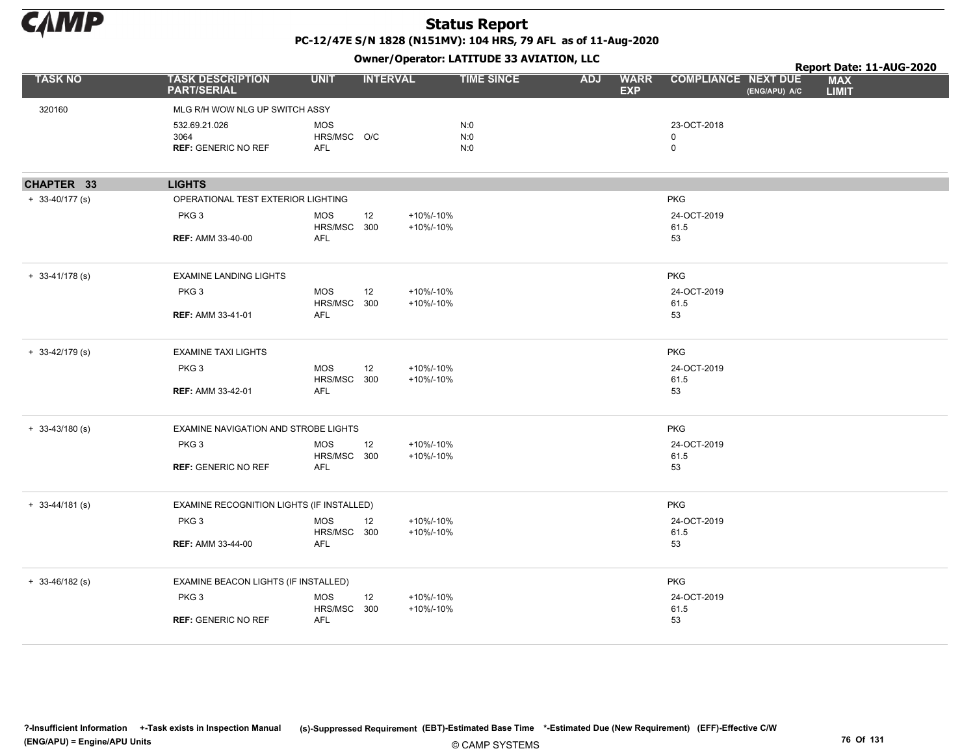

|                     |                                               |                           |                 |                        | OWNER/OPERATOR: LATTIODE 33 AVIATION, LLC |            |                           |                            |               | Report Date: 11-AUG-2020   |  |
|---------------------|-----------------------------------------------|---------------------------|-----------------|------------------------|-------------------------------------------|------------|---------------------------|----------------------------|---------------|----------------------------|--|
| <b>TASK NO</b>      | <b>TASK DESCRIPTION</b><br><b>PART/SERIAL</b> | <b>UNIT</b>               | <b>INTERVAL</b> |                        | <b>TIME SINCE</b>                         | <b>ADJ</b> | <b>WARR</b><br><b>EXP</b> | <b>COMPLIANCE NEXT DUE</b> | (ENG/APU) A/C | <b>MAX</b><br><b>LIMIT</b> |  |
| 320160              | MLG R/H WOW NLG UP SWITCH ASSY                |                           |                 |                        |                                           |            |                           |                            |               |                            |  |
|                     | 532.69.21.026                                 | <b>MOS</b>                |                 |                        | N:0                                       |            |                           | 23-OCT-2018                |               |                            |  |
|                     | 3064                                          | HRS/MSC O/C               |                 |                        | N:0                                       |            |                           | $\mathbf 0$                |               |                            |  |
|                     | <b>REF: GENERIC NO REF</b>                    | AFL                       |                 |                        | N:0                                       |            |                           | 0                          |               |                            |  |
| CHAPTER 33          | <b>LIGHTS</b>                                 |                           |                 |                        |                                           |            |                           |                            |               |                            |  |
| $+ 33-40/177$ (s)   | OPERATIONAL TEST EXTERIOR LIGHTING            |                           |                 |                        |                                           |            |                           | <b>PKG</b>                 |               |                            |  |
|                     | PKG <sub>3</sub>                              | <b>MOS</b><br>HRS/MSC 300 | 12              | +10%/-10%<br>+10%/-10% |                                           |            |                           | 24-OCT-2019<br>61.5        |               |                            |  |
|                     | <b>REF: AMM 33-40-00</b>                      | <b>AFL</b>                |                 |                        |                                           |            |                           | 53                         |               |                            |  |
| $+ 33 - 41/178$ (s) | <b>EXAMINE LANDING LIGHTS</b>                 |                           |                 |                        |                                           |            |                           | <b>PKG</b>                 |               |                            |  |
|                     | PKG <sub>3</sub>                              | <b>MOS</b><br>HRS/MSC 300 | 12              | +10%/-10%<br>+10%/-10% |                                           |            |                           | 24-OCT-2019<br>61.5        |               |                            |  |
|                     | <b>REF: AMM 33-41-01</b>                      | <b>AFL</b>                |                 |                        |                                           |            |                           | 53                         |               |                            |  |
| $+ 33-42/179$ (s)   | <b>EXAMINE TAXI LIGHTS</b>                    |                           |                 |                        |                                           |            |                           | <b>PKG</b>                 |               |                            |  |
|                     | PKG <sub>3</sub>                              | <b>MOS</b><br>HRS/MSC 300 | 12              | +10%/-10%<br>+10%/-10% |                                           |            |                           | 24-OCT-2019<br>61.5        |               |                            |  |
|                     | <b>REF: AMM 33-42-01</b>                      | <b>AFL</b>                |                 |                        |                                           |            |                           | 53                         |               |                            |  |
| $+ 33-43/180$ (s)   | EXAMINE NAVIGATION AND STROBE LIGHTS          |                           |                 |                        |                                           |            |                           | <b>PKG</b>                 |               |                            |  |
|                     | PKG <sub>3</sub>                              | <b>MOS</b><br>HRS/MSC 300 | 12              | +10%/-10%<br>+10%/-10% |                                           |            |                           | 24-OCT-2019<br>61.5        |               |                            |  |
|                     | <b>REF: GENERIC NO REF</b>                    | <b>AFL</b>                |                 |                        |                                           |            |                           | 53                         |               |                            |  |
| $+ 33 - 44/181$ (s) | EXAMINE RECOGNITION LIGHTS (IF INSTALLED)     |                           |                 |                        |                                           |            |                           | <b>PKG</b>                 |               |                            |  |
|                     | PKG <sub>3</sub>                              | <b>MOS</b><br>HRS/MSC 300 | 12              | +10%/-10%<br>+10%/-10% |                                           |            |                           | 24-OCT-2019<br>61.5        |               |                            |  |
|                     | <b>REF: AMM 33-44-00</b>                      | <b>AFL</b>                |                 |                        |                                           |            |                           | 53                         |               |                            |  |
| $+ 33 - 46/182$ (s) | EXAMINE BEACON LIGHTS (IF INSTALLED)          |                           |                 |                        |                                           |            |                           | <b>PKG</b>                 |               |                            |  |
|                     | PKG <sub>3</sub>                              | <b>MOS</b>                | 12              | +10%/-10%              |                                           |            |                           | 24-OCT-2019                |               |                            |  |
|                     | <b>REF: GENERIC NO REF</b>                    | HRS/MSC 300<br><b>AFL</b> |                 | +10%/-10%              |                                           |            |                           | 61.5<br>53                 |               |                            |  |
|                     |                                               |                           |                 |                        |                                           |            |                           |                            |               |                            |  |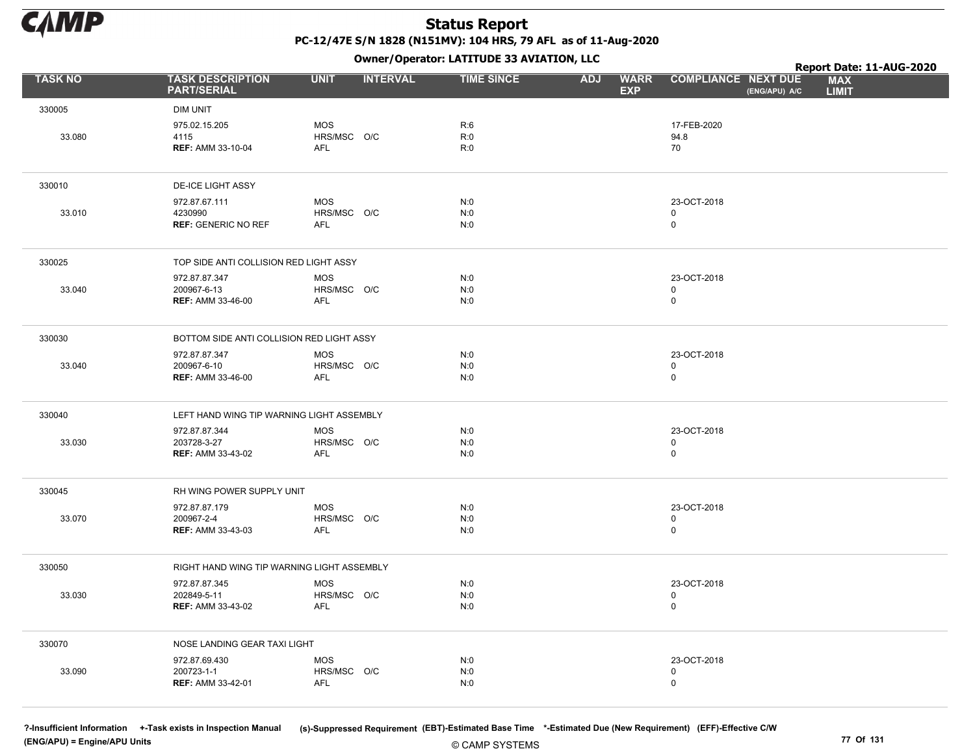

Owner/Operator: LATITUDE 33 AVIATION, LLC

|                |                                                          | - - -                                   |                   |                                         |                                             | Report Date: 11-AUG-2020   |
|----------------|----------------------------------------------------------|-----------------------------------------|-------------------|-----------------------------------------|---------------------------------------------|----------------------------|
| <b>TASK NO</b> | <b>TASK DESCRIPTION</b><br><b>PART/SERIAL</b>            | <b>UNIT</b><br><b>INTERVAL</b>          | <b>TIME SINCE</b> | <b>WARR</b><br><b>ADJ</b><br><b>EXP</b> | <b>COMPLIANCE NEXT DUE</b><br>(ENG/APU) A/C | <b>MAX</b><br><b>LIMIT</b> |
| 330005         | <b>DIM UNIT</b>                                          |                                         |                   |                                         |                                             |                            |
| 33.080         | 975.02.15.205<br>4115<br><b>REF: AMM 33-10-04</b>        | <b>MOS</b><br>HRS/MSC O/C<br>AFL        | R:6<br>R:0<br>R:0 |                                         | 17-FEB-2020<br>94.8<br>70                   |                            |
| 330010         | <b>DE-ICE LIGHT ASSY</b>                                 |                                         |                   |                                         |                                             |                            |
| 33.010         | 972.87.67.111<br>4230990<br><b>REF: GENERIC NO REF</b>   | <b>MOS</b><br>HRS/MSC O/C<br>AFL        | N:0<br>N:0<br>N:0 |                                         | 23-OCT-2018<br>$\mathbf 0$<br>0             |                            |
| 330025         | TOP SIDE ANTI COLLISION RED LIGHT ASSY                   |                                         |                   |                                         |                                             |                            |
| 33.040         | 972.87.87.347<br>200967-6-13<br><b>REF: AMM 33-46-00</b> | <b>MOS</b><br>HRS/MSC O/C<br>AFL        | N:0<br>N:0<br>N:0 |                                         | 23-OCT-2018<br>0<br>0                       |                            |
| 330030         | BOTTOM SIDE ANTI COLLISION RED LIGHT ASSY                |                                         |                   |                                         |                                             |                            |
| 33.040         | 972.87.87.347<br>200967-6-10<br><b>REF: AMM 33-46-00</b> | <b>MOS</b><br>HRS/MSC O/C<br>AFL        | N:0<br>N:0<br>N:0 |                                         | 23-OCT-2018<br>0<br>$\mathbf 0$             |                            |
| 330040         | LEFT HAND WING TIP WARNING LIGHT ASSEMBLY                |                                         |                   |                                         |                                             |                            |
| 33.030         | 972.87.87.344<br>203728-3-27<br><b>REF: AMM 33-43-02</b> | <b>MOS</b><br>HRS/MSC O/C<br>AFL        | N:0<br>N:0<br>N:0 |                                         | 23-OCT-2018<br>0<br>$\mathsf{O}$            |                            |
| 330045         | RH WING POWER SUPPLY UNIT                                |                                         |                   |                                         |                                             |                            |
| 33.070         | 972.87.87.179<br>200967-2-4<br><b>REF: AMM 33-43-03</b>  | <b>MOS</b><br>HRS/MSC O/C<br>AFL        | N:0<br>N:0<br>N:0 |                                         | 23-OCT-2018<br>$\mathsf 0$<br>0             |                            |
| 330050         | RIGHT HAND WING TIP WARNING LIGHT ASSEMBLY               |                                         |                   |                                         |                                             |                            |
| 33.030         | 972.87.87.345<br>202849-5-11<br><b>REF: AMM 33-43-02</b> | <b>MOS</b><br>HRS/MSC O/C<br>AFL        | N:0<br>N:0<br>N:0 |                                         | 23-OCT-2018<br>0<br>$\mathsf{O}$            |                            |
| 330070         | NOSE LANDING GEAR TAXI LIGHT                             |                                         |                   |                                         |                                             |                            |
| 33.090         | 972.87.69.430<br>200723-1-1<br>REF: AMM 33-42-01         | <b>MOS</b><br>HRS/MSC O/C<br><b>AFL</b> | N:0<br>N:0<br>N:0 |                                         | 23-OCT-2018<br>0<br>$\mathbf 0$             |                            |

(ENG/APU) = Engine/APU Units 77 Of 131

?-Insufficient Information +-Task exists in Inspection Manual (s)-Suppressed Requirement (EBT)-Estimated Base Time \*-Estimated Due (New Requirement) (EFF)-Effective C/W

© CAMP SYSTEMS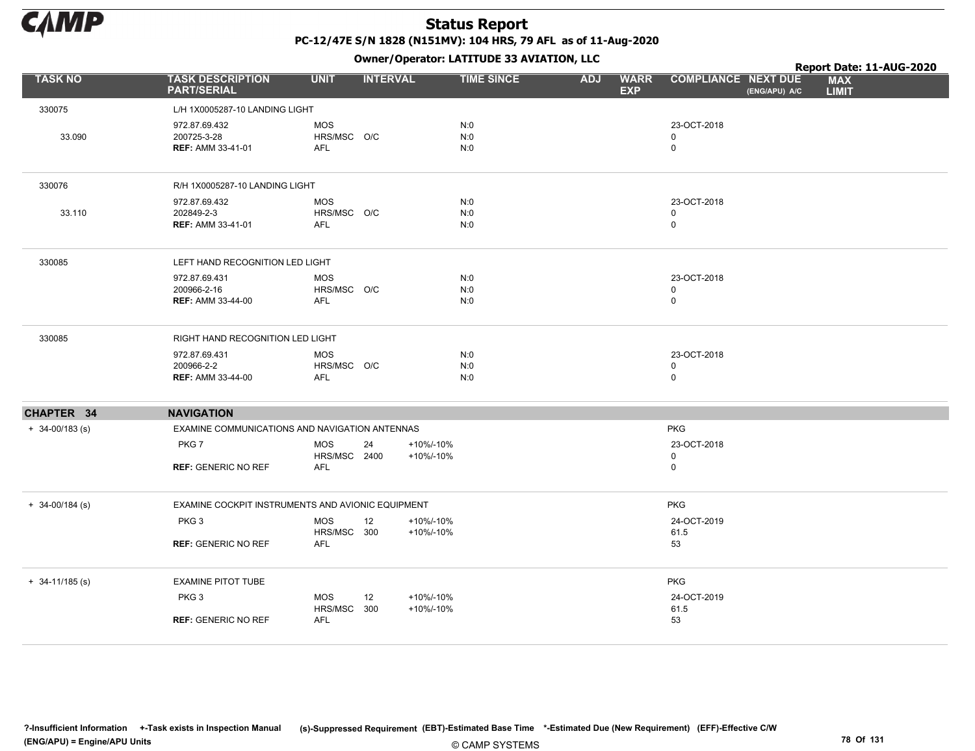

|                     |                                                                             |                                          | - - -                        |                   |            |                           |                                             | Report Date: 11-AUG-2020   |
|---------------------|-----------------------------------------------------------------------------|------------------------------------------|------------------------------|-------------------|------------|---------------------------|---------------------------------------------|----------------------------|
| <b>TASK NO</b>      | <b>TASK DESCRIPTION</b><br><b>PART/SERIAL</b>                               | <b>UNIT</b>                              | <b>INTERVAL</b>              | <b>TIME SINCE</b> | <b>ADJ</b> | <b>WARR</b><br><b>EXP</b> | <b>COMPLIANCE NEXT DUE</b><br>(ENG/APU) A/C | <b>MAX</b><br><b>LIMIT</b> |
| 330075              | L/H 1X0005287-10 LANDING LIGHT                                              |                                          |                              |                   |            |                           |                                             |                            |
| 33.090              | 972.87.69.432<br>200725-3-28<br><b>REF: AMM 33-41-01</b>                    | <b>MOS</b><br>HRS/MSC O/C<br><b>AFL</b>  |                              | N:0<br>N:0<br>N:0 |            |                           | 23-OCT-2018<br>$\mathbf 0$<br>0             |                            |
| 330076              | R/H 1X0005287-10 LANDING LIGHT                                              |                                          |                              |                   |            |                           |                                             |                            |
| 33.110              | 972.87.69.432<br>202849-2-3<br><b>REF: AMM 33-41-01</b>                     | <b>MOS</b><br>HRS/MSC O/C<br><b>AFL</b>  |                              | N:0<br>N:0<br>N:0 |            |                           | 23-OCT-2018<br>$\mathbf 0$<br>$\mathbf 0$   |                            |
| 330085              | LEFT HAND RECOGNITION LED LIGHT                                             |                                          |                              |                   |            |                           |                                             |                            |
|                     | 972.87.69.431<br>200966-2-16<br><b>REF: AMM 33-44-00</b>                    | <b>MOS</b><br>HRS/MSC O/C<br><b>AFL</b>  |                              | N:0<br>N:0<br>N:0 |            |                           | 23-OCT-2018<br>0<br>$\mathbf 0$             |                            |
| 330085              | RIGHT HAND RECOGNITION LED LIGHT                                            |                                          |                              |                   |            |                           |                                             |                            |
|                     | 972.87.69.431<br>200966-2-2<br><b>REF: AMM 33-44-00</b>                     | <b>MOS</b><br>HRS/MSC O/C<br><b>AFL</b>  |                              | N:0<br>N:0<br>N:0 |            |                           | 23-OCT-2018<br>0<br>$\mathsf{O}$            |                            |
| CHAPTER 34          | <b>NAVIGATION</b>                                                           |                                          |                              |                   |            |                           |                                             |                            |
| $+ 34 - 00/183$ (s) | EXAMINE COMMUNICATIONS AND NAVIGATION ANTENNAS                              |                                          |                              |                   |            |                           | <b>PKG</b>                                  |                            |
|                     | PKG7<br><b>REF: GENERIC NO REF</b>                                          | <b>MOS</b><br>HRS/MSC 2400<br><b>AFL</b> | 24<br>+10%/-10%<br>+10%/-10% |                   |            |                           | 23-OCT-2018<br>0<br>$\mathbf 0$             |                            |
| $+ 34 - 00/184$ (s) | EXAMINE COCKPIT INSTRUMENTS AND AVIONIC EQUIPMENT                           |                                          |                              |                   |            |                           | <b>PKG</b>                                  |                            |
|                     | PKG <sub>3</sub><br><b>REF: GENERIC NO REF</b>                              | <b>MOS</b><br>HRS/MSC 300<br><b>AFL</b>  | 12<br>+10%/-10%<br>+10%/-10% |                   |            |                           | 24-OCT-2019<br>61.5<br>53                   |                            |
| $+ 34 - 11/185$ (s) | <b>EXAMINE PITOT TUBE</b><br>PKG <sub>3</sub><br><b>REF: GENERIC NO REF</b> | <b>MOS</b><br>HRS/MSC 300<br><b>AFL</b>  | +10%/-10%<br>12<br>+10%/-10% |                   |            |                           | <b>PKG</b><br>24-OCT-2019<br>61.5<br>53     |                            |
|                     |                                                                             |                                          |                              |                   |            |                           |                                             |                            |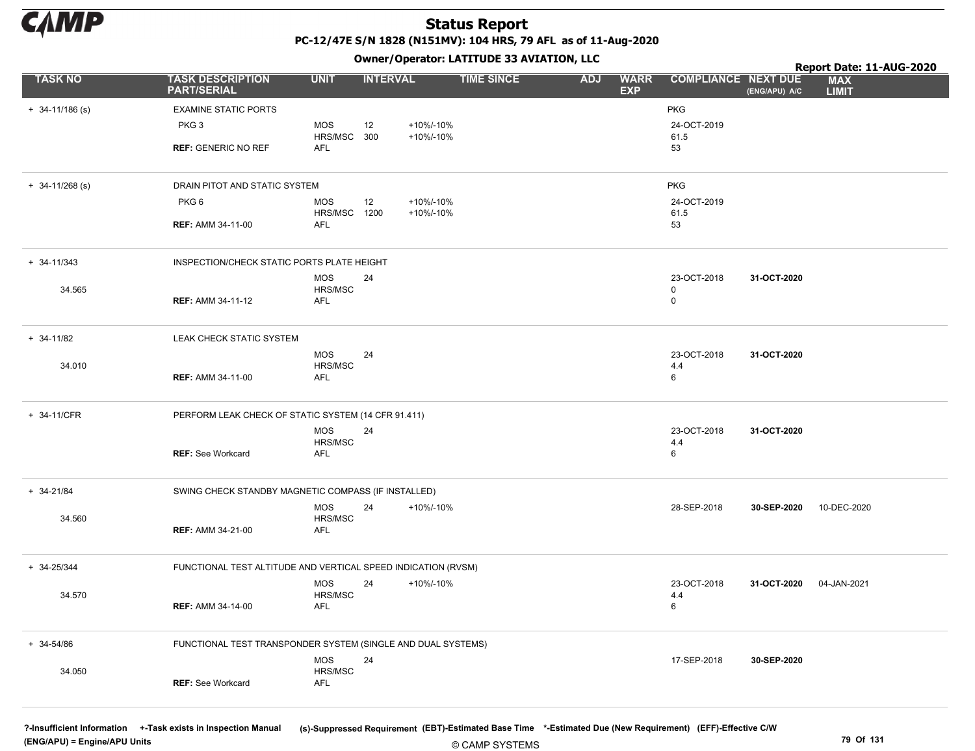

+ 34-11/186 (s) EXAMINE STATIC PORTS PKG PKG 3 REF: GENERIC NO REF 53 MOS HRS/MSC AFL 12 300 24-OCT-2019 61.5 +10%/-10% +10%/-10% + 34-11/268 (s) DRAIN PITOT AND STATIC SYSTEM PKG PKG 6 REF: AMM 34-11-00 53 MOS HRS/MSC AFL 12 1200 24-OCT-2019 61.5 +10%/-10% +10%/-10% 31-OCT-2020 + 34-11/343 INSPECTION/CHECK STATIC PORTS PLATE HEIGHT 34.565 REF: AMM 34-11-12 0 MOS HRS/MSC AFL 24 23-OCT-2018 0 31-OCT-2020 + 34-11/82 LEAK CHECK STATIC SYSTEM 34.010 REF: AMM 34-11-00 6 MOS HRS/MSC AFL 24 23-OCT-2018 4.4 31-OCT-2020 + 34-11/CFR PERFORM LEAK CHECK OF STATIC SYSTEM (14 CFR 91.411) **REF: See Workcard** MOS HRS/MSC AFL 24 23-OCT-2018 4.4 See Workcard 6 30-SEP-2020 + 34-21/84 SWING CHECK STANDBY MAGNETIC COMPASS (IF INSTALLED) 34.560 REF: AMM 34-21-00 MOS HRS/MSC AFL 24 +10%/-10% 28-SEP-2018 **30-SEP-2020** 10-DEC-2020 31-OCT-2020 + 34-25/344 FUNCTIONAL TEST ALTITUDE AND VERTICAL SPEED INDICATION (RVSM) 34.570 REF: AMM 34-14-00 6 MOS HRS/MSC AFL 24 23-OCT-2018 +10%/-10% 04-JAN-2021 4.4 30-SEP-2020 + 34-54/86 FUNCTIONAL TEST TRANSPONDER SYSTEM (SINGLE AND DUAL SYSTEMS) 34.050 REF: See Workcard MOS HRS/MSC AFL 24 17-SEP-2018 TASK NO TASK DESCRIPTION UNIT INTERVAL TIME SINCE WARR COMPLIANCE **EXP** ADJ WARR COMPLIANCE NEXT DUE MAX LIMIT Report Date: 11-AUG-2020 PART/SERIAL Owner/Operator: LATITUDE 33 AVIATION, LLC (ENG/APU) A/C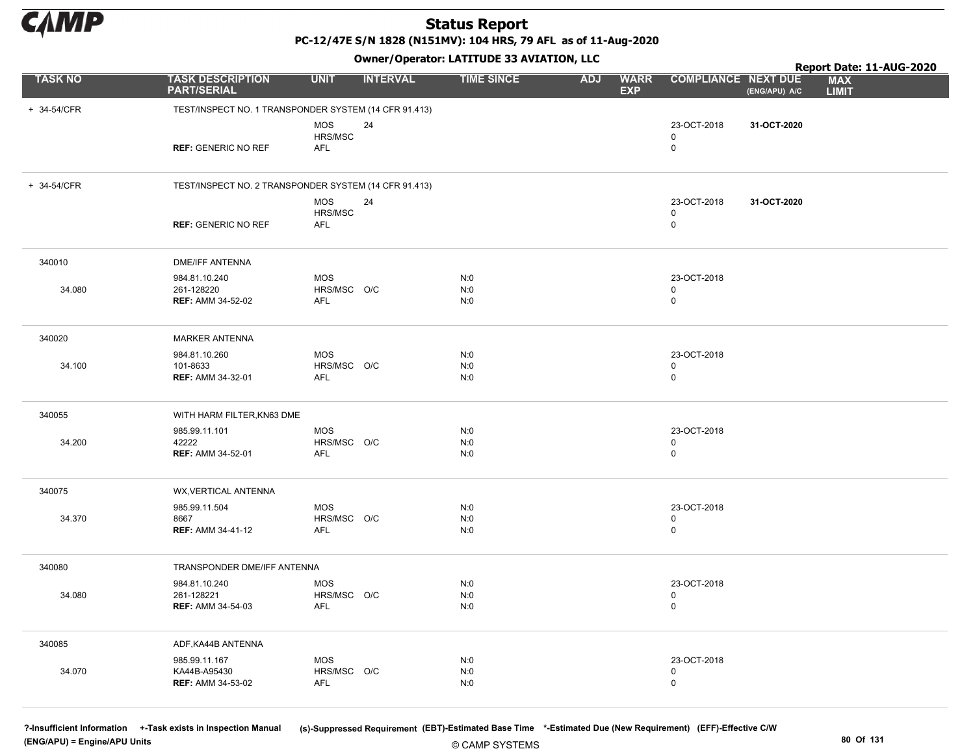

PC-12/47E S/N 1828 (N151MV): 104 HRS, 79 AFL as of 11-Aug-2020

Owner/Operator: LATITUDE 33 AVIATION, LLC

|                |                                                           |                                         |                 | Owner, Operator: EATITODE 33 AVIATION, LEC |            |                           |                                           |               | Report Date: 11-AUG-2020   |
|----------------|-----------------------------------------------------------|-----------------------------------------|-----------------|--------------------------------------------|------------|---------------------------|-------------------------------------------|---------------|----------------------------|
| <b>TASK NO</b> | <b>TASK DESCRIPTION</b><br><b>PART/SERIAL</b>             | <b>UNIT</b>                             | <b>INTERVAL</b> | <b>TIME SINCE</b>                          | <b>ADJ</b> | <b>WARR</b><br><b>EXP</b> | <b>COMPLIANCE NEXT DUE</b>                | (ENG/APU) A/C | <b>MAX</b><br><b>LIMIT</b> |
| + 34-54/CFR    | TEST/INSPECT NO. 1 TRANSPONDER SYSTEM (14 CFR 91.413)     |                                         |                 |                                            |            |                           |                                           |               |                            |
|                | <b>REF: GENERIC NO REF</b>                                | <b>MOS</b><br>HRS/MSC<br>AFL            | 24              |                                            |            |                           | 23-OCT-2018<br>$\mathbf 0$<br>$\mathsf 0$ | 31-OCT-2020   |                            |
| + 34-54/CFR    | TEST/INSPECT NO. 2 TRANSPONDER SYSTEM (14 CFR 91.413)     |                                         |                 |                                            |            |                           |                                           |               |                            |
|                | <b>REF: GENERIC NO REF</b>                                | <b>MOS</b><br>HRS/MSC<br><b>AFL</b>     | 24              |                                            |            |                           | 23-OCT-2018<br>$\mathbf 0$<br>$\mathbf 0$ | 31-OCT-2020   |                            |
| 340010         | <b>DME/IFF ANTENNA</b>                                    |                                         |                 |                                            |            |                           |                                           |               |                            |
| 34.080         | 984.81.10.240<br>261-128220<br><b>REF: AMM 34-52-02</b>   | <b>MOS</b><br>HRS/MSC O/C<br>AFL        |                 | N:0<br>N:0<br>N:0                          |            |                           | 23-OCT-2018<br>$\mathbf 0$<br>$\mathsf 0$ |               |                            |
| 340020         | <b>MARKER ANTENNA</b>                                     |                                         |                 |                                            |            |                           |                                           |               |                            |
| 34.100         | 984.81.10.260<br>101-8633<br><b>REF: AMM 34-32-01</b>     | <b>MOS</b><br>HRS/MSC O/C<br><b>AFL</b> |                 | N:0<br>N:0<br>N:0                          |            |                           | 23-OCT-2018<br>$\mathbf 0$<br>$\mathbf 0$ |               |                            |
| 340055         | WITH HARM FILTER, KN63 DME                                |                                         |                 |                                            |            |                           |                                           |               |                            |
| 34.200         | 985.99.11.101<br>42222<br><b>REF: AMM 34-52-01</b>        | <b>MOS</b><br>HRS/MSC O/C<br><b>AFL</b> |                 | N:0<br>N:0<br>N:0                          |            |                           | 23-OCT-2018<br>$\mathbf 0$<br>$\mathbf 0$ |               |                            |
| 340075         | WX, VERTICAL ANTENNA                                      |                                         |                 |                                            |            |                           |                                           |               |                            |
| 34.370         | 985.99.11.504<br>8667<br><b>REF: AMM 34-41-12</b>         | <b>MOS</b><br>HRS/MSC O/C<br>AFL        |                 | N:0<br>N:0<br>N:0                          |            |                           | 23-OCT-2018<br>$\mathbf 0$<br>$\mathsf 0$ |               |                            |
| 340080         | TRANSPONDER DME/IFF ANTENNA                               |                                         |                 |                                            |            |                           |                                           |               |                            |
| 34.080         | 984.81.10.240<br>261-128221<br><b>REF: AMM 34-54-03</b>   | <b>MOS</b><br>HRS/MSC O/C<br>AFL        |                 | N:0<br>N:0<br>N:0                          |            |                           | 23-OCT-2018<br>$\mathbf 0$<br>$\mathsf 0$ |               |                            |
| 340085         | ADF, KA44B ANTENNA                                        |                                         |                 |                                            |            |                           |                                           |               |                            |
| 34.070         | 985.99.11.167<br>KA44B-A95430<br><b>REF: AMM 34-53-02</b> | <b>MOS</b><br>HRS/MSC O/C<br><b>AFL</b> |                 | N:0<br>N:0<br>N:0                          |            |                           | 23-OCT-2018<br>$\mathbf 0$<br>$\mathsf 0$ |               |                            |

(ENG/APU) = Engine/APU Units 80 Of 131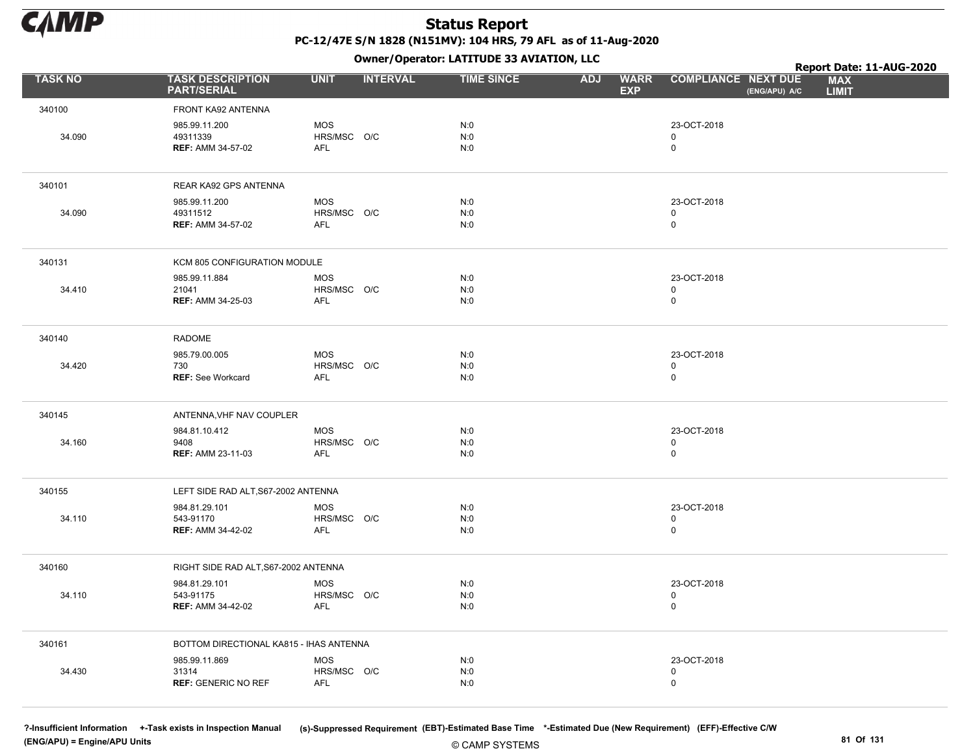

Owner/Operator: LATITUDE 33 AVIATION, LLC

|                |                                                        |                                         | Owner/Operator. EATITODE 33 AVIATION, LLC |                                         |                                             | Report Date: 11-AUG-2020   |
|----------------|--------------------------------------------------------|-----------------------------------------|-------------------------------------------|-----------------------------------------|---------------------------------------------|----------------------------|
| <b>TASK NO</b> | <b>TASK DESCRIPTION</b><br><b>PART/SERIAL</b>          | <b>UNIT</b><br><b>INTERVAL</b>          | <b>TIME SINCE</b>                         | <b>WARR</b><br><b>ADJ</b><br><b>EXP</b> | <b>COMPLIANCE NEXT DUE</b><br>(ENG/APU) A/C | <b>MAX</b><br><b>LIMIT</b> |
| 340100         | FRONT KA92 ANTENNA                                     |                                         |                                           |                                         |                                             |                            |
| 34.090         | 985.99.11.200<br>49311339<br><b>REF: AMM 34-57-02</b>  | <b>MOS</b><br>HRS/MSC O/C<br><b>AFL</b> | N:0<br>N:0<br>N:0                         |                                         | 23-OCT-2018<br>$\mathsf 0$<br>$\mathbf 0$   |                            |
| 340101         | REAR KA92 GPS ANTENNA                                  |                                         |                                           |                                         |                                             |                            |
| 34.090         | 985.99.11.200<br>49311512<br><b>REF: AMM 34-57-02</b>  | <b>MOS</b><br>HRS/MSC O/C<br><b>AFL</b> | N:0<br>N:0<br>N:0                         |                                         | 23-OCT-2018<br>$\mathbf 0$<br>$\mathbf 0$   |                            |
| 340131         | KCM 805 CONFIGURATION MODULE                           |                                         |                                           |                                         |                                             |                            |
| 34.410         | 985.99.11.884<br>21041<br><b>REF: AMM 34-25-03</b>     | <b>MOS</b><br>HRS/MSC O/C<br><b>AFL</b> | N:0<br>N:0<br>N:0                         |                                         | 23-OCT-2018<br>$\mathsf 0$<br>$\mathsf 0$   |                            |
| 340140         | <b>RADOME</b>                                          |                                         |                                           |                                         |                                             |                            |
| 34.420         | 985.79.00.005<br>730<br><b>REF: See Workcard</b>       | <b>MOS</b><br>HRS/MSC O/C<br>AFL        | N:0<br>N:0<br>N:0                         |                                         | 23-OCT-2018<br>$\mathbf 0$<br>$\mathsf 0$   |                            |
| 340145         | ANTENNA, VHF NAV COUPLER                               |                                         |                                           |                                         |                                             |                            |
| 34.160         | 984.81.10.412<br>9408<br><b>REF: AMM 23-11-03</b>      | <b>MOS</b><br>HRS/MSC O/C<br><b>AFL</b> | N:0<br>N:0<br>N:0                         |                                         | 23-OCT-2018<br>$\mathbf 0$<br>$\pmb{0}$     |                            |
| 340155         | LEFT SIDE RAD ALT, S67-2002 ANTENNA                    |                                         |                                           |                                         |                                             |                            |
| 34.110         | 984.81.29.101<br>543-91170<br><b>REF: AMM 34-42-02</b> | <b>MOS</b><br>HRS/MSC O/C<br><b>AFL</b> | N:0<br>N:0<br>N:0                         |                                         | 23-OCT-2018<br>0<br>$\mathsf 0$             |                            |
| 340160         | RIGHT SIDE RAD ALT, S67-2002 ANTENNA                   |                                         |                                           |                                         |                                             |                            |
| 34.110         | 984.81.29.101<br>543-91175<br><b>REF: AMM 34-42-02</b> | <b>MOS</b><br>HRS/MSC O/C<br><b>AFL</b> | N:0<br>N:0<br>N:0                         |                                         | 23-OCT-2018<br>$\mathsf 0$<br>$\mathbf 0$   |                            |
| 340161         | BOTTOM DIRECTIONAL KA815 - IHAS ANTENNA                |                                         |                                           |                                         |                                             |                            |
| 34.430         | 985.99.11.869<br>31314<br><b>REF: GENERIC NO REF</b>   | <b>MOS</b><br>HRS/MSC O/C<br>AFL        | N:0<br>N:0<br>N:0                         |                                         | 23-OCT-2018<br>$\mathbf 0$<br>$\mathsf 0$   |                            |

(ENG/APU) = Engine/APU Units 81 Of 131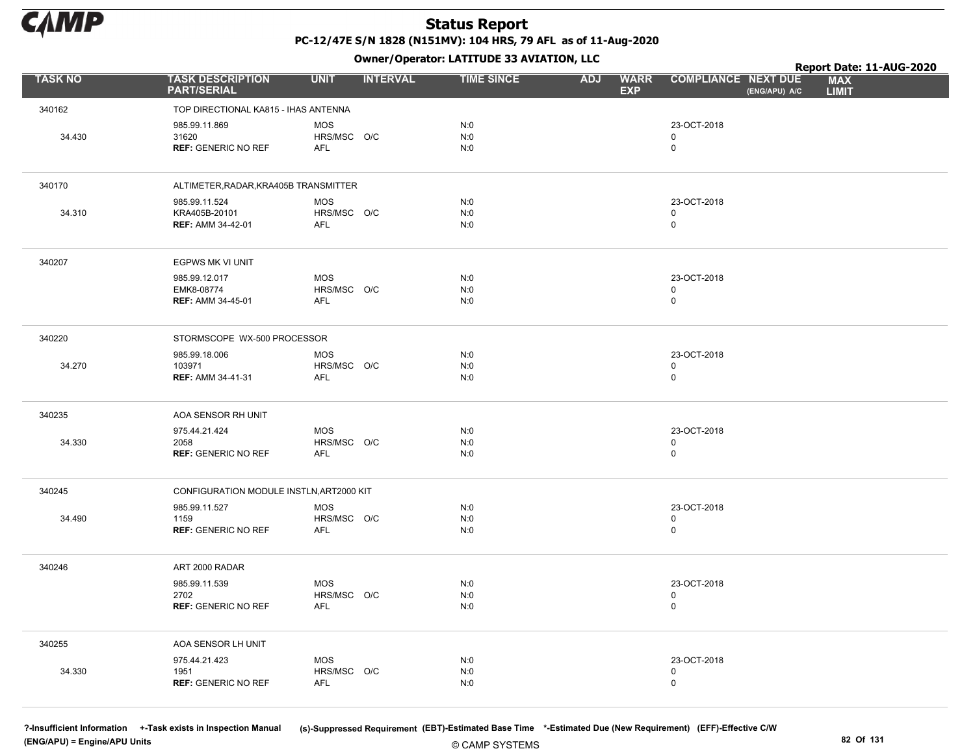

Owner/Operator: LATITUDE 33 AVIATION, LLC

|                |                                                            | - - -                                   |                   |                                         |                                             | Report Date: 11-AUG-2020   |
|----------------|------------------------------------------------------------|-----------------------------------------|-------------------|-----------------------------------------|---------------------------------------------|----------------------------|
| <b>TASK NO</b> | <b>TASK DESCRIPTION</b><br><b>PART/SERIAL</b>              | <b>UNIT</b><br><b>INTERVAL</b>          | <b>TIME SINCE</b> | <b>WARR</b><br><b>ADJ</b><br><b>EXP</b> | <b>COMPLIANCE NEXT DUE</b><br>(ENG/APU) A/C | <b>MAX</b><br><b>LIMIT</b> |
| 340162         | TOP DIRECTIONAL KA815 - IHAS ANTENNA                       |                                         |                   |                                         |                                             |                            |
| 34.430         | 985.99.11.869<br>31620<br><b>REF: GENERIC NO REF</b>       | <b>MOS</b><br>HRS/MSC O/C<br><b>AFL</b> | N:0<br>N:0<br>N:0 |                                         | 23-OCT-2018<br>$\mathbf 0$<br>0             |                            |
| 340170         | ALTIMETER, RADAR, KRA405B TRANSMITTER                      |                                         |                   |                                         |                                             |                            |
|                |                                                            |                                         |                   |                                         | 23-OCT-2018                                 |                            |
| 34.310         | 985.99.11.524<br>KRA405B-20101<br><b>REF: AMM 34-42-01</b> | <b>MOS</b><br>HRS/MSC O/C<br>AFL        | N:0<br>N:0<br>N:0 |                                         | 0<br>$\mathbf 0$                            |                            |
| 340207         | EGPWS MK VI UNIT                                           |                                         |                   |                                         |                                             |                            |
|                | 985.99.12.017<br>EMK8-08774<br><b>REF: AMM 34-45-01</b>    | <b>MOS</b><br>HRS/MSC O/C<br><b>AFL</b> | N:0<br>N:0<br>N:0 |                                         | 23-OCT-2018<br>0<br>$\mathsf{O}$            |                            |
| 340220         | STORMSCOPE WX-500 PROCESSOR                                |                                         |                   |                                         |                                             |                            |
| 34.270         | 985.99.18.006<br>103971<br><b>REF: AMM 34-41-31</b>        | <b>MOS</b><br>HRS/MSC O/C<br>AFL        | N:0<br>N:0<br>N:0 |                                         | 23-OCT-2018<br>0<br>$\mathsf{O}$            |                            |
| 340235         | AOA SENSOR RH UNIT                                         |                                         |                   |                                         |                                             |                            |
|                | 975.44.21.424                                              | <b>MOS</b>                              | N:0               |                                         | 23-OCT-2018                                 |                            |
| 34.330         | 2058<br><b>REF: GENERIC NO REF</b>                         | HRS/MSC O/C<br><b>AFL</b>               | N:0<br>N:0        |                                         | 0<br>$\mathsf{O}$                           |                            |
| 340245         | CONFIGURATION MODULE INSTLN, ART2000 KIT                   |                                         |                   |                                         |                                             |                            |
|                | 985.99.11.527                                              | <b>MOS</b>                              | N:0               |                                         | 23-OCT-2018                                 |                            |
| 34.490         | 1159<br><b>REF: GENERIC NO REF</b>                         | HRS/MSC O/C<br><b>AFL</b>               | N:0<br>N:0        |                                         | 0<br>0                                      |                            |
| 340246         | ART 2000 RADAR                                             |                                         |                   |                                         |                                             |                            |
|                | 985.99.11.539<br>2702<br><b>REF: GENERIC NO REF</b>        | <b>MOS</b><br>HRS/MSC O/C<br>AFL        | N:0<br>N:0<br>N:0 |                                         | 23-OCT-2018<br>0<br>$\mathsf 0$             |                            |
| 340255         | AOA SENSOR LH UNIT                                         |                                         |                   |                                         |                                             |                            |
| 34.330         | 975.44.21.423<br>1951<br><b>REF: GENERIC NO REF</b>        | <b>MOS</b><br>HRS/MSC O/C<br><b>AFL</b> | N:0<br>N:0<br>N:0 |                                         | 23-OCT-2018<br>0<br>0                       |                            |

(ENG/APU) = Engine/APU Units 82 Of 131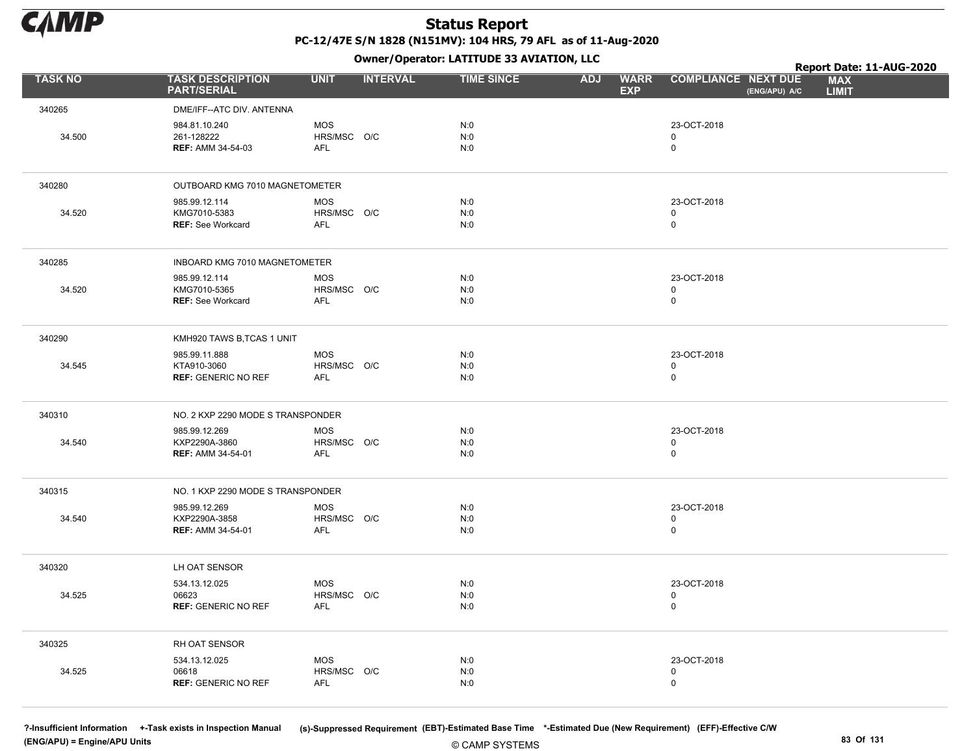

Owner/Operator: LATITUDE 33 AVIATION, LLC

|                |                                                            |                                         | .               |                   |                                         |                                             | Report Date: 11-AUG-2020   |
|----------------|------------------------------------------------------------|-----------------------------------------|-----------------|-------------------|-----------------------------------------|---------------------------------------------|----------------------------|
| <b>TASK NO</b> | <b>TASK DESCRIPTION</b><br><b>PART/SERIAL</b>              | <b>UNIT</b>                             | <b>INTERVAL</b> | <b>TIME SINCE</b> | <b>WARR</b><br><b>ADJ</b><br><b>EXP</b> | <b>COMPLIANCE NEXT DUE</b><br>(ENG/APU) A/C | <b>MAX</b><br><b>LIMIT</b> |
| 340265         | DME/IFF--ATC DIV. ANTENNA                                  |                                         |                 |                   |                                         |                                             |                            |
| 34.500         | 984.81.10.240<br>261-128222<br><b>REF: AMM 34-54-03</b>    | <b>MOS</b><br>HRS/MSC O/C<br><b>AFL</b> |                 | N:0<br>N:0<br>N:0 |                                         | 23-OCT-2018<br>0<br>0                       |                            |
| 340280         | OUTBOARD KMG 7010 MAGNETOMETER                             |                                         |                 |                   |                                         |                                             |                            |
| 34.520         | 985.99.12.114<br>KMG7010-5383<br><b>REF: See Workcard</b>  | <b>MOS</b><br>HRS/MSC O/C<br><b>AFL</b> |                 | N:0<br>N:0<br>N:0 |                                         | 23-OCT-2018<br>0<br>0                       |                            |
| 340285         | INBOARD KMG 7010 MAGNETOMETER                              |                                         |                 |                   |                                         |                                             |                            |
| 34.520         | 985.99.12.114<br>KMG7010-5365<br><b>REF: See Workcard</b>  | <b>MOS</b><br>HRS/MSC O/C<br>AFL        |                 | N:0<br>N:0<br>N:0 |                                         | 23-OCT-2018<br>0<br>0                       |                            |
| 340290         | KMH920 TAWS B, TCAS 1 UNIT                                 |                                         |                 |                   |                                         |                                             |                            |
| 34.545         | 985.99.11.888<br>KTA910-3060<br><b>REF: GENERIC NO REF</b> | <b>MOS</b><br>HRS/MSC O/C<br>AFL        |                 | N:0<br>N:0<br>N:0 |                                         | 23-OCT-2018<br>0<br>0                       |                            |
| 340310         | NO. 2 KXP 2290 MODE S TRANSPONDER                          |                                         |                 |                   |                                         |                                             |                            |
| 34.540         | 985.99.12.269<br>KXP2290A-3860<br><b>REF: AMM 34-54-01</b> | <b>MOS</b><br>HRS/MSC O/C<br>AFL        |                 | N:0<br>N:0<br>N:0 |                                         | 23-OCT-2018<br>0<br>$\mathsf 0$             |                            |
| 340315         | NO. 1 KXP 2290 MODE S TRANSPONDER                          |                                         |                 |                   |                                         |                                             |                            |
| 34.540         | 985.99.12.269<br>KXP2290A-3858<br><b>REF: AMM 34-54-01</b> | <b>MOS</b><br>HRS/MSC O/C<br>AFL        |                 | N:0<br>N:0<br>N:0 |                                         | 23-OCT-2018<br>0<br>0                       |                            |
| 340320         | LH OAT SENSOR                                              |                                         |                 |                   |                                         |                                             |                            |
| 34.525         | 534.13.12.025<br>06623<br><b>REF: GENERIC NO REF</b>       | <b>MOS</b><br>HRS/MSC O/C<br>AFL        |                 | N:0<br>N:0<br>N:0 |                                         | 23-OCT-2018<br>$\mathbf 0$<br>0             |                            |
| 340325         | RH OAT SENSOR                                              |                                         |                 |                   |                                         |                                             |                            |
| 34.525         | 534.13.12.025<br>06618<br><b>REF: GENERIC NO REF</b>       | <b>MOS</b><br>HRS/MSC O/C<br>AFL        |                 | N:0<br>N:0<br>N:0 |                                         | 23-OCT-2018<br>$\mathbf 0$<br>0             |                            |

(ENG/APU) = Engine/APU Units 83 Of 131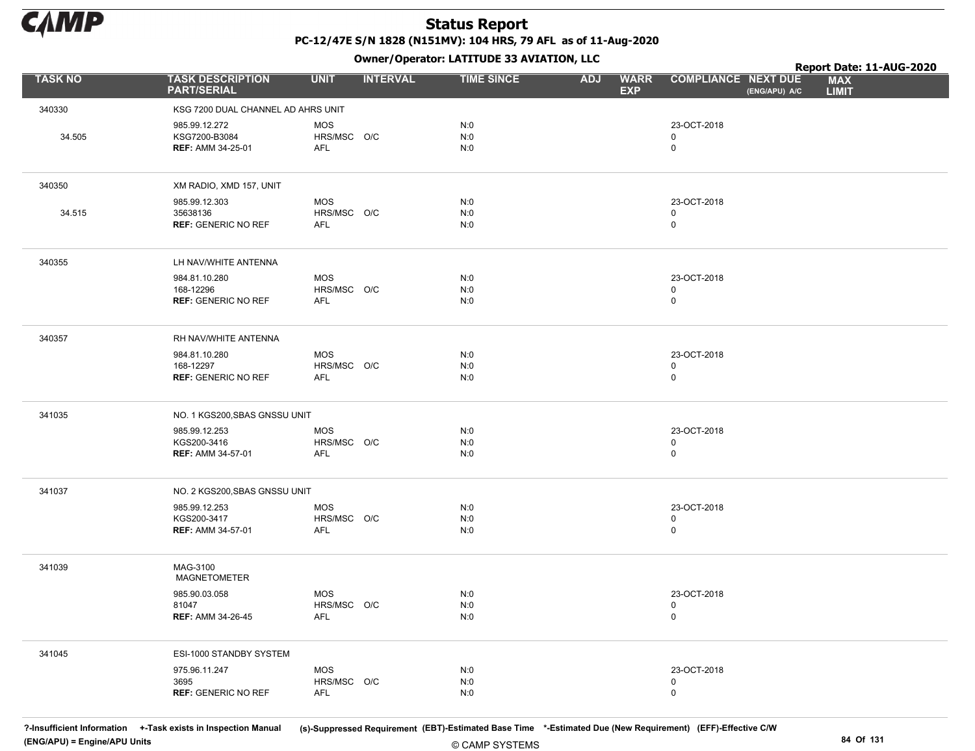

Owner/Operator: LATITUDE 33 AVIATION, LLC

|                |                                                            |                                  |                 | Owner/Operator. EATITODE 33 AVIATION, LLC |            |                           |                                           |               | Report Date: 11-AUG-2020   |  |
|----------------|------------------------------------------------------------|----------------------------------|-----------------|-------------------------------------------|------------|---------------------------|-------------------------------------------|---------------|----------------------------|--|
| <b>TASK NO</b> | <b>TASK DESCRIPTION</b><br><b>PART/SERIAL</b>              | <b>UNIT</b>                      | <b>INTERVAL</b> | <b>TIME SINCE</b>                         | <b>ADJ</b> | <b>WARR</b><br><b>EXP</b> | <b>COMPLIANCE NEXT DUE</b>                | (ENG/APU) A/C | <b>MAX</b><br><b>LIMIT</b> |  |
| 340330         | KSG 7200 DUAL CHANNEL AD AHRS UNIT                         |                                  |                 |                                           |            |                           |                                           |               |                            |  |
| 34.505         | 985.99.12.272<br>KSG7200-B3084<br><b>REF: AMM 34-25-01</b> | <b>MOS</b><br>HRS/MSC O/C<br>AFL |                 | N:0<br>N:0<br>N:0                         |            |                           | 23-OCT-2018<br>$\mathbf 0$<br>$\mathsf 0$ |               |                            |  |
| 340350         | XM RADIO, XMD 157, UNIT                                    |                                  |                 |                                           |            |                           |                                           |               |                            |  |
| 34.515         | 985.99.12.303<br>35638136<br><b>REF: GENERIC NO REF</b>    | <b>MOS</b><br>HRS/MSC O/C<br>AFL |                 | N:0<br>N:0<br>N:0                         |            |                           | 23-OCT-2018<br>0<br>$\mathsf 0$           |               |                            |  |
| 340355         | LH NAV/WHITE ANTENNA                                       |                                  |                 |                                           |            |                           |                                           |               |                            |  |
|                | 984.81.10.280<br>168-12296<br><b>REF: GENERIC NO REF</b>   | MOS<br>HRS/MSC O/C<br>AFL        |                 | N:0<br>N:0<br>N:0                         |            |                           | 23-OCT-2018<br>0<br>$\mathbf 0$           |               |                            |  |
| 340357         | RH NAV/WHITE ANTENNA                                       |                                  |                 |                                           |            |                           |                                           |               |                            |  |
|                | 984.81.10.280<br>168-12297<br><b>REF: GENERIC NO REF</b>   | <b>MOS</b><br>HRS/MSC O/C<br>AFL |                 | N:0<br>N:0<br>N:0                         |            |                           | 23-OCT-2018<br>$\mathbf 0$<br>$\mathbf 0$ |               |                            |  |
| 341035         | NO. 1 KGS200, SBAS GNSSU UNIT                              |                                  |                 |                                           |            |                           |                                           |               |                            |  |
|                | 985.99.12.253<br>KGS200-3416<br><b>REF: AMM 34-57-01</b>   | MOS<br>HRS/MSC O/C<br>AFL        |                 | N:0<br>N:0<br>N:0                         |            |                           | 23-OCT-2018<br>0<br>0                     |               |                            |  |
| 341037         | NO. 2 KGS200, SBAS GNSSU UNIT                              |                                  |                 |                                           |            |                           |                                           |               |                            |  |
|                | 985.99.12.253<br>KGS200-3417<br><b>REF: AMM 34-57-01</b>   | <b>MOS</b><br>HRS/MSC O/C<br>AFL |                 | N:0<br>N:0<br>N:0                         |            |                           | 23-OCT-2018<br>0<br>$\mathsf 0$           |               |                            |  |
| 341039         | MAG-3100<br><b>MAGNETOMETER</b>                            |                                  |                 |                                           |            |                           |                                           |               |                            |  |
|                | 985.90.03.058<br>81047<br><b>REF: AMM 34-26-45</b>         | <b>MOS</b><br>HRS/MSC O/C<br>AFL |                 | N:0<br>N:0<br>N:0                         |            |                           | 23-OCT-2018<br>$\mathbf 0$<br>$\mathsf 0$ |               |                            |  |
| 341045         | ESI-1000 STANDBY SYSTEM                                    |                                  |                 |                                           |            |                           |                                           |               |                            |  |
|                | 975.96.11.247<br>3695<br><b>REF: GENERIC NO REF</b>        | MOS<br>HRS/MSC O/C<br>AFL        |                 | N:0<br>N:0<br>N:0                         |            |                           | 23-OCT-2018<br>$\mathbf 0$<br>$\mathbf 0$ |               |                            |  |

© CAMP SYSTEMS ?-Insufficient Information +-Task exists in Inspection Manual (s)-Suppressed Requirement (EBT)-Estimated Base Time \*-Estimated Due (New Requirement) (EFF)-Effective C/W (ENG/APU) = Engine/APU Units 84 Of 131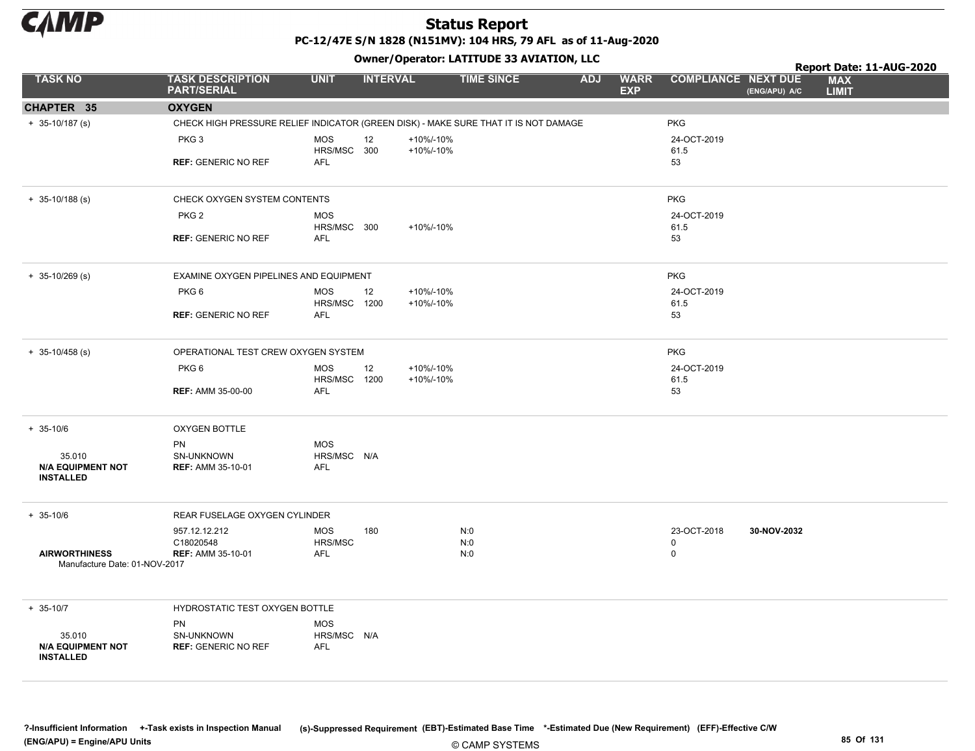

PC-12/47E S/N 1828 (N151MV): 104 HRS, 79 AFL as of 11-Aug-2020 Owner/Operator: LATITUDE 33 AVIATION, LLC

|                                                       |                                                                                     |                                     |                        | Owner/Operator: LATITUDE 33 AVIATION, LLC |                                         |                                           |               | Report Date: 11-AUG-2020   |  |
|-------------------------------------------------------|-------------------------------------------------------------------------------------|-------------------------------------|------------------------|-------------------------------------------|-----------------------------------------|-------------------------------------------|---------------|----------------------------|--|
| <b>TASK NO</b>                                        | <b>TASK DESCRIPTION</b><br><b>PART/SERIAL</b>                                       | <b>UNIT</b>                         | <b>INTERVAL</b>        | <b>TIME SINCE</b>                         | <b>ADJ</b><br><b>WARR</b><br><b>EXP</b> | <b>COMPLIANCE NEXT DUE</b>                | (ENG/APU) A/C | <b>MAX</b><br><b>LIMIT</b> |  |
| CHAPTER 35                                            | <b>OXYGEN</b>                                                                       |                                     |                        |                                           |                                         |                                           |               |                            |  |
| $+ 35-10/187$ (s)                                     | CHECK HIGH PRESSURE RELIEF INDICATOR (GREEN DISK) - MAKE SURE THAT IT IS NOT DAMAGE |                                     |                        |                                           |                                         | <b>PKG</b>                                |               |                            |  |
|                                                       | PKG <sub>3</sub>                                                                    | MOS<br>12<br>HRS/MSC 300            | +10%/-10%<br>+10%/-10% |                                           |                                         | 24-OCT-2019                               |               |                            |  |
|                                                       | <b>REF: GENERIC NO REF</b>                                                          | AFL                                 |                        |                                           |                                         | 61.5<br>53                                |               |                            |  |
| $+ 35 - 10/188$ (s)                                   | CHECK OXYGEN SYSTEM CONTENTS                                                        |                                     |                        |                                           |                                         | <b>PKG</b>                                |               |                            |  |
|                                                       | PKG <sub>2</sub>                                                                    | <b>MOS</b>                          |                        |                                           |                                         | 24-OCT-2019                               |               |                            |  |
|                                                       | <b>REF: GENERIC NO REF</b>                                                          | HRS/MSC 300<br>AFL                  | +10%/-10%              |                                           |                                         | 61.5<br>53                                |               |                            |  |
| $+ 35-10/269$ (s)                                     | EXAMINE OXYGEN PIPELINES AND EQUIPMENT                                              |                                     |                        |                                           |                                         | <b>PKG</b>                                |               |                            |  |
|                                                       | PKG6                                                                                | MOS<br>12                           | +10%/-10%              |                                           |                                         | 24-OCT-2019                               |               |                            |  |
|                                                       | <b>REF: GENERIC NO REF</b>                                                          | HRS/MSC 1200<br>AFL                 | +10%/-10%              |                                           |                                         | 61.5<br>53                                |               |                            |  |
| $+ 35 - 10/458$ (s)                                   | OPERATIONAL TEST CREW OXYGEN SYSTEM                                                 |                                     |                        |                                           |                                         | <b>PKG</b>                                |               |                            |  |
|                                                       | PKG6                                                                                | <b>MOS</b><br>12<br>HRS/MSC<br>1200 | +10%/-10%<br>+10%/-10% |                                           |                                         | 24-OCT-2019<br>61.5                       |               |                            |  |
|                                                       | <b>REF: AMM 35-00-00</b>                                                            | AFL                                 |                        |                                           |                                         | 53                                        |               |                            |  |
| $+ 35 - 10/6$                                         | <b>OXYGEN BOTTLE</b>                                                                |                                     |                        |                                           |                                         |                                           |               |                            |  |
| 35.010                                                | PN<br>SN-UNKNOWN                                                                    | MOS<br>HRS/MSC N/A                  |                        |                                           |                                         |                                           |               |                            |  |
| <b>N/A EQUIPMENT NOT</b><br><b>INSTALLED</b>          | <b>REF: AMM 35-10-01</b>                                                            | <b>AFL</b>                          |                        |                                           |                                         |                                           |               |                            |  |
| $+ 35 - 10/6$                                         | REAR FUSELAGE OXYGEN CYLINDER                                                       |                                     |                        |                                           |                                         |                                           |               |                            |  |
|                                                       | 957.12.12.212<br>C18020548                                                          | MOS<br>180<br>HRS/MSC               |                        | N:0<br>N:0                                |                                         | 23-OCT-2018<br>$\mathbf 0$<br>$\mathsf 0$ | 30-NOV-2032   |                            |  |
| <b>AIRWORTHINESS</b><br>Manufacture Date: 01-NOV-2017 | <b>REF: AMM 35-10-01</b>                                                            | AFL                                 |                        | N:0                                       |                                         |                                           |               |                            |  |
| $+ 35 - 10/7$                                         | HYDROSTATIC TEST OXYGEN BOTTLE                                                      |                                     |                        |                                           |                                         |                                           |               |                            |  |
| 35.010                                                | PN<br>SN-UNKNOWN                                                                    | <b>MOS</b><br>HRS/MSC N/A           |                        |                                           |                                         |                                           |               |                            |  |
| <b>N/A EQUIPMENT NOT</b><br><b>INSTALLED</b>          | <b>REF: GENERIC NO REF</b>                                                          | <b>AFL</b>                          |                        |                                           |                                         |                                           |               |                            |  |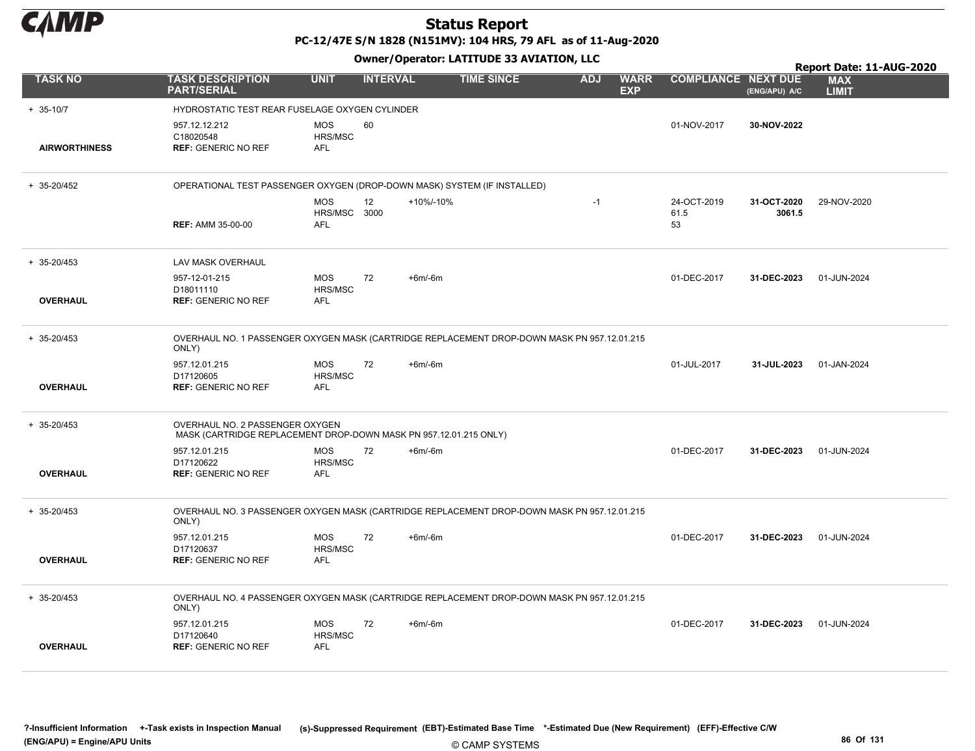

PC-12/47E S/N 1828 (N151MV): 104 HRS, 79 AFL as of 11-Aug-2020

|                      |                                                                                                      |                                     |                         |           | Owner/Operator. EATITODE 33 AVIATION, LLC |            |                           |                            |                       | Report Date: 11-AUG-2020   |
|----------------------|------------------------------------------------------------------------------------------------------|-------------------------------------|-------------------------|-----------|-------------------------------------------|------------|---------------------------|----------------------------|-----------------------|----------------------------|
| <b>TASK NO</b>       | <b>TASK DESCRIPTION</b><br><b>PART/SERIAL</b>                                                        | <b>UNIT</b>                         | <b>INTERVAL</b>         |           | <b>TIME SINCE</b>                         | <b>ADJ</b> | <b>WARR</b><br><b>EXP</b> | <b>COMPLIANCE NEXT DUE</b> | (ENG/APU) A/C         | <b>MAX</b><br><b>LIMIT</b> |
| $+ 35 - 10/7$        | HYDROSTATIC TEST REAR FUSELAGE OXYGEN CYLINDER                                                       |                                     |                         |           |                                           |            |                           |                            |                       |                            |
| <b>AIRWORTHINESS</b> | 957.12.12.212<br>C18020548<br><b>REF: GENERIC NO REF</b>                                             | <b>MOS</b><br>HRS/MSC<br><b>AFL</b> | 60                      |           |                                           |            |                           | 01-NOV-2017                | 30-NOV-2022           |                            |
| $+ 35 - 20/452$      | OPERATIONAL TEST PASSENGER OXYGEN (DROP-DOWN MASK) SYSTEM (IF INSTALLED)                             |                                     |                         |           |                                           |            |                           |                            |                       |                            |
|                      | <b>REF: AMM 35-00-00</b>                                                                             | <b>MOS</b><br>HRS/MSC<br>AFL        | 12 <sup>2</sup><br>3000 | +10%/-10% |                                           | $-1$       |                           | 24-OCT-2019<br>61.5<br>53  | 31-OCT-2020<br>3061.5 | 29-NOV-2020                |
| $+ 35 - 20/453$      | LAV MASK OVERHAUL                                                                                    |                                     |                         |           |                                           |            |                           |                            |                       |                            |
| <b>OVERHAUL</b>      | 957-12-01-215<br>D18011110<br><b>REF: GENERIC NO REF</b>                                             | <b>MOS</b><br>HRS/MSC<br><b>AFL</b> | 72                      | $+6m/6m$  |                                           |            |                           | 01-DEC-2017                | 31-DEC-2023           | 01-JUN-2024                |
| $+ 35 - 20/453$      | OVERHAUL NO. 1 PASSENGER OXYGEN MASK (CARTRIDGE REPLACEMENT DROP-DOWN MASK PN 957.12.01.215<br>ONLY) |                                     |                         |           |                                           |            |                           |                            |                       |                            |
| <b>OVERHAUL</b>      | 957.12.01.215<br>D17120605<br><b>REF: GENERIC NO REF</b>                                             | <b>MOS</b><br>HRS/MSC<br><b>AFL</b> | 72                      | $+6m/6m$  |                                           |            |                           | 01-JUL-2017                | 31-JUL-2023           | 01-JAN-2024                |
| $+ 35 - 20/453$      | OVERHAUL NO. 2 PASSENGER OXYGEN<br>MASK (CARTRIDGE REPLACEMENT DROP-DOWN MASK PN 957.12.01.215 ONLY) |                                     |                         |           |                                           |            |                           |                            |                       |                            |
| <b>OVERHAUL</b>      | 957.12.01.215<br>D17120622<br><b>REF: GENERIC NO REF</b>                                             | <b>MOS</b><br>HRS/MSC<br><b>AFL</b> | 72                      | $+6m/6m$  |                                           |            |                           | 01-DEC-2017                | 31-DEC-2023           | 01-JUN-2024                |
| $+ 35 - 20/453$      | OVERHAUL NO. 3 PASSENGER OXYGEN MASK (CARTRIDGE REPLACEMENT DROP-DOWN MASK PN 957.12.01.215<br>ONLY) |                                     |                         |           |                                           |            |                           |                            |                       |                            |
| <b>OVERHAUL</b>      | 957.12.01.215<br>D17120637<br><b>REF: GENERIC NO REF</b>                                             | <b>MOS</b><br>HRS/MSC<br><b>AFL</b> | 72                      | $+6m/6m$  |                                           |            |                           | 01-DEC-2017                | 31-DEC-2023           | 01-JUN-2024                |
| $+ 35 - 20/453$      | OVERHAUL NO. 4 PASSENGER OXYGEN MASK (CARTRIDGE REPLACEMENT DROP-DOWN MASK PN 957.12.01.215<br>ONLY) |                                     |                         |           |                                           |            |                           |                            |                       |                            |
| <b>OVERHAUL</b>      | 957.12.01.215<br>D17120640<br><b>REF: GENERIC NO REF</b>                                             | <b>MOS</b><br>HRS/MSC<br><b>AFL</b> | 72                      | $+6m/6m$  |                                           |            |                           | 01-DEC-2017                | 31-DEC-2023           | 01-JUN-2024                |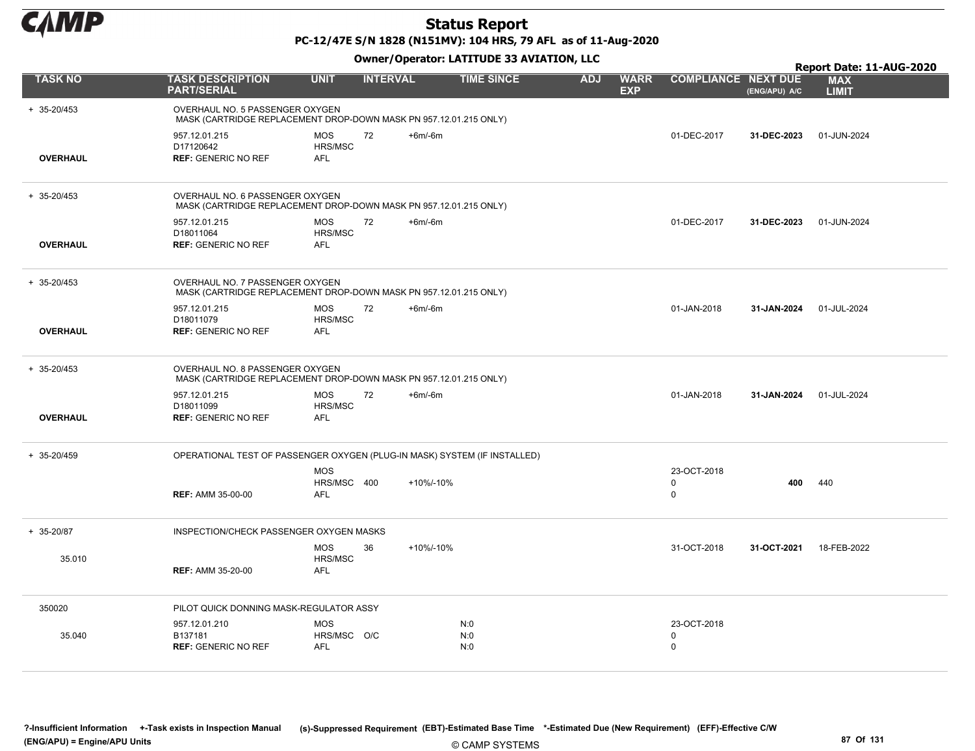

PC-12/47E S/N 1828 (N151MV): 104 HRS, 79 AFL as of 11-Aug-2020

Owner/Operator: LATITUDE 33 AVIATION, LLC

|                 |                                                                                                      | Owner/Operator: LATITUDE 33 AVIATION, LLC |                 |                   |            |                                                         |               |                                                        |  |  |  |
|-----------------|------------------------------------------------------------------------------------------------------|-------------------------------------------|-----------------|-------------------|------------|---------------------------------------------------------|---------------|--------------------------------------------------------|--|--|--|
| <b>TASK NO</b>  | <b>TASK DESCRIPTION</b><br><b>PART/SERIAL</b>                                                        | <b>UNIT</b>                               | <b>INTERVAL</b> | <b>TIME SINCE</b> | <b>ADJ</b> | <b>COMPLIANCE NEXT DUE</b><br><b>WARR</b><br><b>EXP</b> | (ENG/APU) A/C | Report Date: 11-AUG-2020<br><b>MAX</b><br><b>LIMIT</b> |  |  |  |
| + 35-20/453     | OVERHAUL NO. 5 PASSENGER OXYGEN<br>MASK (CARTRIDGE REPLACEMENT DROP-DOWN MASK PN 957.12.01.215 ONLY) |                                           |                 |                   |            |                                                         |               |                                                        |  |  |  |
| <b>OVERHAUL</b> | 957.12.01.215<br>D17120642<br><b>REF: GENERIC NO REF</b>                                             | <b>MOS</b><br>72<br>HRS/MSC<br><b>AFL</b> | $+6m/6m$        |                   |            | 01-DEC-2017                                             | 31-DEC-2023   | 01-JUN-2024                                            |  |  |  |
| + 35-20/453     | OVERHAUL NO. 6 PASSENGER OXYGEN<br>MASK (CARTRIDGE REPLACEMENT DROP-DOWN MASK PN 957.12.01.215 ONLY) |                                           |                 |                   |            |                                                         |               |                                                        |  |  |  |
| <b>OVERHAUL</b> | 957.12.01.215<br>D18011064<br><b>REF: GENERIC NO REF</b>                                             | <b>MOS</b><br>72<br>HRS/MSC<br><b>AFL</b> | $+6m/6m$        |                   |            | 01-DEC-2017                                             | 31-DEC-2023   | 01-JUN-2024                                            |  |  |  |
| $+ 35 - 20/453$ | OVERHAUL NO. 7 PASSENGER OXYGEN<br>MASK (CARTRIDGE REPLACEMENT DROP-DOWN MASK PN 957.12.01.215 ONLY) |                                           |                 |                   |            |                                                         |               |                                                        |  |  |  |
| <b>OVERHAUL</b> | 957.12.01.215<br>D18011079<br><b>REF: GENERIC NO REF</b>                                             | 72<br><b>MOS</b><br>HRS/MSC<br><b>AFL</b> | $+6m/6m$        |                   |            | 01-JAN-2018                                             | 31-JAN-2024   | 01-JUL-2024                                            |  |  |  |
| + 35-20/453     | OVERHAUL NO. 8 PASSENGER OXYGEN<br>MASK (CARTRIDGE REPLACEMENT DROP-DOWN MASK PN 957.12.01.215 ONLY) |                                           |                 |                   |            |                                                         |               |                                                        |  |  |  |
| <b>OVERHAUL</b> | 957.12.01.215<br>D18011099<br><b>REF: GENERIC NO REF</b>                                             | <b>MOS</b><br>72<br>HRS/MSC<br><b>AFL</b> | $+6m/6m$        |                   |            | 01-JAN-2018                                             | 31-JAN-2024   | 01-JUL-2024                                            |  |  |  |
| + 35-20/459     | OPERATIONAL TEST OF PASSENGER OXYGEN (PLUG-IN MASK) SYSTEM (IF INSTALLED)                            |                                           |                 |                   |            |                                                         |               |                                                        |  |  |  |
|                 | <b>REF: AMM 35-00-00</b>                                                                             | <b>MOS</b><br>HRS/MSC 400<br><b>AFL</b>   | +10%/-10%       |                   |            | 23-OCT-2018<br>0<br>$\mathsf 0$                         | 400           | 440                                                    |  |  |  |
| + 35-20/87      | INSPECTION/CHECK PASSENGER OXYGEN MASKS                                                              |                                           |                 |                   |            |                                                         |               |                                                        |  |  |  |
| 35.010          | <b>REF: AMM 35-20-00</b>                                                                             | <b>MOS</b><br>36<br>HRS/MSC<br><b>AFL</b> | +10%/-10%       |                   |            | 31-OCT-2018                                             | 31-OCT-2021   | 18-FEB-2022                                            |  |  |  |
| 350020          | PILOT QUICK DONNING MASK-REGULATOR ASSY                                                              |                                           |                 |                   |            |                                                         |               |                                                        |  |  |  |
| 35.040          | 957.12.01.210<br>B137181<br><b>REF: GENERIC NO REF</b>                                               | <b>MOS</b><br>HRS/MSC O/C<br><b>AFL</b>   |                 | N:0<br>N:0<br>N:0 |            | 23-OCT-2018<br>$\mathbf 0$<br>0                         |               |                                                        |  |  |  |

© CAMP SYSTEMS ?-Insufficient Information +-Task exists in Inspection Manual (s)-Suppressed Requirement (EBT)-Estimated Base Time \*-Estimated Due (New Requirement) (EFF)-Effective C/W (ENG/APU) = Engine/APU Units 87 Of 131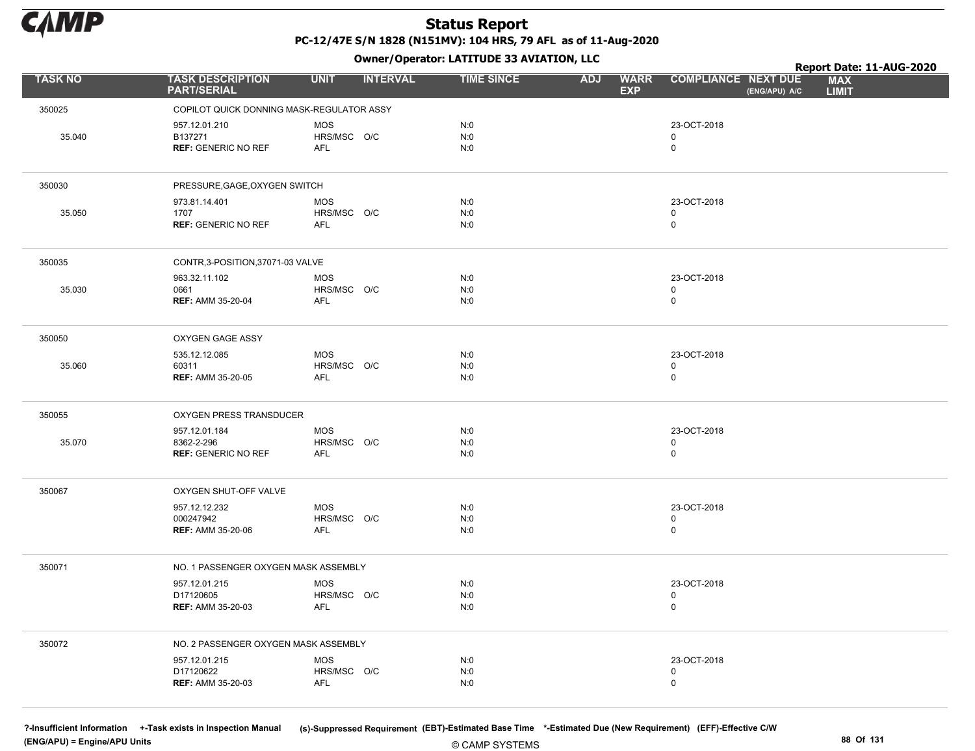

Owner/Operator: LATITUDE 33 AVIATION, LLC

|                |                                                           | .                                       |                   |                                         |                                                                           | Report Date: 11-AUG-2020 |
|----------------|-----------------------------------------------------------|-----------------------------------------|-------------------|-----------------------------------------|---------------------------------------------------------------------------|--------------------------|
| <b>TASK NO</b> | <b>TASK DESCRIPTION</b><br><b>PART/SERIAL</b>             | <b>UNIT</b><br><b>INTERVAL</b>          | <b>TIME SINCE</b> | <b>WARR</b><br><b>ADJ</b><br><b>EXP</b> | <b>COMPLIANCE NEXT DUE</b><br><b>MAX</b><br>(ENG/APU) A/C<br><b>LIMIT</b> |                          |
| 350025         | COPILOT QUICK DONNING MASK-REGULATOR ASSY                 |                                         |                   |                                         |                                                                           |                          |
| 35.040         | 957.12.01.210<br>B137271<br><b>REF: GENERIC NO REF</b>    | <b>MOS</b><br>HRS/MSC O/C<br>AFL        | N:0<br>N:0<br>N:0 |                                         | 23-OCT-2018<br>0<br>$\mathsf 0$                                           |                          |
| 350030         | PRESSURE, GAGE, OXYGEN SWITCH                             |                                         |                   |                                         |                                                                           |                          |
| 35.050         | 973.81.14.401<br>1707<br><b>REF: GENERIC NO REF</b>       | <b>MOS</b><br>HRS/MSC O/C<br>AFL        | N:0<br>N:0<br>N:0 |                                         | 23-OCT-2018<br>0<br>$\mathbf 0$                                           |                          |
| 350035         | CONTR, 3-POSITION, 37071-03 VALVE                         |                                         |                   |                                         |                                                                           |                          |
| 35.030         | 963.32.11.102<br>0661<br><b>REF: AMM 35-20-04</b>         | <b>MOS</b><br>HRS/MSC O/C<br>AFL        | N:0<br>N:0<br>N:0 |                                         | 23-OCT-2018<br>$\mathbf 0$<br>$\mathsf 0$                                 |                          |
| 350050         | OXYGEN GAGE ASSY                                          |                                         |                   |                                         |                                                                           |                          |
| 35.060         | 535.12.12.085<br>60311<br><b>REF: AMM 35-20-05</b>        | MOS<br>HRS/MSC O/C<br>AFL               | N:0<br>N:0<br>N:0 |                                         | 23-OCT-2018<br>0<br>$\mathbf 0$                                           |                          |
| 350055         | OXYGEN PRESS TRANSDUCER                                   |                                         |                   |                                         |                                                                           |                          |
| 35.070         | 957.12.01.184<br>8362-2-296<br><b>REF: GENERIC NO REF</b> | MOS<br>HRS/MSC O/C<br>AFL               | N:0<br>N:0<br>N:0 |                                         | 23-OCT-2018<br>$\mathbf 0$<br>$\mathsf 0$                                 |                          |
| 350067         | OXYGEN SHUT-OFF VALVE                                     |                                         |                   |                                         |                                                                           |                          |
|                | 957.12.12.232<br>000247942<br><b>REF: AMM 35-20-06</b>    | <b>MOS</b><br>HRS/MSC O/C<br>AFL        | N:0<br>N:0<br>N:0 |                                         | 23-OCT-2018<br>0<br>$\mathbf 0$                                           |                          |
| 350071         | NO. 1 PASSENGER OXYGEN MASK ASSEMBLY                      |                                         |                   |                                         |                                                                           |                          |
|                | 957.12.01.215<br>D17120605<br><b>REF: AMM 35-20-03</b>    | <b>MOS</b><br>HRS/MSC O/C<br>AFL        | N:0<br>N:0<br>N:0 |                                         | 23-OCT-2018<br>0<br>$\mathbf 0$                                           |                          |
| 350072         | NO. 2 PASSENGER OXYGEN MASK ASSEMBLY                      |                                         |                   |                                         |                                                                           |                          |
|                | 957.12.01.215<br>D17120622<br><b>REF: AMM 35-20-03</b>    | <b>MOS</b><br>HRS/MSC O/C<br><b>AFL</b> | N:0<br>N:0<br>N:0 |                                         | 23-OCT-2018<br>$\mathbf 0$<br>$\mathbf 0$                                 |                          |

(ENG/APU) = Engine/APU Units 88 Of 131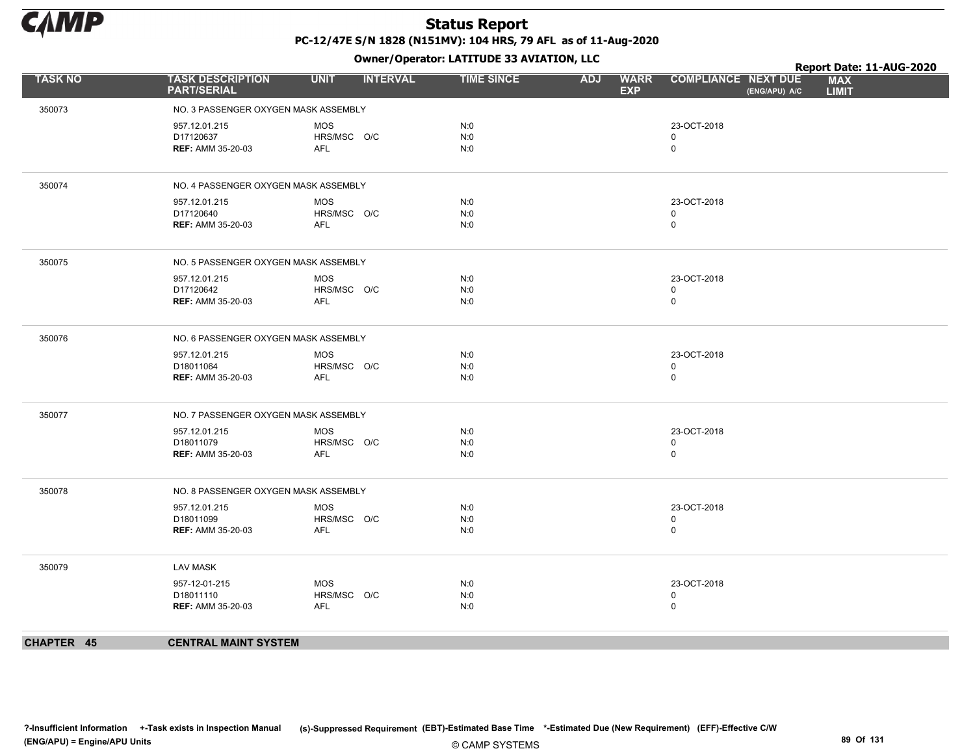

|                |                                                        | .                                       |                   |                                         |                                             | Report Date: 11-AUG-2020   |
|----------------|--------------------------------------------------------|-----------------------------------------|-------------------|-----------------------------------------|---------------------------------------------|----------------------------|
| <b>TASK NO</b> | <b>TASK DESCRIPTION</b><br><b>PART/SERIAL</b>          | <b>UNIT</b><br><b>INTERVAL</b>          | <b>TIME SINCE</b> | <b>ADJ</b><br><b>WARR</b><br><b>EXP</b> | <b>COMPLIANCE NEXT DUE</b><br>(ENG/APU) A/C | <b>MAX</b><br><b>LIMIT</b> |
| 350073         | NO. 3 PASSENGER OXYGEN MASK ASSEMBLY                   |                                         |                   |                                         |                                             |                            |
|                | 957.12.01.215<br>D17120637<br><b>REF: AMM 35-20-03</b> | MOS<br>HRS/MSC O/C<br>AFL               | N:0<br>N:0<br>N:0 |                                         | 23-OCT-2018<br>$\mathbf 0$<br>$\mathbf 0$   |                            |
| 350074         | NO. 4 PASSENGER OXYGEN MASK ASSEMBLY                   |                                         |                   |                                         |                                             |                            |
|                | 957.12.01.215<br>D17120640<br><b>REF: AMM 35-20-03</b> | <b>MOS</b><br>HRS/MSC O/C<br><b>AFL</b> | N:0<br>N:0<br>N:0 |                                         | 23-OCT-2018<br>$\mathbf 0$<br>$\mathsf 0$   |                            |
| 350075         | NO. 5 PASSENGER OXYGEN MASK ASSEMBLY                   |                                         |                   |                                         |                                             |                            |
|                | 957.12.01.215<br>D17120642<br><b>REF: AMM 35-20-03</b> | MOS<br>HRS/MSC O/C<br><b>AFL</b>        | N:0<br>N:0<br>N:0 |                                         | 23-OCT-2018<br>$\mathbf 0$<br>$\mathbf 0$   |                            |
| 350076         | NO. 6 PASSENGER OXYGEN MASK ASSEMBLY                   |                                         |                   |                                         |                                             |                            |
|                | 957.12.01.215<br>D18011064<br><b>REF: AMM 35-20-03</b> | <b>MOS</b><br>HRS/MSC O/C<br><b>AFL</b> | N:0<br>N:0<br>N:0 |                                         | 23-OCT-2018<br>$\mathbf 0$<br>$\mathbf 0$   |                            |
| 350077         | NO. 7 PASSENGER OXYGEN MASK ASSEMBLY                   |                                         |                   |                                         |                                             |                            |
|                | 957.12.01.215<br>D18011079<br><b>REF: AMM 35-20-03</b> | <b>MOS</b><br>HRS/MSC O/C<br><b>AFL</b> | N:0<br>N:0<br>N:0 |                                         | 23-OCT-2018<br>$\mathbf 0$<br>$\mathbf 0$   |                            |
| 350078         | NO. 8 PASSENGER OXYGEN MASK ASSEMBLY                   |                                         |                   |                                         |                                             |                            |
|                | 957.12.01.215<br>D18011099<br><b>REF: AMM 35-20-03</b> | <b>MOS</b><br>HRS/MSC O/C<br>AFL        | N:0<br>N:0<br>N:0 |                                         | 23-OCT-2018<br>$\mathbf 0$<br>$\mathbf 0$   |                            |
| 350079         | <b>LAV MASK</b>                                        |                                         |                   |                                         |                                             |                            |
|                | 957-12-01-215<br>D18011110<br><b>REF: AMM 35-20-03</b> | MOS<br>HRS/MSC O/C<br><b>AFL</b>        | N:0<br>N:0<br>N:0 |                                         | 23-OCT-2018<br>$\mathbf 0$<br>$\mathbf 0$   |                            |
| CHAPTER 45     | <b>CENTRAL MAINT SYSTEM</b>                            |                                         |                   |                                         |                                             |                            |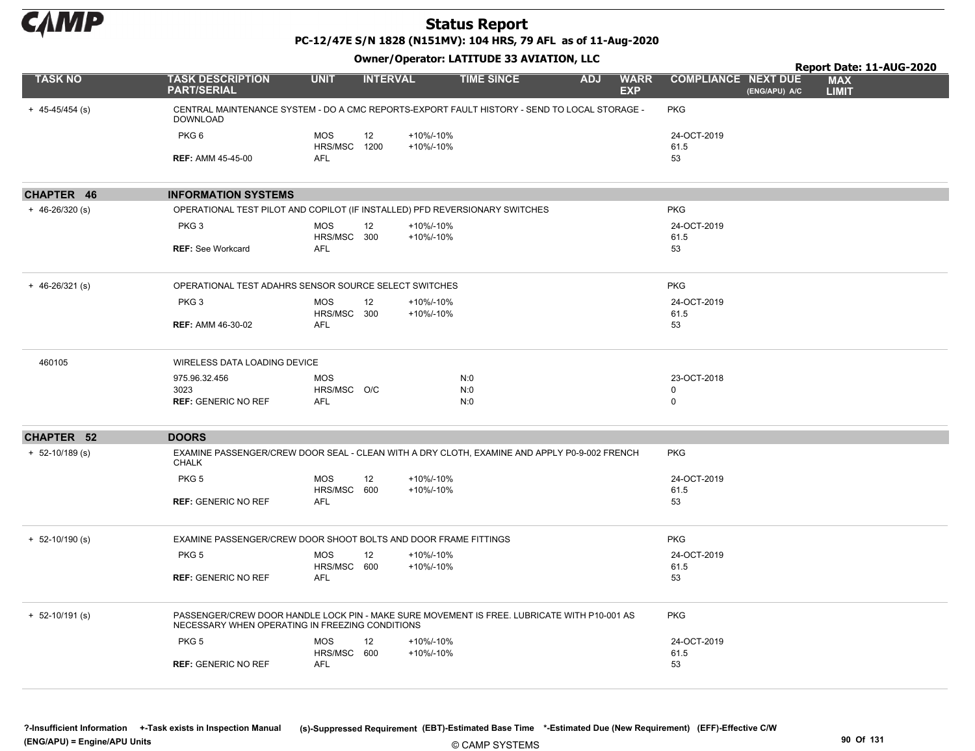

PC-12/47E S/N 1828 (N151MV): 104 HRS, 79 AFL as of 11-Aug-2020

#### Owner/Operator: LATITUDE 33 AVIATION, LLC

|                     |                                                                                                                                                |                            |                 |                        |                   |            |                           |                                             | Report Date: 11-AUG-2020   |
|---------------------|------------------------------------------------------------------------------------------------------------------------------------------------|----------------------------|-----------------|------------------------|-------------------|------------|---------------------------|---------------------------------------------|----------------------------|
| <b>TASK NO</b>      | <b>TASK DESCRIPTION</b><br><b>PART/SERIAL</b>                                                                                                  | <b>UNIT</b>                | <b>INTERVAL</b> |                        | <b>TIME SINCE</b> | <b>ADJ</b> | <b>WARR</b><br><b>EXP</b> | <b>COMPLIANCE NEXT DUE</b><br>(ENG/APU) A/C | <b>MAX</b><br><b>LIMIT</b> |
| $+ 45 - 45/454$ (s) | CENTRAL MAINTENANCE SYSTEM - DO A CMC REPORTS-EXPORT FAULT HISTORY - SEND TO LOCAL STORAGE -<br><b>DOWNLOAD</b>                                |                            |                 |                        |                   |            |                           | <b>PKG</b>                                  |                            |
|                     | PKG6                                                                                                                                           | <b>MOS</b><br>HRS/MSC 1200 | 12              | +10%/-10%<br>+10%/-10% |                   |            |                           | 24-OCT-2019<br>61.5                         |                            |
|                     | <b>REF: AMM 45-45-00</b>                                                                                                                       | AFL                        |                 |                        |                   |            |                           | 53                                          |                            |
| CHAPTER 46          | <b>INFORMATION SYSTEMS</b>                                                                                                                     |                            |                 |                        |                   |            |                           |                                             |                            |
| $+ 46 - 26/320$ (s) | OPERATIONAL TEST PILOT AND COPILOT (IF INSTALLED) PFD REVERSIONARY SWITCHES                                                                    |                            |                 |                        |                   |            |                           | <b>PKG</b>                                  |                            |
|                     | PKG <sub>3</sub>                                                                                                                               | <b>MOS</b><br>HRS/MSC 300  | 12              | +10%/-10%<br>+10%/-10% |                   |            |                           | 24-OCT-2019<br>61.5                         |                            |
|                     | <b>REF: See Workcard</b>                                                                                                                       | <b>AFL</b>                 |                 |                        |                   |            |                           | 53                                          |                            |
| $+ 46 - 26/321$ (s) | OPERATIONAL TEST ADAHRS SENSOR SOURCE SELECT SWITCHES                                                                                          |                            |                 |                        |                   |            |                           | <b>PKG</b>                                  |                            |
|                     | PKG <sub>3</sub>                                                                                                                               | <b>MOS</b><br>HRS/MSC 300  | 12              | +10%/-10%<br>+10%/-10% |                   |            |                           | 24-OCT-2019<br>61.5                         |                            |
|                     | <b>REF: AMM 46-30-02</b>                                                                                                                       | <b>AFL</b>                 |                 |                        |                   |            |                           | 53                                          |                            |
| 460105              | WIRELESS DATA LOADING DEVICE                                                                                                                   |                            |                 |                        |                   |            |                           |                                             |                            |
|                     | 975.96.32.456<br>3023                                                                                                                          | <b>MOS</b><br>HRS/MSC O/C  |                 |                        | N:0<br>N:0        |            |                           | 23-OCT-2018<br>0                            |                            |
|                     | <b>REF: GENERIC NO REF</b>                                                                                                                     | <b>AFL</b>                 |                 |                        | N:0               |            |                           | 0                                           |                            |
| <b>CHAPTER 52</b>   | <b>DOORS</b>                                                                                                                                   |                            |                 |                        |                   |            |                           |                                             |                            |
| $+ 52 - 10/189$ (s) | EXAMINE PASSENGER/CREW DOOR SEAL - CLEAN WITH A DRY CLOTH, EXAMINE AND APPLY P0-9-002 FRENCH<br><b>CHALK</b>                                   |                            |                 |                        |                   |            |                           | <b>PKG</b>                                  |                            |
|                     | PKG <sub>5</sub>                                                                                                                               | <b>MOS</b>                 | 12              | +10%/-10%              |                   |            |                           | 24-OCT-2019                                 |                            |
|                     | <b>REF: GENERIC NO REF</b>                                                                                                                     | HRS/MSC 600<br><b>AFL</b>  |                 | +10%/-10%              |                   |            |                           | 61.5<br>53                                  |                            |
| $+ 52 - 10/190$ (s) | EXAMINE PASSENGER/CREW DOOR SHOOT BOLTS AND DOOR FRAME FITTINGS                                                                                |                            |                 |                        |                   |            |                           | <b>PKG</b>                                  |                            |
|                     | PKG <sub>5</sub>                                                                                                                               | <b>MOS</b>                 | 12              | +10%/-10%              |                   |            |                           | 24-OCT-2019                                 |                            |
|                     | <b>REF: GENERIC NO REF</b>                                                                                                                     | HRS/MSC 600<br><b>AFL</b>  |                 | +10%/-10%              |                   |            |                           | 61.5<br>53                                  |                            |
|                     |                                                                                                                                                |                            |                 |                        |                   |            |                           |                                             |                            |
| $+ 52 - 10/191$ (s) | PASSENGER/CREW DOOR HANDLE LOCK PIN - MAKE SURE MOVEMENT IS FREE. LUBRICATE WITH P10-001 AS<br>NECESSARY WHEN OPERATING IN FREEZING CONDITIONS |                            |                 |                        |                   |            |                           | <b>PKG</b>                                  |                            |
|                     | PKG <sub>5</sub>                                                                                                                               | <b>MOS</b>                 | 12              | +10%/-10%              |                   |            |                           | 24-OCT-2019                                 |                            |
|                     | <b>REF: GENERIC NO REF</b>                                                                                                                     | HRS/MSC 600<br><b>AFL</b>  |                 | +10%/-10%              |                   |            |                           | 61.5<br>53                                  |                            |

© CAMP SYSTEMS ?-Insufficient Information +-Task exists in Inspection Manual (s)-Suppressed Requirement (EBT)-Estimated Base Time \*-Estimated Due (New Requirement) (EFF)-Effective C/W (ENG/APU) = Engine/APU Units 90 Of 131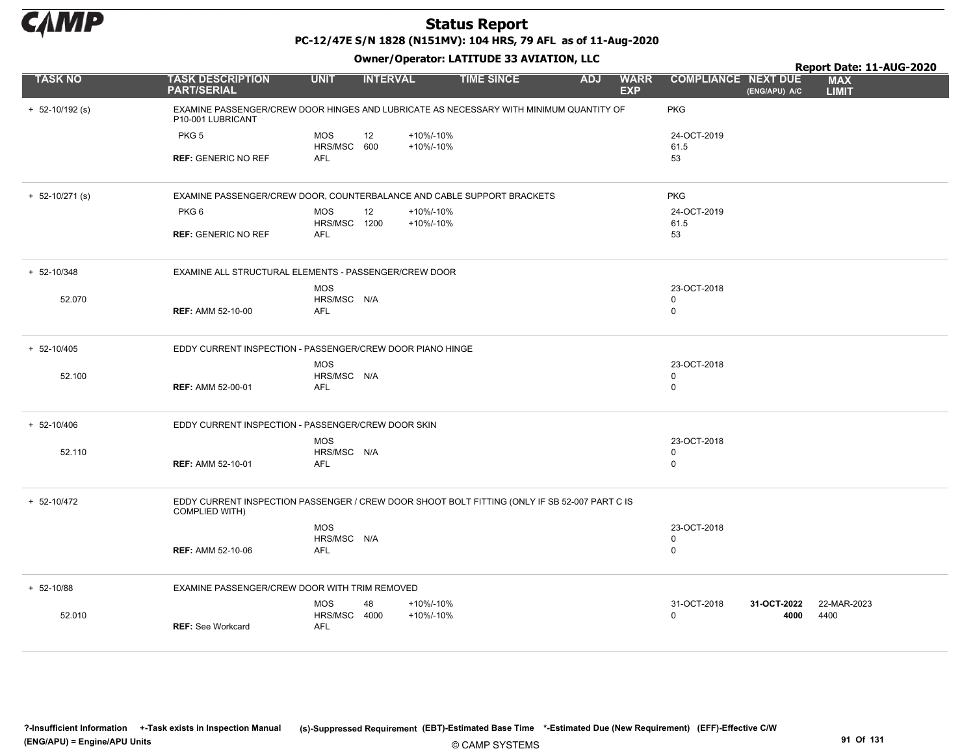

PC-12/47E S/N 1828 (N151MV): 104 HRS, 79 AFL as of 11-Aug-2020

|                     |                                                                                                                        |                            |                 |           | Owner/Operator: LATITUDE 33 AVIATION, LLC |            |                           |                            |               | Report Date: 11-AUG-2020   |
|---------------------|------------------------------------------------------------------------------------------------------------------------|----------------------------|-----------------|-----------|-------------------------------------------|------------|---------------------------|----------------------------|---------------|----------------------------|
| <b>TASK NO</b>      | <b>TASK DESCRIPTION</b><br><b>PART/SERIAL</b>                                                                          | <b>UNIT</b>                | <b>INTERVAL</b> |           | <b>TIME SINCE</b>                         | <b>ADJ</b> | <b>WARR</b><br><b>EXP</b> | <b>COMPLIANCE NEXT DUE</b> | (ENG/APU) A/C | <b>MAX</b><br><b>LIMIT</b> |
| $+ 52 - 10/192$ (s) | EXAMINE PASSENGER/CREW DOOR HINGES AND LUBRICATE AS NECESSARY WITH MINIMUM QUANTITY OF<br>P10-001 LUBRICANT            |                            |                 |           |                                           |            |                           | <b>PKG</b>                 |               |                            |
|                     | PKG <sub>5</sub>                                                                                                       | <b>MOS</b>                 | 12              | +10%/-10% |                                           |            |                           | 24-OCT-2019                |               |                            |
|                     |                                                                                                                        | HRS/MSC 600<br><b>AFL</b>  |                 | +10%/-10% |                                           |            |                           | 61.5                       |               |                            |
|                     | <b>REF: GENERIC NO REF</b>                                                                                             |                            |                 |           |                                           |            |                           | 53                         |               |                            |
| $+ 52 - 10/271$ (s) | EXAMINE PASSENGER/CREW DOOR, COUNTERBALANCE AND CABLE SUPPORT BRACKETS                                                 |                            |                 |           |                                           |            |                           | <b>PKG</b>                 |               |                            |
|                     | PKG <sub>6</sub>                                                                                                       | <b>MOS</b>                 | 12              | +10%/-10% |                                           |            |                           | 24-OCT-2019                |               |                            |
|                     | <b>REF: GENERIC NO REF</b>                                                                                             | HRS/MSC 1200<br><b>AFL</b> |                 | +10%/-10% |                                           |            |                           | 61.5<br>53                 |               |                            |
|                     |                                                                                                                        |                            |                 |           |                                           |            |                           |                            |               |                            |
| $+ 52 - 10/348$     | EXAMINE ALL STRUCTURAL ELEMENTS - PASSENGER/CREW DOOR                                                                  |                            |                 |           |                                           |            |                           |                            |               |                            |
|                     |                                                                                                                        | <b>MOS</b>                 |                 |           |                                           |            |                           | 23-OCT-2018                |               |                            |
| 52.070              | <b>REF: AMM 52-10-00</b>                                                                                               | HRS/MSC N/A<br>AFL         |                 |           |                                           |            |                           | 0<br>0                     |               |                            |
|                     |                                                                                                                        |                            |                 |           |                                           |            |                           |                            |               |                            |
| + 52-10/405         | EDDY CURRENT INSPECTION - PASSENGER/CREW DOOR PIANO HINGE                                                              |                            |                 |           |                                           |            |                           |                            |               |                            |
|                     |                                                                                                                        | <b>MOS</b>                 |                 |           |                                           |            |                           | 23-OCT-2018                |               |                            |
| 52.100              | <b>REF: AMM 52-00-01</b>                                                                                               | HRS/MSC N/A<br><b>AFL</b>  |                 |           |                                           |            |                           | 0<br>0                     |               |                            |
|                     |                                                                                                                        |                            |                 |           |                                           |            |                           |                            |               |                            |
| $+ 52 - 10/406$     | EDDY CURRENT INSPECTION - PASSENGER/CREW DOOR SKIN                                                                     |                            |                 |           |                                           |            |                           |                            |               |                            |
|                     |                                                                                                                        | <b>MOS</b>                 |                 |           |                                           |            |                           | 23-OCT-2018                |               |                            |
| 52.110              | <b>REF: AMM 52-10-01</b>                                                                                               | HRS/MSC N/A<br><b>AFL</b>  |                 |           |                                           |            |                           | 0<br>0                     |               |                            |
|                     |                                                                                                                        |                            |                 |           |                                           |            |                           |                            |               |                            |
| + 52-10/472         | EDDY CURRENT INSPECTION PASSENGER / CREW DOOR SHOOT BOLT FITTING (ONLY IF SB 52-007 PART C IS<br><b>COMPLIED WITH)</b> |                            |                 |           |                                           |            |                           |                            |               |                            |
|                     |                                                                                                                        | <b>MOS</b>                 |                 |           |                                           |            |                           | 23-OCT-2018                |               |                            |
|                     |                                                                                                                        | HRS/MSC N/A                |                 |           |                                           |            |                           | 0                          |               |                            |
|                     | <b>REF: AMM 52-10-06</b>                                                                                               | <b>AFL</b>                 |                 |           |                                           |            |                           | 0                          |               |                            |
| $+ 52 - 10/88$      | EXAMINE PASSENGER/CREW DOOR WITH TRIM REMOVED                                                                          |                            |                 |           |                                           |            |                           |                            |               |                            |
|                     |                                                                                                                        | <b>MOS</b>                 | 48              | +10%/-10% |                                           |            |                           | 31-OCT-2018                | 31-OCT-2022   | 22-MAR-2023                |
| 52.010              |                                                                                                                        | HRS/MSC 4000               |                 | +10%/-10% |                                           |            |                           | $\Omega$                   | 4000          | 4400                       |
|                     | <b>REF:</b> See Workcard                                                                                               | <b>AFL</b>                 |                 |           |                                           |            |                           |                            |               |                            |
|                     |                                                                                                                        |                            |                 |           |                                           |            |                           |                            |               |                            |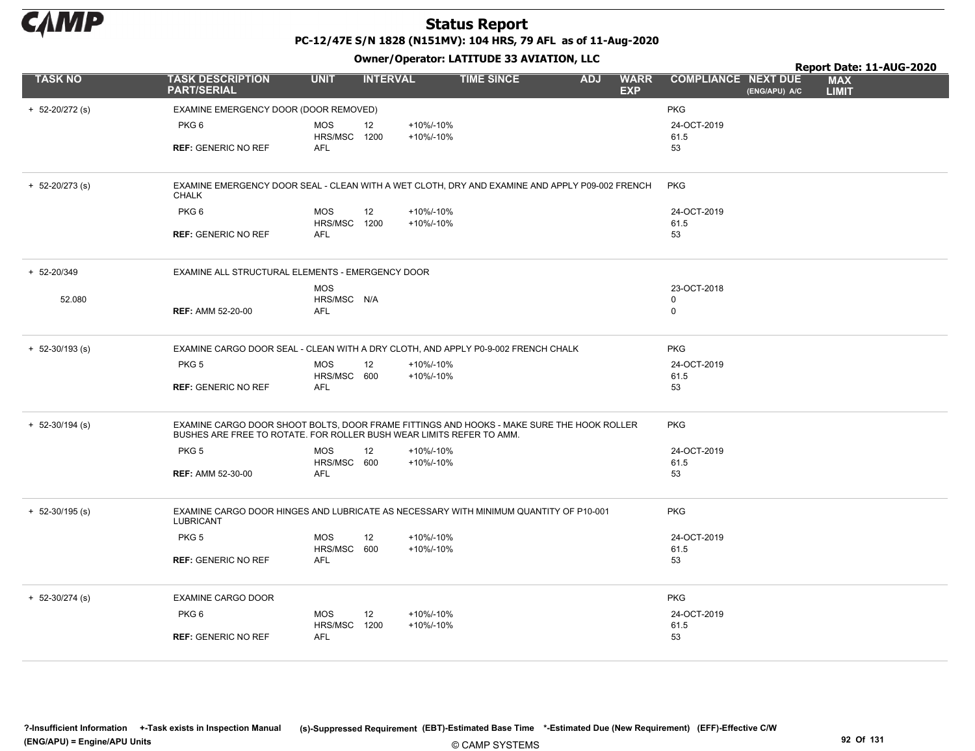

|                     |                                                                                                                                                                   |                            |                 |                | Owner/Operator. EATITODE 33 AVIATION, LLC | Report Date: 11-AUG-2020 |                           |                            |               |                            |
|---------------------|-------------------------------------------------------------------------------------------------------------------------------------------------------------------|----------------------------|-----------------|----------------|-------------------------------------------|--------------------------|---------------------------|----------------------------|---------------|----------------------------|
| <b>TASK NO</b>      | <b>TASK DESCRIPTION</b><br><b>PART/SERIAL</b>                                                                                                                     | <b>UNIT</b>                | <b>INTERVAL</b> |                | <b>TIME SINCE</b>                         | <b>ADJ</b>               | <b>WARR</b><br><b>EXP</b> | <b>COMPLIANCE NEXT DUE</b> | (ENG/APU) A/C | <b>MAX</b><br><b>LIMIT</b> |
| $+ 52 - 20/272$ (s) | EXAMINE EMERGENCY DOOR (DOOR REMOVED)                                                                                                                             |                            |                 |                |                                           |                          |                           | <b>PKG</b>                 |               |                            |
|                     | PKG 6                                                                                                                                                             | <b>MOS</b>                 | 12              | +10%/-10%      |                                           |                          |                           | 24-OCT-2019                |               |                            |
|                     | <b>REF: GENERIC NO REF</b>                                                                                                                                        | HRS/MSC 1200<br><b>AFL</b> |                 | +10%/-10%      |                                           |                          |                           | 61.5<br>53                 |               |                            |
|                     |                                                                                                                                                                   |                            |                 |                |                                           |                          |                           |                            |               |                            |
| $+ 52 - 20/273$ (s) | EXAMINE EMERGENCY DOOR SEAL - CLEAN WITH A WET CLOTH, DRY AND EXAMINE AND APPLY P09-002 FRENCH<br><b>CHALK</b>                                                    |                            |                 |                |                                           |                          |                           | <b>PKG</b>                 |               |                            |
|                     | PKG <sub>6</sub>                                                                                                                                                  | <b>MOS</b>                 | 12              | +10%/-10%      |                                           |                          |                           | 24-OCT-2019                |               |                            |
|                     | <b>REF: GENERIC NO REF</b>                                                                                                                                        | HRS/MSC<br>AFL             | 1200            | +10%/-10%      |                                           |                          |                           | 61.5<br>53                 |               |                            |
|                     |                                                                                                                                                                   |                            |                 |                |                                           |                          |                           |                            |               |                            |
| + 52-20/349         | EXAMINE ALL STRUCTURAL ELEMENTS - EMERGENCY DOOR                                                                                                                  |                            |                 |                |                                           |                          |                           |                            |               |                            |
|                     |                                                                                                                                                                   | <b>MOS</b>                 |                 |                |                                           |                          |                           | 23-OCT-2018                |               |                            |
| 52.080              | <b>REF: AMM 52-20-00</b>                                                                                                                                          | HRS/MSC N/A<br><b>AFL</b>  |                 |                |                                           |                          |                           | $\mathbf 0$<br>$\mathbf 0$ |               |                            |
|                     |                                                                                                                                                                   |                            |                 |                |                                           |                          |                           |                            |               |                            |
| $+ 52 - 30/193$ (s) | EXAMINE CARGO DOOR SEAL - CLEAN WITH A DRY CLOTH, AND APPLY P0-9-002 FRENCH CHALK                                                                                 |                            |                 |                |                                           |                          |                           | <b>PKG</b>                 |               |                            |
|                     | PKG <sub>5</sub>                                                                                                                                                  | <b>MOS</b>                 | 12              | +10%/-10%      |                                           |                          |                           | 24-OCT-2019                |               |                            |
|                     | <b>REF: GENERIC NO REF</b>                                                                                                                                        | HRS/MSC 600<br>AFL         |                 | +10%/-10%      |                                           |                          |                           | 61.5<br>53                 |               |                            |
|                     |                                                                                                                                                                   |                            |                 |                |                                           |                          |                           |                            |               |                            |
| $+ 52 - 30/194$ (s) | EXAMINE CARGO DOOR SHOOT BOLTS, DOOR FRAME FITTINGS AND HOOKS - MAKE SURE THE HOOK ROLLER<br>BUSHES ARE FREE TO ROTATE. FOR ROLLER BUSH WEAR LIMITS REFER TO AMM. |                            |                 |                |                                           |                          |                           | <b>PKG</b>                 |               |                            |
|                     | PKG <sub>5</sub>                                                                                                                                                  | <b>MOS</b>                 | 12              | +10%/-10%      |                                           |                          |                           | 24-OCT-2019                |               |                            |
|                     |                                                                                                                                                                   | HRS/MSC 600                |                 | +10%/-10%      |                                           |                          |                           | 61.5                       |               |                            |
|                     | <b>REF: AMM 52-30-00</b>                                                                                                                                          | AFL                        |                 |                |                                           |                          |                           | 53                         |               |                            |
| $+ 52 - 30/195$ (s) | EXAMINE CARGO DOOR HINGES AND LUBRICATE AS NECESSARY WITH MINIMUM QUANTITY OF P10-001<br>LUBRICANT                                                                |                            |                 |                |                                           |                          |                           | <b>PKG</b>                 |               |                            |
|                     | PKG <sub>5</sub>                                                                                                                                                  | <b>MOS</b>                 | 12              | +10%/-10%      |                                           |                          |                           | 24-OCT-2019                |               |                            |
|                     |                                                                                                                                                                   | HRS/MSC 600                |                 | +10%/-10%      |                                           |                          |                           | 61.5                       |               |                            |
|                     | <b>REF: GENERIC NO REF</b>                                                                                                                                        | <b>AFL</b>                 |                 |                |                                           |                          |                           | 53                         |               |                            |
| $+ 52 - 30/274$ (s) | EXAMINE CARGO DOOR                                                                                                                                                |                            |                 |                |                                           |                          |                           | <b>PKG</b>                 |               |                            |
|                     | PKG 6                                                                                                                                                             | <b>MOS</b>                 | 12              | $+10\% - 10\%$ |                                           |                          |                           | 24-OCT-2019                |               |                            |
|                     |                                                                                                                                                                   | HRS/MSC                    | 1200            | +10%/-10%      |                                           |                          |                           | 61.5                       |               |                            |
|                     | <b>REF: GENERIC NO REF</b>                                                                                                                                        | AFL                        |                 |                |                                           |                          |                           | 53                         |               |                            |
|                     |                                                                                                                                                                   |                            |                 |                |                                           |                          |                           |                            |               |                            |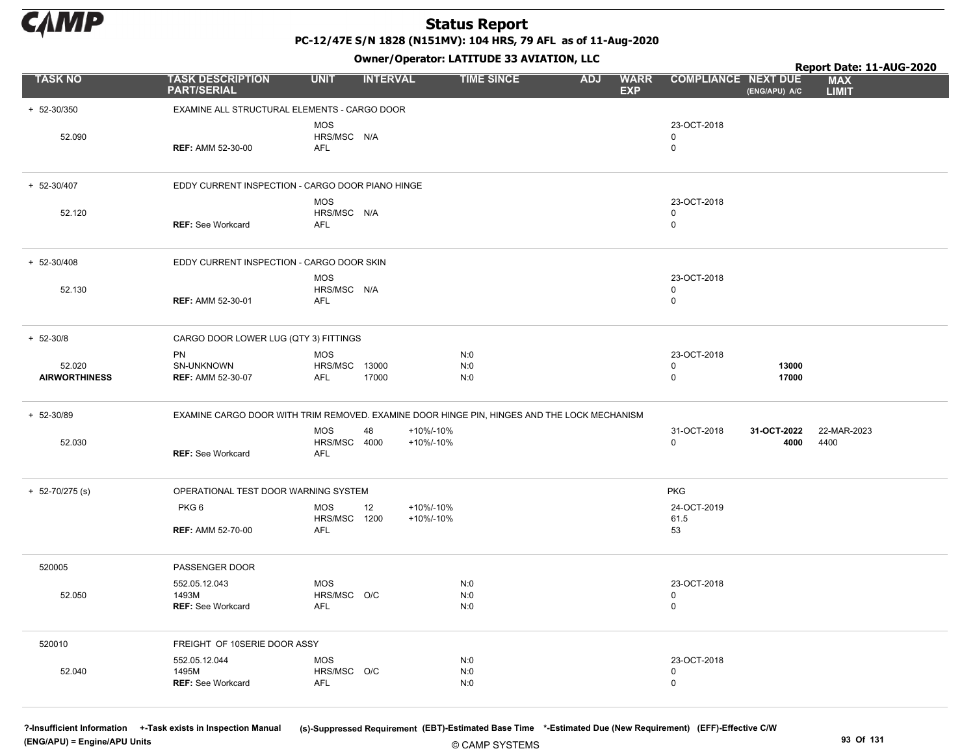

PC-12/47E S/N 1828 (N151MV): 104 HRS, 79 AFL as of 11-Aug-2020

Owner/Operator: LATITUDE 33 AVIATION, LLC

|                                |                                                                                             |                                         |                              | Owner/Operator. EATITODE 33 AVIATION, LLC |            |                           |                                           |                     | Report Date: 11-AUG-2020   |
|--------------------------------|---------------------------------------------------------------------------------------------|-----------------------------------------|------------------------------|-------------------------------------------|------------|---------------------------|-------------------------------------------|---------------------|----------------------------|
| <b>TASK NO</b>                 | <b>TASK DESCRIPTION</b><br><b>PART/SERIAL</b>                                               | <b>UNIT</b>                             | <b>INTERVAL</b>              | <b>TIME SINCE</b>                         | <b>ADJ</b> | <b>WARR</b><br><b>EXP</b> | <b>COMPLIANCE NEXT DUE</b>                | (ENG/APU) A/C       | <b>MAX</b><br><b>LIMIT</b> |
| + 52-30/350                    | EXAMINE ALL STRUCTURAL ELEMENTS - CARGO DOOR                                                |                                         |                              |                                           |            |                           |                                           |                     |                            |
| 52.090                         | <b>REF: AMM 52-30-00</b>                                                                    | <b>MOS</b><br>HRS/MSC N/A<br>AFL        |                              |                                           |            |                           | 23-OCT-2018<br>$\mathbf 0$<br>$\mathsf 0$ |                     |                            |
| + 52-30/407                    | EDDY CURRENT INSPECTION - CARGO DOOR PIANO HINGE                                            |                                         |                              |                                           |            |                           |                                           |                     |                            |
| 52.120                         | <b>REF: See Workcard</b>                                                                    | <b>MOS</b><br>HRS/MSC N/A<br><b>AFL</b> |                              |                                           |            |                           | 23-OCT-2018<br>$\mathbf 0$<br>$\mathbf 0$ |                     |                            |
| + 52-30/408                    | EDDY CURRENT INSPECTION - CARGO DOOR SKIN                                                   |                                         |                              |                                           |            |                           |                                           |                     |                            |
| 52.130                         | <b>REF: AMM 52-30-01</b>                                                                    | <b>MOS</b><br>HRS/MSC N/A<br>AFL        |                              |                                           |            |                           | 23-OCT-2018<br>$\mathbf 0$<br>$\mathbf 0$ |                     |                            |
| $+ 52 - 30/8$                  | CARGO DOOR LOWER LUG (QTY 3) FITTINGS                                                       |                                         |                              |                                           |            |                           |                                           |                     |                            |
| 52.020<br><b>AIRWORTHINESS</b> | PN<br>SN-UNKNOWN<br><b>REF: AMM 52-30-07</b>                                                | <b>MOS</b><br>HRS/MSC 13000<br>AFL      | 17000                        | N:0<br>N:0<br>N:0                         |            |                           | 23-OCT-2018<br>$\mathsf 0$<br>$\mathbf 0$ | 13000<br>17000      |                            |
| $+ 52 - 30/89$                 | EXAMINE CARGO DOOR WITH TRIM REMOVED. EXAMINE DOOR HINGE PIN, HINGES AND THE LOCK MECHANISM |                                         |                              |                                           |            |                           |                                           |                     |                            |
| 52.030                         | <b>REF: See Workcard</b>                                                                    | <b>MOS</b><br>HRS/MSC 4000<br>AFL       | +10%/-10%<br>48<br>+10%/-10% |                                           |            |                           | 31-OCT-2018<br>$\Omega$                   | 31-OCT-2022<br>4000 | 22-MAR-2023<br>4400        |
| $+ 52 - 70/275$ (s)            | OPERATIONAL TEST DOOR WARNING SYSTEM                                                        |                                         |                              |                                           |            |                           | <b>PKG</b>                                |                     |                            |
|                                | PKG <sub>6</sub>                                                                            | <b>MOS</b><br>HRS/MSC 1200              | +10%/-10%<br>12<br>+10%/-10% |                                           |            |                           | 24-OCT-2019<br>61.5                       |                     |                            |
|                                | <b>REF: AMM 52-70-00</b>                                                                    | AFL                                     |                              |                                           |            |                           | 53                                        |                     |                            |
| 520005                         | PASSENGER DOOR                                                                              |                                         |                              |                                           |            |                           |                                           |                     |                            |
| 52.050                         | 552.05.12.043<br>1493M<br><b>REF: See Workcard</b>                                          | <b>MOS</b><br>HRS/MSC O/C<br>AFL        |                              | N:0<br>N:0<br>N:0                         |            |                           | 23-OCT-2018<br>$\mathbf 0$<br>$\mathbf 0$ |                     |                            |
| 520010                         | FREIGHT OF 10SERIE DOOR ASSY                                                                |                                         |                              |                                           |            |                           |                                           |                     |                            |
| 52.040                         | 552.05.12.044<br>1495M<br>REF: See Workcard                                                 | <b>MOS</b><br>HRS/MSC O/C<br>AFL        |                              | N:0<br>N:0<br>N:0                         |            |                           | 23-OCT-2018<br>$\mathbf 0$<br>$\mathbf 0$ |                     |                            |

?-Insufficient Information +-Task exists in Inspection Manual (s)-Suppressed Requirement (EBT)-Estimated Base Time \*-Estimated Due (New Requirement) (EFF)-Effective C/W (ENG/APU) = Engine/APU Units 93 Of 131

© CAMP SYSTEMS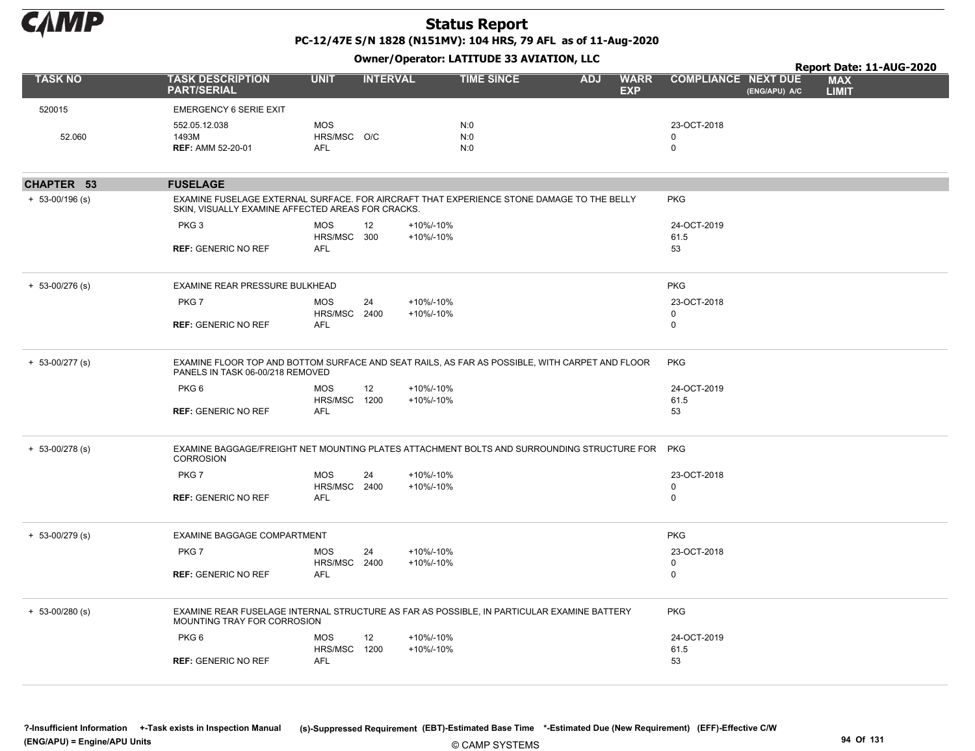

PC-12/47E S/N 1828 (N151MV): 104 HRS, 79 AFL as of 11-Aug-2020 Owner/Operator: LATITUDE 33 AVIATION, LLC

|                     |                                                                                                                                                |                                         |                 |                        | Owner, Operator: LATITODE 33 AVIATION, LEC |            | Report Date: 11-AUG-2020  |                                 |               |                            |  |
|---------------------|------------------------------------------------------------------------------------------------------------------------------------------------|-----------------------------------------|-----------------|------------------------|--------------------------------------------|------------|---------------------------|---------------------------------|---------------|----------------------------|--|
| <b>TASK NO</b>      | <b>TASK DESCRIPTION</b><br><b>PART/SERIAL</b>                                                                                                  | <b>UNIT</b>                             | <b>INTERVAL</b> |                        | <b>TIME SINCE</b>                          | <b>ADJ</b> | <b>WARR</b><br><b>EXP</b> | <b>COMPLIANCE NEXT DUE</b>      | (ENG/APU) A/C | <b>MAX</b><br><b>LIMIT</b> |  |
| 520015              | <b>EMERGENCY 6 SERIE EXIT</b>                                                                                                                  |                                         |                 |                        |                                            |            |                           |                                 |               |                            |  |
| 52.060              | 552.05.12.038<br>1493M<br><b>REF: AMM 52-20-01</b>                                                                                             | <b>MOS</b><br>HRS/MSC O/C<br><b>AFL</b> |                 |                        | N:0<br>N:0<br>N:0                          |            |                           | 23-OCT-2018<br>0<br>$\mathbf 0$ |               |                            |  |
| CHAPTER 53          | <b>FUSELAGE</b>                                                                                                                                |                                         |                 |                        |                                            |            |                           |                                 |               |                            |  |
| $+ 53 - 00/196$ (s) | EXAMINE FUSELAGE EXTERNAL SURFACE. FOR AIRCRAFT THAT EXPERIENCE STONE DAMAGE TO THE BELLY<br>SKIN, VISUALLY EXAMINE AFFECTED AREAS FOR CRACKS. |                                         |                 |                        |                                            |            |                           | <b>PKG</b>                      |               |                            |  |
|                     | PKG <sub>3</sub><br><b>REF: GENERIC NO REF</b>                                                                                                 | <b>MOS</b><br>HRS/MSC 300<br><b>AFL</b> | 12              | +10%/-10%<br>+10%/-10% |                                            |            |                           | 24-OCT-2019<br>61.5<br>53       |               |                            |  |
|                     |                                                                                                                                                |                                         |                 |                        |                                            |            |                           |                                 |               |                            |  |
| $+ 53 - 00/276$ (s) | EXAMINE REAR PRESSURE BULKHEAD                                                                                                                 |                                         |                 |                        |                                            |            |                           | <b>PKG</b>                      |               |                            |  |
|                     | PKG7                                                                                                                                           | <b>MOS</b><br>HRS/MSC 2400              | 24              | +10%/-10%<br>+10%/-10% |                                            |            |                           | 23-OCT-2018<br>$\mathbf 0$      |               |                            |  |
|                     | <b>REF: GENERIC NO REF</b>                                                                                                                     | <b>AFL</b>                              |                 |                        |                                            |            |                           | $\mathbf 0$                     |               |                            |  |
| $+ 53 - 00/277$ (s) | EXAMINE FLOOR TOP AND BOTTOM SURFACE AND SEAT RAILS, AS FAR AS POSSIBLE, WITH CARPET AND FLOOR<br>PANELS IN TASK 06-00/218 REMOVED             |                                         |                 |                        |                                            |            |                           | <b>PKG</b>                      |               |                            |  |
|                     | PKG 6                                                                                                                                          | <b>MOS</b>                              | 12              | +10%/-10%              |                                            |            |                           | 24-OCT-2019                     |               |                            |  |
|                     | <b>REF: GENERIC NO REF</b>                                                                                                                     | HRS/MSC 1200<br><b>AFL</b>              |                 | +10%/-10%              |                                            |            |                           | 61.5<br>53                      |               |                            |  |
| $+ 53 - 00/278$ (s) | EXAMINE BAGGAGE/FREIGHT NET MOUNTING PLATES ATTACHMENT BOLTS AND SURROUNDING STRUCTURE FOR<br><b>CORROSION</b>                                 |                                         |                 |                        |                                            |            |                           | <b>PKG</b>                      |               |                            |  |
|                     | PKG7                                                                                                                                           | <b>MOS</b>                              | 24              | +10%/-10%              |                                            |            |                           | 23-OCT-2018                     |               |                            |  |
|                     | <b>REF: GENERIC NO REF</b>                                                                                                                     | HRS/MSC 2400<br><b>AFL</b>              |                 | +10%/-10%              |                                            |            |                           | $\mathbf 0$<br>$\Omega$         |               |                            |  |
| $+ 53 - 00/279$ (s) | EXAMINE BAGGAGE COMPARTMENT                                                                                                                    |                                         |                 |                        |                                            |            |                           | <b>PKG</b>                      |               |                            |  |
|                     | PKG7                                                                                                                                           | <b>MOS</b><br>HRS/MSC 2400              | 24              | +10%/-10%<br>+10%/-10% |                                            |            |                           | 23-OCT-2018<br>$\mathbf 0$      |               |                            |  |
|                     | <b>REF: GENERIC NO REF</b>                                                                                                                     | <b>AFL</b>                              |                 |                        |                                            |            |                           | $\mathbf 0$                     |               |                            |  |
| $+ 53 - 00/280$ (s) | EXAMINE REAR FUSELAGE INTERNAL STRUCTURE AS FAR AS POSSIBLE, IN PARTICULAR EXAMINE BATTERY<br>MOUNTING TRAY FOR CORROSION                      |                                         |                 |                        |                                            |            |                           | <b>PKG</b>                      |               |                            |  |
|                     | PKG <sub>6</sub>                                                                                                                               | <b>MOS</b>                              | 12              | +10%/-10%              |                                            |            |                           | 24-OCT-2019                     |               |                            |  |
|                     | <b>REF: GENERIC NO REF</b>                                                                                                                     | HRS/MSC 1200<br><b>AFL</b>              |                 | +10%/-10%              |                                            |            |                           | 61.5<br>53                      |               |                            |  |
|                     |                                                                                                                                                |                                         |                 |                        |                                            |            |                           |                                 |               |                            |  |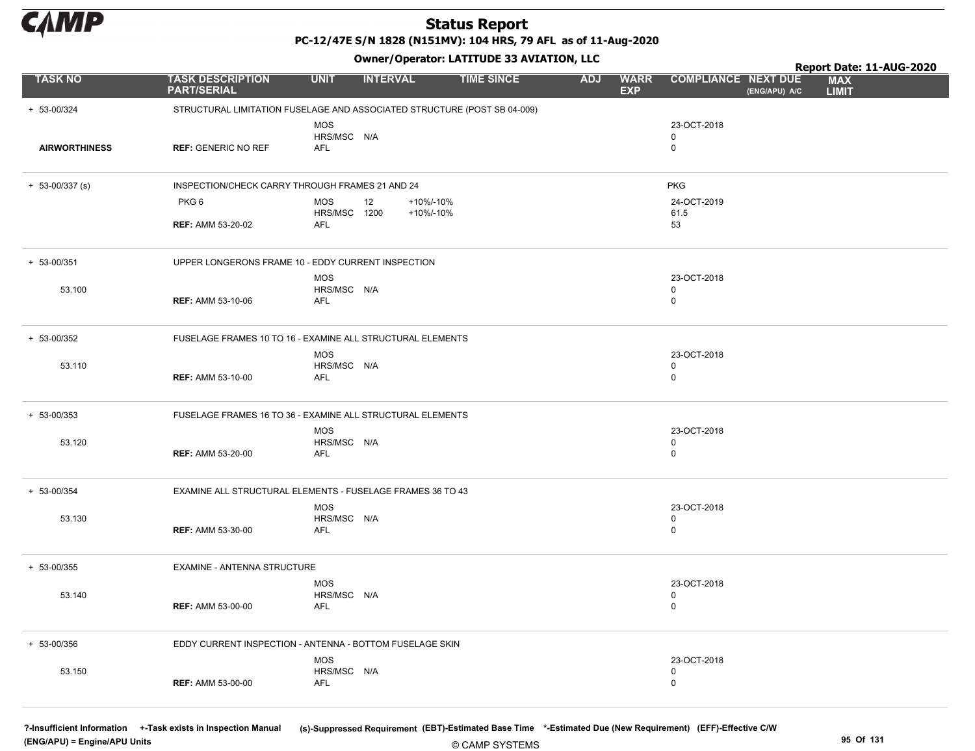

PC-12/47E S/N 1828 (N151MV): 104 HRS, 79 AFL as of 11-Aug-2020

Owner/Operator: LATITUDE 33 AVIATION, LLC

|                      |                                                                          |                                          |                 | Owner/Operator. EATITODE 33 AVIATION, LLC |                   |            |                           | Report Date: 11-AUG-2020                  |               |                            |
|----------------------|--------------------------------------------------------------------------|------------------------------------------|-----------------|-------------------------------------------|-------------------|------------|---------------------------|-------------------------------------------|---------------|----------------------------|
| <b>TASK NO</b>       | <b>TASK DESCRIPTION</b><br><b>PART/SERIAL</b>                            | <b>UNIT</b>                              | <b>INTERVAL</b> |                                           | <b>TIME SINCE</b> | <b>ADJ</b> | <b>WARR</b><br><b>EXP</b> | <b>COMPLIANCE NEXT DUE</b>                | (ENG/APU) A/C | <b>MAX</b><br><b>LIMIT</b> |
| + 53-00/324          | STRUCTURAL LIMITATION FUSELAGE AND ASSOCIATED STRUCTURE (POST SB 04-009) |                                          |                 |                                           |                   |            |                           |                                           |               |                            |
| <b>AIRWORTHINESS</b> | <b>REF: GENERIC NO REF</b>                                               | <b>MOS</b><br>HRS/MSC N/A<br>AFL         |                 |                                           |                   |            |                           | 23-OCT-2018<br>$\mathbf 0$<br>$\mathsf 0$ |               |                            |
| $+ 53 - 00/337$ (s)  | INSPECTION/CHECK CARRY THROUGH FRAMES 21 AND 24                          |                                          |                 |                                           |                   |            |                           | <b>PKG</b>                                |               |                            |
|                      | PKG6<br><b>REF: AMM 53-20-02</b>                                         | <b>MOS</b><br><b>HRS/MSC 1200</b><br>AFL | 12              | +10%/-10%<br>+10%/-10%                    |                   |            |                           | 24-OCT-2019<br>61.5<br>53                 |               |                            |
| $+ 53 - 00/351$      | UPPER LONGERONS FRAME 10 - EDDY CURRENT INSPECTION                       |                                          |                 |                                           |                   |            |                           |                                           |               |                            |
| 53.100               | <b>REF: AMM 53-10-06</b>                                                 | <b>MOS</b><br>HRS/MSC N/A<br>AFL         |                 |                                           |                   |            |                           | 23-OCT-2018<br>$\mathsf 0$<br>$\mathbf 0$ |               |                            |
| + 53-00/352          | FUSELAGE FRAMES 10 TO 16 - EXAMINE ALL STRUCTURAL ELEMENTS               |                                          |                 |                                           |                   |            |                           |                                           |               |                            |
| 53.110               | <b>REF: AMM 53-10-00</b>                                                 | <b>MOS</b><br>HRS/MSC N/A<br><b>AFL</b>  |                 |                                           |                   |            |                           | 23-OCT-2018<br>$\mathbf 0$<br>$\mathbf 0$ |               |                            |
| $+ 53 - 00/353$      | FUSELAGE FRAMES 16 TO 36 - EXAMINE ALL STRUCTURAL ELEMENTS               |                                          |                 |                                           |                   |            |                           |                                           |               |                            |
| 53.120               | <b>REF: AMM 53-20-00</b>                                                 | <b>MOS</b><br>HRS/MSC N/A<br>AFL         |                 |                                           |                   |            |                           | 23-OCT-2018<br>$\mathbf 0$<br>$\mathbf 0$ |               |                            |
| + 53-00/354          | EXAMINE ALL STRUCTURAL ELEMENTS - FUSELAGE FRAMES 36 TO 43               |                                          |                 |                                           |                   |            |                           |                                           |               |                            |
| 53.130               | <b>REF: AMM 53-30-00</b>                                                 | <b>MOS</b><br>HRS/MSC N/A<br><b>AFL</b>  |                 |                                           |                   |            |                           | 23-OCT-2018<br>$\mathsf 0$<br>$\mathbf 0$ |               |                            |
| + 53-00/355          | EXAMINE - ANTENNA STRUCTURE                                              |                                          |                 |                                           |                   |            |                           |                                           |               |                            |
| 53.140               | <b>REF: AMM 53-00-00</b>                                                 | <b>MOS</b><br>HRS/MSC N/A<br>AFL         |                 |                                           |                   |            |                           | 23-OCT-2018<br>$\mathbf 0$<br>$\pmb{0}$   |               |                            |
| + 53-00/356          | EDDY CURRENT INSPECTION - ANTENNA - BOTTOM FUSELAGE SKIN                 |                                          |                 |                                           |                   |            |                           |                                           |               |                            |
| 53.150               | <b>REF: AMM 53-00-00</b>                                                 | <b>MOS</b><br>HRS/MSC N/A<br>AFL         |                 |                                           |                   |            |                           | 23-OCT-2018<br>$\mathbf 0$<br>$\mathbf 0$ |               |                            |

(ENG/APU) = Engine/APU Units 95 Of 131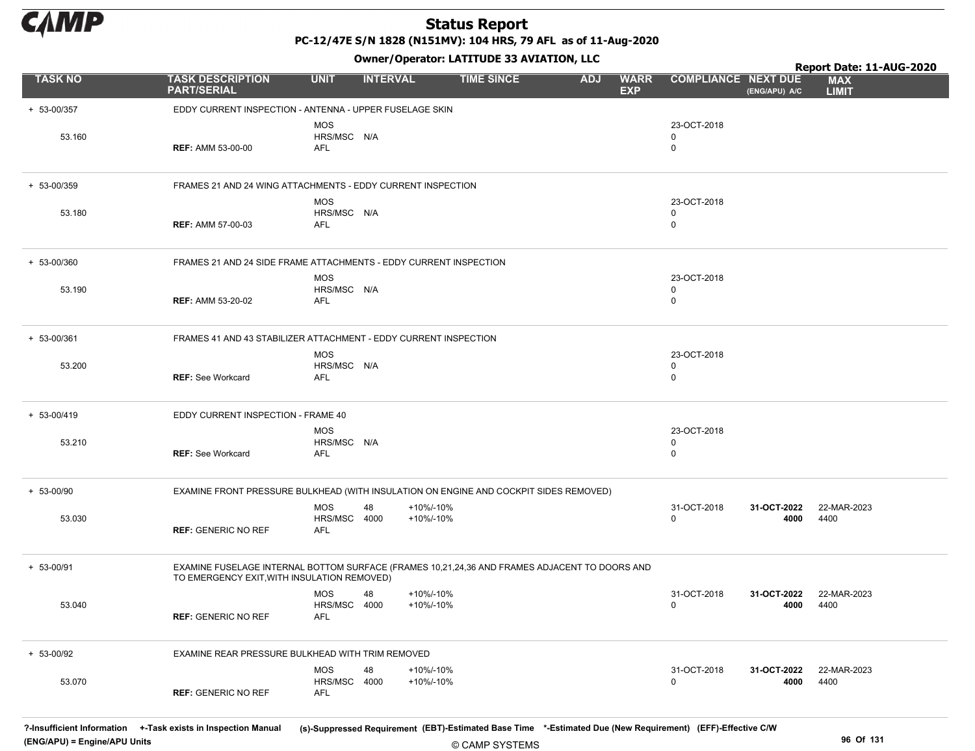

PC-12/47E S/N 1828 (N151MV): 104 HRS, 79 AFL as of 11-Aug-2020

Owner/Operator: LATITUDE 33 AVIATION, LLC

|                 |                                                                                                                                              |                                         |                 |                        | Owner, Operator. EXTERDED 33 AVIATION, LEC |            |                           |                                 |                     | Report Date: 11-AUG-2020   |
|-----------------|----------------------------------------------------------------------------------------------------------------------------------------------|-----------------------------------------|-----------------|------------------------|--------------------------------------------|------------|---------------------------|---------------------------------|---------------------|----------------------------|
| <b>TASK NO</b>  | <b>TASK DESCRIPTION</b><br><b>PART/SERIAL</b>                                                                                                | <b>UNIT</b>                             | <b>INTERVAL</b> |                        | <b>TIME SINCE</b>                          | <b>ADJ</b> | <b>WARR</b><br><b>EXP</b> | <b>COMPLIANCE NEXT DUE</b>      | (ENG/APU) A/C       | <b>MAX</b><br><b>LIMIT</b> |
| + 53-00/357     | EDDY CURRENT INSPECTION - ANTENNA - UPPER FUSELAGE SKIN                                                                                      |                                         |                 |                        |                                            |            |                           |                                 |                     |                            |
| 53.160          | <b>REF: AMM 53-00-00</b>                                                                                                                     | <b>MOS</b><br>HRS/MSC N/A<br><b>AFL</b> |                 |                        |                                            |            |                           | 23-OCT-2018<br>0<br>$\mathbf 0$ |                     |                            |
| + 53-00/359     | FRAMES 21 AND 24 WING ATTACHMENTS - EDDY CURRENT INSPECTION                                                                                  |                                         |                 |                        |                                            |            |                           |                                 |                     |                            |
| 53.180          | <b>REF: AMM 57-00-03</b>                                                                                                                     | <b>MOS</b><br>HRS/MSC N/A<br>AFL        |                 |                        |                                            |            |                           | 23-OCT-2018<br>0<br>0           |                     |                            |
| + 53-00/360     | FRAMES 21 AND 24 SIDE FRAME ATTACHMENTS - EDDY CURRENT INSPECTION                                                                            |                                         |                 |                        |                                            |            |                           |                                 |                     |                            |
| 53.190          | <b>REF: AMM 53-20-02</b>                                                                                                                     | <b>MOS</b><br>HRS/MSC N/A<br>AFL        |                 |                        |                                            |            |                           | 23-OCT-2018<br>0<br>0           |                     |                            |
| + 53-00/361     | FRAMES 41 AND 43 STABILIZER ATTACHMENT - EDDY CURRENT INSPECTION                                                                             |                                         |                 |                        |                                            |            |                           |                                 |                     |                            |
| 53.200          | <b>REF: See Workcard</b>                                                                                                                     | <b>MOS</b><br>HRS/MSC N/A<br>AFL        |                 |                        |                                            |            |                           | 23-OCT-2018<br>0<br>$\mathbf 0$ |                     |                            |
| $+ 53 - 00/419$ | EDDY CURRENT INSPECTION - FRAME 40                                                                                                           |                                         |                 |                        |                                            |            |                           |                                 |                     |                            |
| 53.210          | <b>REF: See Workcard</b>                                                                                                                     | <b>MOS</b><br>HRS/MSC N/A<br>AFL        |                 |                        |                                            |            |                           | 23-OCT-2018<br>0<br>$\mathbf 0$ |                     |                            |
| $+ 53 - 00/90$  | EXAMINE FRONT PRESSURE BULKHEAD (WITH INSULATION ON ENGINE AND COCKPIT SIDES REMOVED)                                                        |                                         |                 |                        |                                            |            |                           |                                 |                     |                            |
| 53.030          | <b>REF: GENERIC NO REF</b>                                                                                                                   | <b>MOS</b><br>HRS/MSC 4000<br>AFL       | 48              | +10%/-10%<br>+10%/-10% |                                            |            |                           | 31-OCT-2018<br>0                | 31-OCT-2022<br>4000 | 22-MAR-2023<br>4400        |
| $+ 53 - 00/91$  | EXAMINE FUSELAGE INTERNAL BOTTOM SURFACE (FRAMES 10,21,24,36 AND FRAMES ADJACENT TO DOORS AND<br>TO EMERGENCY EXIT, WITH INSULATION REMOVED) |                                         |                 |                        |                                            |            |                           |                                 |                     |                            |
| 53.040          | <b>REF: GENERIC NO REF</b>                                                                                                                   | <b>MOS</b><br>HRS/MSC 4000<br>AFL       | 48              | +10%/-10%<br>+10%/-10% |                                            |            |                           | 31-OCT-2018<br>$\mathbf 0$      | 31-OCT-2022<br>4000 | 22-MAR-2023<br>4400        |
| + 53-00/92      | EXAMINE REAR PRESSURE BULKHEAD WITH TRIM REMOVED                                                                                             |                                         |                 |                        |                                            |            |                           |                                 |                     |                            |
| 53.070          | <b>REF: GENERIC NO REF</b>                                                                                                                   | <b>MOS</b><br>HRS/MSC 4000<br>AFL       | 48              | +10%/-10%<br>+10%/-10% |                                            |            |                           | 31-OCT-2018<br>$\mathbf 0$      | 31-OCT-2022<br>4000 | 22-MAR-2023<br>4400        |

© CAMP SYSTEMS ?-Insufficient Information +-Task exists in Inspection Manual (s)-Suppressed Requirement (EBT)-Estimated Base Time \*-Estimated Due (New Requirement) (EFF)-Effective C/W (ENG/APU) = Engine/APU Units 96 Of 131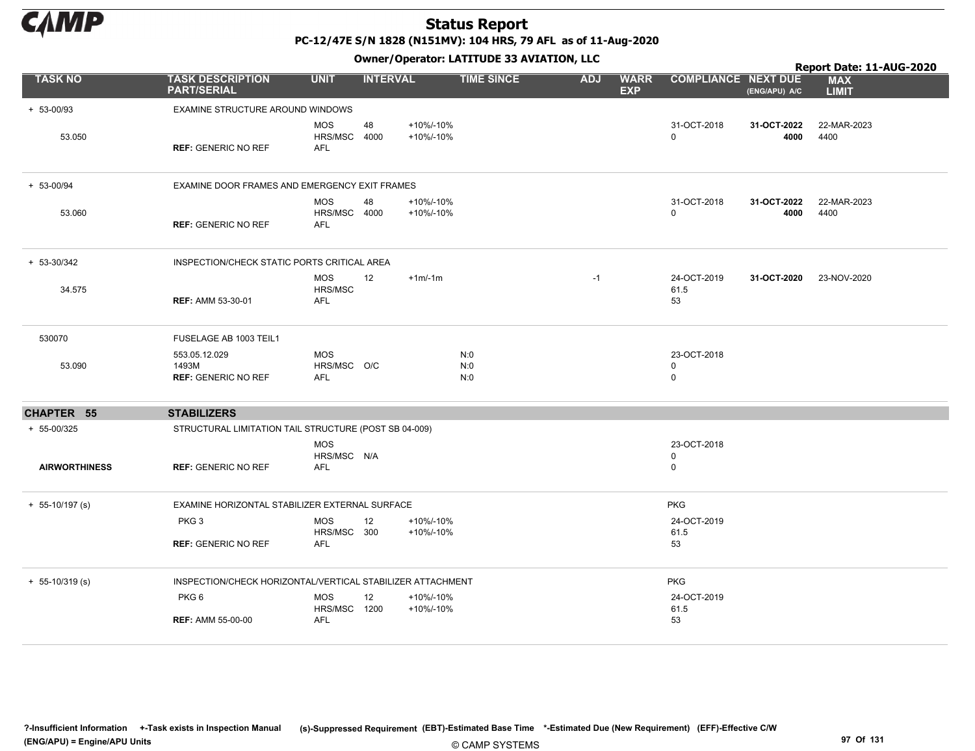

PC-12/47E S/N 1828 (N151MV): 104 HRS, 79 AFL as of 11-Aug-2020

|                      |                                                            |                                          |                 |                        | Owner/Operator. EATITODE 33 AVIATION, LLC |            |                           |                            | Report Date: 11-AUG-2020 |                            |  |
|----------------------|------------------------------------------------------------|------------------------------------------|-----------------|------------------------|-------------------------------------------|------------|---------------------------|----------------------------|--------------------------|----------------------------|--|
| <b>TASK NO</b>       | <b>TASK DESCRIPTION</b><br><b>PART/SERIAL</b>              | <b>UNIT</b>                              | <b>INTERVAL</b> |                        | <b>TIME SINCE</b>                         | <b>ADJ</b> | <b>WARR</b><br><b>EXP</b> | <b>COMPLIANCE NEXT DUE</b> | (ENG/APU) A/C            | <b>MAX</b><br><b>LIMIT</b> |  |
| + 53-00/93           | EXAMINE STRUCTURE AROUND WINDOWS                           |                                          |                 |                        |                                           |            |                           |                            |                          |                            |  |
| 53.050               | <b>REF: GENERIC NO REF</b>                                 | <b>MOS</b><br>HRS/MSC 4000<br><b>AFL</b> | 48              | +10%/-10%<br>+10%/-10% |                                           |            |                           | 31-OCT-2018<br>0           | 31-OCT-2022<br>4000      | 22-MAR-2023<br>4400        |  |
| + 53-00/94           | EXAMINE DOOR FRAMES AND EMERGENCY EXIT FRAMES              |                                          |                 |                        |                                           |            |                           |                            |                          |                            |  |
| 53.060               | <b>REF: GENERIC NO REF</b>                                 | <b>MOS</b><br>HRS/MSC 4000<br><b>AFL</b> | 48              | +10%/-10%<br>+10%/-10% |                                           |            |                           | 31-OCT-2018<br>0           | 31-OCT-2022<br>4000      | 22-MAR-2023<br>4400        |  |
| + 53-30/342          | INSPECTION/CHECK STATIC PORTS CRITICAL AREA                |                                          |                 |                        |                                           |            |                           |                            |                          |                            |  |
| 34.575               | <b>REF: AMM 53-30-01</b>                                   | <b>MOS</b><br>HRS/MSC<br><b>AFL</b>      | 12              | $+1m/1m$               |                                           | $-1$       |                           | 24-OCT-2019<br>61.5<br>53  | 31-OCT-2020              | 23-NOV-2020                |  |
| 530070               | FUSELAGE AB 1003 TEIL1                                     |                                          |                 |                        |                                           |            |                           |                            |                          |                            |  |
| 53.090               | 553.05.12.029<br>1493M<br><b>REF: GENERIC NO REF</b>       | <b>MOS</b><br>HRS/MSC O/C<br>AFL         |                 |                        | N:0<br>N:0<br>N:0                         |            |                           | 23-OCT-2018<br>0<br>0      |                          |                            |  |
| CHAPTER 55           | <b>STABILIZERS</b>                                         |                                          |                 |                        |                                           |            |                           |                            |                          |                            |  |
| + 55-00/325          | STRUCTURAL LIMITATION TAIL STRUCTURE (POST SB 04-009)      |                                          |                 |                        |                                           |            |                           |                            |                          |                            |  |
| <b>AIRWORTHINESS</b> | <b>REF: GENERIC NO REF</b>                                 | <b>MOS</b><br>HRS/MSC N/A<br><b>AFL</b>  |                 |                        |                                           |            |                           | 23-OCT-2018<br>0<br>0      |                          |                            |  |
| $+ 55-10/197$ (s)    | EXAMINE HORIZONTAL STABILIZER EXTERNAL SURFACE             |                                          |                 |                        |                                           |            |                           | <b>PKG</b>                 |                          |                            |  |
|                      | PKG <sub>3</sub><br><b>REF: GENERIC NO REF</b>             | <b>MOS</b><br>HRS/MSC 300<br><b>AFL</b>  | 12              | +10%/-10%<br>+10%/-10% |                                           |            |                           | 24-OCT-2019<br>61.5<br>53  |                          |                            |  |
| $+ 55-10/319$ (s)    | INSPECTION/CHECK HORIZONTAL/VERTICAL STABILIZER ATTACHMENT |                                          |                 |                        |                                           |            |                           | <b>PKG</b>                 |                          |                            |  |
|                      | PKG <sub>6</sub><br><b>REF: AMM 55-00-00</b>               | <b>MOS</b><br>HRS/MSC 1200<br><b>AFL</b> | 12              | +10%/-10%<br>+10%/-10% |                                           |            |                           | 24-OCT-2019<br>61.5<br>53  |                          |                            |  |
|                      |                                                            |                                          |                 |                        |                                           |            |                           |                            |                          |                            |  |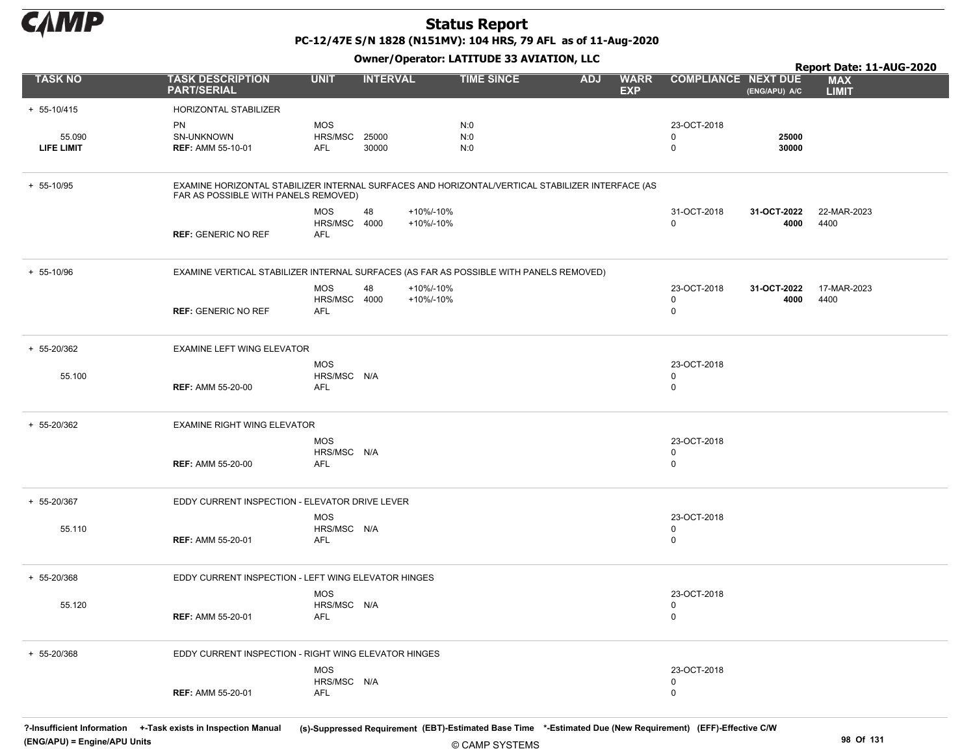

PC-12/47E S/N 1828 (N151MV): 104 HRS, 79 AFL as of 11-Aug-2020

Owner/Operator: LATITUDE 33 AVIATION, LLC

|                 |                                                                                                                                          |                       | - - -                                |                   |                                         |                            |                     | Report Date: 11-AUG-2020   |
|-----------------|------------------------------------------------------------------------------------------------------------------------------------------|-----------------------|--------------------------------------|-------------------|-----------------------------------------|----------------------------|---------------------|----------------------------|
| <b>TASK NO</b>  | <b>TASK DESCRIPTION</b><br><b>PART/SERIAL</b>                                                                                            | <b>UNIT</b>           | <b>INTERVAL</b>                      | <b>TIME SINCE</b> | <b>ADJ</b><br><b>WARR</b><br><b>EXP</b> | <b>COMPLIANCE NEXT DUE</b> | (ENG/APU) A/C       | <b>MAX</b><br><b>LIMIT</b> |
| $+ 55 - 10/415$ | HORIZONTAL STABILIZER                                                                                                                    |                       |                                      |                   |                                         |                            |                     |                            |
|                 | <b>PN</b>                                                                                                                                | <b>MOS</b>            |                                      | N:0               |                                         | 23-OCT-2018                |                     |                            |
| 55.090          | SN-UNKNOWN                                                                                                                               | HRS/MSC               | 25000                                | N:0               |                                         | 0                          | 25000               |                            |
| LIFE LIMIT      | <b>REF: AMM 55-10-01</b>                                                                                                                 | AFL                   | 30000                                | N:0               |                                         | $\mathbf 0$                | 30000               |                            |
|                 |                                                                                                                                          |                       |                                      |                   |                                         |                            |                     |                            |
| + 55-10/95      | EXAMINE HORIZONTAL STABILIZER INTERNAL SURFACES AND HORIZONTAL/VERTICAL STABILIZER INTERFACE (AS<br>FAR AS POSSIBLE WITH PANELS REMOVED) |                       |                                      |                   |                                         |                            |                     |                            |
|                 |                                                                                                                                          | <b>MOS</b><br>HRS/MSC | +10%/-10%<br>48<br>4000<br>+10%/-10% |                   |                                         | 31-OCT-2018<br>$\mathbf 0$ | 31-OCT-2022<br>4000 | 22-MAR-2023<br>4400        |
|                 | <b>REF: GENERIC NO REF</b>                                                                                                               | AFL                   |                                      |                   |                                         |                            |                     |                            |
| + 55-10/96      | EXAMINE VERTICAL STABILIZER INTERNAL SURFACES (AS FAR AS POSSIBLE WITH PANELS REMOVED)                                                   |                       |                                      |                   |                                         |                            |                     |                            |
|                 |                                                                                                                                          | <b>MOS</b>            | 48<br>+10%/-10%                      |                   |                                         | 23-OCT-2018                | 31-OCT-2022         | 17-MAR-2023                |
|                 |                                                                                                                                          | HRS/MSC               | 4000<br>+10%/-10%                    |                   |                                         | 0                          | 4000                | 4400                       |
|                 | <b>REF: GENERIC NO REF</b>                                                                                                               | AFL                   |                                      |                   |                                         | $\mathbf 0$                |                     |                            |
| + 55-20/362     | <b>EXAMINE LEFT WING ELEVATOR</b>                                                                                                        |                       |                                      |                   |                                         |                            |                     |                            |
|                 |                                                                                                                                          | <b>MOS</b>            |                                      |                   |                                         | 23-OCT-2018                |                     |                            |
| 55.100          |                                                                                                                                          | HRS/MSC N/A           |                                      |                   |                                         | 0                          |                     |                            |
|                 | <b>REF: AMM 55-20-00</b>                                                                                                                 | AFL                   |                                      |                   |                                         | $\mathbf 0$                |                     |                            |
| + 55-20/362     | EXAMINE RIGHT WING ELEVATOR                                                                                                              |                       |                                      |                   |                                         |                            |                     |                            |
|                 |                                                                                                                                          | <b>MOS</b>            |                                      |                   |                                         | 23-OCT-2018                |                     |                            |
|                 |                                                                                                                                          | HRS/MSC N/A           |                                      |                   |                                         | $\mathbf 0$                |                     |                            |
|                 | <b>REF: AMM 55-20-00</b>                                                                                                                 | AFL                   |                                      |                   |                                         | $\mathbf 0$                |                     |                            |
| + 55-20/367     | EDDY CURRENT INSPECTION - ELEVATOR DRIVE LEVER                                                                                           |                       |                                      |                   |                                         |                            |                     |                            |
|                 |                                                                                                                                          | <b>MOS</b>            |                                      |                   |                                         | 23-OCT-2018                |                     |                            |
| 55.110          |                                                                                                                                          | HRS/MSC N/A           |                                      |                   |                                         | 0                          |                     |                            |
|                 | <b>REF: AMM 55-20-01</b>                                                                                                                 | AFL                   |                                      |                   |                                         | $\mathbf 0$                |                     |                            |
| + 55-20/368     | EDDY CURRENT INSPECTION - LEFT WING ELEVATOR HINGES                                                                                      |                       |                                      |                   |                                         |                            |                     |                            |
|                 |                                                                                                                                          | <b>MOS</b>            |                                      |                   |                                         | 23-OCT-2018                |                     |                            |
| 55.120          |                                                                                                                                          | HRS/MSC N/A           |                                      |                   |                                         | $\mathbf 0$                |                     |                            |
|                 | <b>REF: AMM 55-20-01</b>                                                                                                                 | <b>AFL</b>            |                                      |                   |                                         | 0                          |                     |                            |
| + 55-20/368     | EDDY CURRENT INSPECTION - RIGHT WING ELEVATOR HINGES                                                                                     |                       |                                      |                   |                                         |                            |                     |                            |
|                 |                                                                                                                                          |                       |                                      |                   |                                         |                            |                     |                            |
|                 |                                                                                                                                          | <b>MOS</b>            |                                      |                   |                                         | 23-OCT-2018                |                     |                            |
|                 | <b>REF: AMM 55-20-01</b>                                                                                                                 | HRS/MSC N/A<br>AFL    |                                      |                   |                                         | 0<br>$\mathbf 0$           |                     |                            |
|                 |                                                                                                                                          |                       |                                      |                   |                                         |                            |                     |                            |
|                 |                                                                                                                                          |                       |                                      |                   |                                         |                            |                     |                            |

© CAMP SYSTEMS ?-Insufficient Information +-Task exists in Inspection Manual (s)-Suppressed Requirement (EBT)-Estimated Base Time \*-Estimated Due (New Requirement) (EFF)-Effective C/W (ENG/APU) = Engine/APU Units 98 Of 131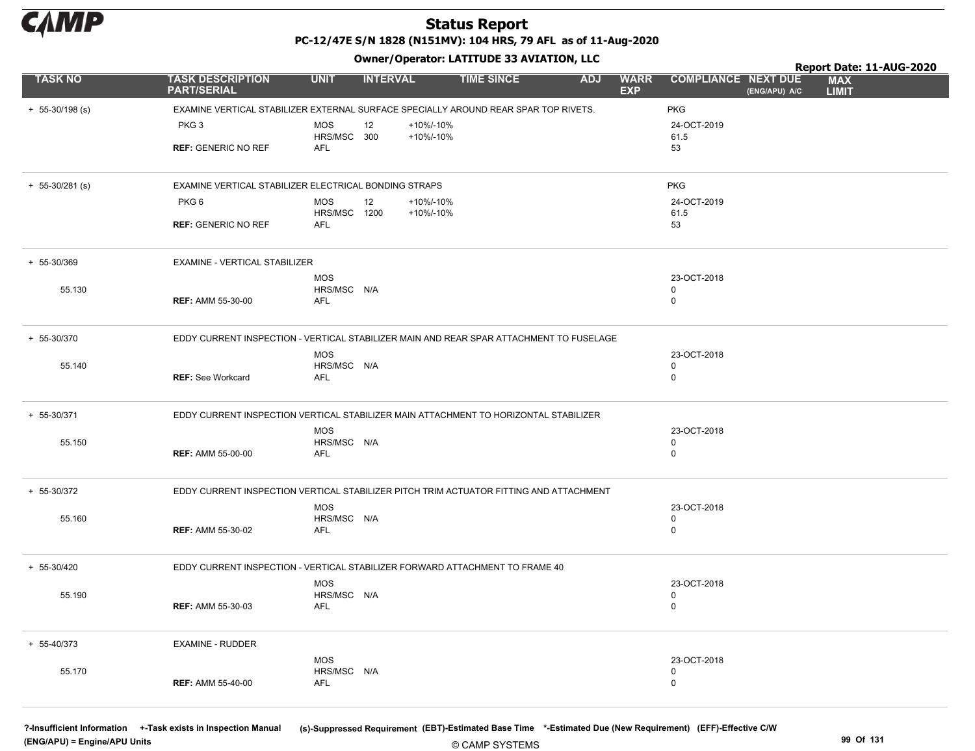

Owner/Operator: LATITUDE 33 AVIATION, LLC

|                     |                                                                                         |                            | .               |           |                   |            |                           |                            |               | Report Date: 11-AUG-2020   |  |
|---------------------|-----------------------------------------------------------------------------------------|----------------------------|-----------------|-----------|-------------------|------------|---------------------------|----------------------------|---------------|----------------------------|--|
| <b>TASK NO</b>      | <b>TASK DESCRIPTION</b><br><b>PART/SERIAL</b>                                           | <b>UNIT</b>                | <b>INTERVAL</b> |           | <b>TIME SINCE</b> | <b>ADJ</b> | <b>WARR</b><br><b>EXP</b> | <b>COMPLIANCE NEXT DUE</b> | (ENG/APU) A/C | <b>MAX</b><br><b>LIMIT</b> |  |
| $+ 55-30/198$ (s)   | EXAMINE VERTICAL STABILIZER EXTERNAL SURFACE SPECIALLY AROUND REAR SPAR TOP RIVETS.     |                            |                 |           |                   |            |                           | <b>PKG</b>                 |               |                            |  |
|                     | PKG <sub>3</sub>                                                                        | <b>MOS</b>                 | 12              | +10%/-10% |                   |            |                           | 24-OCT-2019                |               |                            |  |
|                     |                                                                                         | HRS/MSC 300                |                 | +10%/-10% |                   |            |                           | 61.5                       |               |                            |  |
|                     | <b>REF: GENERIC NO REF</b>                                                              | <b>AFL</b>                 |                 |           |                   |            |                           | 53                         |               |                            |  |
|                     |                                                                                         |                            |                 |           |                   |            |                           |                            |               |                            |  |
| $+ 55 - 30/281$ (s) | EXAMINE VERTICAL STABILIZER ELECTRICAL BONDING STRAPS                                   |                            |                 |           |                   |            |                           | <b>PKG</b>                 |               |                            |  |
|                     | PKG6                                                                                    | <b>MOS</b>                 | 12              | +10%/-10% |                   |            |                           | 24-OCT-2019                |               |                            |  |
|                     | <b>REF: GENERIC NO REF</b>                                                              | HRS/MSC 1200<br><b>AFL</b> |                 | +10%/-10% |                   |            |                           | 61.5<br>53                 |               |                            |  |
|                     |                                                                                         |                            |                 |           |                   |            |                           |                            |               |                            |  |
| + 55-30/369         | EXAMINE - VERTICAL STABILIZER                                                           |                            |                 |           |                   |            |                           |                            |               |                            |  |
|                     |                                                                                         | <b>MOS</b>                 |                 |           |                   |            |                           | 23-OCT-2018                |               |                            |  |
| 55.130              |                                                                                         | HRS/MSC N/A                |                 |           |                   |            |                           | $\mathbf 0$                |               |                            |  |
|                     | <b>REF: AMM 55-30-00</b>                                                                | AFL                        |                 |           |                   |            |                           | $\mathbf 0$                |               |                            |  |
| + 55-30/370         | EDDY CURRENT INSPECTION - VERTICAL STABILIZER MAIN AND REAR SPAR ATTACHMENT TO FUSELAGE |                            |                 |           |                   |            |                           |                            |               |                            |  |
|                     |                                                                                         | <b>MOS</b>                 |                 |           |                   |            |                           | 23-OCT-2018                |               |                            |  |
| 55.140              |                                                                                         | HRS/MSC N/A                |                 |           |                   |            |                           | $\mathbf 0$                |               |                            |  |
|                     | <b>REF: See Workcard</b>                                                                | AFL                        |                 |           |                   |            |                           | $\mathbf 0$                |               |                            |  |
| $+ 55 - 30/371$     | EDDY CURRENT INSPECTION VERTICAL STABILIZER MAIN ATTACHMENT TO HORIZONTAL STABILIZER    |                            |                 |           |                   |            |                           |                            |               |                            |  |
|                     |                                                                                         | <b>MOS</b>                 |                 |           |                   |            |                           | 23-OCT-2018                |               |                            |  |
| 55.150              |                                                                                         | HRS/MSC N/A                |                 |           |                   |            |                           | $\mathbf 0$                |               |                            |  |
|                     | <b>REF: AMM 55-00-00</b>                                                                | AFL                        |                 |           |                   |            |                           | $\mathbf 0$                |               |                            |  |
| + 55-30/372         | EDDY CURRENT INSPECTION VERTICAL STABILIZER PITCH TRIM ACTUATOR FITTING AND ATTACHMENT  |                            |                 |           |                   |            |                           |                            |               |                            |  |
|                     |                                                                                         | <b>MOS</b>                 |                 |           |                   |            |                           | 23-OCT-2018                |               |                            |  |
| 55.160              |                                                                                         | HRS/MSC N/A                |                 |           |                   |            |                           | 0                          |               |                            |  |
|                     | <b>REF: AMM 55-30-02</b>                                                                | <b>AFL</b>                 |                 |           |                   |            |                           | $\mathbf 0$                |               |                            |  |
| + 55-30/420         | EDDY CURRENT INSPECTION - VERTICAL STABILIZER FORWARD ATTACHMENT TO FRAME 40            |                            |                 |           |                   |            |                           |                            |               |                            |  |
|                     |                                                                                         | <b>MOS</b>                 |                 |           |                   |            |                           | 23-OCT-2018                |               |                            |  |
| 55.190              |                                                                                         | HRS/MSC N/A                |                 |           |                   |            |                           | 0                          |               |                            |  |
|                     | <b>REF: AMM 55-30-03</b>                                                                | AFL                        |                 |           |                   |            |                           | $\pmb{0}$                  |               |                            |  |
| + 55-40/373         | <b>EXAMINE - RUDDER</b>                                                                 |                            |                 |           |                   |            |                           |                            |               |                            |  |
|                     |                                                                                         | <b>MOS</b>                 |                 |           |                   |            |                           | 23-OCT-2018                |               |                            |  |
| 55.170              |                                                                                         | HRS/MSC N/A                |                 |           |                   |            |                           | $\Omega$                   |               |                            |  |
|                     | <b>REF: AMM 55-40-00</b>                                                                | AFL                        |                 |           |                   |            |                           | $\Omega$                   |               |                            |  |
|                     |                                                                                         |                            |                 |           |                   |            |                           |                            |               |                            |  |

(ENG/APU) = Engine/APU Units 99 Of 131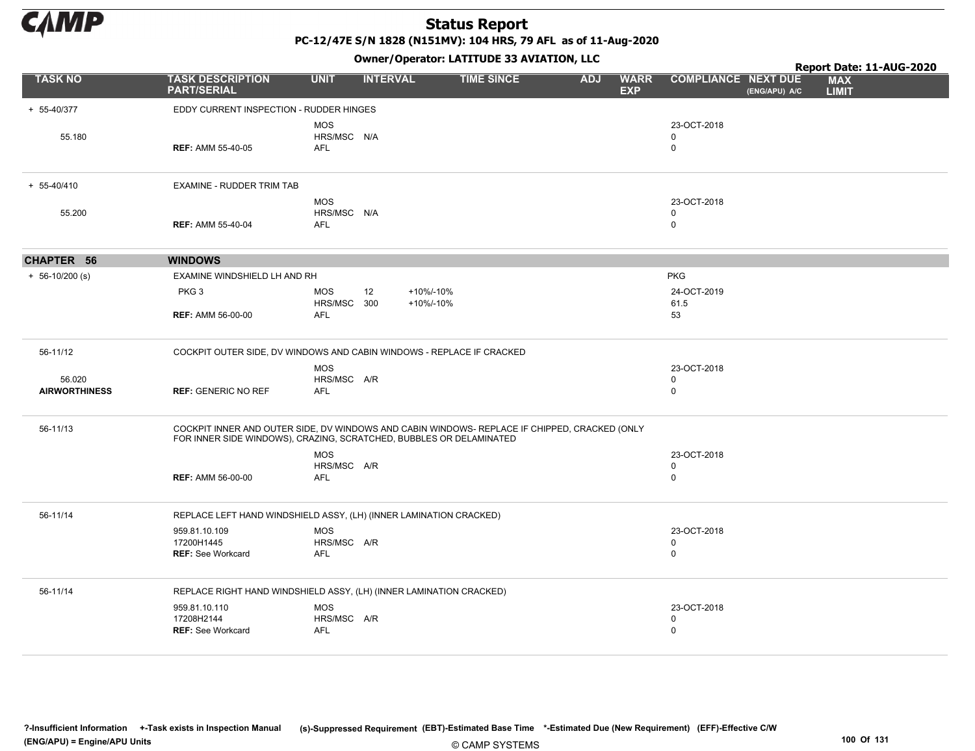

PC-12/47E S/N 1828 (N151MV): 104 HRS, 79 AFL as of 11-Aug-2020

|                      |                                                                                                                                                                      |                                         |                 | Owner/Operator: LATITUDE 33 AVIATION, LLC |            |                           |                                           |               | Report Date: 11-AUG-2020   |  |
|----------------------|----------------------------------------------------------------------------------------------------------------------------------------------------------------------|-----------------------------------------|-----------------|-------------------------------------------|------------|---------------------------|-------------------------------------------|---------------|----------------------------|--|
| <b>TASK NO</b>       | <b>TASK DESCRIPTION</b><br><b>PART/SERIAL</b>                                                                                                                        | <b>UNIT</b>                             | <b>INTERVAL</b> | <b>TIME SINCE</b>                         | <b>ADJ</b> | <b>WARR</b><br><b>EXP</b> | <b>COMPLIANCE NEXT DUE</b>                | (ENG/APU) A/C | <b>MAX</b><br><b>LIMIT</b> |  |
| + 55-40/377          | EDDY CURRENT INSPECTION - RUDDER HINGES                                                                                                                              |                                         |                 |                                           |            |                           |                                           |               |                            |  |
| 55.180               | <b>REF: AMM 55-40-05</b>                                                                                                                                             | <b>MOS</b><br>HRS/MSC N/A<br><b>AFL</b> |                 |                                           |            |                           | 23-OCT-2018<br>$\mathbf 0$<br>$\mathbf 0$ |               |                            |  |
| $+ 55 - 40/410$      | EXAMINE - RUDDER TRIM TAB                                                                                                                                            |                                         |                 |                                           |            |                           |                                           |               |                            |  |
| 55.200               | <b>REF: AMM 55-40-04</b>                                                                                                                                             | <b>MOS</b><br>HRS/MSC N/A<br><b>AFL</b> |                 |                                           |            |                           | 23-OCT-2018<br>$\mathbf 0$<br>0           |               |                            |  |
| CHAPTER 56           | <b>WINDOWS</b>                                                                                                                                                       |                                         |                 |                                           |            |                           |                                           |               |                            |  |
| $+ 56-10/200$ (s)    | EXAMINE WINDSHIELD LH AND RH                                                                                                                                         |                                         |                 |                                           |            |                           | <b>PKG</b>                                |               |                            |  |
|                      | PKG <sub>3</sub>                                                                                                                                                     | <b>MOS</b><br>HRS/MSC 300               | 12              | +10%/-10%<br>+10%/-10%                    |            |                           | 24-OCT-2019<br>61.5                       |               |                            |  |
|                      | <b>REF: AMM 56-00-00</b>                                                                                                                                             | AFL                                     |                 |                                           |            |                           | 53                                        |               |                            |  |
| 56-11/12             | COCKPIT OUTER SIDE, DV WINDOWS AND CABIN WINDOWS - REPLACE IF CRACKED                                                                                                |                                         |                 |                                           |            |                           |                                           |               |                            |  |
| 56.020               |                                                                                                                                                                      | <b>MOS</b><br>HRS/MSC A/R               |                 |                                           |            |                           | 23-OCT-2018<br>0                          |               |                            |  |
| <b>AIRWORTHINESS</b> | <b>REF: GENERIC NO REF</b>                                                                                                                                           | <b>AFL</b>                              |                 |                                           |            |                           | $\mathbf 0$                               |               |                            |  |
| 56-11/13             | COCKPIT INNER AND OUTER SIDE, DV WINDOWS AND CABIN WINDOWS- REPLACE IF CHIPPED, CRACKED (ONLY<br>FOR INNER SIDE WINDOWS), CRAZING, SCRATCHED, BUBBLES OR DELAMINATED |                                         |                 |                                           |            |                           |                                           |               |                            |  |
|                      |                                                                                                                                                                      | <b>MOS</b>                              |                 |                                           |            |                           | 23-OCT-2018                               |               |                            |  |
|                      | <b>REF: AMM 56-00-00</b>                                                                                                                                             | HRS/MSC A/R<br>AFL                      |                 |                                           |            |                           | 0<br>0                                    |               |                            |  |
| 56-11/14             | REPLACE LEFT HAND WINDSHIELD ASSY, (LH) (INNER LAMINATION CRACKED)                                                                                                   |                                         |                 |                                           |            |                           |                                           |               |                            |  |
|                      | 959.81.10.109<br>17200H1445                                                                                                                                          | <b>MOS</b><br>HRS/MSC A/R               |                 |                                           |            |                           | 23-OCT-2018<br>0                          |               |                            |  |
|                      | <b>REF: See Workcard</b>                                                                                                                                             | <b>AFL</b>                              |                 |                                           |            |                           | $\mathsf 0$                               |               |                            |  |
| 56-11/14             | REPLACE RIGHT HAND WINDSHIELD ASSY, (LH) (INNER LAMINATION CRACKED)                                                                                                  |                                         |                 |                                           |            |                           |                                           |               |                            |  |
|                      | 959.81.10.110                                                                                                                                                        | <b>MOS</b>                              |                 |                                           |            |                           | 23-OCT-2018                               |               |                            |  |
|                      | 17208H2144<br>REF: See Workcard                                                                                                                                      | HRS/MSC A/R<br><b>AFL</b>               |                 |                                           |            |                           | 0<br>$\mathbf 0$                          |               |                            |  |
|                      |                                                                                                                                                                      |                                         |                 |                                           |            |                           |                                           |               |                            |  |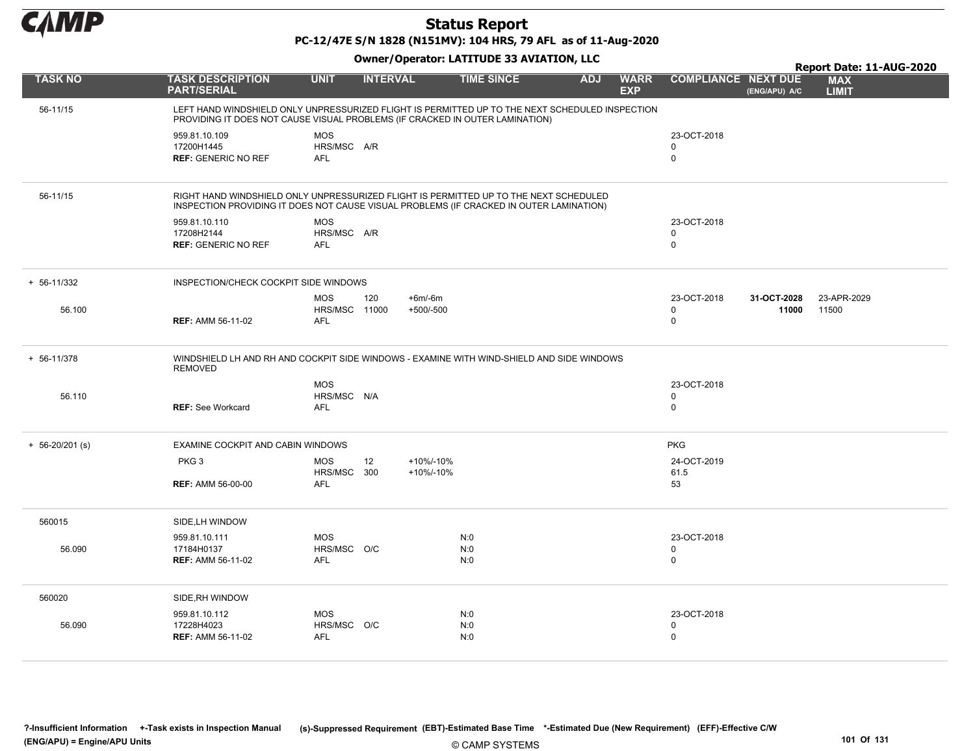

PC-12/47E S/N 1828 (N151MV): 104 HRS, 79 AFL as of 11-Aug-2020

|                     |                                                                                                                                                                                  |                                           |                 |                         | Owner / Operator. EATITODE 33 AVIATION, LLC |            |                           |                                           |                      | Report Date: 11-AUG-2020   |
|---------------------|----------------------------------------------------------------------------------------------------------------------------------------------------------------------------------|-------------------------------------------|-----------------|-------------------------|---------------------------------------------|------------|---------------------------|-------------------------------------------|----------------------|----------------------------|
| <b>TASK NO</b>      | <b>TASK DESCRIPTION</b><br><b>PART/SERIAL</b>                                                                                                                                    | <b>UNIT</b>                               | <b>INTERVAL</b> |                         | <b>TIME SINCE</b>                           | <b>ADJ</b> | <b>WARR</b><br><b>EXP</b> | <b>COMPLIANCE NEXT DUE</b>                | (ENG/APU) A/C        | <b>MAX</b><br><b>LIMIT</b> |
| 56-11/15            | LEFT HAND WINDSHIELD ONLY UNPRESSURIZED FLIGHT IS PERMITTED UP TO THE NEXT SCHEDULED INSPECTION<br>PROVIDING IT DOES NOT CAUSE VISUAL PROBLEMS (IF CRACKED IN OUTER LAMINATION)  |                                           |                 |                         |                                             |            |                           |                                           |                      |                            |
|                     | 959.81.10.109<br>17200H1445<br><b>REF: GENERIC NO REF</b>                                                                                                                        | <b>MOS</b><br>HRS/MSC A/R<br><b>AFL</b>   |                 |                         |                                             |            |                           | 23-OCT-2018<br>$\mathbf 0$<br>$\mathbf 0$ |                      |                            |
| 56-11/15            | RIGHT HAND WINDSHIELD ONLY UNPRESSURIZED FLIGHT IS PERMITTED UP TO THE NEXT SCHEDULED<br>INSPECTION PROVIDING IT DOES NOT CAUSE VISUAL PROBLEMS (IF CRACKED IN OUTER LAMINATION) |                                           |                 |                         |                                             |            |                           |                                           |                      |                            |
|                     | 959.81.10.110<br>17208H2144<br><b>REF: GENERIC NO REF</b>                                                                                                                        | <b>MOS</b><br>HRS/MSC A/R<br>AFL          |                 |                         |                                             |            |                           | 23-OCT-2018<br>$\mathbf 0$<br>$\mathbf 0$ |                      |                            |
| $+ 56 - 11/332$     | INSPECTION/CHECK COCKPIT SIDE WINDOWS                                                                                                                                            |                                           |                 |                         |                                             |            |                           |                                           |                      |                            |
| 56.100              | <b>REF: AMM 56-11-02</b>                                                                                                                                                         | <b>MOS</b><br><b>HRS/MSC 11000</b><br>AFL | 120             | $+6m/6m$<br>$+500/-500$ |                                             |            |                           | 23-OCT-2018<br>$\mathbf 0$<br>$\mathbf 0$ | 31-OCT-2028<br>11000 | 23-APR-2029<br>11500       |
| $+ 56 - 11/378$     | WINDSHIELD LH AND RH AND COCKPIT SIDE WINDOWS - EXAMINE WITH WIND-SHIELD AND SIDE WINDOWS<br><b>REMOVED</b>                                                                      |                                           |                 |                         |                                             |            |                           |                                           |                      |                            |
| 56.110              | <b>REF: See Workcard</b>                                                                                                                                                         | MOS<br>HRS/MSC N/A<br><b>AFL</b>          |                 |                         |                                             |            |                           | 23-OCT-2018<br>$\mathbf 0$<br>$\mathbf 0$ |                      |                            |
| $+ 56 - 20/201$ (s) | EXAMINE COCKPIT AND CABIN WINDOWS                                                                                                                                                |                                           |                 |                         |                                             |            |                           | <b>PKG</b>                                |                      |                            |
|                     | PKG <sub>3</sub>                                                                                                                                                                 | <b>MOS</b><br>HRS/MSC 300                 | 12              | +10%/-10%<br>+10%/-10%  |                                             |            |                           | 24-OCT-2019<br>61.5                       |                      |                            |
|                     | <b>REF: AMM 56-00-00</b>                                                                                                                                                         | <b>AFL</b>                                |                 |                         |                                             |            |                           | 53                                        |                      |                            |
| 560015              | SIDE, LH WINDOW                                                                                                                                                                  |                                           |                 |                         |                                             |            |                           |                                           |                      |                            |
| 56.090              | 959.81.10.111<br>17184H0137<br><b>REF: AMM 56-11-02</b>                                                                                                                          | <b>MOS</b><br>HRS/MSC O/C<br><b>AFL</b>   |                 |                         | N:0<br>N:0<br>N:0                           |            |                           | 23-OCT-2018<br>0<br>$\mathbf 0$           |                      |                            |
| 560020              | SIDE, RH WINDOW                                                                                                                                                                  |                                           |                 |                         |                                             |            |                           |                                           |                      |                            |
| 56.090              | 959.81.10.112<br>17228H4023<br><b>REF: AMM 56-11-02</b>                                                                                                                          | <b>MOS</b><br>HRS/MSC O/C<br>AFL          |                 |                         | N:0<br>N:0<br>N:0                           |            |                           | 23-OCT-2018<br>$\mathbf 0$<br>$\pmb{0}$   |                      |                            |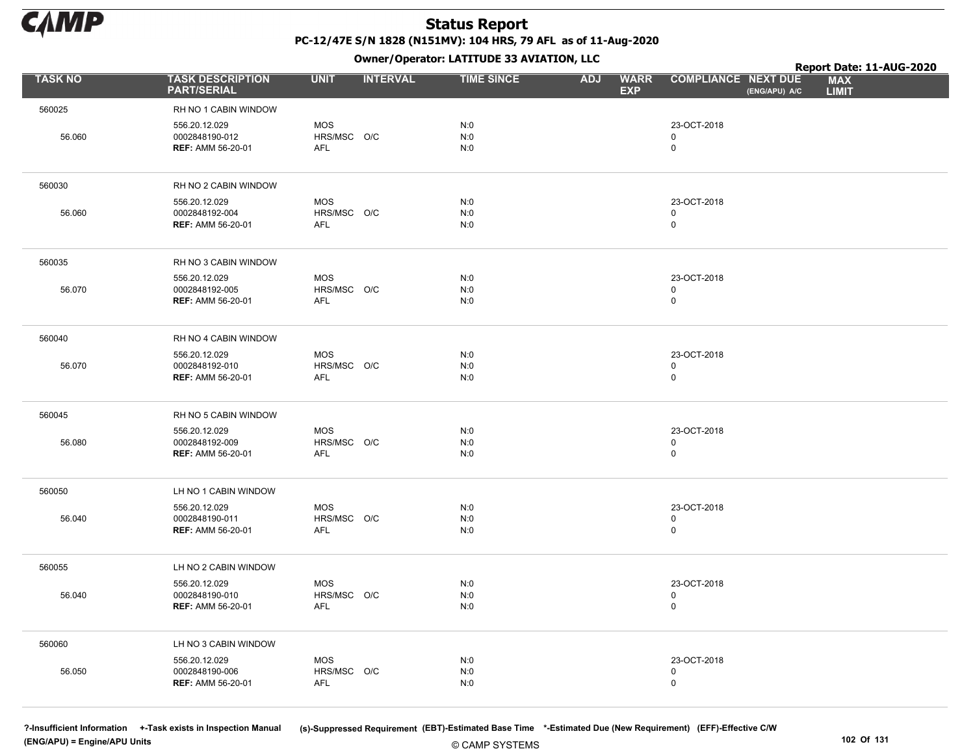

Owner/Operator: LATITUDE 33 AVIATION, LLC

|                |                                                             |                                         | .               |                   |                                         |                                             | Report Date: 11-AUG-2020   |
|----------------|-------------------------------------------------------------|-----------------------------------------|-----------------|-------------------|-----------------------------------------|---------------------------------------------|----------------------------|
| <b>TASK NO</b> | <b>TASK DESCRIPTION</b><br><b>PART/SERIAL</b>               | <b>UNIT</b>                             | <b>INTERVAL</b> | <b>TIME SINCE</b> | <b>WARR</b><br><b>ADJ</b><br><b>EXP</b> | <b>COMPLIANCE NEXT DUE</b><br>(ENG/APU) A/C | <b>MAX</b><br><b>LIMIT</b> |
| 560025         | RH NO 1 CABIN WINDOW                                        |                                         |                 |                   |                                         |                                             |                            |
| 56.060         | 556.20.12.029<br>0002848190-012<br><b>REF: AMM 56-20-01</b> | <b>MOS</b><br>HRS/MSC O/C<br>AFL        |                 | N:0<br>N:0<br>N:0 |                                         | 23-OCT-2018<br>$\mathbf 0$<br>$\pmb{0}$     |                            |
| 560030         | RH NO 2 CABIN WINDOW                                        |                                         |                 |                   |                                         |                                             |                            |
| 56.060         | 556.20.12.029<br>0002848192-004<br><b>REF: AMM 56-20-01</b> | MOS<br>HRS/MSC O/C<br>AFL               |                 | N:0<br>N:0<br>N:0 |                                         | 23-OCT-2018<br>$\pmb{0}$<br>$\mathbf 0$     |                            |
| 560035         | RH NO 3 CABIN WINDOW                                        |                                         |                 |                   |                                         |                                             |                            |
| 56.070         | 556.20.12.029<br>0002848192-005<br><b>REF: AMM 56-20-01</b> | MOS<br>HRS/MSC O/C<br>AFL               |                 | N:0<br>N:0<br>N:0 |                                         | 23-OCT-2018<br>$\mathbf 0$<br>$\pmb{0}$     |                            |
| 560040         | RH NO 4 CABIN WINDOW                                        |                                         |                 |                   |                                         |                                             |                            |
| 56.070         | 556.20.12.029<br>0002848192-010<br><b>REF: AMM 56-20-01</b> | <b>MOS</b><br>HRS/MSC O/C<br>AFL        |                 | N:0<br>N:0<br>N:0 |                                         | 23-OCT-2018<br>$\pmb{0}$<br>$\mathbf 0$     |                            |
| 560045         | RH NO 5 CABIN WINDOW                                        |                                         |                 |                   |                                         |                                             |                            |
| 56.080         | 556.20.12.029<br>0002848192-009<br><b>REF: AMM 56-20-01</b> | MOS<br>HRS/MSC O/C<br><b>AFL</b>        |                 | N:0<br>N:0<br>N:0 |                                         | 23-OCT-2018<br>$\mathsf 0$<br>$\mathsf 0$   |                            |
| 560050         | LH NO 1 CABIN WINDOW                                        |                                         |                 |                   |                                         |                                             |                            |
| 56.040         | 556.20.12.029<br>0002848190-011<br><b>REF: AMM 56-20-01</b> | <b>MOS</b><br>HRS/MSC O/C<br>AFL        |                 | N:0<br>N:0<br>N:0 |                                         | 23-OCT-2018<br>$\mathbf 0$<br>$\mathsf 0$   |                            |
| 560055         | LH NO 2 CABIN WINDOW                                        |                                         |                 |                   |                                         |                                             |                            |
| 56.040         | 556.20.12.029<br>0002848190-010<br><b>REF: AMM 56-20-01</b> | <b>MOS</b><br>HRS/MSC O/C<br>AFL        |                 | N:0<br>N:0<br>N:0 |                                         | 23-OCT-2018<br>$\mathsf 0$<br>$\mathbf 0$   |                            |
| 560060         | LH NO 3 CABIN WINDOW                                        |                                         |                 |                   |                                         |                                             |                            |
| 56.050         | 556.20.12.029<br>0002848190-006<br><b>REF: AMM 56-20-01</b> | <b>MOS</b><br>HRS/MSC O/C<br><b>AFL</b> |                 | N:0<br>N:0<br>N:0 |                                         | 23-OCT-2018<br>0<br>$\mathbf 0$             |                            |

(ENG/APU) = Engine/APU Units 102 Of 131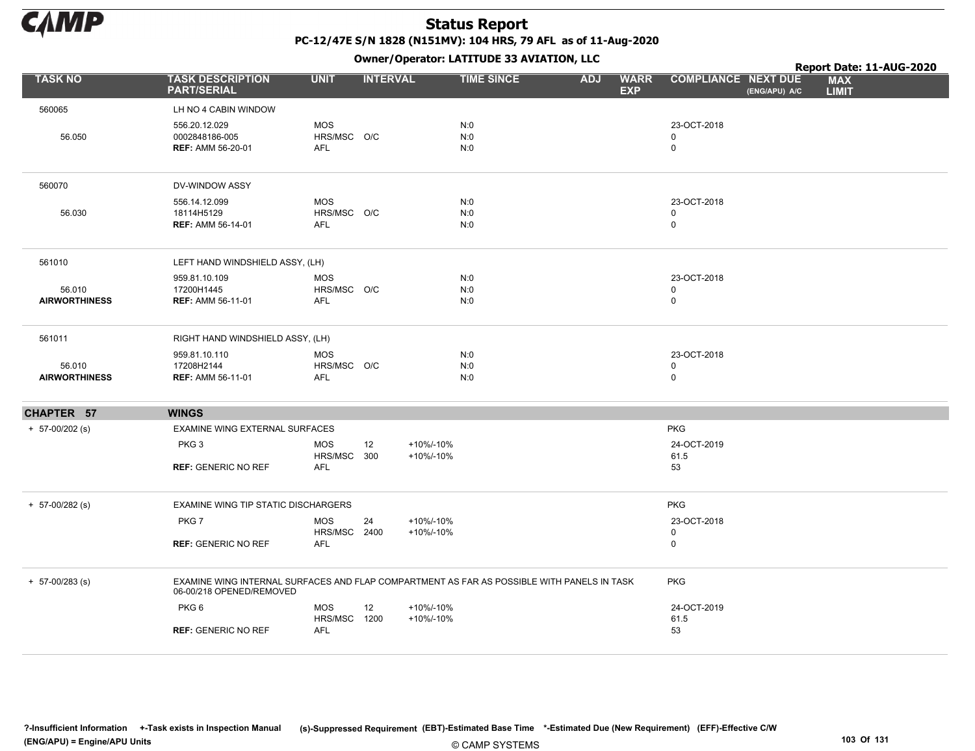

|                                |                                                                                                                        |                                         |                 |                        | Owner / Operator. EATITODE 33 AVIATION, LLC |            |                           |                                           |               | Report Date: 11-AUG-2020   |  |
|--------------------------------|------------------------------------------------------------------------------------------------------------------------|-----------------------------------------|-----------------|------------------------|---------------------------------------------|------------|---------------------------|-------------------------------------------|---------------|----------------------------|--|
| <b>TASK NO</b>                 | <b>TASK DESCRIPTION</b><br><b>PART/SERIAL</b>                                                                          | <b>UNIT</b>                             | <b>INTERVAL</b> |                        | <b>TIME SINCE</b>                           | <b>ADJ</b> | <b>WARR</b><br><b>EXP</b> | <b>COMPLIANCE NEXT DUE</b>                | (ENG/APU) A/C | <b>MAX</b><br><b>LIMIT</b> |  |
| 560065                         | LH NO 4 CABIN WINDOW                                                                                                   |                                         |                 |                        |                                             |            |                           |                                           |               |                            |  |
| 56.050                         | 556.20.12.029<br>0002848186-005<br><b>REF: AMM 56-20-01</b>                                                            | <b>MOS</b><br>HRS/MSC O/C<br>AFL        |                 |                        | N:0<br>N:0<br>N:0                           |            |                           | 23-OCT-2018<br>$\mathbf 0$<br>$\mathbf 0$ |               |                            |  |
| 560070                         | DV-WINDOW ASSY                                                                                                         |                                         |                 |                        |                                             |            |                           |                                           |               |                            |  |
| 56.030                         | 556.14.12.099<br>18114H5129<br><b>REF: AMM 56-14-01</b>                                                                | <b>MOS</b><br>HRS/MSC O/C<br>AFL        |                 |                        | N:0<br>N:0<br>N:0                           |            |                           | 23-OCT-2018<br>$\mathbf 0$<br>$\mathsf 0$ |               |                            |  |
| 561010                         | LEFT HAND WINDSHIELD ASSY, (LH)                                                                                        |                                         |                 |                        |                                             |            |                           |                                           |               |                            |  |
| 56.010<br><b>AIRWORTHINESS</b> | 959.81.10.109<br>17200H1445<br><b>REF: AMM 56-11-01</b>                                                                | <b>MOS</b><br>HRS/MSC O/C<br><b>AFL</b> |                 |                        | N:0<br>N:0<br>N:0                           |            |                           | 23-OCT-2018<br>0<br>$\mathbf 0$           |               |                            |  |
| 561011                         | RIGHT HAND WINDSHIELD ASSY, (LH)                                                                                       |                                         |                 |                        |                                             |            |                           |                                           |               |                            |  |
| 56.010<br><b>AIRWORTHINESS</b> | 959.81.10.110<br>17208H2144<br><b>REF: AMM 56-11-01</b>                                                                | <b>MOS</b><br>HRS/MSC O/C<br><b>AFL</b> |                 |                        | N:0<br>N:0<br>N:0                           |            |                           | 23-OCT-2018<br>$\mathbf 0$<br>$\mathbf 0$ |               |                            |  |
| CHAPTER 57                     | <b>WINGS</b>                                                                                                           |                                         |                 |                        |                                             |            |                           |                                           |               |                            |  |
| $+ 57 - 00/202$ (s)            | EXAMINE WING EXTERNAL SURFACES                                                                                         |                                         |                 |                        |                                             |            |                           | <b>PKG</b>                                |               |                            |  |
|                                | PKG <sub>3</sub><br><b>REF: GENERIC NO REF</b>                                                                         | <b>MOS</b><br>HRS/MSC 300<br>AFL        | 12              | +10%/-10%<br>+10%/-10% |                                             |            |                           | 24-OCT-2019<br>61.5<br>53                 |               |                            |  |
| $+ 57 - 00/282$ (s)            | <b>EXAMINE WING TIP STATIC DISCHARGERS</b>                                                                             |                                         |                 |                        |                                             |            |                           | <b>PKG</b>                                |               |                            |  |
|                                | PKG7<br><b>REF: GENERIC NO REF</b>                                                                                     | <b>MOS</b><br>HRS/MSC 2400<br>AFL       | 24              | +10%/-10%<br>+10%/-10% |                                             |            |                           | 23-OCT-2018<br>$\mathbf 0$<br>$\mathbf 0$ |               |                            |  |
| $+ 57 - 00/283$ (s)            | EXAMINE WING INTERNAL SURFACES AND FLAP COMPARTMENT AS FAR AS POSSIBLE WITH PANELS IN TASK<br>06-00/218 OPENED/REMOVED |                                         |                 |                        |                                             |            |                           | <b>PKG</b>                                |               |                            |  |
|                                | PKG <sub>6</sub><br><b>REF: GENERIC NO REF</b>                                                                         | <b>MOS</b><br>HRS/MSC<br>AFL            | 12<br>1200      | +10%/-10%<br>+10%/-10% |                                             |            |                           | 24-OCT-2019<br>61.5<br>53                 |               |                            |  |
|                                |                                                                                                                        |                                         |                 |                        |                                             |            |                           |                                           |               |                            |  |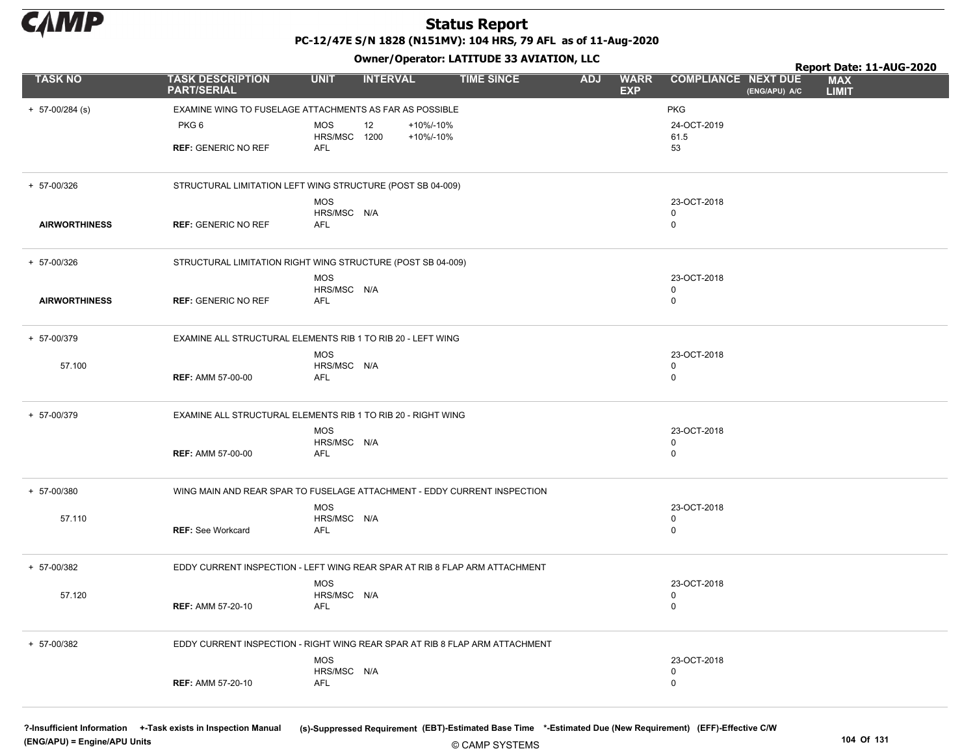

PC-12/47E S/N 1828 (N151MV): 104 HRS, 79 AFL as of 11-Aug-2020

Owner/Operator: LATITUDE 33 AVIATION, LLC

|                      |                                                                             | Owner / Operator. EATITODE 33 AVIATION, LLC |                              | Report Date: 11-AUG-2020 |            |                           |                            |               |                            |
|----------------------|-----------------------------------------------------------------------------|---------------------------------------------|------------------------------|--------------------------|------------|---------------------------|----------------------------|---------------|----------------------------|
| <b>TASK NO</b>       | <b>TASK DESCRIPTION</b><br><b>PART/SERIAL</b>                               | <b>UNIT</b>                                 | <b>INTERVAL</b>              | <b>TIME SINCE</b>        | <b>ADJ</b> | <b>WARR</b><br><b>EXP</b> | <b>COMPLIANCE NEXT DUE</b> | (ENG/APU) A/C | <b>MAX</b><br><b>LIMIT</b> |
| $+ 57 - 00/284$ (s)  | EXAMINE WING TO FUSELAGE ATTACHMENTS AS FAR AS POSSIBLE                     |                                             |                              |                          |            |                           | <b>PKG</b>                 |               |                            |
|                      | PKG <sub>6</sub>                                                            | MOS<br>HRS/MSC 1200                         | +10%/-10%<br>12<br>+10%/-10% |                          |            |                           | 24-OCT-2019<br>61.5        |               |                            |
|                      | <b>REF: GENERIC NO REF</b>                                                  | AFL                                         |                              |                          |            |                           | 53                         |               |                            |
| + 57-00/326          | STRUCTURAL LIMITATION LEFT WING STRUCTURE (POST SB 04-009)                  |                                             |                              |                          |            |                           |                            |               |                            |
|                      |                                                                             | <b>MOS</b><br>HRS/MSC N/A                   |                              |                          |            |                           | 23-OCT-2018<br>0           |               |                            |
| <b>AIRWORTHINESS</b> | <b>REF: GENERIC NO REF</b>                                                  | AFL                                         |                              |                          |            |                           | $\mathbf 0$                |               |                            |
| + 57-00/326          | STRUCTURAL LIMITATION RIGHT WING STRUCTURE (POST SB 04-009)                 |                                             |                              |                          |            |                           |                            |               |                            |
|                      |                                                                             | <b>MOS</b>                                  |                              |                          |            |                           | 23-OCT-2018                |               |                            |
| <b>AIRWORTHINESS</b> | <b>REF: GENERIC NO REF</b>                                                  | HRS/MSC N/A<br>AFL                          |                              |                          |            |                           | 0<br>$\mathbf 0$           |               |                            |
| + 57-00/379          | EXAMINE ALL STRUCTURAL ELEMENTS RIB 1 TO RIB 20 - LEFT WING                 |                                             |                              |                          |            |                           |                            |               |                            |
| 57.100               |                                                                             | <b>MOS</b><br>HRS/MSC N/A                   |                              |                          |            |                           | 23-OCT-2018<br>0           |               |                            |
|                      | <b>REF: AMM 57-00-00</b>                                                    | AFL                                         |                              |                          |            |                           | $\Omega$                   |               |                            |
| + 57-00/379          | EXAMINE ALL STRUCTURAL ELEMENTS RIB 1 TO RIB 20 - RIGHT WING                |                                             |                              |                          |            |                           |                            |               |                            |
|                      |                                                                             | <b>MOS</b><br>HRS/MSC N/A                   |                              |                          |            |                           | 23-OCT-2018<br>0           |               |                            |
|                      | <b>REF: AMM 57-00-00</b>                                                    | AFL                                         |                              |                          |            |                           | 0                          |               |                            |
| + 57-00/380          | WING MAIN AND REAR SPAR TO FUSELAGE ATTACHMENT - EDDY CURRENT INSPECTION    |                                             |                              |                          |            |                           |                            |               |                            |
| 57.110               |                                                                             | <b>MOS</b><br>HRS/MSC N/A                   |                              |                          |            |                           | 23-OCT-2018<br>$\Omega$    |               |                            |
|                      | <b>REF:</b> See Workcard                                                    | <b>AFL</b>                                  |                              |                          |            |                           | $\Omega$                   |               |                            |
| + 57-00/382          | EDDY CURRENT INSPECTION - LEFT WING REAR SPAR AT RIB 8 FLAP ARM ATTACHMENT  |                                             |                              |                          |            |                           |                            |               |                            |
| 57.120               |                                                                             | <b>MOS</b><br>HRS/MSC N/A                   |                              |                          |            |                           | 23-OCT-2018<br>0           |               |                            |
|                      | <b>REF: AMM 57-20-10</b>                                                    | AFL                                         |                              |                          |            |                           | $\mathbf 0$                |               |                            |
| + 57-00/382          | EDDY CURRENT INSPECTION - RIGHT WING REAR SPAR AT RIB 8 FLAP ARM ATTACHMENT |                                             |                              |                          |            |                           |                            |               |                            |
|                      |                                                                             | <b>MOS</b><br>HRS/MSC N/A                   |                              |                          |            |                           | 23-OCT-2018<br>0           |               |                            |
|                      | <b>REF: AMM 57-20-10</b>                                                    | AFL                                         |                              |                          |            |                           | $\mathbf 0$                |               |                            |

(ENG/APU) = Engine/APU Units 104 Of 131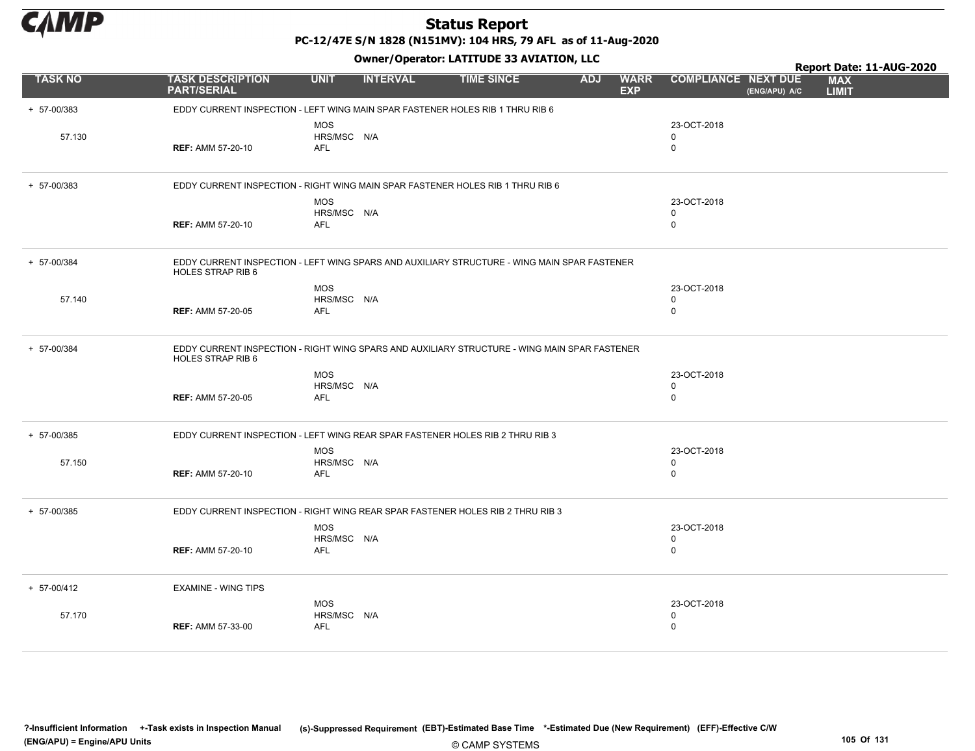

PC-12/47E S/N 1828 (N151MV): 104 HRS, 79 AFL as of 11-Aug-2020

|                |                                                                                                                   |                                         |                 | Owner, Operator. EATITODE 33 AVIATION, LEC |            |                           |                                           |               | Report Date: 11-AUG-2020   |  |
|----------------|-------------------------------------------------------------------------------------------------------------------|-----------------------------------------|-----------------|--------------------------------------------|------------|---------------------------|-------------------------------------------|---------------|----------------------------|--|
| <b>TASK NO</b> | <b>TASK DESCRIPTION</b><br><b>PART/SERIAL</b>                                                                     | <b>UNIT</b>                             | <b>INTERVAL</b> | <b>TIME SINCE</b>                          | <b>ADJ</b> | <b>WARR</b><br><b>EXP</b> | <b>COMPLIANCE NEXT DUE</b>                | (ENG/APU) A/C | <b>MAX</b><br><b>LIMIT</b> |  |
| + 57-00/383    | EDDY CURRENT INSPECTION - LEFT WING MAIN SPAR FASTENER HOLES RIB 1 THRU RIB 6                                     |                                         |                 |                                            |            |                           |                                           |               |                            |  |
| 57.130         | <b>REF: AMM 57-20-10</b>                                                                                          | <b>MOS</b><br>HRS/MSC N/A<br><b>AFL</b> |                 |                                            |            |                           | 23-OCT-2018<br>$\mathbf 0$<br>$\mathbf 0$ |               |                            |  |
| + 57-00/383    | EDDY CURRENT INSPECTION - RIGHT WING MAIN SPAR FASTENER HOLES RIB 1 THRU RIB 6                                    |                                         |                 |                                            |            |                           |                                           |               |                            |  |
|                | <b>REF: AMM 57-20-10</b>                                                                                          | <b>MOS</b><br>HRS/MSC N/A<br><b>AFL</b> |                 |                                            |            |                           | 23-OCT-2018<br>0<br>$\mathbf 0$           |               |                            |  |
| + 57-00/384    | EDDY CURRENT INSPECTION - LEFT WING SPARS AND AUXILIARY STRUCTURE - WING MAIN SPAR FASTENER<br>HOLES STRAP RIB 6  |                                         |                 |                                            |            |                           |                                           |               |                            |  |
| 57.140         | <b>REF: AMM 57-20-05</b>                                                                                          | MOS<br>HRS/MSC N/A<br>AFL               |                 |                                            |            |                           | 23-OCT-2018<br>$\mathbf 0$<br>$\mathbf 0$ |               |                            |  |
| + 57-00/384    | EDDY CURRENT INSPECTION - RIGHT WING SPARS AND AUXILIARY STRUCTURE - WING MAIN SPAR FASTENER<br>HOLES STRAP RIB 6 |                                         |                 |                                            |            |                           |                                           |               |                            |  |
|                | <b>REF: AMM 57-20-05</b>                                                                                          | <b>MOS</b><br>HRS/MSC N/A<br><b>AFL</b> |                 |                                            |            |                           | 23-OCT-2018<br>$\mathbf 0$<br>$\mathbf 0$ |               |                            |  |
| + 57-00/385    | EDDY CURRENT INSPECTION - LEFT WING REAR SPAR FASTENER HOLES RIB 2 THRU RIB 3                                     |                                         |                 |                                            |            |                           |                                           |               |                            |  |
| 57.150         | <b>REF: AMM 57-20-10</b>                                                                                          | <b>MOS</b><br>HRS/MSC N/A<br>AFL        |                 |                                            |            |                           | 23-OCT-2018<br>$\mathbf 0$<br>$\mathbf 0$ |               |                            |  |
| + 57-00/385    | EDDY CURRENT INSPECTION - RIGHT WING REAR SPAR FASTENER HOLES RIB 2 THRU RIB 3                                    |                                         |                 |                                            |            |                           |                                           |               |                            |  |
|                | <b>REF: AMM 57-20-10</b>                                                                                          | <b>MOS</b><br>HRS/MSC N/A<br><b>AFL</b> |                 |                                            |            |                           | 23-OCT-2018<br>$\mathbf 0$<br>$\mathbf 0$ |               |                            |  |
| + 57-00/412    | <b>EXAMINE - WING TIPS</b>                                                                                        |                                         |                 |                                            |            |                           |                                           |               |                            |  |
| 57.170         | <b>REF: AMM 57-33-00</b>                                                                                          | <b>MOS</b><br>HRS/MSC N/A<br><b>AFL</b> |                 |                                            |            |                           | 23-OCT-2018<br>0<br>$\mathbf 0$           |               |                            |  |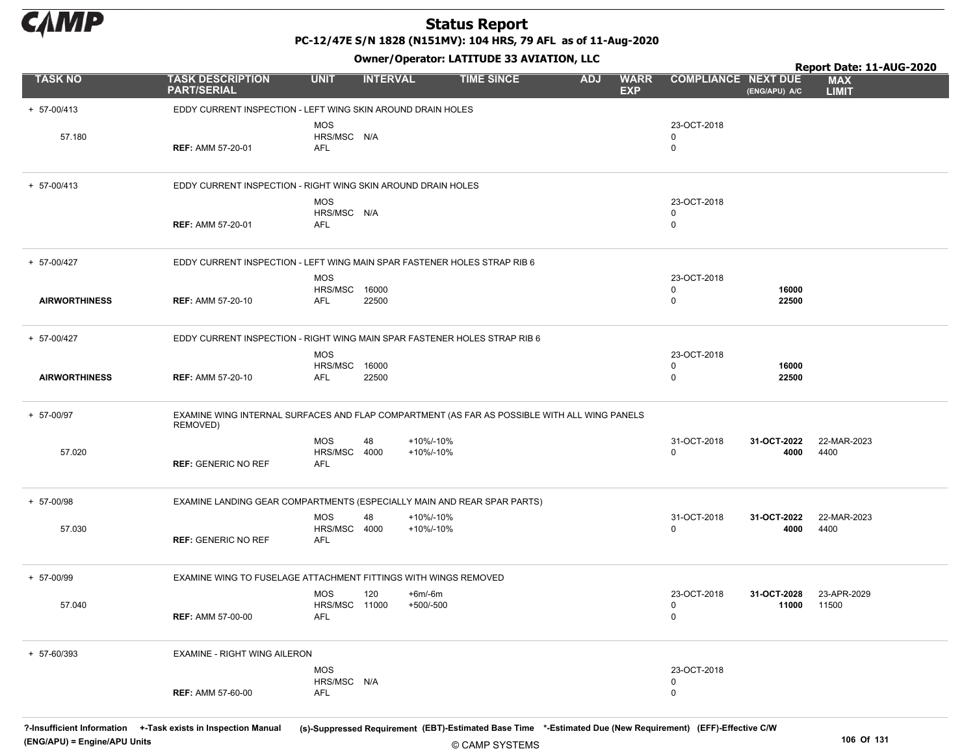

PC-12/47E S/N 1828 (N151MV): 104 HRS, 79 AFL as of 11-Aug-2020

Owner/Operator: LATITUDE 33 AVIATION, LLC

|                      |                                                                                                          |                                           |                 |                        | Owner, Operator. Existingly 33 AVIATION, LLC |            |                           |                            |                      | Report Date: 11-AUG-2020   |
|----------------------|----------------------------------------------------------------------------------------------------------|-------------------------------------------|-----------------|------------------------|----------------------------------------------|------------|---------------------------|----------------------------|----------------------|----------------------------|
| <b>TASK NO</b>       | <b>TASK DESCRIPTION</b><br><b>PART/SERIAL</b>                                                            | <b>UNIT</b>                               | <b>INTERVAL</b> |                        | <b>TIME SINCE</b>                            | <b>ADJ</b> | <b>WARR</b><br><b>EXP</b> | <b>COMPLIANCE NEXT DUE</b> | (ENG/APU) A/C        | <b>MAX</b><br><b>LIMIT</b> |
| + 57-00/413          | EDDY CURRENT INSPECTION - LEFT WING SKIN AROUND DRAIN HOLES                                              |                                           |                 |                        |                                              |            |                           |                            |                      |                            |
| 57.180               | <b>REF: AMM 57-20-01</b>                                                                                 | <b>MOS</b><br>HRS/MSC N/A<br><b>AFL</b>   |                 |                        |                                              |            |                           | 23-OCT-2018<br>0<br>0      |                      |                            |
| $+ 57 - 00/413$      | EDDY CURRENT INSPECTION - RIGHT WING SKIN AROUND DRAIN HOLES                                             |                                           |                 |                        |                                              |            |                           |                            |                      |                            |
|                      | <b>REF: AMM 57-20-01</b>                                                                                 | <b>MOS</b><br>HRS/MSC N/A<br>AFL          |                 |                        |                                              |            |                           | 23-OCT-2018<br>0<br>0      |                      |                            |
| + 57-00/427          | EDDY CURRENT INSPECTION - LEFT WING MAIN SPAR FASTENER HOLES STRAP RIB 6                                 |                                           |                 |                        |                                              |            |                           |                            |                      |                            |
|                      |                                                                                                          | <b>MOS</b>                                |                 |                        |                                              |            |                           | 23-OCT-2018                |                      |                            |
| <b>AIRWORTHINESS</b> | <b>REF: AMM 57-20-10</b>                                                                                 | <b>HRS/MSC 16000</b><br>AFL               | 22500           |                        |                                              |            |                           | 0<br>0                     | 16000<br>22500       |                            |
| + 57-00/427          | EDDY CURRENT INSPECTION - RIGHT WING MAIN SPAR FASTENER HOLES STRAP RIB 6                                |                                           |                 |                        |                                              |            |                           |                            |                      |                            |
|                      |                                                                                                          | <b>MOS</b><br><b>HRS/MSC 16000</b>        |                 |                        |                                              |            |                           | 23-OCT-2018<br>0           | 16000                |                            |
| <b>AIRWORTHINESS</b> | <b>REF: AMM 57-20-10</b>                                                                                 | AFL                                       | 22500           |                        |                                              |            |                           | 0                          | 22500                |                            |
| + 57-00/97           | EXAMINE WING INTERNAL SURFACES AND FLAP COMPARTMENT (AS FAR AS POSSIBLE WITH ALL WING PANELS<br>REMOVED) |                                           |                 |                        |                                              |            |                           |                            |                      |                            |
| 57.020               | <b>REF: GENERIC NO REF</b>                                                                               | <b>MOS</b><br>HRS/MSC 4000<br>AFL         | 48              | +10%/-10%<br>+10%/-10% |                                              |            |                           | 31-OCT-2018<br>0           | 31-OCT-2022<br>4000  | 22-MAR-2023<br>4400        |
| + 57-00/98           | EXAMINE LANDING GEAR COMPARTMENTS (ESPECIALLY MAIN AND REAR SPAR PARTS)                                  |                                           |                 |                        |                                              |            |                           |                            |                      |                            |
| 57.030               | <b>REF: GENERIC NO REF</b>                                                                               | <b>MOS</b><br>HRS/MSC 4000<br>AFL         | 48              | +10%/-10%<br>+10%/-10% |                                              |            |                           | 31-OCT-2018<br>0           | 31-OCT-2022<br>4000  | 22-MAR-2023<br>4400        |
| + 57-00/99           | EXAMINE WING TO FUSELAGE ATTACHMENT FITTINGS WITH WINGS REMOVED                                          |                                           |                 |                        |                                              |            |                           |                            |                      |                            |
| 57.040               | <b>REF: AMM 57-00-00</b>                                                                                 | MOS<br><b>HRS/MSC 11000</b><br><b>AFL</b> | 120             | +6m/-6m<br>+500/-500   |                                              |            |                           | 23-OCT-2018<br>0<br>0      | 31-OCT-2028<br>11000 | 23-APR-2029<br>11500       |
| + 57-60/393          | EXAMINE - RIGHT WING AILERON                                                                             |                                           |                 |                        |                                              |            |                           |                            |                      |                            |
|                      | <b>REF: AMM 57-60-00</b>                                                                                 | <b>MOS</b><br>HRS/MSC N/A<br><b>AFL</b>   |                 |                        |                                              |            |                           | 23-OCT-2018<br>0<br>0      |                      |                            |

© CAMP SYSTEMS ?-Insufficient Information +-Task exists in Inspection Manual (s)-Suppressed Requirement (EBT)-Estimated Base Time \*-Estimated Due (New Requirement) (EFF)-Effective C/W (ENG/APU) = Engine/APU Units 106 Of 131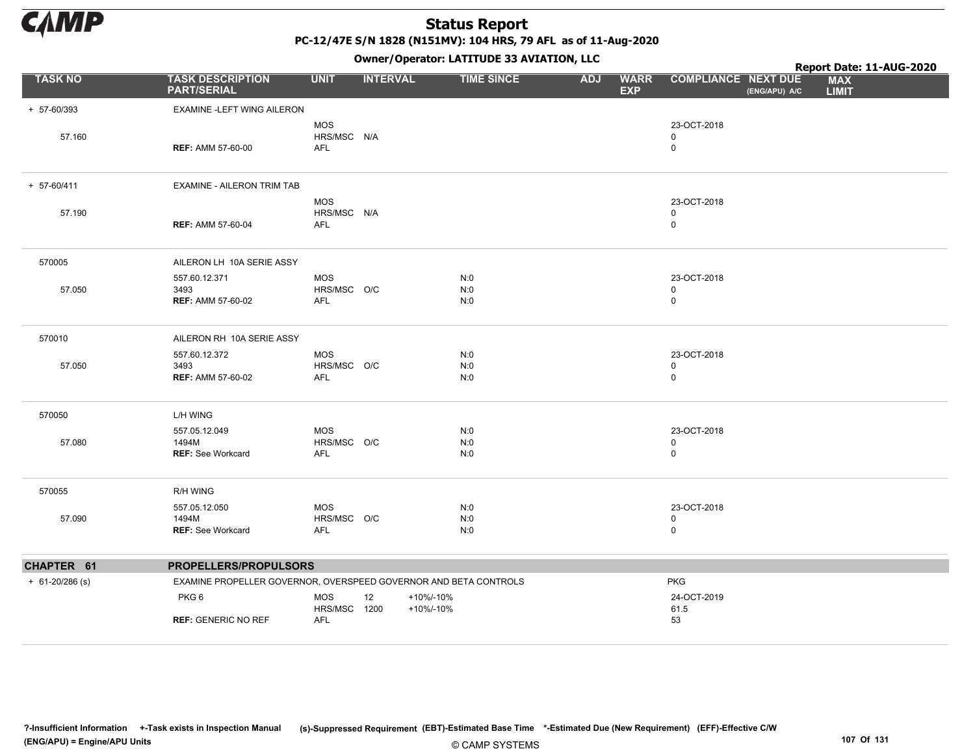

PC-12/47E S/N 1828 (N151MV): 104 HRS, 79 AFL as of 11-Aug-2020

|                     |                                                                  |                            |                 | Owner, Operator. EATITODE 33 AVIATION, LECT |            |                           |                            |               | Report Date: 11-AUG-2020   |
|---------------------|------------------------------------------------------------------|----------------------------|-----------------|---------------------------------------------|------------|---------------------------|----------------------------|---------------|----------------------------|
| <b>TASK NO</b>      | <b>TASK DESCRIPTION</b><br><b>PART/SERIAL</b>                    | <b>UNIT</b>                | <b>INTERVAL</b> | <b>TIME SINCE</b>                           | <b>ADJ</b> | <b>WARR</b><br><b>EXP</b> | <b>COMPLIANCE NEXT DUE</b> | (ENG/APU) A/C | <b>MAX</b><br><b>LIMIT</b> |
| + 57-60/393         | EXAMINE -LEFT WING AILERON                                       |                            |                 |                                             |            |                           |                            |               |                            |
|                     |                                                                  | <b>MOS</b>                 |                 |                                             |            |                           | 23-OCT-2018                |               |                            |
| 57.160              | <b>REF: AMM 57-60-00</b>                                         | HRS/MSC N/A<br><b>AFL</b>  |                 |                                             |            |                           | $\mathbf 0$<br>$\mathbf 0$ |               |                            |
|                     |                                                                  |                            |                 |                                             |            |                           |                            |               |                            |
| + 57-60/411         | EXAMINE - AILERON TRIM TAB                                       |                            |                 |                                             |            |                           |                            |               |                            |
| 57.190              |                                                                  | <b>MOS</b><br>HRS/MSC N/A  |                 |                                             |            |                           | 23-OCT-2018<br>$\mathbf 0$ |               |                            |
|                     | <b>REF: AMM 57-60-04</b>                                         | <b>AFL</b>                 |                 |                                             |            |                           | $\mathbf 0$                |               |                            |
|                     |                                                                  |                            |                 |                                             |            |                           |                            |               |                            |
| 570005              | AILERON LH 10A SERIE ASSY                                        |                            |                 |                                             |            |                           |                            |               |                            |
|                     | 557.60.12.371                                                    | <b>MOS</b>                 |                 | N:0                                         |            |                           | 23-OCT-2018                |               |                            |
| 57.050              | 3493<br><b>REF: AMM 57-60-02</b>                                 | HRS/MSC O/C<br>AFL         |                 | N:0<br>N:0                                  |            |                           | 0<br>$\mathbf 0$           |               |                            |
|                     |                                                                  |                            |                 |                                             |            |                           |                            |               |                            |
| 570010              | AILERON RH 10A SERIE ASSY                                        |                            |                 |                                             |            |                           |                            |               |                            |
|                     | 557.60.12.372                                                    | <b>MOS</b>                 |                 | N:0                                         |            |                           | 23-OCT-2018<br>$\mathbf 0$ |               |                            |
| 57.050              | 3493<br><b>REF: AMM 57-60-02</b>                                 | HRS/MSC O/C<br><b>AFL</b>  |                 | N:0<br>N:0                                  |            |                           | $\mathbf 0$                |               |                            |
|                     |                                                                  |                            |                 |                                             |            |                           |                            |               |                            |
| 570050              | L/H WING                                                         |                            |                 |                                             |            |                           |                            |               |                            |
|                     | 557.05.12.049                                                    | <b>MOS</b>                 |                 | N:0                                         |            |                           | 23-OCT-2018                |               |                            |
| 57.080              | 1494M<br><b>REF: See Workcard</b>                                | HRS/MSC O/C<br>AFL         |                 | N:0<br>N:0                                  |            |                           | 0<br>$\mathbf 0$           |               |                            |
|                     |                                                                  |                            |                 |                                             |            |                           |                            |               |                            |
| 570055              | <b>R/H WING</b>                                                  |                            |                 |                                             |            |                           |                            |               |                            |
|                     | 557.05.12.050                                                    | <b>MOS</b>                 |                 | N:0                                         |            |                           | 23-OCT-2018                |               |                            |
| 57.090              | 1494M<br><b>REF: See Workcard</b>                                | HRS/MSC O/C<br><b>AFL</b>  |                 | N:0<br>N:0                                  |            |                           | 0<br>$\mathbf 0$           |               |                            |
|                     |                                                                  |                            |                 |                                             |            |                           |                            |               |                            |
| CHAPTER 61          | PROPELLERS/PROPULSORS                                            |                            |                 |                                             |            |                           |                            |               |                            |
| $+ 61 - 20/286$ (s) | EXAMINE PROPELLER GOVERNOR, OVERSPEED GOVERNOR AND BETA CONTROLS |                            |                 |                                             |            |                           | <b>PKG</b>                 |               |                            |
|                     | PKG6                                                             | <b>MOS</b>                 | +10%/-10%<br>12 |                                             |            |                           | 24-OCT-2019                |               |                            |
|                     | <b>REF: GENERIC NO REF</b>                                       | HRS/MSC 1200<br><b>AFL</b> | +10%/-10%       |                                             |            |                           | 61.5<br>53                 |               |                            |
|                     |                                                                  |                            |                 |                                             |            |                           |                            |               |                            |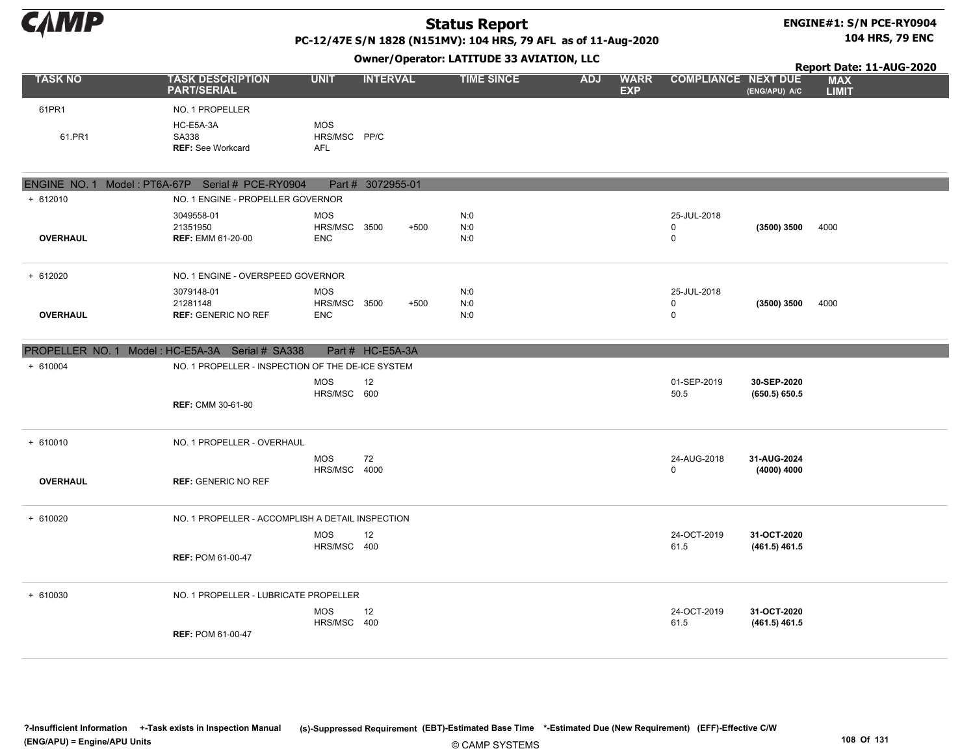#### ENGINE#1: S/N PCE-RY0904 104 HRS, 79 ENC

PC-12/47E S/N 1828 (N151MV): 104 HRS, 79 AFL as of 11-Aug-2020

|                 |                                                      |                                          |                   |        | Owner, Operator. EATITODE 33 AVIATION, LEC |            |                           |                                           |                                | Report Date: 11-AUG-2020   |
|-----------------|------------------------------------------------------|------------------------------------------|-------------------|--------|--------------------------------------------|------------|---------------------------|-------------------------------------------|--------------------------------|----------------------------|
| <b>TASK NO</b>  | <b>TASK DESCRIPTION</b><br><b>PART/SERIAL</b>        | <b>UNIT</b>                              | <b>INTERVAL</b>   |        | <b>TIME SINCE</b>                          | <b>ADJ</b> | <b>WARR</b><br><b>EXP</b> | <b>COMPLIANCE NEXT DUE</b>                | (ENG/APU) A/C                  | <b>MAX</b><br><b>LIMIT</b> |
| 61PR1           | NO. 1 PROPELLER                                      |                                          |                   |        |                                            |            |                           |                                           |                                |                            |
| 61.PR1          | HC-E5A-3A<br>SA338<br><b>REF: See Workcard</b>       | <b>MOS</b><br>HRS/MSC PP/C<br><b>AFL</b> |                   |        |                                            |            |                           |                                           |                                |                            |
|                 | ENGINE NO. 1 Model: PT6A-67P Serial # PCE-RY0904     |                                          | Part # 3072955-01 |        |                                            |            |                           |                                           |                                |                            |
| $+ 612010$      | NO. 1 ENGINE - PROPELLER GOVERNOR                    |                                          |                   |        |                                            |            |                           |                                           |                                |                            |
| <b>OVERHAUL</b> | 3049558-01<br>21351950<br><b>REF: EMM 61-20-00</b>   | <b>MOS</b><br>HRS/MSC 3500<br><b>ENC</b> |                   | $+500$ | N:0<br>N:0<br>N:0                          |            |                           | 25-JUL-2018<br>$\mathbf 0$<br>$\mathsf 0$ | (3500) 3500                    | 4000                       |
| + 612020        | NO. 1 ENGINE - OVERSPEED GOVERNOR                    |                                          |                   |        |                                            |            |                           |                                           |                                |                            |
| <b>OVERHAUL</b> | 3079148-01<br>21281148<br><b>REF: GENERIC NO REF</b> | <b>MOS</b><br>HRS/MSC 3500<br><b>ENC</b> |                   | $+500$ | N:0<br>N:0<br>N:0                          |            |                           | 25-JUL-2018<br>$\mathbf 0$<br>$\mathbf 0$ | (3500) 3500                    | 4000                       |
|                 | PROPELLER NO. 1 Model: HC-E5A-3A Serial # SA338      |                                          | Part # HC-E5A-3A  |        |                                            |            |                           |                                           |                                |                            |
| + 610004        | NO. 1 PROPELLER - INSPECTION OF THE DE-ICE SYSTEM    |                                          |                   |        |                                            |            |                           |                                           |                                |                            |
|                 | <b>REF: CMM 30-61-80</b>                             | <b>MOS</b><br>HRS/MSC 600                | 12                |        |                                            |            |                           | 01-SEP-2019<br>50.5                       | 30-SEP-2020<br>(650.5) 650.5   |                            |
| $+ 610010$      | NO. 1 PROPELLER - OVERHAUL                           |                                          |                   |        |                                            |            |                           |                                           |                                |                            |
| <b>OVERHAUL</b> | <b>REF: GENERIC NO REF</b>                           | <b>MOS</b><br>HRS/MSC                    | 72<br>4000        |        |                                            |            |                           | 24-AUG-2018<br>$\mathbf 0$                | 31-AUG-2024<br>(4000) 4000     |                            |
| + 610020        | NO. 1 PROPELLER - ACCOMPLISH A DETAIL INSPECTION     |                                          |                   |        |                                            |            |                           |                                           |                                |                            |
|                 | <b>REF: POM 61-00-47</b>                             | <b>MOS</b><br>HRS/MSC 400                | 12                |        |                                            |            |                           | 24-OCT-2019<br>61.5                       | 31-OCT-2020<br>$(461.5)$ 461.5 |                            |
| + 610030        | NO. 1 PROPELLER - LUBRICATE PROPELLER                | <b>MOS</b><br>HRS/MSC 400                | 12                |        |                                            |            |                           | 24-OCT-2019<br>61.5                       | 31-OCT-2020<br>$(461.5)$ 461.5 |                            |
|                 | <b>REF: POM 61-00-47</b>                             |                                          |                   |        |                                            |            |                           |                                           |                                |                            |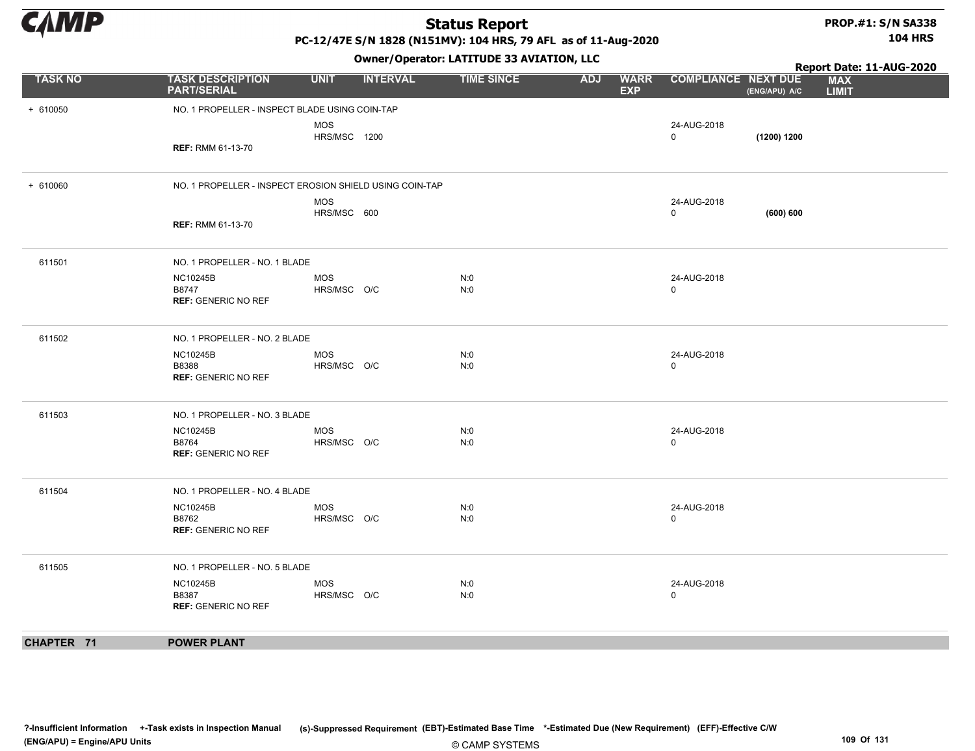#### PROP.#1: S/N SA338 104 HRS

PC-12/47E S/N 1828 (N151MV): 104 HRS, 79 AFL as of 11-Aug-2020

|                |                                                         |                           |                 | Owner, Operator. EATITODE 33 AVIATION, LECT |            |                           | Report Date: 11-AUG-2020   |               |                            |
|----------------|---------------------------------------------------------|---------------------------|-----------------|---------------------------------------------|------------|---------------------------|----------------------------|---------------|----------------------------|
| <b>TASK NO</b> | <b>TASK DESCRIPTION</b><br><b>PART/SERIAL</b>           | <b>UNIT</b>               | <b>INTERVAL</b> | <b>TIME SINCE</b>                           | <b>ADJ</b> | <b>WARR</b><br><b>EXP</b> | <b>COMPLIANCE NEXT DUE</b> | (ENG/APU) A/C | <b>MAX</b><br><b>LIMIT</b> |
| $+ 610050$     | NO. 1 PROPELLER - INSPECT BLADE USING COIN-TAP          |                           |                 |                                             |            |                           |                            |               |                            |
|                |                                                         | <b>MOS</b>                |                 |                                             |            |                           | 24-AUG-2018                |               |                            |
|                | <b>REF: RMM 61-13-70</b>                                | <b>HRS/MSC 1200</b>       |                 |                                             |            |                           | $\mathbf 0$                | (1200) 1200   |                            |
|                |                                                         |                           |                 |                                             |            |                           |                            |               |                            |
| $+ 610060$     | NO. 1 PROPELLER - INSPECT EROSION SHIELD USING COIN-TAP |                           |                 |                                             |            |                           |                            |               |                            |
|                |                                                         | <b>MOS</b>                |                 |                                             |            |                           | 24-AUG-2018<br>$\mathbf 0$ |               |                            |
|                | <b>REF: RMM 61-13-70</b>                                | HRS/MSC 600               |                 |                                             |            |                           |                            | (600) 600     |                            |
|                |                                                         |                           |                 |                                             |            |                           |                            |               |                            |
| 611501         | NO. 1 PROPELLER - NO. 1 BLADE                           |                           |                 |                                             |            |                           |                            |               |                            |
|                | <b>NC10245B</b>                                         | <b>MOS</b>                |                 | N:0                                         |            |                           | 24-AUG-2018                |               |                            |
|                | B8747<br><b>REF: GENERIC NO REF</b>                     | HRS/MSC O/C               |                 | N:0                                         |            |                           | $\mathbf 0$                |               |                            |
|                |                                                         |                           |                 |                                             |            |                           |                            |               |                            |
| 611502         | NO. 1 PROPELLER - NO. 2 BLADE                           |                           |                 |                                             |            |                           |                            |               |                            |
|                | <b>NC10245B</b><br>B8388                                | <b>MOS</b><br>HRS/MSC O/C |                 | N:0<br>N:0                                  |            |                           | 24-AUG-2018<br>$\Omega$    |               |                            |
|                | <b>REF: GENERIC NO REF</b>                              |                           |                 |                                             |            |                           |                            |               |                            |
|                |                                                         |                           |                 |                                             |            |                           |                            |               |                            |
| 611503         | NO. 1 PROPELLER - NO. 3 BLADE                           |                           |                 |                                             |            |                           |                            |               |                            |
|                | <b>NC10245B</b><br>B8764                                | MOS<br>HRS/MSC O/C        |                 | N:0<br>N:0                                  |            |                           | 24-AUG-2018<br>$\mathbf 0$ |               |                            |
|                | <b>REF: GENERIC NO REF</b>                              |                           |                 |                                             |            |                           |                            |               |                            |
|                |                                                         |                           |                 |                                             |            |                           |                            |               |                            |
| 611504         | NO. 1 PROPELLER - NO. 4 BLADE                           |                           |                 |                                             |            |                           |                            |               |                            |
|                | <b>NC10245B</b>                                         | <b>MOS</b>                |                 | N:0                                         |            |                           | 24-AUG-2018<br>$\mathbf 0$ |               |                            |
|                | B8762<br><b>REF: GENERIC NO REF</b>                     | HRS/MSC O/C               |                 | N:0                                         |            |                           |                            |               |                            |
|                |                                                         |                           |                 |                                             |            |                           |                            |               |                            |
| 611505         | NO. 1 PROPELLER - NO. 5 BLADE                           |                           |                 |                                             |            |                           |                            |               |                            |
|                | <b>NC10245B</b><br>B8387                                | <b>MOS</b><br>HRS/MSC O/C |                 | N:0<br>N:0                                  |            |                           | 24-AUG-2018<br>$\mathbf 0$ |               |                            |
|                | <b>REF: GENERIC NO REF</b>                              |                           |                 |                                             |            |                           |                            |               |                            |
|                |                                                         |                           |                 |                                             |            |                           |                            |               |                            |
| CHAPTER 71     | <b>POWER PLANT</b>                                      |                           |                 |                                             |            |                           |                            |               |                            |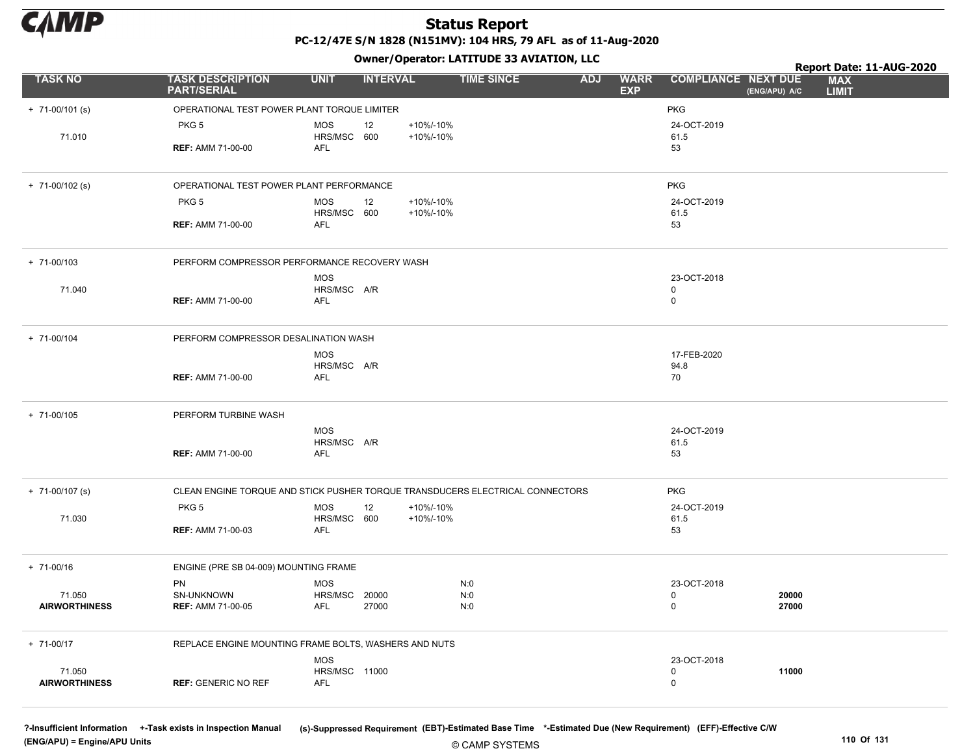

### Status Report PC-12/47E S/N 1828 (N151MV): 104 HRS, 79 AFL as of 11-Aug-2020

Owner/Operator: LATITUDE 33 AVIATION, LLC

|                                |                                                                               |                                    | - - -           |           |                   |            |                            |                            |                | Report Date: 11-AUG-2020   |  |
|--------------------------------|-------------------------------------------------------------------------------|------------------------------------|-----------------|-----------|-------------------|------------|----------------------------|----------------------------|----------------|----------------------------|--|
| <b>TASK NO</b>                 | <b>TASK DESCRIPTION</b><br><b>PART/SERIAL</b>                                 | <b>UNIT</b>                        | <b>INTERVAL</b> |           | <b>TIME SINCE</b> | <b>ADJ</b> | <b>WARR</b><br><b>EXP</b>  | <b>COMPLIANCE NEXT DUE</b> | (ENG/APU) A/C  | <b>MAX</b><br><b>LIMIT</b> |  |
| $+ 71-00/101$ (s)              | OPERATIONAL TEST POWER PLANT TORQUE LIMITER                                   |                                    |                 |           |                   |            |                            | <b>PKG</b>                 |                |                            |  |
|                                | PKG <sub>5</sub>                                                              | <b>MOS</b>                         | 12              | +10%/-10% |                   |            |                            | 24-OCT-2019                |                |                            |  |
| 71.010                         |                                                                               | HRS/MSC 600                        |                 | +10%/-10% |                   |            |                            | 61.5                       |                |                            |  |
|                                | <b>REF: AMM 71-00-00</b>                                                      | AFL                                |                 |           |                   |            |                            | 53                         |                |                            |  |
| $+ 71-00/102$ (s)              | OPERATIONAL TEST POWER PLANT PERFORMANCE                                      |                                    |                 |           |                   |            |                            | <b>PKG</b>                 |                |                            |  |
|                                | PKG <sub>5</sub>                                                              | <b>MOS</b>                         | 12              | +10%/-10% |                   |            |                            | 24-OCT-2019                |                |                            |  |
|                                | <b>REF: AMM 71-00-00</b>                                                      | HRS/MSC 600<br><b>AFL</b>          |                 | +10%/-10% |                   |            |                            | 61.5<br>53                 |                |                            |  |
|                                |                                                                               |                                    |                 |           |                   |            |                            |                            |                |                            |  |
| $+ 71 - 00/103$                | PERFORM COMPRESSOR PERFORMANCE RECOVERY WASH                                  |                                    |                 |           |                   |            |                            |                            |                |                            |  |
|                                |                                                                               | <b>MOS</b>                         |                 |           |                   |            |                            | 23-OCT-2018                |                |                            |  |
| 71.040                         | <b>REF: AMM 71-00-00</b>                                                      | HRS/MSC A/R<br>AFL                 |                 |           |                   |            | $\mathbf 0$<br>$\mathbf 0$ |                            |                |                            |  |
|                                |                                                                               |                                    |                 |           |                   |            |                            |                            |                |                            |  |
| + 71-00/104                    | PERFORM COMPRESSOR DESALINATION WASH                                          |                                    |                 |           |                   |            |                            |                            |                |                            |  |
|                                |                                                                               | <b>MOS</b>                         |                 |           |                   |            |                            | 17-FEB-2020                |                |                            |  |
|                                | <b>REF: AMM 71-00-00</b>                                                      | HRS/MSC A/R<br>AFL                 |                 |           |                   |            |                            | 94.8<br>70                 |                |                            |  |
|                                |                                                                               |                                    |                 |           |                   |            |                            |                            |                |                            |  |
| + 71-00/105                    | PERFORM TURBINE WASH                                                          |                                    |                 |           |                   |            |                            |                            |                |                            |  |
|                                |                                                                               | <b>MOS</b>                         |                 |           |                   |            |                            | 24-OCT-2019                |                |                            |  |
|                                | <b>REF: AMM 71-00-00</b>                                                      | HRS/MSC A/R<br><b>AFL</b>          |                 |           |                   |            |                            | 61.5<br>53                 |                |                            |  |
|                                |                                                                               |                                    |                 |           |                   |            |                            |                            |                |                            |  |
| $+ 71-00/107$ (s)              | CLEAN ENGINE TORQUE AND STICK PUSHER TORQUE TRANSDUCERS ELECTRICAL CONNECTORS |                                    |                 |           |                   |            |                            | <b>PKG</b>                 |                |                            |  |
|                                | PKG <sub>5</sub>                                                              | <b>MOS</b>                         | 12              | +10%/-10% |                   |            |                            | 24-OCT-2019                |                |                            |  |
| 71.030                         | <b>REF: AMM 71-00-03</b>                                                      | HRS/MSC 600<br>AFL                 |                 | +10%/-10% |                   |            |                            | 61.5<br>53                 |                |                            |  |
|                                |                                                                               |                                    |                 |           |                   |            |                            |                            |                |                            |  |
| $+ 71 - 00/16$                 | ENGINE (PRE SB 04-009) MOUNTING FRAME                                         |                                    |                 |           |                   |            |                            |                            |                |                            |  |
|                                | PN                                                                            | <b>MOS</b>                         |                 |           | N:0               |            |                            | 23-OCT-2018                |                |                            |  |
| 71.050<br><b>AIRWORTHINESS</b> | SN-UNKNOWN<br><b>REF: AMM 71-00-05</b>                                        | HRS/MSC 20000<br>AFL               | 27000           |           | N:0<br>N:0        |            | $\pmb{0}$<br>$\mathbf 0$   |                            | 20000<br>27000 |                            |  |
|                                |                                                                               |                                    |                 |           |                   |            |                            |                            |                |                            |  |
| + 71-00/17                     | REPLACE ENGINE MOUNTING FRAME BOLTS, WASHERS AND NUTS                         |                                    |                 |           |                   |            |                            |                            |                |                            |  |
|                                |                                                                               | <b>MOS</b>                         |                 |           |                   |            |                            | 23-OCT-2018                |                |                            |  |
| 71.050<br><b>AIRWORTHINESS</b> | <b>REF: GENERIC NO REF</b>                                                    | <b>HRS/MSC 11000</b><br><b>AFL</b> |                 |           |                   |            | $\mathbf 0$<br>$\mathbf 0$ |                            | 11000          |                            |  |
|                                |                                                                               |                                    |                 |           |                   |            |                            |                            |                |                            |  |

(ENG/APU) = Engine/APU Units 110 Of 131

?-Insufficient Information +-Task exists in Inspection Manual (s)-Suppressed Requirement (EBT)-Estimated Base Time \*-Estimated Due (New Requirement) (EFF)-Effective C/W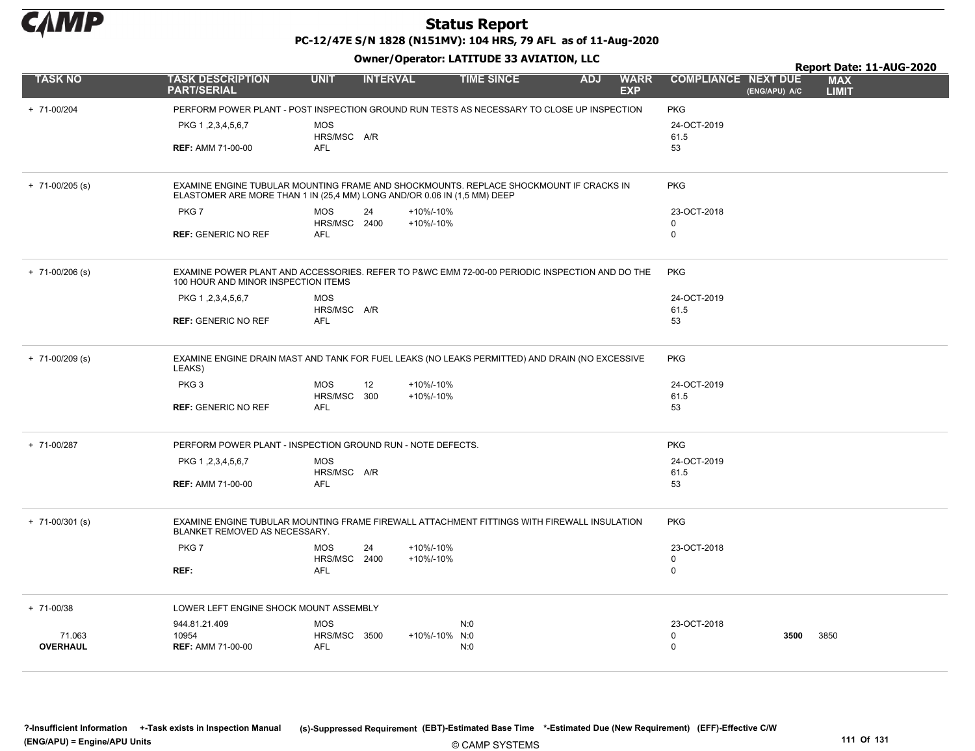

PC-12/47E S/N 1828 (N151MV): 104 HRS, 79 AFL as of 11-Aug-2020

Owner/Operator: LATITUDE 33 AVIATION, LLC

|                           |                                                                                                                                                                    |                            |                 |                        | Owner / Operator. EATTTODE 33 AVIATION, LLC | Report Date: 11-AUG-2020 |                           |                            |               |                            |
|---------------------------|--------------------------------------------------------------------------------------------------------------------------------------------------------------------|----------------------------|-----------------|------------------------|---------------------------------------------|--------------------------|---------------------------|----------------------------|---------------|----------------------------|
| <b>TASK NO</b>            | <b>TASK DESCRIPTION</b><br><b>PART/SERIAL</b>                                                                                                                      | <b>UNIT</b>                | <b>INTERVAL</b> |                        | <b>TIME SINCE</b>                           | <b>ADJ</b>               | <b>WARR</b><br><b>EXP</b> | <b>COMPLIANCE NEXT DUE</b> | (ENG/APU) A/C | <b>MAX</b><br><b>LIMIT</b> |
| + 71-00/204               | PERFORM POWER PLANT - POST INSPECTION GROUND RUN TESTS AS NECESSARY TO CLOSE UP INSPECTION                                                                         |                            |                 |                        |                                             |                          |                           | <b>PKG</b>                 |               |                            |
|                           | PKG 1, 2, 3, 4, 5, 6, 7                                                                                                                                            | <b>MOS</b><br>HRS/MSC A/R  |                 |                        |                                             |                          |                           | 24-OCT-2019<br>61.5        |               |                            |
|                           | <b>REF: AMM 71-00-00</b>                                                                                                                                           | <b>AFL</b>                 |                 |                        |                                             |                          |                           | 53                         |               |                            |
| $+ 71 - 00/205$ (s)       | EXAMINE ENGINE TUBULAR MOUNTING FRAME AND SHOCKMOUNTS. REPLACE SHOCKMOUNT IF CRACKS IN<br>ELASTOMER ARE MORE THAN 1 IN (25,4 MM) LONG AND/OR 0.06 IN (1,5 MM) DEEP |                            |                 |                        |                                             |                          |                           | <b>PKG</b>                 |               |                            |
|                           | PKG7                                                                                                                                                               | <b>MOS</b><br>HRS/MSC 2400 | 24              | +10%/-10%<br>+10%/-10% |                                             |                          |                           | 23-OCT-2018<br>0           |               |                            |
|                           | <b>REF: GENERIC NO REF</b>                                                                                                                                         | AFL                        |                 |                        |                                             |                          |                           | $\mathbf 0$                |               |                            |
| $+ 71 - 00/206$ (s)       | EXAMINE POWER PLANT AND ACCESSORIES. REFER TO P&WC EMM 72-00-00 PERIODIC INSPECTION AND DO THE<br>100 HOUR AND MINOR INSPECTION ITEMS                              |                            |                 |                        |                                             |                          |                           | <b>PKG</b>                 |               |                            |
|                           | PKG 1, 2, 3, 4, 5, 6, 7                                                                                                                                            | <b>MOS</b><br>HRS/MSC A/R  |                 |                        |                                             |                          |                           | 24-OCT-2019<br>61.5        |               |                            |
|                           | <b>REF: GENERIC NO REF</b>                                                                                                                                         | <b>AFL</b>                 |                 |                        |                                             |                          |                           | 53                         |               |                            |
| $+ 71 - 00/209$ (s)       | EXAMINE ENGINE DRAIN MAST AND TANK FOR FUEL LEAKS (NO LEAKS PERMITTED) AND DRAIN (NO EXCESSIVE<br>LEAKS)                                                           |                            |                 |                        |                                             |                          |                           | <b>PKG</b>                 |               |                            |
|                           | PKG <sub>3</sub>                                                                                                                                                   | <b>MOS</b><br>HRS/MSC 300  | 12              | +10%/-10%<br>+10%/-10% |                                             |                          |                           | 24-OCT-2019<br>61.5        |               |                            |
|                           | <b>REF: GENERIC NO REF</b>                                                                                                                                         | <b>AFL</b>                 |                 |                        |                                             |                          |                           | 53                         |               |                            |
| + 71-00/287               | PERFORM POWER PLANT - INSPECTION GROUND RUN - NOTE DEFECTS.                                                                                                        |                            |                 |                        |                                             |                          |                           | <b>PKG</b>                 |               |                            |
|                           | PKG 1, 2, 3, 4, 5, 6, 7                                                                                                                                            | <b>MOS</b><br>HRS/MSC A/R  |                 |                        |                                             |                          |                           | 24-OCT-2019<br>61.5        |               |                            |
|                           | <b>REF: AMM 71-00-00</b>                                                                                                                                           | <b>AFL</b>                 |                 |                        |                                             |                          |                           | 53                         |               |                            |
| $+ 71 - 00/301$ (s)       | EXAMINE ENGINE TUBULAR MOUNTING FRAME FIREWALL ATTACHMENT FITTINGS WITH FIREWALL INSULATION<br>BLANKET REMOVED AS NECESSARY.                                       |                            |                 |                        |                                             |                          |                           | <b>PKG</b>                 |               |                            |
|                           | PKG7                                                                                                                                                               | <b>MOS</b><br>HRS/MSC 2400 | 24              | +10%/-10%<br>+10%/-10% |                                             |                          |                           | 23-OCT-2018<br>$\mathbf 0$ |               |                            |
|                           | REF:                                                                                                                                                               | <b>AFL</b>                 |                 |                        |                                             |                          |                           | $\mathbf 0$                |               |                            |
| $+ 71 - 00/38$            | LOWER LEFT ENGINE SHOCK MOUNT ASSEMBLY                                                                                                                             |                            |                 |                        |                                             |                          |                           |                            |               |                            |
|                           | 944.81.21.409                                                                                                                                                      | <b>MOS</b>                 |                 |                        | N:0                                         |                          |                           | 23-OCT-2018                |               |                            |
| 71.063<br><b>OVERHAUL</b> | 10954<br><b>REF: AMM 71-00-00</b>                                                                                                                                  | HRS/MSC 3500<br><b>AFL</b> |                 | +10%/-10% N:0          | N:0                                         |                          |                           | $\mathbf 0$<br>$\Omega$    | 3500          | 3850                       |
|                           |                                                                                                                                                                    |                            |                 |                        |                                             |                          |                           |                            |               |                            |

© CAMP SYSTEMS ?-Insufficient Information +-Task exists in Inspection Manual (s)-Suppressed Requirement (EBT)-Estimated Base Time \*-Estimated Due (New Requirement) (EFF)-Effective C/W (ENG/APU) = Engine/APU Units 111 Of 131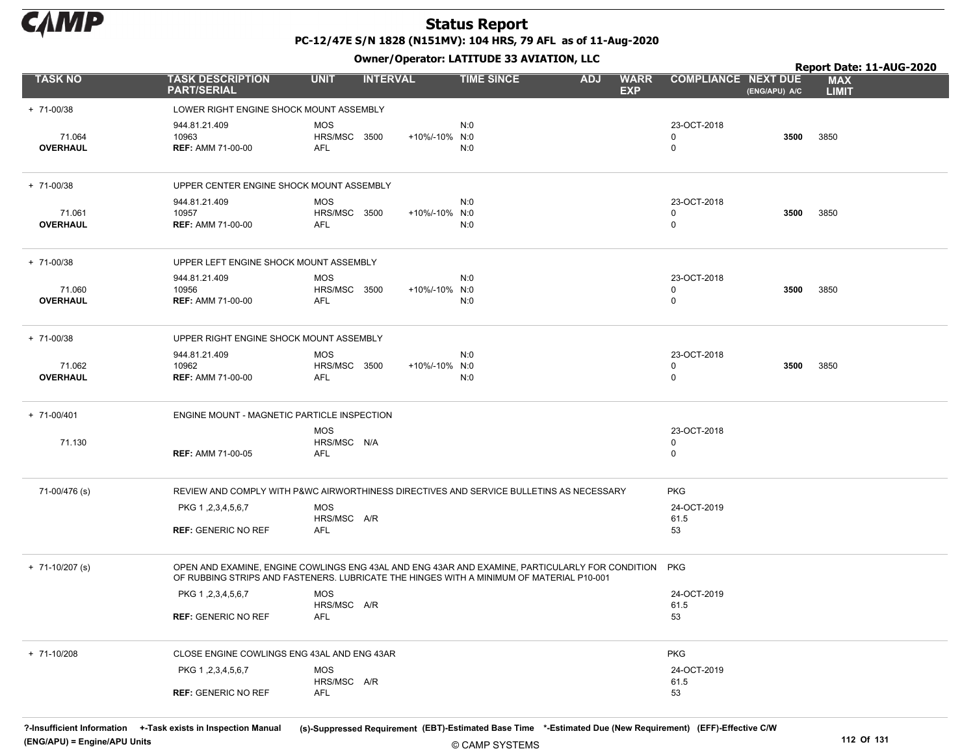

### Status Report PC-12/47E S/N 1828 (N151MV): 104 HRS, 79 AFL as of 11-Aug-2020

Owner/Operator: LATITUDE 33 AVIATION, LLC

|                           |                                                       |                                          | .               |                                                                                                                                                                                                 |                                             | Report Date: 11-AUG-2020   |
|---------------------------|-------------------------------------------------------|------------------------------------------|-----------------|-------------------------------------------------------------------------------------------------------------------------------------------------------------------------------------------------|---------------------------------------------|----------------------------|
| <b>TASK NO</b>            | <b>TASK DESCRIPTION</b><br><b>PART/SERIAL</b>         | <b>UNIT</b>                              | <b>INTERVAL</b> | <b>TIME SINCE</b><br><b>ADJ</b><br><b>WARR</b><br><b>EXP</b>                                                                                                                                    | <b>COMPLIANCE NEXT DUE</b><br>(ENG/APU) A/C | <b>MAX</b><br><b>LIMIT</b> |
| + 71-00/38                | LOWER RIGHT ENGINE SHOCK MOUNT ASSEMBLY               |                                          |                 |                                                                                                                                                                                                 |                                             |                            |
| 71.064<br><b>OVERHAUL</b> | 944.81.21.409<br>10963<br><b>REF: AMM 71-00-00</b>    | MOS<br>HRS/MSC 3500<br>AFL               | +10%/-10% N:0   | N:0<br>N:0                                                                                                                                                                                      | 23-OCT-2018<br>3500<br>0<br>0               | 3850                       |
| + 71-00/38                | UPPER CENTER ENGINE SHOCK MOUNT ASSEMBLY              |                                          |                 |                                                                                                                                                                                                 |                                             |                            |
| 71.061<br><b>OVERHAUL</b> | 944.81.21.409<br>10957<br><b>REF: AMM 71-00-00</b>    | <b>MOS</b><br><b>HRS/MSC 3500</b><br>AFL | +10%/-10% N:0   | N:0<br>N:0                                                                                                                                                                                      | 23-OCT-2018<br>3500<br>0<br>0               | 3850                       |
| + 71-00/38                | UPPER LEFT ENGINE SHOCK MOUNT ASSEMBLY                |                                          |                 |                                                                                                                                                                                                 |                                             |                            |
| 71.060<br><b>OVERHAUL</b> | 944.81.21.409<br>10956<br><b>REF: AMM 71-00-00</b>    | <b>MOS</b><br>HRS/MSC 3500<br>AFL        | +10%/-10% N:0   | N:0<br>N:0                                                                                                                                                                                      | 23-OCT-2018<br>3500<br>0<br>0               | 3850                       |
| + 71-00/38                | UPPER RIGHT ENGINE SHOCK MOUNT ASSEMBLY               |                                          |                 |                                                                                                                                                                                                 |                                             |                            |
| 71.062<br>OVERHAUL        | 944.81.21.409<br>10962<br><b>REF: AMM 71-00-00</b>    | <b>MOS</b><br>HRS/MSC 3500<br>AFL        | +10%/-10% N:0   | N:0<br>N:0                                                                                                                                                                                      | 23-OCT-2018<br>3500<br>0<br>$\mathbf 0$     | 3850                       |
| + 71-00/401               | ENGINE MOUNT - MAGNETIC PARTICLE INSPECTION           |                                          |                 |                                                                                                                                                                                                 |                                             |                            |
| 71.130                    | <b>REF: AMM 71-00-05</b>                              | MOS<br>HRS/MSC N/A<br>AFL                |                 |                                                                                                                                                                                                 | 23-OCT-2018<br>0<br>0                       |                            |
| 71-00/476 (s)             |                                                       |                                          |                 | REVIEW AND COMPLY WITH P&WC AIRWORTHINESS DIRECTIVES AND SERVICE BULLETINS AS NECESSARY                                                                                                         | <b>PKG</b>                                  |                            |
|                           | PKG 1, 2, 3, 4, 5, 6, 7<br><b>REF: GENERIC NO REF</b> | <b>MOS</b><br>HRS/MSC A/R<br>AFL         |                 |                                                                                                                                                                                                 | 24-OCT-2019<br>61.5<br>53                   |                            |
| $+ 71-10/207$ (s)         |                                                       |                                          |                 | OPEN AND EXAMINE, ENGINE COWLINGS ENG 43AL AND ENG 43AR AND EXAMINE, PARTICULARLY FOR CONDITION PKG<br>OF RUBBING STRIPS AND FASTENERS. LUBRICATE THE HINGES WITH A MINIMUM OF MATERIAL P10-001 |                                             |                            |
|                           | PKG 1, 2, 3, 4, 5, 6, 7                               | <b>MOS</b><br>HRS/MSC A/R                |                 |                                                                                                                                                                                                 | 24-OCT-2019<br>61.5                         |                            |
|                           | <b>REF: GENERIC NO REF</b>                            | AFL                                      |                 |                                                                                                                                                                                                 | 53                                          |                            |
| + 71-10/208               | CLOSE ENGINE COWLINGS ENG 43AL AND ENG 43AR           |                                          |                 |                                                                                                                                                                                                 | <b>PKG</b>                                  |                            |
|                           | PKG 1, 2, 3, 4, 5, 6, 7                               | <b>MOS</b><br>HRS/MSC A/R                |                 |                                                                                                                                                                                                 | 24-OCT-2019<br>61.5                         |                            |
|                           | <b>REF: GENERIC NO REF</b>                            | AFL                                      |                 |                                                                                                                                                                                                 | 53                                          |                            |

© CAMP SYSTEMS ?-Insufficient Information +-Task exists in Inspection Manual (s)-Suppressed Requirement (EBT)-Estimated Base Time \*-Estimated Due (New Requirement) (EFF)-Effective C/W (ENG/APU) = Engine/APU Units 112 Of 131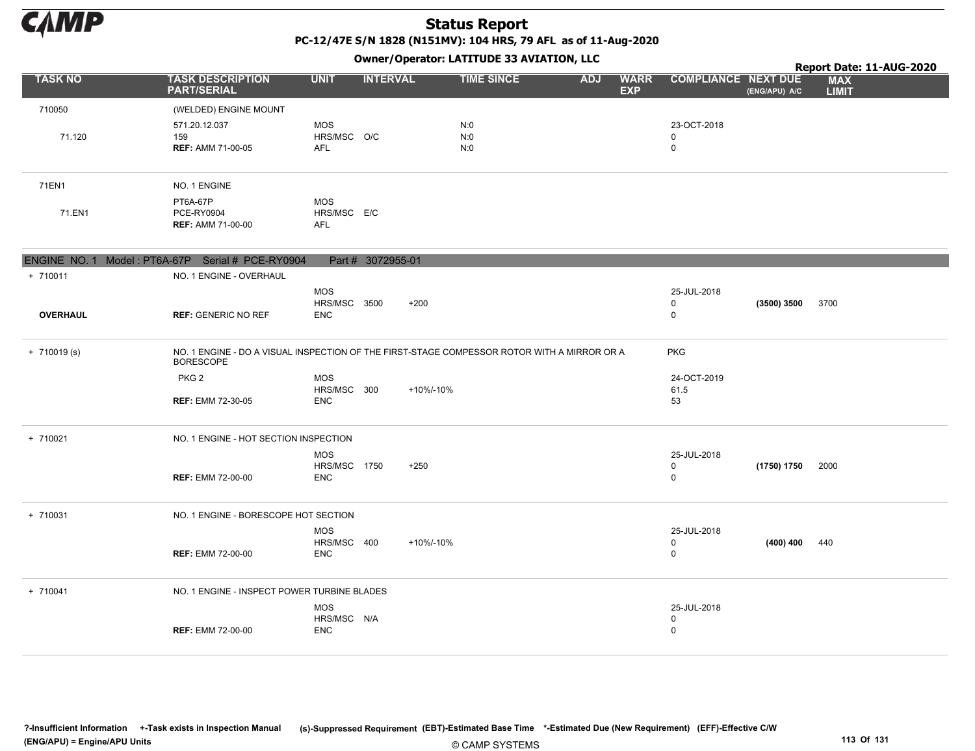

PC-12/47E S/N 1828 (N151MV): 104 HRS, 79 AFL as of 11-Aug-2020

|                 |                                                                                                                 |                                   |                   |           | Owner/Operator. EATITODE 33 AVIATION, LLC |            |                           |                            |               | Report Date: 11-AUG-2020   |
|-----------------|-----------------------------------------------------------------------------------------------------------------|-----------------------------------|-------------------|-----------|-------------------------------------------|------------|---------------------------|----------------------------|---------------|----------------------------|
| <b>TASK NO</b>  | <b>TASK DESCRIPTION</b><br><b>PART/SERIAL</b>                                                                   | <b>UNIT</b>                       | <b>INTERVAL</b>   |           | <b>TIME SINCE</b>                         | <b>ADJ</b> | <b>WARR</b><br><b>EXP</b> | <b>COMPLIANCE NEXT DUE</b> | (ENG/APU) A/C | <b>MAX</b><br><b>LIMIT</b> |
| 710050          | (WELDED) ENGINE MOUNT                                                                                           |                                   |                   |           |                                           |            |                           |                            |               |                            |
|                 | 571.20.12.037                                                                                                   | <b>MOS</b>                        |                   |           | N:0                                       |            |                           | 23-OCT-2018                |               |                            |
| 71.120          | 159<br><b>REF: AMM 71-00-05</b>                                                                                 | HRS/MSC O/C<br><b>AFL</b>         |                   |           | N:0<br>N:0                                |            |                           | 0<br>$\mathbf 0$           |               |                            |
|                 |                                                                                                                 |                                   |                   |           |                                           |            |                           |                            |               |                            |
| 71EN1           | NO. 1 ENGINE                                                                                                    |                                   |                   |           |                                           |            |                           |                            |               |                            |
|                 | PT6A-67P                                                                                                        | <b>MOS</b>                        |                   |           |                                           |            |                           |                            |               |                            |
| 71.EN1          | PCE-RY0904<br><b>REF: AMM 71-00-00</b>                                                                          | HRS/MSC E/C<br><b>AFL</b>         |                   |           |                                           |            |                           |                            |               |                            |
|                 |                                                                                                                 |                                   |                   |           |                                           |            |                           |                            |               |                            |
|                 | ENGINE NO. 1 Model: PT6A-67P Serial # PCE-RY0904                                                                |                                   | Part # 3072955-01 |           |                                           |            |                           |                            |               |                            |
| + 710011        | NO. 1 ENGINE - OVERHAUL                                                                                         |                                   |                   |           |                                           |            |                           |                            |               |                            |
|                 |                                                                                                                 | <b>MOS</b>                        |                   |           |                                           |            |                           | 25-JUL-2018                |               |                            |
| <b>OVERHAUL</b> | <b>REF: GENERIC NO REF</b>                                                                                      | HRS/MSC 3500<br><b>ENC</b>        |                   | $+200$    |                                           |            |                           | 0<br>$\mathbf 0$           | (3500) 3500   | 3700                       |
|                 |                                                                                                                 |                                   |                   |           |                                           |            |                           |                            |               |                            |
| $+ 710019(s)$   | NO. 1 ENGINE - DO A VISUAL INSPECTION OF THE FIRST-STAGE COMPESSOR ROTOR WITH A MIRROR OR A<br><b>BORESCOPE</b> |                                   |                   |           |                                           |            |                           | <b>PKG</b>                 |               |                            |
|                 | PKG <sub>2</sub>                                                                                                | MOS                               |                   |           |                                           |            |                           | 24-OCT-2019                |               |                            |
|                 | <b>REF: EMM 72-30-05</b>                                                                                        | HRS/MSC 300<br><b>ENC</b>         |                   | +10%/-10% |                                           |            |                           | 61.5<br>53                 |               |                            |
|                 |                                                                                                                 |                                   |                   |           |                                           |            |                           |                            |               |                            |
| + 710021        | NO. 1 ENGINE - HOT SECTION INSPECTION                                                                           |                                   |                   |           |                                           |            |                           |                            |               |                            |
|                 |                                                                                                                 | MOS                               |                   |           |                                           |            |                           | 25-JUL-2018                |               |                            |
|                 | <b>REF: EMM 72-00-00</b>                                                                                        | <b>HRS/MSC 1750</b><br><b>ENC</b> |                   | $+250$    |                                           |            |                           | 0<br>$\mathbf 0$           | (1750) 1750   | 2000                       |
|                 |                                                                                                                 |                                   |                   |           |                                           |            |                           |                            |               |                            |
| + 710031        | NO. 1 ENGINE - BORESCOPE HOT SECTION                                                                            |                                   |                   |           |                                           |            |                           |                            |               |                            |
|                 |                                                                                                                 | <b>MOS</b>                        |                   |           |                                           |            |                           | 25-JUL-2018                |               |                            |
|                 | <b>REF: EMM 72-00-00</b>                                                                                        | HRS/MSC 400<br><b>ENC</b>         |                   | +10%/-10% |                                           |            |                           | $\mathbf 0$<br>$\mathbf 0$ | $(400)$ 400   | 440                        |
|                 |                                                                                                                 |                                   |                   |           |                                           |            |                           |                            |               |                            |
| + 710041        | NO. 1 ENGINE - INSPECT POWER TURBINE BLADES                                                                     |                                   |                   |           |                                           |            |                           |                            |               |                            |
|                 |                                                                                                                 | <b>MOS</b>                        |                   |           |                                           |            |                           | 25-JUL-2018                |               |                            |
|                 | <b>REF: EMM 72-00-00</b>                                                                                        | HRS/MSC N/A<br><b>ENC</b>         |                   |           |                                           |            |                           | 0<br>$\mathbf 0$           |               |                            |
|                 |                                                                                                                 |                                   |                   |           |                                           |            |                           |                            |               |                            |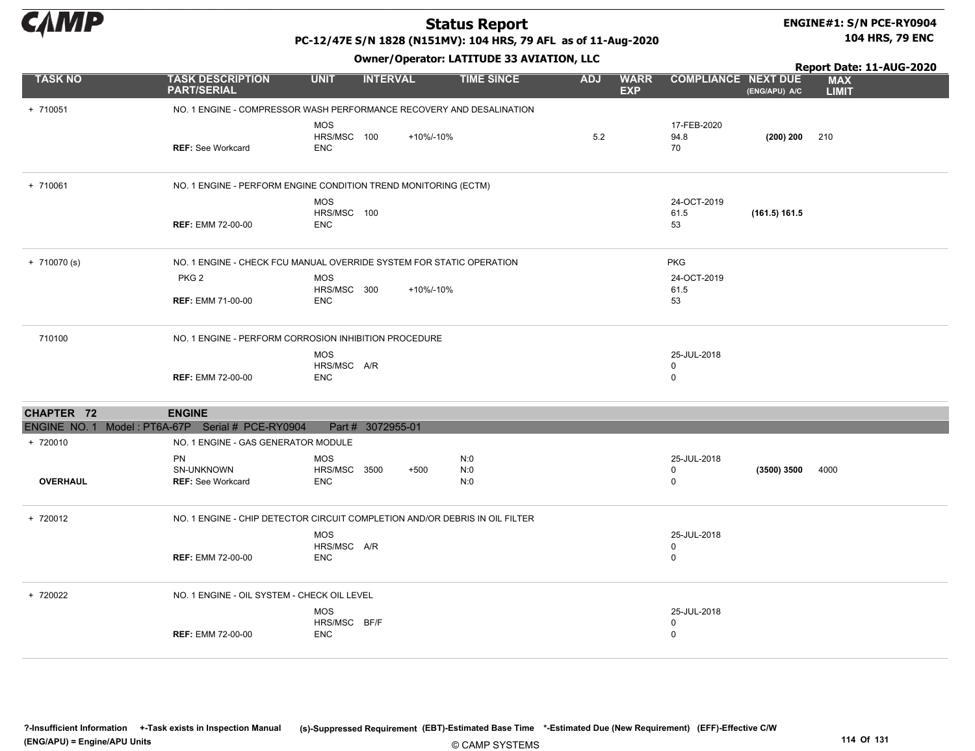

# ENGINE#1: S/N PCE-RY0904

PC-12/47E S/N 1828 (N151MV): 104 HRS, 79 AFL as of 11-Aug-2020

Owner/Operator: LATITUDE 33 AVIATION, LLC

104 HRS, 79 ENC

|                                                  |                                                                             |                                          |                   |           | Owner / Operator. EATITODE 33 AVIATION, LLC |            |                           |                                 | Report Date: 11-AUG-2020 |                            |
|--------------------------------------------------|-----------------------------------------------------------------------------|------------------------------------------|-------------------|-----------|---------------------------------------------|------------|---------------------------|---------------------------------|--------------------------|----------------------------|
| <b>TASK NO</b>                                   | <b>TASK DESCRIPTION</b><br><b>PART/SERIAL</b>                               | <b>UNIT</b>                              | <b>INTERVAL</b>   |           | <b>TIME SINCE</b>                           | <b>ADJ</b> | <b>WARR</b><br><b>EXP</b> | <b>COMPLIANCE NEXT DUE</b>      | (ENG/APU) A/C            | <b>MAX</b><br><b>LIMIT</b> |
| + 710051                                         | NO. 1 ENGINE - COMPRESSOR WASH PERFORMANCE RECOVERY AND DESALINATION        |                                          |                   |           |                                             |            |                           |                                 |                          |                            |
|                                                  | <b>REF: See Workcard</b>                                                    | <b>MOS</b><br>HRS/MSC 100<br><b>ENC</b>  |                   | +10%/-10% |                                             | 5.2        |                           | 17-FEB-2020<br>94.8<br>70       | $(200) 200$ 210          |                            |
| + 710061                                         | NO. 1 ENGINE - PERFORM ENGINE CONDITION TREND MONITORING (ECTM)             |                                          |                   |           |                                             |            |                           |                                 |                          |                            |
|                                                  | <b>REF: EMM 72-00-00</b>                                                    | <b>MOS</b><br>HRS/MSC 100<br><b>ENC</b>  |                   |           |                                             |            |                           | 24-OCT-2019<br>61.5<br>53       | (161.5) 161.5            |                            |
| $+ 710070$ (s)                                   | NO. 1 ENGINE - CHECK FCU MANUAL OVERRIDE SYSTEM FOR STATIC OPERATION        |                                          |                   |           |                                             |            |                           | <b>PKG</b>                      |                          |                            |
|                                                  | PKG <sub>2</sub>                                                            | <b>MOS</b><br>HRS/MSC 300                |                   | +10%/-10% |                                             |            |                           | 24-OCT-2019<br>61.5             |                          |                            |
|                                                  | <b>REF: EMM 71-00-00</b>                                                    | <b>ENC</b>                               |                   |           |                                             |            |                           | 53                              |                          |                            |
| 710100                                           | NO. 1 ENGINE - PERFORM CORROSION INHIBITION PROCEDURE                       |                                          |                   |           |                                             |            |                           |                                 |                          |                            |
|                                                  | <b>REF: EMM 72-00-00</b>                                                    | <b>MOS</b><br>HRS/MSC A/R<br><b>ENC</b>  |                   |           |                                             |            |                           | 25-JUL-2018<br>0<br>0           |                          |                            |
| CHAPTER 72                                       | <b>ENGINE</b>                                                               |                                          |                   |           |                                             |            |                           |                                 |                          |                            |
| ENGINE NO. 1 Model: PT6A-67P Serial # PCE-RY0904 |                                                                             |                                          | Part # 3072955-01 |           |                                             |            |                           |                                 |                          |                            |
| + 720010                                         | NO. 1 ENGINE - GAS GENERATOR MODULE                                         |                                          |                   |           |                                             |            |                           |                                 |                          |                            |
| <b>OVERHAUL</b>                                  | PN<br>SN-UNKNOWN<br><b>REF:</b> See Workcard                                | <b>MOS</b><br>HRS/MSC 3500<br><b>ENC</b> |                   | $+500$    | N:0<br>N:0<br>N:0                           |            |                           | 25-JUL-2018<br>0<br>$\mathbf 0$ | (3500) 3500              | 4000                       |
| + 720012                                         | NO. 1 ENGINE - CHIP DETECTOR CIRCUIT COMPLETION AND/OR DEBRIS IN OIL FILTER |                                          |                   |           |                                             |            |                           |                                 |                          |                            |
|                                                  | <b>REF: EMM 72-00-00</b>                                                    | <b>MOS</b><br>HRS/MSC A/R<br><b>ENC</b>  |                   |           |                                             |            |                           | 25-JUL-2018<br>0<br>0           |                          |                            |
| + 720022                                         | NO. 1 ENGINE - OIL SYSTEM - CHECK OIL LEVEL                                 |                                          |                   |           |                                             |            |                           |                                 |                          |                            |
|                                                  | <b>REF: EMM 72-00-00</b>                                                    | <b>MOS</b><br>HRS/MSC BF/F<br><b>ENC</b> |                   |           |                                             |            |                           | 25-JUL-2018<br>0<br>0           |                          |                            |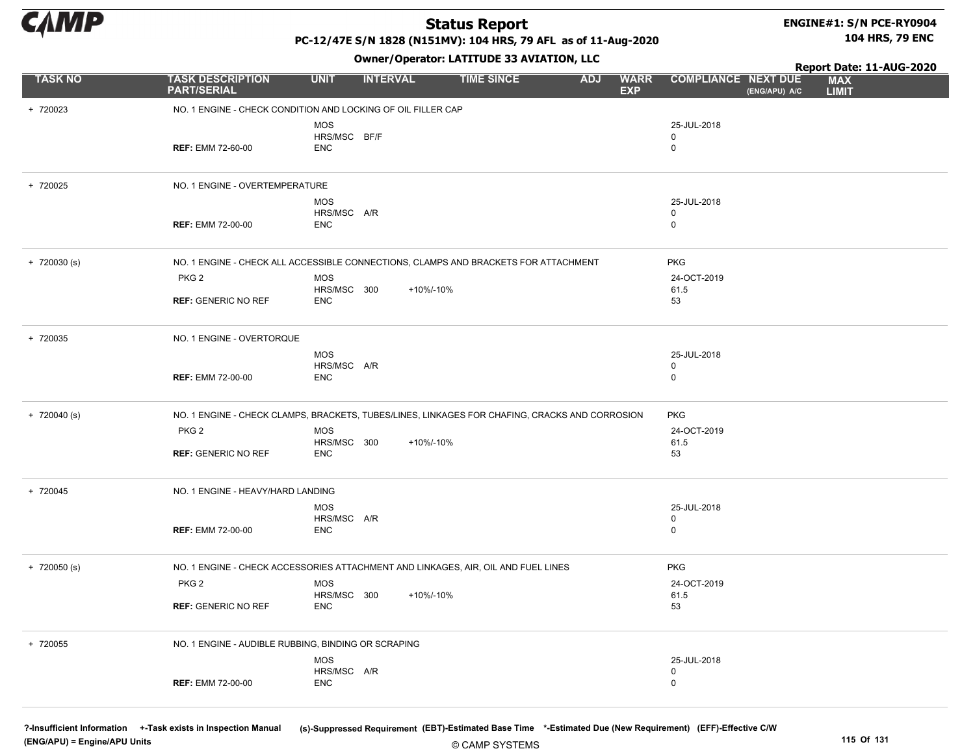

#### ENGINE#1: S/N PCE-RY0904 104 HRS, 79 ENC

PC-12/47E S/N 1828 (N151MV): 104 HRS, 79 AFL as of 11-Aug-2020

Owner/Operator: LATITUDE 33 AVIATION, LLC

+ 720023 NO. 1 ENGINE - CHECK CONDITION AND LOCKING OF OIL FILLER CAP REF: EMM 72-60-00 0 MOS HRS/MSC BF/F ENC 25-JUL-2018 0 + 720025 NO. 1 ENGINE - OVERTEMPERATURE REF: EMM 72-00-00 0 MOS HRS/MSC A/R ENC 25-JUL-2018 0 + 720030 (s) NO. 1 ENGINE - CHECK ALL ACCESSIBLE CONNECTIONS, CLAMPS AND BRACKETS FOR ATTACHMENT PKG PKG 2 REF: GENERIC NO REF 53 MOS HRS/MSC 300 ENC 24-OCT-2019 61.5 +10%/-10% + 720035 NO. 1 ENGINE - OVERTORQUE REF: EMM 72-00-00 0 MOS HRS/MSC A/R ENC 25-JUL-2018 0 + 720040 (s) NO. 1 ENGINE - CHECK CLAMPS, BRACKETS, TUBES/LINES, LINKAGES FOR CHAFING, CRACKS AND CORROSION PKG PKG 2 REF: GENERIC NO REF 53 MOS HRS/MSC 300 ENC 24-OCT-2019 61.5 +10%/-10% + 720045 NO. 1 ENGINE - HEAVY/HARD LANDING REF: EMM 72-00-00 0 MOS HRS/MSC A/R ENC 25-JUL-2018 0 + 720050 (s) NO. 1 ENGINE - CHECK ACCESSORIES ATTACHMENT AND LINKAGES, AIR, OIL AND FUEL LINES PKG PKG 2 REF: GENERIC NO REF 53 MOS HRS/MSC 300 ENC 24-OCT-2019 61.5 +10%/-10% + 720055 NO. 1 ENGINE - AUDIBLE RUBBING, BINDING OR SCRAPING REF: EMM 72-00-00 0 MOS HRS/MSC A/R ENC 25-JUL-2018 0 TASK NO TASK DESCRIPTION UNIT INTERVAL TIME SINCE ADJ WARR EXP ADJ WARR COMPLIANCE NEXT DUE MAX LIMIT Report Date: 11-AUG-2020 PART/SERIAL (ENG/APU) A/C

(ENG/APU) = Engine/APU Units 115 Of 131

?-Insufficient Information +-Task exists in Inspection Manual (s)-Suppressed Requirement (EBT)-Estimated Base Time \*-Estimated Due (New Requirement) (EFF)-Effective C/W

© CAMP SYSTEMS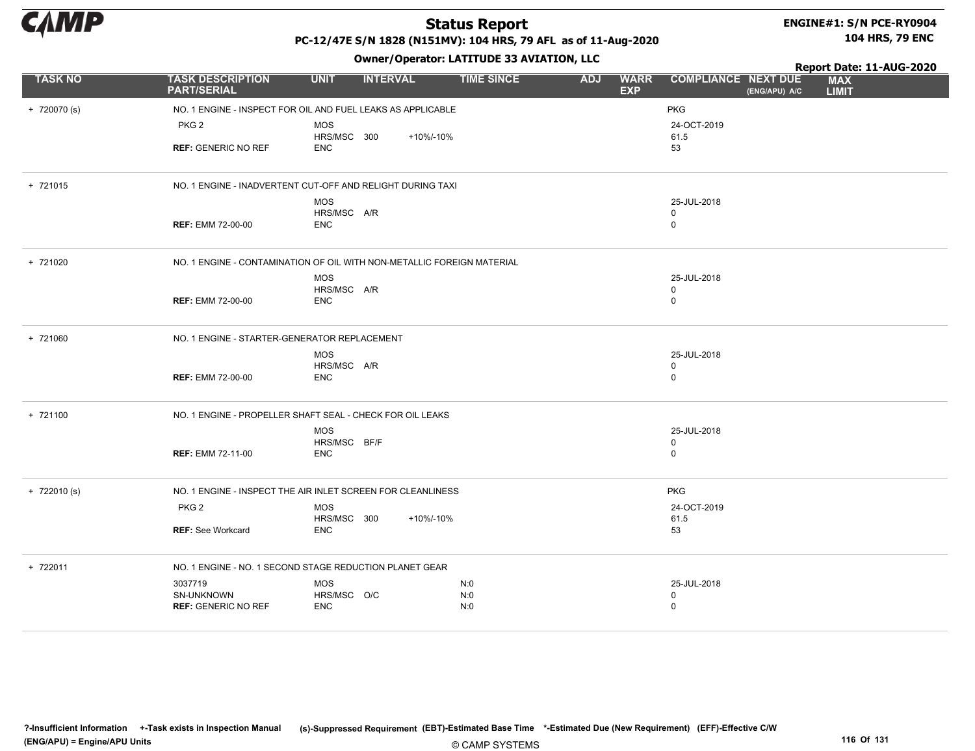

# ENGINE#1: S/N PCE-RY0904

PC-12/47E S/N 1828 (N151MV): 104 HRS, 79 AFL as of 11-Aug-2020

Owner/Operator: LATITUDE 33 AVIATION, LLC

104 HRS, 79 ENC

|                |                                                                        |                            |                 | <b>SMICH</b> , Sperator: EAT21852 55 AT2A12011, EEG |            |                           | Report Date: 11-AUG-2020   |               |                            |  |
|----------------|------------------------------------------------------------------------|----------------------------|-----------------|-----------------------------------------------------|------------|---------------------------|----------------------------|---------------|----------------------------|--|
| <b>TASK NO</b> | <b>TASK DESCRIPTION</b><br><b>PART/SERIAL</b>                          | <b>UNIT</b>                | <b>INTERVAL</b> | <b>TIME SINCE</b>                                   | <b>ADJ</b> | <b>WARR</b><br><b>EXP</b> | <b>COMPLIANCE NEXT DUE</b> | (ENG/APU) A/C | <b>MAX</b><br><b>LIMIT</b> |  |
| $+ 720070$ (s) | NO. 1 ENGINE - INSPECT FOR OIL AND FUEL LEAKS AS APPLICABLE            |                            |                 |                                                     |            |                           | <b>PKG</b>                 |               |                            |  |
|                | PKG <sub>2</sub>                                                       | <b>MOS</b><br>HRS/MSC 300  | +10%/-10%       |                                                     |            |                           | 24-OCT-2019<br>61.5        |               |                            |  |
|                | <b>REF: GENERIC NO REF</b>                                             | ENC                        |                 |                                                     |            |                           | 53                         |               |                            |  |
| + 721015       | NO. 1 ENGINE - INADVERTENT CUT-OFF AND RELIGHT DURING TAXI             |                            |                 |                                                     |            |                           |                            |               |                            |  |
|                |                                                                        | <b>MOS</b>                 |                 |                                                     |            |                           | 25-JUL-2018                |               |                            |  |
|                |                                                                        | HRS/MSC A/R                |                 |                                                     |            |                           | 0                          |               |                            |  |
|                | <b>REF: EMM 72-00-00</b>                                               | <b>ENC</b>                 |                 |                                                     |            |                           | 0                          |               |                            |  |
| + 721020       | NO. 1 ENGINE - CONTAMINATION OF OIL WITH NON-METALLIC FOREIGN MATERIAL |                            |                 |                                                     |            |                           |                            |               |                            |  |
|                |                                                                        | <b>MOS</b>                 |                 |                                                     |            |                           | 25-JUL-2018                |               |                            |  |
|                | <b>REF: EMM 72-00-00</b>                                               | HRS/MSC A/R<br><b>ENC</b>  |                 |                                                     |            |                           | 0<br>0                     |               |                            |  |
|                |                                                                        |                            |                 |                                                     |            |                           |                            |               |                            |  |
| + 721060       | NO. 1 ENGINE - STARTER-GENERATOR REPLACEMENT                           |                            |                 |                                                     |            |                           |                            |               |                            |  |
|                |                                                                        | <b>MOS</b>                 |                 |                                                     |            |                           | 25-JUL-2018                |               |                            |  |
|                | <b>REF: EMM 72-00-00</b>                                               | HRS/MSC A/R<br><b>ENC</b>  |                 |                                                     |            |                           | 0<br>0                     |               |                            |  |
|                |                                                                        |                            |                 |                                                     |            |                           |                            |               |                            |  |
| + 721100       | NO. 1 ENGINE - PROPELLER SHAFT SEAL - CHECK FOR OIL LEAKS              |                            |                 |                                                     |            |                           |                            |               |                            |  |
|                |                                                                        | <b>MOS</b>                 |                 |                                                     |            |                           | 25-JUL-2018                |               |                            |  |
|                | <b>REF: EMM 72-11-00</b>                                               | HRS/MSC BF/F<br><b>ENC</b> |                 |                                                     |            |                           | 0<br>0                     |               |                            |  |
|                |                                                                        |                            |                 |                                                     |            |                           |                            |               |                            |  |
| $+ 722010(s)$  | NO. 1 ENGINE - INSPECT THE AIR INLET SCREEN FOR CLEANLINESS            |                            |                 |                                                     |            |                           | <b>PKG</b>                 |               |                            |  |
|                | PKG <sub>2</sub>                                                       | <b>MOS</b>                 |                 |                                                     |            |                           | 24-OCT-2019                |               |                            |  |
|                | <b>REF: See Workcard</b>                                               | HRS/MSC 300<br><b>ENC</b>  | +10%/-10%       |                                                     |            |                           | 61.5<br>53                 |               |                            |  |
|                |                                                                        |                            |                 |                                                     |            |                           |                            |               |                            |  |
| + 722011       | NO. 1 ENGINE - NO. 1 SECOND STAGE REDUCTION PLANET GEAR                |                            |                 |                                                     |            |                           |                            |               |                            |  |
|                | 3037719                                                                | <b>MOS</b>                 |                 | N:0                                                 |            |                           | 25-JUL-2018                |               |                            |  |
|                | SN-UNKNOWN<br><b>REF: GENERIC NO REF</b>                               | HRS/MSC O/C<br><b>ENC</b>  |                 | N:0<br>N:0                                          |            |                           | 0<br>$\mathbf 0$           |               |                            |  |
|                |                                                                        |                            |                 |                                                     |            |                           |                            |               |                            |  |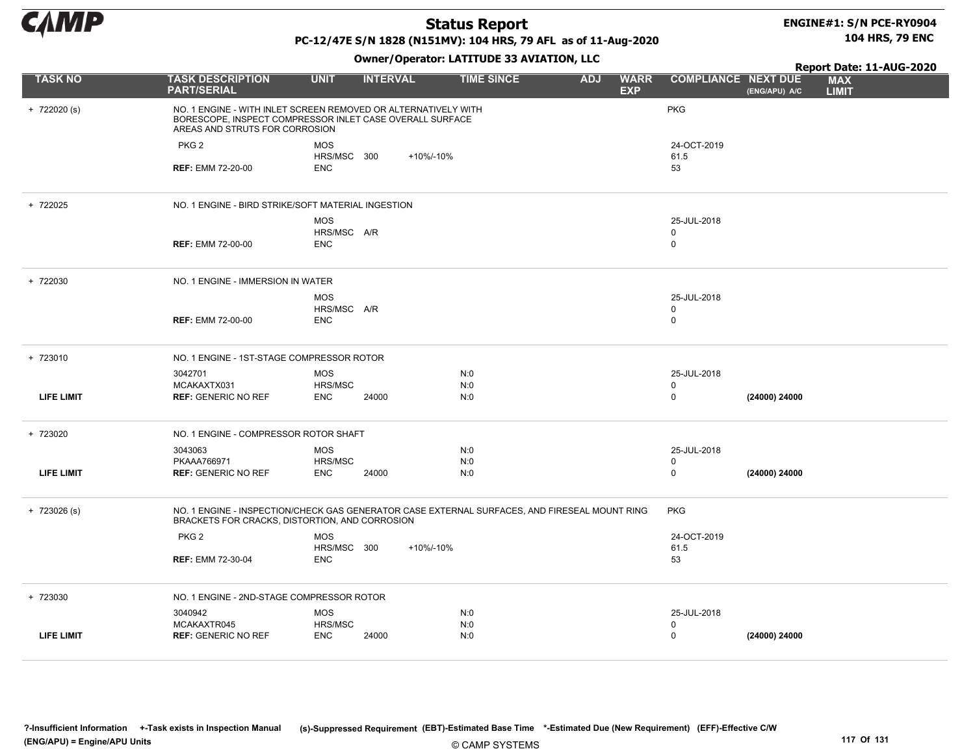

#### ENGINE#1: S/N PCE-RY0904 104 HRS, 79 ENC

### PC-12/47E S/N 1828 (N151MV): 104 HRS, 79 AFL as of 11-Aug-2020

|                   |                                                                                                                                                              |                              |                 | Owner/Operator: LATITUDE 33 AVIATION, LLC |                                         |                            |               | Report Date: 11-AUG-2020   |
|-------------------|--------------------------------------------------------------------------------------------------------------------------------------------------------------|------------------------------|-----------------|-------------------------------------------|-----------------------------------------|----------------------------|---------------|----------------------------|
| <b>TASK NO</b>    | <b>TASK DESCRIPTION</b><br><b>PART/SERIAL</b>                                                                                                                | <b>UNIT</b>                  | <b>INTERVAL</b> | <b>TIME SINCE</b>                         | <b>ADJ</b><br><b>WARR</b><br><b>EXP</b> | <b>COMPLIANCE NEXT DUE</b> | (ENG/APU) A/C | <b>MAX</b><br><b>LIMIT</b> |
| $+ 722020 (s)$    | NO. 1 ENGINE - WITH INLET SCREEN REMOVED OR ALTERNATIVELY WITH<br>BORESCOPE, INSPECT COMPRESSOR INLET CASE OVERALL SURFACE<br>AREAS AND STRUTS FOR CORROSION |                              |                 |                                           |                                         | <b>PKG</b>                 |               |                            |
|                   | PKG <sub>2</sub>                                                                                                                                             | <b>MOS</b>                   |                 |                                           |                                         | 24-OCT-2019                |               |                            |
|                   | <b>REF: EMM 72-20-00</b>                                                                                                                                     | HRS/MSC 300<br><b>ENC</b>    | +10%/-10%       |                                           |                                         | 61.5<br>53                 |               |                            |
| + 722025          | NO. 1 ENGINE - BIRD STRIKE/SOFT MATERIAL INGESTION                                                                                                           |                              |                 |                                           |                                         |                            |               |                            |
|                   |                                                                                                                                                              | <b>MOS</b>                   |                 |                                           |                                         | 25-JUL-2018                |               |                            |
|                   | <b>REF: EMM 72-00-00</b>                                                                                                                                     | HRS/MSC A/R<br><b>ENC</b>    |                 |                                           |                                         | 0<br>0                     |               |                            |
| + 722030          | NO. 1 ENGINE - IMMERSION IN WATER                                                                                                                            |                              |                 |                                           |                                         |                            |               |                            |
|                   |                                                                                                                                                              | <b>MOS</b>                   |                 |                                           |                                         | 25-JUL-2018                |               |                            |
|                   | <b>REF: EMM 72-00-00</b>                                                                                                                                     | HRS/MSC A/R<br><b>ENC</b>    |                 |                                           |                                         | 0<br>0                     |               |                            |
|                   |                                                                                                                                                              |                              |                 |                                           |                                         |                            |               |                            |
| + 723010          | NO. 1 ENGINE - 1ST-STAGE COMPRESSOR ROTOR                                                                                                                    |                              |                 |                                           |                                         |                            |               |                            |
|                   | 3042701<br>MCAKAXTX031                                                                                                                                       | <b>MOS</b><br>HRS/MSC        |                 | N:0<br>N:0                                |                                         | 25-JUL-2018<br>$\mathbf 0$ |               |                            |
| <b>LIFE LIMIT</b> | <b>REF: GENERIC NO REF</b>                                                                                                                                   | <b>ENC</b>                   | 24000           | N:0                                       |                                         | 0                          | (24000) 24000 |                            |
| + 723020          | NO. 1 ENGINE - COMPRESSOR ROTOR SHAFT                                                                                                                        |                              |                 |                                           |                                         |                            |               |                            |
|                   | 3043063                                                                                                                                                      | <b>MOS</b>                   |                 | N:0                                       |                                         | 25-JUL-2018                |               |                            |
| <b>LIFE LIMIT</b> | PKAAA766971<br><b>REF: GENERIC NO REF</b>                                                                                                                    | HRS/MSC<br><b>ENC</b>        | 24000           | N:0<br>N:0                                |                                         | 0<br>0                     | (24000) 24000 |                            |
|                   |                                                                                                                                                              |                              |                 |                                           |                                         |                            |               |                            |
| $+ 723026$ (s)    | NO. 1 ENGINE - INSPECTION/CHECK GAS GENERATOR CASE EXTERNAL SURFACES, AND FIRESEAL MOUNT RING<br>BRACKETS FOR CRACKS, DISTORTION, AND CORROSION              |                              |                 |                                           |                                         | <b>PKG</b>                 |               |                            |
|                   | PKG <sub>2</sub>                                                                                                                                             | <b>MOS</b>                   |                 |                                           |                                         | 24-OCT-2019                |               |                            |
|                   | <b>REF: EMM 72-30-04</b>                                                                                                                                     | HRS/MSC 300<br><b>ENC</b>    | +10%/-10%       |                                           |                                         | 61.5<br>53                 |               |                            |
|                   |                                                                                                                                                              |                              |                 |                                           |                                         |                            |               |                            |
| + 723030          | NO. 1 ENGINE - 2ND-STAGE COMPRESSOR ROTOR                                                                                                                    |                              |                 |                                           |                                         |                            |               |                            |
|                   | 3040942                                                                                                                                                      | <b>MOS</b>                   |                 | N:0                                       |                                         | 25-JUL-2018                |               |                            |
| <b>LIFE LIMIT</b> | MCAKAXTR045<br><b>REF: GENERIC NO REF</b>                                                                                                                    | <b>HRS/MSC</b><br><b>ENC</b> | 24000           | N:0<br>N:0                                |                                         | 0<br>$\Omega$              | (24000) 24000 |                            |
|                   |                                                                                                                                                              |                              |                 |                                           |                                         |                            |               |                            |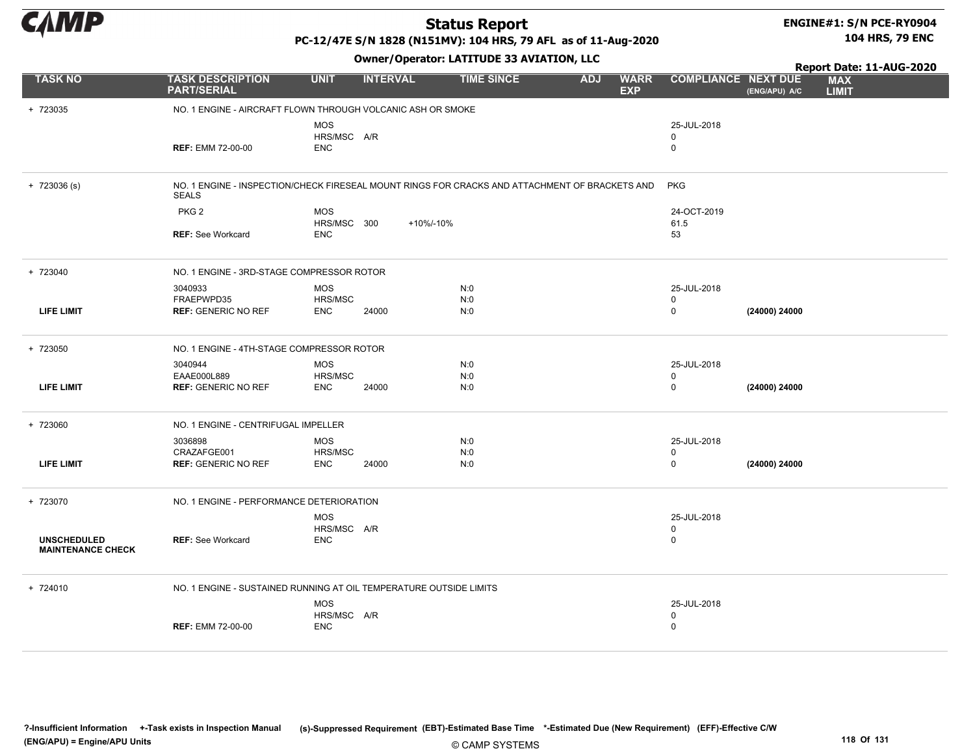

# ENGINE#1: S/N PCE-RY0904

PC-12/47E S/N 1828 (N151MV): 104 HRS, 79 AFL as of 11-Aug-2020

104 HRS, 79 ENC

|                                                |                                                                                                                |                                         |                 | Owner/Operator: LATITUDE 33 AVIATION, LLC |                                         |                                           | Report Date: 11-AUG-2020 |                            |
|------------------------------------------------|----------------------------------------------------------------------------------------------------------------|-----------------------------------------|-----------------|-------------------------------------------|-----------------------------------------|-------------------------------------------|--------------------------|----------------------------|
| <b>TASK NO</b>                                 | <b>TASK DESCRIPTION</b><br><b>PART/SERIAL</b>                                                                  | <b>UNIT</b>                             | <b>INTERVAL</b> | <b>TIME SINCE</b>                         | <b>WARR</b><br><b>ADJ</b><br><b>EXP</b> | <b>COMPLIANCE NEXT DUE</b>                | (ENG/APU) A/C            | <b>MAX</b><br><b>LIMIT</b> |
| + 723035                                       | NO. 1 ENGINE - AIRCRAFT FLOWN THROUGH VOLCANIC ASH OR SMOKE                                                    |                                         |                 |                                           |                                         |                                           |                          |                            |
|                                                | <b>REF: EMM 72-00-00</b>                                                                                       | <b>MOS</b><br>HRS/MSC A/R<br><b>ENC</b> |                 |                                           |                                         | 25-JUL-2018<br>0<br>$\mathbf 0$           |                          |                            |
| $+ 723036 (s)$                                 | NO. 1 ENGINE - INSPECTION/CHECK FIRESEAL MOUNT RINGS FOR CRACKS AND ATTACHMENT OF BRACKETS AND<br><b>SEALS</b> |                                         |                 |                                           |                                         | <b>PKG</b>                                |                          |                            |
|                                                | PKG <sub>2</sub>                                                                                               | <b>MOS</b>                              |                 |                                           |                                         | 24-OCT-2019                               |                          |                            |
|                                                | <b>REF: See Workcard</b>                                                                                       | HRS/MSC 300<br><b>ENC</b>               | +10%/-10%       |                                           |                                         | 61.5<br>53                                |                          |                            |
| + 723040                                       | NO. 1 ENGINE - 3RD-STAGE COMPRESSOR ROTOR                                                                      |                                         |                 |                                           |                                         |                                           |                          |                            |
|                                                | 3040933                                                                                                        | <b>MOS</b>                              |                 | N:0                                       |                                         | 25-JUL-2018                               |                          |                            |
| <b>LIFE LIMIT</b>                              | FRAEPWPD35<br><b>REF: GENERIC NO REF</b>                                                                       | HRS/MSC<br><b>ENC</b>                   | 24000           | N:0<br>N:0                                |                                         | 0<br>$\mathsf 0$                          | (24000) 24000            |                            |
| + 723050                                       | NO. 1 ENGINE - 4TH-STAGE COMPRESSOR ROTOR                                                                      |                                         |                 |                                           |                                         |                                           |                          |                            |
| <b>LIFE LIMIT</b>                              | 3040944<br>EAAE000L889<br><b>REF: GENERIC NO REF</b>                                                           | <b>MOS</b><br>HRS/MSC<br><b>ENC</b>     | 24000           | N:0<br>N:0<br>N:0                         |                                         | 25-JUL-2018<br>0<br>$\mathbf 0$           | (24000) 24000            |                            |
| + 723060                                       | NO. 1 ENGINE - CENTRIFUGAL IMPELLER                                                                            |                                         |                 |                                           |                                         |                                           |                          |                            |
|                                                | 3036898                                                                                                        | MOS                                     |                 | N:0                                       |                                         | 25-JUL-2018                               |                          |                            |
| <b>LIFE LIMIT</b>                              | CRAZAFGE001<br><b>REF: GENERIC NO REF</b>                                                                      | HRS/MSC<br><b>ENC</b>                   | 24000           | N:0<br>N:0                                |                                         | 0<br>$\mathbf 0$                          | (24000) 24000            |                            |
| + 723070                                       | NO. 1 ENGINE - PERFORMANCE DETERIORATION                                                                       |                                         |                 |                                           |                                         |                                           |                          |                            |
| <b>UNSCHEDULED</b><br><b>MAINTENANCE CHECK</b> | <b>REF: See Workcard</b>                                                                                       | <b>MOS</b><br>HRS/MSC A/R<br><b>ENC</b> |                 |                                           |                                         | 25-JUL-2018<br>$\mathbf 0$<br>$\mathbf 0$ |                          |                            |
| + 724010                                       | NO. 1 ENGINE - SUSTAINED RUNNING AT OIL TEMPERATURE OUTSIDE LIMITS                                             |                                         |                 |                                           |                                         |                                           |                          |                            |
|                                                | <b>REF: EMM 72-00-00</b>                                                                                       | <b>MOS</b><br>HRS/MSC A/R<br><b>ENC</b> |                 |                                           |                                         | 25-JUL-2018<br>0<br>0                     |                          |                            |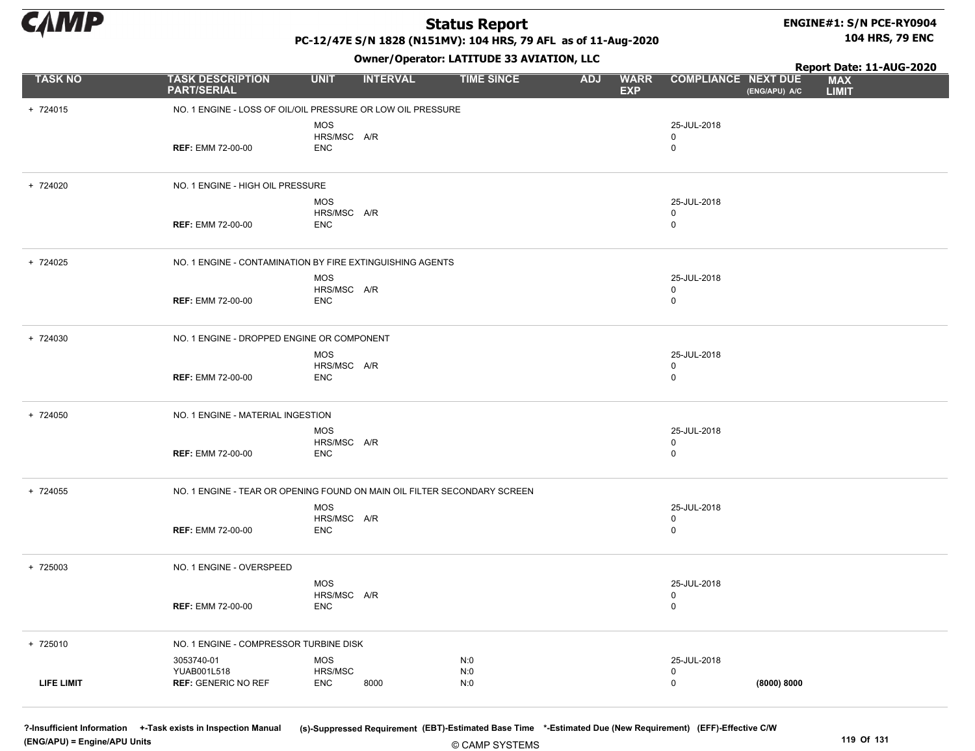

+ 724015 NO. 1 ENGINE - LOSS OF OIL/OIL PRESSURE OR LOW OIL PRESSURE

+ 724020 NO. 1 ENGINE - HIGH OIL PRESSURE

PART/SERIAL

MOS

ENC

MOS

ENC

ENC

HRS/MSC A/R

HRS/MSC A/R

### Status Report

#### ENGINE#1: S/N PCE-RY0904 104 HRS, 79 ENC

PC-12/47E S/N 1828 (N151MV): 104 HRS, 79 AFL as of 11-Aug-2020

Owner/Operator: LATITUDE 33 AVIATION, LLC

REF: EMM 72-00-00 0 25-JUL-2018 0 REF: EMM 72-00-00 0 25-JUL-2018 0 TASK NO TASK DESCRIPTION UNIT INTERVAL TIME SINCE WARR COMPLIANCE **EXP** ADJ WARR COMPLIANCE NEXT DUE MAX LIMIT Report Date: 11-AUG-2020<br>E MAX (ENG/APU) A/C

| + 724025 |                                   | NO. 1 ENGINE - CONTAMINATION BY FIRE EXTINGUISHING AGENTS |                  |  |
|----------|-----------------------------------|-----------------------------------------------------------|------------------|--|
|          | <b>REF: EMM 72-00-00</b>          | MOS<br>HRS/MSC A/R<br>ENC                                 | 25-JUL-2018<br>0 |  |
| + 724030 |                                   | NO. 1 ENGINE - DROPPED ENGINE OR COMPONENT                |                  |  |
|          |                                   | MOS<br>HRS/MSC A/R                                        | 25-JUL-2018      |  |
|          | <b>REF: EMM 72-00-00</b>          | ENC                                                       | <b>U</b>         |  |
| + 724050 | NO. 1 ENGINE - MATERIAL INGESTION |                                                           |                  |  |
|          |                                   | MOS<br>HRS/MSC A/R                                        | 25-JUL-2018<br>0 |  |

| + 724055 |                          | NO. 1 ENGINE - TEAR OR OPENING FOUND ON MAIN OIL FILTER SECONDARY SCREEN |             |
|----------|--------------------------|--------------------------------------------------------------------------|-------------|
|          |                          | MOS<br>HRS/MSC A/R                                                       | 25-JUL-2018 |
|          | <b>REF: EMM 72-00-00</b> | ENC                                                                      |             |
|          |                          |                                                                          |             |
| + 725003 | NO. 1 ENGINE - OVERSPEED |                                                                          |             |
|          |                          | <b>MOS</b><br>HRS/MSC A/R                                                | 25-JUL-2018 |
|          | <b>REF: EMM 72-00-00</b> | ENC                                                                      |             |
|          |                          |                                                                          |             |

REF: EMM 72-00-00 0

| + 725010   | NO. 1 ENGINE - COMPRESSOR TURBINE DISK                  |                                             |                   |                            |  |
|------------|---------------------------------------------------------|---------------------------------------------|-------------------|----------------------------|--|
| LIFE LIMIT | 3053740-01<br>YUAB001L518<br><b>REF: GENERIC NO REF</b> | <b>MOS</b><br>HRS/MSC<br><b>ENC</b><br>8000 | N:0<br>N:0<br>N:0 | 25-JUL-2018<br>(8000) 8000 |  |

© CAMP SYSTEMS ?-Insufficient Information +-Task exists in Inspection Manual (s)-Suppressed Requirement (EBT)-Estimated Base Time \*-Estimated Due (New Requirement) (EFF)-Effective C/W (ENG/APU) = Engine/APU Units 119 Of 131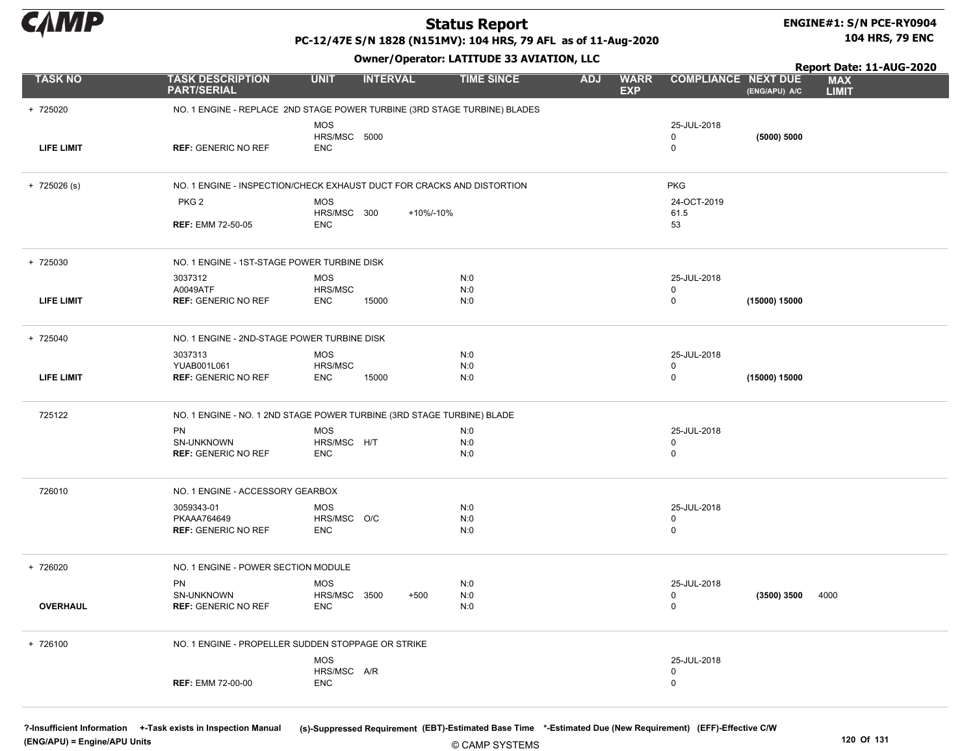

# ENGINE#1: S/N PCE-RY0904

PC-12/47E S/N 1828 (N151MV): 104 HRS, 79 AFL as of 11-Aug-2020

Owner/Operator: LATITUDE 33 AVIATION, LLC

104 HRS, 79 ENC

|                   |                                                                           |                                          |                 | Switch Sperator Extra 1996 59 AVIATION, LEC |                   |            |                           |                                           | Report Date: 11-AUG-2020 |                            |  |
|-------------------|---------------------------------------------------------------------------|------------------------------------------|-----------------|---------------------------------------------|-------------------|------------|---------------------------|-------------------------------------------|--------------------------|----------------------------|--|
| <b>TASK NO</b>    | <b>TASK DESCRIPTION</b><br><b>PART/SERIAL</b>                             | <b>UNIT</b>                              | <b>INTERVAL</b> |                                             | <b>TIME SINCE</b> | <b>ADJ</b> | <b>WARR</b><br><b>EXP</b> | <b>COMPLIANCE NEXT DUE</b>                | (ENG/APU) A/C            | <b>MAX</b><br><b>LIMIT</b> |  |
| + 725020          | NO. 1 ENGINE - REPLACE 2ND STAGE POWER TURBINE (3RD STAGE TURBINE) BLADES |                                          |                 |                                             |                   |            |                           |                                           |                          |                            |  |
| <b>LIFE LIMIT</b> | <b>REF: GENERIC NO REF</b>                                                | <b>MOS</b><br>HRS/MSC 5000<br><b>ENC</b> |                 |                                             |                   |            |                           | 25-JUL-2018<br>$\mathbf 0$<br>$\mathbf 0$ | (5000) 5000              |                            |  |
| $+ 725026$ (s)    | NO. 1 ENGINE - INSPECTION/CHECK EXHAUST DUCT FOR CRACKS AND DISTORTION    |                                          |                 |                                             |                   |            |                           | <b>PKG</b>                                |                          |                            |  |
|                   | PKG <sub>2</sub><br><b>REF: EMM 72-50-05</b>                              | <b>MOS</b><br>HRS/MSC 300<br><b>ENC</b>  |                 | +10%/-10%                                   |                   |            |                           | 24-OCT-2019<br>61.5<br>53                 |                          |                            |  |
|                   |                                                                           |                                          |                 |                                             |                   |            |                           |                                           |                          |                            |  |
| + 725030          | NO. 1 ENGINE - 1ST-STAGE POWER TURBINE DISK                               |                                          |                 |                                             |                   |            |                           |                                           |                          |                            |  |
|                   | 3037312                                                                   | <b>MOS</b>                               |                 |                                             | N:0               |            |                           | 25-JUL-2018                               |                          |                            |  |
| <b>LIFE LIMIT</b> | A0049ATF<br><b>REF: GENERIC NO REF</b>                                    | HRS/MSC<br><b>ENC</b>                    | 15000           |                                             | N:0<br>N:0        |            |                           | $\mathbf 0$<br>$\mathbf 0$                | (15000) 15000            |                            |  |
|                   |                                                                           |                                          |                 |                                             |                   |            |                           |                                           |                          |                            |  |
| + 725040          | NO. 1 ENGINE - 2ND-STAGE POWER TURBINE DISK                               |                                          |                 |                                             |                   |            |                           |                                           |                          |                            |  |
|                   | 3037313                                                                   | <b>MOS</b>                               |                 |                                             | N:0               |            |                           | 25-JUL-2018                               |                          |                            |  |
|                   | YUAB001L061                                                               | HRS/MSC                                  |                 |                                             | N:0               |            |                           | $\mathbf 0$                               |                          |                            |  |
| <b>LIFE LIMIT</b> | <b>REF: GENERIC NO REF</b>                                                | <b>ENC</b>                               | 15000           |                                             | N:0               |            |                           | $\mathbf 0$                               | (15000) 15000            |                            |  |
| 725122            | NO. 1 ENGINE - NO. 1 2ND STAGE POWER TURBINE (3RD STAGE TURBINE) BLADE    |                                          |                 |                                             |                   |            |                           |                                           |                          |                            |  |
|                   | PN                                                                        | <b>MOS</b>                               |                 |                                             | N:0               |            |                           | 25-JUL-2018                               |                          |                            |  |
|                   | SN-UNKNOWN                                                                | HRS/MSC H/T                              |                 |                                             | N:0               |            |                           | $\mathbf 0$                               |                          |                            |  |
|                   | <b>REF: GENERIC NO REF</b>                                                | <b>ENC</b>                               |                 |                                             | N:0               |            |                           | $\mathbf 0$                               |                          |                            |  |
| 726010            | NO. 1 ENGINE - ACCESSORY GEARBOX                                          |                                          |                 |                                             |                   |            |                           |                                           |                          |                            |  |
|                   | 3059343-01                                                                | MOS                                      |                 |                                             | N:0               |            |                           | 25-JUL-2018                               |                          |                            |  |
|                   | PKAAA764649                                                               | HRS/MSC O/C                              |                 |                                             | N:0               |            |                           | $\mathbf 0$                               |                          |                            |  |
|                   | <b>REF: GENERIC NO REF</b>                                                | <b>ENC</b>                               |                 |                                             | N:0               |            |                           | $\mathbf 0$                               |                          |                            |  |
| + 726020          | NO. 1 ENGINE - POWER SECTION MODULE                                       |                                          |                 |                                             |                   |            |                           |                                           |                          |                            |  |
|                   | PN                                                                        | <b>MOS</b>                               |                 |                                             | N:0               |            |                           | 25-JUL-2018                               |                          |                            |  |
|                   | SN-UNKNOWN                                                                | HRS/MSC 3500                             |                 | $+500$                                      | N:0               |            |                           | $\mathbf 0$                               | (3500) 3500              | 4000                       |  |
| <b>OVERHAUL</b>   | <b>REF: GENERIC NO REF</b>                                                | <b>ENC</b>                               |                 |                                             | N:0               |            |                           | $\mathbf 0$                               |                          |                            |  |
| + 726100          | NO. 1 ENGINE - PROPELLER SUDDEN STOPPAGE OR STRIKE                        |                                          |                 |                                             |                   |            |                           |                                           |                          |                            |  |
|                   |                                                                           | <b>MOS</b>                               |                 |                                             |                   |            |                           | 25-JUL-2018                               |                          |                            |  |
|                   |                                                                           | HRS/MSC A/R                              |                 |                                             |                   |            |                           | $\mathbf 0$                               |                          |                            |  |
|                   | <b>REF: EMM 72-00-00</b>                                                  | <b>ENC</b>                               |                 |                                             |                   |            |                           | $\mathbf 0$                               |                          |                            |  |

(ENG/APU) = Engine/APU Units 120 Of 131

?-Insufficient Information +-Task exists in Inspection Manual (s)-Suppressed Requirement (EBT)-Estimated Base Time \*-Estimated Due (New Requirement) (EFF)-Effective C/W

© CAMP SYSTEMS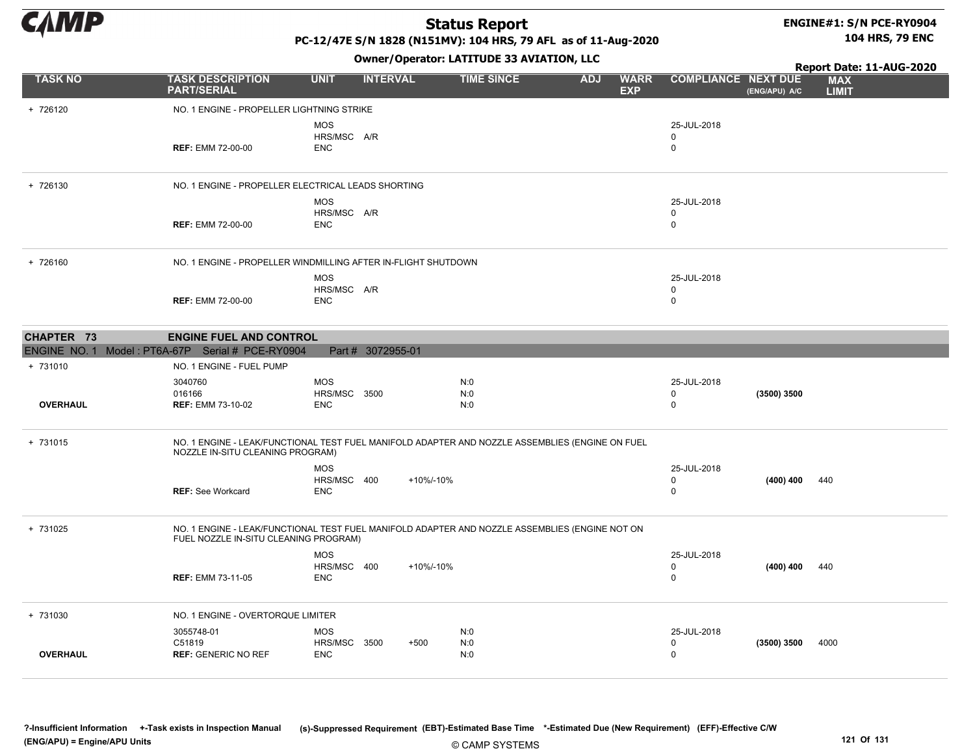

#### ENGINE#1: S/N PCE-RY0904 104 HRS, 79 ENC

PC-12/47E S/N 1828 (N151MV): 104 HRS, 79 AFL as of 11-Aug-2020

|                                                  |                                                                                                                                      |                                                 | .                 |                   |            |                           |                              |               | Report Date: 11-AUG-2020   |
|--------------------------------------------------|--------------------------------------------------------------------------------------------------------------------------------------|-------------------------------------------------|-------------------|-------------------|------------|---------------------------|------------------------------|---------------|----------------------------|
| <b>TASK NO</b>                                   | <b>TASK DESCRIPTION</b><br><b>PART/SERIAL</b>                                                                                        | <b>UNIT</b>                                     | <b>INTERVAL</b>   | <b>TIME SINCE</b> | <b>ADJ</b> | <b>WARR</b><br><b>EXP</b> | <b>COMPLIANCE NEXT DUE</b>   | (ENG/APU) A/C | <b>MAX</b><br><b>LIMIT</b> |
| + 726120                                         | NO. 1 ENGINE - PROPELLER LIGHTNING STRIKE                                                                                            |                                                 |                   |                   |            |                           |                              |               |                            |
|                                                  | <b>REF: EMM 72-00-00</b>                                                                                                             | <b>MOS</b><br>HRS/MSC A/R<br><b>ENC</b>         |                   |                   |            |                           | 25-JUL-2018<br>0<br>0        |               |                            |
| + 726130                                         | NO. 1 ENGINE - PROPELLER ELECTRICAL LEADS SHORTING                                                                                   |                                                 |                   |                   |            |                           |                              |               |                            |
|                                                  | <b>REF: EMM 72-00-00</b>                                                                                                             | <b>MOS</b><br>HRS/MSC A/R<br><b>ENC</b>         |                   |                   |            |                           | 25-JUL-2018<br>$\Omega$<br>0 |               |                            |
| + 726160                                         | NO. 1 ENGINE - PROPELLER WINDMILLING AFTER IN-FLIGHT SHUTDOWN                                                                        |                                                 |                   |                   |            |                           |                              |               |                            |
|                                                  | <b>REF: EMM 72-00-00</b>                                                                                                             | MOS<br>HRS/MSC A/R<br><b>ENC</b>                |                   |                   |            |                           | 25-JUL-2018<br>0<br>0        |               |                            |
| CHAPTER 73                                       | <b>ENGINE FUEL AND CONTROL</b>                                                                                                       |                                                 |                   |                   |            |                           |                              |               |                            |
| ENGINE NO. 1 Model: PT6A-67P Serial # PCE-RY0904 |                                                                                                                                      |                                                 | Part # 3072955-01 |                   |            |                           |                              |               |                            |
| + 731010                                         | NO. 1 ENGINE - FUEL PUMP                                                                                                             |                                                 |                   |                   |            |                           |                              |               |                            |
| <b>OVERHAUL</b>                                  | 3040760<br>016166<br><b>REF: EMM 73-10-02</b>                                                                                        | <b>MOS</b><br><b>HRS/MSC 3500</b><br><b>ENC</b> |                   | N:0<br>N:0<br>N:0 |            |                           | 25-JUL-2018<br>0<br>0        | (3500) 3500   |                            |
| + 731015                                         | NO. 1 ENGINE - LEAK/FUNCTIONAL TEST FUEL MANIFOLD ADAPTER AND NOZZLE ASSEMBLIES (ENGINE ON FUEL<br>NOZZLE IN-SITU CLEANING PROGRAM)  |                                                 |                   |                   |            |                           |                              |               |                            |
|                                                  | <b>REF: See Workcard</b>                                                                                                             | <b>MOS</b><br>HRS/MSC 400<br><b>ENC</b>         | +10%/-10%         |                   |            |                           | 25-JUL-2018<br>0<br>$\Omega$ | (400) 400     | 440                        |
| + 731025                                         | NO. 1 ENGINE - LEAK/FUNCTIONAL TEST FUEL MANIFOLD ADAPTER AND NOZZLE ASSEMBLIES (ENGINE NOT ON FUEL NOZZLE IN-SITU CLEANING PROGRAM) |                                                 |                   |                   |            |                           |                              |               |                            |
|                                                  | <b>REF: EMM 73-11-05</b>                                                                                                             | <b>MOS</b><br>HRS/MSC 400<br><b>ENC</b>         | +10%/-10%         |                   |            |                           | 25-JUL-2018<br>$\Omega$<br>0 | (400) 400     | 440                        |
| + 731030                                         | NO. 1 ENGINE - OVERTORQUE LIMITER                                                                                                    |                                                 |                   |                   |            |                           |                              |               |                            |
| <b>OVERHAUL</b>                                  | 3055748-01<br>C51819<br><b>REF: GENERIC NO REF</b>                                                                                   | MOS<br>HRS/MSC 3500<br><b>ENC</b>               | $+500$            | N:0<br>N:0<br>N:0 |            |                           | 25-JUL-2018<br>0<br>$\Omega$ | (3500) 3500   | 4000                       |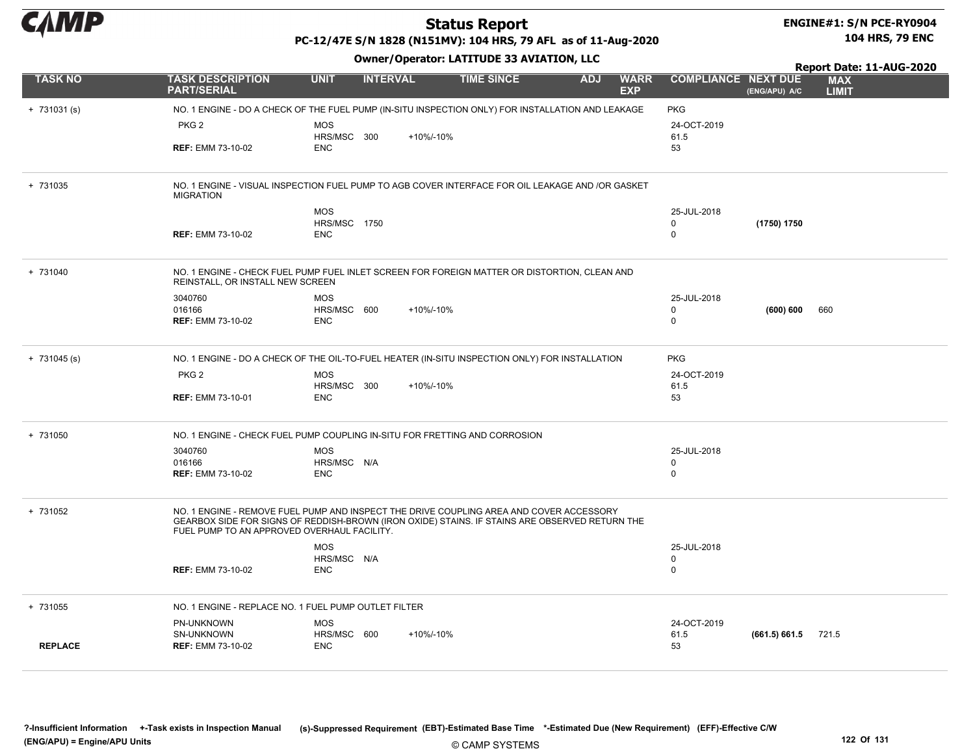

#### ENGINE#1: S/N PCE-RY0904 104 HRS, 79 ENC

PC-12/47E S/N 1828 (N151MV): 104 HRS, 79 AFL as of 11-Aug-2020

| <b>Owner/Operator: LATITUDE 33 AVIATION, LLC</b><br>Report Date: 11-AUG-2020 |                                                                                                                                                                                                                                          |                                                 |                 |           |                   |            |                           |                                           |                       |                            |
|------------------------------------------------------------------------------|------------------------------------------------------------------------------------------------------------------------------------------------------------------------------------------------------------------------------------------|-------------------------------------------------|-----------------|-----------|-------------------|------------|---------------------------|-------------------------------------------|-----------------------|----------------------------|
| <b>TASK NO</b>                                                               | <b>TASK DESCRIPTION</b><br><b>PART/SERIAL</b>                                                                                                                                                                                            | <b>UNIT</b>                                     | <b>INTERVAL</b> |           | <b>TIME SINCE</b> | <b>ADJ</b> | <b>WARR</b><br><b>EXP</b> | <b>COMPLIANCE NEXT DUE</b>                | (ENG/APU) A/C         | <b>MAX</b><br><b>LIMIT</b> |
| $+ 731031 (s)$                                                               | NO. 1 ENGINE - DO A CHECK OF THE FUEL PUMP (IN-SITU INSPECTION ONLY) FOR INSTALLATION AND LEAKAGE                                                                                                                                        |                                                 |                 |           |                   |            |                           | <b>PKG</b>                                |                       |                            |
|                                                                              | PKG <sub>2</sub><br><b>REF: EMM 73-10-02</b>                                                                                                                                                                                             | <b>MOS</b><br>HRS/MSC 300<br><b>ENC</b>         |                 | +10%/-10% |                   |            |                           | 24-OCT-2019<br>61.5<br>53                 |                       |                            |
| + 731035                                                                     | NO. 1 ENGINE - VISUAL INSPECTION FUEL PUMP TO AGB COVER INTERFACE FOR OIL LEAKAGE AND /OR GASKET<br><b>MIGRATION</b>                                                                                                                     |                                                 |                 |           |                   |            |                           |                                           |                       |                            |
|                                                                              | <b>REF: EMM 73-10-02</b>                                                                                                                                                                                                                 | <b>MOS</b><br><b>HRS/MSC 1750</b><br><b>ENC</b> |                 |           |                   |            |                           | 25-JUL-2018<br>$\mathbf 0$<br>$\Omega$    | (1750) 1750           |                            |
| + 731040                                                                     | NO. 1 ENGINE - CHECK FUEL PUMP FUEL INLET SCREEN FOR FOREIGN MATTER OR DISTORTION, CLEAN AND<br>REINSTALL, OR INSTALL NEW SCREEN                                                                                                         |                                                 |                 |           |                   |            |                           |                                           |                       |                            |
|                                                                              | 3040760<br>016166<br><b>REF: EMM 73-10-02</b>                                                                                                                                                                                            | <b>MOS</b><br>HRS/MSC 600<br><b>ENC</b>         |                 | +10%/-10% |                   |            |                           | 25-JUL-2018<br>0<br>$\mathbf 0$           | (600) 600             | 660                        |
| $+ 731045$ (s)                                                               | NO. 1 ENGINE - DO A CHECK OF THE OIL-TO-FUEL HEATER (IN-SITU INSPECTION ONLY) FOR INSTALLATION                                                                                                                                           |                                                 |                 |           |                   |            |                           | <b>PKG</b>                                |                       |                            |
|                                                                              | PKG <sub>2</sub><br><b>REF: EMM 73-10-01</b>                                                                                                                                                                                             | <b>MOS</b><br>HRS/MSC 300<br><b>ENC</b>         |                 | +10%/-10% |                   |            |                           | 24-OCT-2019<br>61.5<br>53                 |                       |                            |
| + 731050                                                                     | NO. 1 ENGINE - CHECK FUEL PUMP COUPLING IN-SITU FOR FRETTING AND CORROSION                                                                                                                                                               |                                                 |                 |           |                   |            |                           |                                           |                       |                            |
|                                                                              | 3040760<br>016166<br><b>REF: EMM 73-10-02</b>                                                                                                                                                                                            | <b>MOS</b><br>HRS/MSC N/A<br><b>ENC</b>         |                 |           |                   |            |                           | 25-JUL-2018<br>0<br>$\mathbf 0$           |                       |                            |
| + 731052                                                                     | NO. 1 ENGINE - REMOVE FUEL PUMP AND INSPECT THE DRIVE COUPLING AREA AND COVER ACCESSORY<br>GEARBOX SIDE FOR SIGNS OF REDDISH-BROWN (IRON OXIDE) STAINS. IF STAINS ARE OBSERVED RETURN THE<br>FUEL PUMP TO AN APPROVED OVERHAUL FACILITY. |                                                 |                 |           |                   |            |                           |                                           |                       |                            |
|                                                                              | <b>REF: EMM 73-10-02</b>                                                                                                                                                                                                                 | <b>MOS</b><br>HRS/MSC N/A<br><b>ENC</b>         |                 |           |                   |            |                           | 25-JUL-2018<br>$\mathbf 0$<br>$\mathbf 0$ |                       |                            |
| + 731055                                                                     | NO. 1 ENGINE - REPLACE NO. 1 FUEL PUMP OUTLET FILTER                                                                                                                                                                                     |                                                 |                 |           |                   |            |                           |                                           |                       |                            |
| <b>REPLACE</b>                                                               | PN-UNKNOWN<br>SN-UNKNOWN<br><b>REF: EMM 73-10-02</b>                                                                                                                                                                                     | MOS<br>HRS/MSC 600<br>ENC                       |                 | +10%/-10% |                   |            |                           | 24-OCT-2019<br>61.5<br>53                 | $(661.5) 661.5$ 721.5 |                            |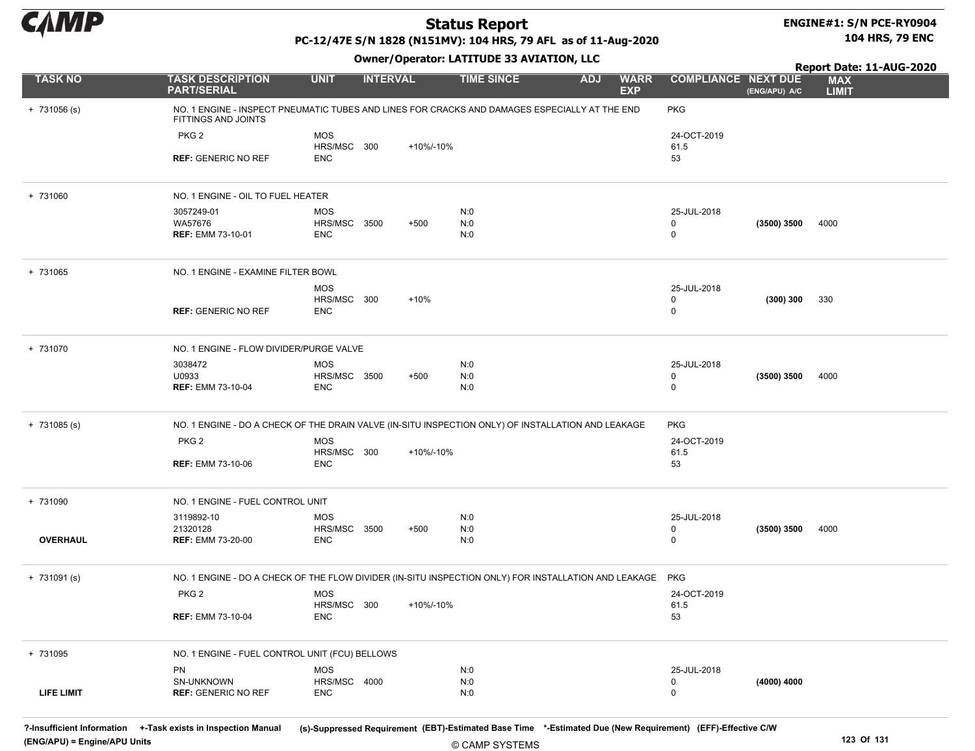

#### ENGINE#1: S/N PCE-RY0904 104 HRS, 79 ENC

Report Date: 11-AUG-2020

### PC-12/47E S/N 1828 (N151MV): 104 HRS, 79 AFL as of 11-Aug-2020

Owner/Operator: LATITUDE 33 AVIATION, LLC

| <b>TASK NO</b>    | <b>TASK DESCRIPTION</b><br><b>PART/SERIAL</b>                                                                        | <b>UNIT</b>                | <b>INTERVAL</b> |           | <b>TIME SINCE</b> | <b>ADJ</b> | <b>WARR</b><br><b>EXP</b> | <b>COMPLIANCE NEXT DUE</b> | (ENG/APU) A/C | <b>MAX</b><br><b>LIMIT</b> |
|-------------------|----------------------------------------------------------------------------------------------------------------------|----------------------------|-----------------|-----------|-------------------|------------|---------------------------|----------------------------|---------------|----------------------------|
| $+ 731056$ (s)    | NO. 1 ENGINE - INSPECT PNEUMATIC TUBES AND LINES FOR CRACKS AND DAMAGES ESPECIALLY AT THE END<br>FITTINGS AND JOINTS |                            |                 |           |                   |            |                           | <b>PKG</b>                 |               |                            |
|                   | PKG <sub>2</sub>                                                                                                     | <b>MOS</b>                 |                 |           |                   |            |                           | 24-OCT-2019                |               |                            |
|                   | <b>REF: GENERIC NO REF</b>                                                                                           | HRS/MSC 300<br>ENC         |                 | +10%/-10% |                   |            |                           | 61.5<br>53                 |               |                            |
|                   |                                                                                                                      |                            |                 |           |                   |            |                           |                            |               |                            |
| + 731060          | NO. 1 ENGINE - OIL TO FUEL HEATER                                                                                    |                            |                 |           |                   |            |                           |                            |               |                            |
|                   | 3057249-01                                                                                                           | <b>MOS</b>                 |                 |           | N:0               |            |                           | 25-JUL-2018                |               |                            |
|                   | WA57676<br><b>REF: EMM 73-10-01</b>                                                                                  | HRS/MSC 3500<br><b>ENC</b> |                 | $+500$    | N:0<br>N:0        |            |                           | 0<br>0                     | $(3500)$ 3500 | 4000                       |
|                   |                                                                                                                      |                            |                 |           |                   |            |                           |                            |               |                            |
| + 731065          | NO. 1 ENGINE - EXAMINE FILTER BOWL                                                                                   |                            |                 |           |                   |            |                           |                            |               |                            |
|                   |                                                                                                                      | <b>MOS</b>                 |                 |           |                   |            |                           | 25-JUL-2018                |               |                            |
|                   | <b>REF: GENERIC NO REF</b>                                                                                           | HRS/MSC 300<br>ENC         |                 | $+10%$    |                   |            |                           | 0<br>0                     | (300) 300     | 330                        |
|                   |                                                                                                                      |                            |                 |           |                   |            |                           |                            |               |                            |
| + 731070          | NO. 1 ENGINE - FLOW DIVIDER/PURGE VALVE                                                                              |                            |                 |           |                   |            |                           |                            |               |                            |
|                   | 3038472                                                                                                              | <b>MOS</b>                 |                 |           | N:0               |            |                           | 25-JUL-2018                |               |                            |
|                   | U0933<br><b>REF: EMM 73-10-04</b>                                                                                    | HRS/MSC 3500<br>ENC        |                 | $+500$    | N:0<br>N:0        |            |                           | 0<br>$\mathbf 0$           | (3500) 3500   | 4000                       |
|                   |                                                                                                                      |                            |                 |           |                   |            |                           |                            |               |                            |
| $+ 731085 (s)$    | NO. 1 ENGINE - DO A CHECK OF THE DRAIN VALVE (IN-SITU INSPECTION ONLY) OF INSTALLATION AND LEAKAGE                   |                            |                 |           |                   |            |                           | <b>PKG</b>                 |               |                            |
|                   | PKG <sub>2</sub>                                                                                                     | <b>MOS</b>                 |                 |           |                   |            |                           | 24-OCT-2019                |               |                            |
|                   | <b>REF: EMM 73-10-06</b>                                                                                             | HRS/MSC 300<br><b>ENC</b>  |                 | +10%/-10% |                   |            |                           | 61.5<br>53                 |               |                            |
|                   |                                                                                                                      |                            |                 |           |                   |            |                           |                            |               |                            |
| + 731090          | NO. 1 ENGINE - FUEL CONTROL UNIT                                                                                     |                            |                 |           |                   |            |                           |                            |               |                            |
|                   | 3119892-10                                                                                                           | <b>MOS</b>                 |                 |           | N:0               |            |                           | 25-JUL-2018                |               |                            |
| <b>OVERHAUL</b>   | 21320128<br><b>REF: EMM 73-20-00</b>                                                                                 | HRS/MSC 3500<br><b>ENC</b> |                 | $+500$    | N:0<br>N:0        |            |                           | 0<br>0                     | (3500) 3500   | 4000                       |
|                   |                                                                                                                      |                            |                 |           |                   |            |                           |                            |               |                            |
| $+ 731091 (s)$    | NO. 1 ENGINE - DO A CHECK OF THE FLOW DIVIDER (IN-SITU INSPECTION ONLY) FOR INSTALLATION AND LEAKAGE                 |                            |                 |           |                   |            |                           | PKG                        |               |                            |
|                   | PKG <sub>2</sub>                                                                                                     | <b>MOS</b>                 |                 |           |                   |            |                           | 24-OCT-2019                |               |                            |
|                   | <b>REF: EMM 73-10-04</b>                                                                                             | HRS/MSC 300<br>ENC         |                 | +10%/-10% |                   |            |                           | 61.5<br>53                 |               |                            |
|                   |                                                                                                                      |                            |                 |           |                   |            |                           |                            |               |                            |
| + 731095          | NO. 1 ENGINE - FUEL CONTROL UNIT (FCU) BELLOWS                                                                       |                            |                 |           |                   |            |                           |                            |               |                            |
|                   | <b>PN</b>                                                                                                            | <b>MOS</b>                 |                 |           | N:0               |            |                           | 25-JUL-2018                |               |                            |
| <b>LIFE LIMIT</b> | SN-UNKNOWN<br><b>REF: GENERIC NO REF</b>                                                                             | HRS/MSC 4000<br><b>ENC</b> |                 |           | N:0<br>N:0        |            |                           | 0<br>$\mathbf 0$           | (4000) 4000   |                            |
|                   |                                                                                                                      |                            |                 |           |                   |            |                           |                            |               |                            |
|                   |                                                                                                                      |                            |                 |           |                   |            |                           |                            |               |                            |

?-Insufficient Information +-Task exists in Inspection Manual (s)-Suppressed Requirement (EBT)-Estimated Base Time \*-Estimated Due (New Requirement) (EFF)-Effective C/W (ENG/APU) = Engine/APU Units 123 Of 131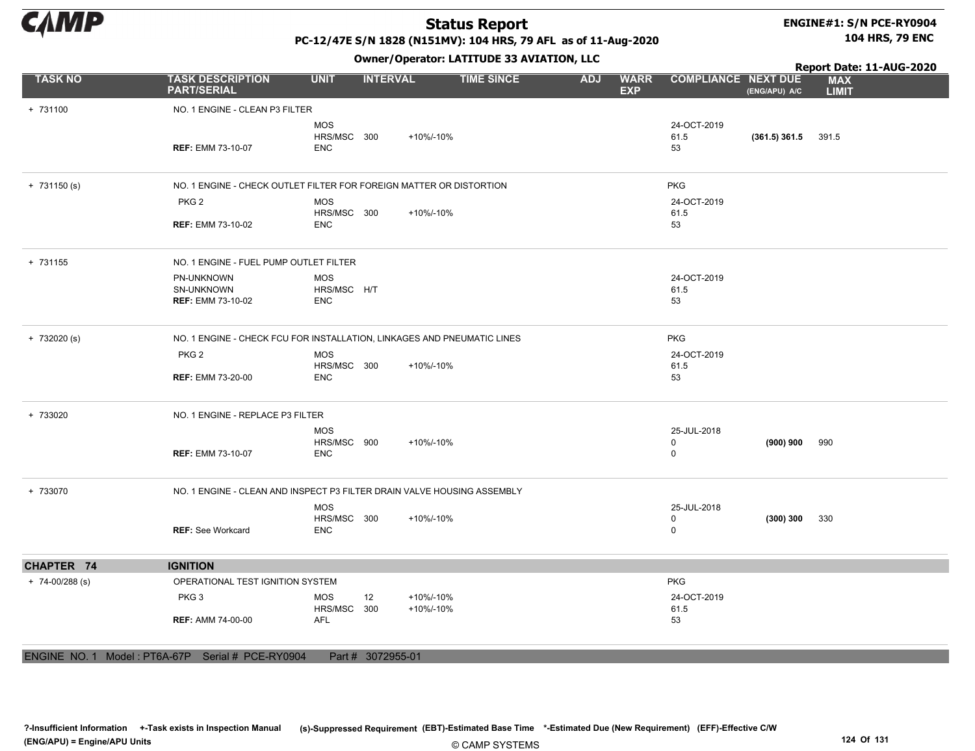

#### ENGINE#1: S/N PCE-RY0904 104 HRS, 79 ENC

PC-12/47E S/N 1828 (N151MV): 104 HRS, 79 AFL as of 11-Aug-2020

Owner/Operator: LATITUDE 33 AVIATION, LLC

+ 731100 NO. 1 ENGINE - CLEAN P3 FILTER REF: EMM 73-10-07 MOS HRS/MSC 300 ENC 24-OCT-2019 61.5 53 (361.5) 361.5 +10%/-10% 391.5 + 731150 (s) NO. 1 ENGINE - CHECK OUTLET FILTER FOR FOREIGN MATTER OR DISTORTION PKG PKG 2 REF: EMM 73-10-02 53 MOS HRS/MSC 300 ENC 24-OCT-2019 61.5 +10%/-10% + 731155 NO. 1 ENGINE - FUEL PUMP OUTLET FILTER PN-UNKNOWN SN-UNKNOWN REF: EMM 73-10-02 53 MOS HRS/MSC H/T ENC 24-OCT-2019 61.5 + 732020 (s) NO. 1 ENGINE - CHECK FCU FOR INSTALLATION, LINKAGES AND PNEUMATIC LINES PKG PKG 2 REF: EMM 73-20-00 53 MOS HRS/MSC 300 ENC 24-OCT-2019 61.5 +10%/-10% + 733020 NO. 1 ENGINE - REPLACE P3 FILTER REF: EMM 73-10-07 MOS HRS/MSC 900 ENC 25-JUL-2018 0 0 (900) 900 +10%/-10% 990 + 733070 NO. 1 ENGINE - CLEAN AND INSPECT P3 FILTER DRAIN VALVE HOUSING ASSEMBLY REF: See Workcard MOS HRS/MSC 300 ENC 25-JUL-2018 0 0 (300) 300 +10%/-10% 330 CHAPTER 74 IGNITION + 74-00/288 (s) OPERATIONAL TEST IGNITION SYSTEM PKG PKG 3 REF: AMM 74-00-00 53 MOS HRS/MSC AFL 12 300 24-OCT-2019 61.5 +10%/-10% +10%/-10% TASK NO TASK DESCRIPTION UNIT INTERVAL TIME SINCE WARR COMPLIANCE EXP ADJ WARR COMPLIANCE NEXT DUE MAX LIMIT Report Date: 11-AUG-2020 PART/SERIAL (ENG/APU) A/C

ENGINE NO. 1 Model : PT6A-67P Serial # PCE-RY0904 Part # 3072955-01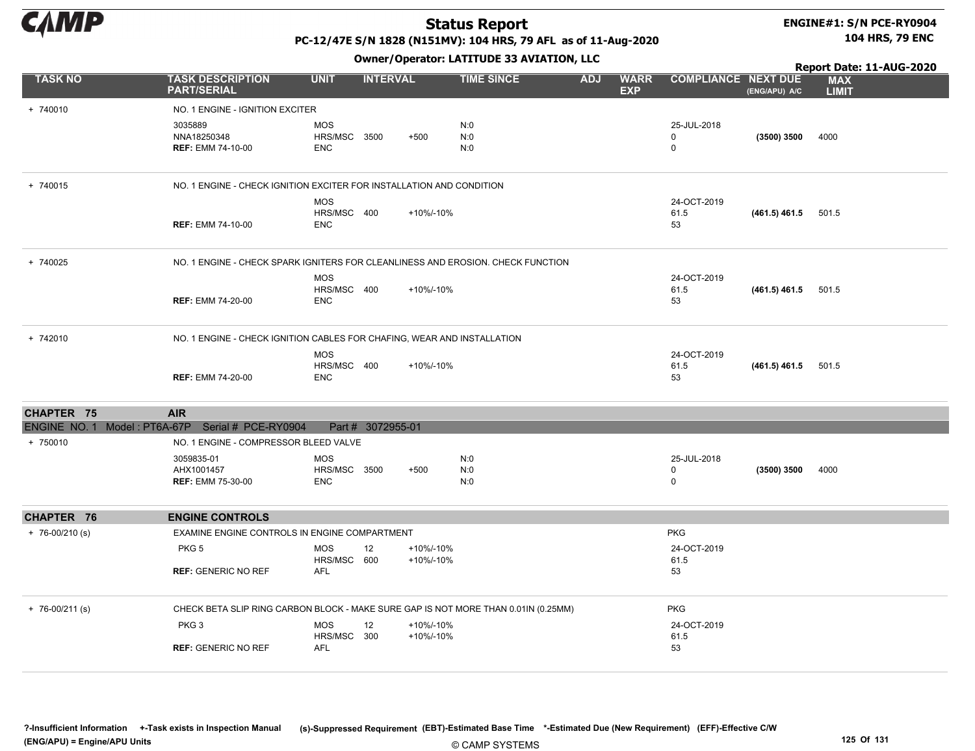

#### ENGINE#1: S/N PCE-RY0904 104 HRS, 79 ENC

PC-12/47E S/N 1828 (N151MV): 104 HRS, 79 AFL as of 11-Aug-2020

|                     |                                                                                    |                                          |                   |                        |                   |            |                           |                                        | Report Date: 11-AUG-2020 |                            |  |
|---------------------|------------------------------------------------------------------------------------|------------------------------------------|-------------------|------------------------|-------------------|------------|---------------------------|----------------------------------------|--------------------------|----------------------------|--|
| <b>TASK NO</b>      | <b>TASK DESCRIPTION</b><br><b>PART/SERIAL</b>                                      | <b>UNIT</b>                              | <b>INTERVAL</b>   |                        | <b>TIME SINCE</b> | <b>ADJ</b> | <b>WARR</b><br><b>EXP</b> | <b>COMPLIANCE NEXT DUE</b>             | (ENG/APU) A/C            | <b>MAX</b><br><b>LIMIT</b> |  |
| + 740010            | NO. 1 ENGINE - IGNITION EXCITER                                                    |                                          |                   |                        |                   |            |                           |                                        |                          |                            |  |
|                     | 3035889<br>NNA18250348<br><b>REF: EMM 74-10-00</b>                                 | <b>MOS</b><br>HRS/MSC 3500<br><b>ENC</b> |                   | $+500$                 | N:0<br>N:0<br>N:0 |            |                           | 25-JUL-2018<br>$\mathbf 0$<br>$\Omega$ | (3500) 3500              | 4000                       |  |
| + 740015            | NO. 1 ENGINE - CHECK IGNITION EXCITER FOR INSTALLATION AND CONDITION               |                                          |                   |                        |                   |            |                           |                                        |                          |                            |  |
|                     | <b>REF: EMM 74-10-00</b>                                                           | <b>MOS</b><br>HRS/MSC 400<br><b>ENC</b>  |                   | +10%/-10%              |                   |            |                           | 24-OCT-2019<br>61.5<br>53              | $(461.5)$ 461.5 501.5    |                            |  |
| + 740025            | NO. 1 ENGINE - CHECK SPARK IGNITERS FOR CLEANLINESS AND EROSION. CHECK FUNCTION    |                                          |                   |                        |                   |            |                           |                                        |                          |                            |  |
|                     | <b>REF: EMM 74-20-00</b>                                                           | <b>MOS</b><br>HRS/MSC 400<br><b>ENC</b>  |                   | +10%/-10%              |                   |            |                           | 24-OCT-2019<br>61.5<br>53              | $(461.5)$ 461.5 501.5    |                            |  |
| + 742010            | NO. 1 ENGINE - CHECK IGNITION CABLES FOR CHAFING, WEAR AND INSTALLATION            |                                          |                   |                        |                   |            |                           |                                        |                          |                            |  |
|                     | <b>REF: EMM 74-20-00</b>                                                           | <b>MOS</b><br>HRS/MSC 400<br><b>ENC</b>  |                   | +10%/-10%              |                   |            |                           | 24-OCT-2019<br>61.5<br>53              | $(461.5)$ 461.5 501.5    |                            |  |
| CHAPTER 75          | <b>AIR</b>                                                                         |                                          |                   |                        |                   |            |                           |                                        |                          |                            |  |
|                     | ENGINE NO. 1 Model: PT6A-67P Serial # PCE-RY0904                                   |                                          | Part # 3072955-01 |                        |                   |            |                           |                                        |                          |                            |  |
| + 750010            | NO. 1 ENGINE - COMPRESSOR BLEED VALVE                                              |                                          |                   |                        |                   |            |                           |                                        |                          |                            |  |
|                     | 3059835-01<br>AHX1001457<br><b>REF: EMM 75-30-00</b>                               | <b>MOS</b><br>HRS/MSC 3500<br><b>ENC</b> |                   | $+500$                 | N:0<br>N:0<br>N:0 |            |                           | 25-JUL-2018<br>$\mathbf 0$<br>$\Omega$ | (3500) 3500              | 4000                       |  |
| CHAPTER 76          | <b>ENGINE CONTROLS</b>                                                             |                                          |                   |                        |                   |            |                           |                                        |                          |                            |  |
| $+ 76 - 00/210$ (s) | EXAMINE ENGINE CONTROLS IN ENGINE COMPARTMENT                                      |                                          |                   |                        |                   |            |                           | <b>PKG</b>                             |                          |                            |  |
|                     | PKG <sub>5</sub>                                                                   | <b>MOS</b><br>HRS/MSC 600                | 12                | +10%/-10%<br>+10%/-10% |                   |            |                           | 24-OCT-2019<br>61.5                    |                          |                            |  |
|                     | <b>REF: GENERIC NO REF</b>                                                         | AFL                                      |                   |                        |                   |            |                           | 53                                     |                          |                            |  |
| $+ 76 - 00/211$ (s) | CHECK BETA SLIP RING CARBON BLOCK - MAKE SURE GAP IS NOT MORE THAN 0.01IN (0.25MM) |                                          |                   |                        |                   |            |                           | <b>PKG</b>                             |                          |                            |  |
|                     | PKG <sub>3</sub>                                                                   | <b>MOS</b><br>HRS/MSC 300                | 12                | +10%/-10%<br>+10%/-10% |                   |            |                           | 24-OCT-2019<br>61.5                    |                          |                            |  |
|                     | <b>REF: GENERIC NO REF</b>                                                         | <b>AFL</b>                               |                   |                        |                   |            |                           | 53                                     |                          |                            |  |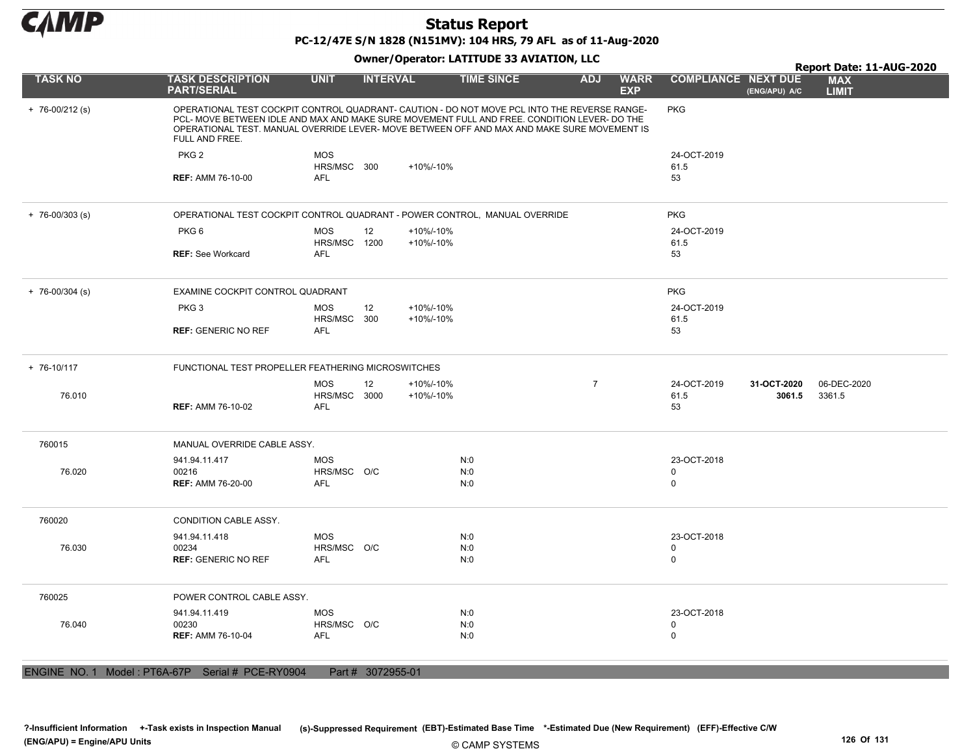

### Status Report PC-12/47E S/N 1828 (N151MV): 104 HRS, 79 AFL as of 11-Aug-2020

#### Owner/Operator: LATITUDE 33 AVIATION, LLC

|                     |                                                                                                                                                                                                                                                                                                               |                                          | .                 |                        |                   |                |                           |                            |                       | Report Date: 11-AUG-2020   |
|---------------------|---------------------------------------------------------------------------------------------------------------------------------------------------------------------------------------------------------------------------------------------------------------------------------------------------------------|------------------------------------------|-------------------|------------------------|-------------------|----------------|---------------------------|----------------------------|-----------------------|----------------------------|
| <b>TASK NO</b>      | <b>TASK DESCRIPTION</b><br><b>PART/SERIAL</b>                                                                                                                                                                                                                                                                 | <b>UNIT</b>                              | <b>INTERVAL</b>   |                        | <b>TIME SINCE</b> | <b>ADJ</b>     | <b>WARR</b><br><b>EXP</b> | <b>COMPLIANCE NEXT DUE</b> | (ENG/APU) A/C         | <b>MAX</b><br><b>LIMIT</b> |
| $+ 76 - 00/212$ (s) | OPERATIONAL TEST COCKPIT CONTROL QUADRANT- CAUTION - DO NOT MOVE PCL INTO THE REVERSE RANGE-<br>PCL- MOVE BETWEEN IDLE AND MAX AND MAKE SURE MOVEMENT FULL AND FREE. CONDITION LEVER- DO THE<br>OPERATIONAL TEST. MANUAL OVERRIDE LEVER- MOVE BETWEEN OFF AND MAX AND MAKE SURE MOVEMENT IS<br>FULL AND FREE. |                                          |                   |                        |                   |                |                           | <b>PKG</b>                 |                       |                            |
|                     | PKG <sub>2</sub>                                                                                                                                                                                                                                                                                              | MOS                                      |                   |                        |                   |                |                           | 24-OCT-2019                |                       |                            |
|                     |                                                                                                                                                                                                                                                                                                               | HRS/MSC 300                              |                   | +10%/-10%              |                   |                |                           | 61.5                       |                       |                            |
|                     | <b>REF: AMM 76-10-00</b>                                                                                                                                                                                                                                                                                      | <b>AFL</b>                               |                   |                        |                   |                |                           | 53                         |                       |                            |
| $+ 76 - 00/303$ (s) | OPERATIONAL TEST COCKPIT CONTROL QUADRANT - POWER CONTROL, MANUAL OVERRIDE                                                                                                                                                                                                                                    |                                          |                   |                        |                   |                |                           | <b>PKG</b>                 |                       |                            |
|                     | PKG <sub>6</sub>                                                                                                                                                                                                                                                                                              | <b>MOS</b>                               | 12                | +10%/-10%              |                   |                |                           | 24-OCT-2019                |                       |                            |
|                     |                                                                                                                                                                                                                                                                                                               | HRS/MSC 1200                             |                   | +10%/-10%              |                   |                |                           | 61.5                       |                       |                            |
|                     | <b>REF: See Workcard</b>                                                                                                                                                                                                                                                                                      | AFL                                      |                   |                        |                   |                |                           | 53                         |                       |                            |
| $+ 76 - 00/304$ (s) | EXAMINE COCKPIT CONTROL QUADRANT                                                                                                                                                                                                                                                                              |                                          |                   |                        |                   |                |                           | <b>PKG</b>                 |                       |                            |
|                     | PKG <sub>3</sub>                                                                                                                                                                                                                                                                                              | <b>MOS</b>                               | 12                | +10%/-10%              |                   |                |                           | 24-OCT-2019                |                       |                            |
|                     | <b>REF: GENERIC NO REF</b>                                                                                                                                                                                                                                                                                    | HRS/MSC 300<br><b>AFL</b>                |                   | +10%/-10%              |                   |                |                           | 61.5<br>53                 |                       |                            |
|                     |                                                                                                                                                                                                                                                                                                               |                                          |                   |                        |                   |                |                           |                            |                       |                            |
| + 76-10/117         | FUNCTIONAL TEST PROPELLER FEATHERING MICROSWITCHES                                                                                                                                                                                                                                                            |                                          |                   |                        |                   |                |                           |                            |                       |                            |
| 76.010              | <b>REF: AMM 76-10-02</b>                                                                                                                                                                                                                                                                                      | <b>MOS</b><br>HRS/MSC 3000<br><b>AFL</b> | 12                | +10%/-10%<br>+10%/-10% |                   | $\overline{7}$ |                           | 24-OCT-2019<br>61.5<br>53  | 31-OCT-2020<br>3061.5 | 06-DEC-2020<br>3361.5      |
| 760015              | MANUAL OVERRIDE CABLE ASSY.                                                                                                                                                                                                                                                                                   |                                          |                   |                        |                   |                |                           |                            |                       |                            |
|                     | 941.94.11.417                                                                                                                                                                                                                                                                                                 | <b>MOS</b>                               |                   |                        | N:0               |                |                           | 23-OCT-2018                |                       |                            |
| 76.020              | 00216                                                                                                                                                                                                                                                                                                         | HRS/MSC O/C                              |                   |                        | N:0               |                |                           | $\mathbf 0$                |                       |                            |
|                     | <b>REF: AMM 76-20-00</b>                                                                                                                                                                                                                                                                                      | <b>AFL</b>                               |                   |                        | N:0               |                |                           | $\mathbf 0$                |                       |                            |
| 760020              | <b>CONDITION CABLE ASSY.</b>                                                                                                                                                                                                                                                                                  |                                          |                   |                        |                   |                |                           |                            |                       |                            |
|                     | 941.94.11.418                                                                                                                                                                                                                                                                                                 | <b>MOS</b>                               |                   |                        | N:0               |                |                           | 23-OCT-2018                |                       |                            |
| 76.030              | 00234                                                                                                                                                                                                                                                                                                         | HRS/MSC O/C                              |                   |                        | N:0               |                |                           | $\mathbf 0$                |                       |                            |
|                     | <b>REF: GENERIC NO REF</b>                                                                                                                                                                                                                                                                                    | <b>AFL</b>                               |                   |                        | N:0               |                |                           | $\mathbf 0$                |                       |                            |
| 760025              | POWER CONTROL CABLE ASSY.                                                                                                                                                                                                                                                                                     |                                          |                   |                        |                   |                |                           |                            |                       |                            |
|                     | 941.94.11.419                                                                                                                                                                                                                                                                                                 | <b>MOS</b>                               |                   |                        | N:0               |                |                           | 23-OCT-2018                |                       |                            |
| 76.040              | 00230                                                                                                                                                                                                                                                                                                         | HRS/MSC O/C                              |                   |                        | N:0               |                |                           | $\mathsf 0$                |                       |                            |
|                     | <b>REF: AMM 76-10-04</b>                                                                                                                                                                                                                                                                                      | AFL                                      |                   |                        | N:0               |                |                           | $\mathbf 0$                |                       |                            |
|                     |                                                                                                                                                                                                                                                                                                               |                                          |                   |                        |                   |                |                           |                            |                       |                            |
|                     | ENGINE NO. 1 Model: PT6A-67P Serial # PCE-RY0904                                                                                                                                                                                                                                                              |                                          | Part # 3072955-01 |                        |                   |                |                           |                            |                       |                            |

© CAMP SYSTEMS ?-Insufficient Information +-Task exists in Inspection Manual (s)-Suppressed Requirement (EBT)-Estimated Base Time \*-Estimated Due (New Requirement) (EFF)-Effective C/W (ENG/APU) = Engine/APU Units 126 Of 131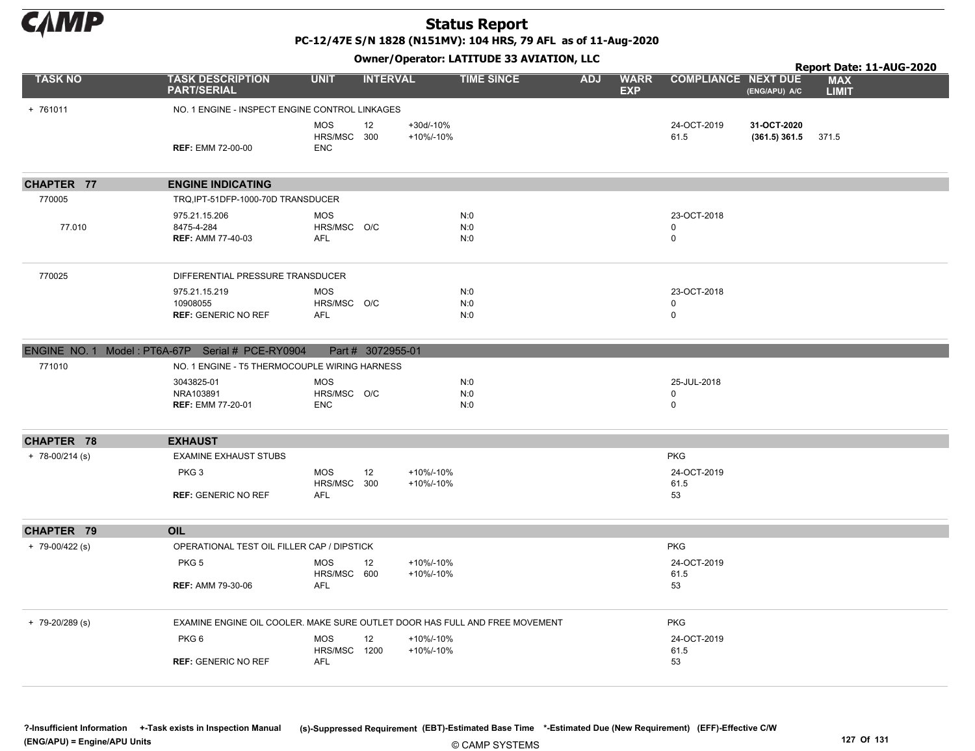

PC-12/47E S/N 1828 (N151MV): 104 HRS, 79 AFL as of 11-Aug-2020

Owner/Operator: LATITUDE 33 AVIATION, LLC

|                     |                                                                             |                                               |                        | Owner, Operator: EATITODE 33 AVIATION, LEC |            |                           |                                           |                                | Report Date: 11-AUG-2020   |  |  |
|---------------------|-----------------------------------------------------------------------------|-----------------------------------------------|------------------------|--------------------------------------------|------------|---------------------------|-------------------------------------------|--------------------------------|----------------------------|--|--|
| <b>TASK NO</b>      | <b>TASK DESCRIPTION</b><br><b>PART/SERIAL</b>                               | <b>UNIT</b>                                   | <b>INTERVAL</b>        | <b>TIME SINCE</b>                          | <b>ADJ</b> | <b>WARR</b><br><b>EXP</b> | <b>COMPLIANCE NEXT DUE</b>                | (ENG/APU) A/C                  | <b>MAX</b><br><b>LIMIT</b> |  |  |
| + 761011            | NO. 1 ENGINE - INSPECT ENGINE CONTROL LINKAGES                              |                                               |                        |                                            |            |                           |                                           |                                |                            |  |  |
|                     | <b>REF: EMM 72-00-00</b>                                                    | <b>MOS</b><br>12<br>HRS/MSC 300<br><b>ENC</b> | +30d/-10%<br>+10%/-10% |                                            |            |                           | 24-OCT-2019<br>61.5                       | 31-OCT-2020<br>$(361.5)$ 361.5 | 371.5                      |  |  |
| CHAPTER 77          | <b>ENGINE INDICATING</b>                                                    |                                               |                        |                                            |            |                           |                                           |                                |                            |  |  |
| 770005              | TRQ, IPT-51DFP-1000-70D TRANSDUCER                                          |                                               |                        |                                            |            |                           |                                           |                                |                            |  |  |
| 77.010              | 975.21.15.206<br>8475-4-284<br><b>REF: AMM 77-40-03</b>                     | <b>MOS</b><br>HRS/MSC O/C<br><b>AFL</b>       |                        | N:0<br>N:0<br>N:0                          |            |                           | 23-OCT-2018<br>0<br>$\mathbf 0$           |                                |                            |  |  |
| 770025              | DIFFERENTIAL PRESSURE TRANSDUCER                                            |                                               |                        |                                            |            |                           |                                           |                                |                            |  |  |
|                     | 975.21.15.219<br>10908055<br><b>REF: GENERIC NO REF</b>                     | <b>MOS</b><br>HRS/MSC O/C<br>AFL              |                        | N:0<br>N:0<br>N:0                          |            |                           | 23-OCT-2018<br>$\mathbf 0$<br>$\mathbf 0$ |                                |                            |  |  |
|                     | ENGINE NO. 1 Model: PT6A-67P Serial # PCE-RY0904                            | Part # 3072955-01                             |                        |                                            |            |                           |                                           |                                |                            |  |  |
| 771010              | NO. 1 ENGINE - T5 THERMOCOUPLE WIRING HARNESS                               |                                               |                        |                                            |            |                           |                                           |                                |                            |  |  |
|                     | 3043825-01<br>NRA103891<br><b>REF: EMM 77-20-01</b>                         | <b>MOS</b><br>HRS/MSC O/C<br><b>ENC</b>       |                        | N:0<br>N:0<br>N:0                          |            |                           | 25-JUL-2018<br>$\mathbf 0$<br>$\mathbf 0$ |                                |                            |  |  |
| CHAPTER 78          | <b>EXHAUST</b>                                                              |                                               |                        |                                            |            |                           |                                           |                                |                            |  |  |
| $+ 78 - 00/214$ (s) | <b>EXAMINE EXHAUST STUBS</b>                                                |                                               |                        |                                            |            |                           | <b>PKG</b>                                |                                |                            |  |  |
|                     | PKG <sub>3</sub><br><b>REF: GENERIC NO REF</b>                              | <b>MOS</b><br>12<br>HRS/MSC 300<br>AFL        | +10%/-10%<br>+10%/-10% |                                            |            |                           | 24-OCT-2019<br>61.5<br>53                 |                                |                            |  |  |
| CHAPTER 79          | <b>OIL</b>                                                                  |                                               |                        |                                            |            |                           |                                           |                                |                            |  |  |
| $+ 79 - 00/422$ (s) | OPERATIONAL TEST OIL FILLER CAP / DIPSTICK                                  |                                               |                        |                                            |            |                           | <b>PKG</b>                                |                                |                            |  |  |
|                     | PKG <sub>5</sub>                                                            | <b>MOS</b><br>12<br>HRS/MSC 600               | +10%/-10%<br>+10%/-10% |                                            |            |                           | 24-OCT-2019<br>61.5                       |                                |                            |  |  |
|                     | <b>REF: AMM 79-30-06</b>                                                    | <b>AFL</b>                                    |                        |                                            |            |                           | 53                                        |                                |                            |  |  |
| $+ 79-20/289$ (s)   | EXAMINE ENGINE OIL COOLER. MAKE SURE OUTLET DOOR HAS FULL AND FREE MOVEMENT |                                               |                        |                                            |            |                           | <b>PKG</b>                                |                                |                            |  |  |
|                     | PKG6                                                                        | <b>MOS</b><br>12<br>HRS/MSC 1200              | +10%/-10%<br>+10%/-10% |                                            |            |                           | 24-OCT-2019<br>61.5                       |                                |                            |  |  |
|                     | <b>REF: GENERIC NO REF</b>                                                  | <b>AFL</b>                                    |                        |                                            |            |                           | 53                                        |                                |                            |  |  |

?-Insufficient Information +-Task exists in Inspection Manual (s)-Suppressed Requirement (EBT)-Estimated Base Time \*-Estimated Due (New Requirement) (EFF)-Effective C/W (ENG/APU) = Engine/APU Units 127 Of 131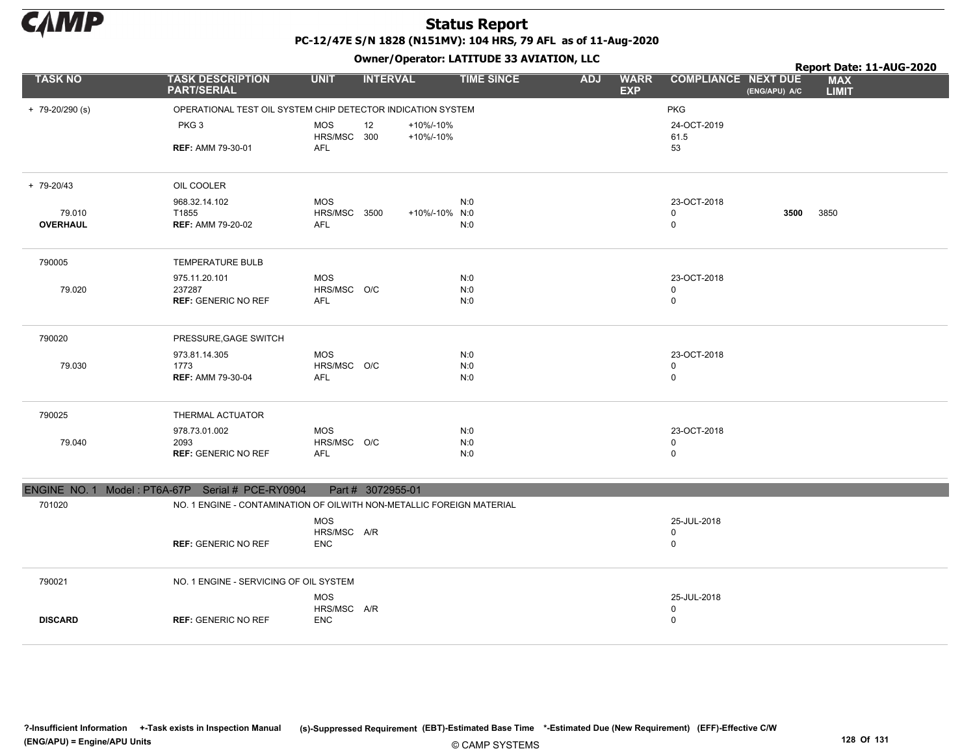

### Status Report PC-12/47E S/N 1828 (N151MV): 104 HRS, 79 AFL as of 11-Aug-2020

|                   |                                                                       |                           | - - -             |                        |                   |            |                           |                                             |      | Report Date: 11-AUG-2020   |
|-------------------|-----------------------------------------------------------------------|---------------------------|-------------------|------------------------|-------------------|------------|---------------------------|---------------------------------------------|------|----------------------------|
| <b>TASK NO</b>    | <b>TASK DESCRIPTION</b><br><b>PART/SERIAL</b>                         | <b>UNIT</b>               | <b>INTERVAL</b>   |                        | <b>TIME SINCE</b> | <b>ADJ</b> | <b>WARR</b><br><b>EXP</b> | <b>COMPLIANCE NEXT DUE</b><br>(ENG/APU) A/C |      | <b>MAX</b><br><b>LIMIT</b> |
| $+ 79-20/290$ (s) | OPERATIONAL TEST OIL SYSTEM CHIP DETECTOR INDICATION SYSTEM           |                           |                   |                        |                   |            |                           | <b>PKG</b>                                  |      |                            |
|                   | PKG <sub>3</sub>                                                      | <b>MOS</b><br>HRS/MSC 300 | 12                | +10%/-10%<br>+10%/-10% |                   |            |                           | 24-OCT-2019<br>61.5                         |      |                            |
|                   | <b>REF: AMM 79-30-01</b>                                              | AFL                       |                   |                        |                   |            |                           | 53                                          |      |                            |
| + 79-20/43        | OIL COOLER                                                            |                           |                   |                        |                   |            |                           |                                             |      |                            |
|                   | 968.32.14.102                                                         | <b>MOS</b>                |                   |                        | N:0               |            |                           | 23-OCT-2018                                 |      |                            |
| 79.010            | T1855                                                                 | HRS/MSC 3500              |                   | +10%/-10% N:0          |                   |            |                           | $\mathbf 0$                                 | 3500 | 3850                       |
| <b>OVERHAUL</b>   | <b>REF: AMM 79-20-02</b>                                              | <b>AFL</b>                |                   |                        | N:0               |            |                           | $\mathbf 0$                                 |      |                            |
| 790005            | <b>TEMPERATURE BULB</b>                                               |                           |                   |                        |                   |            |                           |                                             |      |                            |
|                   | 975.11.20.101                                                         | <b>MOS</b>                |                   |                        | N:0               |            |                           | 23-OCT-2018                                 |      |                            |
| 79.020            | 237287                                                                | HRS/MSC O/C               |                   |                        | N:0               |            |                           | $\mathbf 0$                                 |      |                            |
|                   | <b>REF: GENERIC NO REF</b>                                            | AFL                       |                   |                        | N:0               |            |                           | $\mathbf 0$                                 |      |                            |
| 790020            | PRESSURE, GAGE SWITCH                                                 |                           |                   |                        |                   |            |                           |                                             |      |                            |
|                   | 973.81.14.305                                                         | <b>MOS</b>                |                   |                        | N:0               |            |                           | 23-OCT-2018                                 |      |                            |
| 79.030            | 1773                                                                  | HRS/MSC O/C               |                   |                        | N:0               |            |                           | $\pmb{0}$                                   |      |                            |
|                   | <b>REF: AMM 79-30-04</b>                                              | AFL                       |                   |                        | N:0               |            |                           | $\mathbf 0$                                 |      |                            |
| 790025            | THERMAL ACTUATOR                                                      |                           |                   |                        |                   |            |                           |                                             |      |                            |
|                   | 978.73.01.002                                                         | <b>MOS</b>                |                   |                        | N:0               |            |                           | 23-OCT-2018                                 |      |                            |
| 79.040            | 2093                                                                  | HRS/MSC O/C               |                   |                        | N:0               |            |                           | $\pmb{0}$                                   |      |                            |
|                   | <b>REF: GENERIC NO REF</b>                                            | AFL                       |                   |                        | N:0               |            |                           | $\mathbf 0$                                 |      |                            |
|                   | ENGINE NO. 1 Model: PT6A-67P Serial # PCE-RY0904                      |                           | Part # 3072955-01 |                        |                   |            |                           |                                             |      |                            |
| 701020            | NO. 1 ENGINE - CONTAMINATION OF OILWITH NON-METALLIC FOREIGN MATERIAL |                           |                   |                        |                   |            |                           |                                             |      |                            |
|                   |                                                                       | <b>MOS</b>                |                   |                        |                   |            |                           | 25-JUL-2018                                 |      |                            |
|                   |                                                                       | HRS/MSC A/R               |                   |                        |                   |            |                           | 0                                           |      |                            |
|                   | <b>REF: GENERIC NO REF</b>                                            | <b>ENC</b>                |                   |                        |                   |            |                           | $\mathbf 0$                                 |      |                            |
| 790021            | NO. 1 ENGINE - SERVICING OF OIL SYSTEM                                |                           |                   |                        |                   |            |                           |                                             |      |                            |
|                   |                                                                       | <b>MOS</b>                |                   |                        |                   |            |                           | 25-JUL-2018                                 |      |                            |
|                   |                                                                       | HRS/MSC A/R               |                   |                        |                   |            |                           | 0                                           |      |                            |
| <b>DISCARD</b>    | <b>REF: GENERIC NO REF</b>                                            | <b>ENC</b>                |                   |                        |                   |            |                           | $\mathbf 0$                                 |      |                            |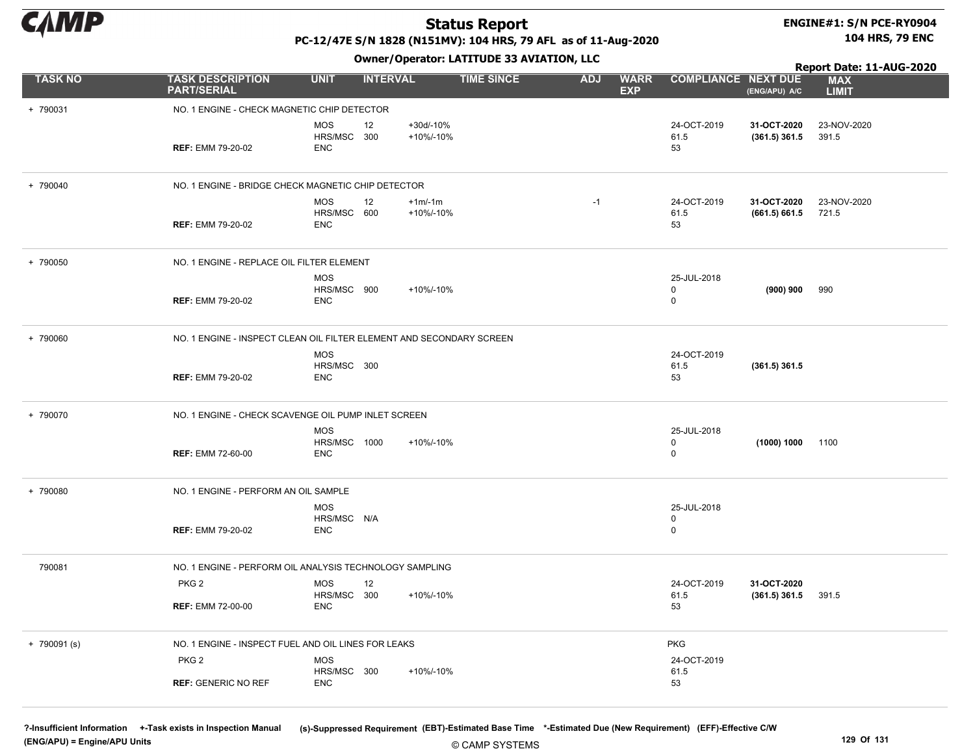

# ENGINE#1: S/N PCE-RY0904

PC-12/47E S/N 1828 (N151MV): 104 HRS, 79 AFL as of 11-Aug-2020

Owner/Operator: LATITUDE 33 AVIATION, LLC

104 HRS, 79 ENC

|                |                                                         |                                               | Report Date: 11-AUG-2020                                             |                                         |                            |                                |                            |
|----------------|---------------------------------------------------------|-----------------------------------------------|----------------------------------------------------------------------|-----------------------------------------|----------------------------|--------------------------------|----------------------------|
| <b>TASK NO</b> | <b>TASK DESCRIPTION</b><br><b>PART/SERIAL</b>           | <b>UNIT</b><br><b>INTERVAL</b>                | <b>TIME SINCE</b>                                                    | <b>ADJ</b><br><b>WARR</b><br><b>EXP</b> | <b>COMPLIANCE NEXT DUE</b> | (ENG/APU) A/C                  | <b>MAX</b><br><b>LIMIT</b> |
| + 790031       | NO. 1 ENGINE - CHECK MAGNETIC CHIP DETECTOR             |                                               |                                                                      |                                         |                            |                                |                            |
|                | <b>REF: EMM 79-20-02</b>                                | <b>MOS</b><br>12<br>HRS/MSC 300<br>ENC        | +30d/-10%<br>+10%/-10%                                               |                                         | 24-OCT-2019<br>61.5<br>53  | 31-OCT-2020<br>$(361.5)$ 361.5 | 23-NOV-2020<br>391.5       |
| + 790040       | NO. 1 ENGINE - BRIDGE CHECK MAGNETIC CHIP DETECTOR      |                                               |                                                                      |                                         |                            |                                |                            |
|                | <b>REF: EMM 79-20-02</b>                                | <b>MOS</b><br>12<br>HRS/MSC 600<br><b>ENC</b> | $+1m/1m$<br>+10%/-10%                                                | $-1$                                    | 24-OCT-2019<br>61.5<br>53  | 31-OCT-2020<br>(661.5) 661.5   | 23-NOV-2020<br>721.5       |
| + 790050       | NO. 1 ENGINE - REPLACE OIL FILTER ELEMENT               |                                               |                                                                      |                                         |                            |                                |                            |
|                | <b>REF: EMM 79-20-02</b>                                | <b>MOS</b><br>HRS/MSC 900<br><b>ENC</b>       | +10%/-10%                                                            |                                         | 25-JUL-2018<br>0<br>0      | (900) 900                      | 990                        |
| + 790060       |                                                         |                                               | NO. 1 ENGINE - INSPECT CLEAN OIL FILTER ELEMENT AND SECONDARY SCREEN |                                         |                            |                                |                            |
|                | <b>REF: EMM 79-20-02</b>                                | <b>MOS</b><br>HRS/MSC 300<br><b>ENC</b>       |                                                                      |                                         | 24-OCT-2019<br>61.5<br>53  | $(361.5)$ 361.5                |                            |
| + 790070       | NO. 1 ENGINE - CHECK SCAVENGE OIL PUMP INLET SCREEN     |                                               |                                                                      |                                         |                            |                                |                            |
|                | <b>REF: EMM 72-60-00</b>                                | <b>MOS</b><br>HRS/MSC 1000<br><b>ENC</b>      | +10%/-10%                                                            |                                         | 25-JUL-2018<br>0<br>0      | (1000) 1000 1100               |                            |
| + 790080       | NO. 1 ENGINE - PERFORM AN OIL SAMPLE                    |                                               |                                                                      |                                         |                            |                                |                            |
|                | <b>REF: EMM 79-20-02</b>                                | <b>MOS</b><br>HRS/MSC N/A<br><b>ENC</b>       |                                                                      |                                         | 25-JUL-2018<br>0<br>0      |                                |                            |
| 790081         | NO. 1 ENGINE - PERFORM OIL ANALYSIS TECHNOLOGY SAMPLING |                                               |                                                                      |                                         |                            |                                |                            |
|                | PKG <sub>2</sub>                                        | <b>MOS</b><br>12<br>HRS/MSC 300               | +10%/-10%                                                            |                                         | 24-OCT-2019<br>61.5        | 31-OCT-2020<br>$(361.5)$ 361.5 | 391.5                      |
|                | <b>REF: EMM 72-00-00</b>                                | <b>ENC</b>                                    |                                                                      |                                         | 53                         |                                |                            |
| $+ 790091$ (s) | NO. 1 ENGINE - INSPECT FUEL AND OIL LINES FOR LEAKS     |                                               |                                                                      |                                         | <b>PKG</b>                 |                                |                            |
|                | PKG <sub>2</sub>                                        | MOS<br>HRS/MSC 300                            | +10%/-10%                                                            |                                         | 24-OCT-2019<br>61.5        |                                |                            |
|                | <b>REF: GENERIC NO REF</b>                              | <b>ENC</b>                                    |                                                                      |                                         | 53                         |                                |                            |

?-Insufficient Information +-Task exists in Inspection Manual (s)-Suppressed Requirement (EBT)-Estimated Base Time \*-Estimated Due (New Requirement) (EFF)-Effective C/W (ENG/APU) = Engine/APU Units 129 Of 131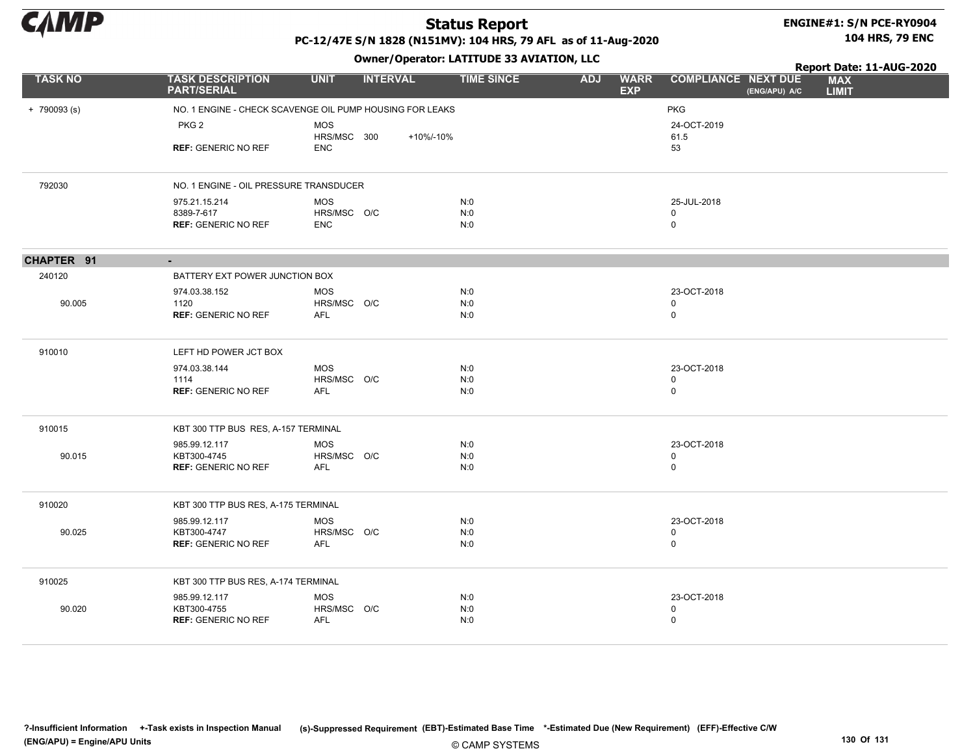

CHAPTER 91 -

90.005

90.015

### Status Report

#### ENGINE#1: S/N PCE-RY0904 104 HRS, 79 ENC

PC-12/47E S/N 1828 (N151MV): 104 HRS, 79 AFL as of 11-Aug-2020

+ 790093 (s) NO. 1 ENGINE - CHECK SCAVENGE OIL PUMP HOUSING FOR LEAKS PKG PKG 2 REF: GENERIC NO REF 53 MOS HRS/MSC 300 ENC 24-OCT-2019 61.5 +10%/-10% 792030 NO. 1 ENGINE - OIL PRESSURE TRANSDUCER 975.21.15.214 8389-7-617 REF: GENERIC NO REF 0 MOS HRS/MSC O/C ENC N:0 N:0 N:0 25-JUL-2018 0 240120 BATTERY EXT POWER JUNCTION BOX 974.03.38.152 1120 REF: GENERIC NO REF 0 MOS HRS/MSC O/C AFL N:0 N:0 N:0 23-OCT-2018 0 910010 LEFT HD POWER JCT BOX 974.03.38.144 1114 REF: GENERIC NO REF 0 MOS HRS/MSC O/C AFL N:0 N:0 N:0 23-OCT-2018 0 910015 KBT 300 TTP BUS RES, A-157 TERMINAL 985.99.12.117 KBT300-4745 REF: GENERIC NO REF 0 MOS HRS/MSC O/C AFL N:0 N:0 N:0 23-OCT-2018 0 910020 KBT 300 TTP BUS RES, A-175 TERMINAL TASK NO TASK DESCRIPTION UNIT INTERVAL TIME SINCE WARR COMPLIANCE EXP ADJ WARR COMPLIANCE NEXT DUE MAX LIMIT Report Date: 11-AUG-2020 PART/SERIAL Owner/Operator: LATITUDE 33 AVIATION, LLC (ENG/APU) A/C

| 90.025 | 985.99.12.117<br>KBT300-4747<br><b>REF: GENERIC NO REF</b> | MOS<br>HRS/MSC O/C<br>AFL        | N:0<br>N:0<br>N:0 | 23-OCT-2018 |  |
|--------|------------------------------------------------------------|----------------------------------|-------------------|-------------|--|
| 910025 | KBT 300 TTP BUS RES, A-174 TERMINAL                        |                                  |                   |             |  |
| 90.020 | 985.99.12.117<br>KBT300-4755<br><b>REF: GENERIC NO REF</b> | <b>MOS</b><br>HRS/MSC O/C<br>AFL | N:0<br>N:0<br>N:0 | 23-OCT-2018 |  |

© CAMP SYSTEMS